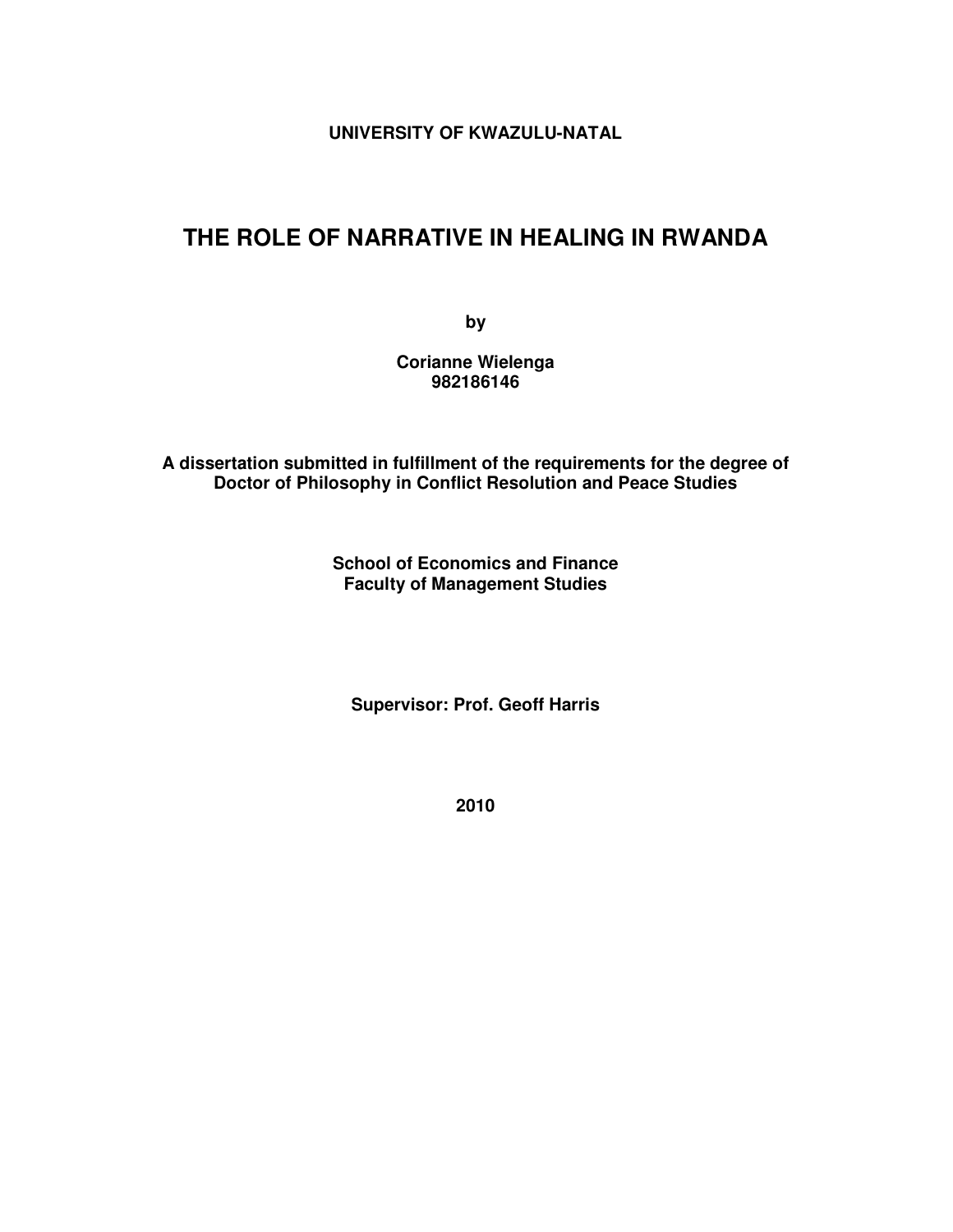**UNIVERSITY OF KWAZULU-NATAL** 

## **THE ROLE OF NARRATIVE IN HEALING IN RWANDA**

**by** 

**Corianne Wielenga 982186146** 

**A dissertation submitted in fulfillment of the requirements for the degree of Doctor of Philosophy in Conflict Resolution and Peace Studies** 

> **School of Economics and Finance Faculty of Management Studies**

**Supervisor: Prof. Geoff Harris** 

**2010**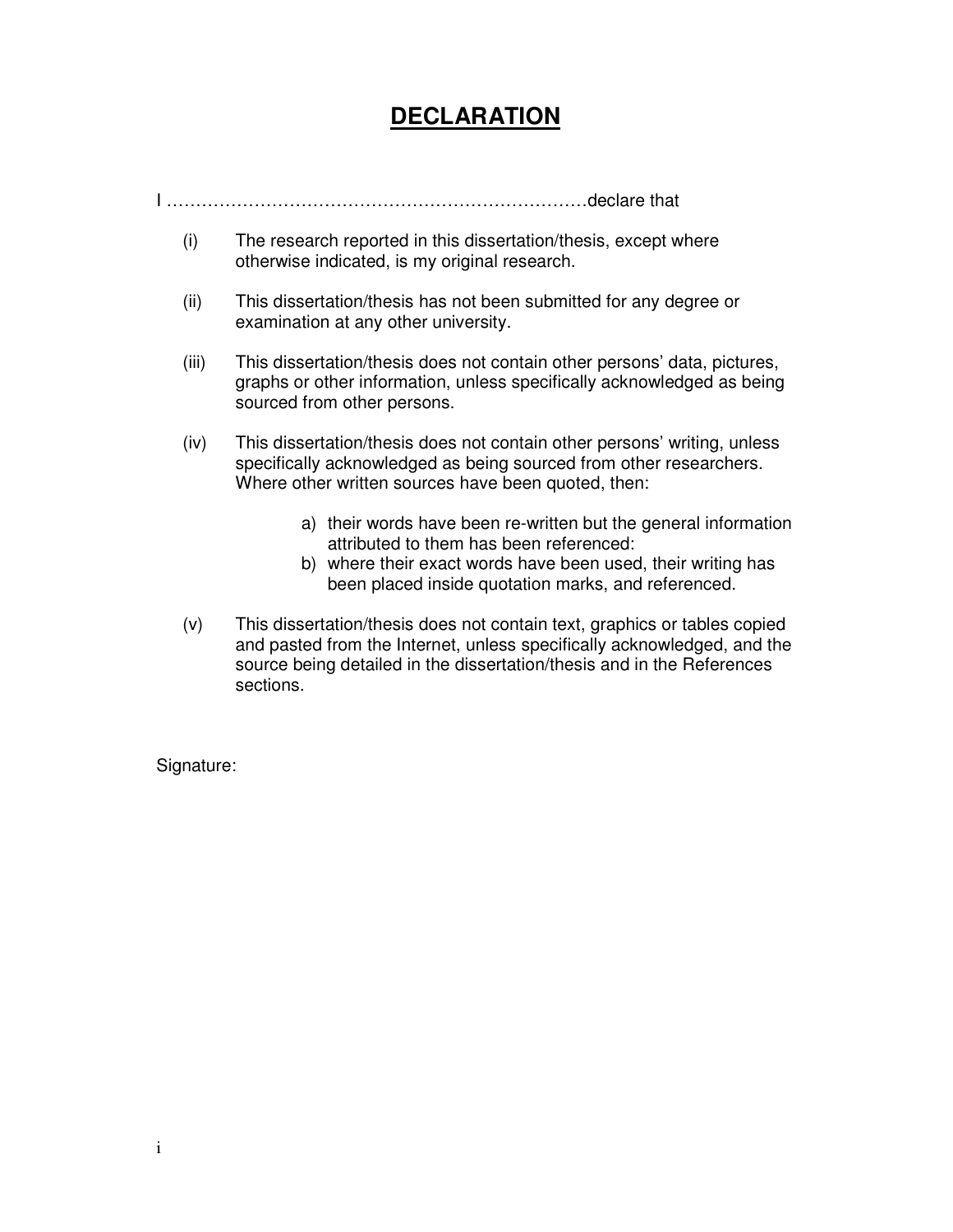# **DECLARATION**

I ………………………………………………………………declare that

- (i) The research reported in this dissertation/thesis, except where otherwise indicated, is my original research.
- (ii) This dissertation/thesis has not been submitted for any degree or examination at any other university.
- (iii) This dissertation/thesis does not contain other persons' data, pictures, graphs or other information, unless specifically acknowledged as being sourced from other persons.
- (iv) This dissertation/thesis does not contain other persons' writing, unless specifically acknowledged as being sourced from other researchers. Where other written sources have been quoted, then:
	- a) their words have been re-written but the general information attributed to them has been referenced:
	- b) where their exact words have been used, their writing has been placed inside quotation marks, and referenced.
- (v) This dissertation/thesis does not contain text, graphics or tables copied and pasted from the Internet, unless specifically acknowledged, and the source being detailed in the dissertation/thesis and in the References sections.

Signature: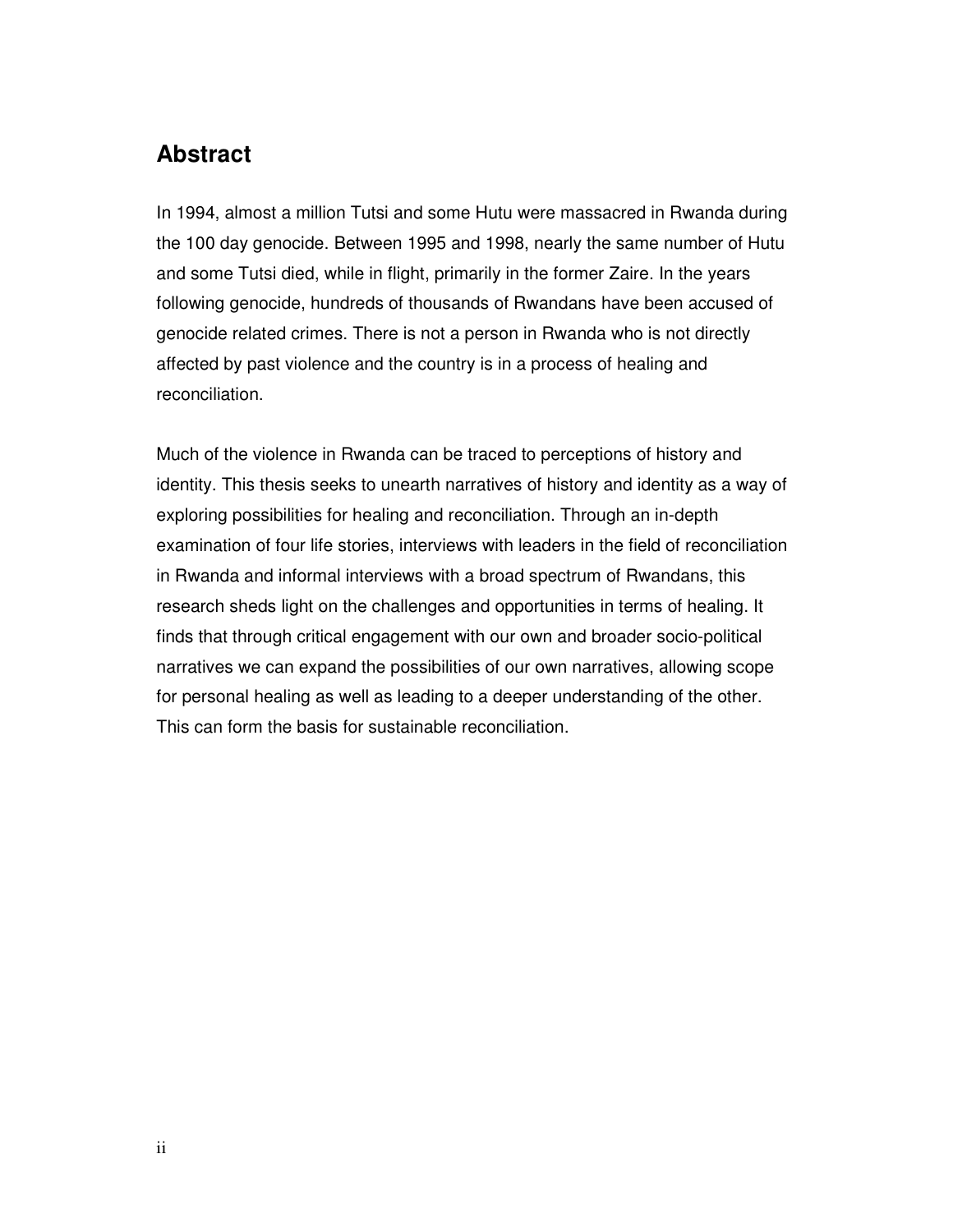## **Abstract**

In 1994, almost a million Tutsi and some Hutu were massacred in Rwanda during the 100 day genocide. Between 1995 and 1998, nearly the same number of Hutu and some Tutsi died, while in flight, primarily in the former Zaire. In the years following genocide, hundreds of thousands of Rwandans have been accused of genocide related crimes. There is not a person in Rwanda who is not directly affected by past violence and the country is in a process of healing and reconciliation.

Much of the violence in Rwanda can be traced to perceptions of history and identity. This thesis seeks to unearth narratives of history and identity as a way of exploring possibilities for healing and reconciliation. Through an in-depth examination of four life stories, interviews with leaders in the field of reconciliation in Rwanda and informal interviews with a broad spectrum of Rwandans, this research sheds light on the challenges and opportunities in terms of healing. It finds that through critical engagement with our own and broader socio-political narratives we can expand the possibilities of our own narratives, allowing scope for personal healing as well as leading to a deeper understanding of the other. This can form the basis for sustainable reconciliation.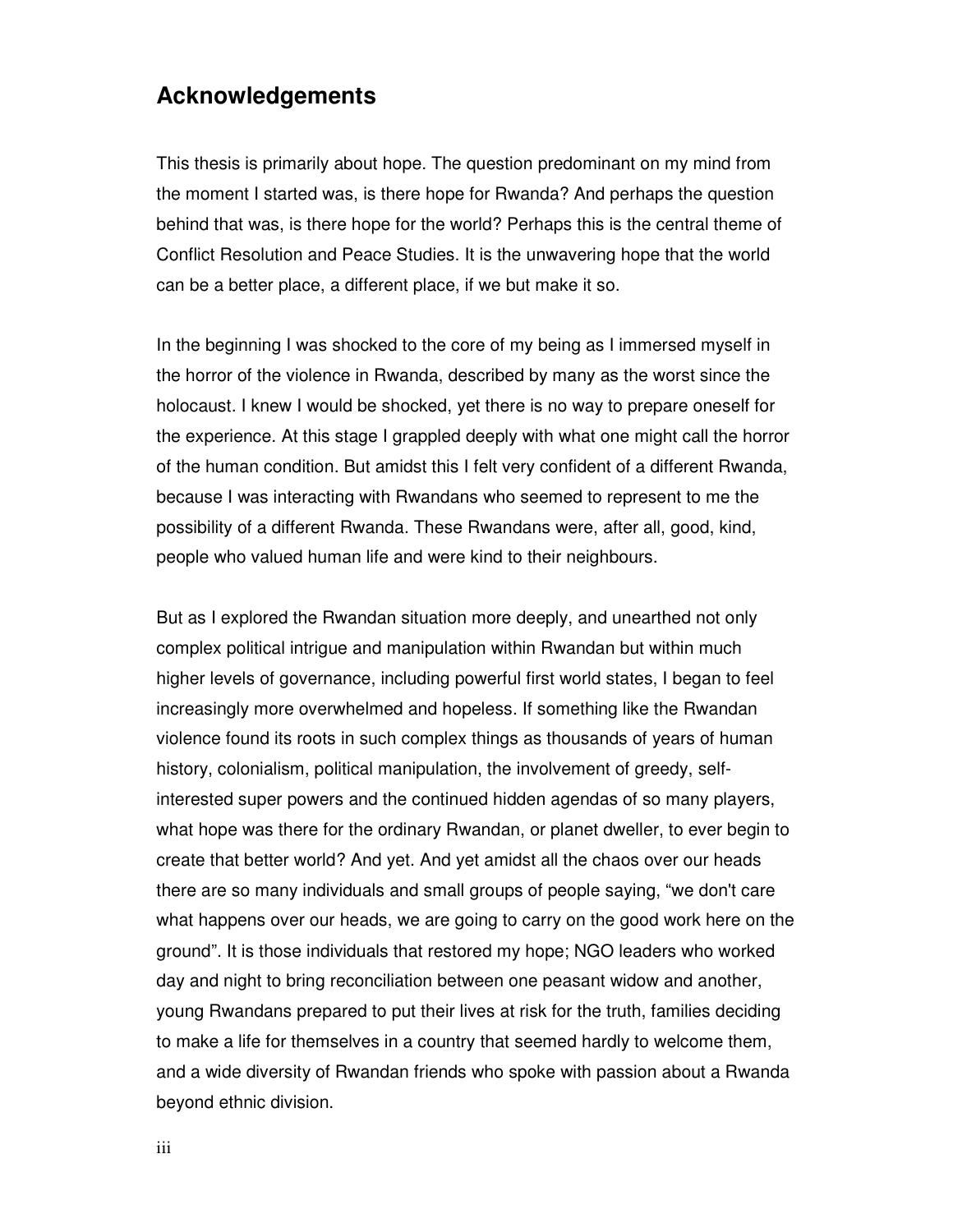## **Acknowledgements**

This thesis is primarily about hope. The question predominant on my mind from the moment I started was, is there hope for Rwanda? And perhaps the question behind that was, is there hope for the world? Perhaps this is the central theme of Conflict Resolution and Peace Studies. It is the unwavering hope that the world can be a better place, a different place, if we but make it so.

In the beginning I was shocked to the core of my being as I immersed myself in the horror of the violence in Rwanda, described by many as the worst since the holocaust. I knew I would be shocked, yet there is no way to prepare oneself for the experience. At this stage I grappled deeply with what one might call the horror of the human condition. But amidst this I felt very confident of a different Rwanda, because I was interacting with Rwandans who seemed to represent to me the possibility of a different Rwanda. These Rwandans were, after all, good, kind, people who valued human life and were kind to their neighbours.

But as I explored the Rwandan situation more deeply, and unearthed not only complex political intrigue and manipulation within Rwandan but within much higher levels of governance, including powerful first world states, I began to feel increasingly more overwhelmed and hopeless. If something like the Rwandan violence found its roots in such complex things as thousands of years of human history, colonialism, political manipulation, the involvement of greedy, selfinterested super powers and the continued hidden agendas of so many players, what hope was there for the ordinary Rwandan, or planet dweller, to ever begin to create that better world? And yet. And yet amidst all the chaos over our heads there are so many individuals and small groups of people saying, "we don't care what happens over our heads, we are going to carry on the good work here on the ground". It is those individuals that restored my hope; NGO leaders who worked day and night to bring reconciliation between one peasant widow and another, young Rwandans prepared to put their lives at risk for the truth, families deciding to make a life for themselves in a country that seemed hardly to welcome them, and a wide diversity of Rwandan friends who spoke with passion about a Rwanda beyond ethnic division.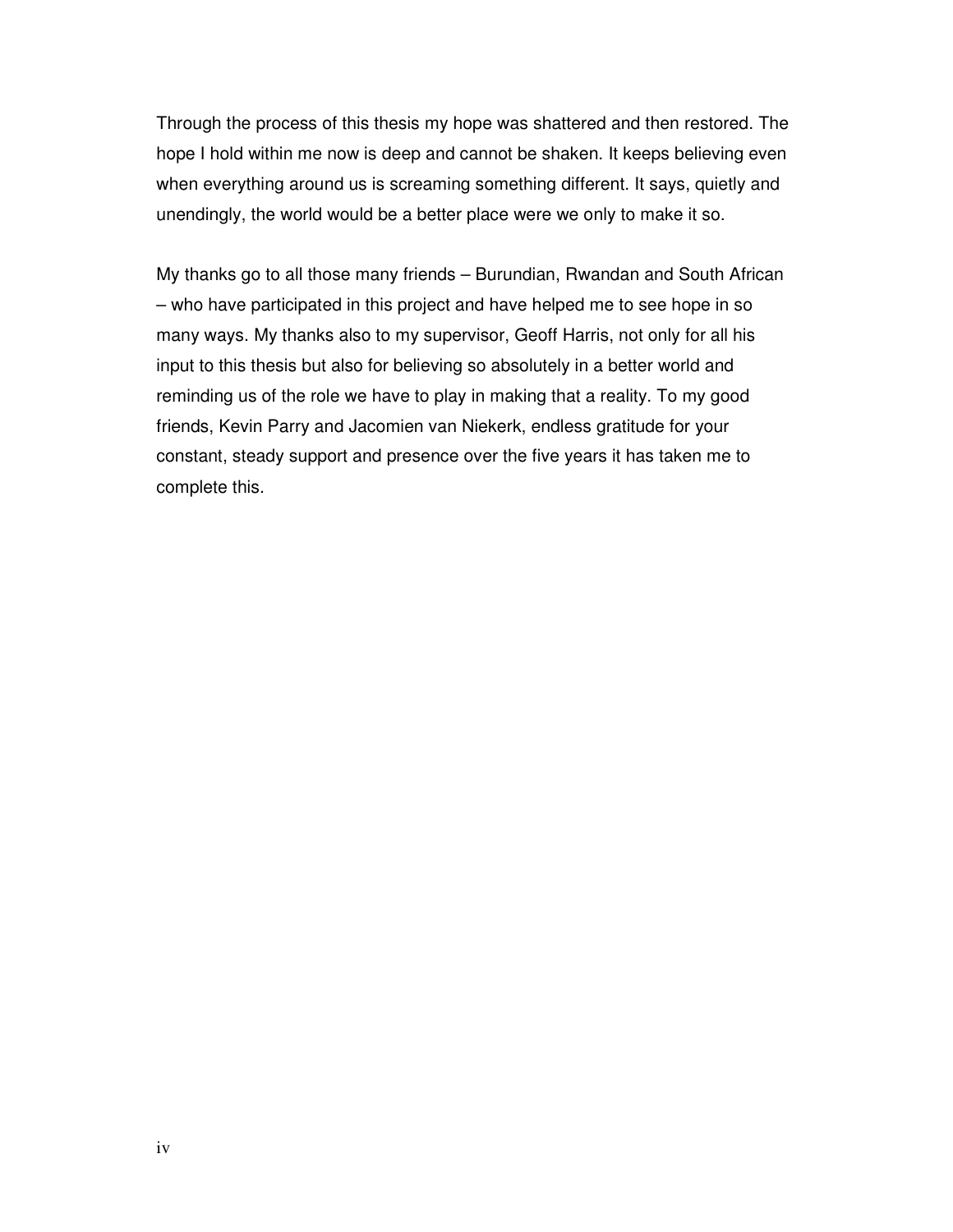Through the process of this thesis my hope was shattered and then restored. The hope I hold within me now is deep and cannot be shaken. It keeps believing even when everything around us is screaming something different. It says, quietly and unendingly, the world would be a better place were we only to make it so.

My thanks go to all those many friends – Burundian, Rwandan and South African – who have participated in this project and have helped me to see hope in so many ways. My thanks also to my supervisor, Geoff Harris, not only for all his input to this thesis but also for believing so absolutely in a better world and reminding us of the role we have to play in making that a reality. To my good friends, Kevin Parry and Jacomien van Niekerk, endless gratitude for your constant, steady support and presence over the five years it has taken me to complete this.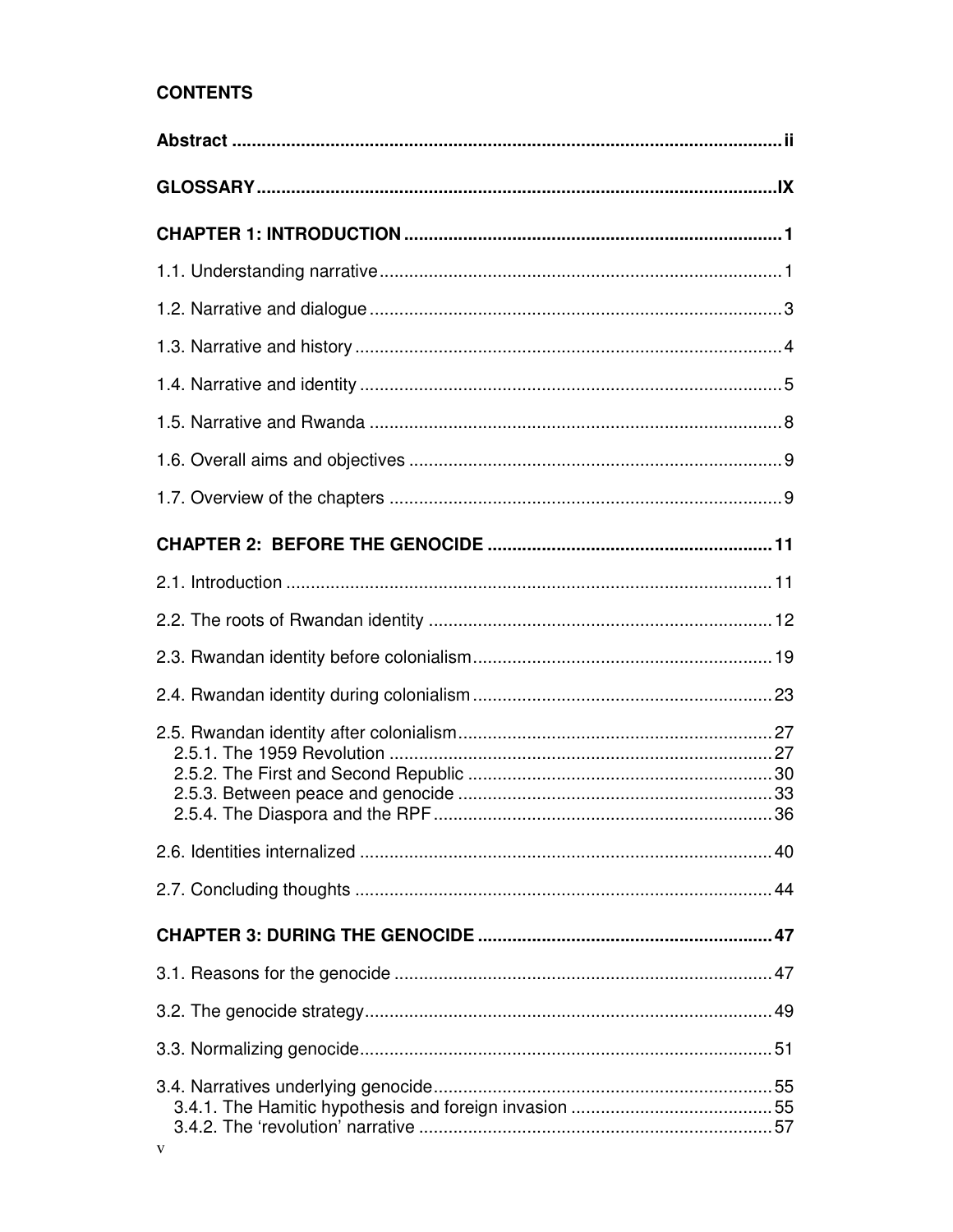### **CONTENTS**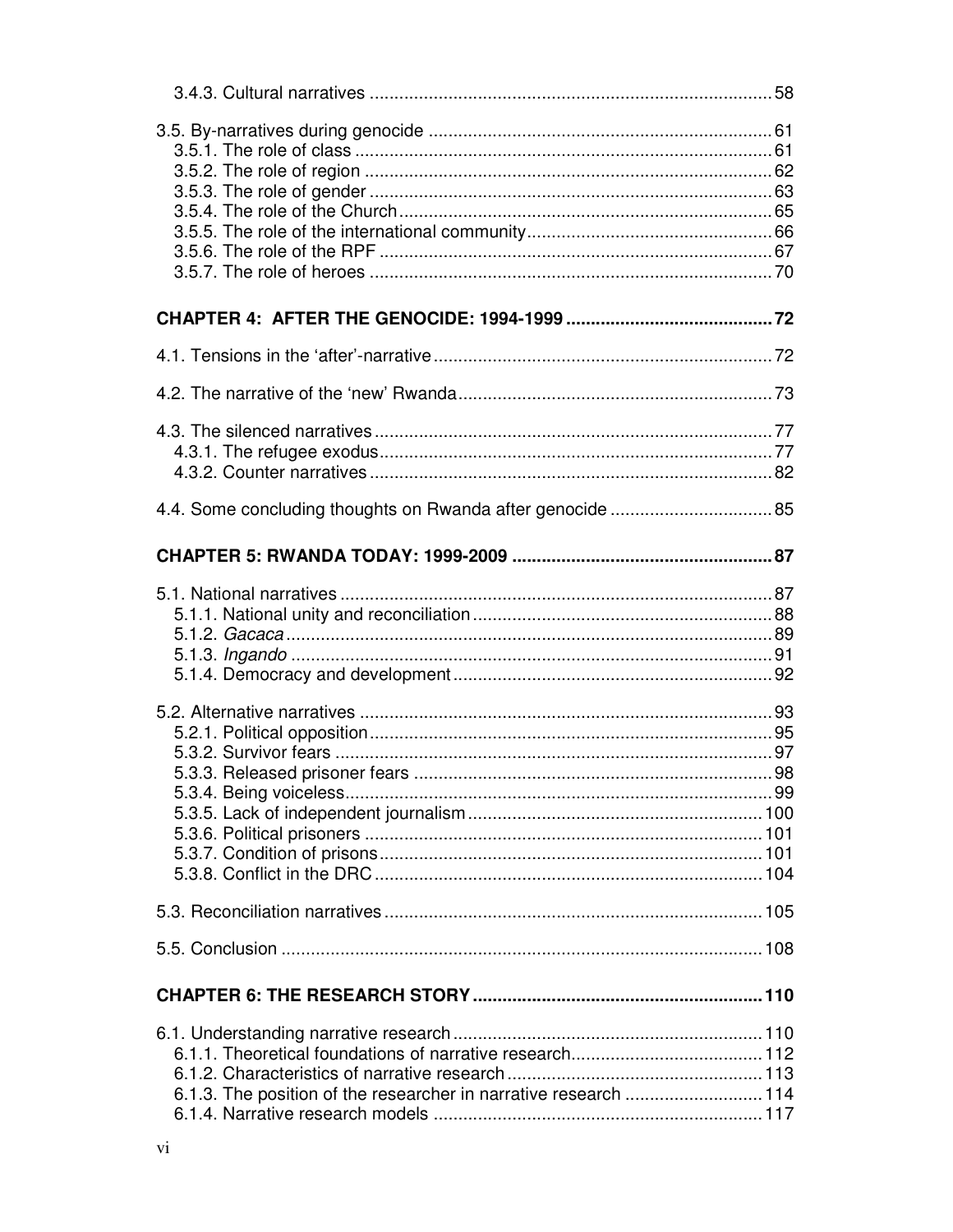| 6.1.3. The position of the researcher in narrative research  114 |  |
|------------------------------------------------------------------|--|
|                                                                  |  |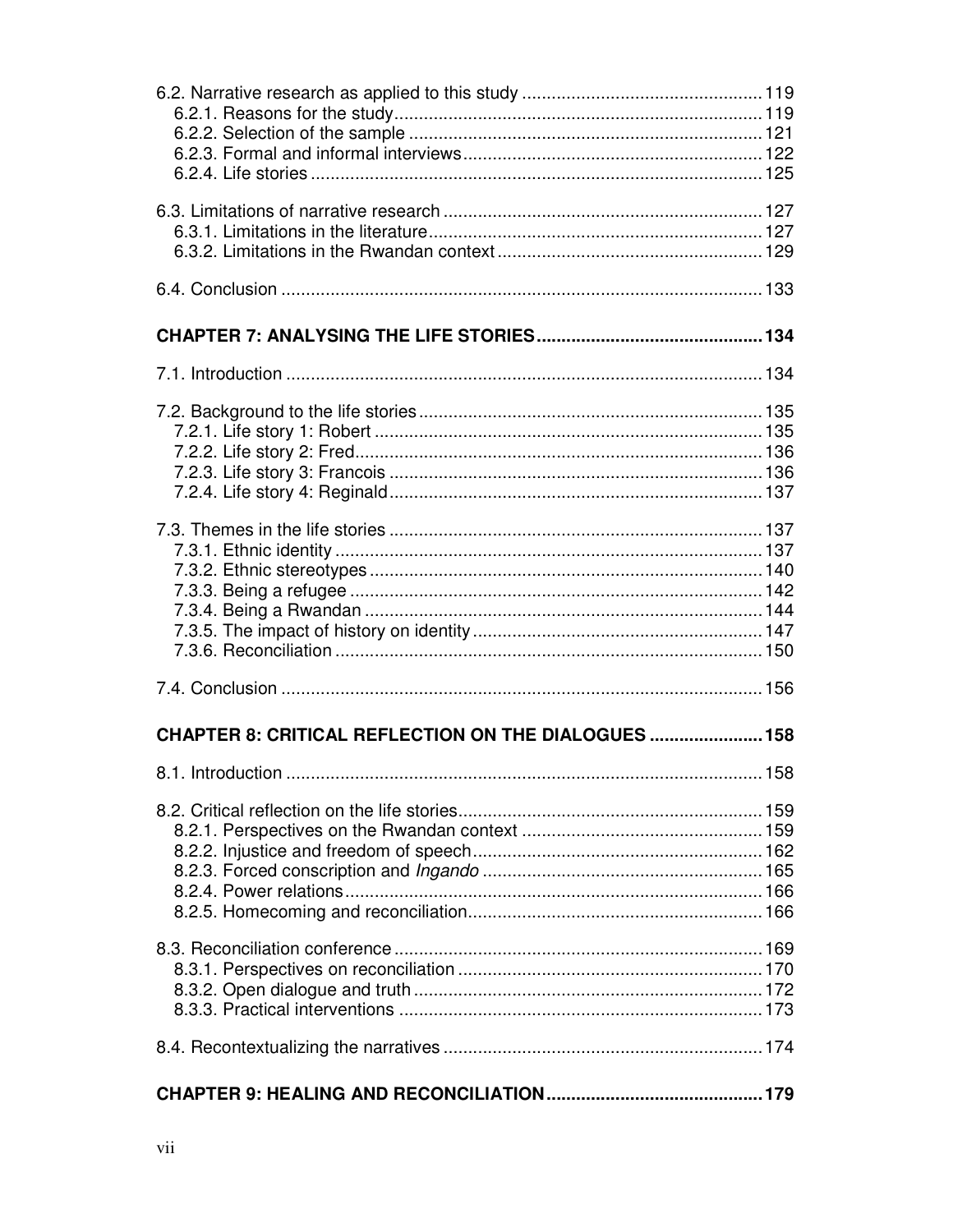| <b>CHAPTER 8: CRITICAL REFLECTION ON THE DIALOGUES  158</b> |  |
|-------------------------------------------------------------|--|
|                                                             |  |
|                                                             |  |
|                                                             |  |
|                                                             |  |
|                                                             |  |
|                                                             |  |
|                                                             |  |
|                                                             |  |
|                                                             |  |
|                                                             |  |
|                                                             |  |
|                                                             |  |
|                                                             |  |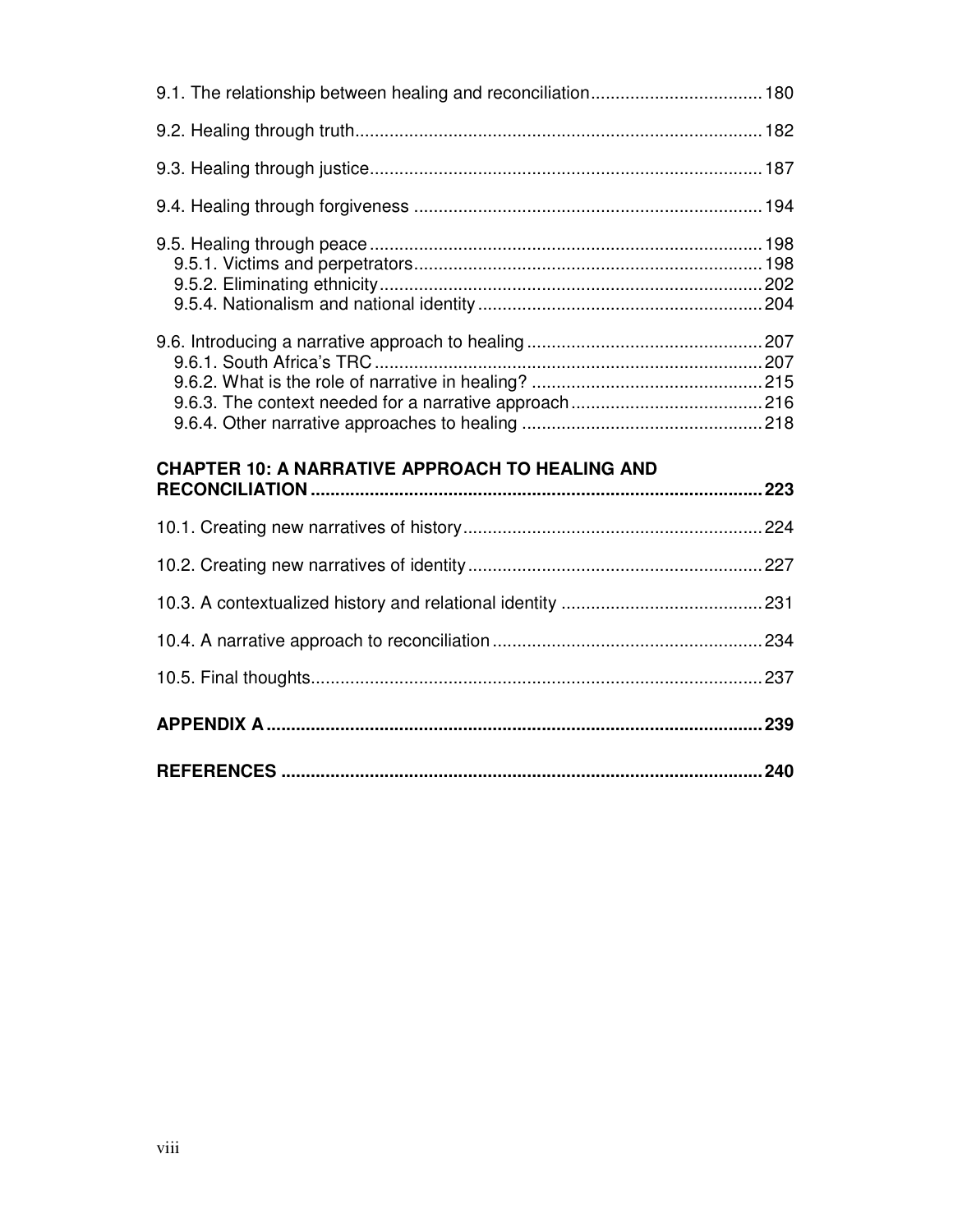| <b>CHAPTER 10: A NARRATIVE APPROACH TO HEALING AND</b> |  |
|--------------------------------------------------------|--|
|                                                        |  |
|                                                        |  |
|                                                        |  |
|                                                        |  |
|                                                        |  |
|                                                        |  |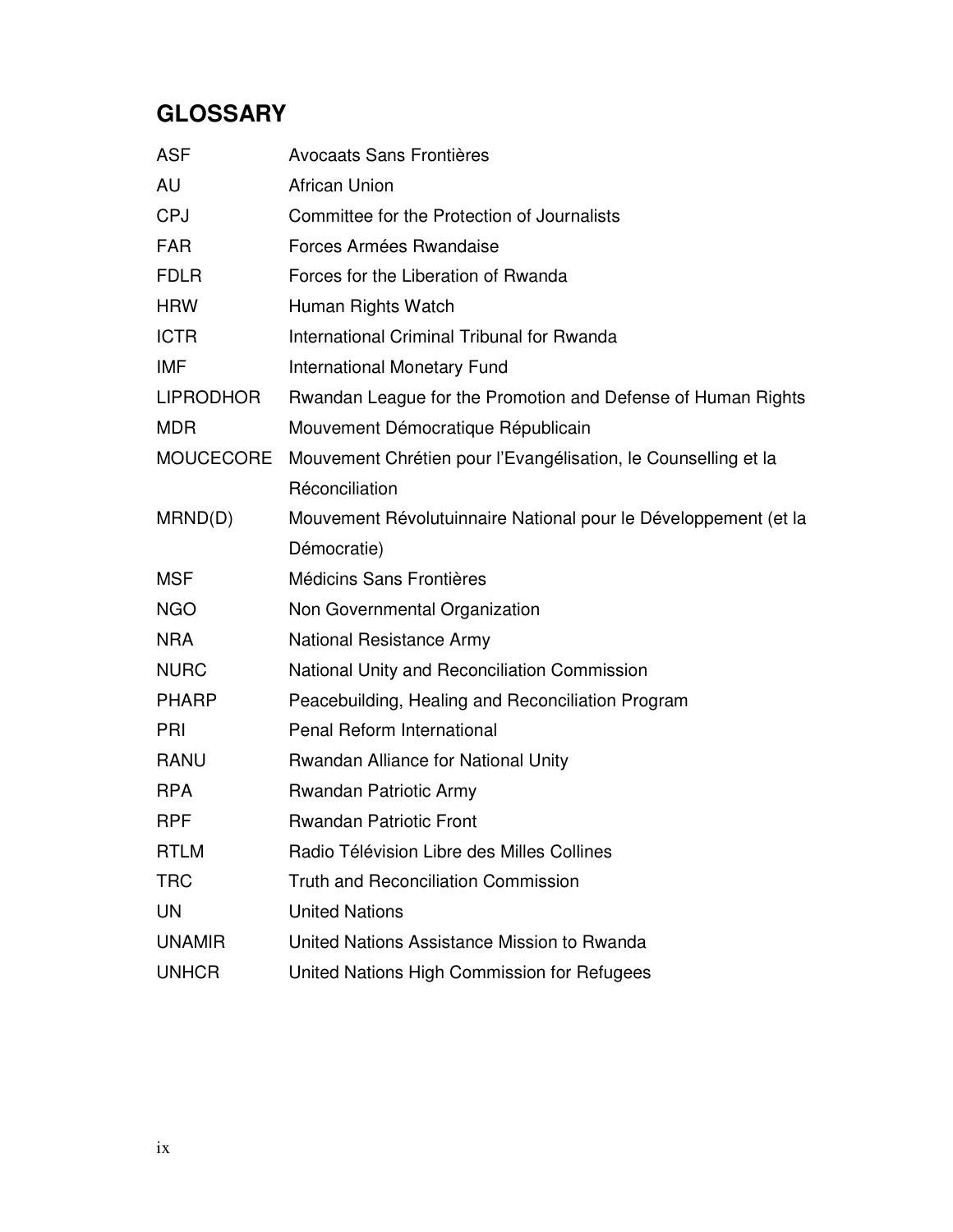# **GLOSSARY**

| <b>ASF</b>       | Avocaats Sans Frontières                                        |
|------------------|-----------------------------------------------------------------|
| AU               | <b>African Union</b>                                            |
| <b>CPJ</b>       | Committee for the Protection of Journalists                     |
| <b>FAR</b>       | Forces Armées Rwandaise                                         |
| <b>FDLR</b>      | Forces for the Liberation of Rwanda                             |
| <b>HRW</b>       | Human Rights Watch                                              |
| <b>ICTR</b>      | International Criminal Tribunal for Rwanda                      |
| IMF              | <b>International Monetary Fund</b>                              |
| <b>LIPRODHOR</b> | Rwandan League for the Promotion and Defense of Human Rights    |
| <b>MDR</b>       | Mouvement Démocratique Républicain                              |
| <b>MOUCECORE</b> | Mouvement Chrétien pour l'Evangélisation, le Counselling et la  |
|                  | Réconciliation                                                  |
| MRND(D)          | Mouvement Révolutuinnaire National pour le Développement (et la |
|                  | Démocratie)                                                     |
| <b>MSF</b>       | Médicins Sans Frontières                                        |
| <b>NGO</b>       | Non Governmental Organization                                   |
| <b>NRA</b>       | <b>National Resistance Army</b>                                 |
| <b>NURC</b>      | National Unity and Reconciliation Commission                    |
| <b>PHARP</b>     | Peacebuilding, Healing and Reconciliation Program               |
| PRI              | Penal Reform International                                      |
| <b>RANU</b>      | Rwandan Alliance for National Unity                             |
| <b>RPA</b>       | Rwandan Patriotic Army                                          |
| <b>RPF</b>       | <b>Rwandan Patriotic Front</b>                                  |
| <b>RTLM</b>      | Radio Télévision Libre des Milles Collines                      |
| <b>TRC</b>       | <b>Truth and Reconciliation Commission</b>                      |
| UN               | <b>United Nations</b>                                           |
| <b>UNAMIR</b>    | United Nations Assistance Mission to Rwanda                     |
| <b>UNHCR</b>     | United Nations High Commission for Refugees                     |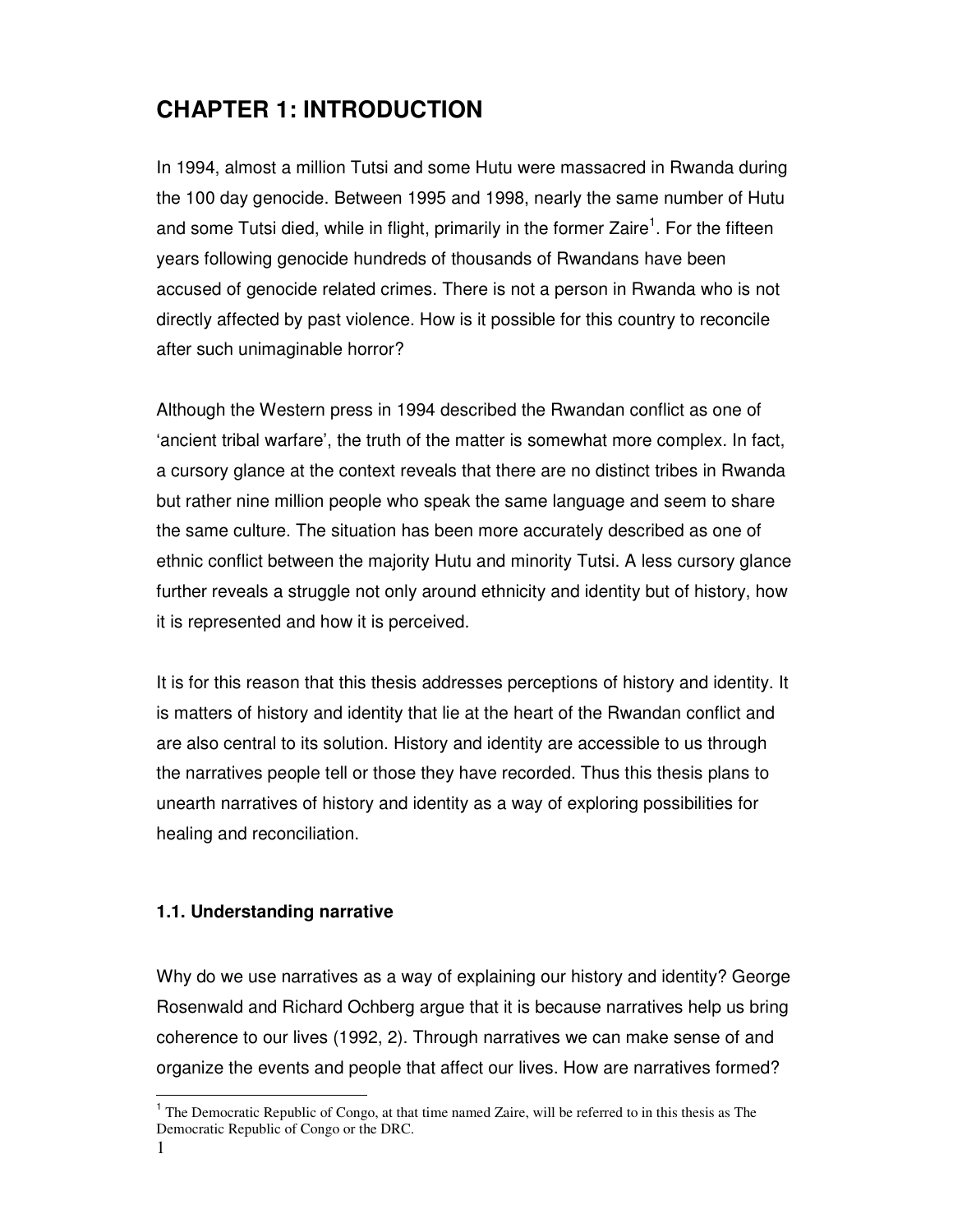# **CHAPTER 1: INTRODUCTION**

In 1994, almost a million Tutsi and some Hutu were massacred in Rwanda during the 100 day genocide. Between 1995 and 1998, nearly the same number of Hutu and some Tutsi died, while in flight, primarily in the former Zaire<sup>1</sup>. For the fifteen years following genocide hundreds of thousands of Rwandans have been accused of genocide related crimes. There is not a person in Rwanda who is not directly affected by past violence. How is it possible for this country to reconcile after such unimaginable horror?

Although the Western press in 1994 described the Rwandan conflict as one of 'ancient tribal warfare', the truth of the matter is somewhat more complex. In fact, a cursory glance at the context reveals that there are no distinct tribes in Rwanda but rather nine million people who speak the same language and seem to share the same culture. The situation has been more accurately described as one of ethnic conflict between the majority Hutu and minority Tutsi. A less cursory glance further reveals a struggle not only around ethnicity and identity but of history, how it is represented and how it is perceived.

It is for this reason that this thesis addresses perceptions of history and identity. It is matters of history and identity that lie at the heart of the Rwandan conflict and are also central to its solution. History and identity are accessible to us through the narratives people tell or those they have recorded. Thus this thesis plans to unearth narratives of history and identity as a way of exploring possibilities for healing and reconciliation.

#### **1.1. Understanding narrative**

Why do we use narratives as a way of explaining our history and identity? George Rosenwald and Richard Ochberg argue that it is because narratives help us bring coherence to our lives (1992, 2). Through narratives we can make sense of and organize the events and people that affect our lives. How are narratives formed?

 $\overline{a}$ 

<sup>&</sup>lt;sup>1</sup> The Democratic Republic of Congo, at that time named Zaire, will be referred to in this thesis as The Democratic Republic of Congo or the DRC.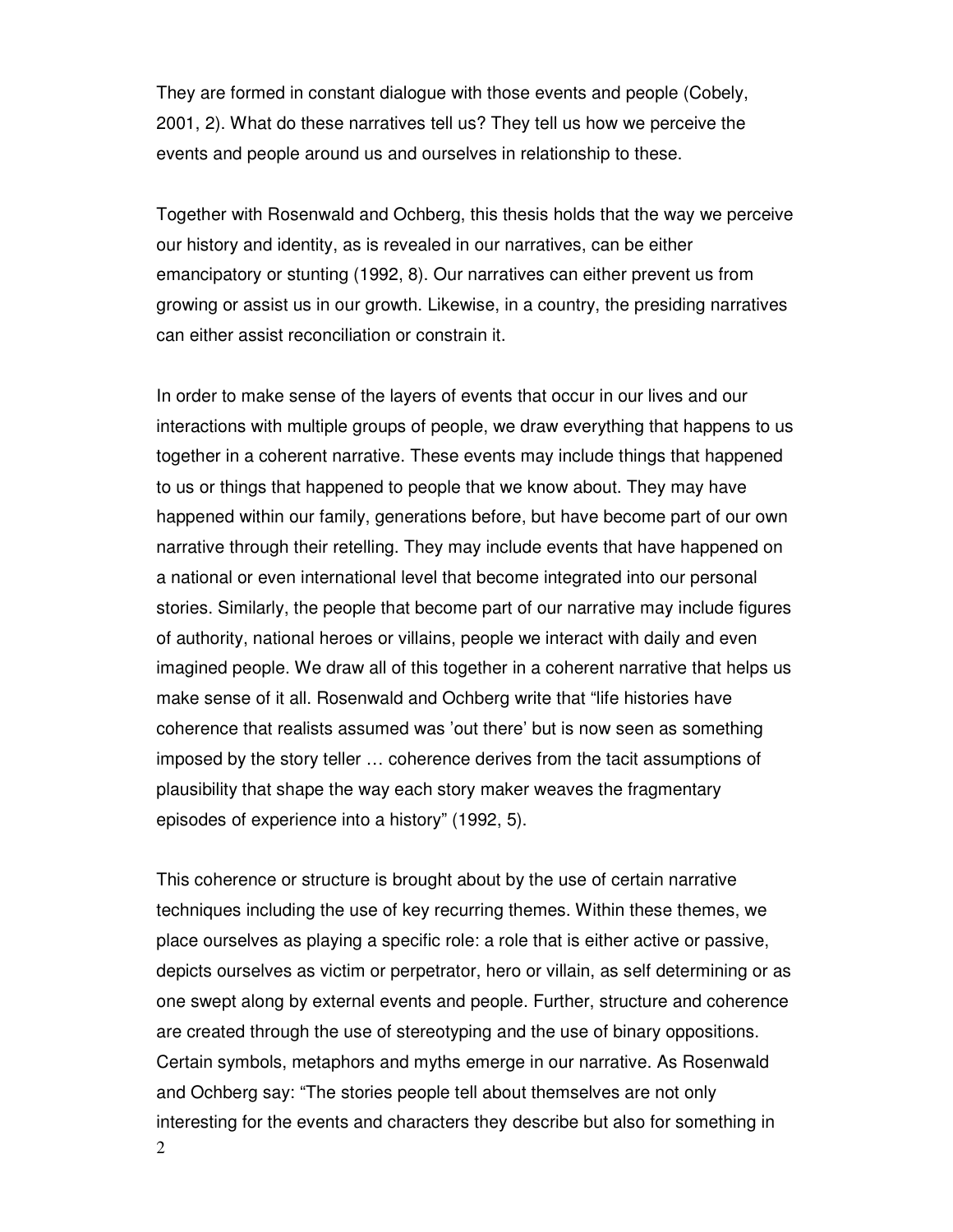They are formed in constant dialogue with those events and people (Cobely, 2001, 2). What do these narratives tell us? They tell us how we perceive the events and people around us and ourselves in relationship to these.

Together with Rosenwald and Ochberg, this thesis holds that the way we perceive our history and identity, as is revealed in our narratives, can be either emancipatory or stunting (1992, 8). Our narratives can either prevent us from growing or assist us in our growth. Likewise, in a country, the presiding narratives can either assist reconciliation or constrain it.

In order to make sense of the layers of events that occur in our lives and our interactions with multiple groups of people, we draw everything that happens to us together in a coherent narrative. These events may include things that happened to us or things that happened to people that we know about. They may have happened within our family, generations before, but have become part of our own narrative through their retelling. They may include events that have happened on a national or even international level that become integrated into our personal stories. Similarly, the people that become part of our narrative may include figures of authority, national heroes or villains, people we interact with daily and even imagined people. We draw all of this together in a coherent narrative that helps us make sense of it all. Rosenwald and Ochberg write that "life histories have coherence that realists assumed was 'out there' but is now seen as something imposed by the story teller … coherence derives from the tacit assumptions of plausibility that shape the way each story maker weaves the fragmentary episodes of experience into a history" (1992, 5).

2 This coherence or structure is brought about by the use of certain narrative techniques including the use of key recurring themes. Within these themes, we place ourselves as playing a specific role: a role that is either active or passive, depicts ourselves as victim or perpetrator, hero or villain, as self determining or as one swept along by external events and people. Further, structure and coherence are created through the use of stereotyping and the use of binary oppositions. Certain symbols, metaphors and myths emerge in our narrative. As Rosenwald and Ochberg say: "The stories people tell about themselves are not only interesting for the events and characters they describe but also for something in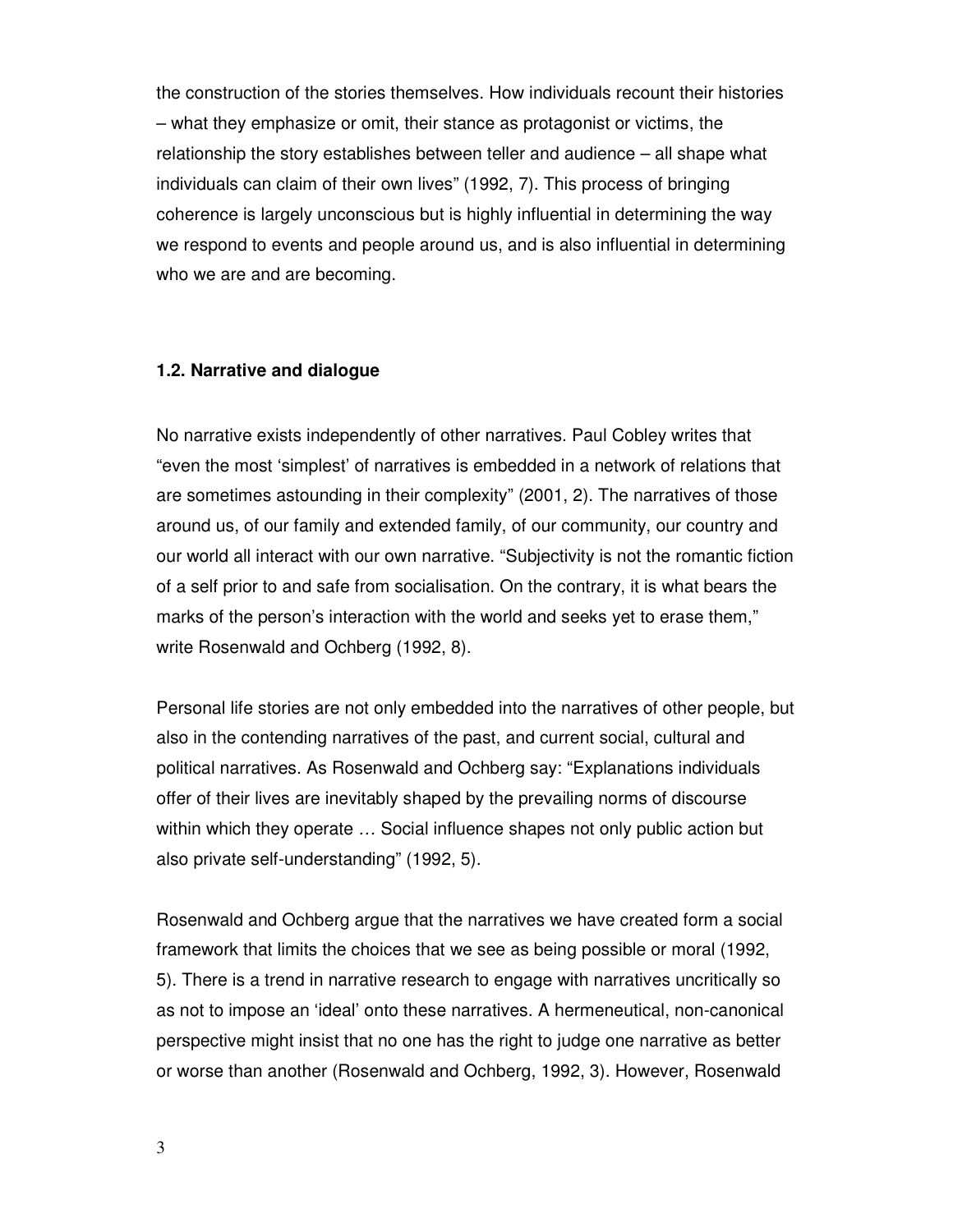the construction of the stories themselves. How individuals recount their histories – what they emphasize or omit, their stance as protagonist or victims, the relationship the story establishes between teller and audience – all shape what individuals can claim of their own lives" (1992, 7). This process of bringing coherence is largely unconscious but is highly influential in determining the way we respond to events and people around us, and is also influential in determining who we are and are becoming.

#### **1.2. Narrative and dialogue**

No narrative exists independently of other narratives. Paul Cobley writes that "even the most 'simplest' of narratives is embedded in a network of relations that are sometimes astounding in their complexity" (2001, 2). The narratives of those around us, of our family and extended family, of our community, our country and our world all interact with our own narrative. "Subjectivity is not the romantic fiction of a self prior to and safe from socialisation. On the contrary, it is what bears the marks of the person's interaction with the world and seeks yet to erase them," write Rosenwald and Ochberg (1992, 8).

Personal life stories are not only embedded into the narratives of other people, but also in the contending narratives of the past, and current social, cultural and political narratives. As Rosenwald and Ochberg say: "Explanations individuals offer of their lives are inevitably shaped by the prevailing norms of discourse within which they operate … Social influence shapes not only public action but also private self-understanding" (1992, 5).

Rosenwald and Ochberg argue that the narratives we have created form a social framework that limits the choices that we see as being possible or moral (1992, 5). There is a trend in narrative research to engage with narratives uncritically so as not to impose an 'ideal' onto these narratives. A hermeneutical, non-canonical perspective might insist that no one has the right to judge one narrative as better or worse than another (Rosenwald and Ochberg, 1992, 3). However, Rosenwald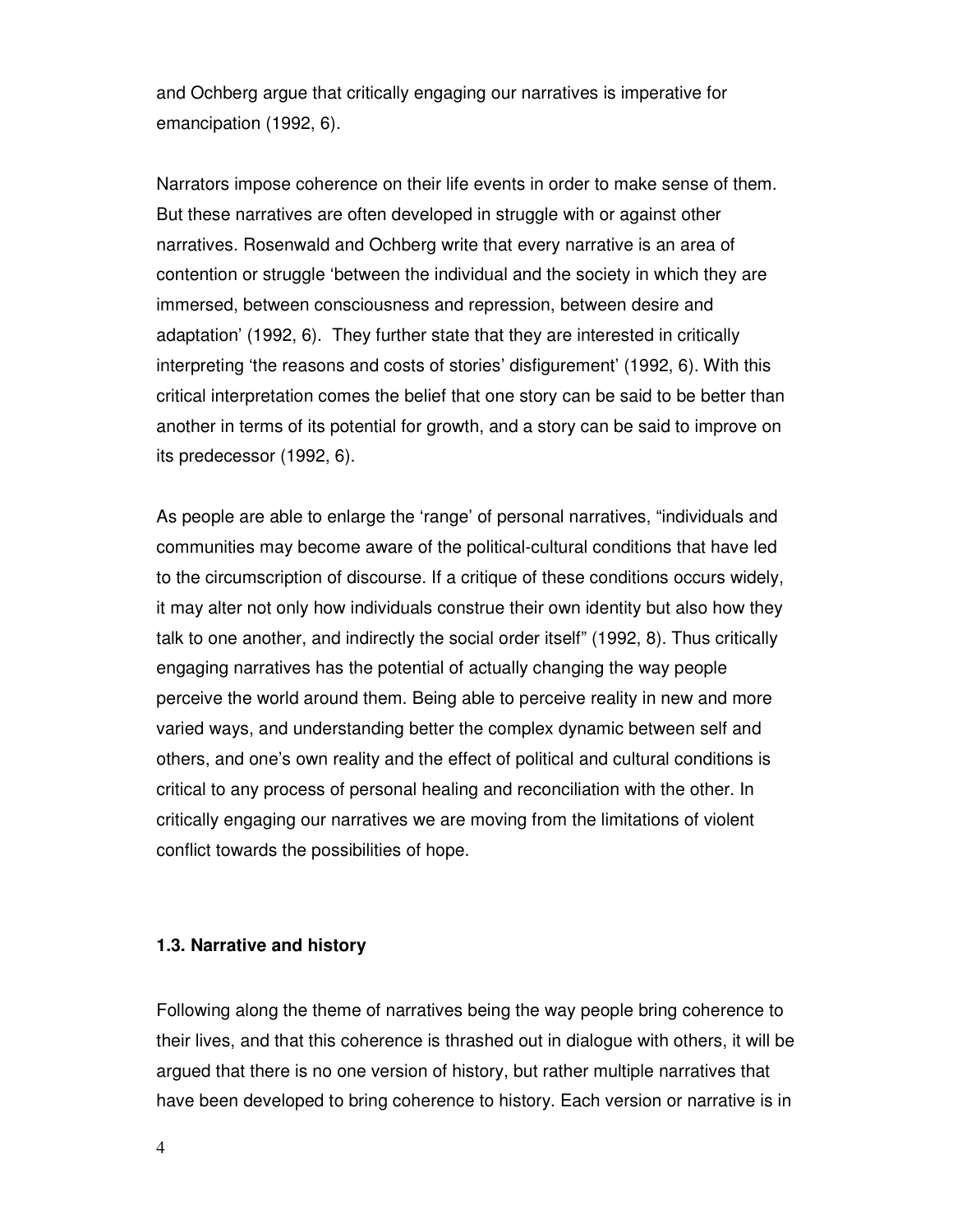and Ochberg argue that critically engaging our narratives is imperative for emancipation (1992, 6).

Narrators impose coherence on their life events in order to make sense of them. But these narratives are often developed in struggle with or against other narratives. Rosenwald and Ochberg write that every narrative is an area of contention or struggle 'between the individual and the society in which they are immersed, between consciousness and repression, between desire and adaptation' (1992, 6). They further state that they are interested in critically interpreting 'the reasons and costs of stories' disfigurement' (1992, 6). With this critical interpretation comes the belief that one story can be said to be better than another in terms of its potential for growth, and a story can be said to improve on its predecessor (1992, 6).

As people are able to enlarge the 'range' of personal narratives, "individuals and communities may become aware of the political-cultural conditions that have led to the circumscription of discourse. If a critique of these conditions occurs widely, it may alter not only how individuals construe their own identity but also how they talk to one another, and indirectly the social order itself" (1992, 8). Thus critically engaging narratives has the potential of actually changing the way people perceive the world around them. Being able to perceive reality in new and more varied ways, and understanding better the complex dynamic between self and others, and one's own reality and the effect of political and cultural conditions is critical to any process of personal healing and reconciliation with the other. In critically engaging our narratives we are moving from the limitations of violent conflict towards the possibilities of hope.

#### **1.3. Narrative and history**

Following along the theme of narratives being the way people bring coherence to their lives, and that this coherence is thrashed out in dialogue with others, it will be argued that there is no one version of history, but rather multiple narratives that have been developed to bring coherence to history. Each version or narrative is in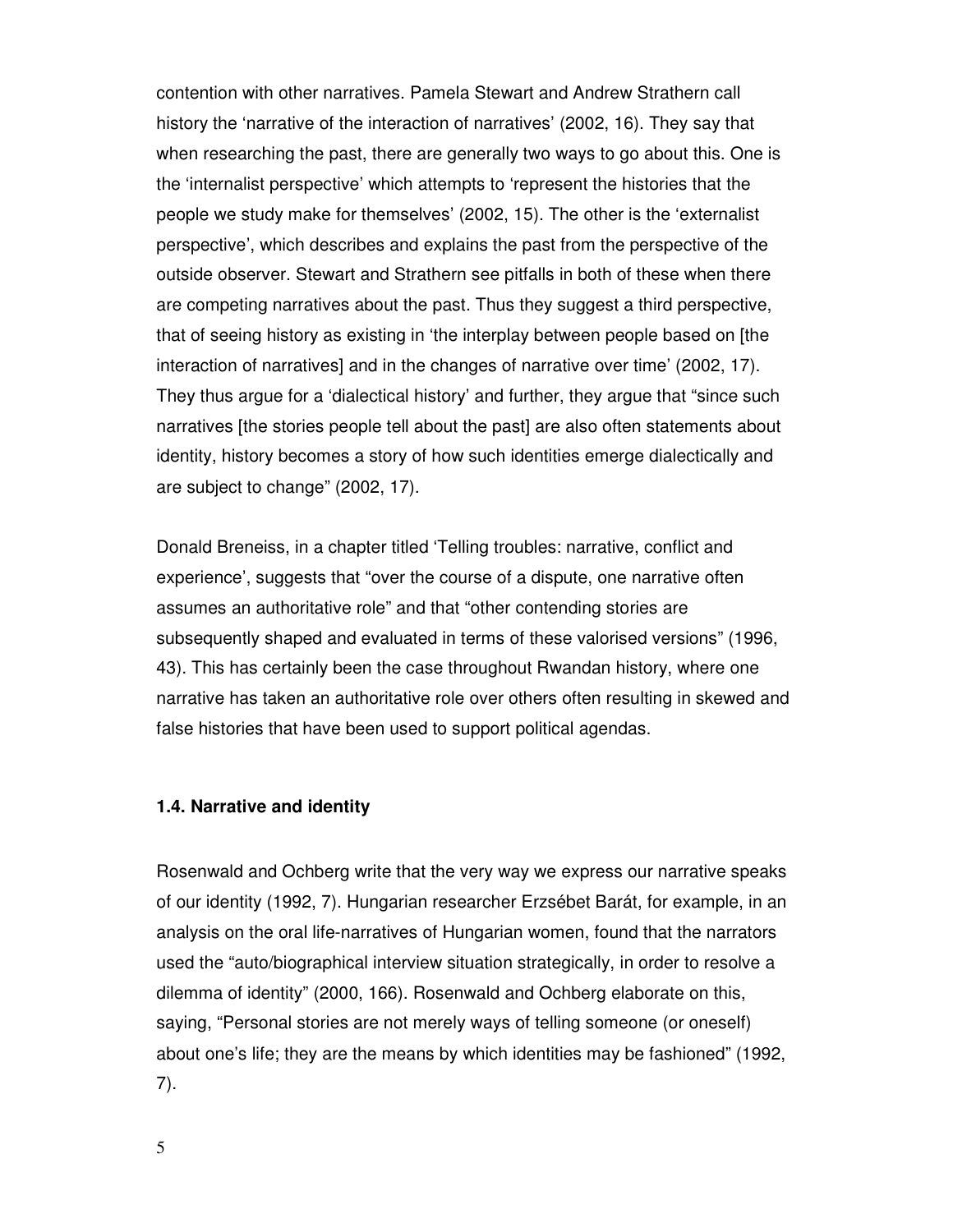contention with other narratives. Pamela Stewart and Andrew Strathern call history the 'narrative of the interaction of narratives' (2002, 16). They say that when researching the past, there are generally two ways to go about this. One is the 'internalist perspective' which attempts to 'represent the histories that the people we study make for themselves' (2002, 15). The other is the 'externalist perspective', which describes and explains the past from the perspective of the outside observer. Stewart and Strathern see pitfalls in both of these when there are competing narratives about the past. Thus they suggest a third perspective, that of seeing history as existing in 'the interplay between people based on [the interaction of narratives] and in the changes of narrative over time' (2002, 17). They thus argue for a 'dialectical history' and further, they argue that "since such narratives [the stories people tell about the past] are also often statements about identity, history becomes a story of how such identities emerge dialectically and are subject to change" (2002, 17).

Donald Breneiss, in a chapter titled 'Telling troubles: narrative, conflict and experience', suggests that "over the course of a dispute, one narrative often assumes an authoritative role" and that "other contending stories are subsequently shaped and evaluated in terms of these valorised versions" (1996, 43). This has certainly been the case throughout Rwandan history, where one narrative has taken an authoritative role over others often resulting in skewed and false histories that have been used to support political agendas.

#### **1.4. Narrative and identity**

Rosenwald and Ochberg write that the very way we express our narrative speaks of our identity (1992, 7). Hungarian researcher Erzsébet Barát, for example, in an analysis on the oral life-narratives of Hungarian women, found that the narrators used the "auto/biographical interview situation strategically, in order to resolve a dilemma of identity" (2000, 166). Rosenwald and Ochberg elaborate on this, saying, "Personal stories are not merely ways of telling someone (or oneself) about one's life; they are the means by which identities may be fashioned" (1992, 7).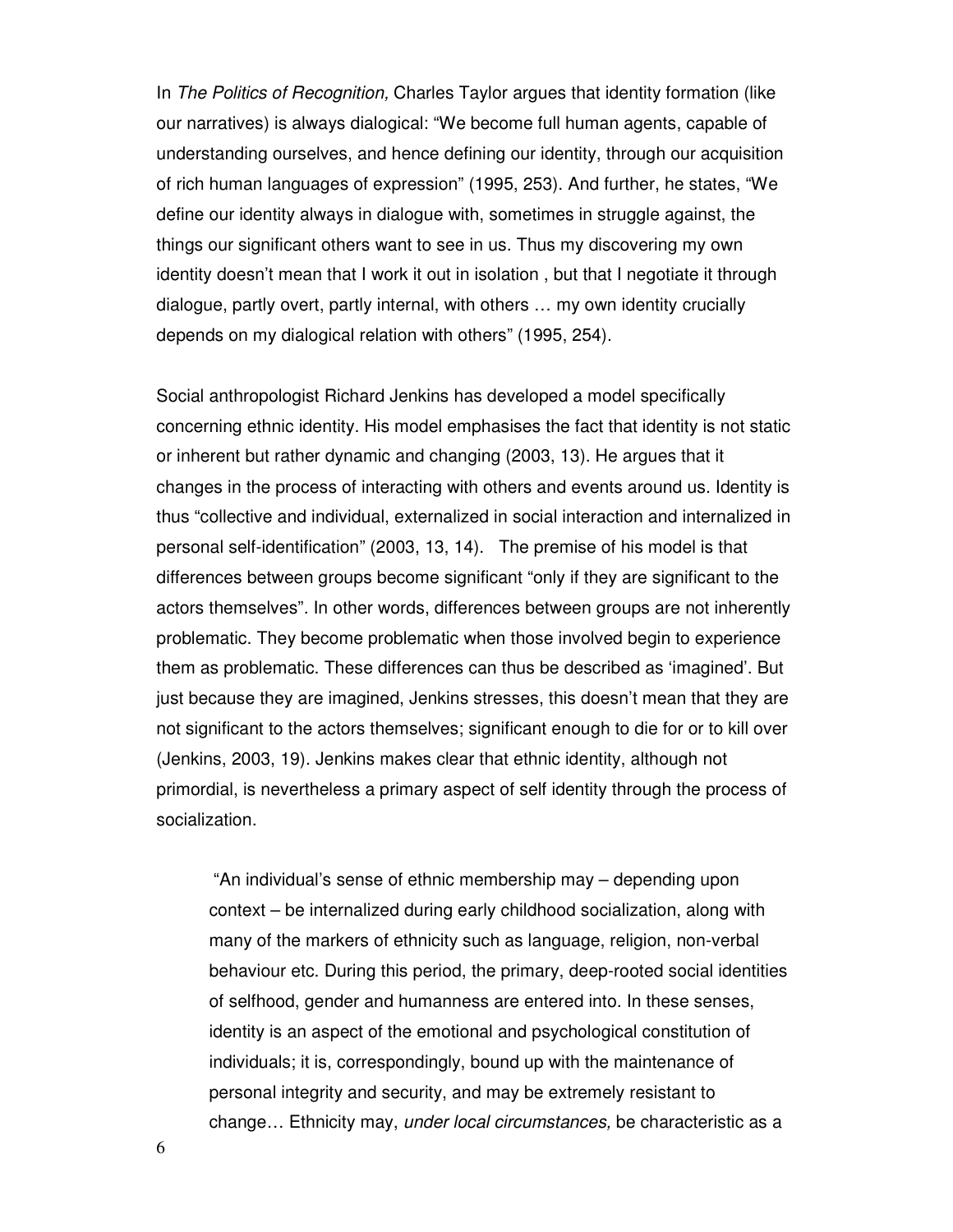In The Politics of Recognition, Charles Taylor argues that identity formation (like our narratives) is always dialogical: "We become full human agents, capable of understanding ourselves, and hence defining our identity, through our acquisition of rich human languages of expression" (1995, 253). And further, he states, "We define our identity always in dialogue with, sometimes in struggle against, the things our significant others want to see in us. Thus my discovering my own identity doesn't mean that I work it out in isolation , but that I negotiate it through dialogue, partly overt, partly internal, with others … my own identity crucially depends on my dialogical relation with others" (1995, 254).

Social anthropologist Richard Jenkins has developed a model specifically concerning ethnic identity. His model emphasises the fact that identity is not static or inherent but rather dynamic and changing (2003, 13). He argues that it changes in the process of interacting with others and events around us. Identity is thus "collective and individual, externalized in social interaction and internalized in personal self-identification" (2003, 13, 14). The premise of his model is that differences between groups become significant "only if they are significant to the actors themselves". In other words, differences between groups are not inherently problematic. They become problematic when those involved begin to experience them as problematic. These differences can thus be described as 'imagined'. But just because they are imagined, Jenkins stresses, this doesn't mean that they are not significant to the actors themselves; significant enough to die for or to kill over (Jenkins, 2003, 19). Jenkins makes clear that ethnic identity, although not primordial, is nevertheless a primary aspect of self identity through the process of socialization.

"An individual's sense of ethnic membership may – depending upon context – be internalized during early childhood socialization, along with many of the markers of ethnicity such as language, religion, non-verbal behaviour etc. During this period, the primary, deep-rooted social identities of selfhood, gender and humanness are entered into. In these senses, identity is an aspect of the emotional and psychological constitution of individuals; it is, correspondingly, bound up with the maintenance of personal integrity and security, and may be extremely resistant to change… Ethnicity may, under local circumstances, be characteristic as a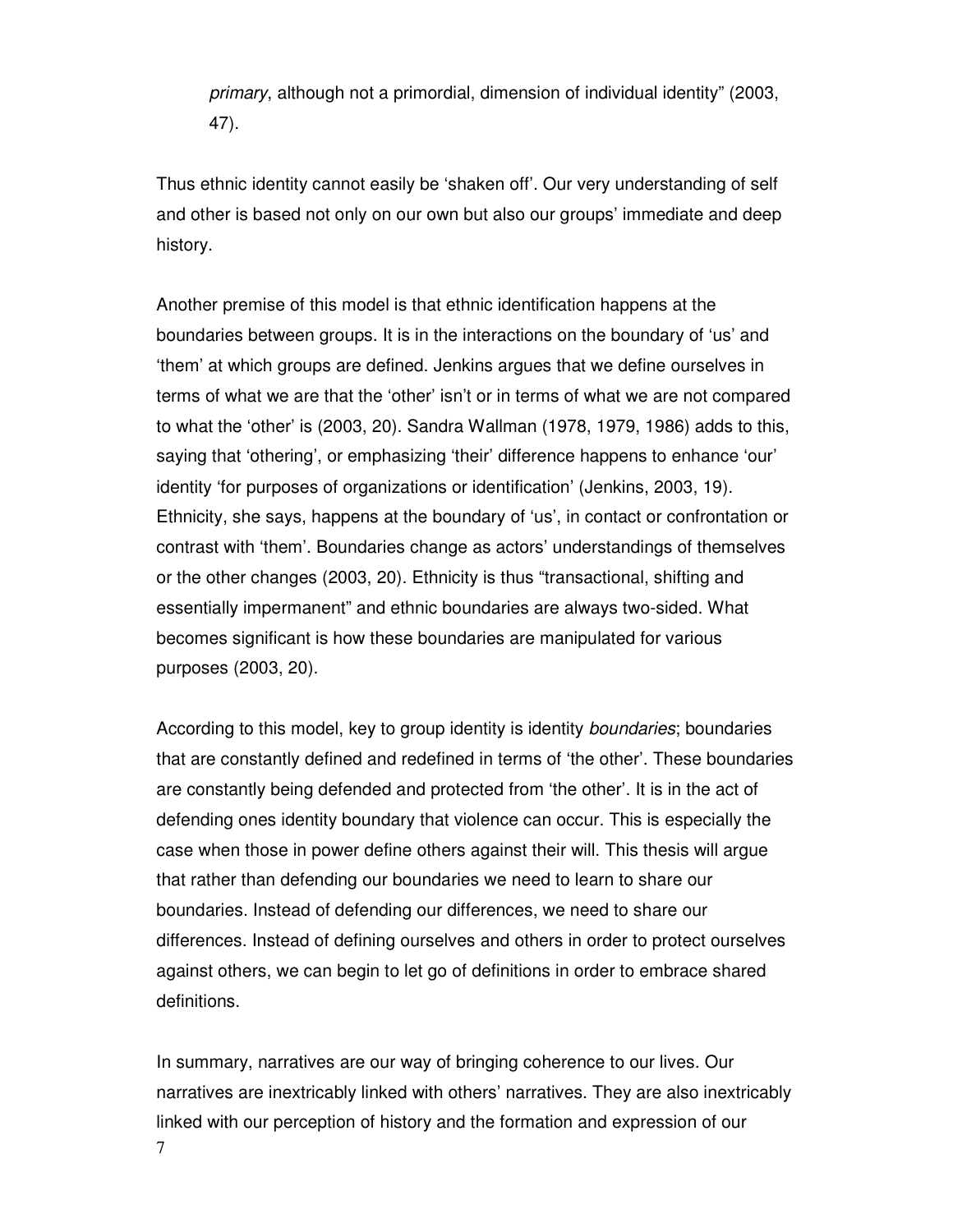primary, although not a primordial, dimension of individual identity" (2003, 47).

Thus ethnic identity cannot easily be 'shaken off'. Our very understanding of self and other is based not only on our own but also our groups' immediate and deep history.

Another premise of this model is that ethnic identification happens at the boundaries between groups. It is in the interactions on the boundary of 'us' and 'them' at which groups are defined. Jenkins argues that we define ourselves in terms of what we are that the 'other' isn't or in terms of what we are not compared to what the 'other' is (2003, 20). Sandra Wallman (1978, 1979, 1986) adds to this, saying that 'othering', or emphasizing 'their' difference happens to enhance 'our' identity 'for purposes of organizations or identification' (Jenkins, 2003, 19). Ethnicity, she says, happens at the boundary of 'us', in contact or confrontation or contrast with 'them'. Boundaries change as actors' understandings of themselves or the other changes (2003, 20). Ethnicity is thus "transactional, shifting and essentially impermanent" and ethnic boundaries are always two-sided. What becomes significant is how these boundaries are manipulated for various purposes (2003, 20).

According to this model, key to group identity is identity boundaries; boundaries that are constantly defined and redefined in terms of 'the other'. These boundaries are constantly being defended and protected from 'the other'. It is in the act of defending ones identity boundary that violence can occur. This is especially the case when those in power define others against their will. This thesis will argue that rather than defending our boundaries we need to learn to share our boundaries. Instead of defending our differences, we need to share our differences. Instead of defining ourselves and others in order to protect ourselves against others, we can begin to let go of definitions in order to embrace shared definitions.

7 In summary, narratives are our way of bringing coherence to our lives. Our narratives are inextricably linked with others' narratives. They are also inextricably linked with our perception of history and the formation and expression of our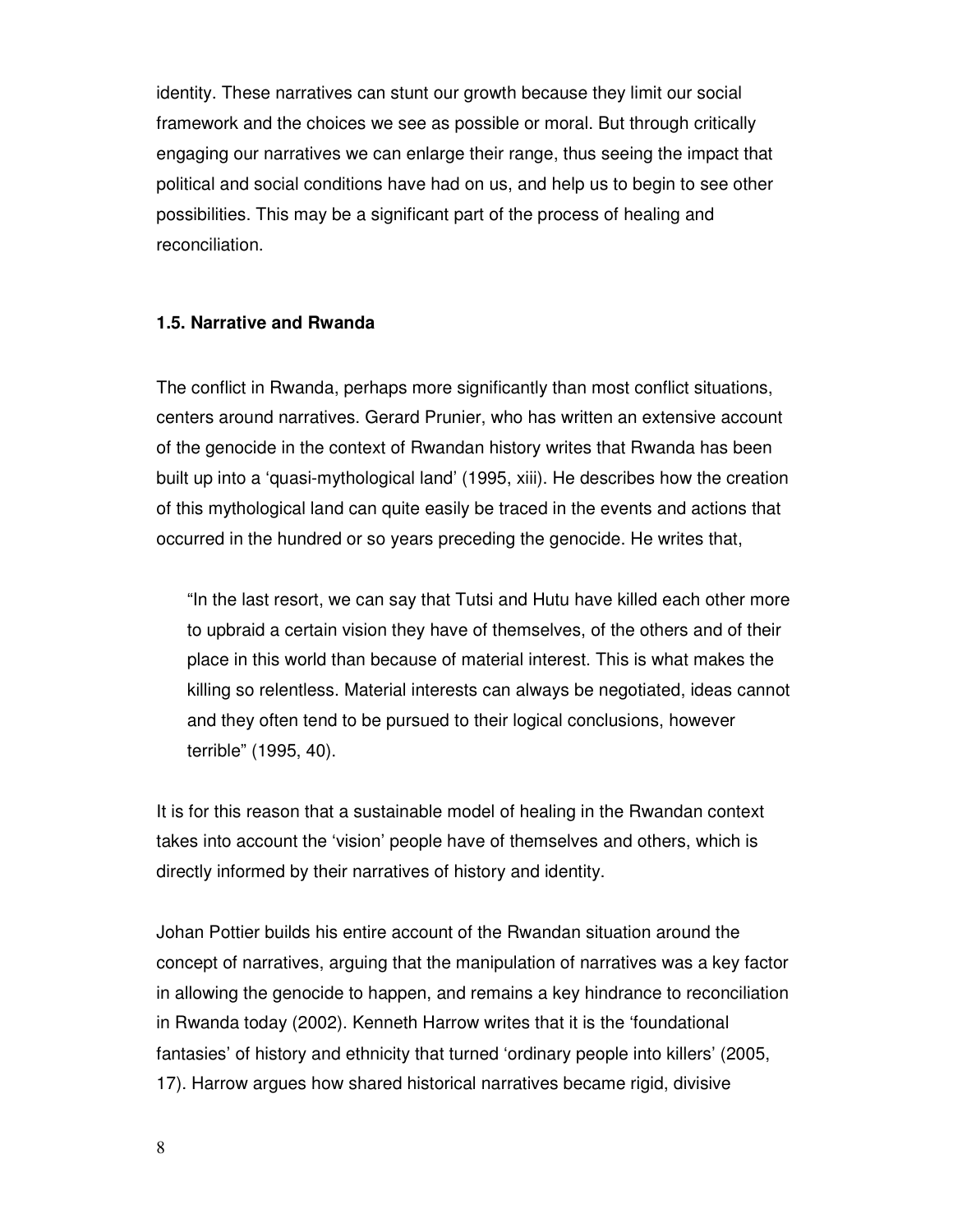identity. These narratives can stunt our growth because they limit our social framework and the choices we see as possible or moral. But through critically engaging our narratives we can enlarge their range, thus seeing the impact that political and social conditions have had on us, and help us to begin to see other possibilities. This may be a significant part of the process of healing and reconciliation.

#### **1.5. Narrative and Rwanda**

The conflict in Rwanda, perhaps more significantly than most conflict situations, centers around narratives. Gerard Prunier, who has written an extensive account of the genocide in the context of Rwandan history writes that Rwanda has been built up into a 'quasi-mythological land' (1995, xiii). He describes how the creation of this mythological land can quite easily be traced in the events and actions that occurred in the hundred or so years preceding the genocide. He writes that,

"In the last resort, we can say that Tutsi and Hutu have killed each other more to upbraid a certain vision they have of themselves, of the others and of their place in this world than because of material interest. This is what makes the killing so relentless. Material interests can always be negotiated, ideas cannot and they often tend to be pursued to their logical conclusions, however terrible" (1995, 40).

It is for this reason that a sustainable model of healing in the Rwandan context takes into account the 'vision' people have of themselves and others, which is directly informed by their narratives of history and identity.

Johan Pottier builds his entire account of the Rwandan situation around the concept of narratives, arguing that the manipulation of narratives was a key factor in allowing the genocide to happen, and remains a key hindrance to reconciliation in Rwanda today (2002). Kenneth Harrow writes that it is the 'foundational fantasies' of history and ethnicity that turned 'ordinary people into killers' (2005, 17). Harrow argues how shared historical narratives became rigid, divisive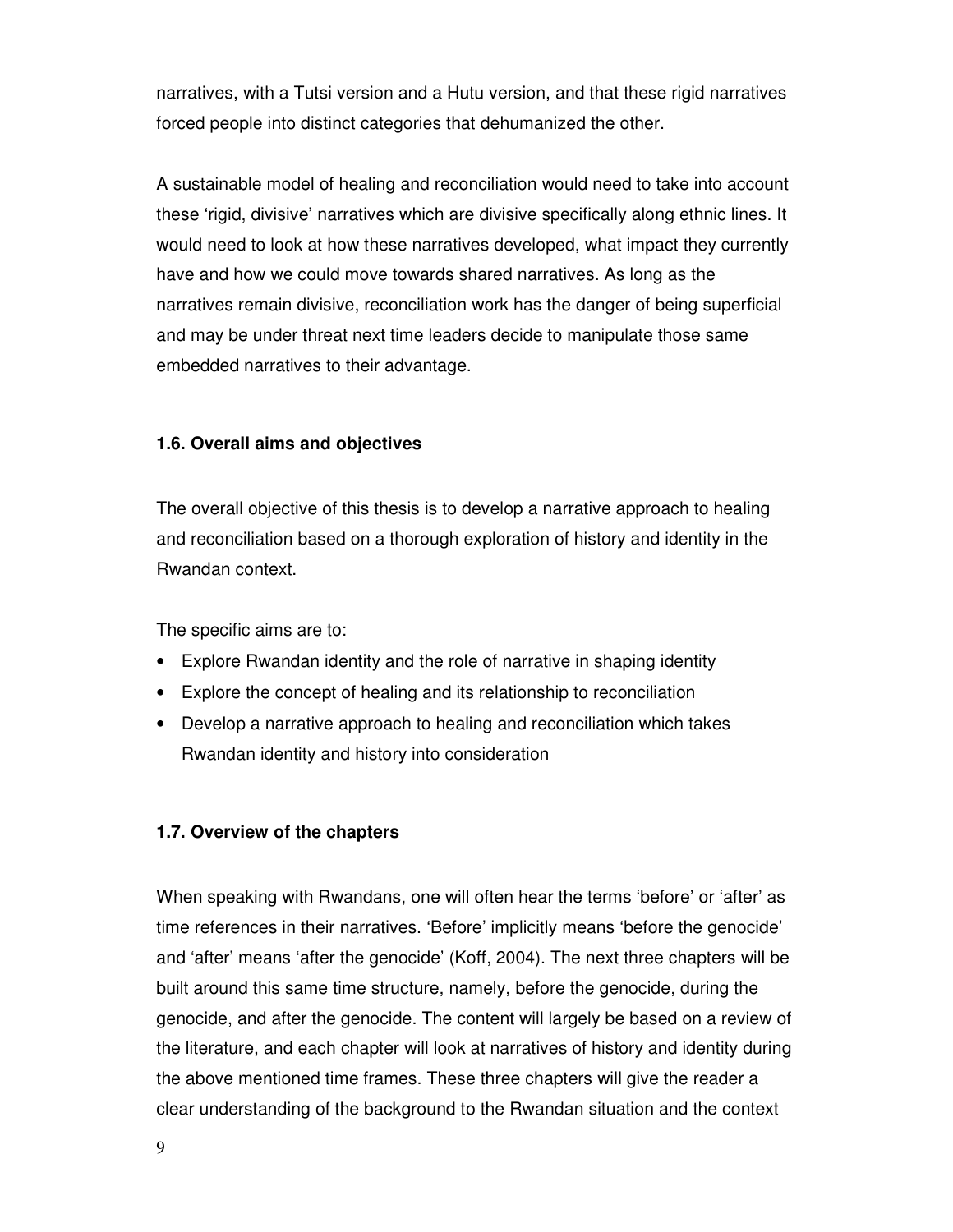narratives, with a Tutsi version and a Hutu version, and that these rigid narratives forced people into distinct categories that dehumanized the other.

A sustainable model of healing and reconciliation would need to take into account these 'rigid, divisive' narratives which are divisive specifically along ethnic lines. It would need to look at how these narratives developed, what impact they currently have and how we could move towards shared narratives. As long as the narratives remain divisive, reconciliation work has the danger of being superficial and may be under threat next time leaders decide to manipulate those same embedded narratives to their advantage.

#### **1.6. Overall aims and objectives**

The overall objective of this thesis is to develop a narrative approach to healing and reconciliation based on a thorough exploration of history and identity in the Rwandan context.

The specific aims are to:

- Explore Rwandan identity and the role of narrative in shaping identity
- Explore the concept of healing and its relationship to reconciliation
- Develop a narrative approach to healing and reconciliation which takes Rwandan identity and history into consideration

#### **1.7. Overview of the chapters**

When speaking with Rwandans, one will often hear the terms 'before' or 'after' as time references in their narratives. 'Before' implicitly means 'before the genocide' and 'after' means 'after the genocide' (Koff, 2004). The next three chapters will be built around this same time structure, namely, before the genocide, during the genocide, and after the genocide. The content will largely be based on a review of the literature, and each chapter will look at narratives of history and identity during the above mentioned time frames. These three chapters will give the reader a clear understanding of the background to the Rwandan situation and the context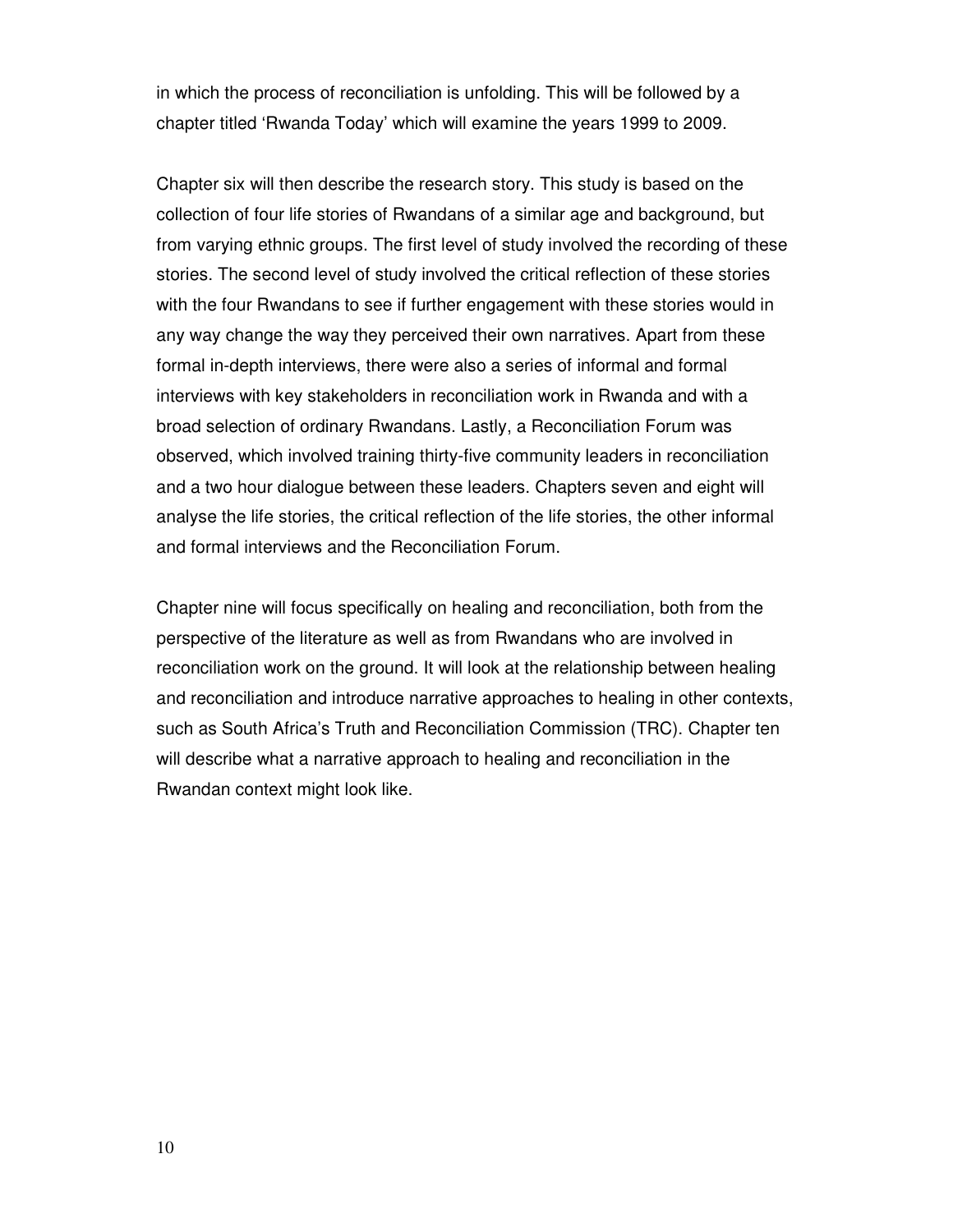in which the process of reconciliation is unfolding. This will be followed by a chapter titled 'Rwanda Today' which will examine the years 1999 to 2009.

Chapter six will then describe the research story. This study is based on the collection of four life stories of Rwandans of a similar age and background, but from varying ethnic groups. The first level of study involved the recording of these stories. The second level of study involved the critical reflection of these stories with the four Rwandans to see if further engagement with these stories would in any way change the way they perceived their own narratives. Apart from these formal in-depth interviews, there were also a series of informal and formal interviews with key stakeholders in reconciliation work in Rwanda and with a broad selection of ordinary Rwandans. Lastly, a Reconciliation Forum was observed, which involved training thirty-five community leaders in reconciliation and a two hour dialogue between these leaders. Chapters seven and eight will analyse the life stories, the critical reflection of the life stories, the other informal and formal interviews and the Reconciliation Forum.

Chapter nine will focus specifically on healing and reconciliation, both from the perspective of the literature as well as from Rwandans who are involved in reconciliation work on the ground. It will look at the relationship between healing and reconciliation and introduce narrative approaches to healing in other contexts, such as South Africa's Truth and Reconciliation Commission (TRC). Chapter ten will describe what a narrative approach to healing and reconciliation in the Rwandan context might look like.

10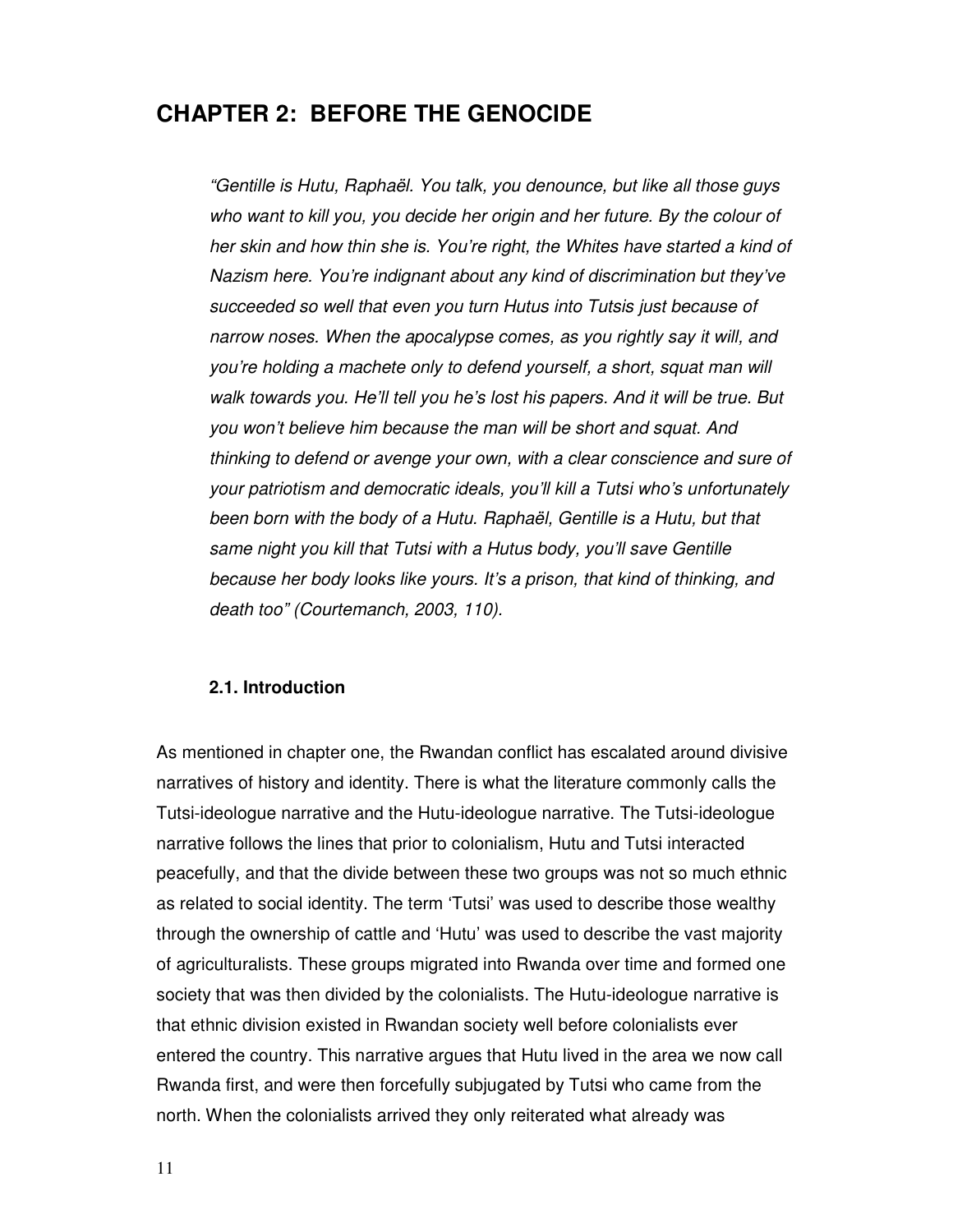## **CHAPTER 2: BEFORE THE GENOCIDE**

"Gentille is Hutu, Raphaël. You talk, you denounce, but like all those guys who want to kill you, you decide her origin and her future. By the colour of her skin and how thin she is. You're right, the Whites have started a kind of Nazism here. You're indignant about any kind of discrimination but they've succeeded so well that even you turn Hutus into Tutsis just because of narrow noses. When the apocalypse comes, as you rightly say it will, and you're holding a machete only to defend yourself, a short, squat man will walk towards you. He'll tell you he's lost his papers. And it will be true. But you won't believe him because the man will be short and squat. And thinking to defend or avenge your own, with a clear conscience and sure of your patriotism and democratic ideals, you'll kill a Tutsi who's unfortunately been born with the body of a Hutu. Raphaël, Gentille is a Hutu, but that same night you kill that Tutsi with a Hutus body, you'll save Gentille because her body looks like yours. It's a prison, that kind of thinking, and death too" (Courtemanch, 2003, 110).

#### **2.1. Introduction**

As mentioned in chapter one, the Rwandan conflict has escalated around divisive narratives of history and identity. There is what the literature commonly calls the Tutsi-ideologue narrative and the Hutu-ideologue narrative. The Tutsi-ideologue narrative follows the lines that prior to colonialism, Hutu and Tutsi interacted peacefully, and that the divide between these two groups was not so much ethnic as related to social identity. The term 'Tutsi' was used to describe those wealthy through the ownership of cattle and 'Hutu' was used to describe the vast majority of agriculturalists. These groups migrated into Rwanda over time and formed one society that was then divided by the colonialists. The Hutu-ideologue narrative is that ethnic division existed in Rwandan society well before colonialists ever entered the country. This narrative argues that Hutu lived in the area we now call Rwanda first, and were then forcefully subjugated by Tutsi who came from the north. When the colonialists arrived they only reiterated what already was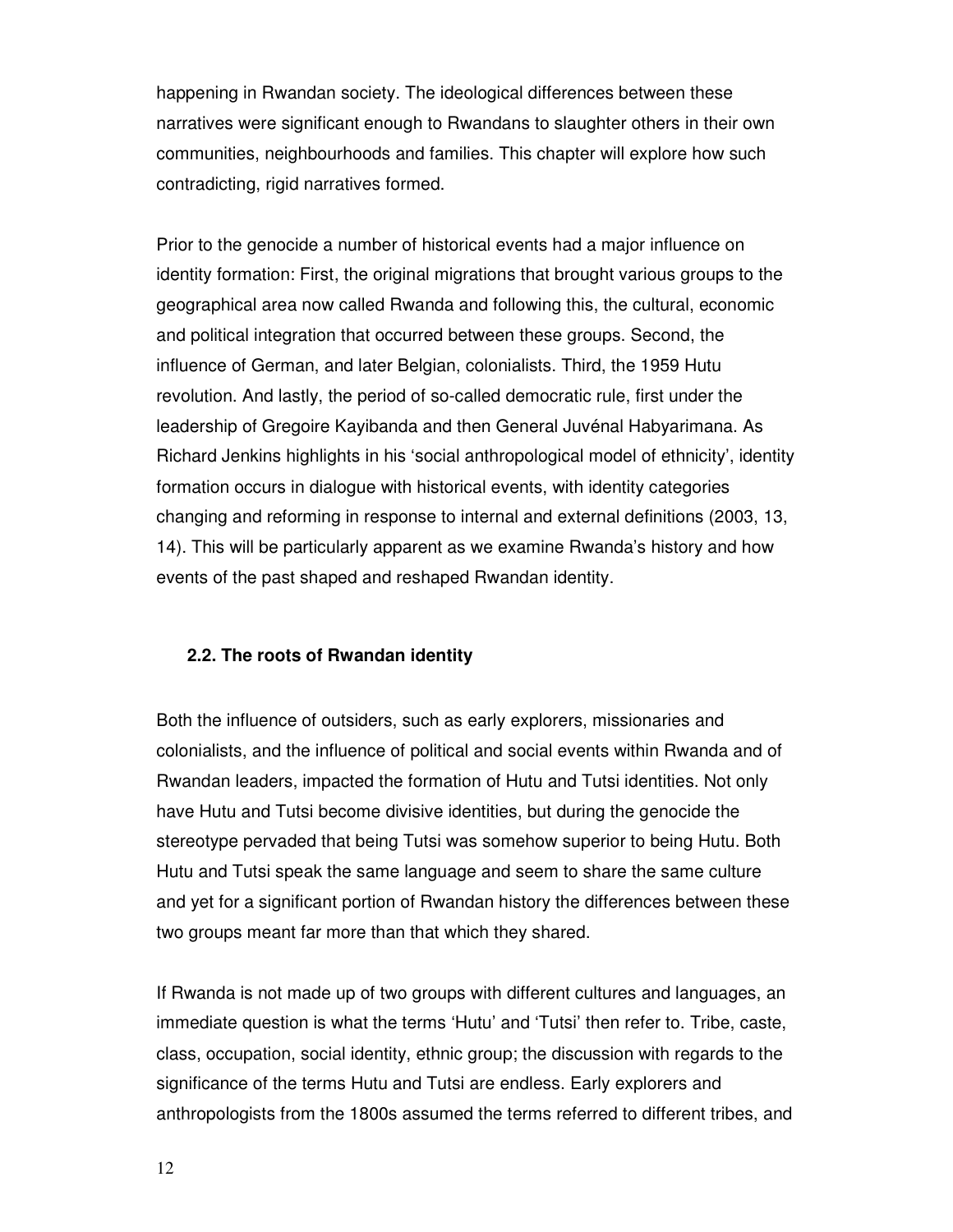happening in Rwandan society. The ideological differences between these narratives were significant enough to Rwandans to slaughter others in their own communities, neighbourhoods and families. This chapter will explore how such contradicting, rigid narratives formed.

Prior to the genocide a number of historical events had a major influence on identity formation: First, the original migrations that brought various groups to the geographical area now called Rwanda and following this, the cultural, economic and political integration that occurred between these groups. Second, the influence of German, and later Belgian, colonialists. Third, the 1959 Hutu revolution. And lastly, the period of so-called democratic rule, first under the leadership of Gregoire Kayibanda and then General Juvénal Habyarimana. As Richard Jenkins highlights in his 'social anthropological model of ethnicity', identity formation occurs in dialogue with historical events, with identity categories changing and reforming in response to internal and external definitions (2003, 13, 14). This will be particularly apparent as we examine Rwanda's history and how events of the past shaped and reshaped Rwandan identity.

#### **2.2. The roots of Rwandan identity**

Both the influence of outsiders, such as early explorers, missionaries and colonialists, and the influence of political and social events within Rwanda and of Rwandan leaders, impacted the formation of Hutu and Tutsi identities. Not only have Hutu and Tutsi become divisive identities, but during the genocide the stereotype pervaded that being Tutsi was somehow superior to being Hutu. Both Hutu and Tutsi speak the same language and seem to share the same culture and yet for a significant portion of Rwandan history the differences between these two groups meant far more than that which they shared.

If Rwanda is not made up of two groups with different cultures and languages, an immediate question is what the terms 'Hutu' and 'Tutsi' then refer to. Tribe, caste, class, occupation, social identity, ethnic group; the discussion with regards to the significance of the terms Hutu and Tutsi are endless. Early explorers and anthropologists from the 1800s assumed the terms referred to different tribes, and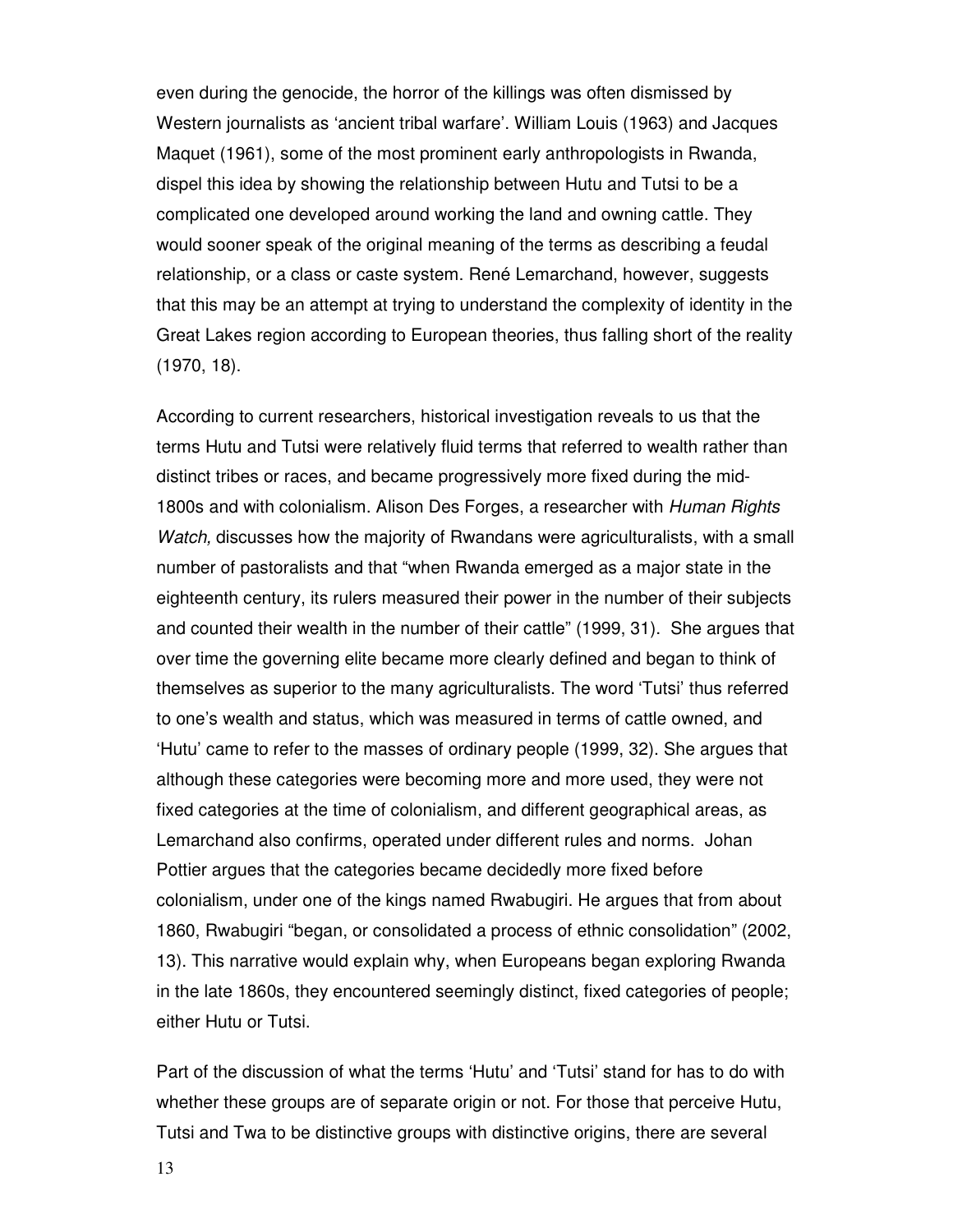even during the genocide, the horror of the killings was often dismissed by Western journalists as 'ancient tribal warfare'. William Louis (1963) and Jacques Maquet (1961), some of the most prominent early anthropologists in Rwanda, dispel this idea by showing the relationship between Hutu and Tutsi to be a complicated one developed around working the land and owning cattle. They would sooner speak of the original meaning of the terms as describing a feudal relationship, or a class or caste system. René Lemarchand, however, suggests that this may be an attempt at trying to understand the complexity of identity in the Great Lakes region according to European theories, thus falling short of the reality (1970, 18).

According to current researchers, historical investigation reveals to us that the terms Hutu and Tutsi were relatively fluid terms that referred to wealth rather than distinct tribes or races, and became progressively more fixed during the mid-1800s and with colonialism. Alison Des Forges, a researcher with Human Rights Watch, discusses how the majority of Rwandans were agriculturalists, with a small number of pastoralists and that "when Rwanda emerged as a major state in the eighteenth century, its rulers measured their power in the number of their subjects and counted their wealth in the number of their cattle" (1999, 31). She argues that over time the governing elite became more clearly defined and began to think of themselves as superior to the many agriculturalists. The word 'Tutsi' thus referred to one's wealth and status, which was measured in terms of cattle owned, and 'Hutu' came to refer to the masses of ordinary people (1999, 32). She argues that although these categories were becoming more and more used, they were not fixed categories at the time of colonialism, and different geographical areas, as Lemarchand also confirms, operated under different rules and norms. Johan Pottier argues that the categories became decidedly more fixed before colonialism, under one of the kings named Rwabugiri. He argues that from about 1860, Rwabugiri "began, or consolidated a process of ethnic consolidation" (2002, 13). This narrative would explain why, when Europeans began exploring Rwanda in the late 1860s, they encountered seemingly distinct, fixed categories of people; either Hutu or Tutsi.

Part of the discussion of what the terms 'Hutu' and 'Tutsi' stand for has to do with whether these groups are of separate origin or not. For those that perceive Hutu, Tutsi and Twa to be distinctive groups with distinctive origins, there are several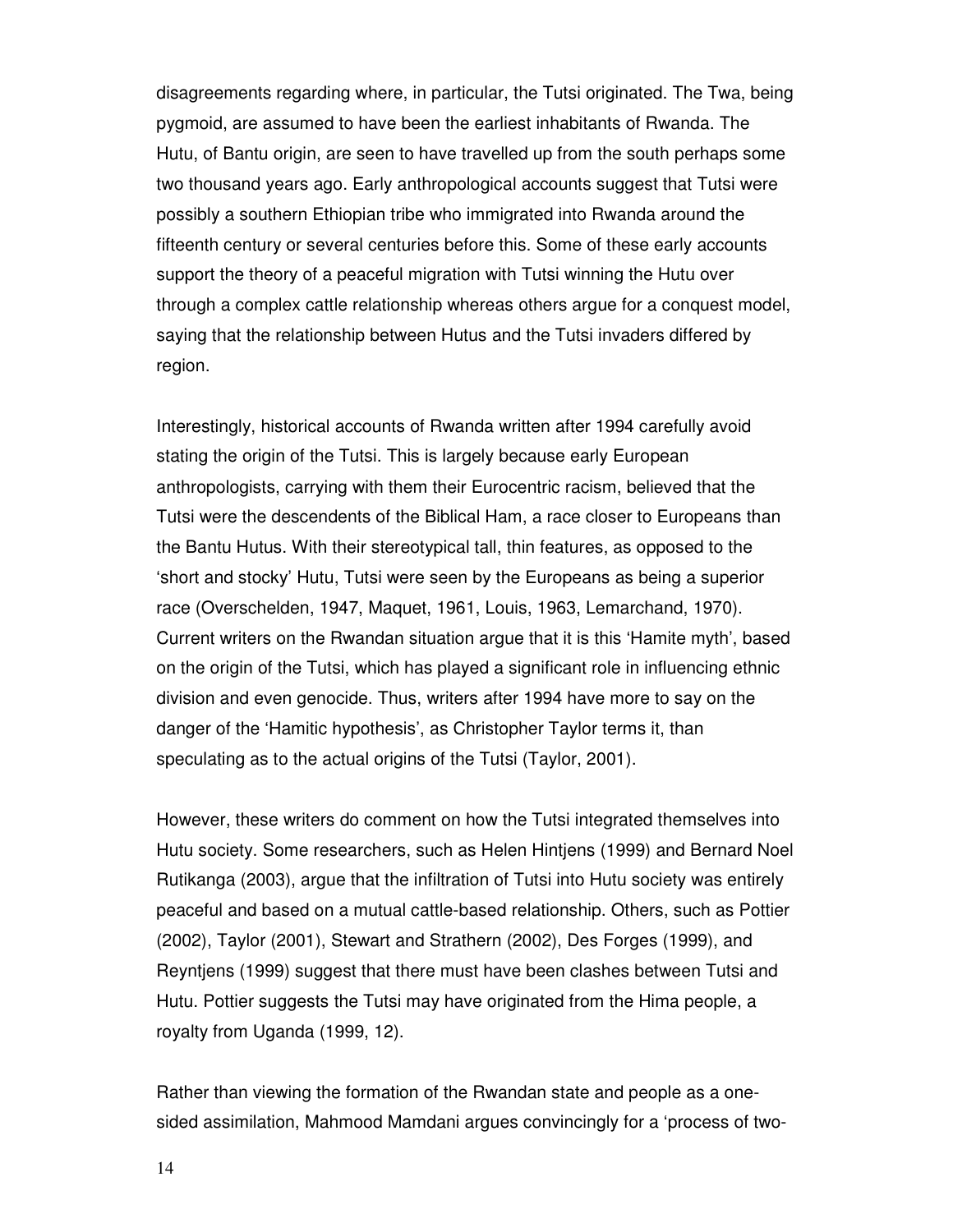disagreements regarding where, in particular, the Tutsi originated. The Twa, being pygmoid, are assumed to have been the earliest inhabitants of Rwanda. The Hutu, of Bantu origin, are seen to have travelled up from the south perhaps some two thousand years ago. Early anthropological accounts suggest that Tutsi were possibly a southern Ethiopian tribe who immigrated into Rwanda around the fifteenth century or several centuries before this. Some of these early accounts support the theory of a peaceful migration with Tutsi winning the Hutu over through a complex cattle relationship whereas others argue for a conquest model, saying that the relationship between Hutus and the Tutsi invaders differed by region.

Interestingly, historical accounts of Rwanda written after 1994 carefully avoid stating the origin of the Tutsi. This is largely because early European anthropologists, carrying with them their Eurocentric racism, believed that the Tutsi were the descendents of the Biblical Ham, a race closer to Europeans than the Bantu Hutus. With their stereotypical tall, thin features, as opposed to the 'short and stocky' Hutu, Tutsi were seen by the Europeans as being a superior race (Overschelden, 1947, Maquet, 1961, Louis, 1963, Lemarchand, 1970). Current writers on the Rwandan situation argue that it is this 'Hamite myth', based on the origin of the Tutsi, which has played a significant role in influencing ethnic division and even genocide. Thus, writers after 1994 have more to say on the danger of the 'Hamitic hypothesis', as Christopher Taylor terms it, than speculating as to the actual origins of the Tutsi (Taylor, 2001).

However, these writers do comment on how the Tutsi integrated themselves into Hutu society. Some researchers, such as Helen Hintjens (1999) and Bernard Noel Rutikanga (2003), argue that the infiltration of Tutsi into Hutu society was entirely peaceful and based on a mutual cattle-based relationship. Others, such as Pottier (2002), Taylor (2001), Stewart and Strathern (2002), Des Forges (1999), and Reyntjens (1999) suggest that there must have been clashes between Tutsi and Hutu. Pottier suggests the Tutsi may have originated from the Hima people, a royalty from Uganda (1999, 12).

Rather than viewing the formation of the Rwandan state and people as a onesided assimilation, Mahmood Mamdani argues convincingly for a 'process of two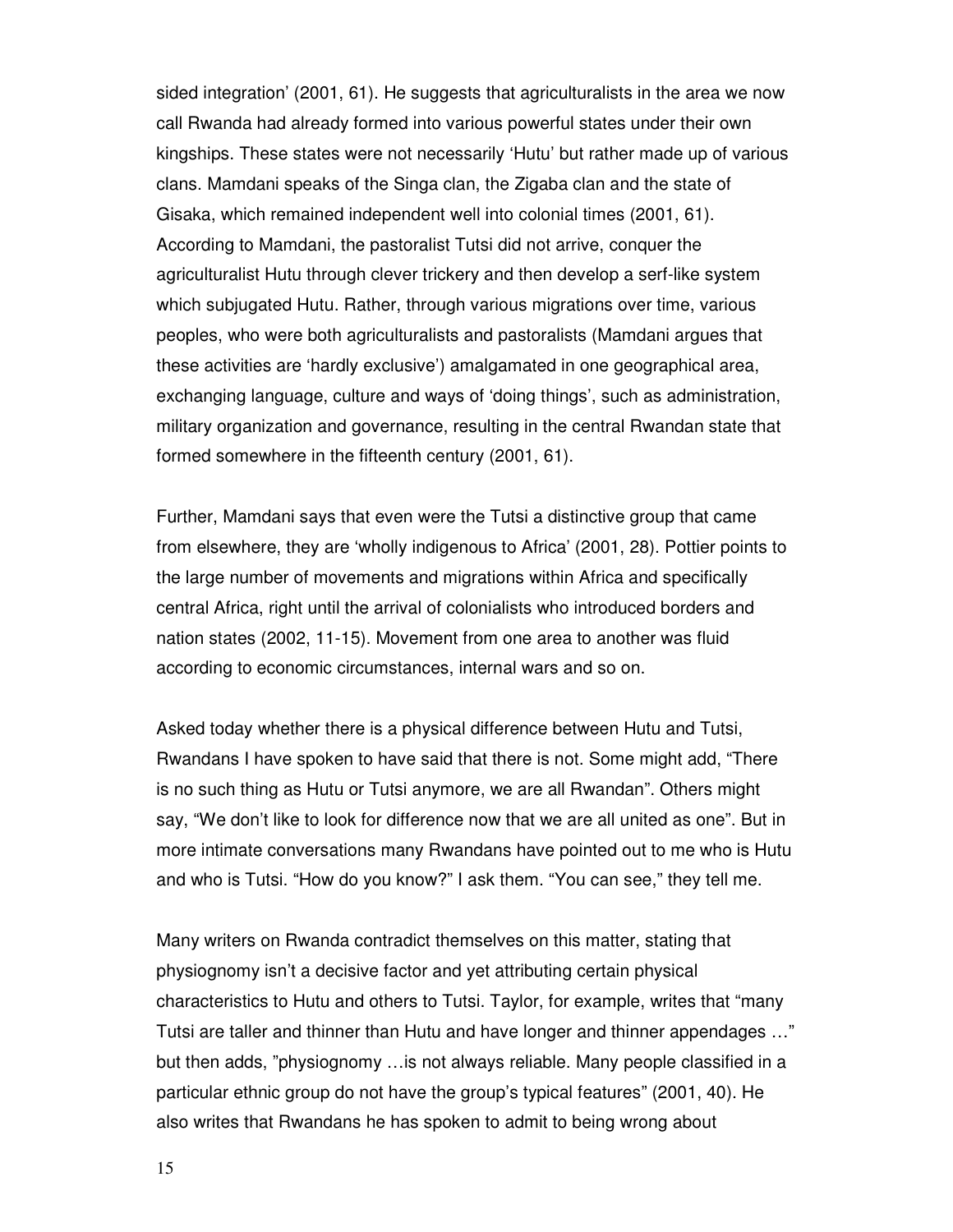sided integration' (2001, 61). He suggests that agriculturalists in the area we now call Rwanda had already formed into various powerful states under their own kingships. These states were not necessarily 'Hutu' but rather made up of various clans. Mamdani speaks of the Singa clan, the Zigaba clan and the state of Gisaka, which remained independent well into colonial times (2001, 61). According to Mamdani, the pastoralist Tutsi did not arrive, conquer the agriculturalist Hutu through clever trickery and then develop a serf-like system which subjugated Hutu. Rather, through various migrations over time, various peoples, who were both agriculturalists and pastoralists (Mamdani argues that these activities are 'hardly exclusive') amalgamated in one geographical area, exchanging language, culture and ways of 'doing things', such as administration, military organization and governance, resulting in the central Rwandan state that formed somewhere in the fifteenth century (2001, 61).

Further, Mamdani says that even were the Tutsi a distinctive group that came from elsewhere, they are 'wholly indigenous to Africa' (2001, 28). Pottier points to the large number of movements and migrations within Africa and specifically central Africa, right until the arrival of colonialists who introduced borders and nation states (2002, 11-15). Movement from one area to another was fluid according to economic circumstances, internal wars and so on.

Asked today whether there is a physical difference between Hutu and Tutsi, Rwandans I have spoken to have said that there is not. Some might add, "There is no such thing as Hutu or Tutsi anymore, we are all Rwandan". Others might say, "We don't like to look for difference now that we are all united as one". But in more intimate conversations many Rwandans have pointed out to me who is Hutu and who is Tutsi. "How do you know?" I ask them. "You can see," they tell me.

Many writers on Rwanda contradict themselves on this matter, stating that physiognomy isn't a decisive factor and yet attributing certain physical characteristics to Hutu and others to Tutsi. Taylor, for example, writes that "many Tutsi are taller and thinner than Hutu and have longer and thinner appendages …" but then adds, "physiognomy …is not always reliable. Many people classified in a particular ethnic group do not have the group's typical features" (2001, 40). He also writes that Rwandans he has spoken to admit to being wrong about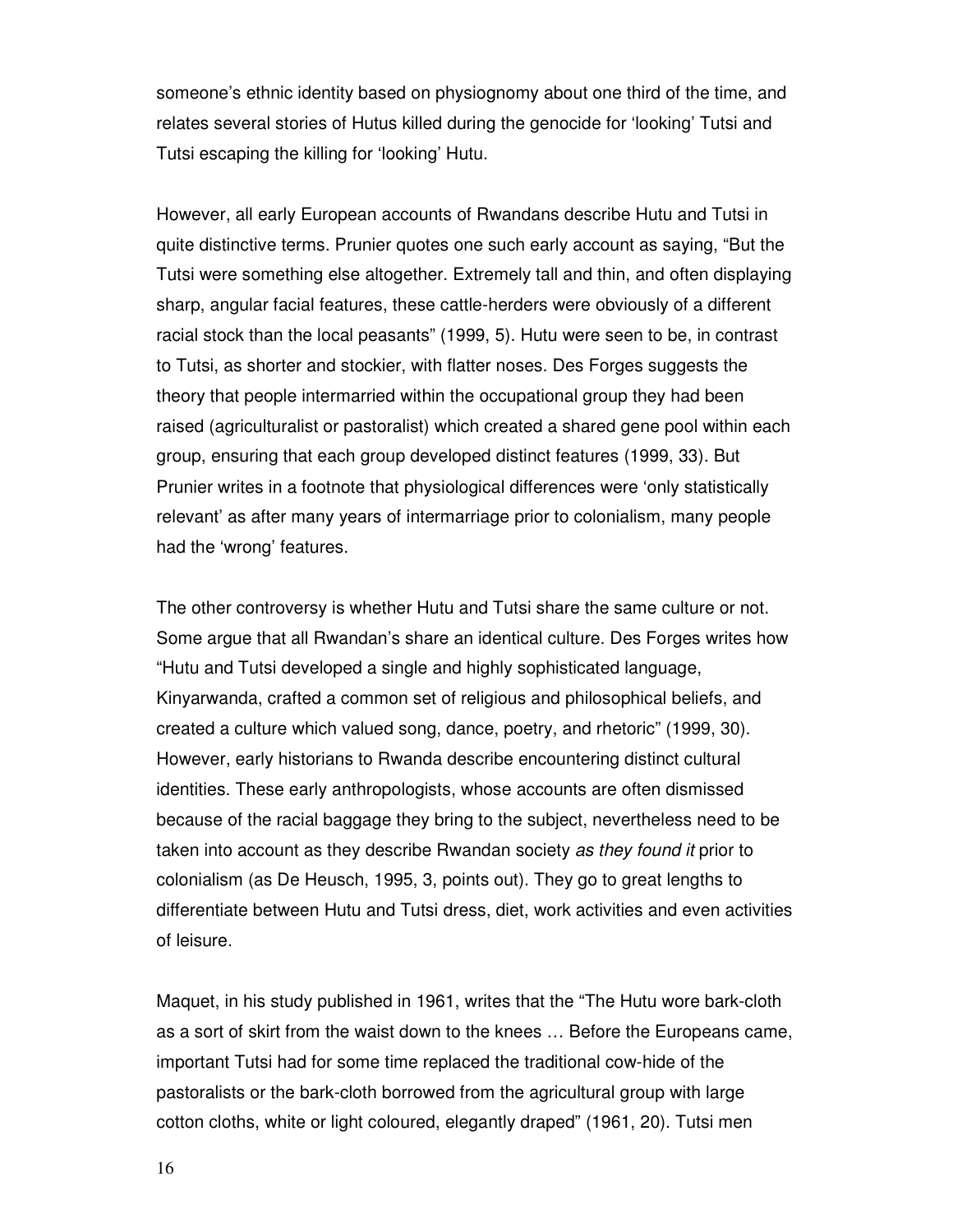someone's ethnic identity based on physiognomy about one third of the time, and relates several stories of Hutus killed during the genocide for 'looking' Tutsi and Tutsi escaping the killing for 'looking' Hutu.

However, all early European accounts of Rwandans describe Hutu and Tutsi in quite distinctive terms. Prunier quotes one such early account as saying, "But the Tutsi were something else altogether. Extremely tall and thin, and often displaying sharp, angular facial features, these cattle-herders were obviously of a different racial stock than the local peasants" (1999, 5). Hutu were seen to be, in contrast to Tutsi, as shorter and stockier, with flatter noses. Des Forges suggests the theory that people intermarried within the occupational group they had been raised (agriculturalist or pastoralist) which created a shared gene pool within each group, ensuring that each group developed distinct features (1999, 33). But Prunier writes in a footnote that physiological differences were 'only statistically relevant' as after many years of intermarriage prior to colonialism, many people had the 'wrong' features.

The other controversy is whether Hutu and Tutsi share the same culture or not. Some argue that all Rwandan's share an identical culture. Des Forges writes how "Hutu and Tutsi developed a single and highly sophisticated language, Kinyarwanda, crafted a common set of religious and philosophical beliefs, and created a culture which valued song, dance, poetry, and rhetoric" (1999, 30). However, early historians to Rwanda describe encountering distinct cultural identities. These early anthropologists, whose accounts are often dismissed because of the racial baggage they bring to the subject, nevertheless need to be taken into account as they describe Rwandan society as they found it prior to colonialism (as De Heusch, 1995, 3, points out). They go to great lengths to differentiate between Hutu and Tutsi dress, diet, work activities and even activities of leisure.

Maquet, in his study published in 1961, writes that the "The Hutu wore bark-cloth as a sort of skirt from the waist down to the knees … Before the Europeans came, important Tutsi had for some time replaced the traditional cow-hide of the pastoralists or the bark-cloth borrowed from the agricultural group with large cotton cloths, white or light coloured, elegantly draped" (1961, 20). Tutsi men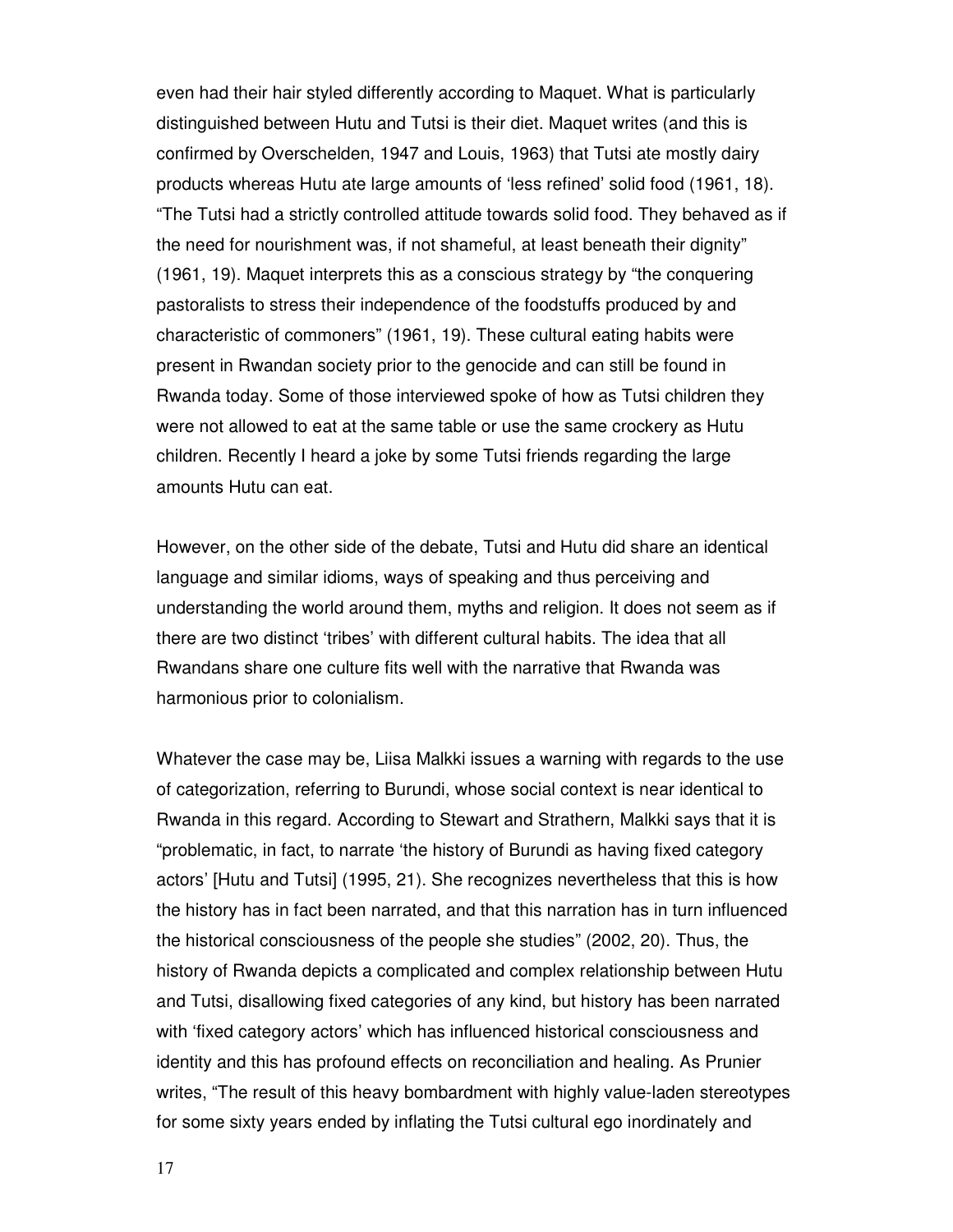even had their hair styled differently according to Maquet. What is particularly distinguished between Hutu and Tutsi is their diet. Maquet writes (and this is confirmed by Overschelden, 1947 and Louis, 1963) that Tutsi ate mostly dairy products whereas Hutu ate large amounts of 'less refined' solid food (1961, 18). "The Tutsi had a strictly controlled attitude towards solid food. They behaved as if the need for nourishment was, if not shameful, at least beneath their dignity" (1961, 19). Maquet interprets this as a conscious strategy by "the conquering pastoralists to stress their independence of the foodstuffs produced by and characteristic of commoners" (1961, 19). These cultural eating habits were present in Rwandan society prior to the genocide and can still be found in Rwanda today. Some of those interviewed spoke of how as Tutsi children they were not allowed to eat at the same table or use the same crockery as Hutu children. Recently I heard a joke by some Tutsi friends regarding the large amounts Hutu can eat.

However, on the other side of the debate, Tutsi and Hutu did share an identical language and similar idioms, ways of speaking and thus perceiving and understanding the world around them, myths and religion. It does not seem as if there are two distinct 'tribes' with different cultural habits. The idea that all Rwandans share one culture fits well with the narrative that Rwanda was harmonious prior to colonialism.

Whatever the case may be, Liisa Malkki issues a warning with regards to the use of categorization, referring to Burundi, whose social context is near identical to Rwanda in this regard. According to Stewart and Strathern, Malkki says that it is "problematic, in fact, to narrate 'the history of Burundi as having fixed category actors' [Hutu and Tutsi] (1995, 21). She recognizes nevertheless that this is how the history has in fact been narrated, and that this narration has in turn influenced the historical consciousness of the people she studies" (2002, 20). Thus, the history of Rwanda depicts a complicated and complex relationship between Hutu and Tutsi, disallowing fixed categories of any kind, but history has been narrated with 'fixed category actors' which has influenced historical consciousness and identity and this has profound effects on reconciliation and healing. As Prunier writes, "The result of this heavy bombardment with highly value-laden stereotypes for some sixty years ended by inflating the Tutsi cultural ego inordinately and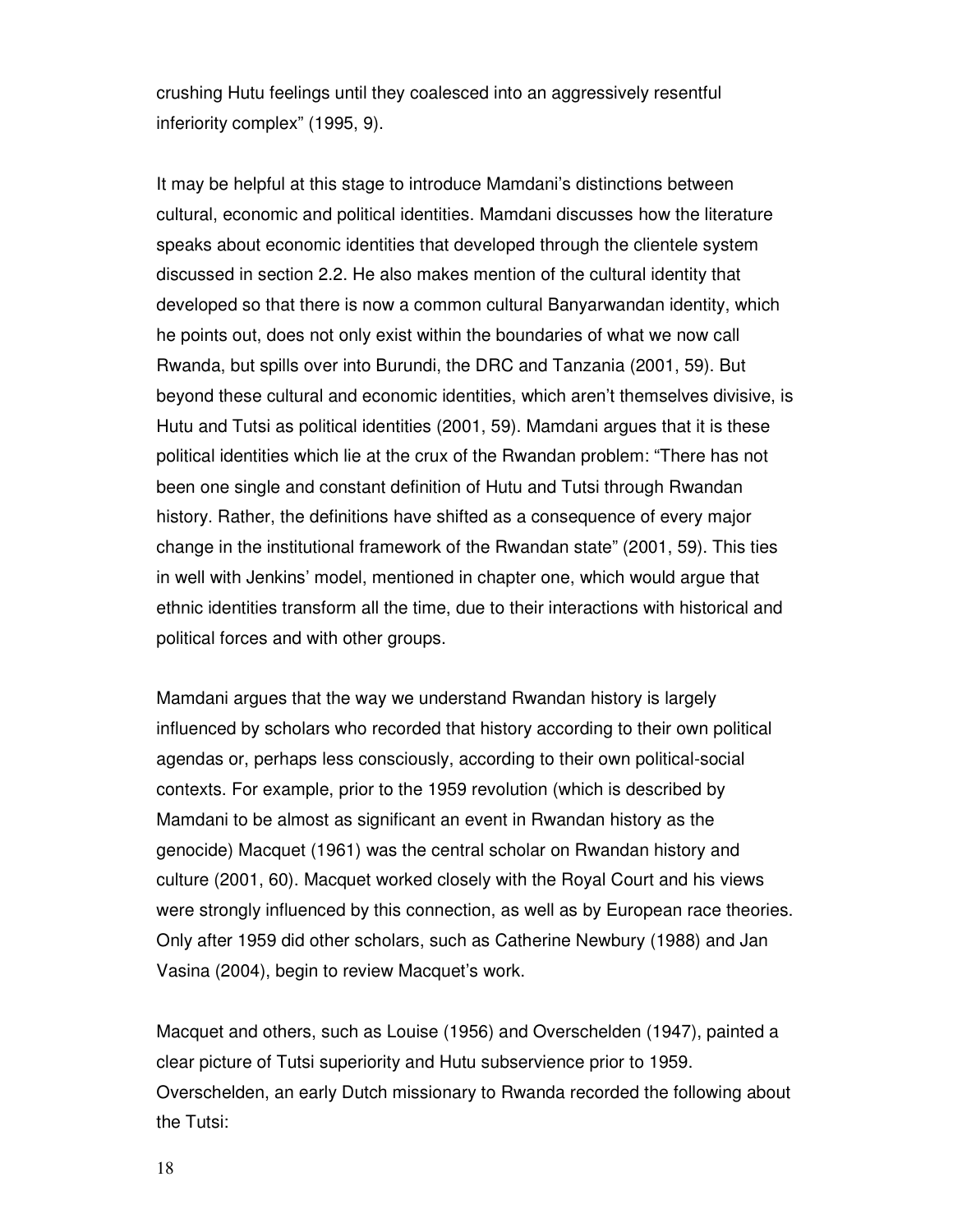crushing Hutu feelings until they coalesced into an aggressively resentful inferiority complex" (1995, 9).

It may be helpful at this stage to introduce Mamdani's distinctions between cultural, economic and political identities. Mamdani discusses how the literature speaks about economic identities that developed through the clientele system discussed in section 2.2. He also makes mention of the cultural identity that developed so that there is now a common cultural Banyarwandan identity, which he points out, does not only exist within the boundaries of what we now call Rwanda, but spills over into Burundi, the DRC and Tanzania (2001, 59). But beyond these cultural and economic identities, which aren't themselves divisive, is Hutu and Tutsi as political identities (2001, 59). Mamdani argues that it is these political identities which lie at the crux of the Rwandan problem: "There has not been one single and constant definition of Hutu and Tutsi through Rwandan history. Rather, the definitions have shifted as a consequence of every major change in the institutional framework of the Rwandan state" (2001, 59). This ties in well with Jenkins' model, mentioned in chapter one, which would argue that ethnic identities transform all the time, due to their interactions with historical and political forces and with other groups.

Mamdani argues that the way we understand Rwandan history is largely influenced by scholars who recorded that history according to their own political agendas or, perhaps less consciously, according to their own political-social contexts. For example, prior to the 1959 revolution (which is described by Mamdani to be almost as significant an event in Rwandan history as the genocide) Macquet (1961) was the central scholar on Rwandan history and culture (2001, 60). Macquet worked closely with the Royal Court and his views were strongly influenced by this connection, as well as by European race theories. Only after 1959 did other scholars, such as Catherine Newbury (1988) and Jan Vasina (2004), begin to review Macquet's work.

Macquet and others, such as Louise (1956) and Overschelden (1947), painted a clear picture of Tutsi superiority and Hutu subservience prior to 1959. Overschelden, an early Dutch missionary to Rwanda recorded the following about the Tutsi:

18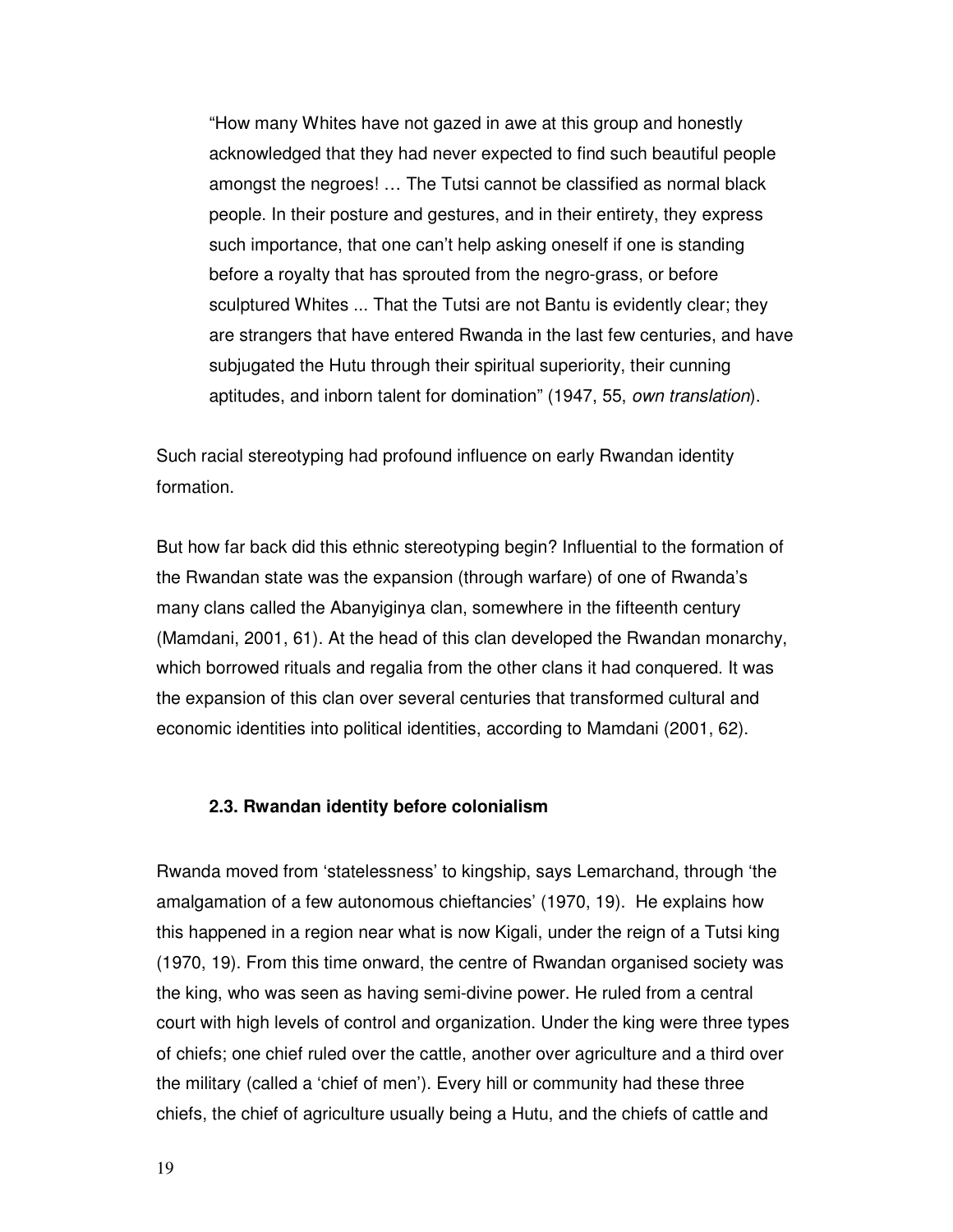"How many Whites have not gazed in awe at this group and honestly acknowledged that they had never expected to find such beautiful people amongst the negroes! … The Tutsi cannot be classified as normal black people. In their posture and gestures, and in their entirety, they express such importance, that one can't help asking oneself if one is standing before a royalty that has sprouted from the negro-grass, or before sculptured Whites ... That the Tutsi are not Bantu is evidently clear; they are strangers that have entered Rwanda in the last few centuries, and have subjugated the Hutu through their spiritual superiority, their cunning aptitudes, and inborn talent for domination" (1947, 55, own translation).

Such racial stereotyping had profound influence on early Rwandan identity formation.

But how far back did this ethnic stereotyping begin? Influential to the formation of the Rwandan state was the expansion (through warfare) of one of Rwanda's many clans called the Abanyiginya clan, somewhere in the fifteenth century (Mamdani, 2001, 61). At the head of this clan developed the Rwandan monarchy, which borrowed rituals and regalia from the other clans it had conquered. It was the expansion of this clan over several centuries that transformed cultural and economic identities into political identities, according to Mamdani (2001, 62).

#### **2.3. Rwandan identity before colonialism**

Rwanda moved from 'statelessness' to kingship, says Lemarchand, through 'the amalgamation of a few autonomous chieftancies' (1970, 19). He explains how this happened in a region near what is now Kigali, under the reign of a Tutsi king (1970, 19). From this time onward, the centre of Rwandan organised society was the king, who was seen as having semi-divine power. He ruled from a central court with high levels of control and organization. Under the king were three types of chiefs; one chief ruled over the cattle, another over agriculture and a third over the military (called a 'chief of men'). Every hill or community had these three chiefs, the chief of agriculture usually being a Hutu, and the chiefs of cattle and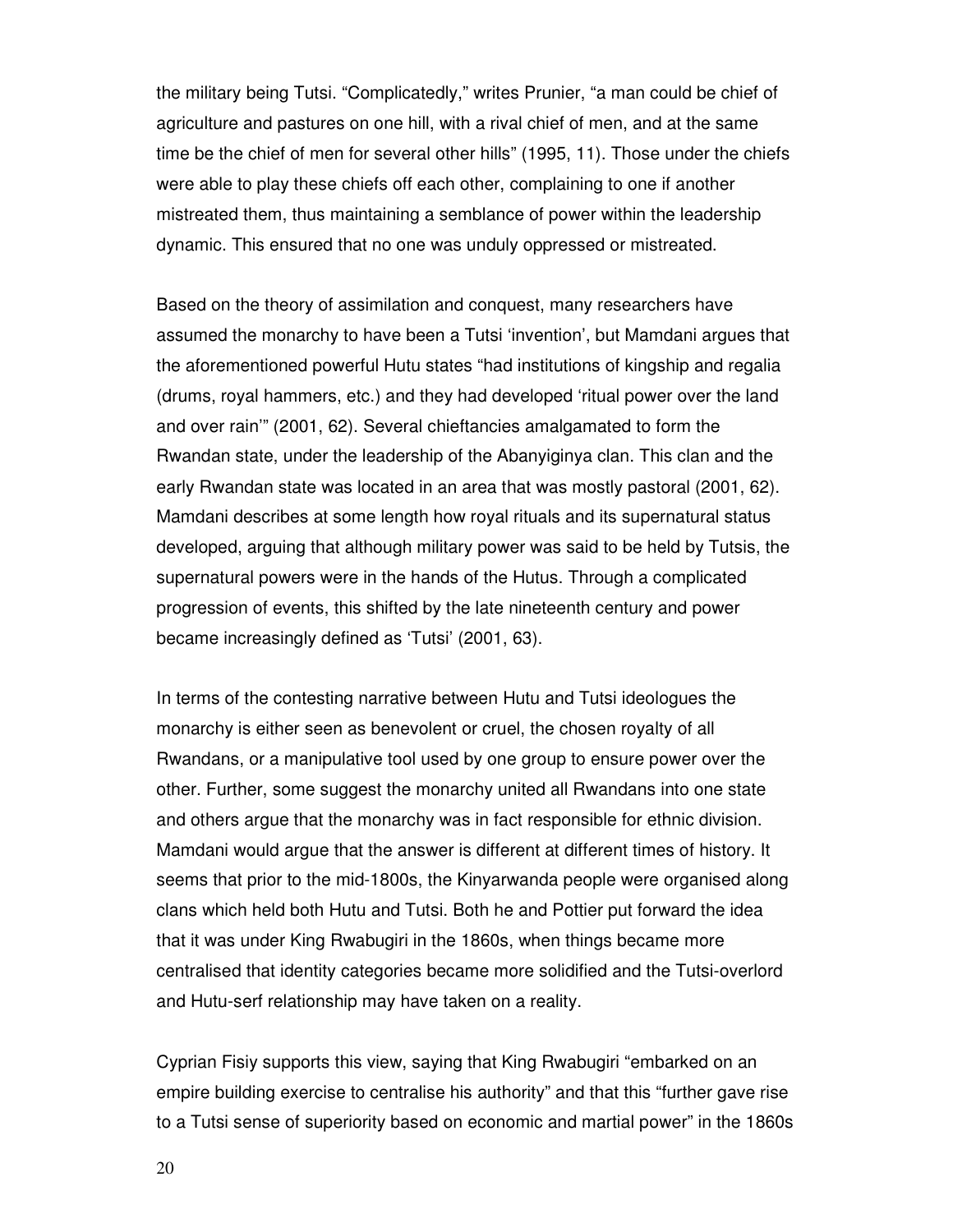the military being Tutsi. "Complicatedly," writes Prunier, "a man could be chief of agriculture and pastures on one hill, with a rival chief of men, and at the same time be the chief of men for several other hills" (1995, 11). Those under the chiefs were able to play these chiefs off each other, complaining to one if another mistreated them, thus maintaining a semblance of power within the leadership dynamic. This ensured that no one was unduly oppressed or mistreated.

Based on the theory of assimilation and conquest, many researchers have assumed the monarchy to have been a Tutsi 'invention', but Mamdani argues that the aforementioned powerful Hutu states "had institutions of kingship and regalia (drums, royal hammers, etc.) and they had developed 'ritual power over the land and over rain'" (2001, 62). Several chieftancies amalgamated to form the Rwandan state, under the leadership of the Abanyiginya clan. This clan and the early Rwandan state was located in an area that was mostly pastoral (2001, 62). Mamdani describes at some length how royal rituals and its supernatural status developed, arguing that although military power was said to be held by Tutsis, the supernatural powers were in the hands of the Hutus. Through a complicated progression of events, this shifted by the late nineteenth century and power became increasingly defined as 'Tutsi' (2001, 63).

In terms of the contesting narrative between Hutu and Tutsi ideologues the monarchy is either seen as benevolent or cruel, the chosen royalty of all Rwandans, or a manipulative tool used by one group to ensure power over the other. Further, some suggest the monarchy united all Rwandans into one state and others argue that the monarchy was in fact responsible for ethnic division. Mamdani would argue that the answer is different at different times of history. It seems that prior to the mid-1800s, the Kinyarwanda people were organised along clans which held both Hutu and Tutsi. Both he and Pottier put forward the idea that it was under King Rwabugiri in the 1860s, when things became more centralised that identity categories became more solidified and the Tutsi-overlord and Hutu-serf relationship may have taken on a reality.

Cyprian Fisiy supports this view, saying that King Rwabugiri "embarked on an empire building exercise to centralise his authority" and that this "further gave rise to a Tutsi sense of superiority based on economic and martial power" in the 1860s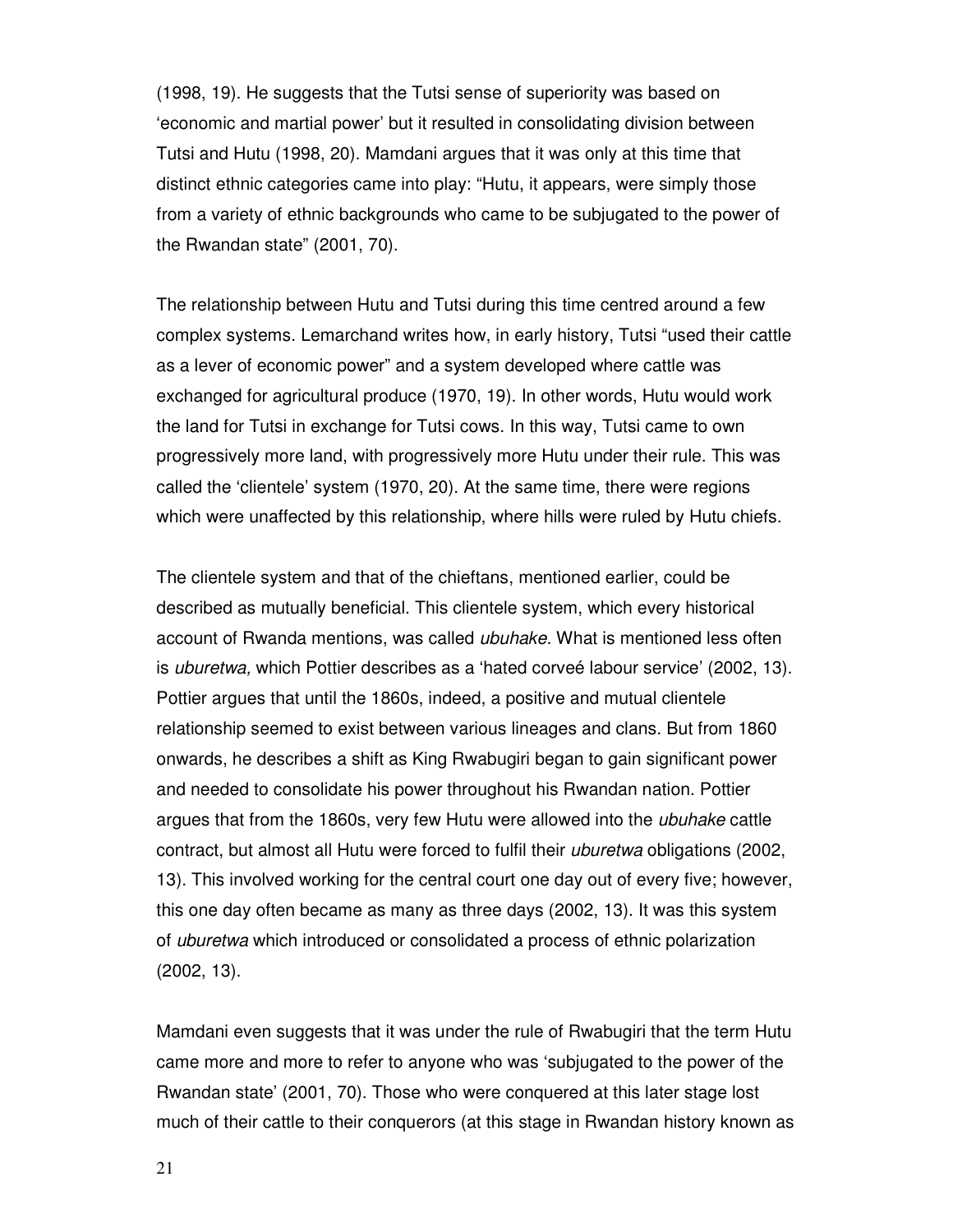(1998, 19). He suggests that the Tutsi sense of superiority was based on 'economic and martial power' but it resulted in consolidating division between Tutsi and Hutu (1998, 20). Mamdani argues that it was only at this time that distinct ethnic categories came into play: "Hutu, it appears, were simply those from a variety of ethnic backgrounds who came to be subjugated to the power of the Rwandan state" (2001, 70).

The relationship between Hutu and Tutsi during this time centred around a few complex systems. Lemarchand writes how, in early history, Tutsi "used their cattle as a lever of economic power" and a system developed where cattle was exchanged for agricultural produce (1970, 19). In other words, Hutu would work the land for Tutsi in exchange for Tutsi cows. In this way, Tutsi came to own progressively more land, with progressively more Hutu under their rule. This was called the 'clientele' system (1970, 20). At the same time, there were regions which were unaffected by this relationship, where hills were ruled by Hutu chiefs.

The clientele system and that of the chieftans, mentioned earlier, could be described as mutually beneficial. This clientele system, which every historical account of Rwanda mentions, was called ubuhake. What is mentioned less often is uburetwa, which Pottier describes as a 'hated corveé labour service' (2002, 13). Pottier argues that until the 1860s, indeed, a positive and mutual clientele relationship seemed to exist between various lineages and clans. But from 1860 onwards, he describes a shift as King Rwabugiri began to gain significant power and needed to consolidate his power throughout his Rwandan nation. Pottier argues that from the 1860s, very few Hutu were allowed into the ubuhake cattle contract, but almost all Hutu were forced to fulfil their uburetwa obligations (2002, 13). This involved working for the central court one day out of every five; however, this one day often became as many as three days (2002, 13). It was this system of uburetwa which introduced or consolidated a process of ethnic polarization (2002, 13).

Mamdani even suggests that it was under the rule of Rwabugiri that the term Hutu came more and more to refer to anyone who was 'subjugated to the power of the Rwandan state' (2001, 70). Those who were conquered at this later stage lost much of their cattle to their conquerors (at this stage in Rwandan history known as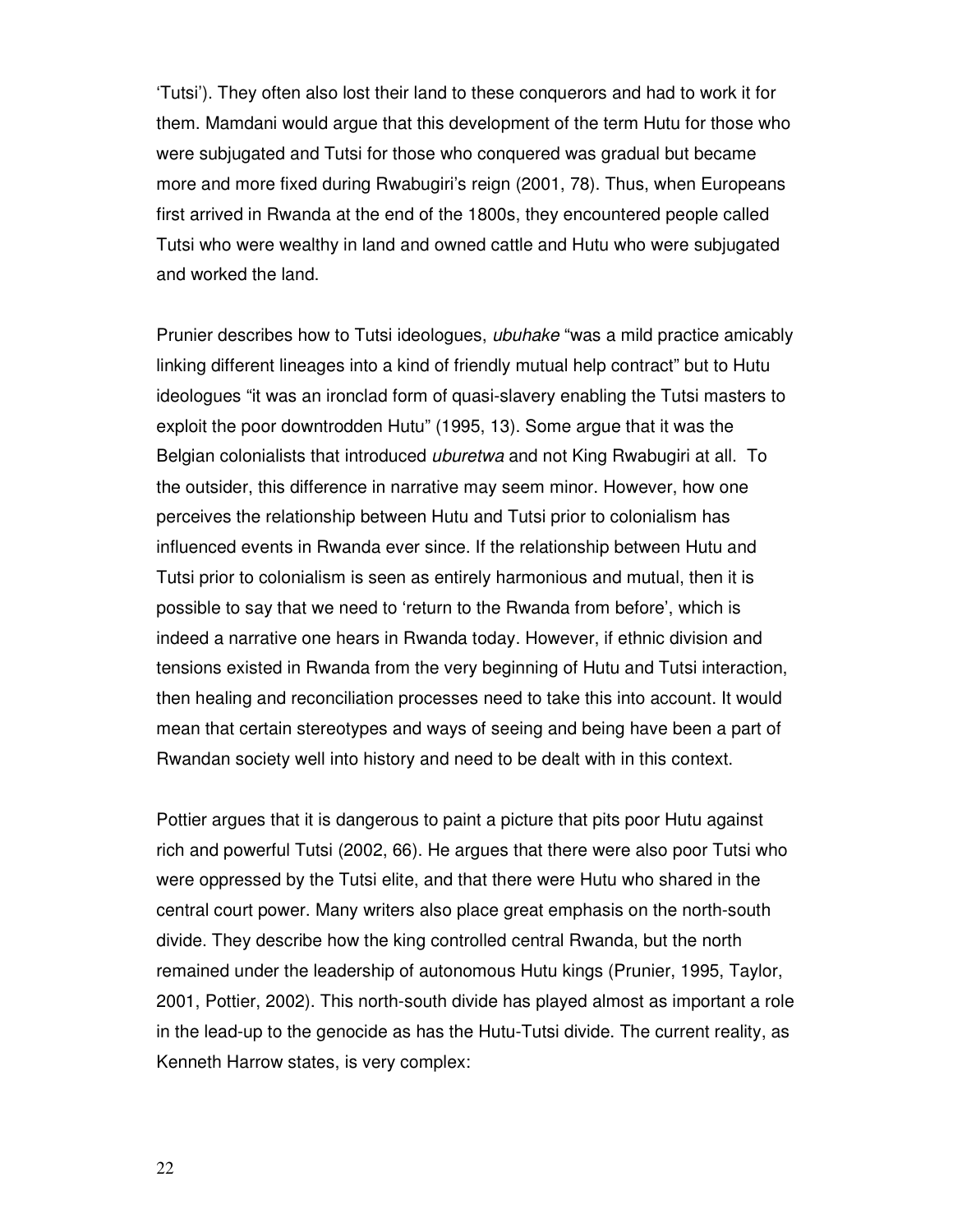'Tutsi'). They often also lost their land to these conquerors and had to work it for them. Mamdani would argue that this development of the term Hutu for those who were subjugated and Tutsi for those who conquered was gradual but became more and more fixed during Rwabugiri's reign (2001, 78). Thus, when Europeans first arrived in Rwanda at the end of the 1800s, they encountered people called Tutsi who were wealthy in land and owned cattle and Hutu who were subjugated and worked the land.

Prunier describes how to Tutsi ideologues, ubuhake "was a mild practice amicably linking different lineages into a kind of friendly mutual help contract" but to Hutu ideologues "it was an ironclad form of quasi-slavery enabling the Tutsi masters to exploit the poor downtrodden Hutu" (1995, 13). Some argue that it was the Belgian colonialists that introduced *uburetwa* and not King Rwabugiri at all. To the outsider, this difference in narrative may seem minor. However, how one perceives the relationship between Hutu and Tutsi prior to colonialism has influenced events in Rwanda ever since. If the relationship between Hutu and Tutsi prior to colonialism is seen as entirely harmonious and mutual, then it is possible to say that we need to 'return to the Rwanda from before', which is indeed a narrative one hears in Rwanda today. However, if ethnic division and tensions existed in Rwanda from the very beginning of Hutu and Tutsi interaction, then healing and reconciliation processes need to take this into account. It would mean that certain stereotypes and ways of seeing and being have been a part of Rwandan society well into history and need to be dealt with in this context.

Pottier argues that it is dangerous to paint a picture that pits poor Hutu against rich and powerful Tutsi (2002, 66). He argues that there were also poor Tutsi who were oppressed by the Tutsi elite, and that there were Hutu who shared in the central court power. Many writers also place great emphasis on the north-south divide. They describe how the king controlled central Rwanda, but the north remained under the leadership of autonomous Hutu kings (Prunier, 1995, Taylor, 2001, Pottier, 2002). This north-south divide has played almost as important a role in the lead-up to the genocide as has the Hutu-Tutsi divide. The current reality, as Kenneth Harrow states, is very complex: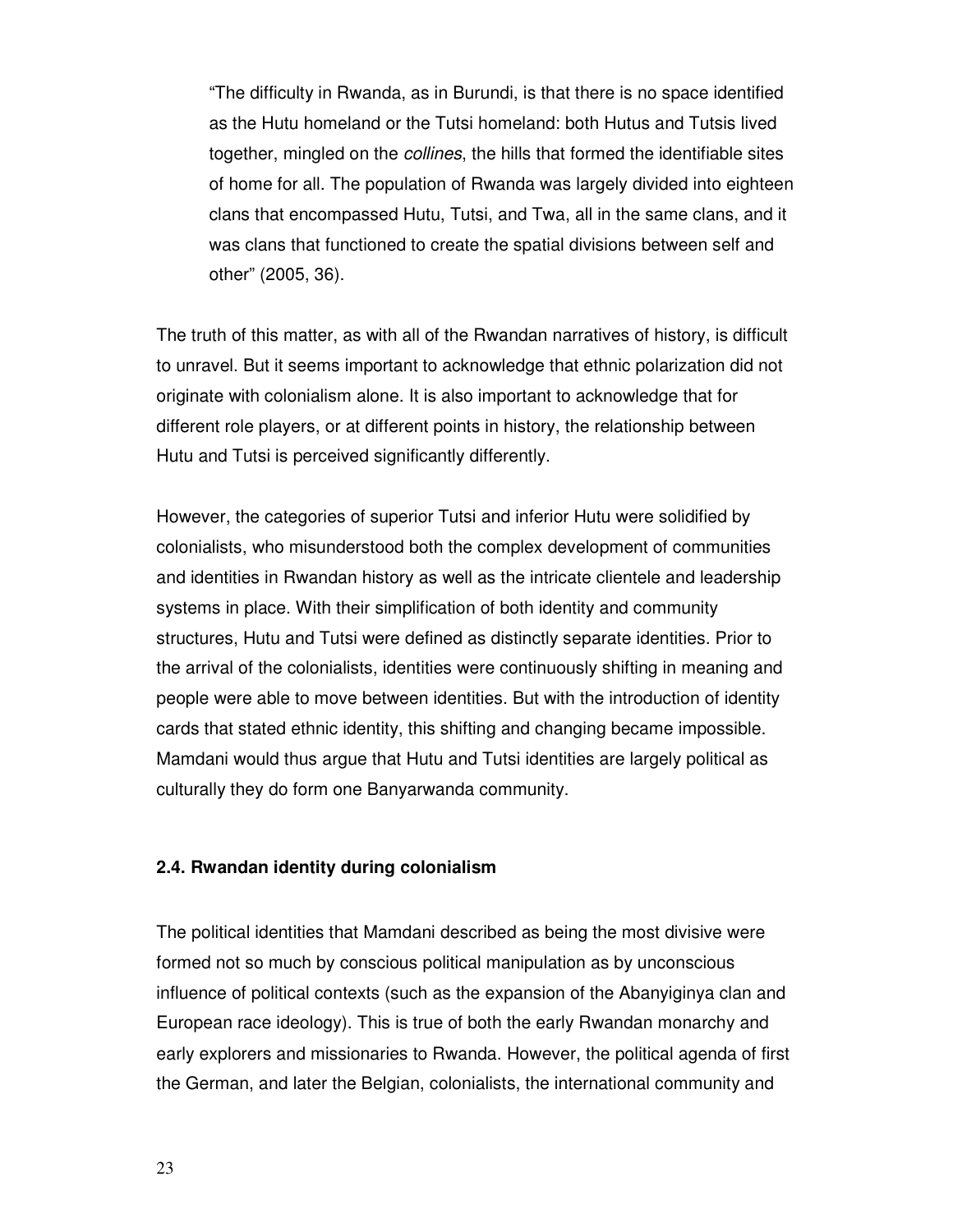"The difficulty in Rwanda, as in Burundi, is that there is no space identified as the Hutu homeland or the Tutsi homeland: both Hutus and Tutsis lived together, mingled on the collines, the hills that formed the identifiable sites of home for all. The population of Rwanda was largely divided into eighteen clans that encompassed Hutu, Tutsi, and Twa, all in the same clans, and it was clans that functioned to create the spatial divisions between self and other" (2005, 36).

The truth of this matter, as with all of the Rwandan narratives of history, is difficult to unravel. But it seems important to acknowledge that ethnic polarization did not originate with colonialism alone. It is also important to acknowledge that for different role players, or at different points in history, the relationship between Hutu and Tutsi is perceived significantly differently.

However, the categories of superior Tutsi and inferior Hutu were solidified by colonialists, who misunderstood both the complex development of communities and identities in Rwandan history as well as the intricate clientele and leadership systems in place. With their simplification of both identity and community structures, Hutu and Tutsi were defined as distinctly separate identities. Prior to the arrival of the colonialists, identities were continuously shifting in meaning and people were able to move between identities. But with the introduction of identity cards that stated ethnic identity, this shifting and changing became impossible. Mamdani would thus argue that Hutu and Tutsi identities are largely political as culturally they do form one Banyarwanda community.

#### **2.4. Rwandan identity during colonialism**

The political identities that Mamdani described as being the most divisive were formed not so much by conscious political manipulation as by unconscious influence of political contexts (such as the expansion of the Abanyiginya clan and European race ideology). This is true of both the early Rwandan monarchy and early explorers and missionaries to Rwanda. However, the political agenda of first the German, and later the Belgian, colonialists, the international community and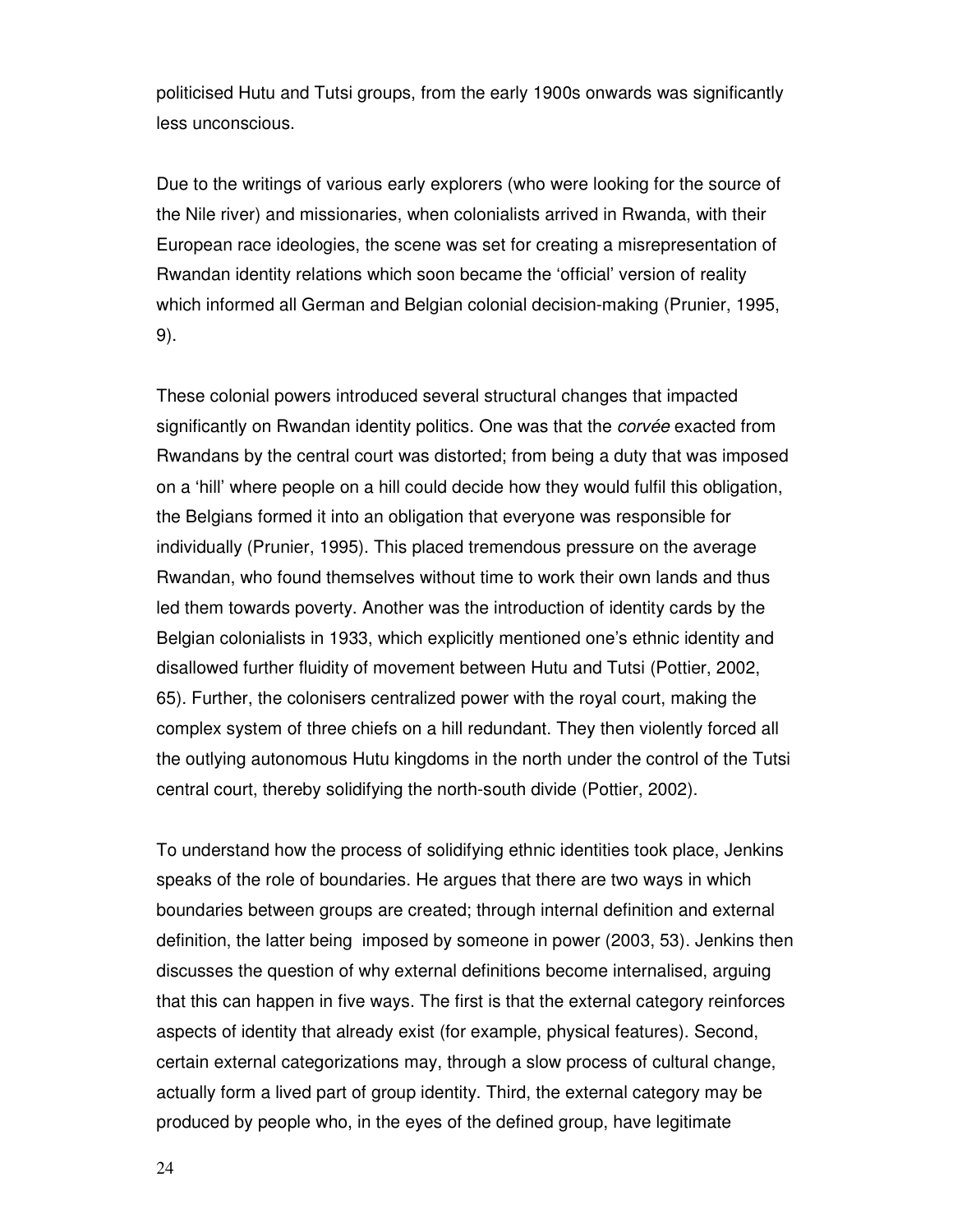politicised Hutu and Tutsi groups, from the early 1900s onwards was significantly less unconscious.

Due to the writings of various early explorers (who were looking for the source of the Nile river) and missionaries, when colonialists arrived in Rwanda, with their European race ideologies, the scene was set for creating a misrepresentation of Rwandan identity relations which soon became the 'official' version of reality which informed all German and Belgian colonial decision-making (Prunier, 1995, 9).

These colonial powers introduced several structural changes that impacted significantly on Rwandan identity politics. One was that the *corvée* exacted from Rwandans by the central court was distorted; from being a duty that was imposed on a 'hill' where people on a hill could decide how they would fulfil this obligation, the Belgians formed it into an obligation that everyone was responsible for individually (Prunier, 1995). This placed tremendous pressure on the average Rwandan, who found themselves without time to work their own lands and thus led them towards poverty. Another was the introduction of identity cards by the Belgian colonialists in 1933, which explicitly mentioned one's ethnic identity and disallowed further fluidity of movement between Hutu and Tutsi (Pottier, 2002, 65). Further, the colonisers centralized power with the royal court, making the complex system of three chiefs on a hill redundant. They then violently forced all the outlying autonomous Hutu kingdoms in the north under the control of the Tutsi central court, thereby solidifying the north-south divide (Pottier, 2002).

To understand how the process of solidifying ethnic identities took place, Jenkins speaks of the role of boundaries. He argues that there are two ways in which boundaries between groups are created; through internal definition and external definition, the latter being imposed by someone in power (2003, 53). Jenkins then discusses the question of why external definitions become internalised, arguing that this can happen in five ways. The first is that the external category reinforces aspects of identity that already exist (for example, physical features). Second, certain external categorizations may, through a slow process of cultural change, actually form a lived part of group identity. Third, the external category may be produced by people who, in the eyes of the defined group, have legitimate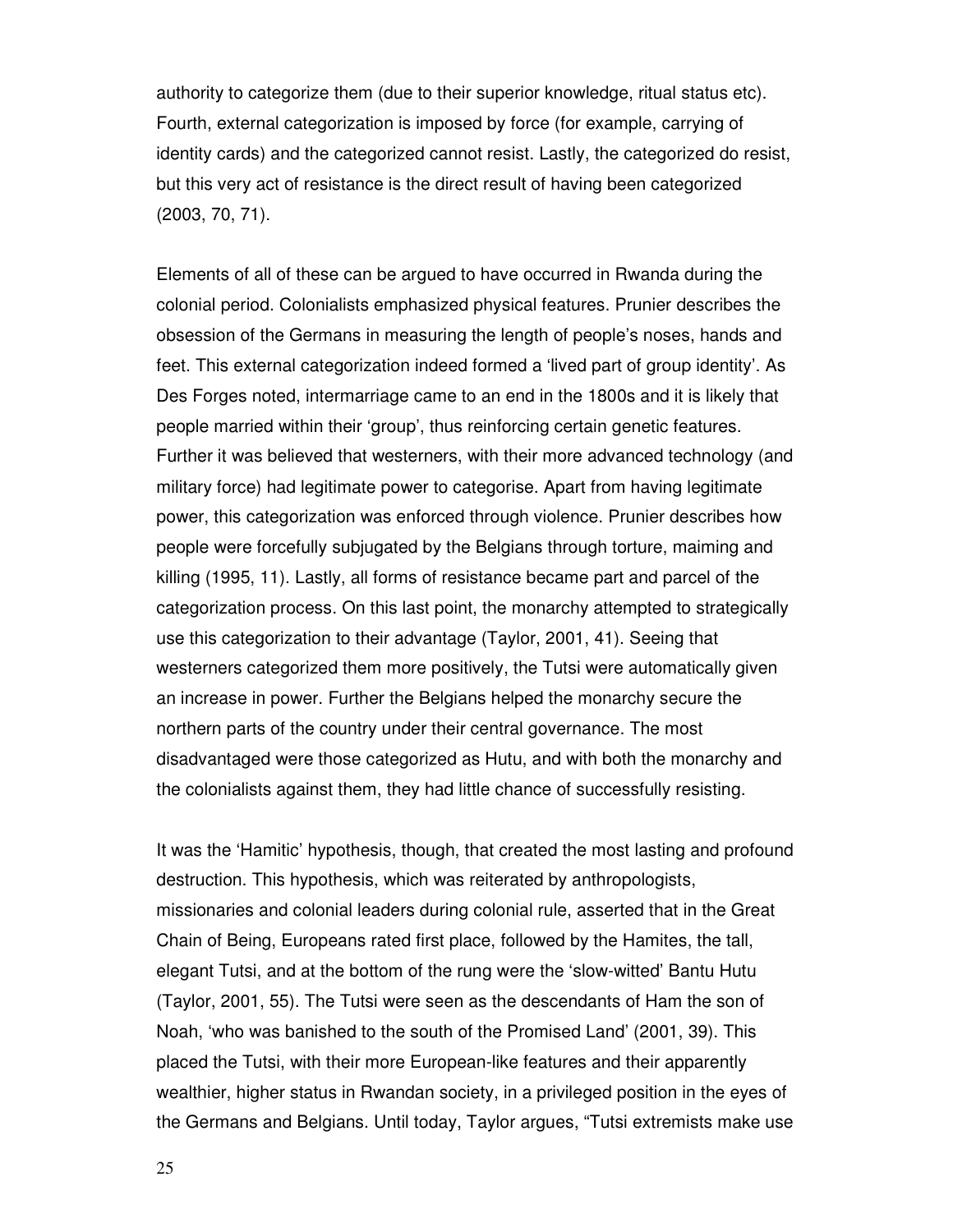authority to categorize them (due to their superior knowledge, ritual status etc). Fourth, external categorization is imposed by force (for example, carrying of identity cards) and the categorized cannot resist. Lastly, the categorized do resist, but this very act of resistance is the direct result of having been categorized (2003, 70, 71).

Elements of all of these can be argued to have occurred in Rwanda during the colonial period. Colonialists emphasized physical features. Prunier describes the obsession of the Germans in measuring the length of people's noses, hands and feet. This external categorization indeed formed a 'lived part of group identity'. As Des Forges noted, intermarriage came to an end in the 1800s and it is likely that people married within their 'group', thus reinforcing certain genetic features. Further it was believed that westerners, with their more advanced technology (and military force) had legitimate power to categorise. Apart from having legitimate power, this categorization was enforced through violence. Prunier describes how people were forcefully subjugated by the Belgians through torture, maiming and killing (1995, 11). Lastly, all forms of resistance became part and parcel of the categorization process. On this last point, the monarchy attempted to strategically use this categorization to their advantage (Taylor, 2001, 41). Seeing that westerners categorized them more positively, the Tutsi were automatically given an increase in power. Further the Belgians helped the monarchy secure the northern parts of the country under their central governance. The most disadvantaged were those categorized as Hutu, and with both the monarchy and the colonialists against them, they had little chance of successfully resisting.

It was the 'Hamitic' hypothesis, though, that created the most lasting and profound destruction. This hypothesis, which was reiterated by anthropologists, missionaries and colonial leaders during colonial rule, asserted that in the Great Chain of Being, Europeans rated first place, followed by the Hamites, the tall, elegant Tutsi, and at the bottom of the rung were the 'slow-witted' Bantu Hutu (Taylor, 2001, 55). The Tutsi were seen as the descendants of Ham the son of Noah, 'who was banished to the south of the Promised Land' (2001, 39). This placed the Tutsi, with their more European-like features and their apparently wealthier, higher status in Rwandan society, in a privileged position in the eyes of the Germans and Belgians. Until today, Taylor argues, "Tutsi extremists make use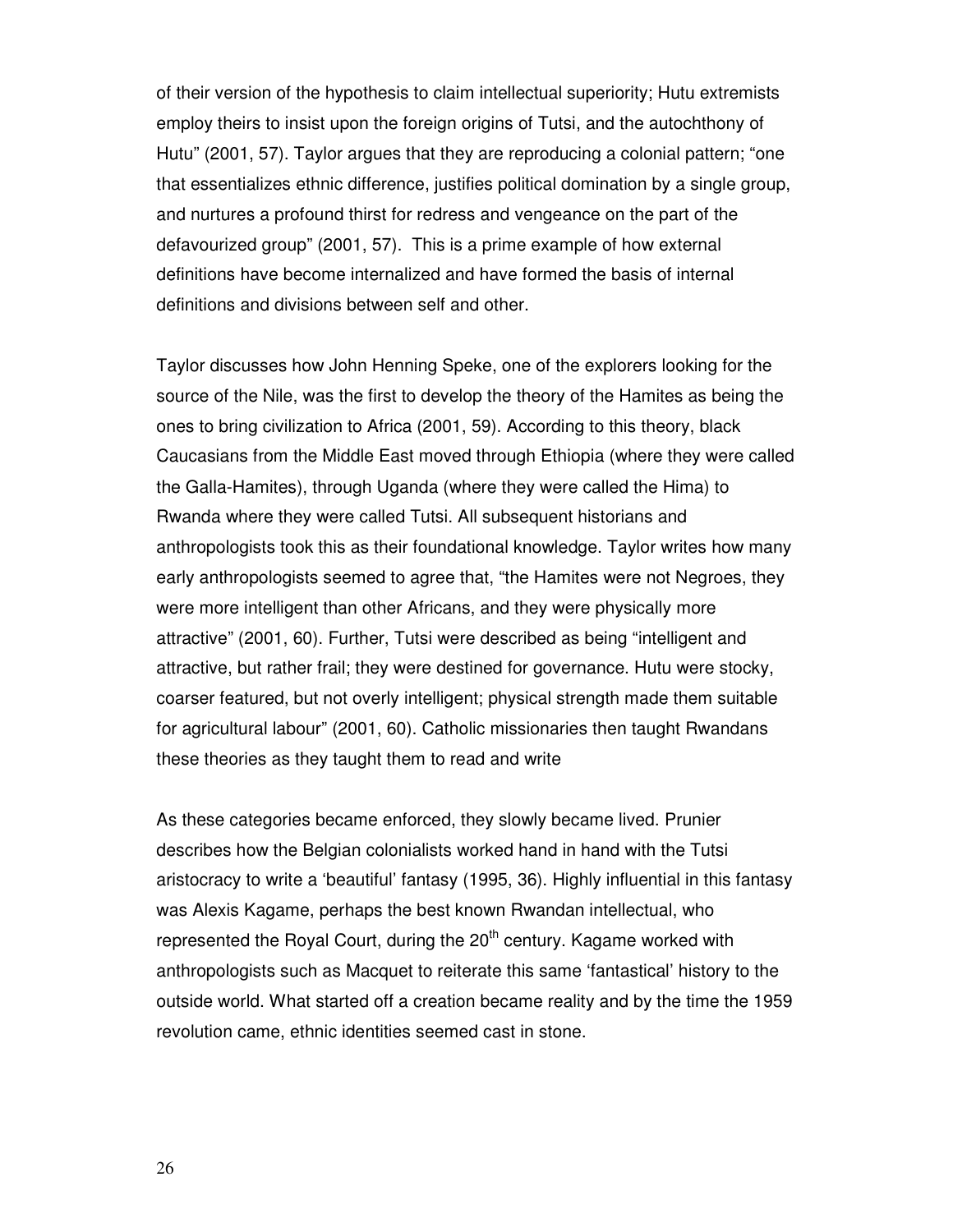of their version of the hypothesis to claim intellectual superiority; Hutu extremists employ theirs to insist upon the foreign origins of Tutsi, and the autochthony of Hutu" (2001, 57). Taylor argues that they are reproducing a colonial pattern; "one that essentializes ethnic difference, justifies political domination by a single group, and nurtures a profound thirst for redress and vengeance on the part of the defavourized group" (2001, 57). This is a prime example of how external definitions have become internalized and have formed the basis of internal definitions and divisions between self and other.

Taylor discusses how John Henning Speke, one of the explorers looking for the source of the Nile, was the first to develop the theory of the Hamites as being the ones to bring civilization to Africa (2001, 59). According to this theory, black Caucasians from the Middle East moved through Ethiopia (where they were called the Galla-Hamites), through Uganda (where they were called the Hima) to Rwanda where they were called Tutsi. All subsequent historians and anthropologists took this as their foundational knowledge. Taylor writes how many early anthropologists seemed to agree that, "the Hamites were not Negroes, they were more intelligent than other Africans, and they were physically more attractive" (2001, 60). Further, Tutsi were described as being "intelligent and attractive, but rather frail; they were destined for governance. Hutu were stocky, coarser featured, but not overly intelligent; physical strength made them suitable for agricultural labour" (2001, 60). Catholic missionaries then taught Rwandans these theories as they taught them to read and write

As these categories became enforced, they slowly became lived. Prunier describes how the Belgian colonialists worked hand in hand with the Tutsi aristocracy to write a 'beautiful' fantasy (1995, 36). Highly influential in this fantasy was Alexis Kagame, perhaps the best known Rwandan intellectual, who represented the Royal Court, during the  $20<sup>th</sup>$  century. Kagame worked with anthropologists such as Macquet to reiterate this same 'fantastical' history to the outside world. What started off a creation became reality and by the time the 1959 revolution came, ethnic identities seemed cast in stone.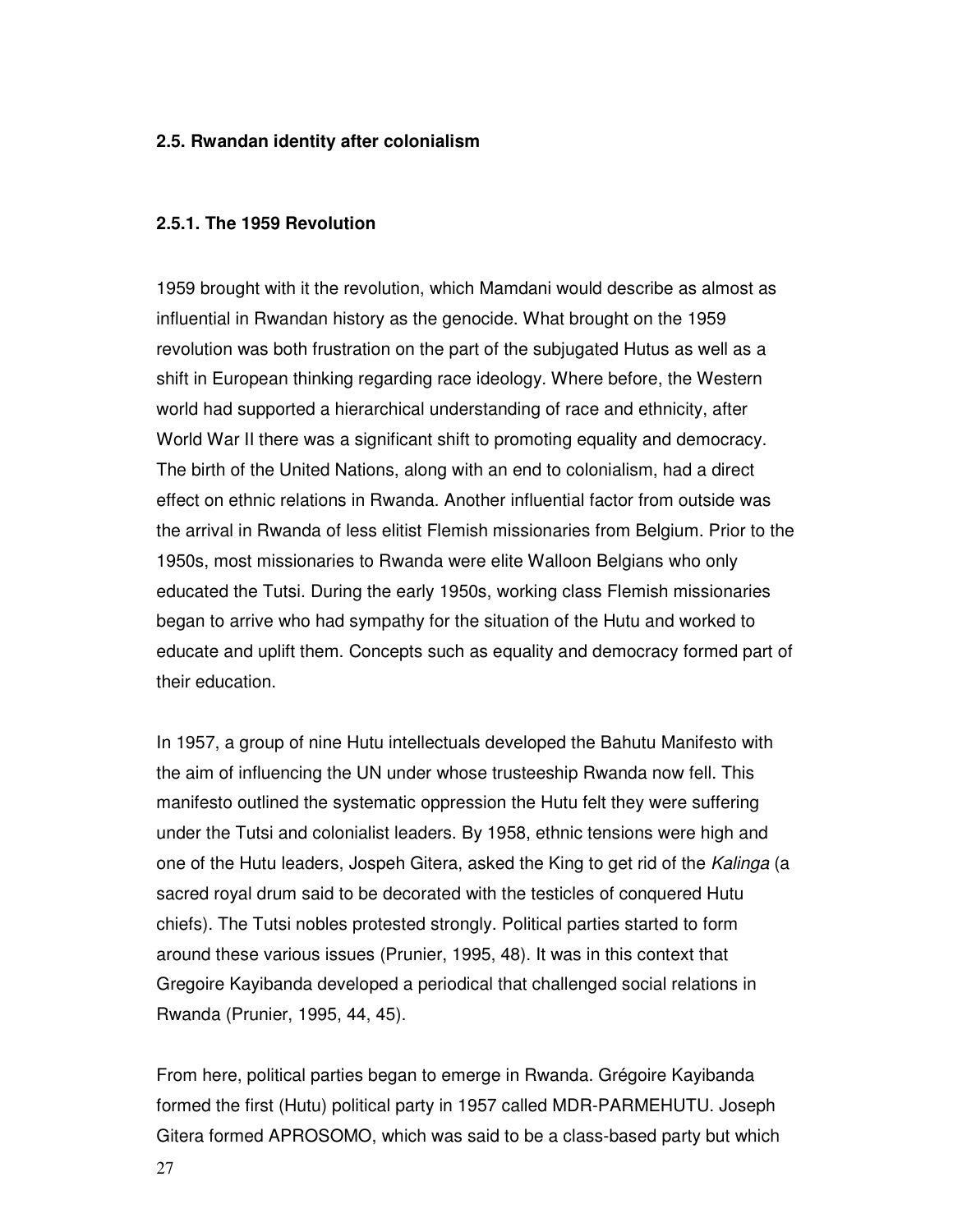# **2.5. Rwandan identity after colonialism**

#### **2.5.1. The 1959 Revolution**

1959 brought with it the revolution, which Mamdani would describe as almost as influential in Rwandan history as the genocide. What brought on the 1959 revolution was both frustration on the part of the subjugated Hutus as well as a shift in European thinking regarding race ideology. Where before, the Western world had supported a hierarchical understanding of race and ethnicity, after World War II there was a significant shift to promoting equality and democracy. The birth of the United Nations, along with an end to colonialism, had a direct effect on ethnic relations in Rwanda. Another influential factor from outside was the arrival in Rwanda of less elitist Flemish missionaries from Belgium. Prior to the 1950s, most missionaries to Rwanda were elite Walloon Belgians who only educated the Tutsi. During the early 1950s, working class Flemish missionaries began to arrive who had sympathy for the situation of the Hutu and worked to educate and uplift them. Concepts such as equality and democracy formed part of their education.

In 1957, a group of nine Hutu intellectuals developed the Bahutu Manifesto with the aim of influencing the UN under whose trusteeship Rwanda now fell. This manifesto outlined the systematic oppression the Hutu felt they were suffering under the Tutsi and colonialist leaders. By 1958, ethnic tensions were high and one of the Hutu leaders, Jospeh Gitera, asked the King to get rid of the Kalinga (a sacred royal drum said to be decorated with the testicles of conquered Hutu chiefs). The Tutsi nobles protested strongly. Political parties started to form around these various issues (Prunier, 1995, 48). It was in this context that Gregoire Kayibanda developed a periodical that challenged social relations in Rwanda (Prunier, 1995, 44, 45).

From here, political parties began to emerge in Rwanda. Grégoire Kayibanda formed the first (Hutu) political party in 1957 called MDR-PARMEHUTU. Joseph Gitera formed APROSOMO, which was said to be a class-based party but which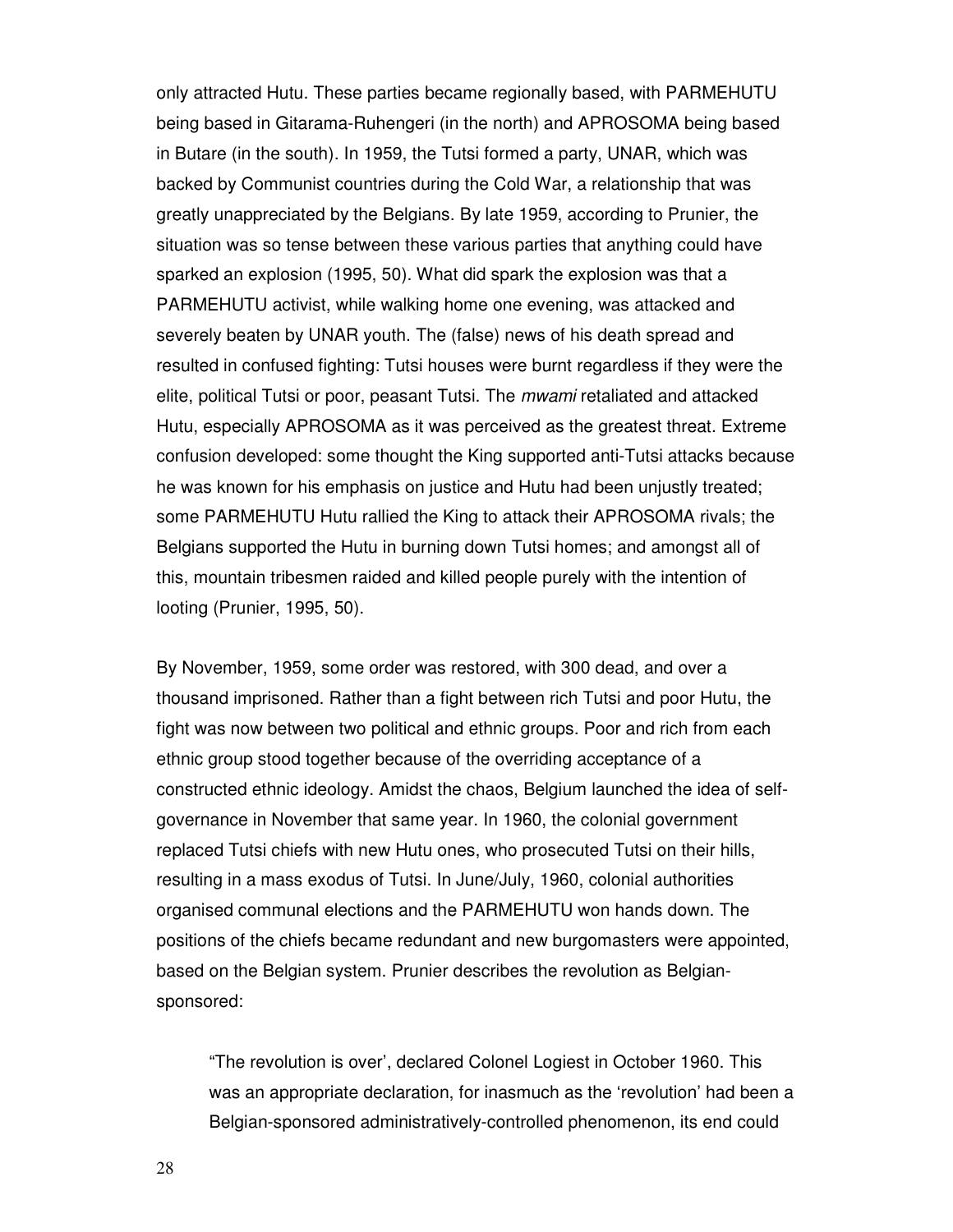only attracted Hutu. These parties became regionally based, with PARMEHUTU being based in Gitarama-Ruhengeri (in the north) and APROSOMA being based in Butare (in the south). In 1959, the Tutsi formed a party, UNAR, which was backed by Communist countries during the Cold War, a relationship that was greatly unappreciated by the Belgians. By late 1959, according to Prunier, the situation was so tense between these various parties that anything could have sparked an explosion (1995, 50). What did spark the explosion was that a PARMEHUTU activist, while walking home one evening, was attacked and severely beaten by UNAR youth. The (false) news of his death spread and resulted in confused fighting: Tutsi houses were burnt regardless if they were the elite, political Tutsi or poor, peasant Tutsi. The mwami retaliated and attacked Hutu, especially APROSOMA as it was perceived as the greatest threat. Extreme confusion developed: some thought the King supported anti-Tutsi attacks because he was known for his emphasis on justice and Hutu had been unjustly treated; some PARMEHUTU Hutu rallied the King to attack their APROSOMA rivals; the Belgians supported the Hutu in burning down Tutsi homes; and amongst all of this, mountain tribesmen raided and killed people purely with the intention of looting (Prunier, 1995, 50).

By November, 1959, some order was restored, with 300 dead, and over a thousand imprisoned. Rather than a fight between rich Tutsi and poor Hutu, the fight was now between two political and ethnic groups. Poor and rich from each ethnic group stood together because of the overriding acceptance of a constructed ethnic ideology. Amidst the chaos, Belgium launched the idea of selfgovernance in November that same year. In 1960, the colonial government replaced Tutsi chiefs with new Hutu ones, who prosecuted Tutsi on their hills, resulting in a mass exodus of Tutsi. In June/July, 1960, colonial authorities organised communal elections and the PARMEHUTU won hands down. The positions of the chiefs became redundant and new burgomasters were appointed, based on the Belgian system. Prunier describes the revolution as Belgiansponsored:

"The revolution is over', declared Colonel Logiest in October 1960. This was an appropriate declaration, for inasmuch as the 'revolution' had been a Belgian-sponsored administratively-controlled phenomenon, its end could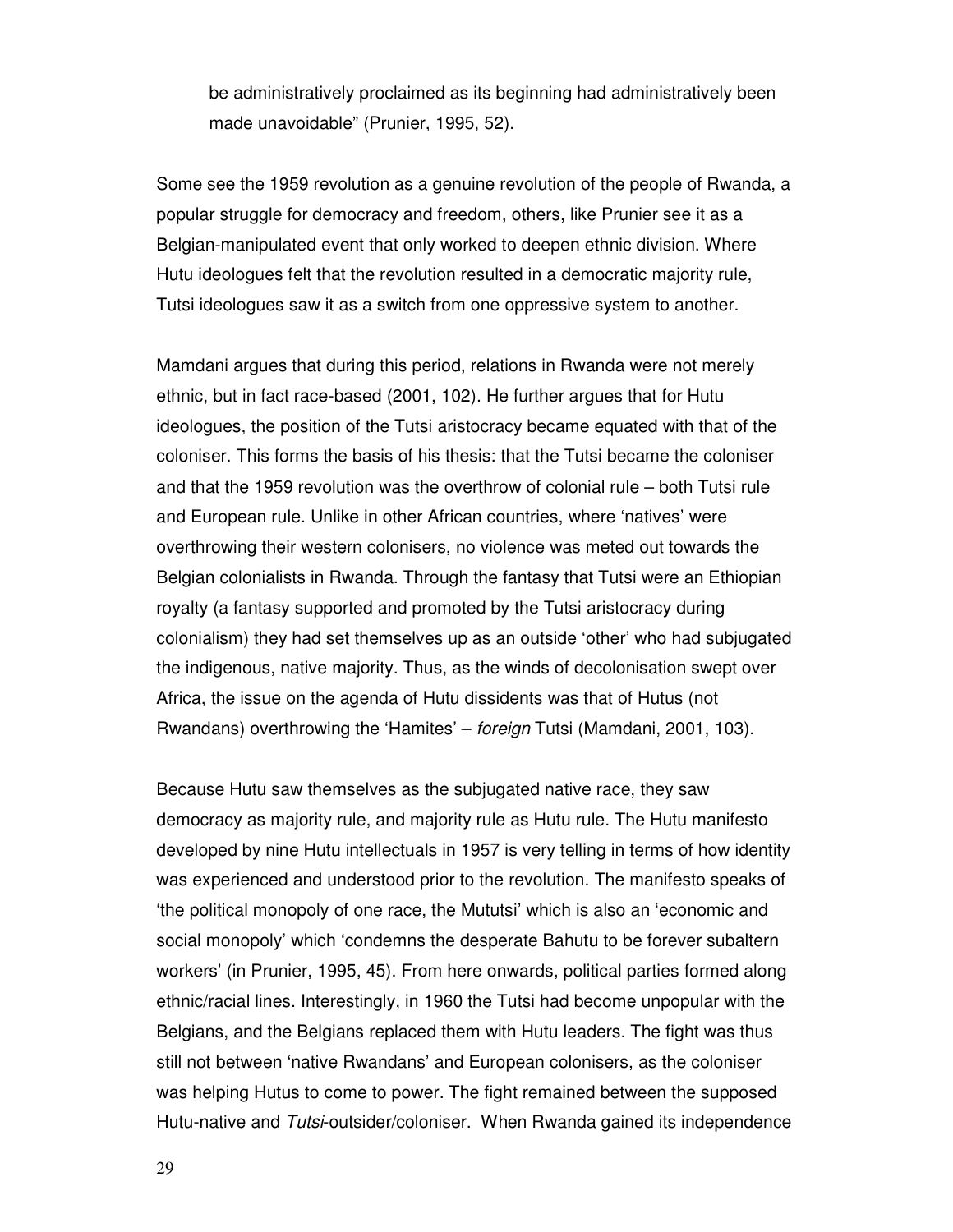be administratively proclaimed as its beginning had administratively been made unavoidable" (Prunier, 1995, 52).

Some see the 1959 revolution as a genuine revolution of the people of Rwanda, a popular struggle for democracy and freedom, others, like Prunier see it as a Belgian-manipulated event that only worked to deepen ethnic division. Where Hutu ideologues felt that the revolution resulted in a democratic majority rule, Tutsi ideologues saw it as a switch from one oppressive system to another.

Mamdani argues that during this period, relations in Rwanda were not merely ethnic, but in fact race-based (2001, 102). He further argues that for Hutu ideologues, the position of the Tutsi aristocracy became equated with that of the coloniser. This forms the basis of his thesis: that the Tutsi became the coloniser and that the 1959 revolution was the overthrow of colonial rule – both Tutsi rule and European rule. Unlike in other African countries, where 'natives' were overthrowing their western colonisers, no violence was meted out towards the Belgian colonialists in Rwanda. Through the fantasy that Tutsi were an Ethiopian royalty (a fantasy supported and promoted by the Tutsi aristocracy during colonialism) they had set themselves up as an outside 'other' who had subjugated the indigenous, native majority. Thus, as the winds of decolonisation swept over Africa, the issue on the agenda of Hutu dissidents was that of Hutus (not Rwandans) overthrowing the 'Hamites' – foreign Tutsi (Mamdani, 2001, 103).

Because Hutu saw themselves as the subjugated native race, they saw democracy as majority rule, and majority rule as Hutu rule. The Hutu manifesto developed by nine Hutu intellectuals in 1957 is very telling in terms of how identity was experienced and understood prior to the revolution. The manifesto speaks of 'the political monopoly of one race, the Mututsi' which is also an 'economic and social monopoly' which 'condemns the desperate Bahutu to be forever subaltern workers' (in Prunier, 1995, 45). From here onwards, political parties formed along ethnic/racial lines. Interestingly, in 1960 the Tutsi had become unpopular with the Belgians, and the Belgians replaced them with Hutu leaders. The fight was thus still not between 'native Rwandans' and European colonisers, as the coloniser was helping Hutus to come to power. The fight remained between the supposed Hutu-native and Tutsi-outsider/coloniser. When Rwanda gained its independence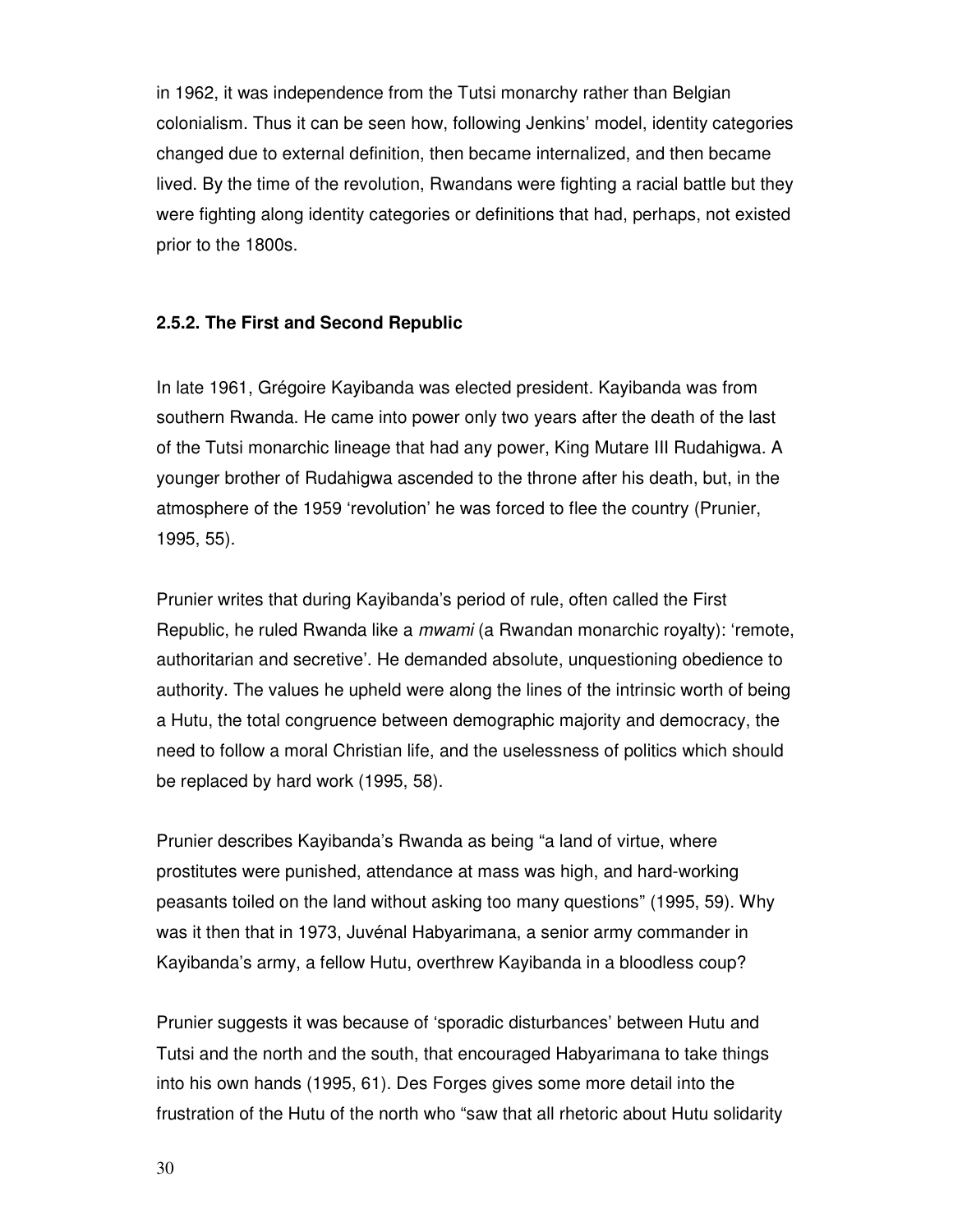in 1962, it was independence from the Tutsi monarchy rather than Belgian colonialism. Thus it can be seen how, following Jenkins' model, identity categories changed due to external definition, then became internalized, and then became lived. By the time of the revolution, Rwandans were fighting a racial battle but they were fighting along identity categories or definitions that had, perhaps, not existed prior to the 1800s.

#### **2.5.2. The First and Second Republic**

In late 1961, Grégoire Kayibanda was elected president. Kayibanda was from southern Rwanda. He came into power only two years after the death of the last of the Tutsi monarchic lineage that had any power, King Mutare III Rudahigwa. A younger brother of Rudahigwa ascended to the throne after his death, but, in the atmosphere of the 1959 'revolution' he was forced to flee the country (Prunier, 1995, 55).

Prunier writes that during Kayibanda's period of rule, often called the First Republic, he ruled Rwanda like a mwami (a Rwandan monarchic royalty): 'remote, authoritarian and secretive'. He demanded absolute, unquestioning obedience to authority. The values he upheld were along the lines of the intrinsic worth of being a Hutu, the total congruence between demographic majority and democracy, the need to follow a moral Christian life, and the uselessness of politics which should be replaced by hard work (1995, 58).

Prunier describes Kayibanda's Rwanda as being "a land of virtue, where prostitutes were punished, attendance at mass was high, and hard-working peasants toiled on the land without asking too many questions" (1995, 59). Why was it then that in 1973, Juvénal Habyarimana, a senior army commander in Kayibanda's army, a fellow Hutu, overthrew Kayibanda in a bloodless coup?

Prunier suggests it was because of 'sporadic disturbances' between Hutu and Tutsi and the north and the south, that encouraged Habyarimana to take things into his own hands (1995, 61). Des Forges gives some more detail into the frustration of the Hutu of the north who "saw that all rhetoric about Hutu solidarity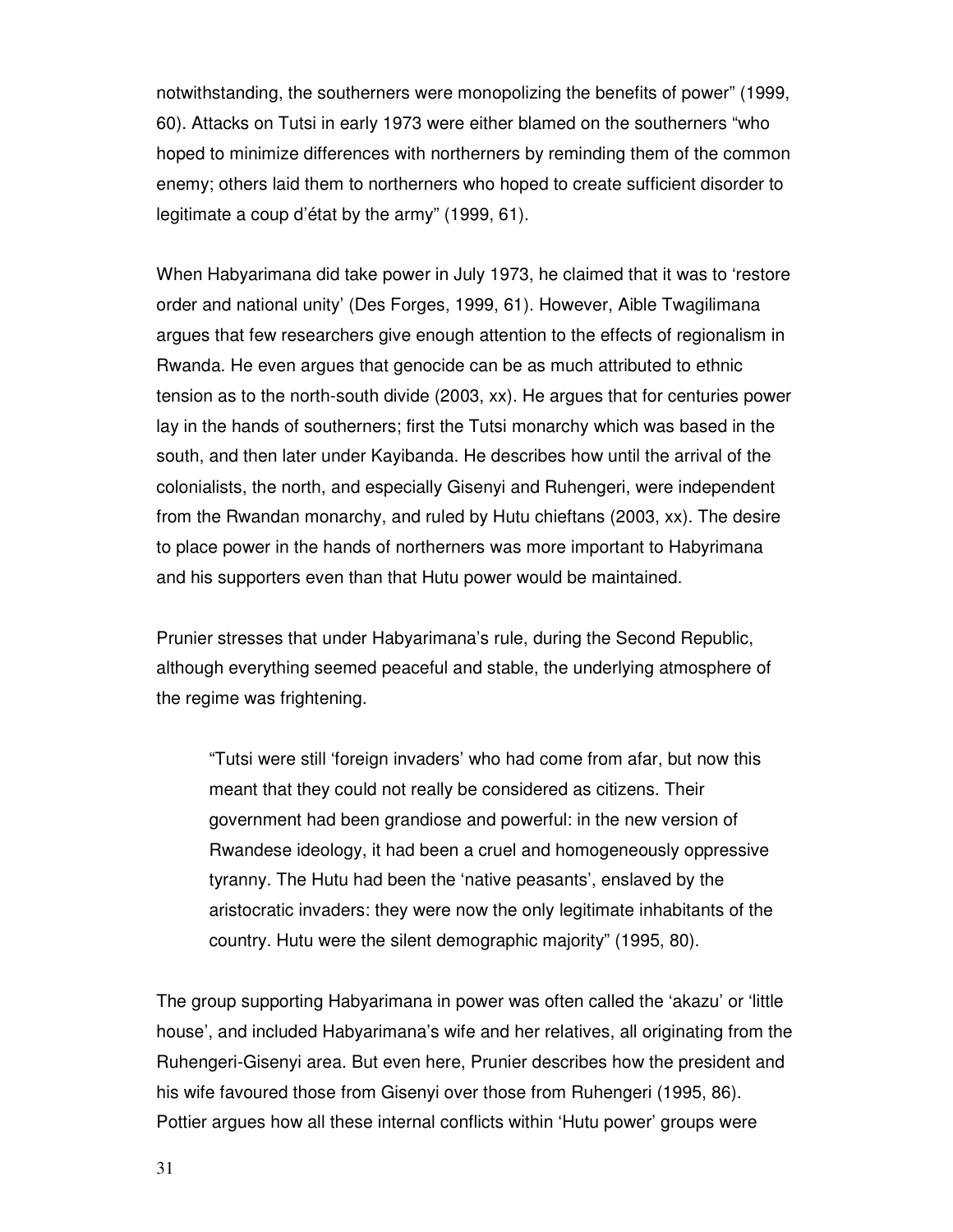notwithstanding, the southerners were monopolizing the benefits of power" (1999, 60). Attacks on Tutsi in early 1973 were either blamed on the southerners "who hoped to minimize differences with northerners by reminding them of the common enemy; others laid them to northerners who hoped to create sufficient disorder to legitimate a coup d'état by the army" (1999, 61).

When Habyarimana did take power in July 1973, he claimed that it was to 'restore order and national unity' (Des Forges, 1999, 61). However, Aible Twagilimana argues that few researchers give enough attention to the effects of regionalism in Rwanda. He even argues that genocide can be as much attributed to ethnic tension as to the north-south divide (2003, xx). He argues that for centuries power lay in the hands of southerners; first the Tutsi monarchy which was based in the south, and then later under Kayibanda. He describes how until the arrival of the colonialists, the north, and especially Gisenyi and Ruhengeri, were independent from the Rwandan monarchy, and ruled by Hutu chieftans (2003, xx). The desire to place power in the hands of northerners was more important to Habyrimana and his supporters even than that Hutu power would be maintained.

Prunier stresses that under Habyarimana's rule, during the Second Republic, although everything seemed peaceful and stable, the underlying atmosphere of the regime was frightening.

"Tutsi were still 'foreign invaders' who had come from afar, but now this meant that they could not really be considered as citizens. Their government had been grandiose and powerful: in the new version of Rwandese ideology, it had been a cruel and homogeneously oppressive tyranny. The Hutu had been the 'native peasants', enslaved by the aristocratic invaders: they were now the only legitimate inhabitants of the country. Hutu were the silent demographic majority" (1995, 80).

The group supporting Habyarimana in power was often called the 'akazu' or 'little house', and included Habyarimana's wife and her relatives, all originating from the Ruhengeri-Gisenyi area. But even here, Prunier describes how the president and his wife favoured those from Gisenyi over those from Ruhengeri (1995, 86). Pottier argues how all these internal conflicts within 'Hutu power' groups were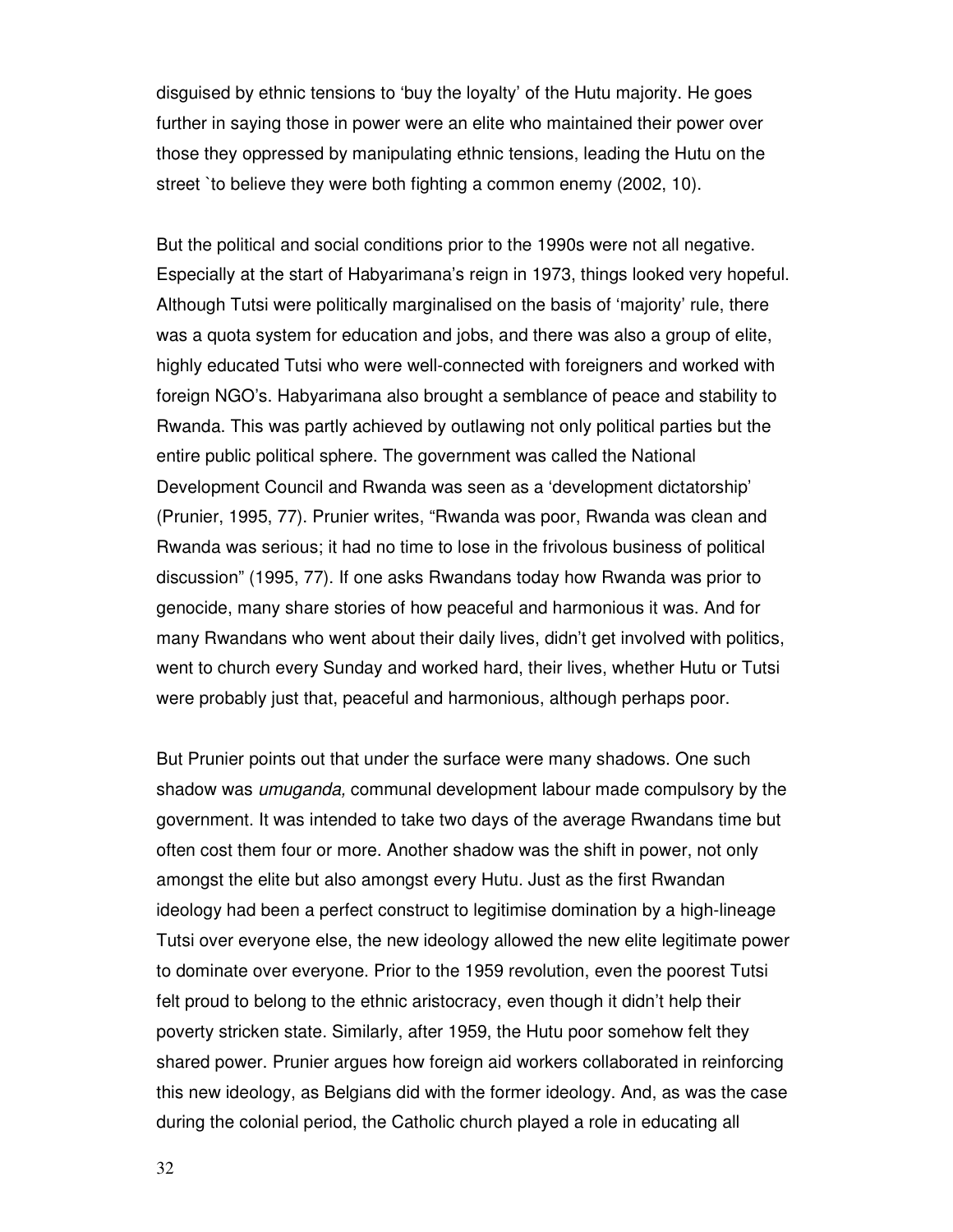disguised by ethnic tensions to 'buy the loyalty' of the Hutu majority. He goes further in saying those in power were an elite who maintained their power over those they oppressed by manipulating ethnic tensions, leading the Hutu on the street `to believe they were both fighting a common enemy (2002, 10).

But the political and social conditions prior to the 1990s were not all negative. Especially at the start of Habyarimana's reign in 1973, things looked very hopeful. Although Tutsi were politically marginalised on the basis of 'majority' rule, there was a quota system for education and jobs, and there was also a group of elite, highly educated Tutsi who were well-connected with foreigners and worked with foreign NGO's. Habyarimana also brought a semblance of peace and stability to Rwanda. This was partly achieved by outlawing not only political parties but the entire public political sphere. The government was called the National Development Council and Rwanda was seen as a 'development dictatorship' (Prunier, 1995, 77). Prunier writes, "Rwanda was poor, Rwanda was clean and Rwanda was serious; it had no time to lose in the frivolous business of political discussion" (1995, 77). If one asks Rwandans today how Rwanda was prior to genocide, many share stories of how peaceful and harmonious it was. And for many Rwandans who went about their daily lives, didn't get involved with politics, went to church every Sunday and worked hard, their lives, whether Hutu or Tutsi were probably just that, peaceful and harmonious, although perhaps poor.

But Prunier points out that under the surface were many shadows. One such shadow was umuganda, communal development labour made compulsory by the government. It was intended to take two days of the average Rwandans time but often cost them four or more. Another shadow was the shift in power, not only amongst the elite but also amongst every Hutu. Just as the first Rwandan ideology had been a perfect construct to legitimise domination by a high-lineage Tutsi over everyone else, the new ideology allowed the new elite legitimate power to dominate over everyone. Prior to the 1959 revolution, even the poorest Tutsi felt proud to belong to the ethnic aristocracy, even though it didn't help their poverty stricken state. Similarly, after 1959, the Hutu poor somehow felt they shared power. Prunier argues how foreign aid workers collaborated in reinforcing this new ideology, as Belgians did with the former ideology. And, as was the case during the colonial period, the Catholic church played a role in educating all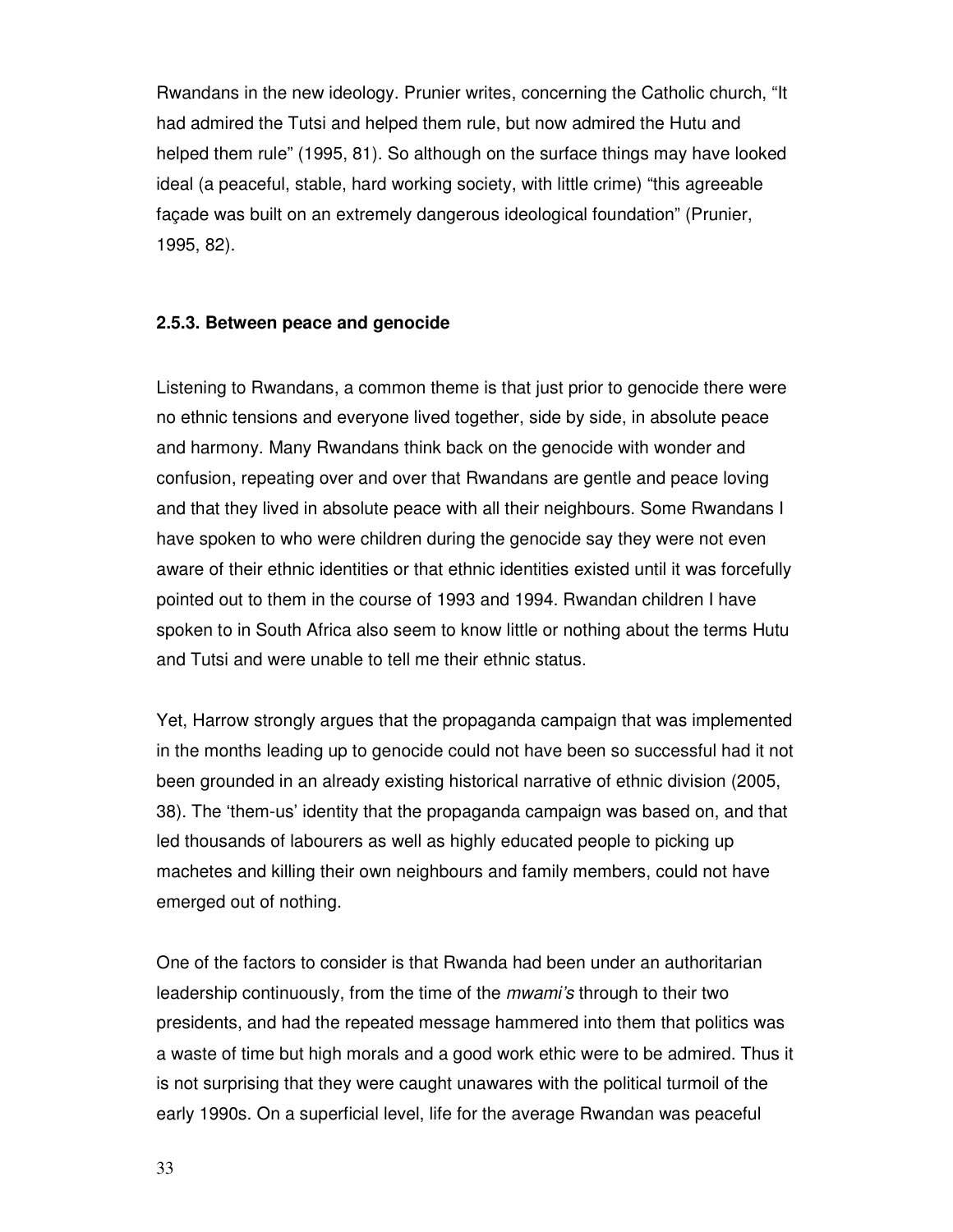Rwandans in the new ideology. Prunier writes, concerning the Catholic church, "It had admired the Tutsi and helped them rule, but now admired the Hutu and helped them rule" (1995, 81). So although on the surface things may have looked ideal (a peaceful, stable, hard working society, with little crime) "this agreeable façade was built on an extremely dangerous ideological foundation" (Prunier, 1995, 82).

# **2.5.3. Between peace and genocide**

Listening to Rwandans, a common theme is that just prior to genocide there were no ethnic tensions and everyone lived together, side by side, in absolute peace and harmony. Many Rwandans think back on the genocide with wonder and confusion, repeating over and over that Rwandans are gentle and peace loving and that they lived in absolute peace with all their neighbours. Some Rwandans I have spoken to who were children during the genocide say they were not even aware of their ethnic identities or that ethnic identities existed until it was forcefully pointed out to them in the course of 1993 and 1994. Rwandan children I have spoken to in South Africa also seem to know little or nothing about the terms Hutu and Tutsi and were unable to tell me their ethnic status.

Yet, Harrow strongly argues that the propaganda campaign that was implemented in the months leading up to genocide could not have been so successful had it not been grounded in an already existing historical narrative of ethnic division (2005, 38). The 'them-us' identity that the propaganda campaign was based on, and that led thousands of labourers as well as highly educated people to picking up machetes and killing their own neighbours and family members, could not have emerged out of nothing.

One of the factors to consider is that Rwanda had been under an authoritarian leadership continuously, from the time of the *mwami's* through to their two presidents, and had the repeated message hammered into them that politics was a waste of time but high morals and a good work ethic were to be admired. Thus it is not surprising that they were caught unawares with the political turmoil of the early 1990s. On a superficial level, life for the average Rwandan was peaceful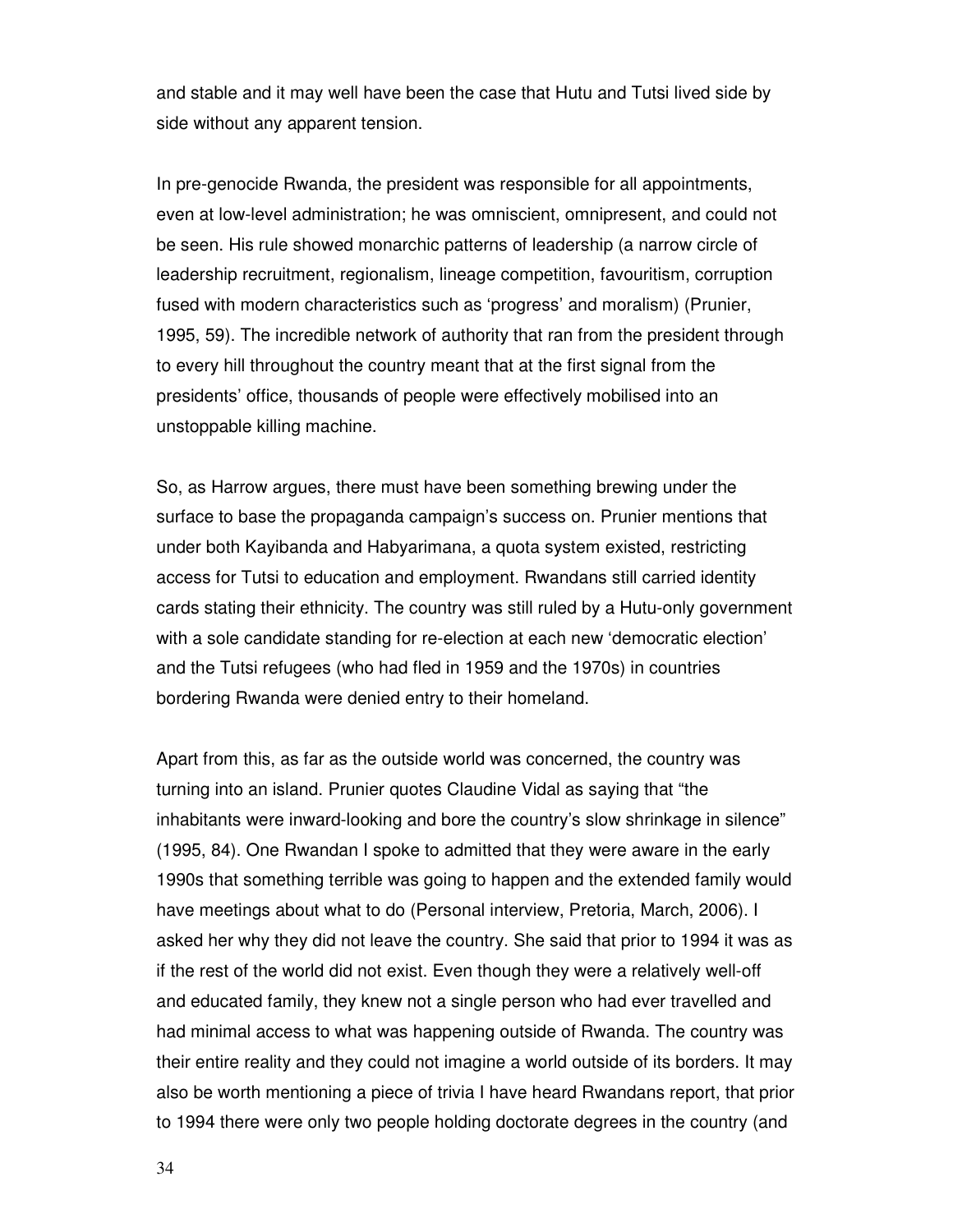and stable and it may well have been the case that Hutu and Tutsi lived side by side without any apparent tension.

In pre-genocide Rwanda, the president was responsible for all appointments, even at low-level administration; he was omniscient, omnipresent, and could not be seen. His rule showed monarchic patterns of leadership (a narrow circle of leadership recruitment, regionalism, lineage competition, favouritism, corruption fused with modern characteristics such as 'progress' and moralism) (Prunier, 1995, 59). The incredible network of authority that ran from the president through to every hill throughout the country meant that at the first signal from the presidents' office, thousands of people were effectively mobilised into an unstoppable killing machine.

So, as Harrow argues, there must have been something brewing under the surface to base the propaganda campaign's success on. Prunier mentions that under both Kayibanda and Habyarimana, a quota system existed, restricting access for Tutsi to education and employment. Rwandans still carried identity cards stating their ethnicity. The country was still ruled by a Hutu-only government with a sole candidate standing for re-election at each new 'democratic election' and the Tutsi refugees (who had fled in 1959 and the 1970s) in countries bordering Rwanda were denied entry to their homeland.

Apart from this, as far as the outside world was concerned, the country was turning into an island. Prunier quotes Claudine Vidal as saying that "the inhabitants were inward-looking and bore the country's slow shrinkage in silence" (1995, 84). One Rwandan I spoke to admitted that they were aware in the early 1990s that something terrible was going to happen and the extended family would have meetings about what to do (Personal interview, Pretoria, March, 2006). I asked her why they did not leave the country. She said that prior to 1994 it was as if the rest of the world did not exist. Even though they were a relatively well-off and educated family, they knew not a single person who had ever travelled and had minimal access to what was happening outside of Rwanda. The country was their entire reality and they could not imagine a world outside of its borders. It may also be worth mentioning a piece of trivia I have heard Rwandans report, that prior to 1994 there were only two people holding doctorate degrees in the country (and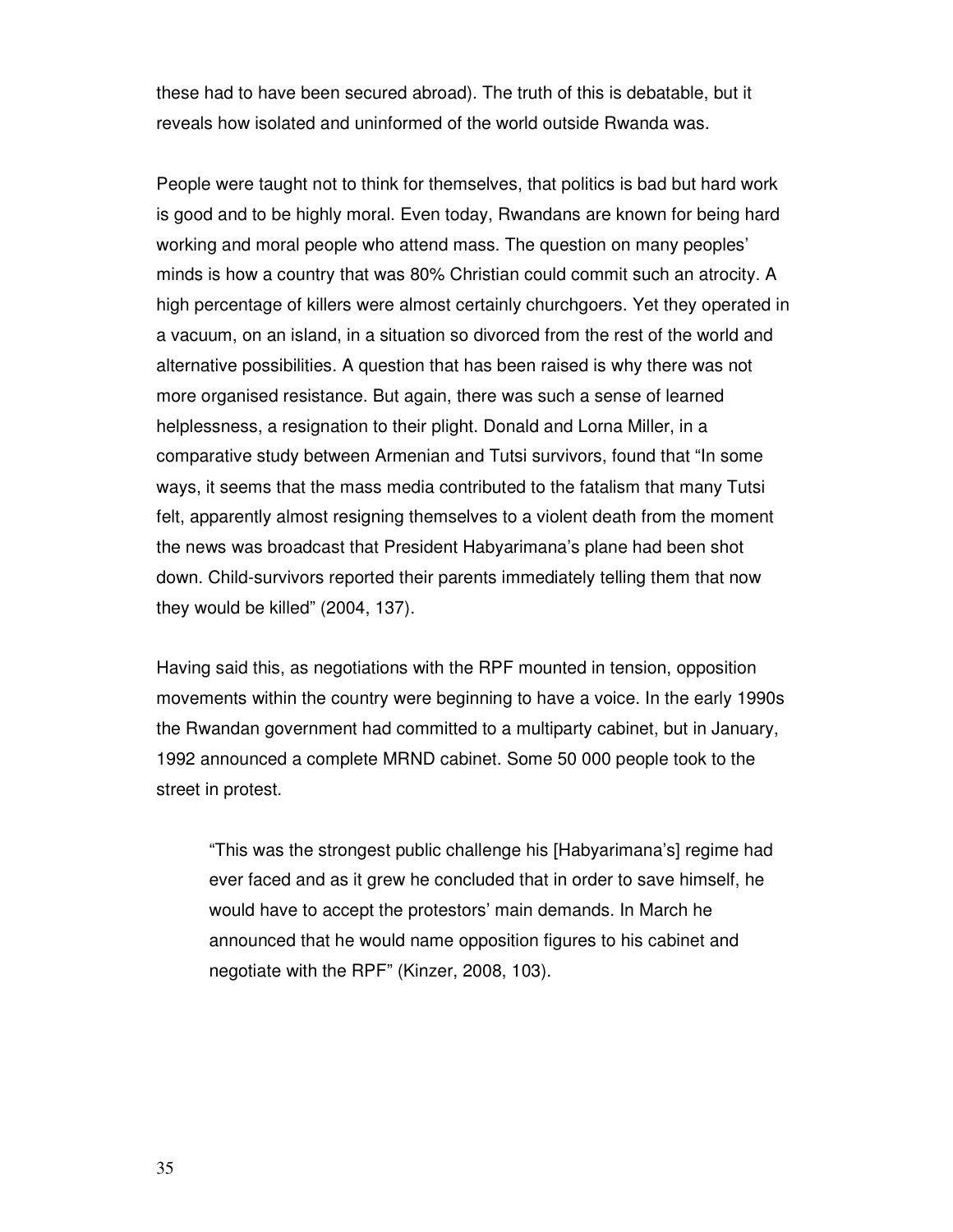these had to have been secured abroad). The truth of this is debatable, but it reveals how isolated and uninformed of the world outside Rwanda was.

People were taught not to think for themselves, that politics is bad but hard work is good and to be highly moral. Even today, Rwandans are known for being hard working and moral people who attend mass. The question on many peoples' minds is how a country that was 80% Christian could commit such an atrocity. A high percentage of killers were almost certainly churchgoers. Yet they operated in a vacuum, on an island, in a situation so divorced from the rest of the world and alternative possibilities. A question that has been raised is why there was not more organised resistance. But again, there was such a sense of learned helplessness, a resignation to their plight. Donald and Lorna Miller, in a comparative study between Armenian and Tutsi survivors, found that "In some ways, it seems that the mass media contributed to the fatalism that many Tutsi felt, apparently almost resigning themselves to a violent death from the moment the news was broadcast that President Habyarimana's plane had been shot down. Child-survivors reported their parents immediately telling them that now they would be killed" (2004, 137).

Having said this, as negotiations with the RPF mounted in tension, opposition movements within the country were beginning to have a voice. In the early 1990s the Rwandan government had committed to a multiparty cabinet, but in January, 1992 announced a complete MRND cabinet. Some 50 000 people took to the street in protest.

"This was the strongest public challenge his [Habyarimana's] regime had ever faced and as it grew he concluded that in order to save himself, he would have to accept the protestors' main demands. In March he announced that he would name opposition figures to his cabinet and negotiate with the RPF" (Kinzer, 2008, 103).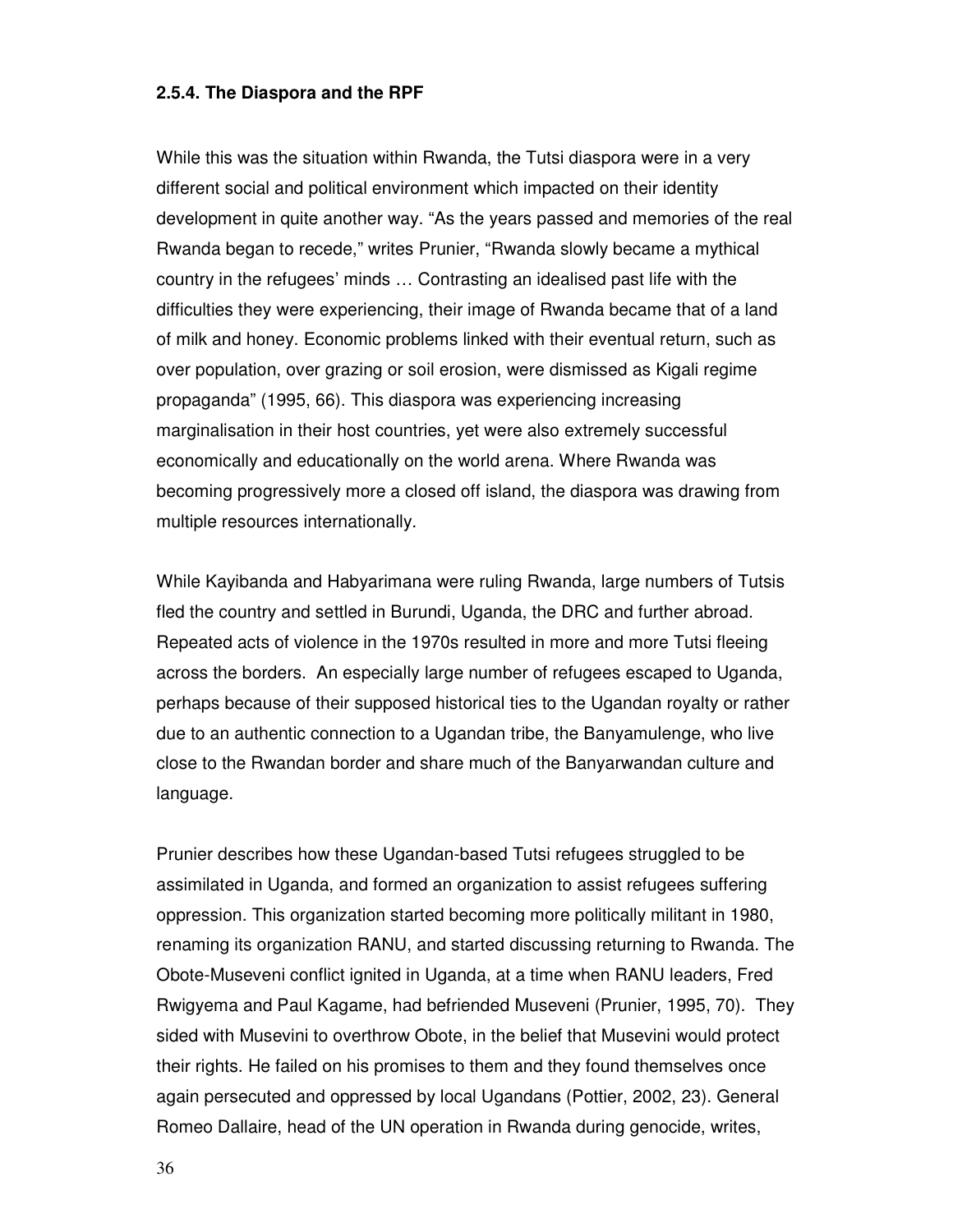#### **2.5.4. The Diaspora and the RPF**

While this was the situation within Rwanda, the Tutsi diaspora were in a very different social and political environment which impacted on their identity development in quite another way. "As the years passed and memories of the real Rwanda began to recede," writes Prunier, "Rwanda slowly became a mythical country in the refugees' minds … Contrasting an idealised past life with the difficulties they were experiencing, their image of Rwanda became that of a land of milk and honey. Economic problems linked with their eventual return, such as over population, over grazing or soil erosion, were dismissed as Kigali regime propaganda" (1995, 66). This diaspora was experiencing increasing marginalisation in their host countries, yet were also extremely successful economically and educationally on the world arena. Where Rwanda was becoming progressively more a closed off island, the diaspora was drawing from multiple resources internationally.

While Kayibanda and Habyarimana were ruling Rwanda, large numbers of Tutsis fled the country and settled in Burundi, Uganda, the DRC and further abroad. Repeated acts of violence in the 1970s resulted in more and more Tutsi fleeing across the borders. An especially large number of refugees escaped to Uganda, perhaps because of their supposed historical ties to the Ugandan royalty or rather due to an authentic connection to a Ugandan tribe, the Banyamulenge, who live close to the Rwandan border and share much of the Banyarwandan culture and language.

Prunier describes how these Ugandan-based Tutsi refugees struggled to be assimilated in Uganda, and formed an organization to assist refugees suffering oppression. This organization started becoming more politically militant in 1980, renaming its organization RANU, and started discussing returning to Rwanda. The Obote-Museveni conflict ignited in Uganda, at a time when RANU leaders, Fred Rwigyema and Paul Kagame, had befriended Museveni (Prunier, 1995, 70). They sided with Musevini to overthrow Obote, in the belief that Musevini would protect their rights. He failed on his promises to them and they found themselves once again persecuted and oppressed by local Ugandans (Pottier, 2002, 23). General Romeo Dallaire, head of the UN operation in Rwanda during genocide, writes,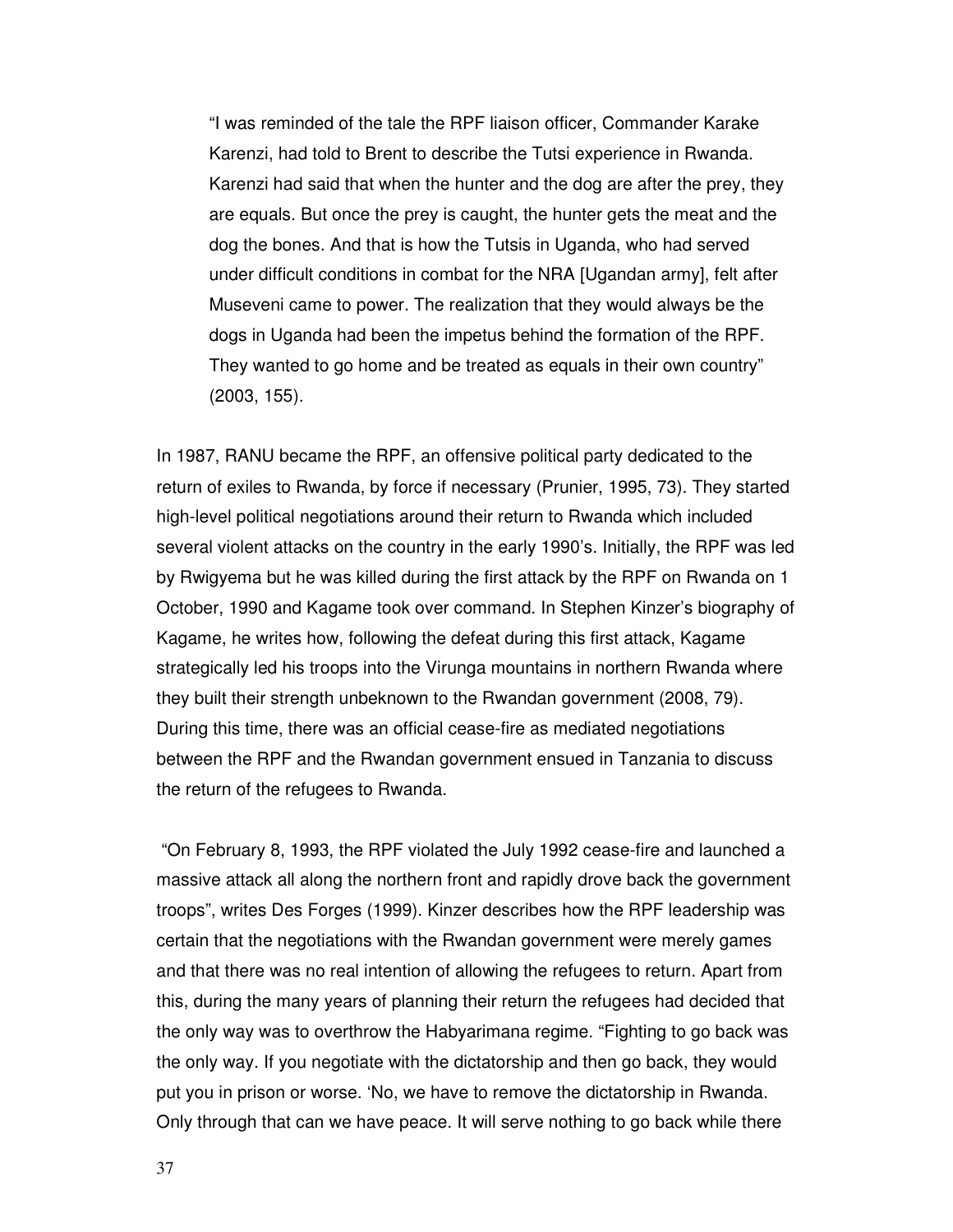"I was reminded of the tale the RPF liaison officer, Commander Karake Karenzi, had told to Brent to describe the Tutsi experience in Rwanda. Karenzi had said that when the hunter and the dog are after the prey, they are equals. But once the prey is caught, the hunter gets the meat and the dog the bones. And that is how the Tutsis in Uganda, who had served under difficult conditions in combat for the NRA [Ugandan army], felt after Museveni came to power. The realization that they would always be the dogs in Uganda had been the impetus behind the formation of the RPF. They wanted to go home and be treated as equals in their own country" (2003, 155).

In 1987, RANU became the RPF, an offensive political party dedicated to the return of exiles to Rwanda, by force if necessary (Prunier, 1995, 73). They started high-level political negotiations around their return to Rwanda which included several violent attacks on the country in the early 1990's. Initially, the RPF was led by Rwigyema but he was killed during the first attack by the RPF on Rwanda on 1 October, 1990 and Kagame took over command. In Stephen Kinzer's biography of Kagame, he writes how, following the defeat during this first attack, Kagame strategically led his troops into the Virunga mountains in northern Rwanda where they built their strength unbeknown to the Rwandan government (2008, 79). During this time, there was an official cease-fire as mediated negotiations between the RPF and the Rwandan government ensued in Tanzania to discuss the return of the refugees to Rwanda.

 "On February 8, 1993, the RPF violated the July 1992 cease-fire and launched a massive attack all along the northern front and rapidly drove back the government troops", writes Des Forges (1999). Kinzer describes how the RPF leadership was certain that the negotiations with the Rwandan government were merely games and that there was no real intention of allowing the refugees to return. Apart from this, during the many years of planning their return the refugees had decided that the only way was to overthrow the Habyarimana regime. "Fighting to go back was the only way. If you negotiate with the dictatorship and then go back, they would put you in prison or worse. 'No, we have to remove the dictatorship in Rwanda. Only through that can we have peace. It will serve nothing to go back while there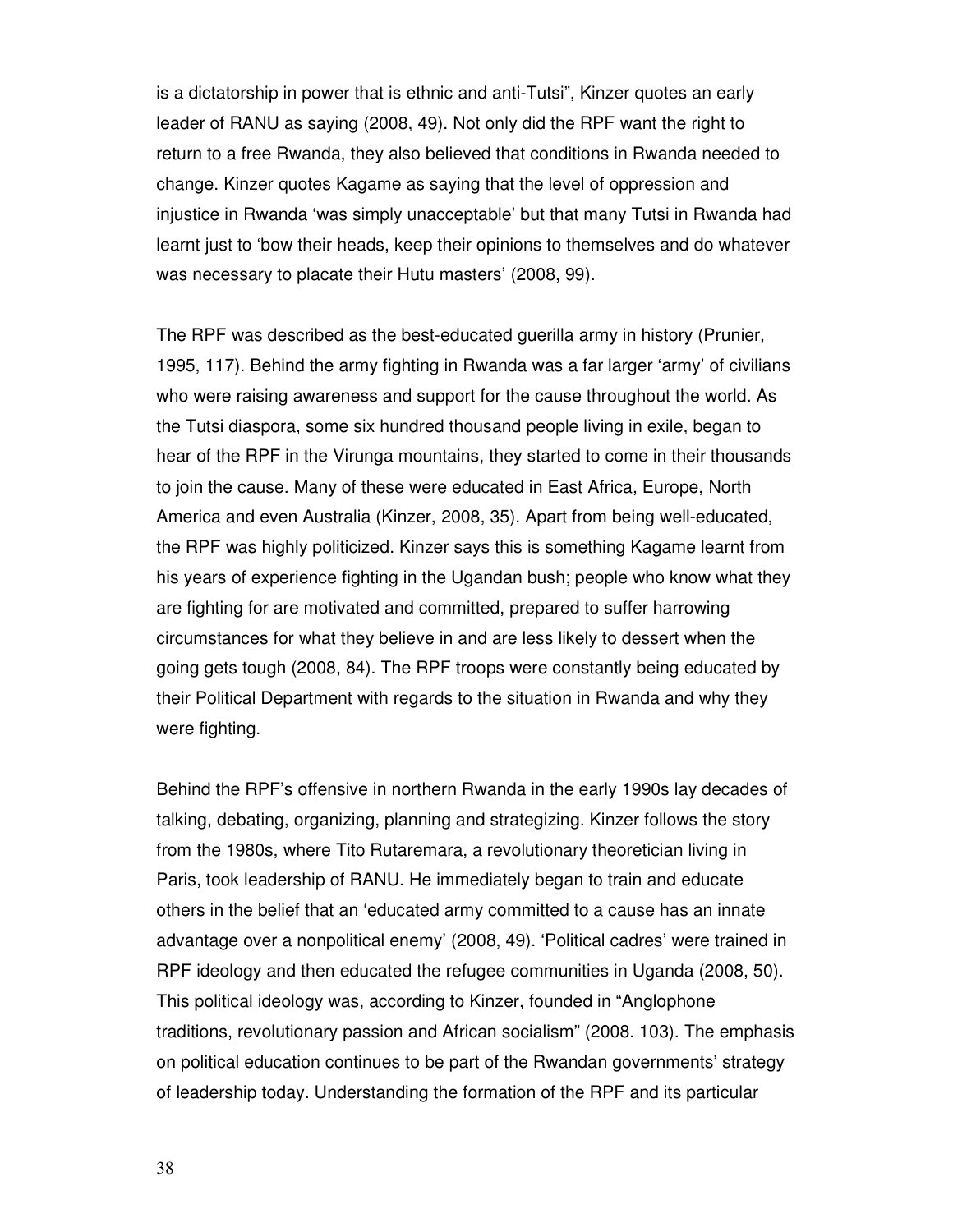is a dictatorship in power that is ethnic and anti-Tutsi", Kinzer quotes an early leader of RANU as saying (2008, 49). Not only did the RPF want the right to return to a free Rwanda, they also believed that conditions in Rwanda needed to change. Kinzer quotes Kagame as saying that the level of oppression and injustice in Rwanda 'was simply unacceptable' but that many Tutsi in Rwanda had learnt just to 'bow their heads, keep their opinions to themselves and do whatever was necessary to placate their Hutu masters' (2008, 99).

The RPF was described as the best-educated guerilla army in history (Prunier, 1995, 117). Behind the army fighting in Rwanda was a far larger 'army' of civilians who were raising awareness and support for the cause throughout the world. As the Tutsi diaspora, some six hundred thousand people living in exile, began to hear of the RPF in the Virunga mountains, they started to come in their thousands to join the cause. Many of these were educated in East Africa, Europe, North America and even Australia (Kinzer, 2008, 35). Apart from being well-educated, the RPF was highly politicized. Kinzer says this is something Kagame learnt from his years of experience fighting in the Ugandan bush; people who know what they are fighting for are motivated and committed, prepared to suffer harrowing circumstances for what they believe in and are less likely to dessert when the going gets tough (2008, 84). The RPF troops were constantly being educated by their Political Department with regards to the situation in Rwanda and why they were fighting.

Behind the RPF's offensive in northern Rwanda in the early 1990s lay decades of talking, debating, organizing, planning and strategizing. Kinzer follows the story from the 1980s, where Tito Rutaremara, a revolutionary theoretician living in Paris, took leadership of RANU. He immediately began to train and educate others in the belief that an 'educated army committed to a cause has an innate advantage over a nonpolitical enemy' (2008, 49). 'Political cadres' were trained in RPF ideology and then educated the refugee communities in Uganda (2008, 50). This political ideology was, according to Kinzer, founded in "Anglophone traditions, revolutionary passion and African socialism" (2008. 103). The emphasis on political education continues to be part of the Rwandan governments' strategy of leadership today. Understanding the formation of the RPF and its particular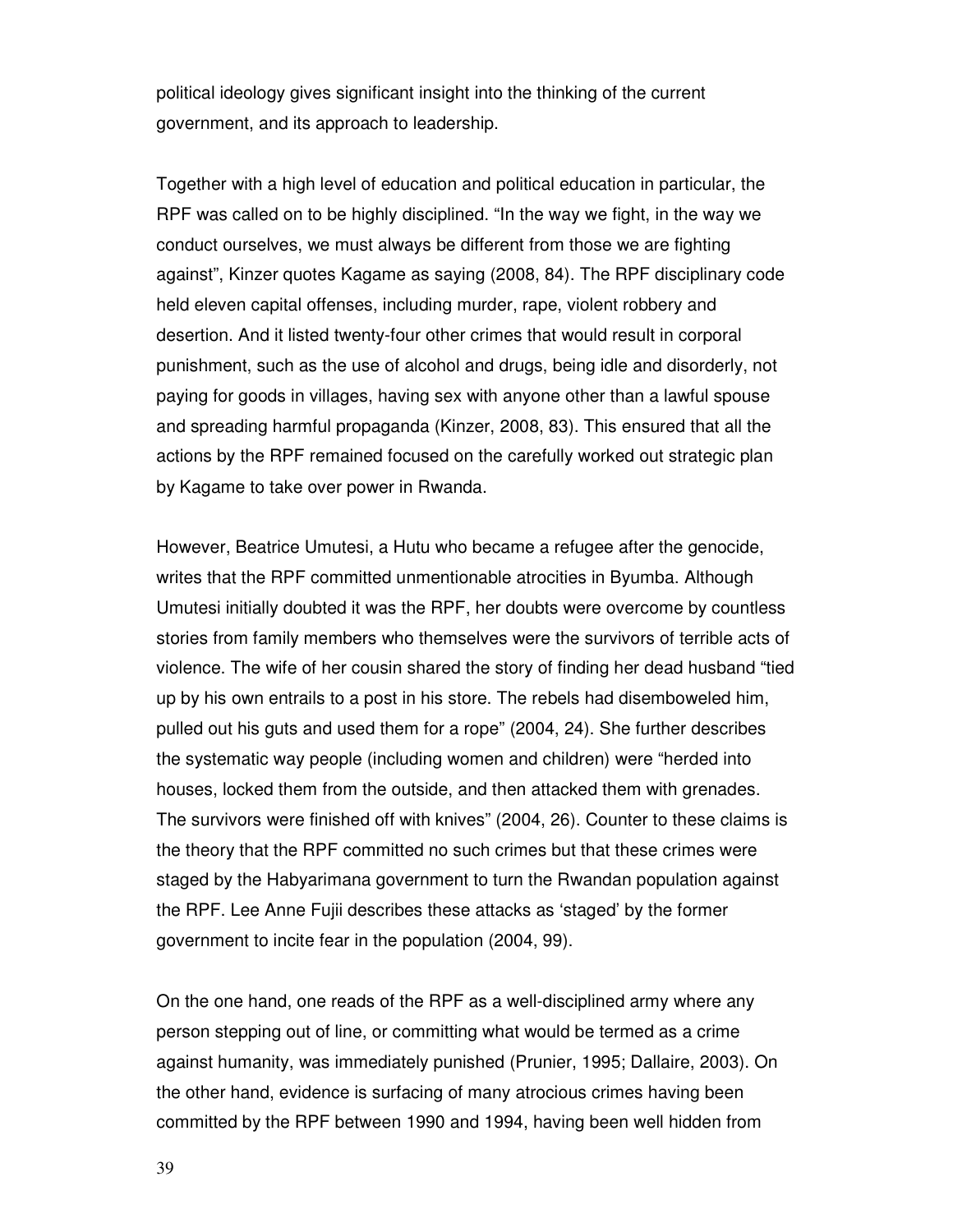political ideology gives significant insight into the thinking of the current government, and its approach to leadership.

Together with a high level of education and political education in particular, the RPF was called on to be highly disciplined. "In the way we fight, in the way we conduct ourselves, we must always be different from those we are fighting against", Kinzer quotes Kagame as saying (2008, 84). The RPF disciplinary code held eleven capital offenses, including murder, rape, violent robbery and desertion. And it listed twenty-four other crimes that would result in corporal punishment, such as the use of alcohol and drugs, being idle and disorderly, not paying for goods in villages, having sex with anyone other than a lawful spouse and spreading harmful propaganda (Kinzer, 2008, 83). This ensured that all the actions by the RPF remained focused on the carefully worked out strategic plan by Kagame to take over power in Rwanda.

However, Beatrice Umutesi, a Hutu who became a refugee after the genocide, writes that the RPF committed unmentionable atrocities in Byumba. Although Umutesi initially doubted it was the RPF, her doubts were overcome by countless stories from family members who themselves were the survivors of terrible acts of violence. The wife of her cousin shared the story of finding her dead husband "tied up by his own entrails to a post in his store. The rebels had disemboweled him, pulled out his guts and used them for a rope" (2004, 24). She further describes the systematic way people (including women and children) were "herded into houses, locked them from the outside, and then attacked them with grenades. The survivors were finished off with knives" (2004, 26). Counter to these claims is the theory that the RPF committed no such crimes but that these crimes were staged by the Habyarimana government to turn the Rwandan population against the RPF. Lee Anne Fujii describes these attacks as 'staged' by the former government to incite fear in the population (2004, 99).

On the one hand, one reads of the RPF as a well-disciplined army where any person stepping out of line, or committing what would be termed as a crime against humanity, was immediately punished (Prunier, 1995; Dallaire, 2003). On the other hand, evidence is surfacing of many atrocious crimes having been committed by the RPF between 1990 and 1994, having been well hidden from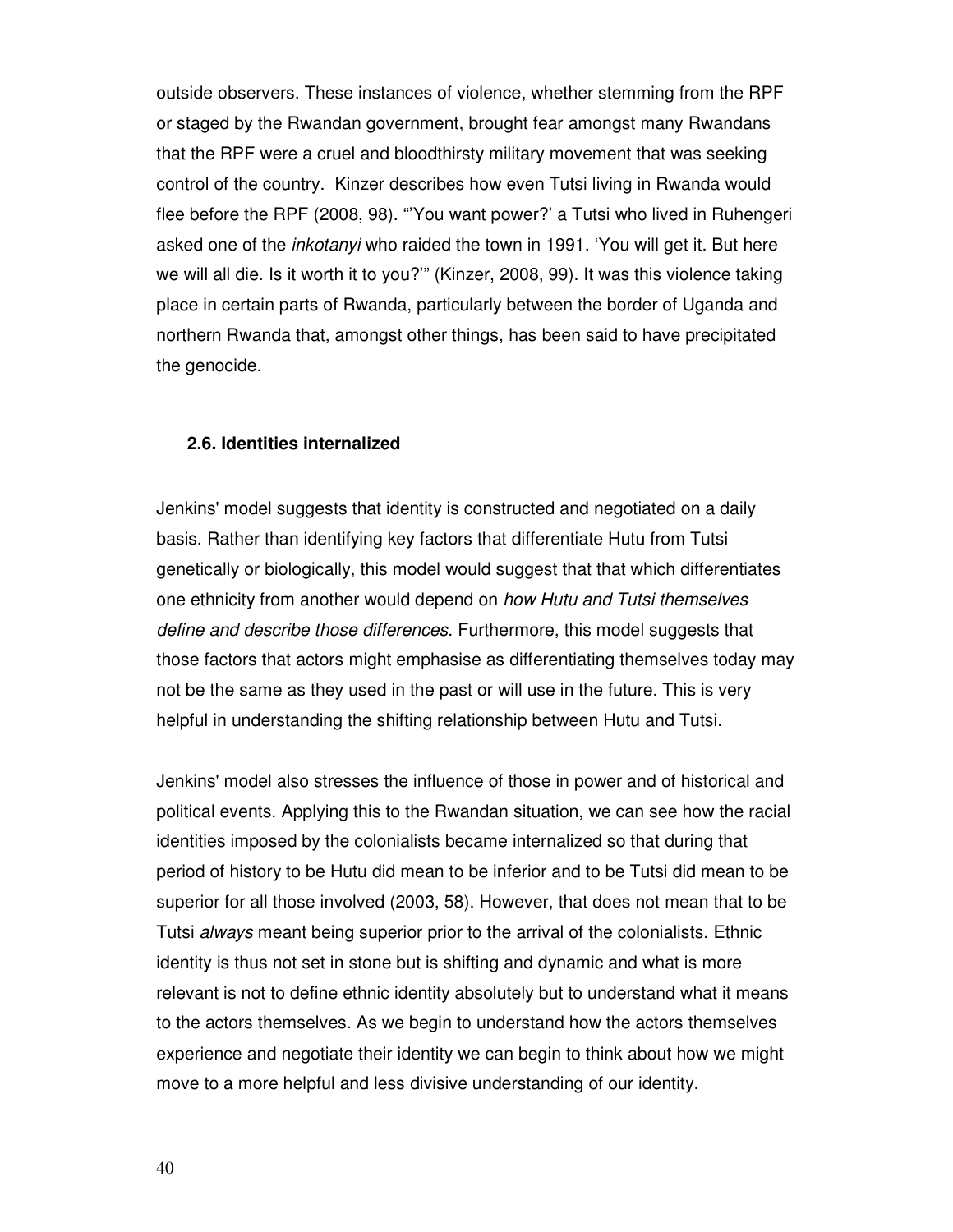outside observers. These instances of violence, whether stemming from the RPF or staged by the Rwandan government, brought fear amongst many Rwandans that the RPF were a cruel and bloodthirsty military movement that was seeking control of the country. Kinzer describes how even Tutsi living in Rwanda would flee before the RPF (2008, 98). "'You want power?' a Tutsi who lived in Ruhengeri asked one of the inkotanyi who raided the town in 1991. 'You will get it. But here we will all die. Is it worth it to you?'" (Kinzer, 2008, 99). It was this violence taking place in certain parts of Rwanda, particularly between the border of Uganda and northern Rwanda that, amongst other things, has been said to have precipitated the genocide.

#### **2.6. Identities internalized**

Jenkins' model suggests that identity is constructed and negotiated on a daily basis. Rather than identifying key factors that differentiate Hutu from Tutsi genetically or biologically, this model would suggest that that which differentiates one ethnicity from another would depend on how Hutu and Tutsi themselves define and describe those differences. Furthermore, this model suggests that those factors that actors might emphasise as differentiating themselves today may not be the same as they used in the past or will use in the future. This is very helpful in understanding the shifting relationship between Hutu and Tutsi.

Jenkins' model also stresses the influence of those in power and of historical and political events. Applying this to the Rwandan situation, we can see how the racial identities imposed by the colonialists became internalized so that during that period of history to be Hutu did mean to be inferior and to be Tutsi did mean to be superior for all those involved (2003, 58). However, that does not mean that to be Tutsi always meant being superior prior to the arrival of the colonialists. Ethnic identity is thus not set in stone but is shifting and dynamic and what is more relevant is not to define ethnic identity absolutely but to understand what it means to the actors themselves. As we begin to understand how the actors themselves experience and negotiate their identity we can begin to think about how we might move to a more helpful and less divisive understanding of our identity.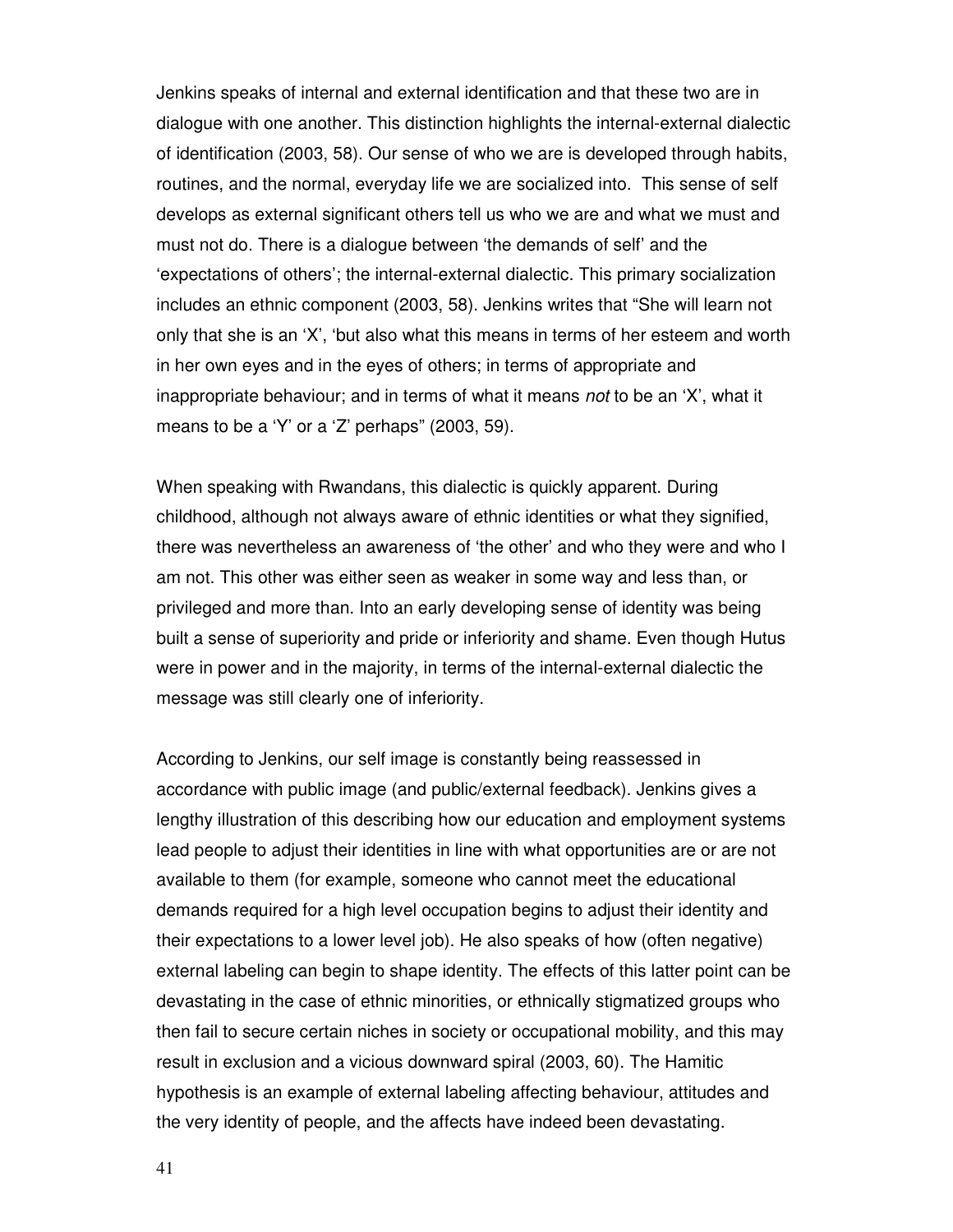Jenkins speaks of internal and external identification and that these two are in dialogue with one another. This distinction highlights the internal-external dialectic of identification (2003, 58). Our sense of who we are is developed through habits, routines, and the normal, everyday life we are socialized into. This sense of self develops as external significant others tell us who we are and what we must and must not do. There is a dialogue between 'the demands of self' and the 'expectations of others'; the internal-external dialectic. This primary socialization includes an ethnic component (2003, 58). Jenkins writes that "She will learn not only that she is an 'X', 'but also what this means in terms of her esteem and worth in her own eyes and in the eyes of others; in terms of appropriate and inappropriate behaviour; and in terms of what it means not to be an 'X', what it means to be a 'Y' or a 'Z' perhaps" (2003, 59).

When speaking with Rwandans, this dialectic is quickly apparent. During childhood, although not always aware of ethnic identities or what they signified, there was nevertheless an awareness of 'the other' and who they were and who I am not. This other was either seen as weaker in some way and less than, or privileged and more than. Into an early developing sense of identity was being built a sense of superiority and pride or inferiority and shame. Even though Hutus were in power and in the majority, in terms of the internal-external dialectic the message was still clearly one of inferiority.

According to Jenkins, our self image is constantly being reassessed in accordance with public image (and public/external feedback). Jenkins gives a lengthy illustration of this describing how our education and employment systems lead people to adjust their identities in line with what opportunities are or are not available to them (for example, someone who cannot meet the educational demands required for a high level occupation begins to adjust their identity and their expectations to a lower level job). He also speaks of how (often negative) external labeling can begin to shape identity. The effects of this latter point can be devastating in the case of ethnic minorities, or ethnically stigmatized groups who then fail to secure certain niches in society or occupational mobility, and this may result in exclusion and a vicious downward spiral (2003, 60). The Hamitic hypothesis is an example of external labeling affecting behaviour, attitudes and the very identity of people, and the affects have indeed been devastating.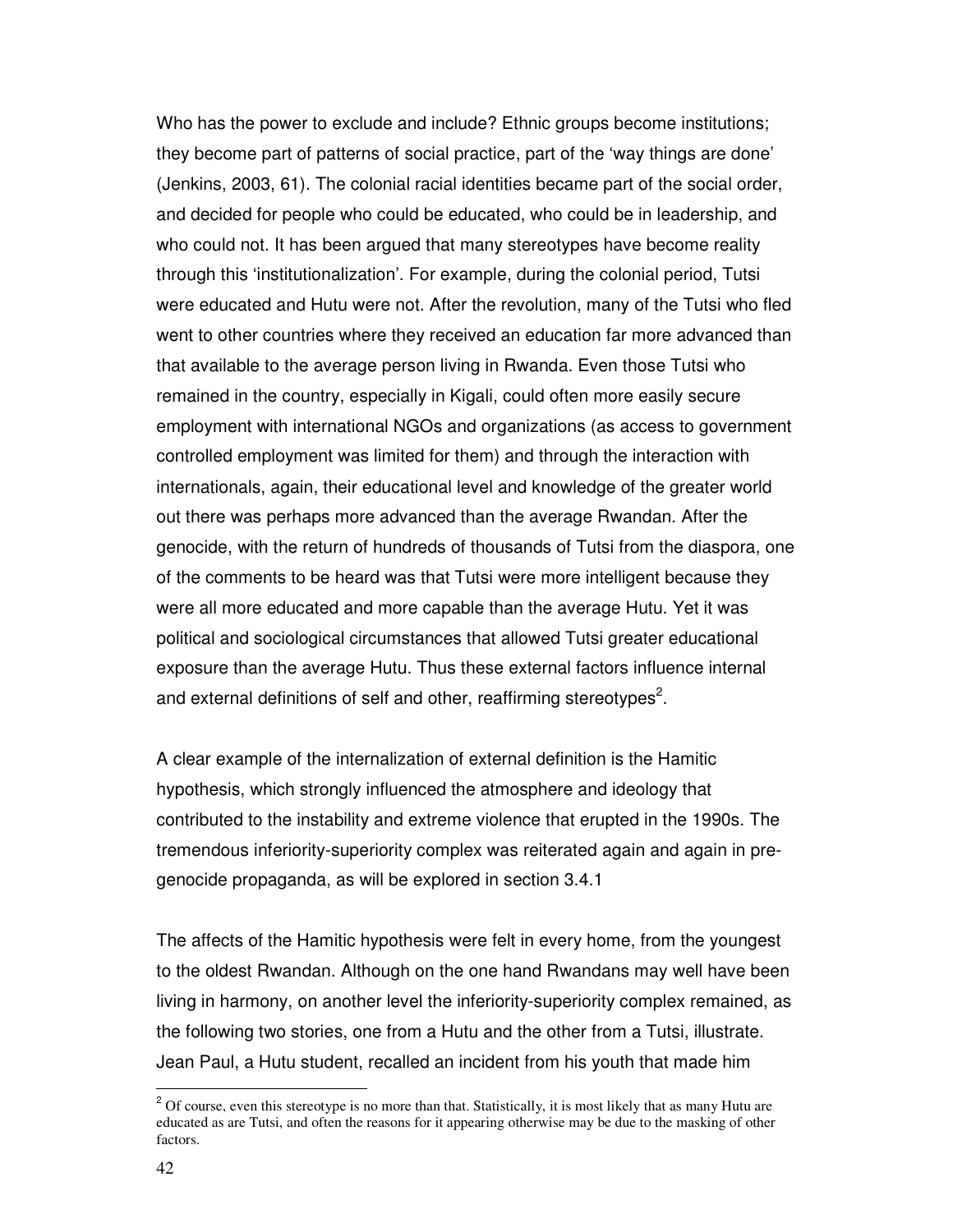Who has the power to exclude and include? Ethnic groups become institutions; they become part of patterns of social practice, part of the 'way things are done' (Jenkins, 2003, 61). The colonial racial identities became part of the social order, and decided for people who could be educated, who could be in leadership, and who could not. It has been argued that many stereotypes have become reality through this 'institutionalization'. For example, during the colonial period, Tutsi were educated and Hutu were not. After the revolution, many of the Tutsi who fled went to other countries where they received an education far more advanced than that available to the average person living in Rwanda. Even those Tutsi who remained in the country, especially in Kigali, could often more easily secure employment with international NGOs and organizations (as access to government controlled employment was limited for them) and through the interaction with internationals, again, their educational level and knowledge of the greater world out there was perhaps more advanced than the average Rwandan. After the genocide, with the return of hundreds of thousands of Tutsi from the diaspora, one of the comments to be heard was that Tutsi were more intelligent because they were all more educated and more capable than the average Hutu. Yet it was political and sociological circumstances that allowed Tutsi greater educational exposure than the average Hutu. Thus these external factors influence internal and external definitions of self and other, reaffirming stereotypes<sup>2</sup>.

A clear example of the internalization of external definition is the Hamitic hypothesis, which strongly influenced the atmosphere and ideology that contributed to the instability and extreme violence that erupted in the 1990s. The tremendous inferiority-superiority complex was reiterated again and again in pregenocide propaganda, as will be explored in section 3.4.1

The affects of the Hamitic hypothesis were felt in every home, from the youngest to the oldest Rwandan. Although on the one hand Rwandans may well have been living in harmony, on another level the inferiority-superiority complex remained, as the following two stories, one from a Hutu and the other from a Tutsi, illustrate. Jean Paul, a Hutu student, recalled an incident from his youth that made him

<sup>&</sup>lt;sup>2</sup> Of course, even this stereotype is no more than that. Statistically, it is most likely that as many Hutu are educated as are Tutsi, and often the reasons for it appearing otherwise may be due to the masking of other factors.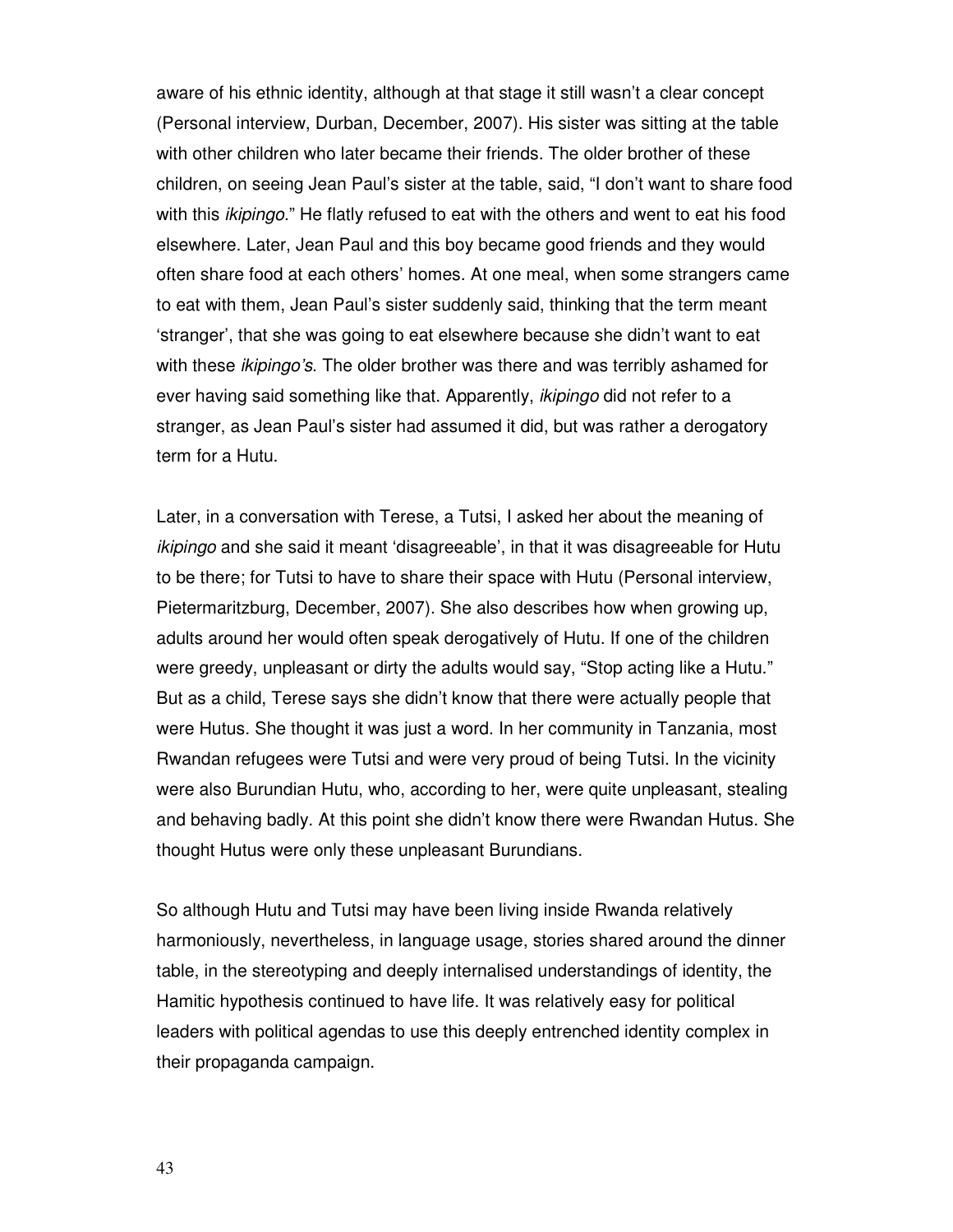aware of his ethnic identity, although at that stage it still wasn't a clear concept (Personal interview, Durban, December, 2007). His sister was sitting at the table with other children who later became their friends. The older brother of these children, on seeing Jean Paul's sister at the table, said, "I don't want to share food with this *ikipingo*." He flatly refused to eat with the others and went to eat his food elsewhere. Later, Jean Paul and this boy became good friends and they would often share food at each others' homes. At one meal, when some strangers came to eat with them, Jean Paul's sister suddenly said, thinking that the term meant 'stranger', that she was going to eat elsewhere because she didn't want to eat with these *ikipingo's*. The older brother was there and was terribly ashamed for ever having said something like that. Apparently, *ikipingo* did not refer to a stranger, as Jean Paul's sister had assumed it did, but was rather a derogatory term for a Hutu.

Later, in a conversation with Terese, a Tutsi, I asked her about the meaning of ikipingo and she said it meant 'disagreeable', in that it was disagreeable for Hutu to be there; for Tutsi to have to share their space with Hutu (Personal interview, Pietermaritzburg, December, 2007). She also describes how when growing up, adults around her would often speak derogatively of Hutu. If one of the children were greedy, unpleasant or dirty the adults would say, "Stop acting like a Hutu." But as a child, Terese says she didn't know that there were actually people that were Hutus. She thought it was just a word. In her community in Tanzania, most Rwandan refugees were Tutsi and were very proud of being Tutsi. In the vicinity were also Burundian Hutu, who, according to her, were quite unpleasant, stealing and behaving badly. At this point she didn't know there were Rwandan Hutus. She thought Hutus were only these unpleasant Burundians.

So although Hutu and Tutsi may have been living inside Rwanda relatively harmoniously, nevertheless, in language usage, stories shared around the dinner table, in the stereotyping and deeply internalised understandings of identity, the Hamitic hypothesis continued to have life. It was relatively easy for political leaders with political agendas to use this deeply entrenched identity complex in their propaganda campaign.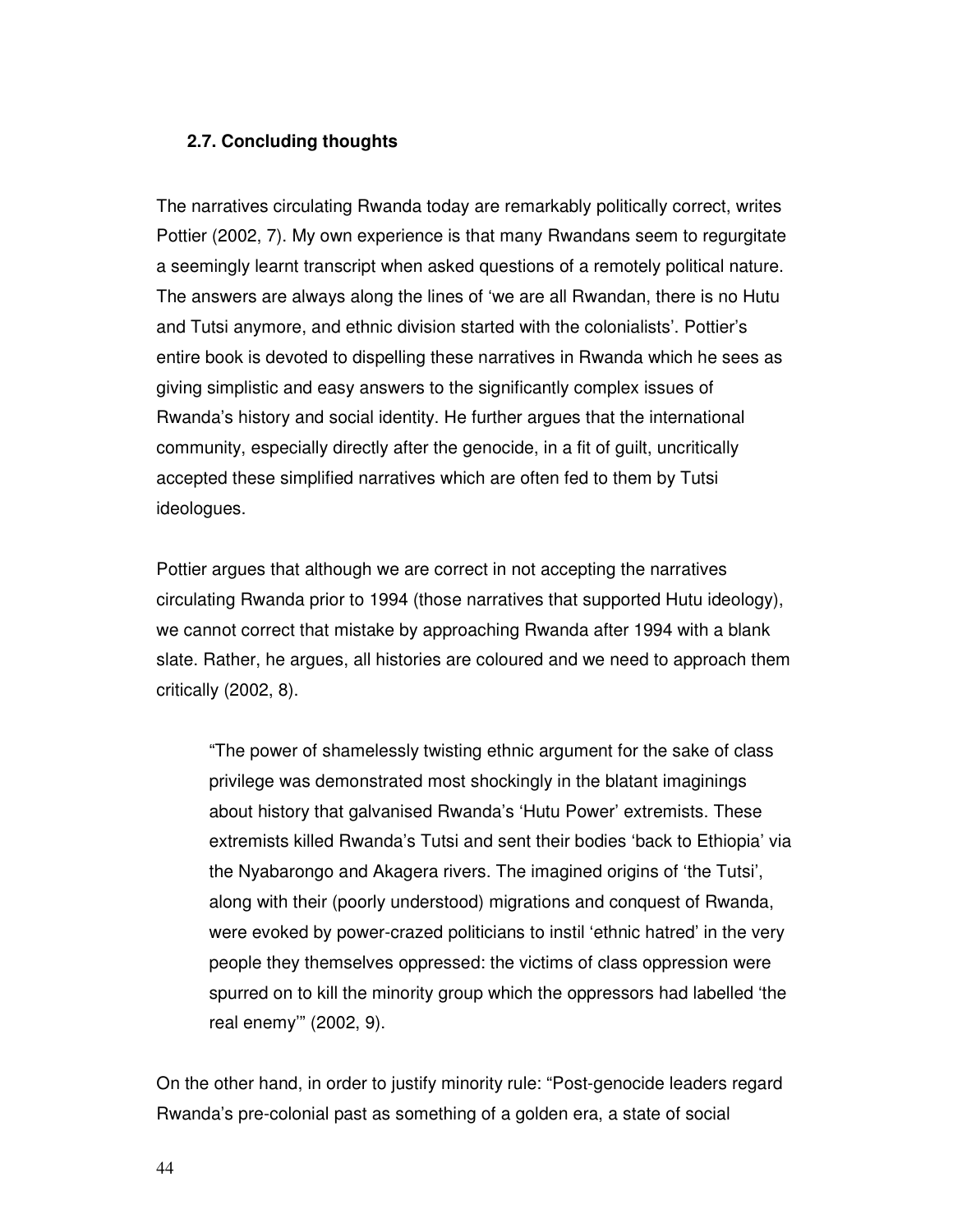# **2.7. Concluding thoughts**

The narratives circulating Rwanda today are remarkably politically correct, writes Pottier (2002, 7). My own experience is that many Rwandans seem to regurgitate a seemingly learnt transcript when asked questions of a remotely political nature. The answers are always along the lines of 'we are all Rwandan, there is no Hutu and Tutsi anymore, and ethnic division started with the colonialists'. Pottier's entire book is devoted to dispelling these narratives in Rwanda which he sees as giving simplistic and easy answers to the significantly complex issues of Rwanda's history and social identity. He further argues that the international community, especially directly after the genocide, in a fit of guilt, uncritically accepted these simplified narratives which are often fed to them by Tutsi ideologues.

Pottier argues that although we are correct in not accepting the narratives circulating Rwanda prior to 1994 (those narratives that supported Hutu ideology), we cannot correct that mistake by approaching Rwanda after 1994 with a blank slate. Rather, he argues, all histories are coloured and we need to approach them critically (2002, 8).

"The power of shamelessly twisting ethnic argument for the sake of class privilege was demonstrated most shockingly in the blatant imaginings about history that galvanised Rwanda's 'Hutu Power' extremists. These extremists killed Rwanda's Tutsi and sent their bodies 'back to Ethiopia' via the Nyabarongo and Akagera rivers. The imagined origins of 'the Tutsi', along with their (poorly understood) migrations and conquest of Rwanda, were evoked by power-crazed politicians to instil 'ethnic hatred' in the very people they themselves oppressed: the victims of class oppression were spurred on to kill the minority group which the oppressors had labelled 'the real enemy'" (2002, 9).

On the other hand, in order to justify minority rule: "Post-genocide leaders regard Rwanda's pre-colonial past as something of a golden era, a state of social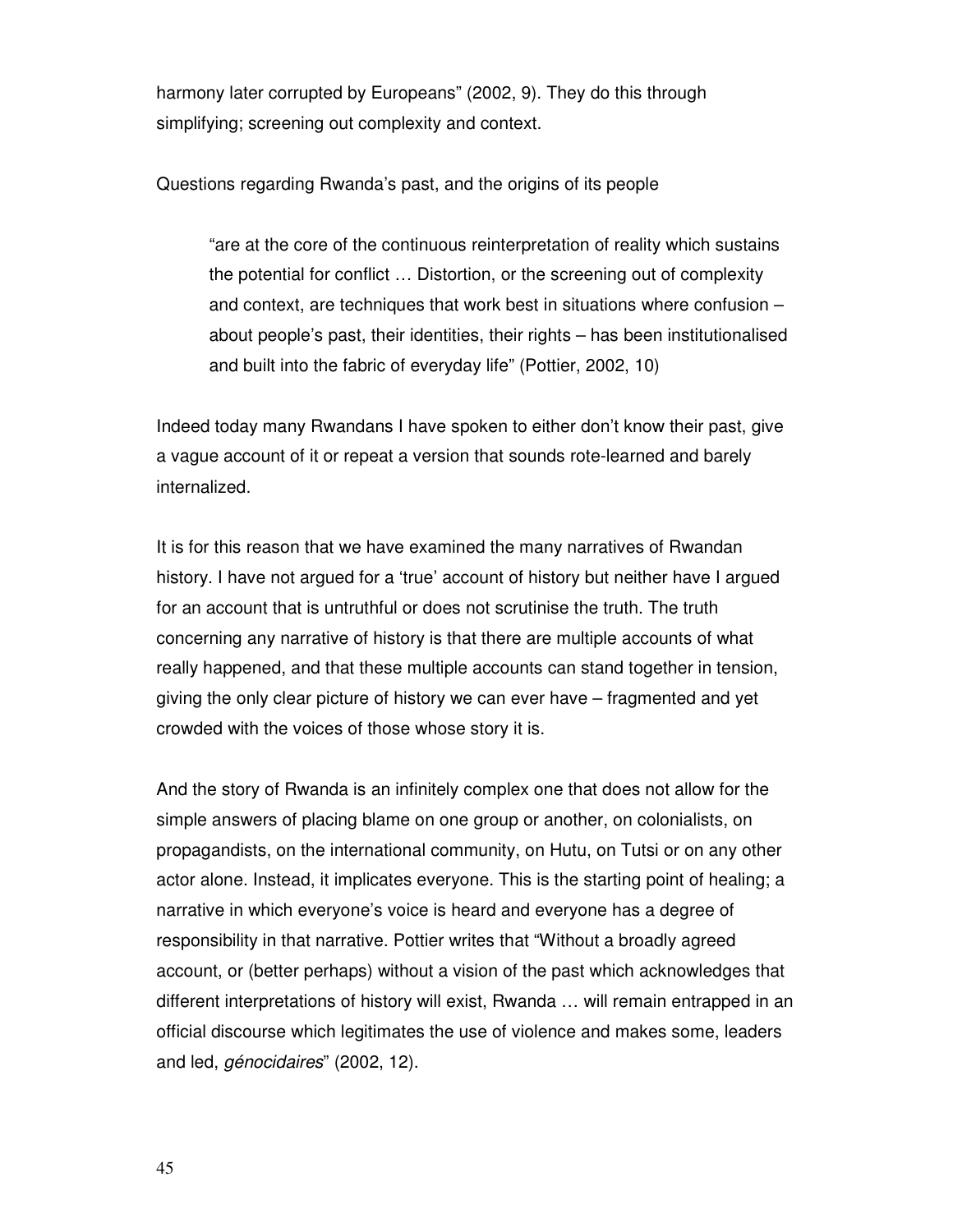harmony later corrupted by Europeans" (2002, 9). They do this through simplifying; screening out complexity and context.

Questions regarding Rwanda's past, and the origins of its people

"are at the core of the continuous reinterpretation of reality which sustains the potential for conflict … Distortion, or the screening out of complexity and context, are techniques that work best in situations where confusion – about people's past, their identities, their rights – has been institutionalised and built into the fabric of everyday life" (Pottier, 2002, 10)

Indeed today many Rwandans I have spoken to either don't know their past, give a vague account of it or repeat a version that sounds rote-learned and barely internalized.

It is for this reason that we have examined the many narratives of Rwandan history. I have not argued for a 'true' account of history but neither have I argued for an account that is untruthful or does not scrutinise the truth. The truth concerning any narrative of history is that there are multiple accounts of what really happened, and that these multiple accounts can stand together in tension, giving the only clear picture of history we can ever have – fragmented and yet crowded with the voices of those whose story it is.

And the story of Rwanda is an infinitely complex one that does not allow for the simple answers of placing blame on one group or another, on colonialists, on propagandists, on the international community, on Hutu, on Tutsi or on any other actor alone. Instead, it implicates everyone. This is the starting point of healing; a narrative in which everyone's voice is heard and everyone has a degree of responsibility in that narrative. Pottier writes that "Without a broadly agreed account, or (better perhaps) without a vision of the past which acknowledges that different interpretations of history will exist, Rwanda … will remain entrapped in an official discourse which legitimates the use of violence and makes some, leaders and led, génocidaires" (2002, 12).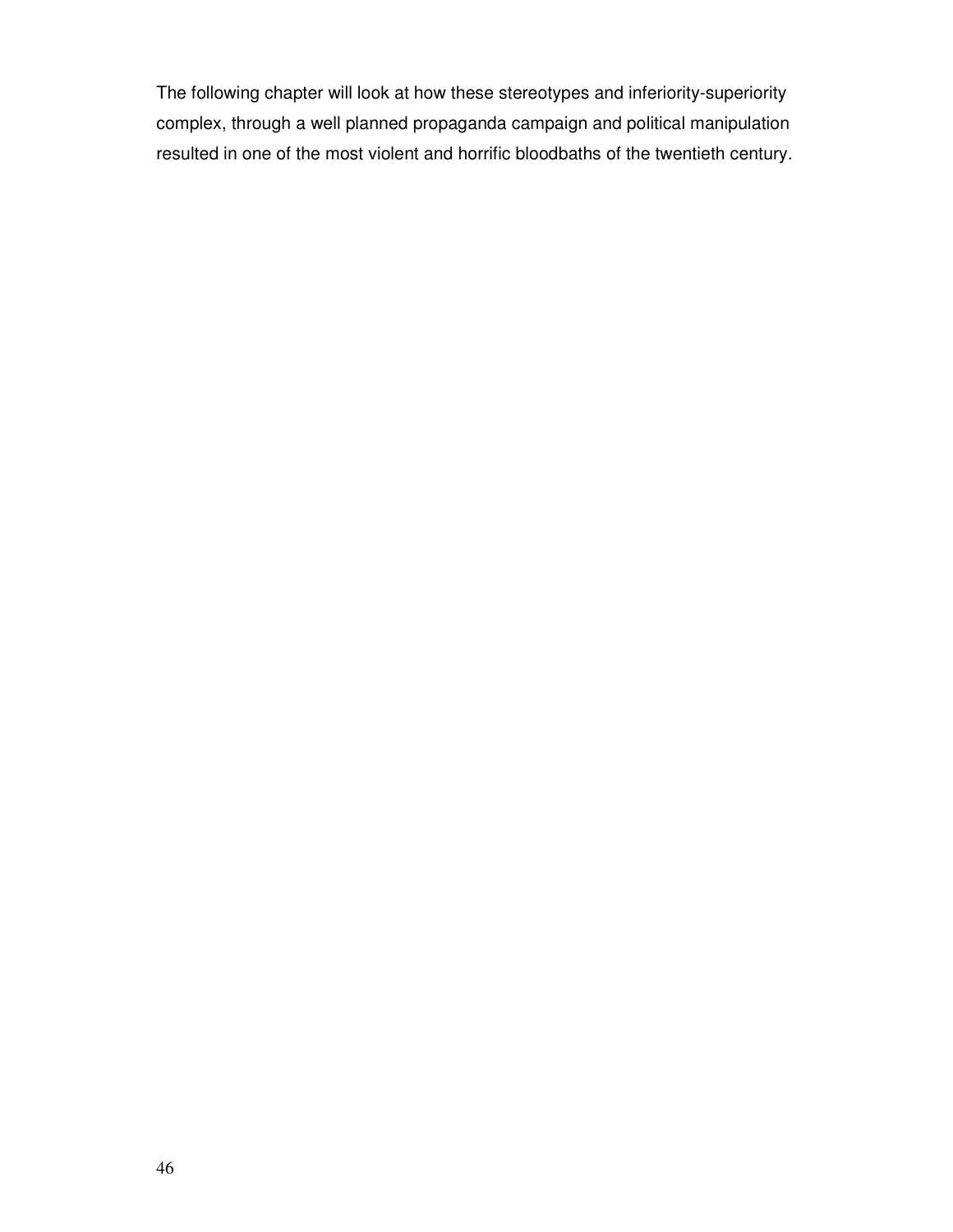The following chapter will look at how these stereotypes and inferiority-superiority complex, through a well planned propaganda campaign and political manipulation resulted in one of the most violent and horrific bloodbaths of the twentieth century.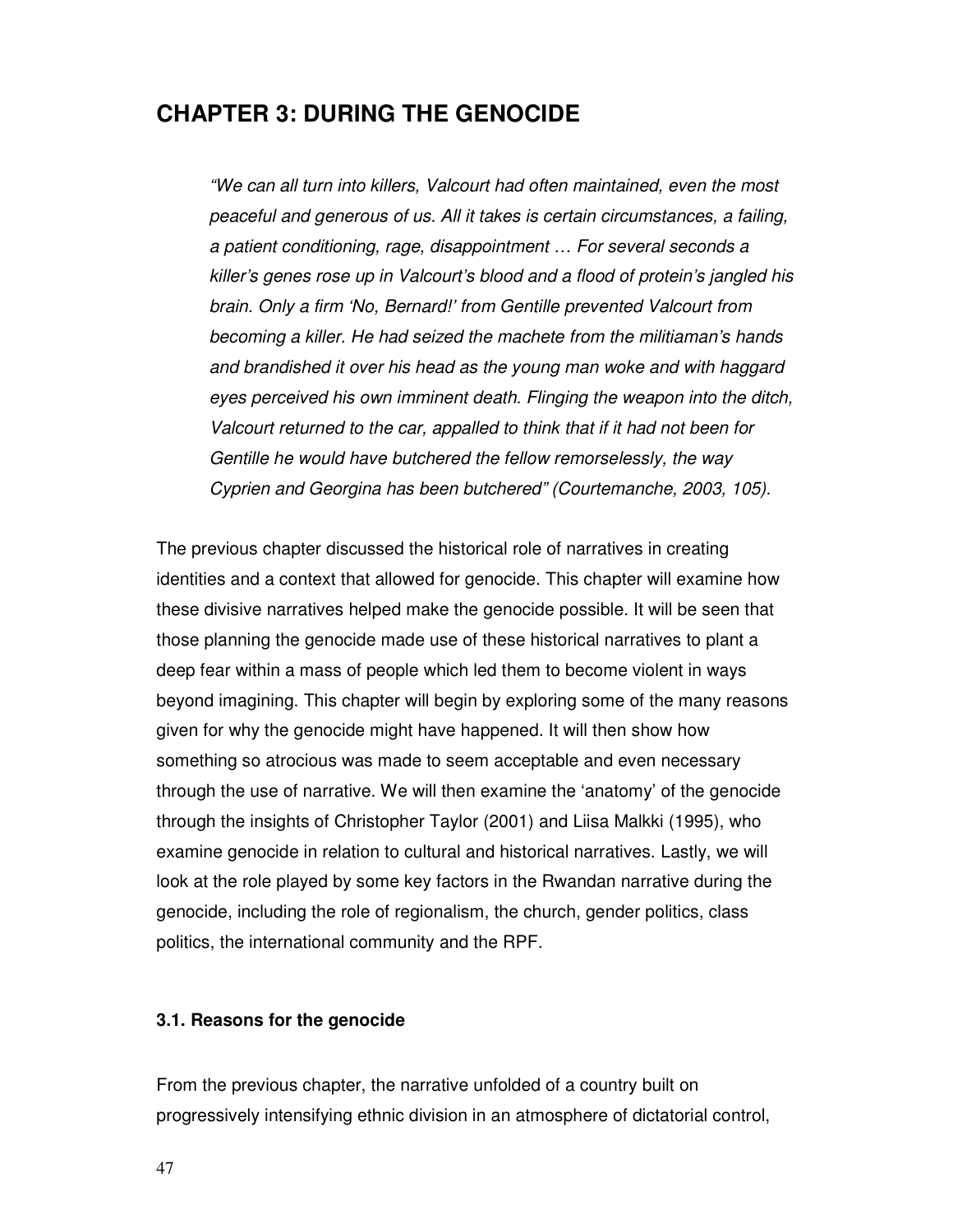# **CHAPTER 3: DURING THE GENOCIDE**

"We can all turn into killers, Valcourt had often maintained, even the most peaceful and generous of us. All it takes is certain circumstances, a failing, a patient conditioning, rage, disappointment … For several seconds a killer's genes rose up in Valcourt's blood and a flood of protein's jangled his brain. Only a firm 'No, Bernard!' from Gentille prevented Valcourt from becoming a killer. He had seized the machete from the militiaman's hands and brandished it over his head as the young man woke and with haggard eyes perceived his own imminent death. Flinging the weapon into the ditch, Valcourt returned to the car, appalled to think that if it had not been for Gentille he would have butchered the fellow remorselessly, the way Cyprien and Georgina has been butchered" (Courtemanche, 2003, 105).

The previous chapter discussed the historical role of narratives in creating identities and a context that allowed for genocide. This chapter will examine how these divisive narratives helped make the genocide possible. It will be seen that those planning the genocide made use of these historical narratives to plant a deep fear within a mass of people which led them to become violent in ways beyond imagining. This chapter will begin by exploring some of the many reasons given for why the genocide might have happened. It will then show how something so atrocious was made to seem acceptable and even necessary through the use of narrative. We will then examine the 'anatomy' of the genocide through the insights of Christopher Taylor (2001) and Liisa Malkki (1995), who examine genocide in relation to cultural and historical narratives. Lastly, we will look at the role played by some key factors in the Rwandan narrative during the genocide, including the role of regionalism, the church, gender politics, class politics, the international community and the RPF.

#### **3.1. Reasons for the genocide**

From the previous chapter, the narrative unfolded of a country built on progressively intensifying ethnic division in an atmosphere of dictatorial control,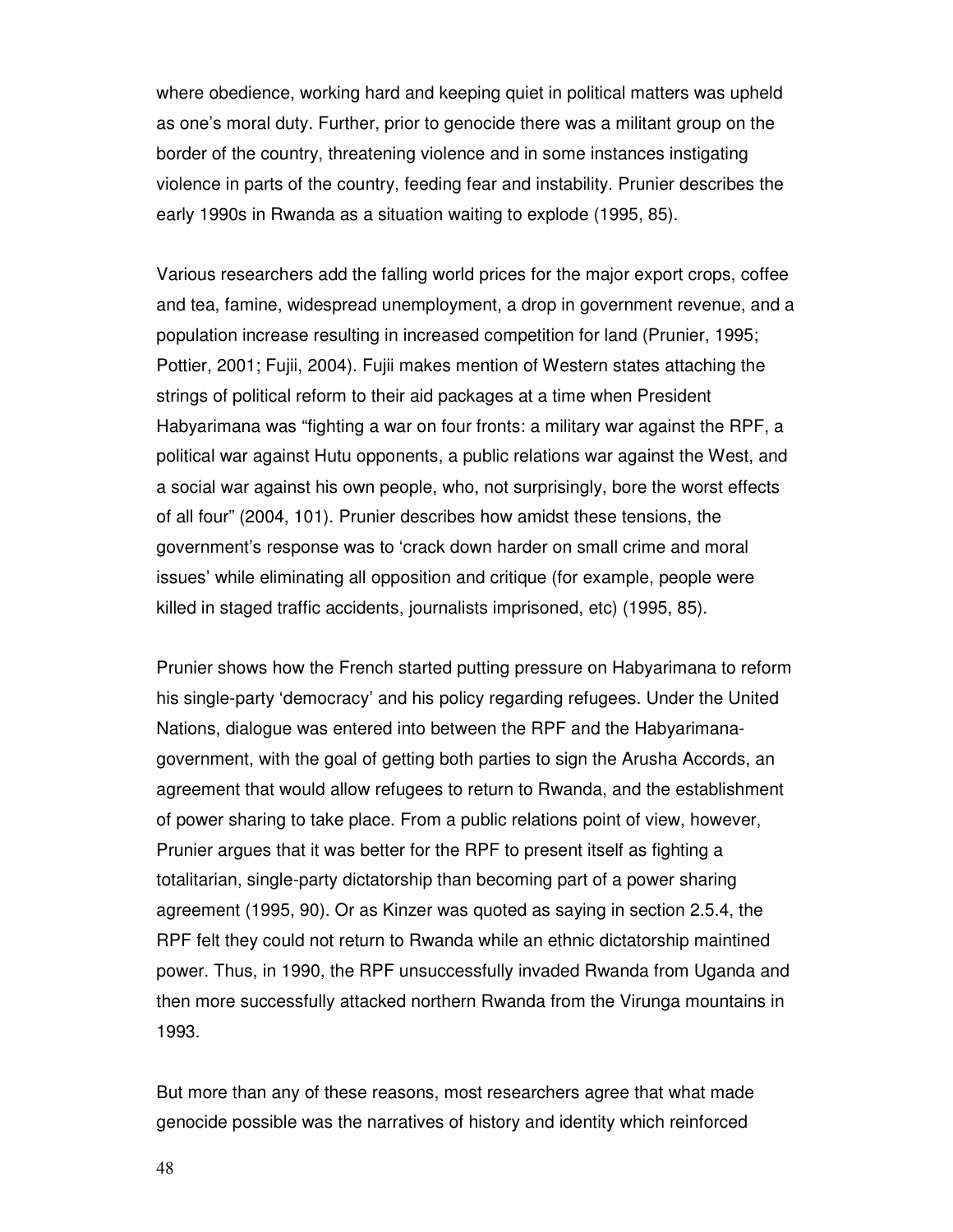where obedience, working hard and keeping quiet in political matters was upheld as one's moral duty. Further, prior to genocide there was a militant group on the border of the country, threatening violence and in some instances instigating violence in parts of the country, feeding fear and instability. Prunier describes the early 1990s in Rwanda as a situation waiting to explode (1995, 85).

Various researchers add the falling world prices for the major export crops, coffee and tea, famine, widespread unemployment, a drop in government revenue, and a population increase resulting in increased competition for land (Prunier, 1995; Pottier, 2001; Fujii, 2004). Fujii makes mention of Western states attaching the strings of political reform to their aid packages at a time when President Habyarimana was "fighting a war on four fronts: a military war against the RPF, a political war against Hutu opponents, a public relations war against the West, and a social war against his own people, who, not surprisingly, bore the worst effects of all four" (2004, 101). Prunier describes how amidst these tensions, the government's response was to 'crack down harder on small crime and moral issues' while eliminating all opposition and critique (for example, people were killed in staged traffic accidents, journalists imprisoned, etc) (1995, 85).

Prunier shows how the French started putting pressure on Habyarimana to reform his single-party 'democracy' and his policy regarding refugees. Under the United Nations, dialogue was entered into between the RPF and the Habyarimanagovernment, with the goal of getting both parties to sign the Arusha Accords, an agreement that would allow refugees to return to Rwanda, and the establishment of power sharing to take place. From a public relations point of view, however, Prunier argues that it was better for the RPF to present itself as fighting a totalitarian, single-party dictatorship than becoming part of a power sharing agreement (1995, 90). Or as Kinzer was quoted as saying in section 2.5.4, the RPF felt they could not return to Rwanda while an ethnic dictatorship maintined power. Thus, in 1990, the RPF unsuccessfully invaded Rwanda from Uganda and then more successfully attacked northern Rwanda from the Virunga mountains in 1993.

But more than any of these reasons, most researchers agree that what made genocide possible was the narratives of history and identity which reinforced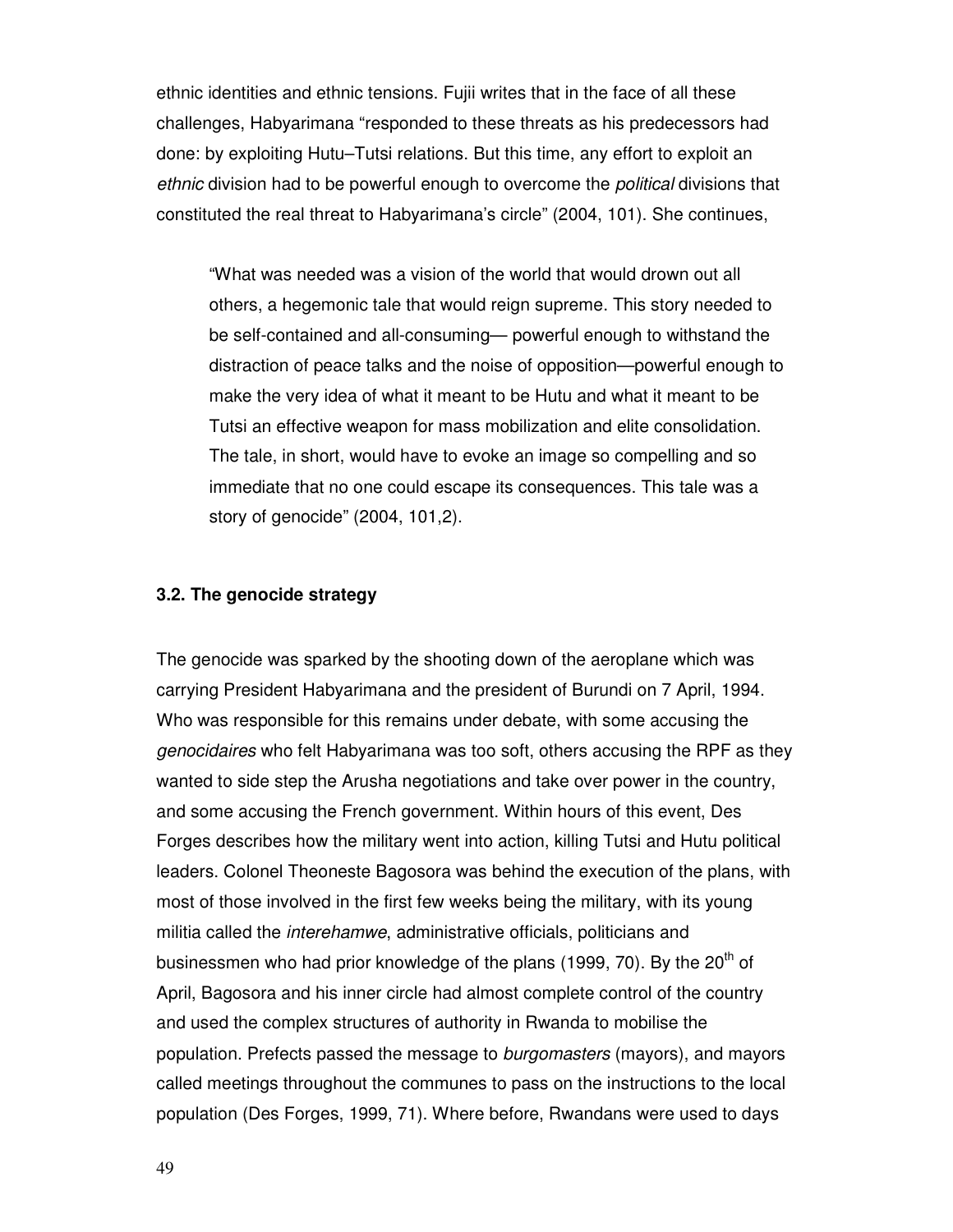ethnic identities and ethnic tensions. Fujii writes that in the face of all these challenges, Habyarimana "responded to these threats as his predecessors had done: by exploiting Hutu–Tutsi relations. But this time, any effort to exploit an ethnic division had to be powerful enough to overcome the political divisions that constituted the real threat to Habyarimana's circle" (2004, 101). She continues,

"What was needed was a vision of the world that would drown out all others, a hegemonic tale that would reign supreme. This story needed to be self-contained and all-consuming— powerful enough to withstand the distraction of peace talks and the noise of opposition—powerful enough to make the very idea of what it meant to be Hutu and what it meant to be Tutsi an effective weapon for mass mobilization and elite consolidation. The tale, in short, would have to evoke an image so compelling and so immediate that no one could escape its consequences. This tale was a story of genocide" (2004, 101,2).

#### **3.2. The genocide strategy**

The genocide was sparked by the shooting down of the aeroplane which was carrying President Habyarimana and the president of Burundi on 7 April, 1994. Who was responsible for this remains under debate, with some accusing the genocidaires who felt Habyarimana was too soft, others accusing the RPF as they wanted to side step the Arusha negotiations and take over power in the country, and some accusing the French government. Within hours of this event, Des Forges describes how the military went into action, killing Tutsi and Hutu political leaders. Colonel Theoneste Bagosora was behind the execution of the plans, with most of those involved in the first few weeks being the military, with its young militia called the interehamwe, administrative officials, politicians and businessmen who had prior knowledge of the plans (1999, 70). By the  $20<sup>th</sup>$  of April, Bagosora and his inner circle had almost complete control of the country and used the complex structures of authority in Rwanda to mobilise the population. Prefects passed the message to burgomasters (mayors), and mayors called meetings throughout the communes to pass on the instructions to the local population (Des Forges, 1999, 71). Where before, Rwandans were used to days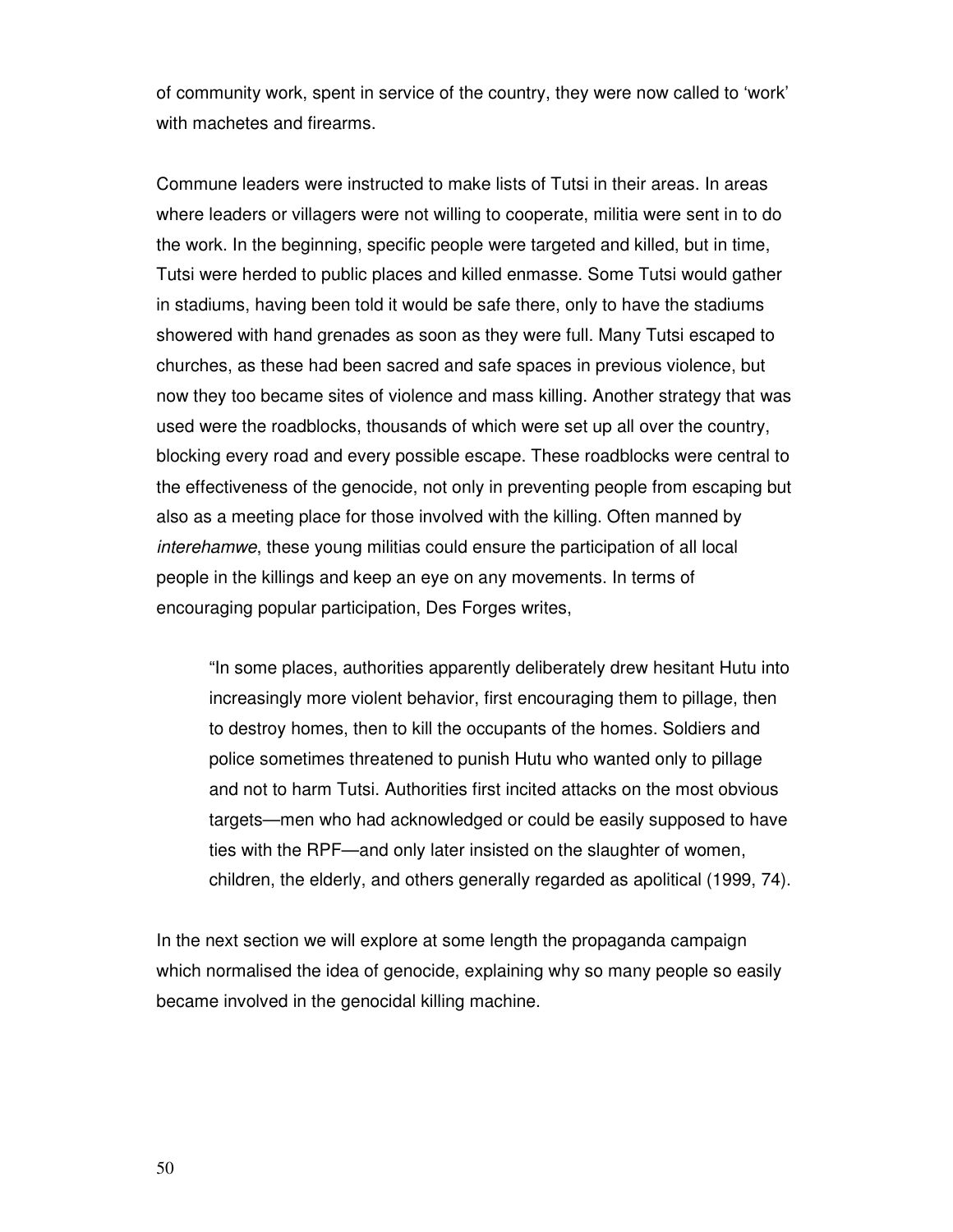of community work, spent in service of the country, they were now called to 'work' with machetes and firearms.

Commune leaders were instructed to make lists of Tutsi in their areas. In areas where leaders or villagers were not willing to cooperate, militia were sent in to do the work. In the beginning, specific people were targeted and killed, but in time, Tutsi were herded to public places and killed enmasse. Some Tutsi would gather in stadiums, having been told it would be safe there, only to have the stadiums showered with hand grenades as soon as they were full. Many Tutsi escaped to churches, as these had been sacred and safe spaces in previous violence, but now they too became sites of violence and mass killing. Another strategy that was used were the roadblocks, thousands of which were set up all over the country, blocking every road and every possible escape. These roadblocks were central to the effectiveness of the genocide, not only in preventing people from escaping but also as a meeting place for those involved with the killing. Often manned by interehamwe, these young militias could ensure the participation of all local people in the killings and keep an eye on any movements. In terms of encouraging popular participation, Des Forges writes,

"In some places, authorities apparently deliberately drew hesitant Hutu into increasingly more violent behavior, first encouraging them to pillage, then to destroy homes, then to kill the occupants of the homes. Soldiers and police sometimes threatened to punish Hutu who wanted only to pillage and not to harm Tutsi. Authorities first incited attacks on the most obvious targets—men who had acknowledged or could be easily supposed to have ties with the RPF—and only later insisted on the slaughter of women, children, the elderly, and others generally regarded as apolitical (1999, 74).

In the next section we will explore at some length the propaganda campaign which normalised the idea of genocide, explaining why so many people so easily became involved in the genocidal killing machine.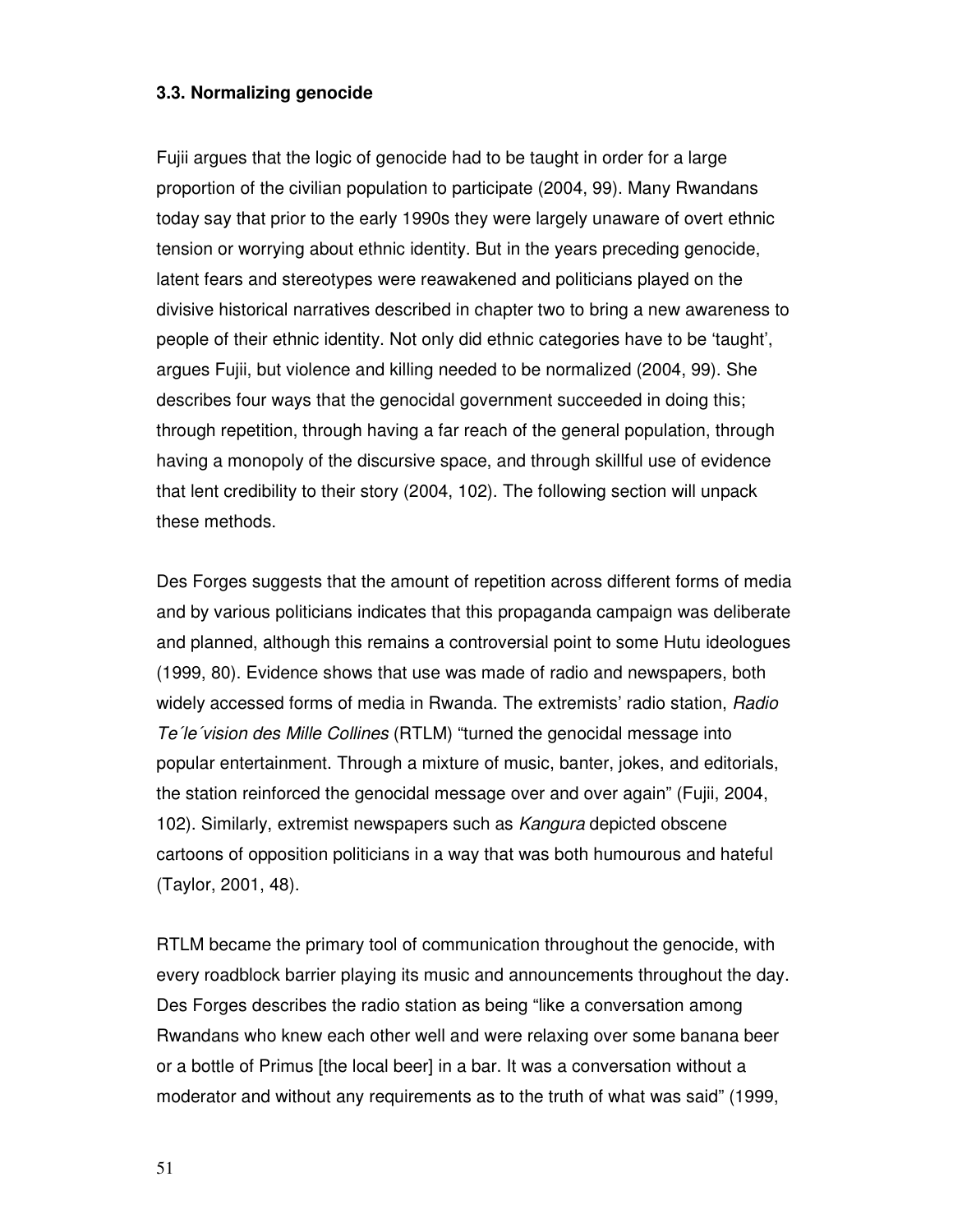# **3.3. Normalizing genocide**

Fujii argues that the logic of genocide had to be taught in order for a large proportion of the civilian population to participate (2004, 99). Many Rwandans today say that prior to the early 1990s they were largely unaware of overt ethnic tension or worrying about ethnic identity. But in the years preceding genocide, latent fears and stereotypes were reawakened and politicians played on the divisive historical narratives described in chapter two to bring a new awareness to people of their ethnic identity. Not only did ethnic categories have to be 'taught', argues Fujii, but violence and killing needed to be normalized (2004, 99). She describes four ways that the genocidal government succeeded in doing this; through repetition, through having a far reach of the general population, through having a monopoly of the discursive space, and through skillful use of evidence that lent credibility to their story (2004, 102). The following section will unpack these methods.

Des Forges suggests that the amount of repetition across different forms of media and by various politicians indicates that this propaganda campaign was deliberate and planned, although this remains a controversial point to some Hutu ideologues (1999, 80). Evidence shows that use was made of radio and newspapers, both widely accessed forms of media in Rwanda. The extremists' radio station, Radio Te´le´vision des Mille Collines (RTLM) "turned the genocidal message into popular entertainment. Through a mixture of music, banter, jokes, and editorials, the station reinforced the genocidal message over and over again" (Fujii, 2004, 102). Similarly, extremist newspapers such as Kangura depicted obscene cartoons of opposition politicians in a way that was both humourous and hateful (Taylor, 2001, 48).

RTLM became the primary tool of communication throughout the genocide, with every roadblock barrier playing its music and announcements throughout the day. Des Forges describes the radio station as being "like a conversation among Rwandans who knew each other well and were relaxing over some banana beer or a bottle of Primus [the local beer] in a bar. It was a conversation without a moderator and without any requirements as to the truth of what was said" (1999,

51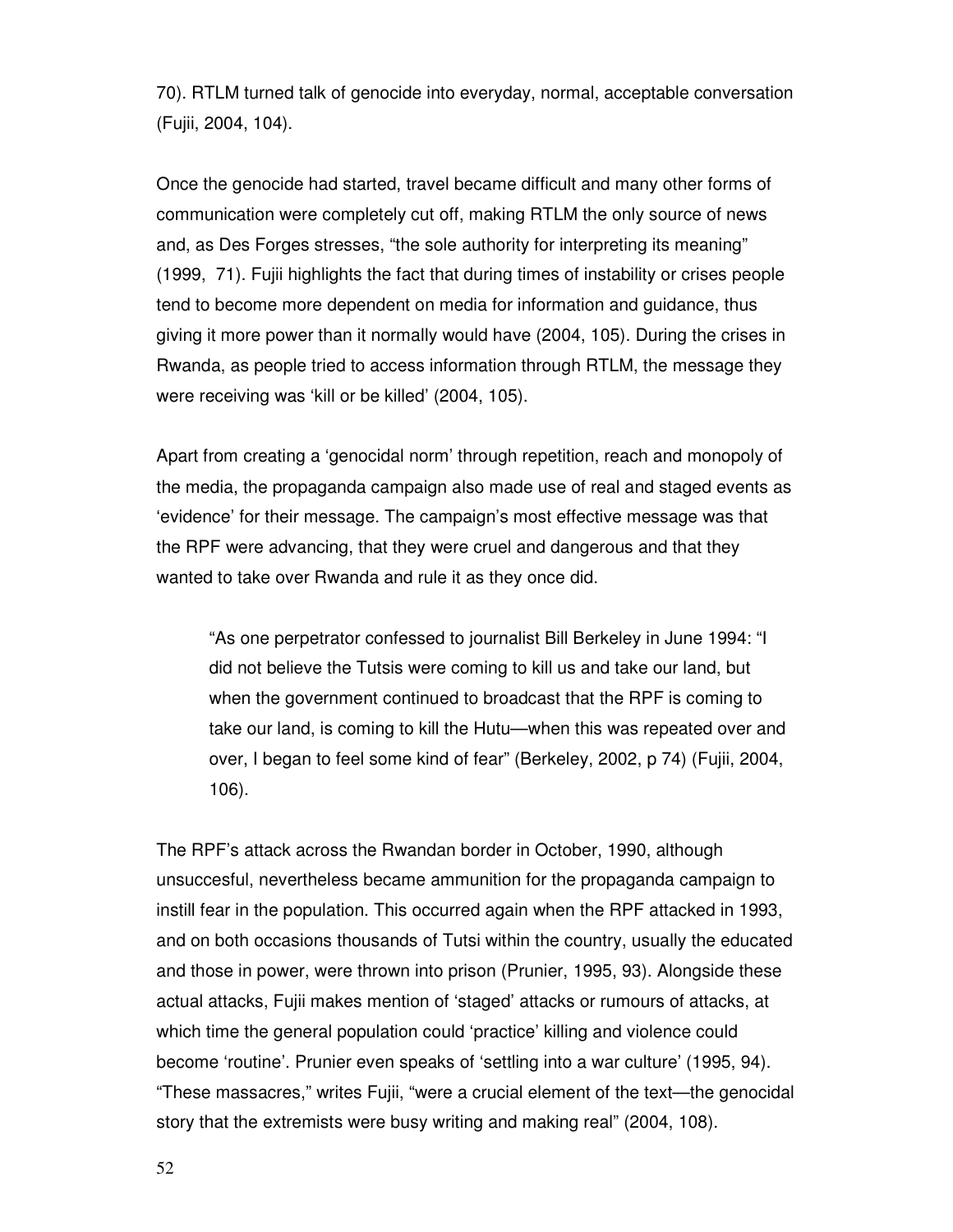70). RTLM turned talk of genocide into everyday, normal, acceptable conversation (Fujii, 2004, 104).

Once the genocide had started, travel became difficult and many other forms of communication were completely cut off, making RTLM the only source of news and, as Des Forges stresses, "the sole authority for interpreting its meaning" (1999, 71). Fujii highlights the fact that during times of instability or crises people tend to become more dependent on media for information and guidance, thus giving it more power than it normally would have (2004, 105). During the crises in Rwanda, as people tried to access information through RTLM, the message they were receiving was 'kill or be killed' (2004, 105).

Apart from creating a 'genocidal norm' through repetition, reach and monopoly of the media, the propaganda campaign also made use of real and staged events as 'evidence' for their message. The campaign's most effective message was that the RPF were advancing, that they were cruel and dangerous and that they wanted to take over Rwanda and rule it as they once did.

"As one perpetrator confessed to journalist Bill Berkeley in June 1994: "I did not believe the Tutsis were coming to kill us and take our land, but when the government continued to broadcast that the RPF is coming to take our land, is coming to kill the Hutu—when this was repeated over and over, I began to feel some kind of fear" (Berkeley, 2002, p 74) (Fujii, 2004, 106).

The RPF's attack across the Rwandan border in October, 1990, although unsuccesful, nevertheless became ammunition for the propaganda campaign to instill fear in the population. This occurred again when the RPF attacked in 1993, and on both occasions thousands of Tutsi within the country, usually the educated and those in power, were thrown into prison (Prunier, 1995, 93). Alongside these actual attacks, Fujii makes mention of 'staged' attacks or rumours of attacks, at which time the general population could 'practice' killing and violence could become 'routine'. Prunier even speaks of 'settling into a war culture' (1995, 94). "These massacres," writes Fujii, "were a crucial element of the text—the genocidal story that the extremists were busy writing and making real" (2004, 108).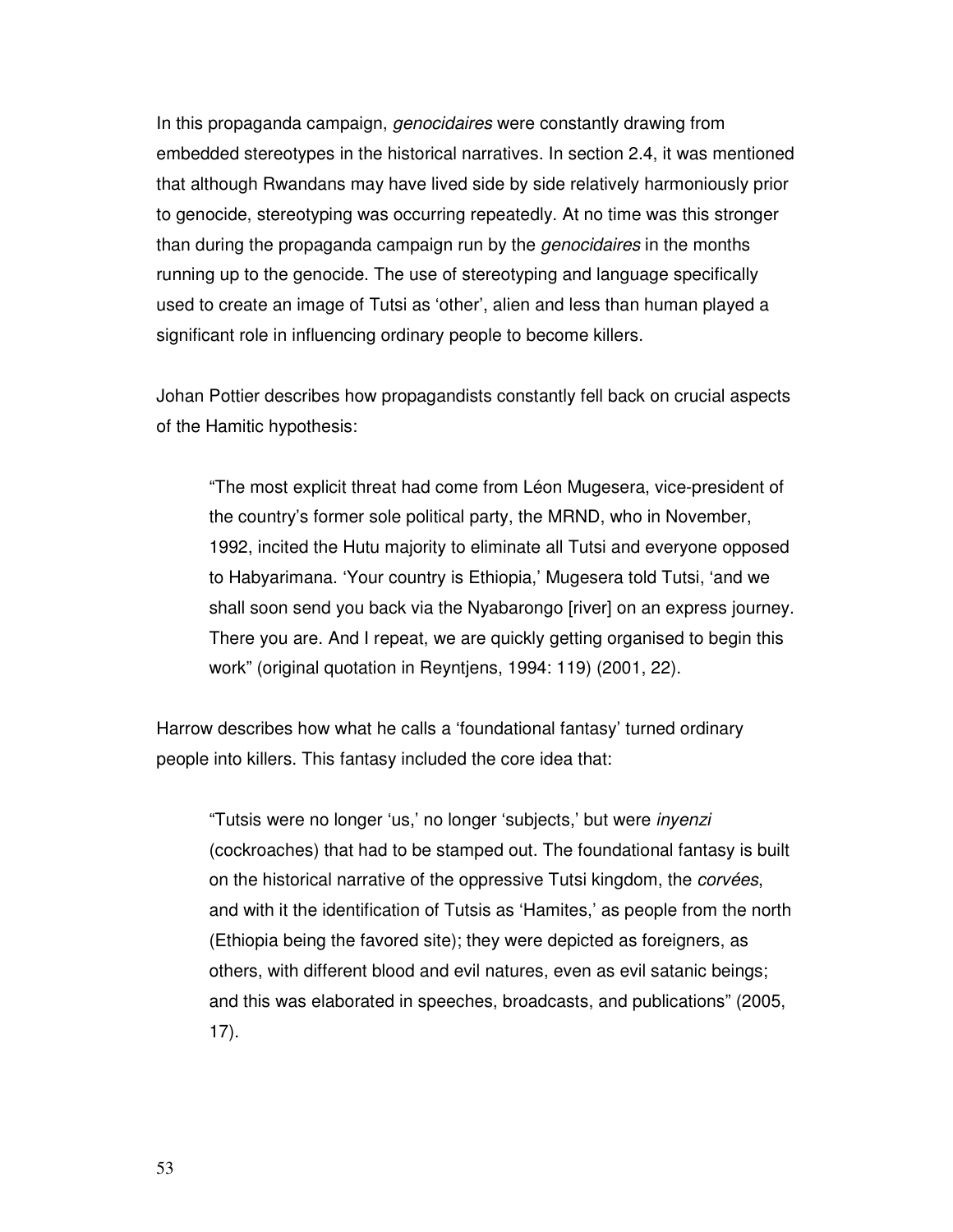In this propaganda campaign, *genocidaires* were constantly drawing from embedded stereotypes in the historical narratives. In section 2.4, it was mentioned that although Rwandans may have lived side by side relatively harmoniously prior to genocide, stereotyping was occurring repeatedly. At no time was this stronger than during the propaganda campaign run by the genocidaires in the months running up to the genocide. The use of stereotyping and language specifically used to create an image of Tutsi as 'other', alien and less than human played a significant role in influencing ordinary people to become killers.

Johan Pottier describes how propagandists constantly fell back on crucial aspects of the Hamitic hypothesis:

"The most explicit threat had come from Léon Mugesera, vice-president of the country's former sole political party, the MRND, who in November, 1992, incited the Hutu majority to eliminate all Tutsi and everyone opposed to Habyarimana. 'Your country is Ethiopia,' Mugesera told Tutsi, 'and we shall soon send you back via the Nyabarongo [river] on an express journey. There you are. And I repeat, we are quickly getting organised to begin this work" (original quotation in Reyntjens, 1994: 119) (2001, 22).

Harrow describes how what he calls a 'foundational fantasy' turned ordinary people into killers. This fantasy included the core idea that:

"Tutsis were no longer 'us,' no longer 'subjects,' but were inyenzi (cockroaches) that had to be stamped out. The foundational fantasy is built on the historical narrative of the oppressive Tutsi kingdom, the corvées, and with it the identification of Tutsis as 'Hamites,' as people from the north (Ethiopia being the favored site); they were depicted as foreigners, as others, with different blood and evil natures, even as evil satanic beings; and this was elaborated in speeches, broadcasts, and publications" (2005, 17).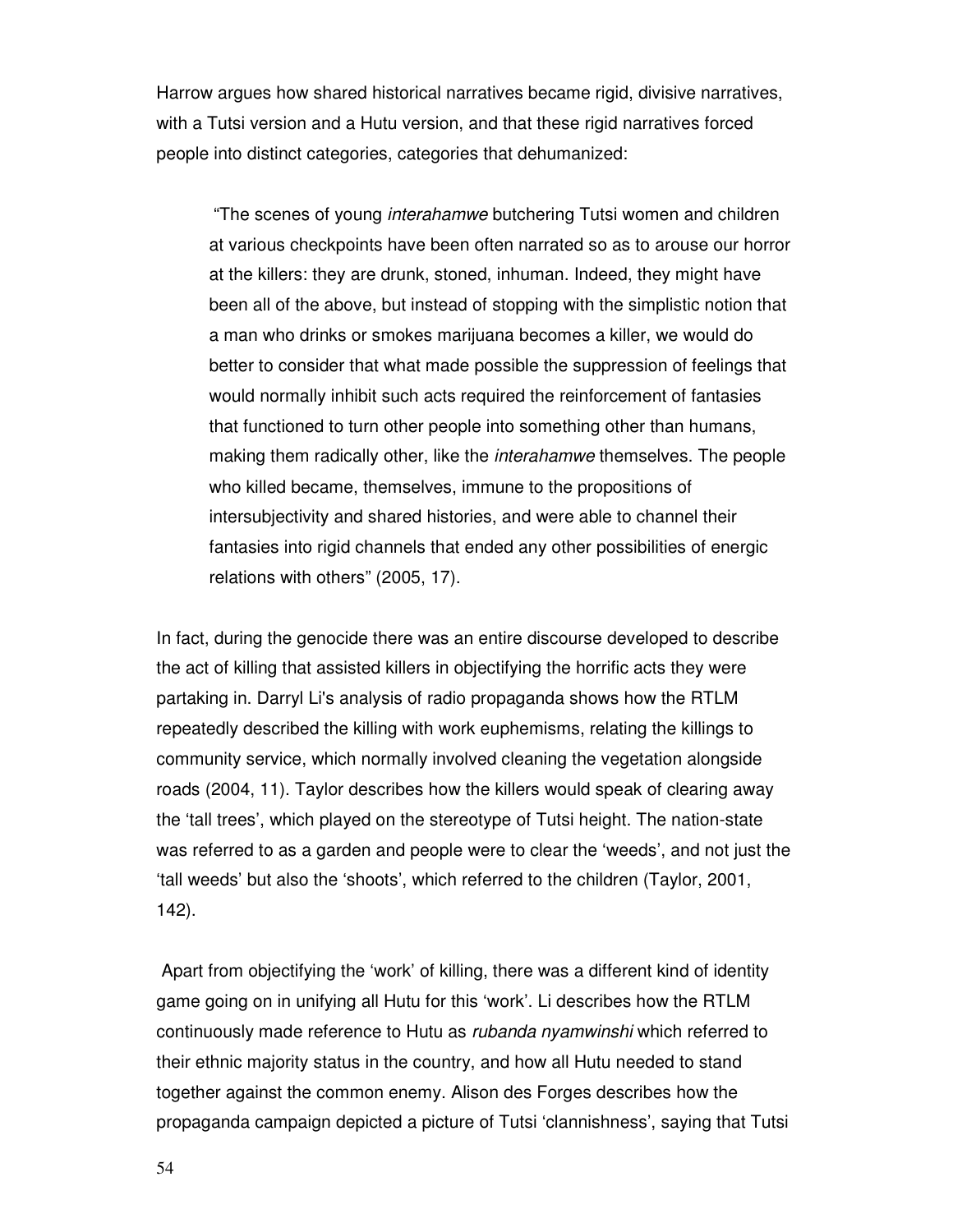Harrow argues how shared historical narratives became rigid, divisive narratives, with a Tutsi version and a Hutu version, and that these rigid narratives forced people into distinct categories, categories that dehumanized:

"The scenes of young interahamwe butchering Tutsi women and children at various checkpoints have been often narrated so as to arouse our horror at the killers: they are drunk, stoned, inhuman. Indeed, they might have been all of the above, but instead of stopping with the simplistic notion that a man who drinks or smokes marijuana becomes a killer, we would do better to consider that what made possible the suppression of feelings that would normally inhibit such acts required the reinforcement of fantasies that functioned to turn other people into something other than humans, making them radically other, like the interahamwe themselves. The people who killed became, themselves, immune to the propositions of intersubjectivity and shared histories, and were able to channel their fantasies into rigid channels that ended any other possibilities of energic relations with others" (2005, 17).

In fact, during the genocide there was an entire discourse developed to describe the act of killing that assisted killers in objectifying the horrific acts they were partaking in. Darryl Li's analysis of radio propaganda shows how the RTLM repeatedly described the killing with work euphemisms, relating the killings to community service, which normally involved cleaning the vegetation alongside roads (2004, 11). Taylor describes how the killers would speak of clearing away the 'tall trees', which played on the stereotype of Tutsi height. The nation-state was referred to as a garden and people were to clear the 'weeds', and not just the 'tall weeds' but also the 'shoots', which referred to the children (Taylor, 2001, 142).

 Apart from objectifying the 'work' of killing, there was a different kind of identity game going on in unifying all Hutu for this 'work'. Li describes how the RTLM continuously made reference to Hutu as rubanda nyamwinshi which referred to their ethnic majority status in the country, and how all Hutu needed to stand together against the common enemy. Alison des Forges describes how the propaganda campaign depicted a picture of Tutsi 'clannishness', saying that Tutsi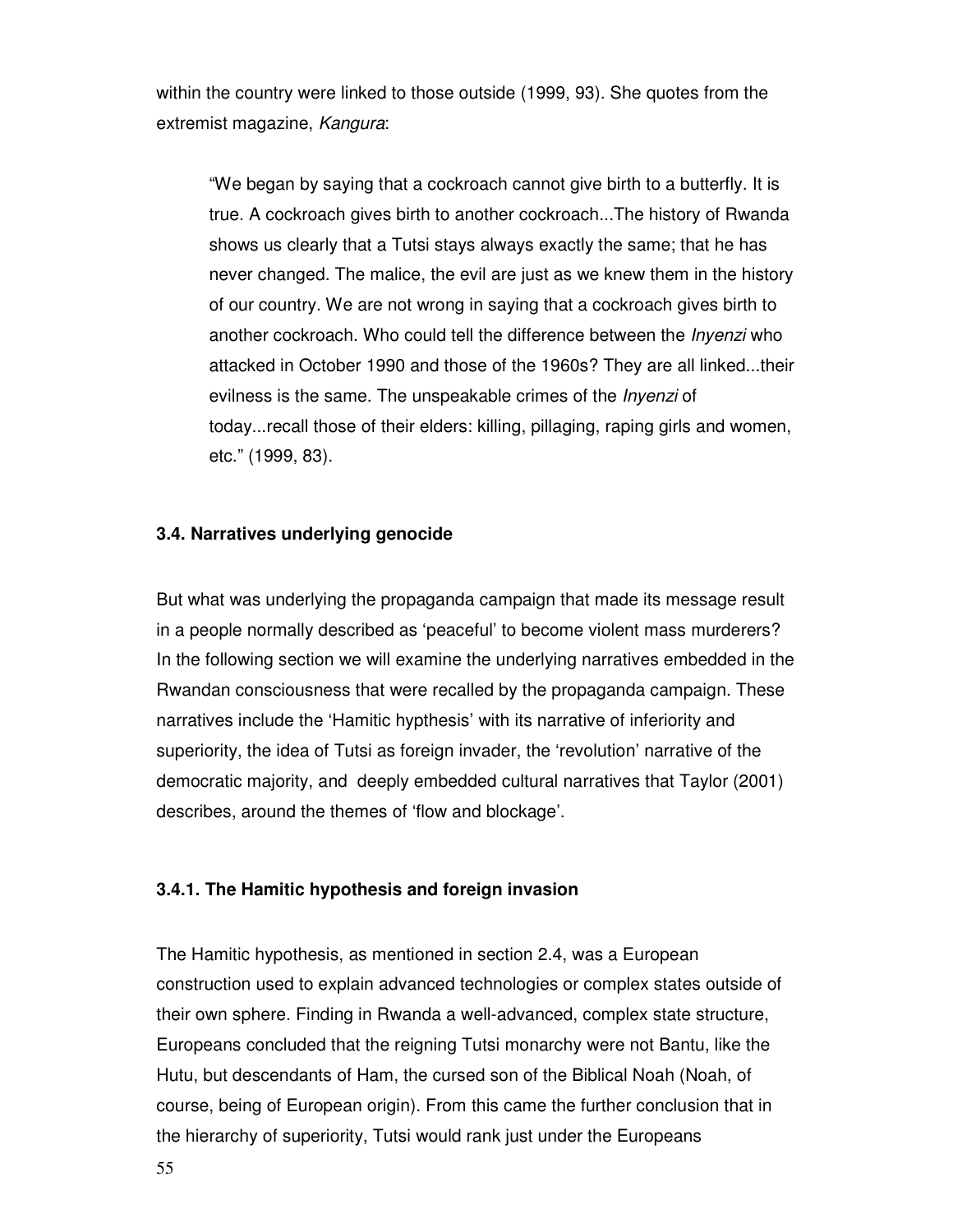within the country were linked to those outside (1999, 93). She quotes from the extremist magazine, Kangura:

"We began by saying that a cockroach cannot give birth to a butterfly. It is true. A cockroach gives birth to another cockroach...The history of Rwanda shows us clearly that a Tutsi stays always exactly the same; that he has never changed. The malice, the evil are just as we knew them in the history of our country. We are not wrong in saying that a cockroach gives birth to another cockroach. Who could tell the difference between the Inyenzi who attacked in October 1990 and those of the 1960s? They are all linked...their evilness is the same. The unspeakable crimes of the *Inyenzi* of today...recall those of their elders: killing, pillaging, raping girls and women, etc." (1999, 83).

#### **3.4. Narratives underlying genocide**

But what was underlying the propaganda campaign that made its message result in a people normally described as 'peaceful' to become violent mass murderers? In the following section we will examine the underlying narratives embedded in the Rwandan consciousness that were recalled by the propaganda campaign. These narratives include the 'Hamitic hypthesis' with its narrative of inferiority and superiority, the idea of Tutsi as foreign invader, the 'revolution' narrative of the democratic majority, and deeply embedded cultural narratives that Taylor (2001) describes, around the themes of 'flow and blockage'.

#### **3.4.1. The Hamitic hypothesis and foreign invasion**

The Hamitic hypothesis, as mentioned in section 2.4, was a European construction used to explain advanced technologies or complex states outside of their own sphere. Finding in Rwanda a well-advanced, complex state structure, Europeans concluded that the reigning Tutsi monarchy were not Bantu, like the Hutu, but descendants of Ham, the cursed son of the Biblical Noah (Noah, of course, being of European origin). From this came the further conclusion that in the hierarchy of superiority, Tutsi would rank just under the Europeans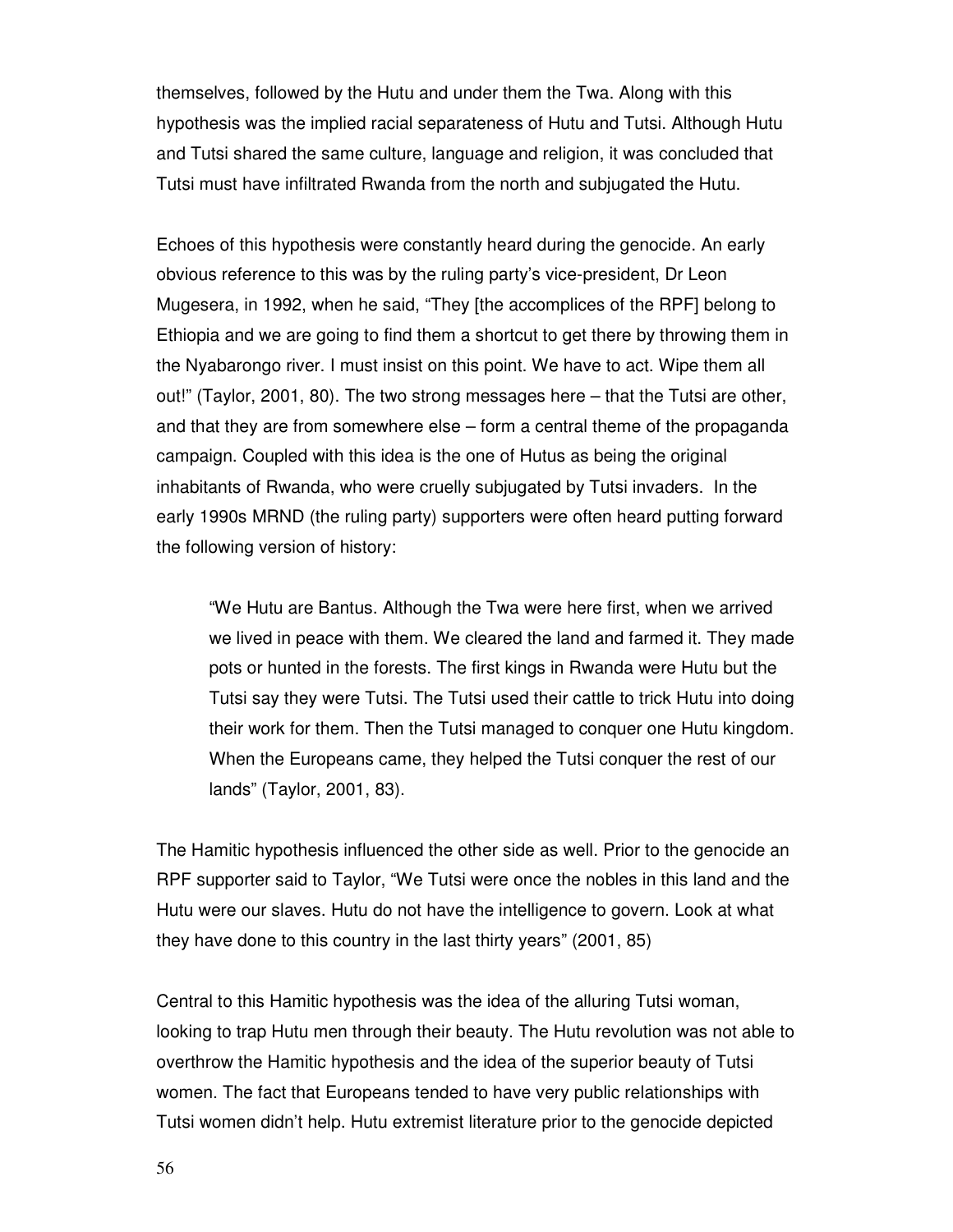themselves, followed by the Hutu and under them the Twa. Along with this hypothesis was the implied racial separateness of Hutu and Tutsi. Although Hutu and Tutsi shared the same culture, language and religion, it was concluded that Tutsi must have infiltrated Rwanda from the north and subjugated the Hutu.

Echoes of this hypothesis were constantly heard during the genocide. An early obvious reference to this was by the ruling party's vice-president, Dr Leon Mugesera, in 1992, when he said, "They [the accomplices of the RPF] belong to Ethiopia and we are going to find them a shortcut to get there by throwing them in the Nyabarongo river. I must insist on this point. We have to act. Wipe them all out!" (Taylor, 2001, 80). The two strong messages here – that the Tutsi are other, and that they are from somewhere else – form a central theme of the propaganda campaign. Coupled with this idea is the one of Hutus as being the original inhabitants of Rwanda, who were cruelly subjugated by Tutsi invaders. In the early 1990s MRND (the ruling party) supporters were often heard putting forward the following version of history:

"We Hutu are Bantus. Although the Twa were here first, when we arrived we lived in peace with them. We cleared the land and farmed it. They made pots or hunted in the forests. The first kings in Rwanda were Hutu but the Tutsi say they were Tutsi. The Tutsi used their cattle to trick Hutu into doing their work for them. Then the Tutsi managed to conquer one Hutu kingdom. When the Europeans came, they helped the Tutsi conquer the rest of our lands" (Taylor, 2001, 83).

The Hamitic hypothesis influenced the other side as well. Prior to the genocide an RPF supporter said to Taylor, "We Tutsi were once the nobles in this land and the Hutu were our slaves. Hutu do not have the intelligence to govern. Look at what they have done to this country in the last thirty years" (2001, 85)

Central to this Hamitic hypothesis was the idea of the alluring Tutsi woman, looking to trap Hutu men through their beauty. The Hutu revolution was not able to overthrow the Hamitic hypothesis and the idea of the superior beauty of Tutsi women. The fact that Europeans tended to have very public relationships with Tutsi women didn't help. Hutu extremist literature prior to the genocide depicted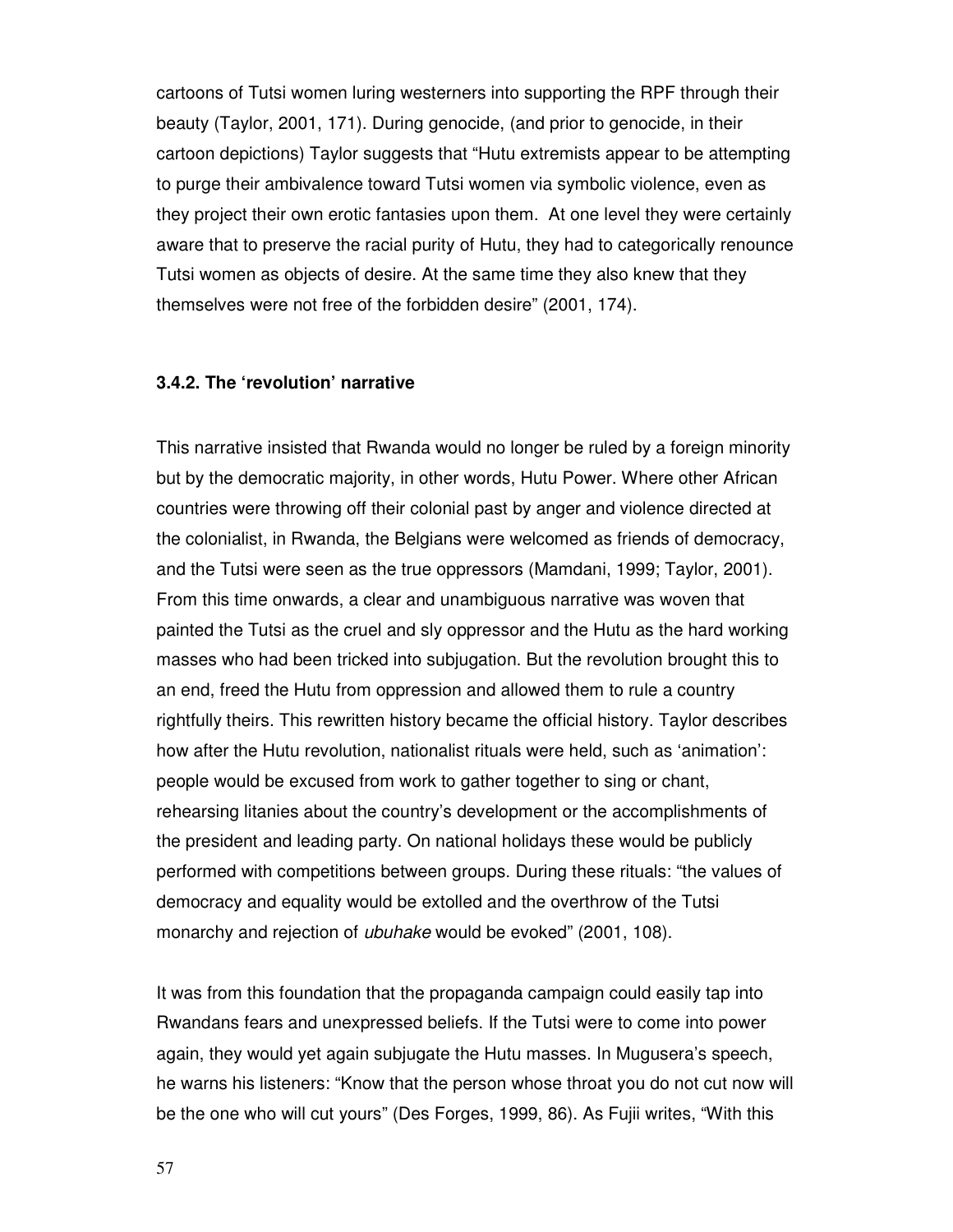cartoons of Tutsi women luring westerners into supporting the RPF through their beauty (Taylor, 2001, 171). During genocide, (and prior to genocide, in their cartoon depictions) Taylor suggests that "Hutu extremists appear to be attempting to purge their ambivalence toward Tutsi women via symbolic violence, even as they project their own erotic fantasies upon them. At one level they were certainly aware that to preserve the racial purity of Hutu, they had to categorically renounce Tutsi women as objects of desire. At the same time they also knew that they themselves were not free of the forbidden desire" (2001, 174).

#### **3.4.2. The 'revolution' narrative**

This narrative insisted that Rwanda would no longer be ruled by a foreign minority but by the democratic majority, in other words, Hutu Power. Where other African countries were throwing off their colonial past by anger and violence directed at the colonialist, in Rwanda, the Belgians were welcomed as friends of democracy, and the Tutsi were seen as the true oppressors (Mamdani, 1999; Taylor, 2001). From this time onwards, a clear and unambiguous narrative was woven that painted the Tutsi as the cruel and sly oppressor and the Hutu as the hard working masses who had been tricked into subjugation. But the revolution brought this to an end, freed the Hutu from oppression and allowed them to rule a country rightfully theirs. This rewritten history became the official history. Taylor describes how after the Hutu revolution, nationalist rituals were held, such as 'animation': people would be excused from work to gather together to sing or chant, rehearsing litanies about the country's development or the accomplishments of the president and leading party. On national holidays these would be publicly performed with competitions between groups. During these rituals: "the values of democracy and equality would be extolled and the overthrow of the Tutsi monarchy and rejection of ubuhake would be evoked" (2001, 108).

It was from this foundation that the propaganda campaign could easily tap into Rwandans fears and unexpressed beliefs. If the Tutsi were to come into power again, they would yet again subjugate the Hutu masses. In Mugusera's speech, he warns his listeners: "Know that the person whose throat you do not cut now will be the one who will cut yours" (Des Forges, 1999, 86). As Fujii writes, "With this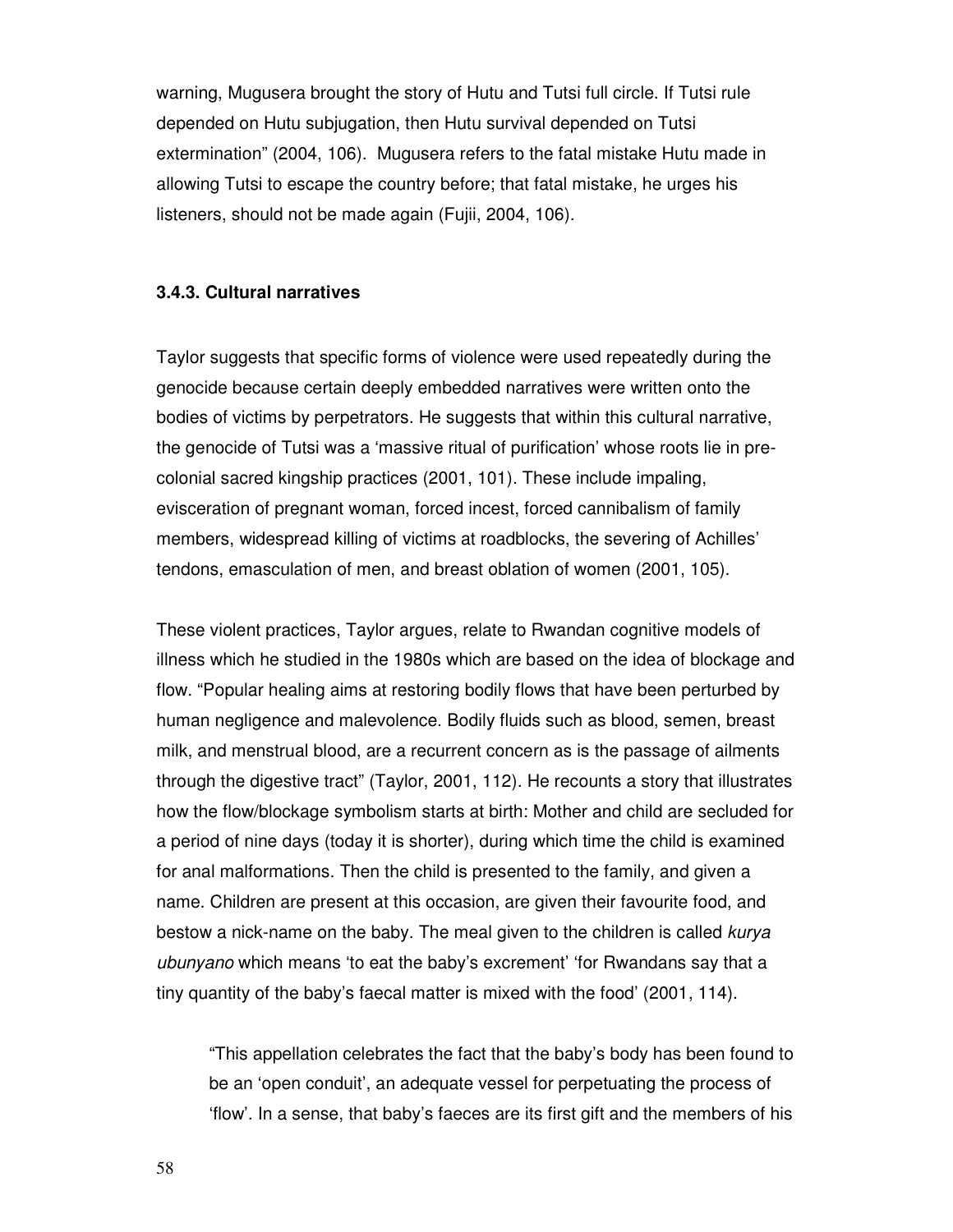warning, Mugusera brought the story of Hutu and Tutsi full circle. If Tutsi rule depended on Hutu subjugation, then Hutu survival depended on Tutsi extermination" (2004, 106). Mugusera refers to the fatal mistake Hutu made in allowing Tutsi to escape the country before; that fatal mistake, he urges his listeners, should not be made again (Fujii, 2004, 106).

#### **3.4.3. Cultural narratives**

Taylor suggests that specific forms of violence were used repeatedly during the genocide because certain deeply embedded narratives were written onto the bodies of victims by perpetrators. He suggests that within this cultural narrative, the genocide of Tutsi was a 'massive ritual of purification' whose roots lie in precolonial sacred kingship practices (2001, 101). These include impaling, evisceration of pregnant woman, forced incest, forced cannibalism of family members, widespread killing of victims at roadblocks, the severing of Achilles' tendons, emasculation of men, and breast oblation of women (2001, 105).

These violent practices, Taylor argues, relate to Rwandan cognitive models of illness which he studied in the 1980s which are based on the idea of blockage and flow. "Popular healing aims at restoring bodily flows that have been perturbed by human negligence and malevolence. Bodily fluids such as blood, semen, breast milk, and menstrual blood, are a recurrent concern as is the passage of ailments through the digestive tract" (Taylor, 2001, 112). He recounts a story that illustrates how the flow/blockage symbolism starts at birth: Mother and child are secluded for a period of nine days (today it is shorter), during which time the child is examined for anal malformations. Then the child is presented to the family, and given a name. Children are present at this occasion, are given their favourite food, and bestow a nick-name on the baby. The meal given to the children is called kurya ubunyano which means 'to eat the baby's excrement' 'for Rwandans say that a tiny quantity of the baby's faecal matter is mixed with the food' (2001, 114).

"This appellation celebrates the fact that the baby's body has been found to be an 'open conduit', an adequate vessel for perpetuating the process of 'flow'. In a sense, that baby's faeces are its first gift and the members of his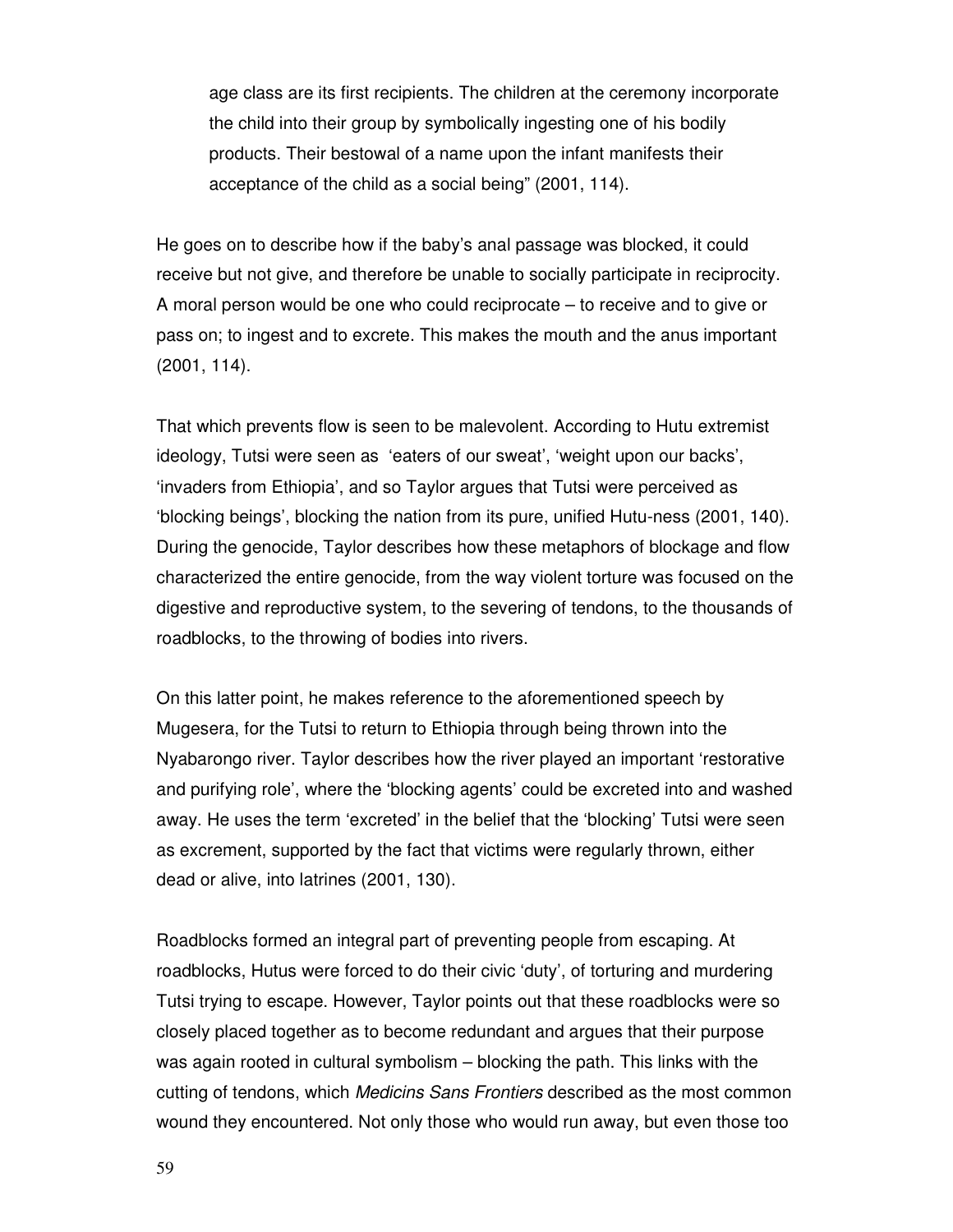age class are its first recipients. The children at the ceremony incorporate the child into their group by symbolically ingesting one of his bodily products. Their bestowal of a name upon the infant manifests their acceptance of the child as a social being" (2001, 114).

He goes on to describe how if the baby's anal passage was blocked, it could receive but not give, and therefore be unable to socially participate in reciprocity. A moral person would be one who could reciprocate – to receive and to give or pass on; to ingest and to excrete. This makes the mouth and the anus important (2001, 114).

That which prevents flow is seen to be malevolent. According to Hutu extremist ideology, Tutsi were seen as 'eaters of our sweat', 'weight upon our backs', 'invaders from Ethiopia', and so Taylor argues that Tutsi were perceived as 'blocking beings', blocking the nation from its pure, unified Hutu-ness (2001, 140). During the genocide, Taylor describes how these metaphors of blockage and flow characterized the entire genocide, from the way violent torture was focused on the digestive and reproductive system, to the severing of tendons, to the thousands of roadblocks, to the throwing of bodies into rivers.

On this latter point, he makes reference to the aforementioned speech by Mugesera, for the Tutsi to return to Ethiopia through being thrown into the Nyabarongo river. Taylor describes how the river played an important 'restorative and purifying role', where the 'blocking agents' could be excreted into and washed away. He uses the term 'excreted' in the belief that the 'blocking' Tutsi were seen as excrement, supported by the fact that victims were regularly thrown, either dead or alive, into latrines (2001, 130).

Roadblocks formed an integral part of preventing people from escaping. At roadblocks, Hutus were forced to do their civic 'duty', of torturing and murdering Tutsi trying to escape. However, Taylor points out that these roadblocks were so closely placed together as to become redundant and argues that their purpose was again rooted in cultural symbolism – blocking the path. This links with the cutting of tendons, which Medicins Sans Frontiers described as the most common wound they encountered. Not only those who would run away, but even those too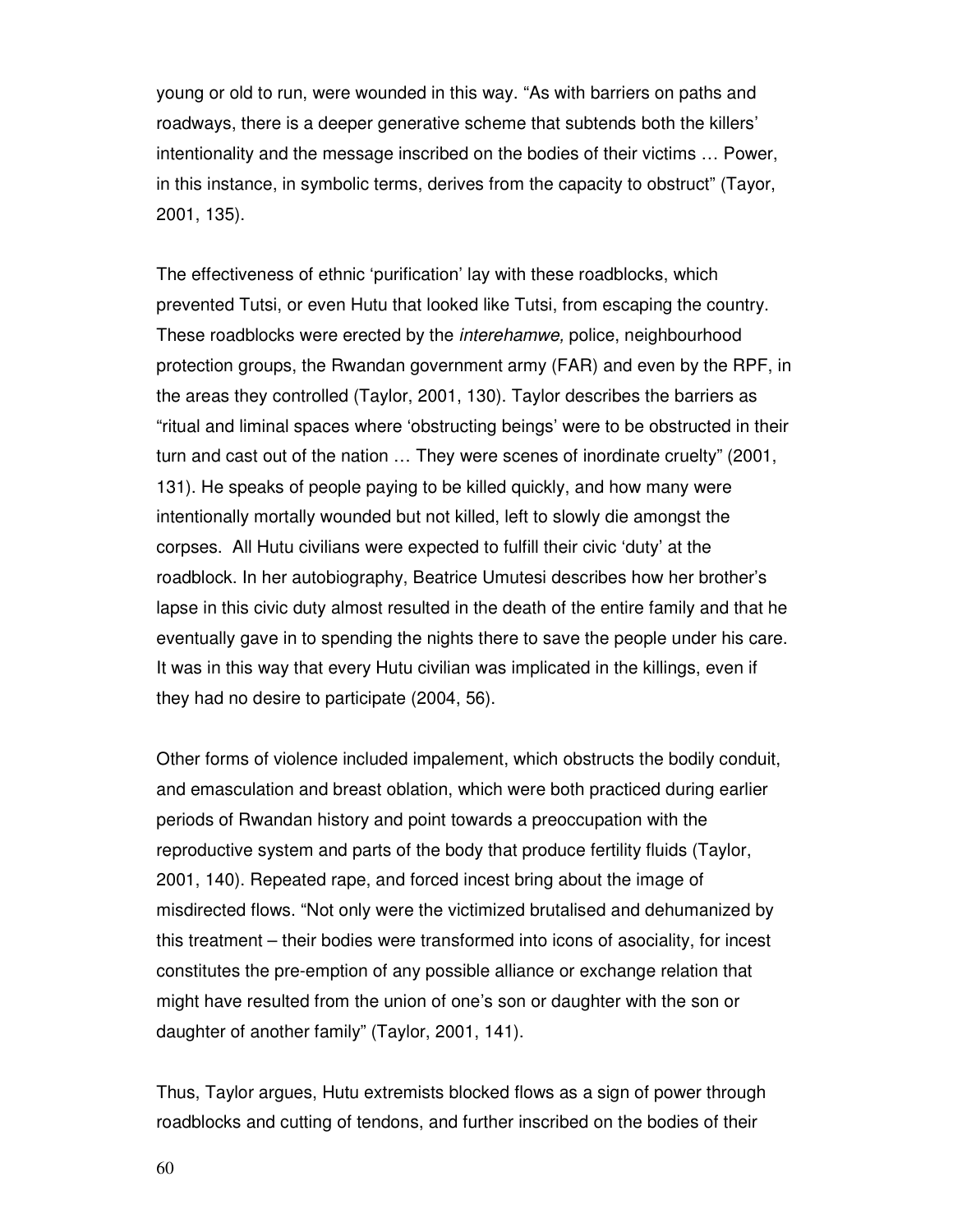young or old to run, were wounded in this way. "As with barriers on paths and roadways, there is a deeper generative scheme that subtends both the killers' intentionality and the message inscribed on the bodies of their victims … Power, in this instance, in symbolic terms, derives from the capacity to obstruct" (Tayor, 2001, 135).

The effectiveness of ethnic 'purification' lay with these roadblocks, which prevented Tutsi, or even Hutu that looked like Tutsi, from escaping the country. These roadblocks were erected by the interehamwe, police, neighbourhood protection groups, the Rwandan government army (FAR) and even by the RPF, in the areas they controlled (Taylor, 2001, 130). Taylor describes the barriers as "ritual and liminal spaces where 'obstructing beings' were to be obstructed in their turn and cast out of the nation … They were scenes of inordinate cruelty" (2001, 131). He speaks of people paying to be killed quickly, and how many were intentionally mortally wounded but not killed, left to slowly die amongst the corpses. All Hutu civilians were expected to fulfill their civic 'duty' at the roadblock. In her autobiography, Beatrice Umutesi describes how her brother's lapse in this civic duty almost resulted in the death of the entire family and that he eventually gave in to spending the nights there to save the people under his care. It was in this way that every Hutu civilian was implicated in the killings, even if they had no desire to participate (2004, 56).

Other forms of violence included impalement, which obstructs the bodily conduit, and emasculation and breast oblation, which were both practiced during earlier periods of Rwandan history and point towards a preoccupation with the reproductive system and parts of the body that produce fertility fluids (Taylor, 2001, 140). Repeated rape, and forced incest bring about the image of misdirected flows. "Not only were the victimized brutalised and dehumanized by this treatment – their bodies were transformed into icons of asociality, for incest constitutes the pre-emption of any possible alliance or exchange relation that might have resulted from the union of one's son or daughter with the son or daughter of another family" (Taylor, 2001, 141).

Thus, Taylor argues, Hutu extremists blocked flows as a sign of power through roadblocks and cutting of tendons, and further inscribed on the bodies of their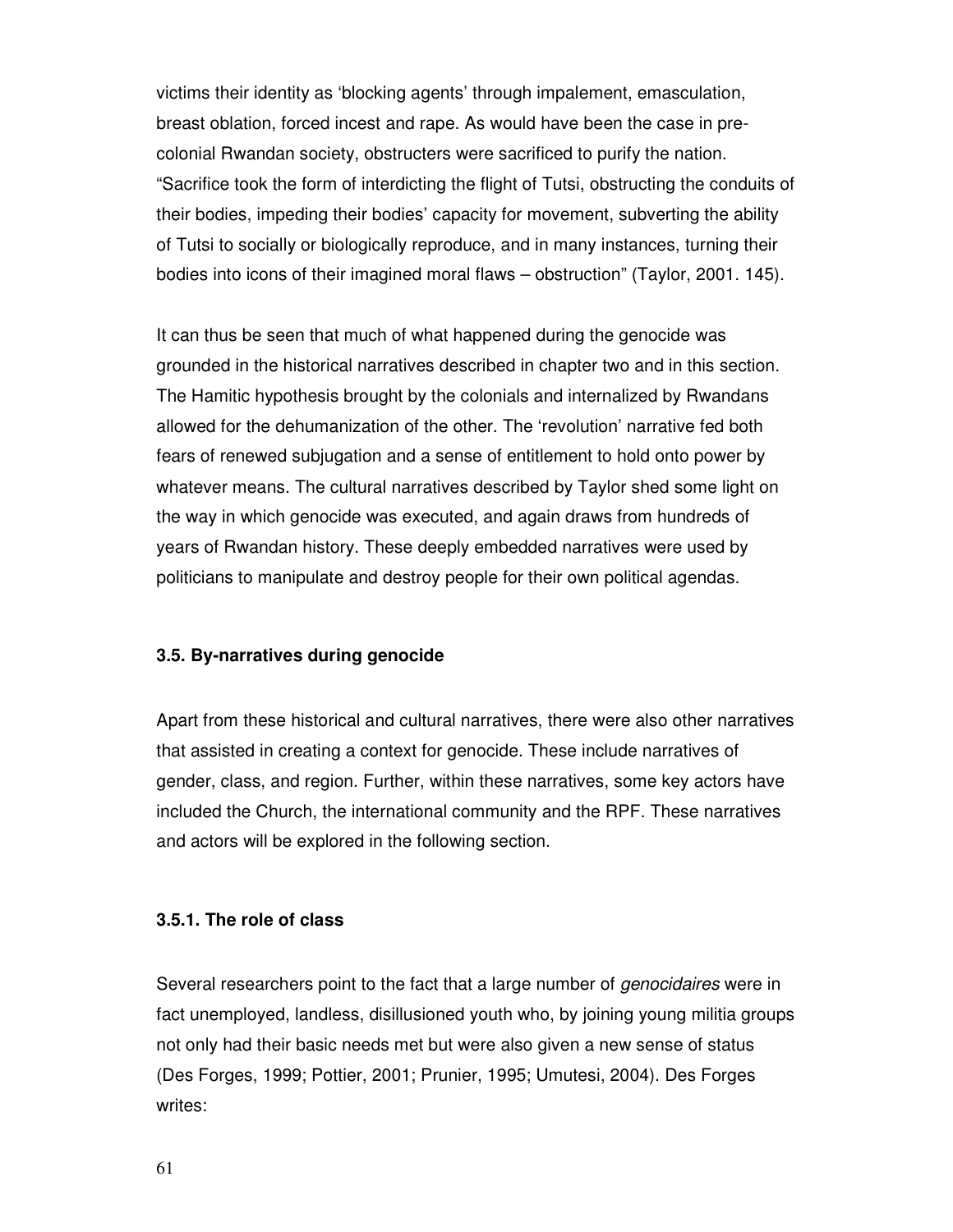victims their identity as 'blocking agents' through impalement, emasculation, breast oblation, forced incest and rape. As would have been the case in precolonial Rwandan society, obstructers were sacrificed to purify the nation. "Sacrifice took the form of interdicting the flight of Tutsi, obstructing the conduits of their bodies, impeding their bodies' capacity for movement, subverting the ability of Tutsi to socially or biologically reproduce, and in many instances, turning their bodies into icons of their imagined moral flaws – obstruction" (Taylor, 2001. 145).

It can thus be seen that much of what happened during the genocide was grounded in the historical narratives described in chapter two and in this section. The Hamitic hypothesis brought by the colonials and internalized by Rwandans allowed for the dehumanization of the other. The 'revolution' narrative fed both fears of renewed subjugation and a sense of entitlement to hold onto power by whatever means. The cultural narratives described by Taylor shed some light on the way in which genocide was executed, and again draws from hundreds of years of Rwandan history. These deeply embedded narratives were used by politicians to manipulate and destroy people for their own political agendas.

#### **3.5. By-narratives during genocide**

Apart from these historical and cultural narratives, there were also other narratives that assisted in creating a context for genocide. These include narratives of gender, class, and region. Further, within these narratives, some key actors have included the Church, the international community and the RPF. These narratives and actors will be explored in the following section.

# **3.5.1. The role of class**

Several researchers point to the fact that a large number of *genocidaires* were in fact unemployed, landless, disillusioned youth who, by joining young militia groups not only had their basic needs met but were also given a new sense of status (Des Forges, 1999; Pottier, 2001; Prunier, 1995; Umutesi, 2004). Des Forges writes: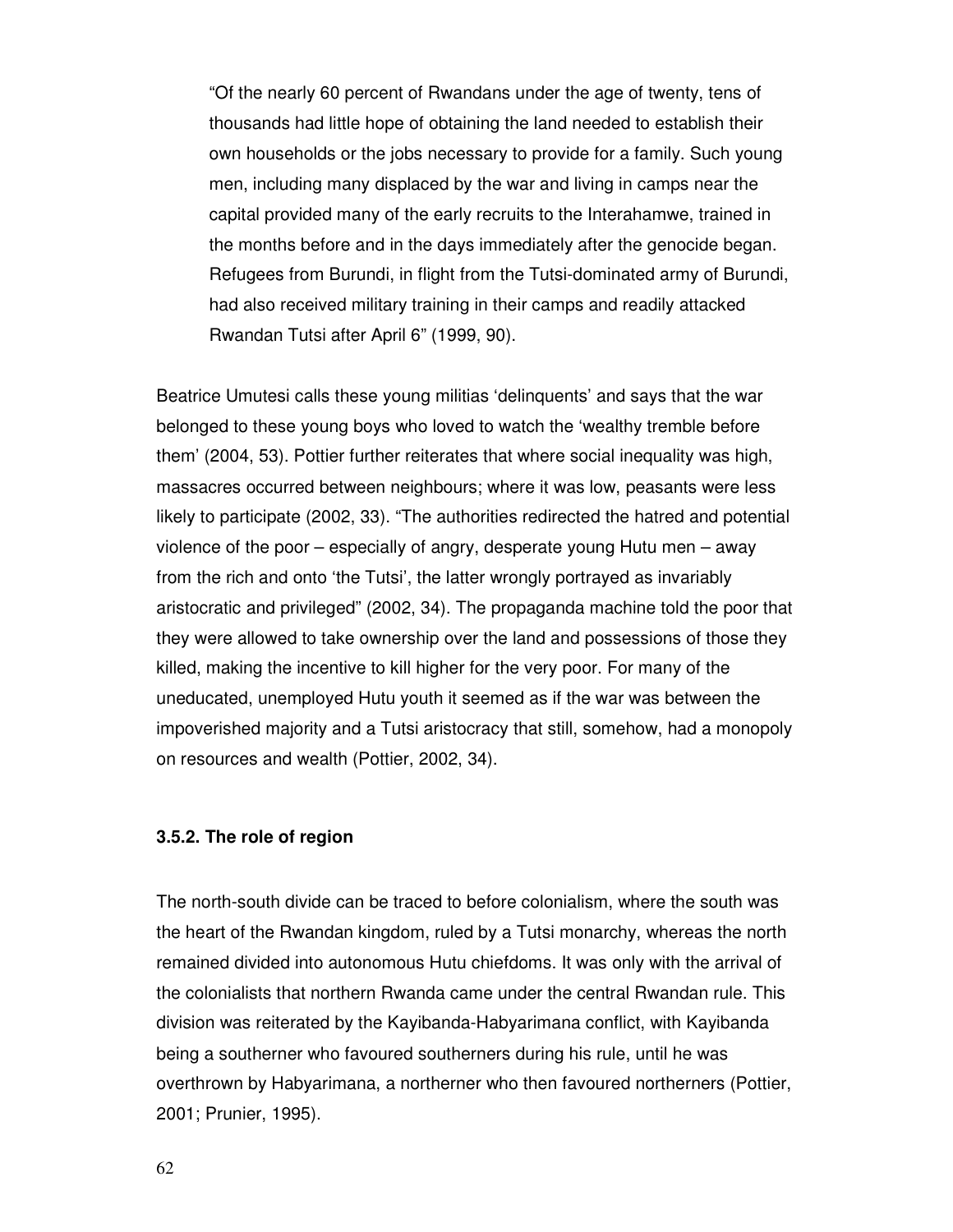"Of the nearly 60 percent of Rwandans under the age of twenty, tens of thousands had little hope of obtaining the land needed to establish their own households or the jobs necessary to provide for a family. Such young men, including many displaced by the war and living in camps near the capital provided many of the early recruits to the Interahamwe, trained in the months before and in the days immediately after the genocide began. Refugees from Burundi, in flight from the Tutsi-dominated army of Burundi, had also received military training in their camps and readily attacked Rwandan Tutsi after April 6" (1999, 90).

Beatrice Umutesi calls these young militias 'delinquents' and says that the war belonged to these young boys who loved to watch the 'wealthy tremble before them' (2004, 53). Pottier further reiterates that where social inequality was high, massacres occurred between neighbours; where it was low, peasants were less likely to participate (2002, 33). "The authorities redirected the hatred and potential violence of the poor – especially of angry, desperate young Hutu men – away from the rich and onto 'the Tutsi', the latter wrongly portrayed as invariably aristocratic and privileged" (2002, 34). The propaganda machine told the poor that they were allowed to take ownership over the land and possessions of those they killed, making the incentive to kill higher for the very poor. For many of the uneducated, unemployed Hutu youth it seemed as if the war was between the impoverished majority and a Tutsi aristocracy that still, somehow, had a monopoly on resources and wealth (Pottier, 2002, 34).

# **3.5.2. The role of region**

The north-south divide can be traced to before colonialism, where the south was the heart of the Rwandan kingdom, ruled by a Tutsi monarchy, whereas the north remained divided into autonomous Hutu chiefdoms. It was only with the arrival of the colonialists that northern Rwanda came under the central Rwandan rule. This division was reiterated by the Kayibanda-Habyarimana conflict, with Kayibanda being a southerner who favoured southerners during his rule, until he was overthrown by Habyarimana, a northerner who then favoured northerners (Pottier, 2001; Prunier, 1995).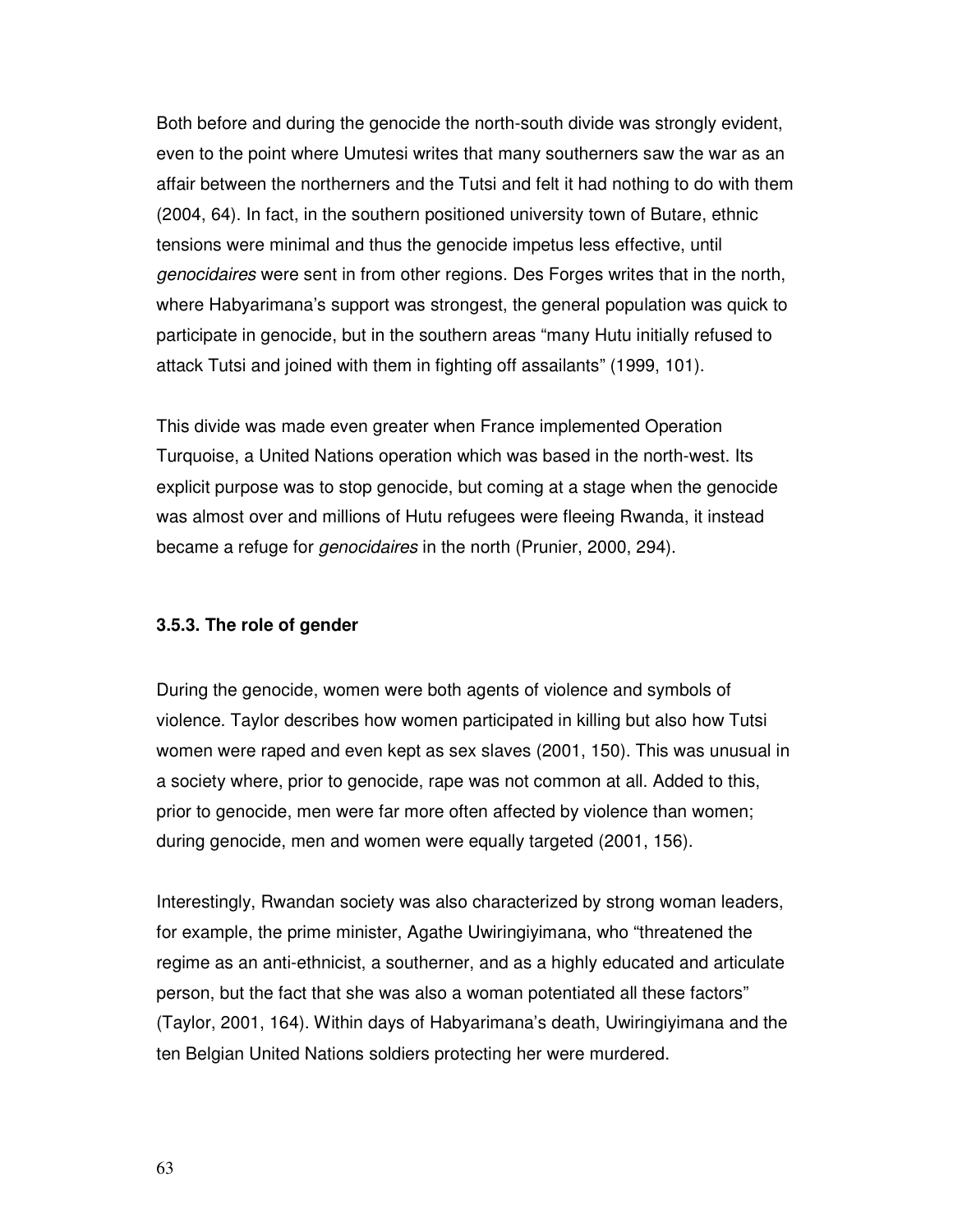Both before and during the genocide the north-south divide was strongly evident, even to the point where Umutesi writes that many southerners saw the war as an affair between the northerners and the Tutsi and felt it had nothing to do with them (2004, 64). In fact, in the southern positioned university town of Butare, ethnic tensions were minimal and thus the genocide impetus less effective, until genocidaires were sent in from other regions. Des Forges writes that in the north, where Habyarimana's support was strongest, the general population was quick to participate in genocide, but in the southern areas "many Hutu initially refused to attack Tutsi and joined with them in fighting off assailants" (1999, 101).

This divide was made even greater when France implemented Operation Turquoise, a United Nations operation which was based in the north-west. Its explicit purpose was to stop genocide, but coming at a stage when the genocide was almost over and millions of Hutu refugees were fleeing Rwanda, it instead became a refuge for genocidaires in the north (Prunier, 2000, 294).

### **3.5.3. The role of gender**

During the genocide, women were both agents of violence and symbols of violence. Taylor describes how women participated in killing but also how Tutsi women were raped and even kept as sex slaves (2001, 150). This was unusual in a society where, prior to genocide, rape was not common at all. Added to this, prior to genocide, men were far more often affected by violence than women; during genocide, men and women were equally targeted (2001, 156).

Interestingly, Rwandan society was also characterized by strong woman leaders, for example, the prime minister, Agathe Uwiringiyimana, who "threatened the regime as an anti-ethnicist, a southerner, and as a highly educated and articulate person, but the fact that she was also a woman potentiated all these factors" (Taylor, 2001, 164). Within days of Habyarimana's death, Uwiringiyimana and the ten Belgian United Nations soldiers protecting her were murdered.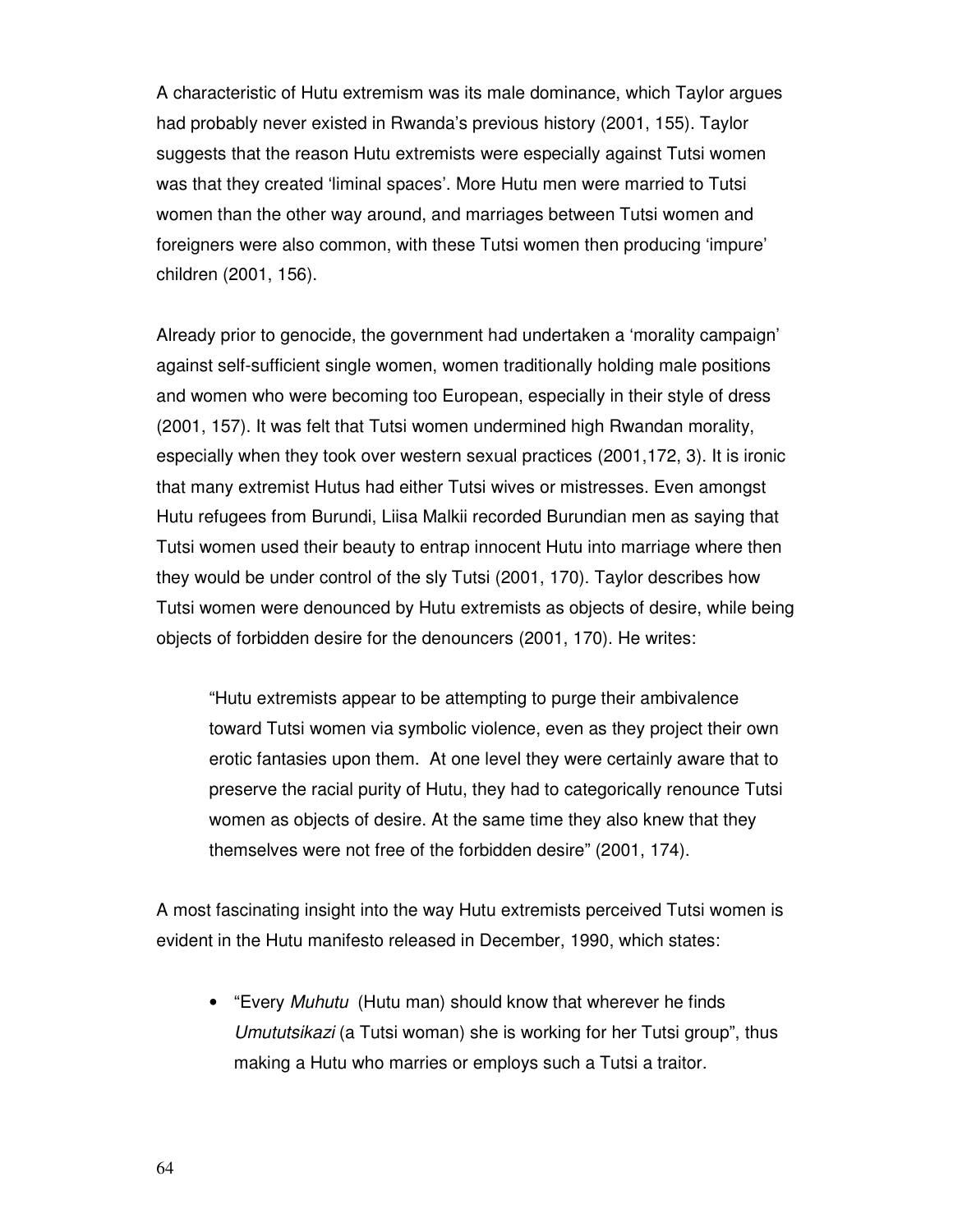A characteristic of Hutu extremism was its male dominance, which Taylor argues had probably never existed in Rwanda's previous history (2001, 155). Taylor suggests that the reason Hutu extremists were especially against Tutsi women was that they created 'liminal spaces'. More Hutu men were married to Tutsi women than the other way around, and marriages between Tutsi women and foreigners were also common, with these Tutsi women then producing 'impure' children (2001, 156).

Already prior to genocide, the government had undertaken a 'morality campaign' against self-sufficient single women, women traditionally holding male positions and women who were becoming too European, especially in their style of dress (2001, 157). It was felt that Tutsi women undermined high Rwandan morality, especially when they took over western sexual practices (2001,172, 3). It is ironic that many extremist Hutus had either Tutsi wives or mistresses. Even amongst Hutu refugees from Burundi, Liisa Malkii recorded Burundian men as saying that Tutsi women used their beauty to entrap innocent Hutu into marriage where then they would be under control of the sly Tutsi (2001, 170). Taylor describes how Tutsi women were denounced by Hutu extremists as objects of desire, while being objects of forbidden desire for the denouncers (2001, 170). He writes:

"Hutu extremists appear to be attempting to purge their ambivalence toward Tutsi women via symbolic violence, even as they project their own erotic fantasies upon them. At one level they were certainly aware that to preserve the racial purity of Hutu, they had to categorically renounce Tutsi women as objects of desire. At the same time they also knew that they themselves were not free of the forbidden desire" (2001, 174).

A most fascinating insight into the way Hutu extremists perceived Tutsi women is evident in the Hutu manifesto released in December, 1990, which states:

• "Every Muhutu (Hutu man) should know that wherever he finds Umututsikazi (a Tutsi woman) she is working for her Tutsi group", thus making a Hutu who marries or employs such a Tutsi a traitor.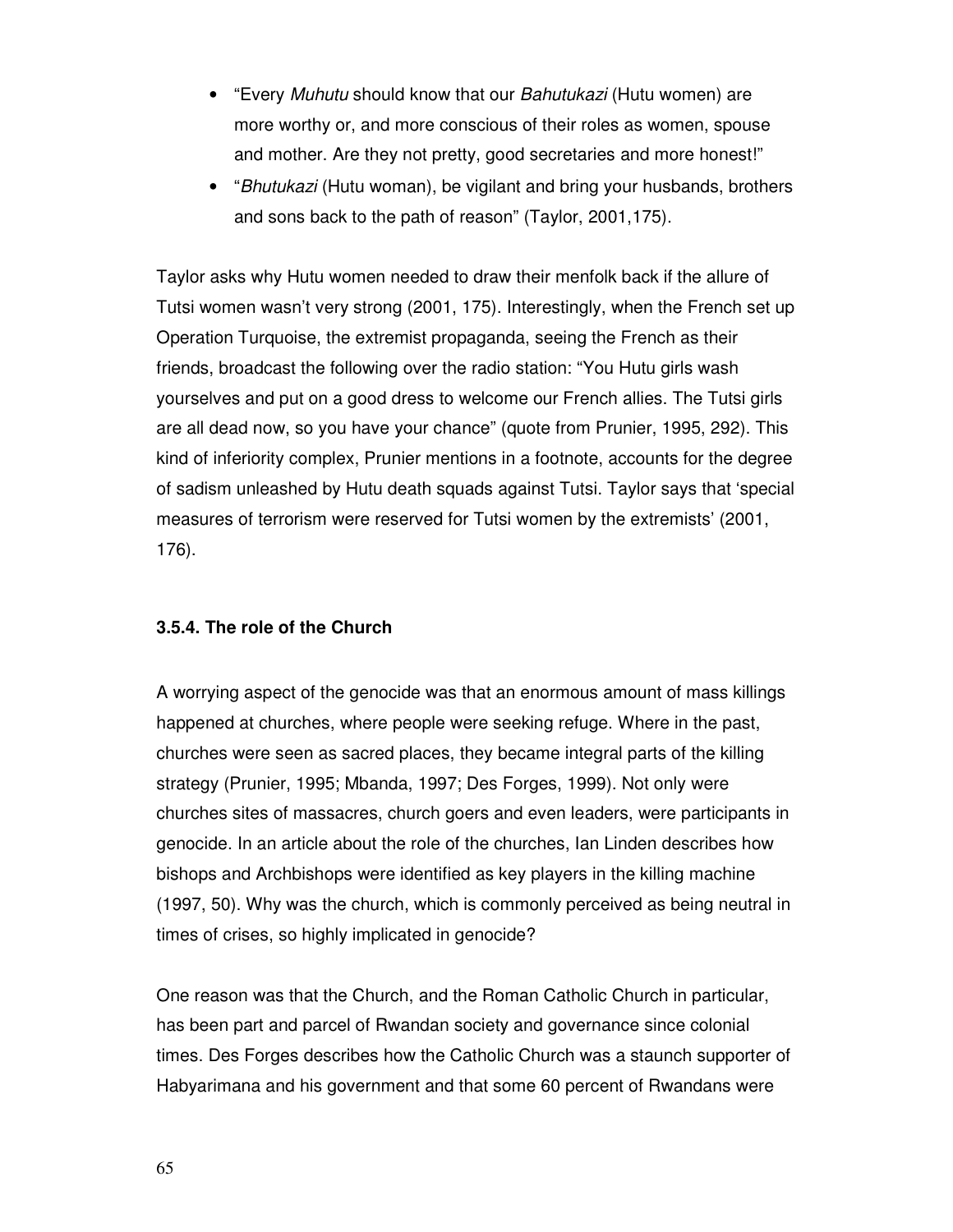- "Every Muhutu should know that our Bahutukazi (Hutu women) are more worthy or, and more conscious of their roles as women, spouse and mother. Are they not pretty, good secretaries and more honest!"
- "Bhutukazi (Hutu woman), be vigilant and bring your husbands, brothers and sons back to the path of reason" (Taylor, 2001,175).

Taylor asks why Hutu women needed to draw their menfolk back if the allure of Tutsi women wasn't very strong (2001, 175). Interestingly, when the French set up Operation Turquoise, the extremist propaganda, seeing the French as their friends, broadcast the following over the radio station: "You Hutu girls wash yourselves and put on a good dress to welcome our French allies. The Tutsi girls are all dead now, so you have your chance" (quote from Prunier, 1995, 292). This kind of inferiority complex, Prunier mentions in a footnote, accounts for the degree of sadism unleashed by Hutu death squads against Tutsi. Taylor says that 'special measures of terrorism were reserved for Tutsi women by the extremists' (2001, 176).

# **3.5.4. The role of the Church**

A worrying aspect of the genocide was that an enormous amount of mass killings happened at churches, where people were seeking refuge. Where in the past, churches were seen as sacred places, they became integral parts of the killing strategy (Prunier, 1995; Mbanda, 1997; Des Forges, 1999). Not only were churches sites of massacres, church goers and even leaders, were participants in genocide. In an article about the role of the churches, Ian Linden describes how bishops and Archbishops were identified as key players in the killing machine (1997, 50). Why was the church, which is commonly perceived as being neutral in times of crises, so highly implicated in genocide?

One reason was that the Church, and the Roman Catholic Church in particular, has been part and parcel of Rwandan society and governance since colonial times. Des Forges describes how the Catholic Church was a staunch supporter of Habyarimana and his government and that some 60 percent of Rwandans were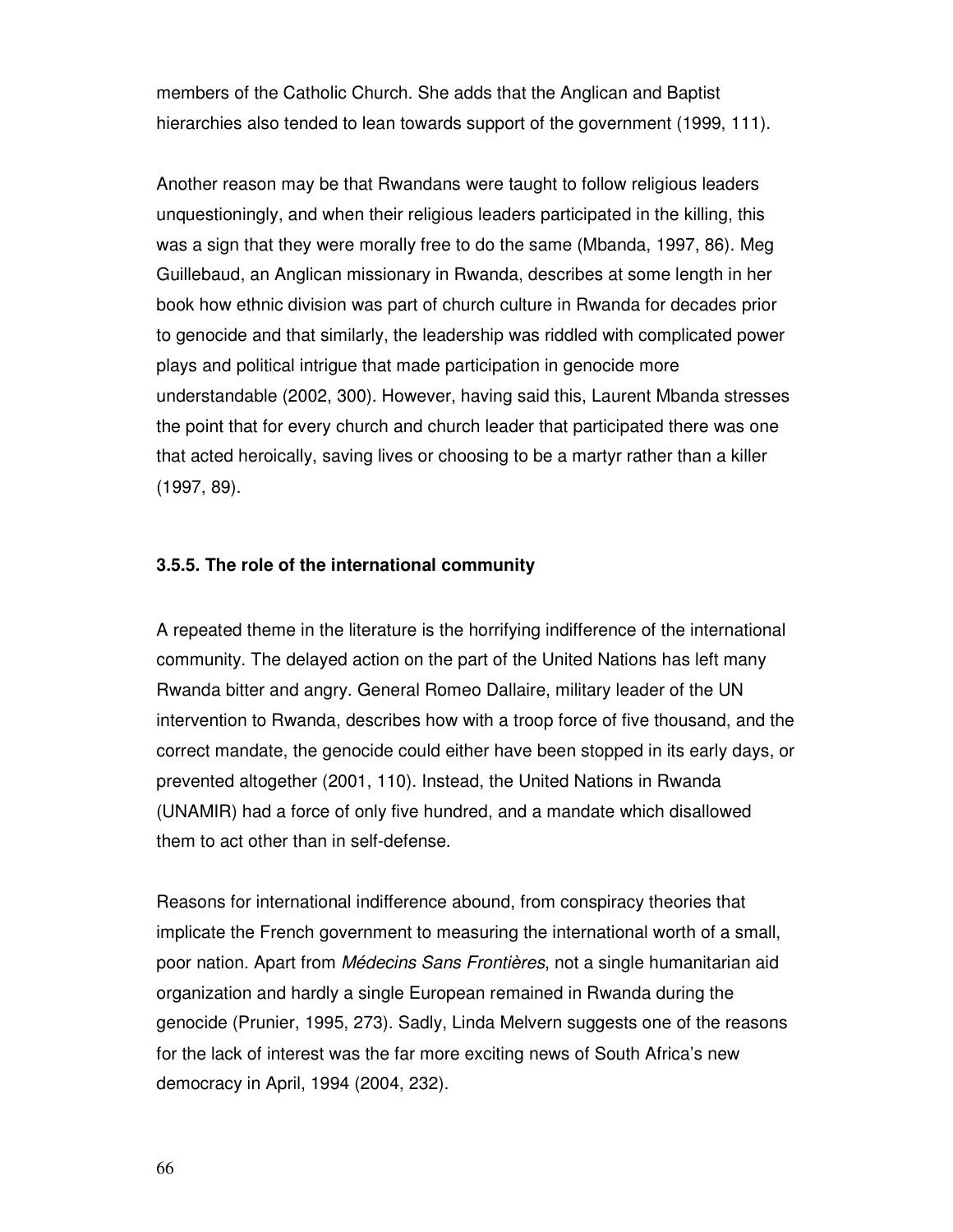members of the Catholic Church. She adds that the Anglican and Baptist hierarchies also tended to lean towards support of the government (1999, 111).

Another reason may be that Rwandans were taught to follow religious leaders unquestioningly, and when their religious leaders participated in the killing, this was a sign that they were morally free to do the same (Mbanda, 1997, 86). Meg Guillebaud, an Anglican missionary in Rwanda, describes at some length in her book how ethnic division was part of church culture in Rwanda for decades prior to genocide and that similarly, the leadership was riddled with complicated power plays and political intrigue that made participation in genocide more understandable (2002, 300). However, having said this, Laurent Mbanda stresses the point that for every church and church leader that participated there was one that acted heroically, saving lives or choosing to be a martyr rather than a killer (1997, 89).

# **3.5.5. The role of the international community**

A repeated theme in the literature is the horrifying indifference of the international community. The delayed action on the part of the United Nations has left many Rwanda bitter and angry. General Romeo Dallaire, military leader of the UN intervention to Rwanda, describes how with a troop force of five thousand, and the correct mandate, the genocide could either have been stopped in its early days, or prevented altogether (2001, 110). Instead, the United Nations in Rwanda (UNAMIR) had a force of only five hundred, and a mandate which disallowed them to act other than in self-defense.

Reasons for international indifference abound, from conspiracy theories that implicate the French government to measuring the international worth of a small, poor nation. Apart from Médecins Sans Frontières, not a single humanitarian aid organization and hardly a single European remained in Rwanda during the genocide (Prunier, 1995, 273). Sadly, Linda Melvern suggests one of the reasons for the lack of interest was the far more exciting news of South Africa's new democracy in April, 1994 (2004, 232).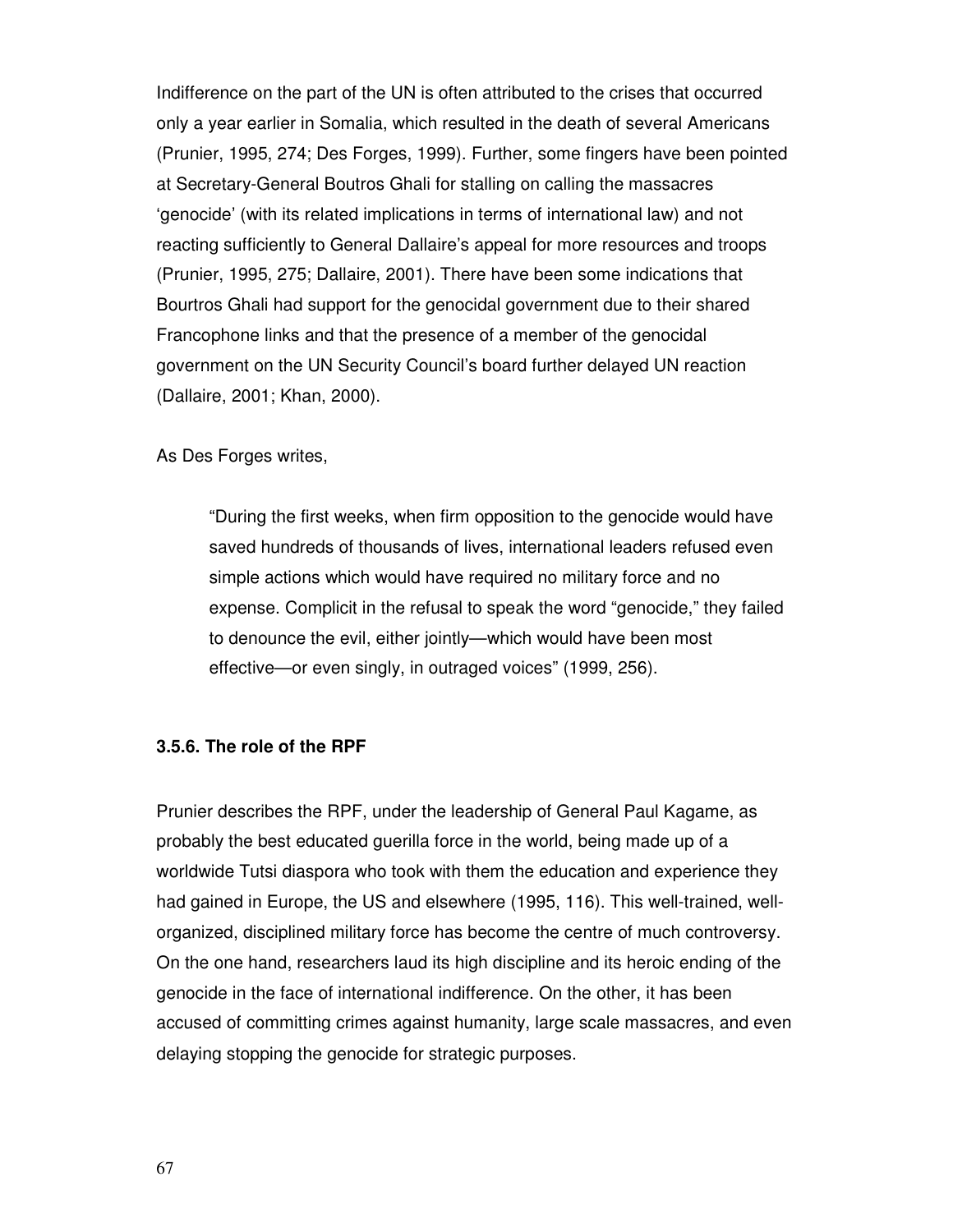Indifference on the part of the UN is often attributed to the crises that occurred only a year earlier in Somalia, which resulted in the death of several Americans (Prunier, 1995, 274; Des Forges, 1999). Further, some fingers have been pointed at Secretary-General Boutros Ghali for stalling on calling the massacres 'genocide' (with its related implications in terms of international law) and not reacting sufficiently to General Dallaire's appeal for more resources and troops (Prunier, 1995, 275; Dallaire, 2001). There have been some indications that Bourtros Ghali had support for the genocidal government due to their shared Francophone links and that the presence of a member of the genocidal government on the UN Security Council's board further delayed UN reaction (Dallaire, 2001; Khan, 2000).

### As Des Forges writes,

"During the first weeks, when firm opposition to the genocide would have saved hundreds of thousands of lives, international leaders refused even simple actions which would have required no military force and no expense. Complicit in the refusal to speak the word "genocide," they failed to denounce the evil, either jointly—which would have been most effective—or even singly, in outraged voices" (1999, 256).

#### **3.5.6. The role of the RPF**

Prunier describes the RPF, under the leadership of General Paul Kagame, as probably the best educated guerilla force in the world, being made up of a worldwide Tutsi diaspora who took with them the education and experience they had gained in Europe, the US and elsewhere (1995, 116). This well-trained, wellorganized, disciplined military force has become the centre of much controversy. On the one hand, researchers laud its high discipline and its heroic ending of the genocide in the face of international indifference. On the other, it has been accused of committing crimes against humanity, large scale massacres, and even delaying stopping the genocide for strategic purposes.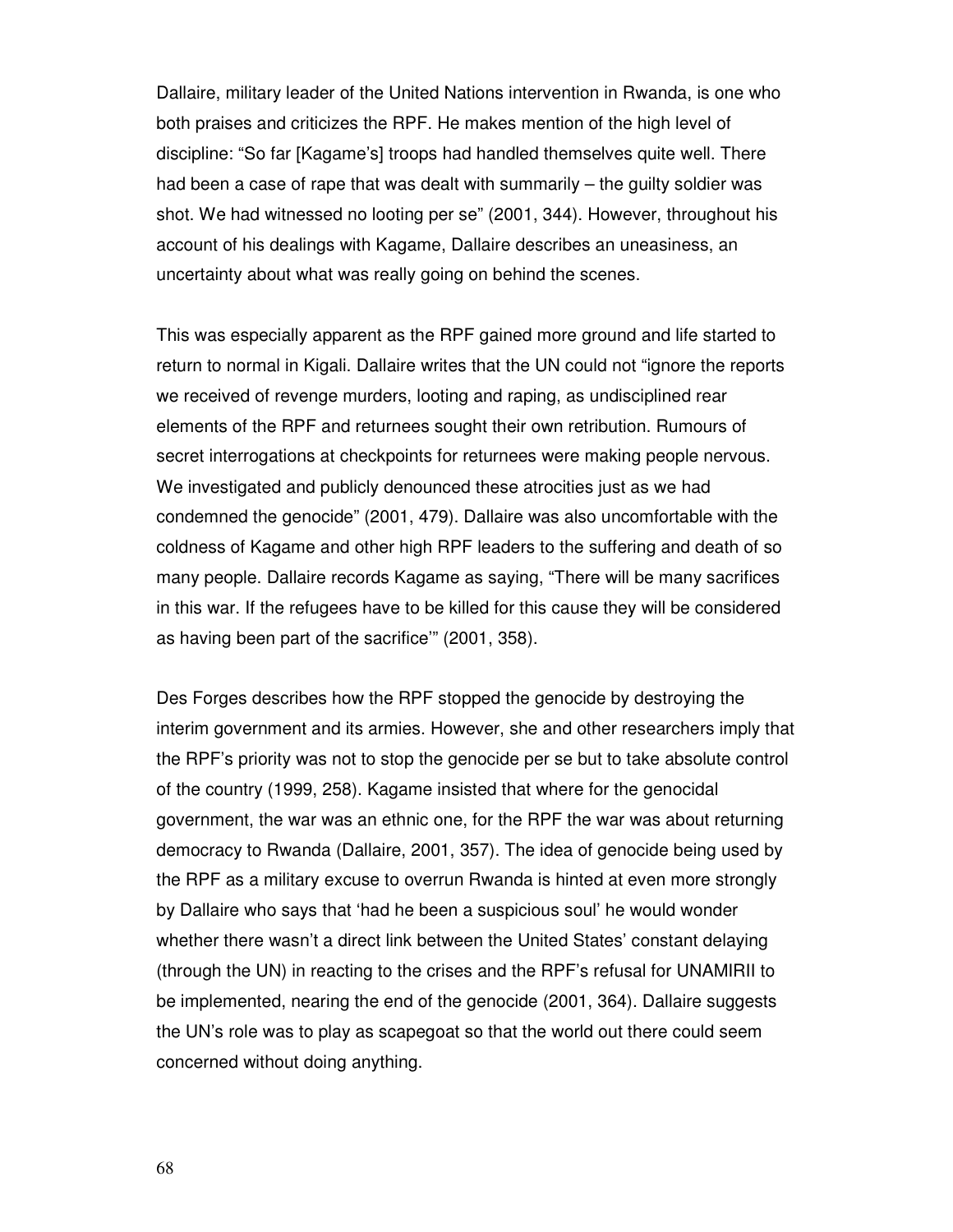Dallaire, military leader of the United Nations intervention in Rwanda, is one who both praises and criticizes the RPF. He makes mention of the high level of discipline: "So far [Kagame's] troops had handled themselves quite well. There had been a case of rape that was dealt with summarily – the guilty soldier was shot. We had witnessed no looting per se" (2001, 344). However, throughout his account of his dealings with Kagame, Dallaire describes an uneasiness, an uncertainty about what was really going on behind the scenes.

This was especially apparent as the RPF gained more ground and life started to return to normal in Kigali. Dallaire writes that the UN could not "ignore the reports we received of revenge murders, looting and raping, as undisciplined rear elements of the RPF and returnees sought their own retribution. Rumours of secret interrogations at checkpoints for returnees were making people nervous. We investigated and publicly denounced these atrocities just as we had condemned the genocide" (2001, 479). Dallaire was also uncomfortable with the coldness of Kagame and other high RPF leaders to the suffering and death of so many people. Dallaire records Kagame as saying, "There will be many sacrifices in this war. If the refugees have to be killed for this cause they will be considered as having been part of the sacrifice'" (2001, 358).

Des Forges describes how the RPF stopped the genocide by destroying the interim government and its armies. However, she and other researchers imply that the RPF's priority was not to stop the genocide per se but to take absolute control of the country (1999, 258). Kagame insisted that where for the genocidal government, the war was an ethnic one, for the RPF the war was about returning democracy to Rwanda (Dallaire, 2001, 357). The idea of genocide being used by the RPF as a military excuse to overrun Rwanda is hinted at even more strongly by Dallaire who says that 'had he been a suspicious soul' he would wonder whether there wasn't a direct link between the United States' constant delaying (through the UN) in reacting to the crises and the RPF's refusal for UNAMIRII to be implemented, nearing the end of the genocide (2001, 364). Dallaire suggests the UN's role was to play as scapegoat so that the world out there could seem concerned without doing anything.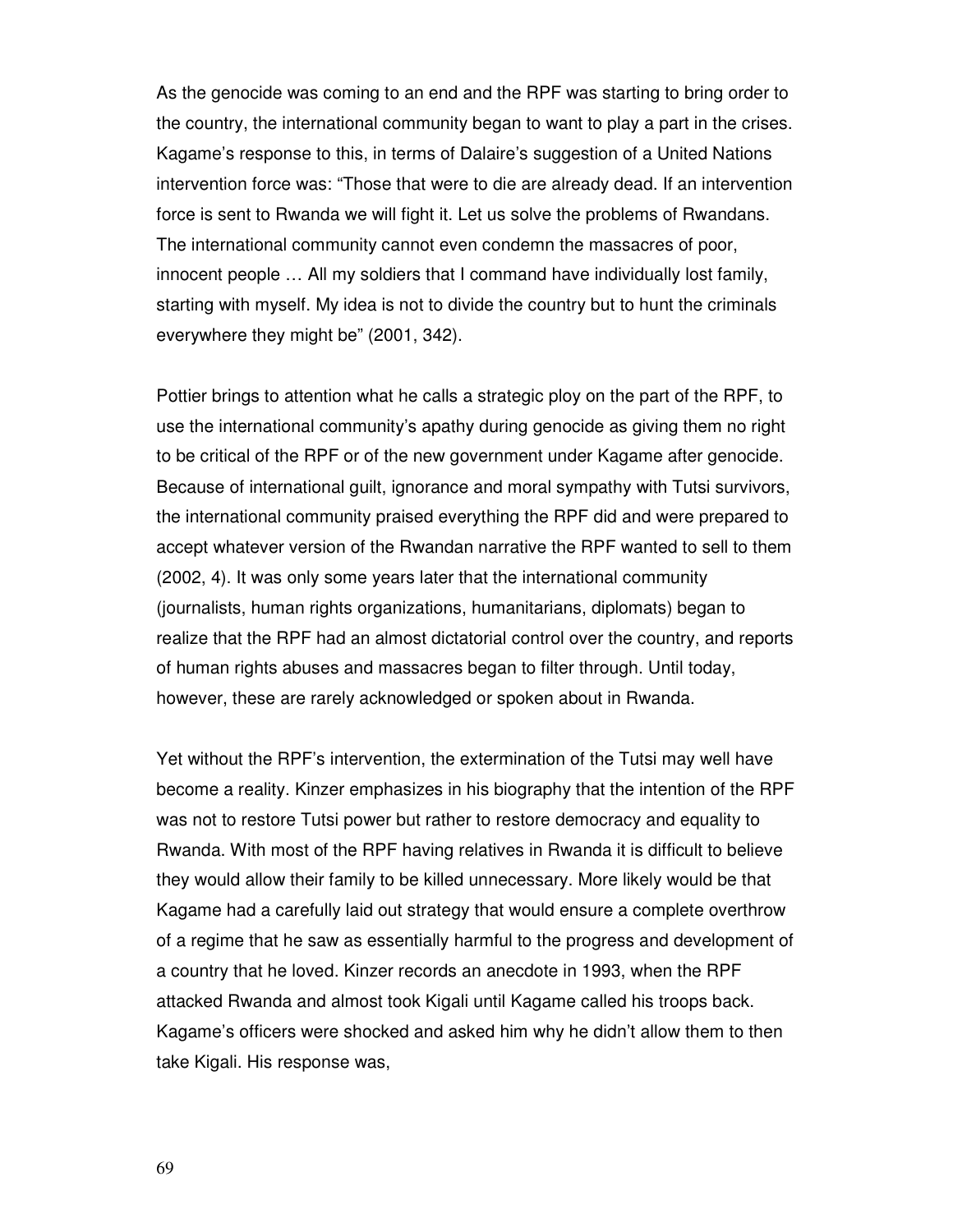As the genocide was coming to an end and the RPF was starting to bring order to the country, the international community began to want to play a part in the crises. Kagame's response to this, in terms of Dalaire's suggestion of a United Nations intervention force was: "Those that were to die are already dead. If an intervention force is sent to Rwanda we will fight it. Let us solve the problems of Rwandans. The international community cannot even condemn the massacres of poor, innocent people … All my soldiers that I command have individually lost family, starting with myself. My idea is not to divide the country but to hunt the criminals everywhere they might be" (2001, 342).

Pottier brings to attention what he calls a strategic ploy on the part of the RPF, to use the international community's apathy during genocide as giving them no right to be critical of the RPF or of the new government under Kagame after genocide. Because of international guilt, ignorance and moral sympathy with Tutsi survivors, the international community praised everything the RPF did and were prepared to accept whatever version of the Rwandan narrative the RPF wanted to sell to them (2002, 4). It was only some years later that the international community (journalists, human rights organizations, humanitarians, diplomats) began to realize that the RPF had an almost dictatorial control over the country, and reports of human rights abuses and massacres began to filter through. Until today, however, these are rarely acknowledged or spoken about in Rwanda.

Yet without the RPF's intervention, the extermination of the Tutsi may well have become a reality. Kinzer emphasizes in his biography that the intention of the RPF was not to restore Tutsi power but rather to restore democracy and equality to Rwanda. With most of the RPF having relatives in Rwanda it is difficult to believe they would allow their family to be killed unnecessary. More likely would be that Kagame had a carefully laid out strategy that would ensure a complete overthrow of a regime that he saw as essentially harmful to the progress and development of a country that he loved. Kinzer records an anecdote in 1993, when the RPF attacked Rwanda and almost took Kigali until Kagame called his troops back. Kagame's officers were shocked and asked him why he didn't allow them to then take Kigali. His response was,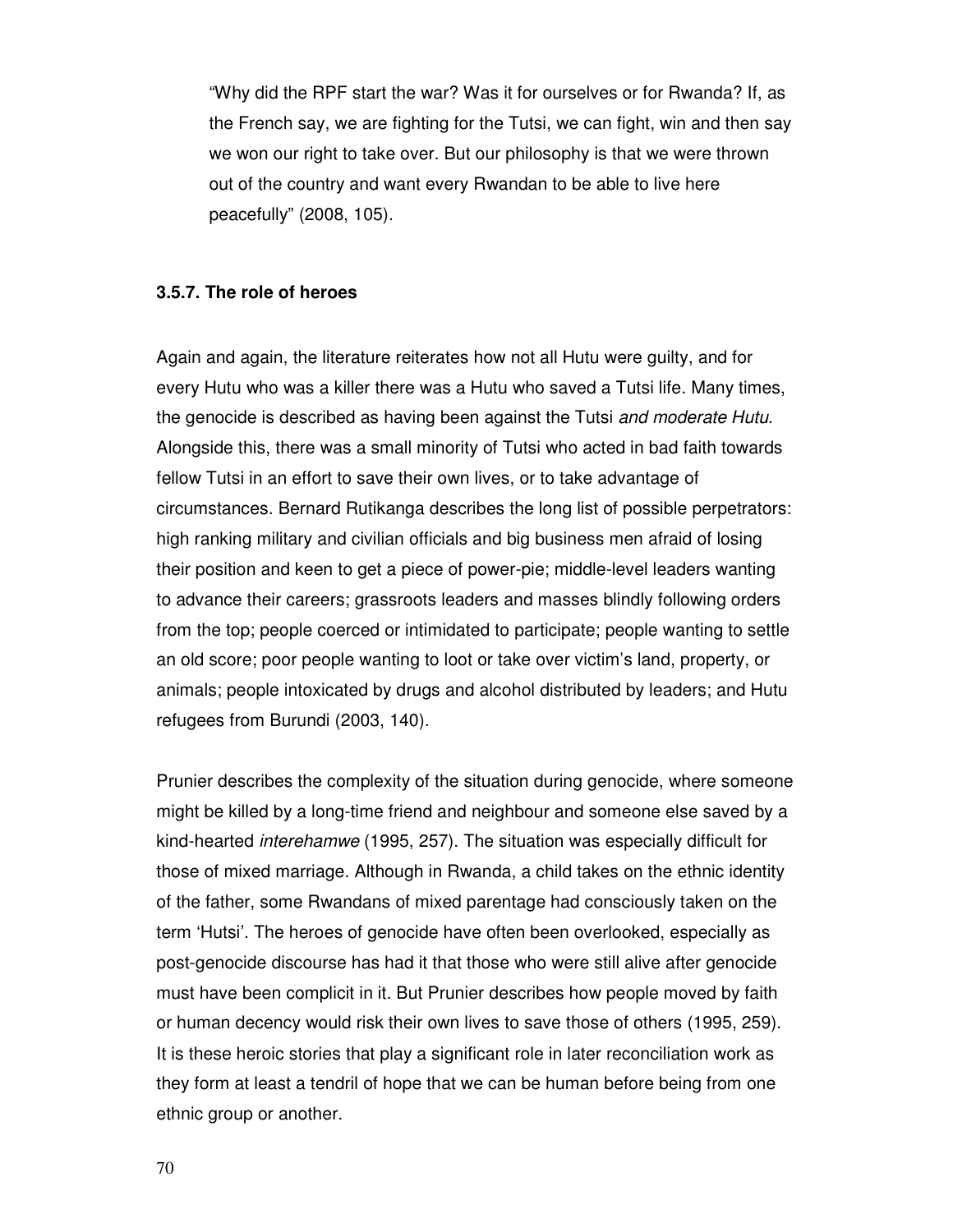"Why did the RPF start the war? Was it for ourselves or for Rwanda? If, as the French say, we are fighting for the Tutsi, we can fight, win and then say we won our right to take over. But our philosophy is that we were thrown out of the country and want every Rwandan to be able to live here peacefully" (2008, 105).

#### **3.5.7. The role of heroes**

Again and again, the literature reiterates how not all Hutu were guilty, and for every Hutu who was a killer there was a Hutu who saved a Tutsi life. Many times, the genocide is described as having been against the Tutsi and moderate Hutu. Alongside this, there was a small minority of Tutsi who acted in bad faith towards fellow Tutsi in an effort to save their own lives, or to take advantage of circumstances. Bernard Rutikanga describes the long list of possible perpetrators: high ranking military and civilian officials and big business men afraid of losing their position and keen to get a piece of power-pie; middle-level leaders wanting to advance their careers; grassroots leaders and masses blindly following orders from the top; people coerced or intimidated to participate; people wanting to settle an old score; poor people wanting to loot or take over victim's land, property, or animals; people intoxicated by drugs and alcohol distributed by leaders; and Hutu refugees from Burundi (2003, 140).

Prunier describes the complexity of the situation during genocide, where someone might be killed by a long-time friend and neighbour and someone else saved by a kind-hearted interehamwe (1995, 257). The situation was especially difficult for those of mixed marriage. Although in Rwanda, a child takes on the ethnic identity of the father, some Rwandans of mixed parentage had consciously taken on the term 'Hutsi'. The heroes of genocide have often been overlooked, especially as post-genocide discourse has had it that those who were still alive after genocide must have been complicit in it. But Prunier describes how people moved by faith or human decency would risk their own lives to save those of others (1995, 259). It is these heroic stories that play a significant role in later reconciliation work as they form at least a tendril of hope that we can be human before being from one ethnic group or another.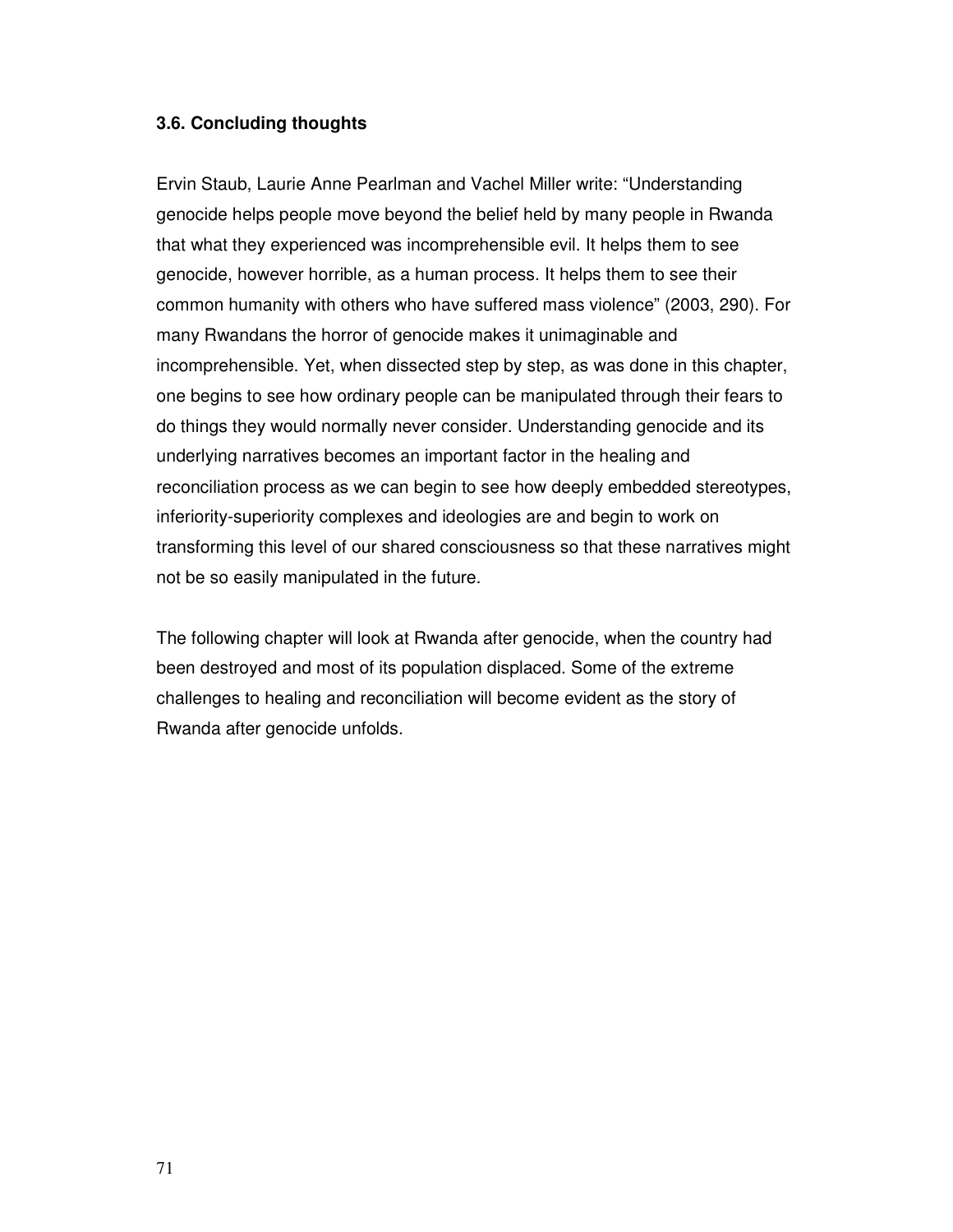### **3.6. Concluding thoughts**

Ervin Staub, Laurie Anne Pearlman and Vachel Miller write: "Understanding genocide helps people move beyond the belief held by many people in Rwanda that what they experienced was incomprehensible evil. It helps them to see genocide, however horrible, as a human process. It helps them to see their common humanity with others who have suffered mass violence" (2003, 290). For many Rwandans the horror of genocide makes it unimaginable and incomprehensible. Yet, when dissected step by step, as was done in this chapter, one begins to see how ordinary people can be manipulated through their fears to do things they would normally never consider. Understanding genocide and its underlying narratives becomes an important factor in the healing and reconciliation process as we can begin to see how deeply embedded stereotypes, inferiority-superiority complexes and ideologies are and begin to work on transforming this level of our shared consciousness so that these narratives might not be so easily manipulated in the future.

The following chapter will look at Rwanda after genocide, when the country had been destroyed and most of its population displaced. Some of the extreme challenges to healing and reconciliation will become evident as the story of Rwanda after genocide unfolds.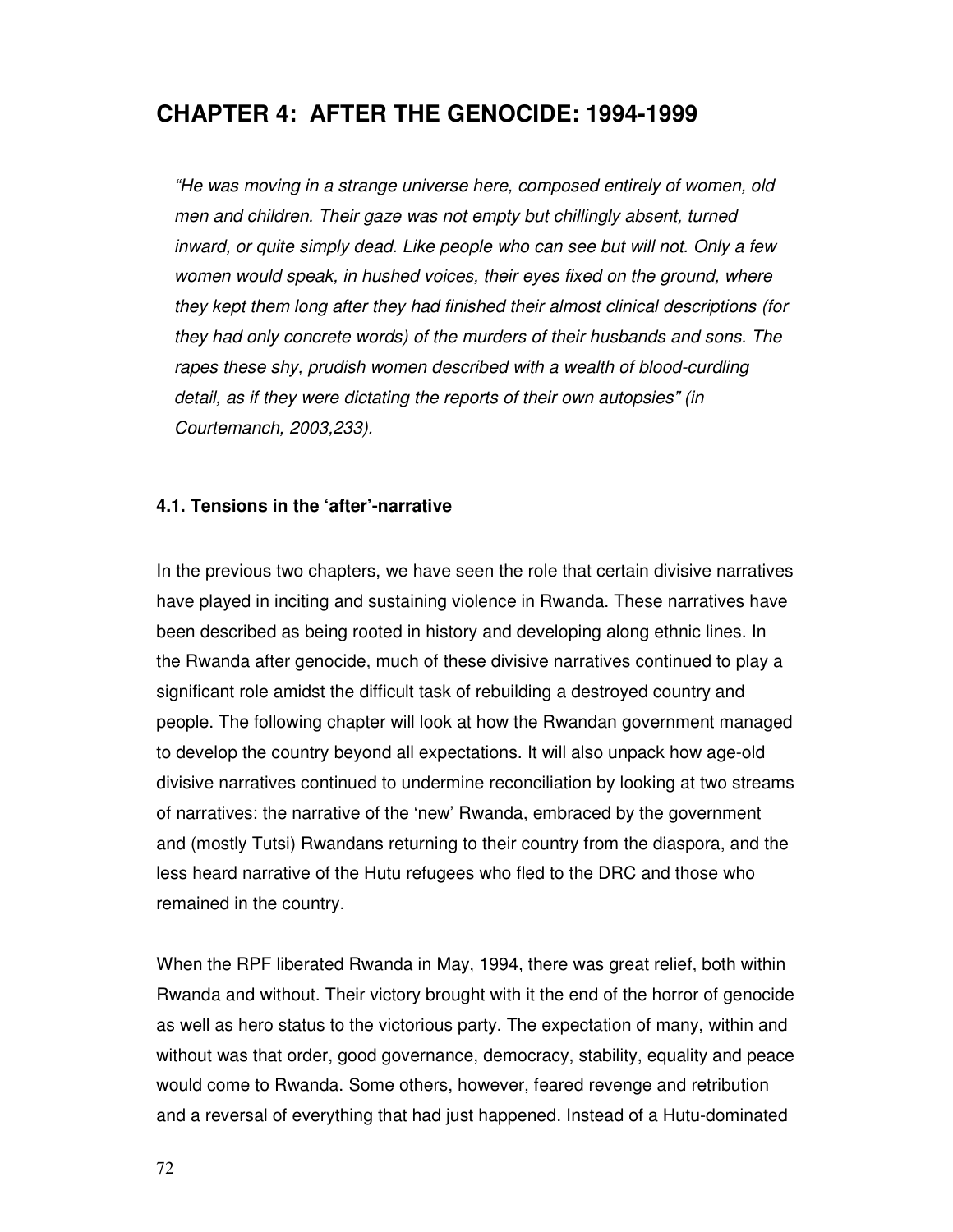# **CHAPTER 4: AFTER THE GENOCIDE: 1994-1999**

"He was moving in a strange universe here, composed entirely of women, old men and children. Their gaze was not empty but chillingly absent, turned inward, or quite simply dead. Like people who can see but will not. Only a few women would speak, in hushed voices, their eyes fixed on the ground, where they kept them long after they had finished their almost clinical descriptions (for they had only concrete words) of the murders of their husbands and sons. The rapes these shy, prudish women described with a wealth of blood-curdling detail, as if they were dictating the reports of their own autopsies" (in Courtemanch, 2003,233).

### **4.1. Tensions in the 'after'-narrative**

In the previous two chapters, we have seen the role that certain divisive narratives have played in inciting and sustaining violence in Rwanda. These narratives have been described as being rooted in history and developing along ethnic lines. In the Rwanda after genocide, much of these divisive narratives continued to play a significant role amidst the difficult task of rebuilding a destroyed country and people. The following chapter will look at how the Rwandan government managed to develop the country beyond all expectations. It will also unpack how age-old divisive narratives continued to undermine reconciliation by looking at two streams of narratives: the narrative of the 'new' Rwanda, embraced by the government and (mostly Tutsi) Rwandans returning to their country from the diaspora, and the less heard narrative of the Hutu refugees who fled to the DRC and those who remained in the country.

When the RPF liberated Rwanda in May, 1994, there was great relief, both within Rwanda and without. Their victory brought with it the end of the horror of genocide as well as hero status to the victorious party. The expectation of many, within and without was that order, good governance, democracy, stability, equality and peace would come to Rwanda. Some others, however, feared revenge and retribution and a reversal of everything that had just happened. Instead of a Hutu-dominated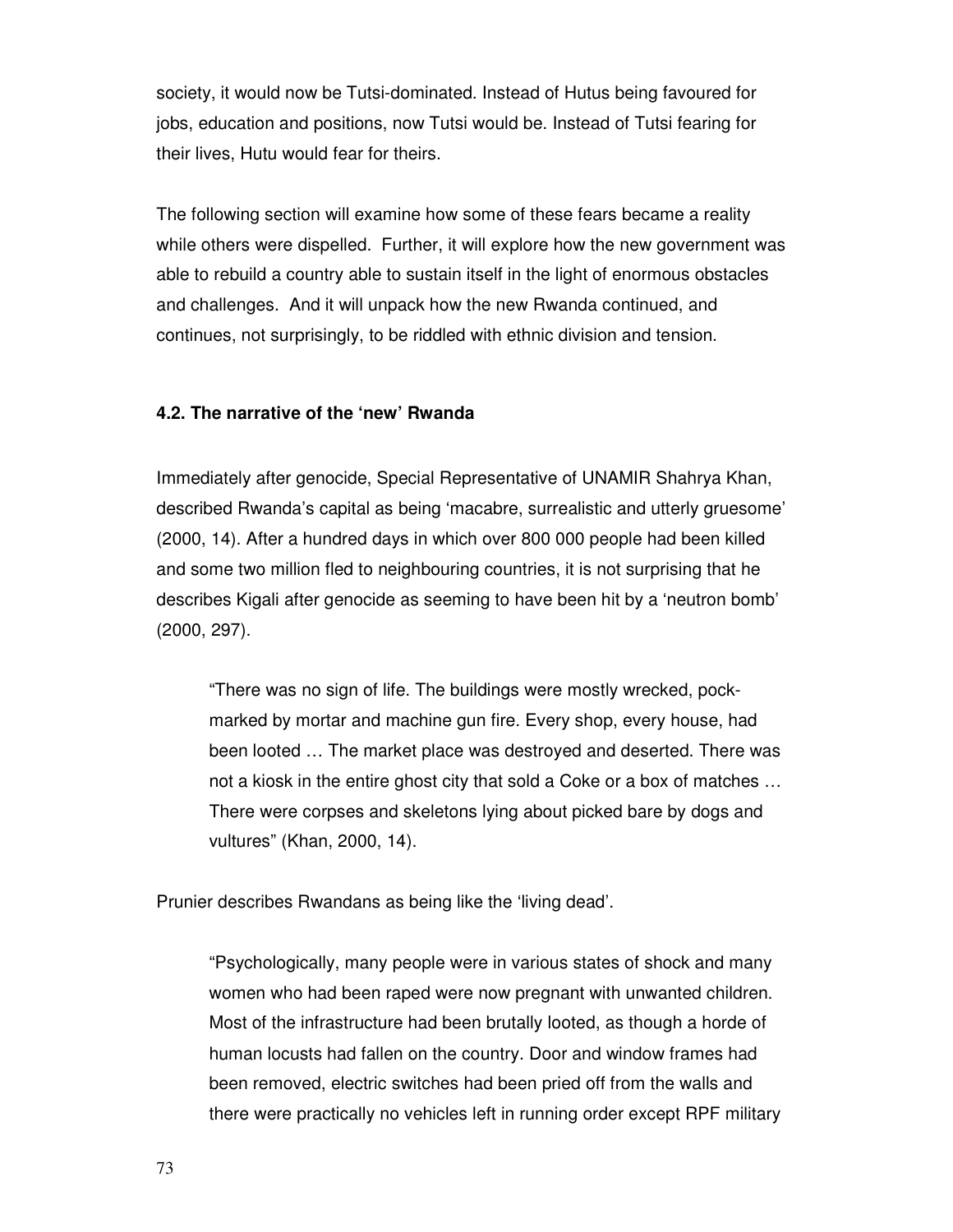society, it would now be Tutsi-dominated. Instead of Hutus being favoured for jobs, education and positions, now Tutsi would be. Instead of Tutsi fearing for their lives, Hutu would fear for theirs.

The following section will examine how some of these fears became a reality while others were dispelled. Further, it will explore how the new government was able to rebuild a country able to sustain itself in the light of enormous obstacles and challenges. And it will unpack how the new Rwanda continued, and continues, not surprisingly, to be riddled with ethnic division and tension.

#### **4.2. The narrative of the 'new' Rwanda**

Immediately after genocide, Special Representative of UNAMIR Shahrya Khan, described Rwanda's capital as being 'macabre, surrealistic and utterly gruesome' (2000, 14). After a hundred days in which over 800 000 people had been killed and some two million fled to neighbouring countries, it is not surprising that he describes Kigali after genocide as seeming to have been hit by a 'neutron bomb' (2000, 297).

"There was no sign of life. The buildings were mostly wrecked, pockmarked by mortar and machine gun fire. Every shop, every house, had been looted … The market place was destroyed and deserted. There was not a kiosk in the entire ghost city that sold a Coke or a box of matches … There were corpses and skeletons lying about picked bare by dogs and vultures" (Khan, 2000, 14).

Prunier describes Rwandans as being like the 'living dead'.

"Psychologically, many people were in various states of shock and many women who had been raped were now pregnant with unwanted children. Most of the infrastructure had been brutally looted, as though a horde of human locusts had fallen on the country. Door and window frames had been removed, electric switches had been pried off from the walls and there were practically no vehicles left in running order except RPF military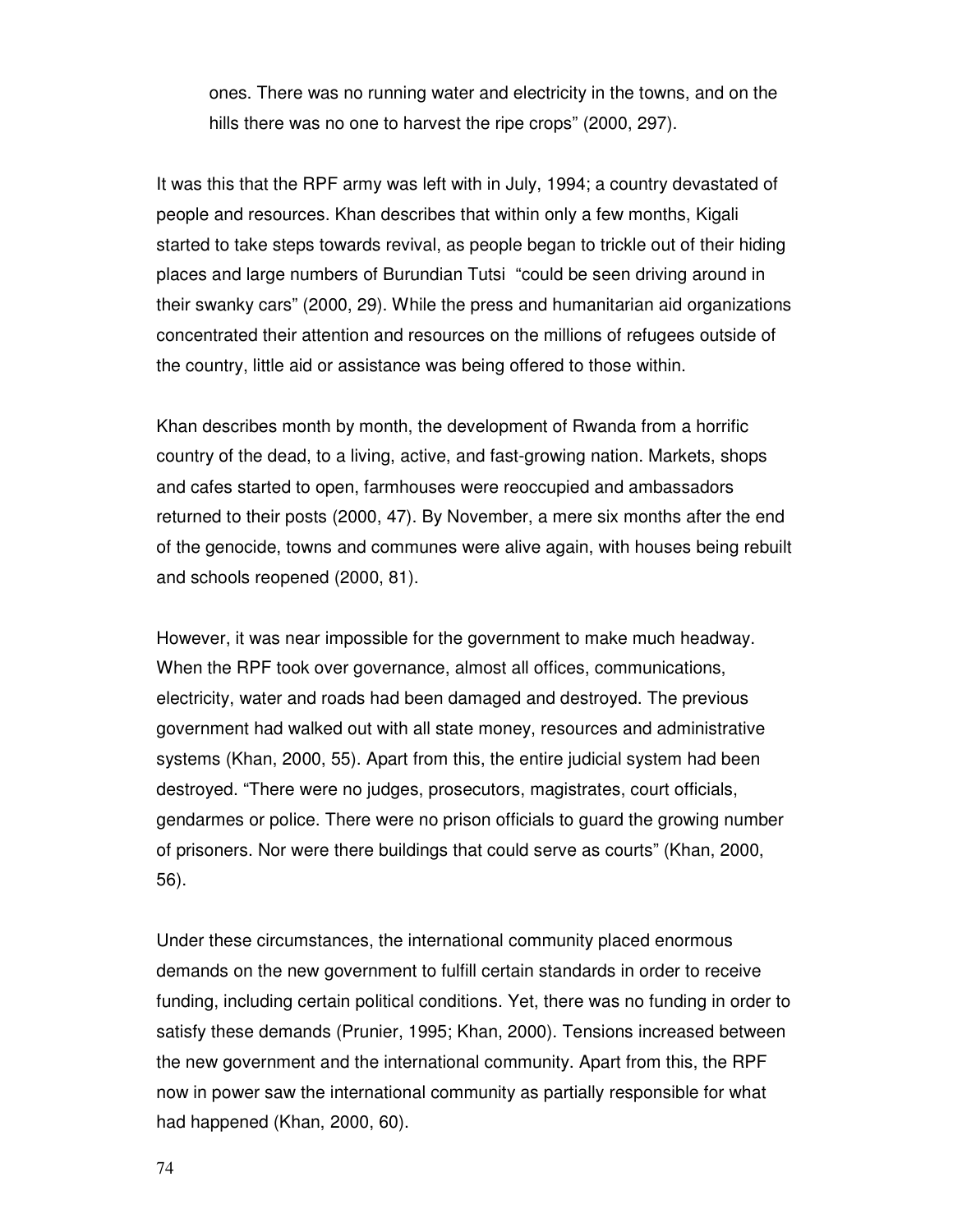ones. There was no running water and electricity in the towns, and on the hills there was no one to harvest the ripe crops" (2000, 297).

It was this that the RPF army was left with in July, 1994; a country devastated of people and resources. Khan describes that within only a few months, Kigali started to take steps towards revival, as people began to trickle out of their hiding places and large numbers of Burundian Tutsi "could be seen driving around in their swanky cars" (2000, 29). While the press and humanitarian aid organizations concentrated their attention and resources on the millions of refugees outside of the country, little aid or assistance was being offered to those within.

Khan describes month by month, the development of Rwanda from a horrific country of the dead, to a living, active, and fast-growing nation. Markets, shops and cafes started to open, farmhouses were reoccupied and ambassadors returned to their posts (2000, 47). By November, a mere six months after the end of the genocide, towns and communes were alive again, with houses being rebuilt and schools reopened (2000, 81).

However, it was near impossible for the government to make much headway. When the RPF took over governance, almost all offices, communications, electricity, water and roads had been damaged and destroyed. The previous government had walked out with all state money, resources and administrative systems (Khan, 2000, 55). Apart from this, the entire judicial system had been destroyed. "There were no judges, prosecutors, magistrates, court officials, gendarmes or police. There were no prison officials to guard the growing number of prisoners. Nor were there buildings that could serve as courts" (Khan, 2000, 56).

Under these circumstances, the international community placed enormous demands on the new government to fulfill certain standards in order to receive funding, including certain political conditions. Yet, there was no funding in order to satisfy these demands (Prunier, 1995; Khan, 2000). Tensions increased between the new government and the international community. Apart from this, the RPF now in power saw the international community as partially responsible for what had happened (Khan, 2000, 60).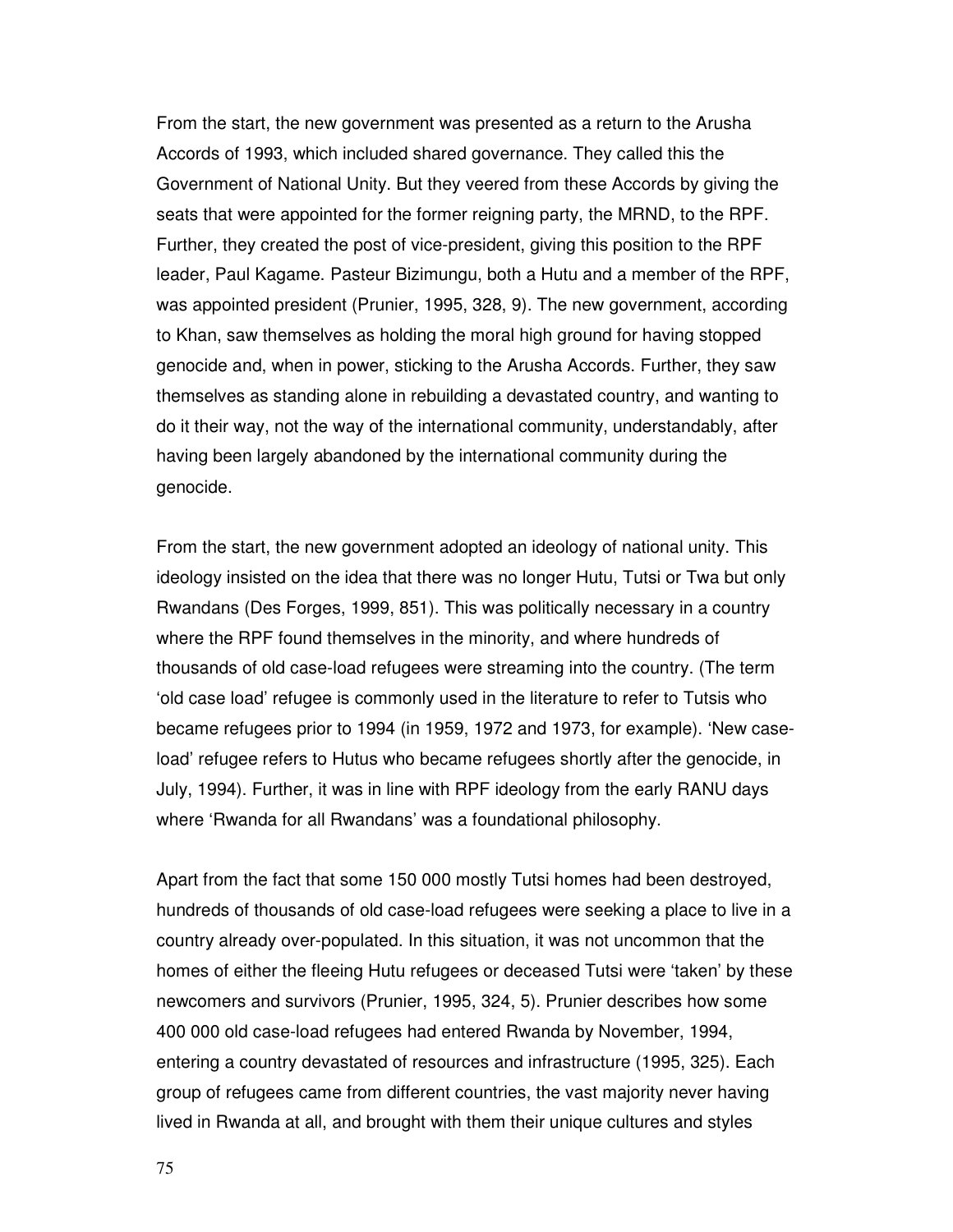From the start, the new government was presented as a return to the Arusha Accords of 1993, which included shared governance. They called this the Government of National Unity. But they veered from these Accords by giving the seats that were appointed for the former reigning party, the MRND, to the RPF. Further, they created the post of vice-president, giving this position to the RPF leader, Paul Kagame. Pasteur Bizimungu, both a Hutu and a member of the RPF, was appointed president (Prunier, 1995, 328, 9). The new government, according to Khan, saw themselves as holding the moral high ground for having stopped genocide and, when in power, sticking to the Arusha Accords. Further, they saw themselves as standing alone in rebuilding a devastated country, and wanting to do it their way, not the way of the international community, understandably, after having been largely abandoned by the international community during the genocide.

From the start, the new government adopted an ideology of national unity. This ideology insisted on the idea that there was no longer Hutu, Tutsi or Twa but only Rwandans (Des Forges, 1999, 851). This was politically necessary in a country where the RPF found themselves in the minority, and where hundreds of thousands of old case-load refugees were streaming into the country. (The term 'old case load' refugee is commonly used in the literature to refer to Tutsis who became refugees prior to 1994 (in 1959, 1972 and 1973, for example). 'New caseload' refugee refers to Hutus who became refugees shortly after the genocide, in July, 1994). Further, it was in line with RPF ideology from the early RANU days where 'Rwanda for all Rwandans' was a foundational philosophy.

Apart from the fact that some 150 000 mostly Tutsi homes had been destroyed, hundreds of thousands of old case-load refugees were seeking a place to live in a country already over-populated. In this situation, it was not uncommon that the homes of either the fleeing Hutu refugees or deceased Tutsi were 'taken' by these newcomers and survivors (Prunier, 1995, 324, 5). Prunier describes how some 400 000 old case-load refugees had entered Rwanda by November, 1994, entering a country devastated of resources and infrastructure (1995, 325). Each group of refugees came from different countries, the vast majority never having lived in Rwanda at all, and brought with them their unique cultures and styles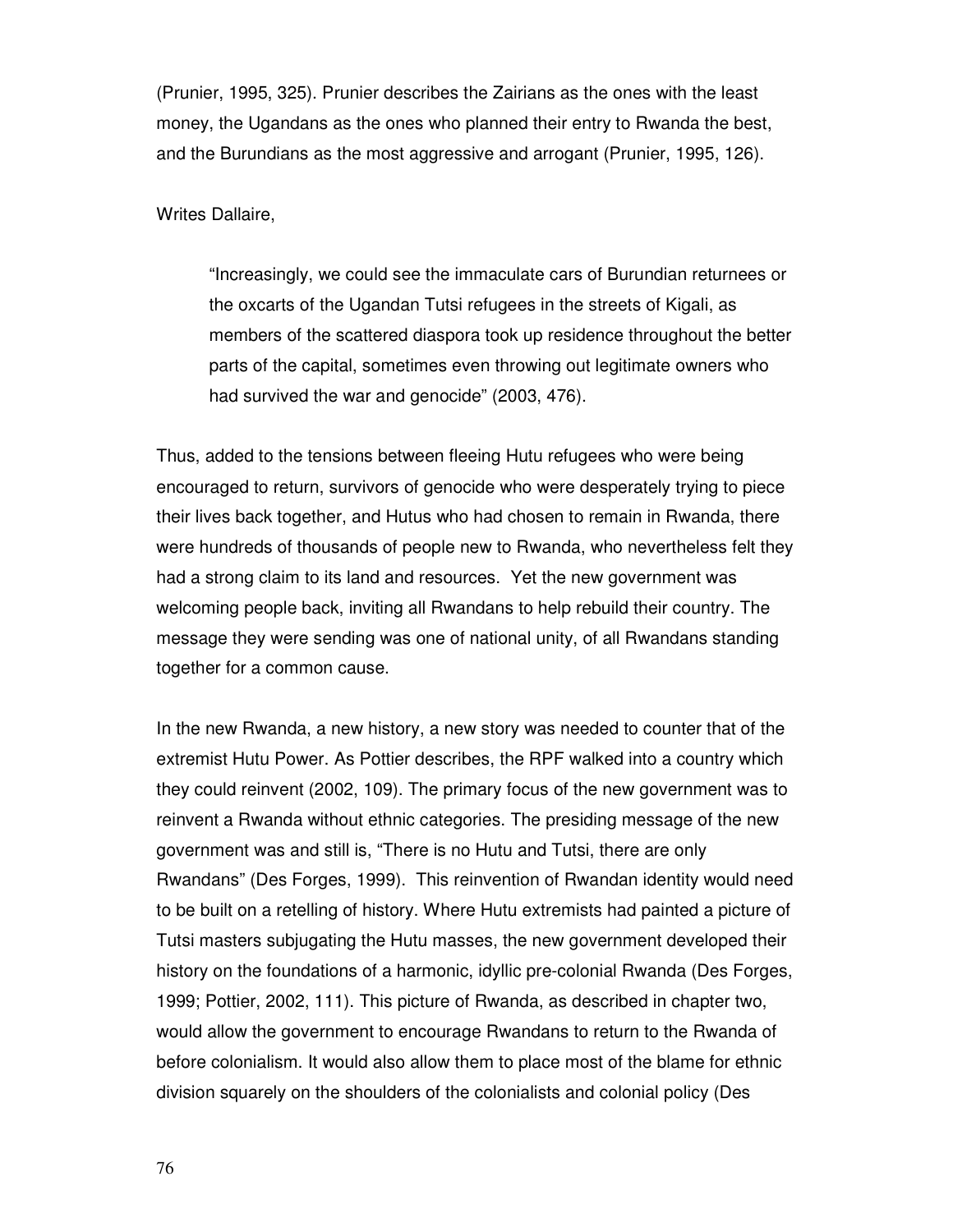(Prunier, 1995, 325). Prunier describes the Zairians as the ones with the least money, the Ugandans as the ones who planned their entry to Rwanda the best, and the Burundians as the most aggressive and arrogant (Prunier, 1995, 126).

Writes Dallaire,

"Increasingly, we could see the immaculate cars of Burundian returnees or the oxcarts of the Ugandan Tutsi refugees in the streets of Kigali, as members of the scattered diaspora took up residence throughout the better parts of the capital, sometimes even throwing out legitimate owners who had survived the war and genocide" (2003, 476).

Thus, added to the tensions between fleeing Hutu refugees who were being encouraged to return, survivors of genocide who were desperately trying to piece their lives back together, and Hutus who had chosen to remain in Rwanda, there were hundreds of thousands of people new to Rwanda, who nevertheless felt they had a strong claim to its land and resources. Yet the new government was welcoming people back, inviting all Rwandans to help rebuild their country. The message they were sending was one of national unity, of all Rwandans standing together for a common cause.

In the new Rwanda, a new history, a new story was needed to counter that of the extremist Hutu Power. As Pottier describes, the RPF walked into a country which they could reinvent (2002, 109). The primary focus of the new government was to reinvent a Rwanda without ethnic categories. The presiding message of the new government was and still is, "There is no Hutu and Tutsi, there are only Rwandans" (Des Forges, 1999). This reinvention of Rwandan identity would need to be built on a retelling of history. Where Hutu extremists had painted a picture of Tutsi masters subjugating the Hutu masses, the new government developed their history on the foundations of a harmonic, idyllic pre-colonial Rwanda (Des Forges, 1999; Pottier, 2002, 111). This picture of Rwanda, as described in chapter two, would allow the government to encourage Rwandans to return to the Rwanda of before colonialism. It would also allow them to place most of the blame for ethnic division squarely on the shoulders of the colonialists and colonial policy (Des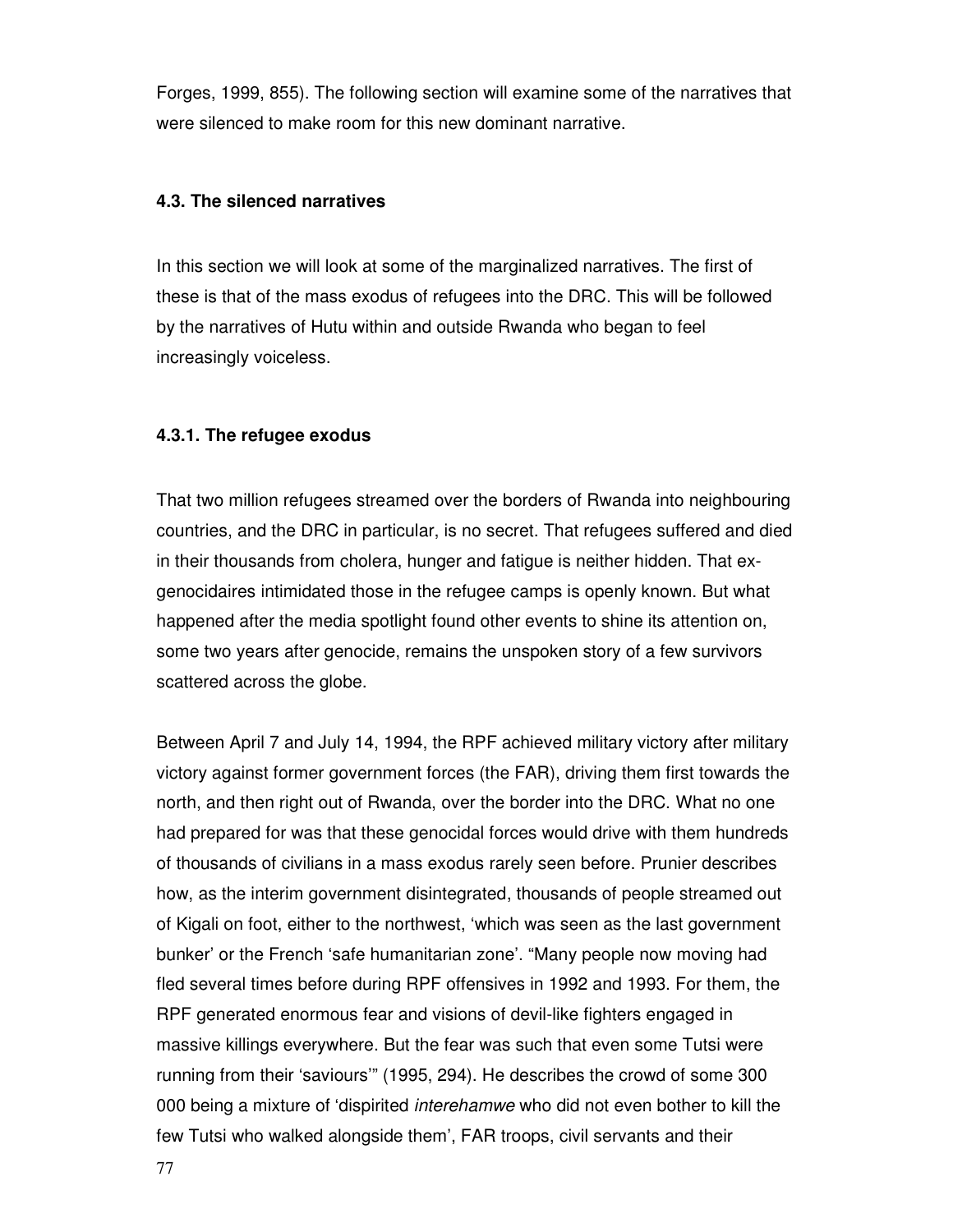Forges, 1999, 855). The following section will examine some of the narratives that were silenced to make room for this new dominant narrative.

### **4.3. The silenced narratives**

In this section we will look at some of the marginalized narratives. The first of these is that of the mass exodus of refugees into the DRC. This will be followed by the narratives of Hutu within and outside Rwanda who began to feel increasingly voiceless.

### **4.3.1. The refugee exodus**

That two million refugees streamed over the borders of Rwanda into neighbouring countries, and the DRC in particular, is no secret. That refugees suffered and died in their thousands from cholera, hunger and fatigue is neither hidden. That exgenocidaires intimidated those in the refugee camps is openly known. But what happened after the media spotlight found other events to shine its attention on, some two years after genocide, remains the unspoken story of a few survivors scattered across the globe.

Between April 7 and July 14, 1994, the RPF achieved military victory after military victory against former government forces (the FAR), driving them first towards the north, and then right out of Rwanda, over the border into the DRC. What no one had prepared for was that these genocidal forces would drive with them hundreds of thousands of civilians in a mass exodus rarely seen before. Prunier describes how, as the interim government disintegrated, thousands of people streamed out of Kigali on foot, either to the northwest, 'which was seen as the last government bunker' or the French 'safe humanitarian zone'. "Many people now moving had fled several times before during RPF offensives in 1992 and 1993. For them, the RPF generated enormous fear and visions of devil-like fighters engaged in massive killings everywhere. But the fear was such that even some Tutsi were running from their 'saviours'" (1995, 294). He describes the crowd of some 300 000 being a mixture of 'dispirited interehamwe who did not even bother to kill the few Tutsi who walked alongside them', FAR troops, civil servants and their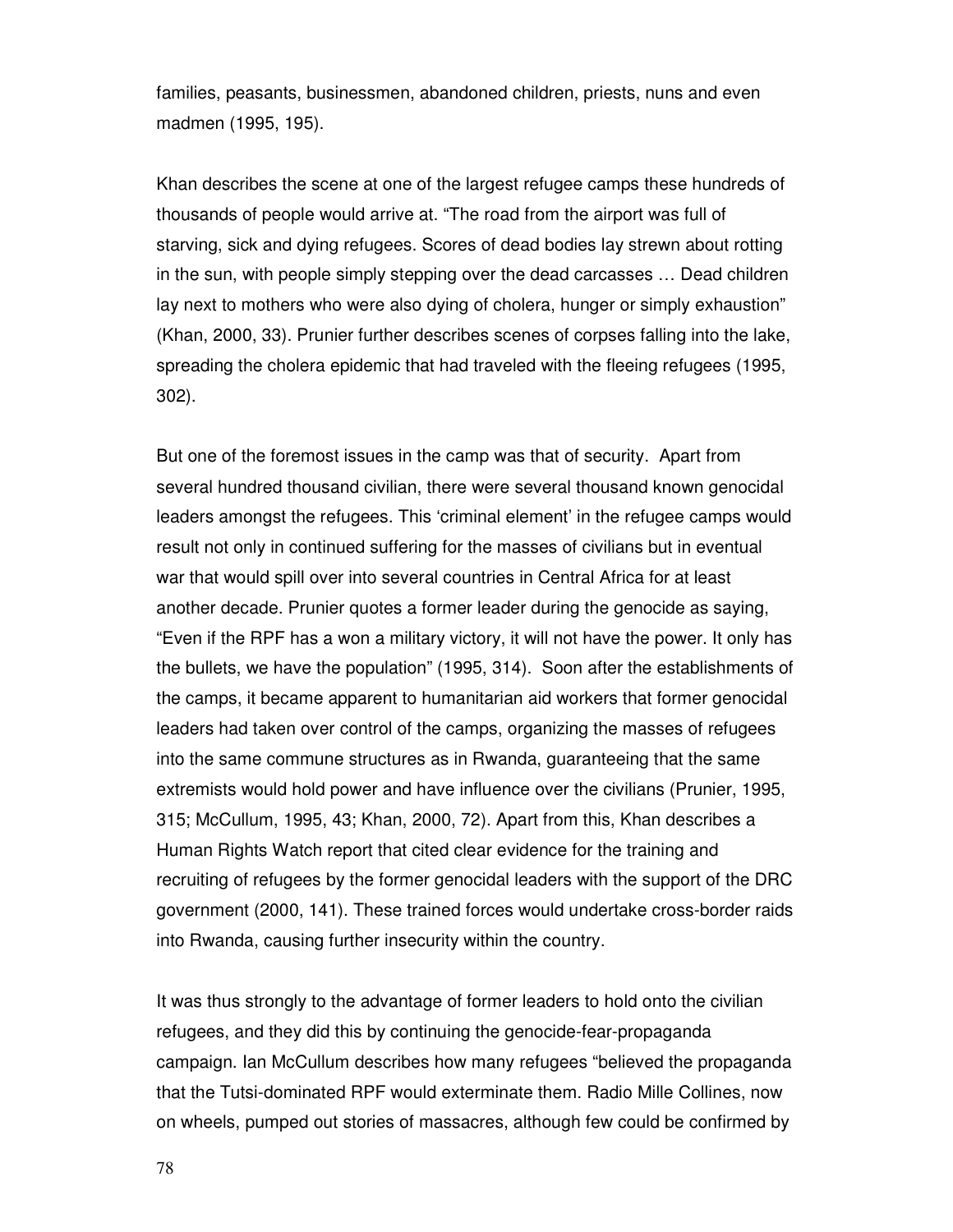families, peasants, businessmen, abandoned children, priests, nuns and even madmen (1995, 195).

Khan describes the scene at one of the largest refugee camps these hundreds of thousands of people would arrive at. "The road from the airport was full of starving, sick and dying refugees. Scores of dead bodies lay strewn about rotting in the sun, with people simply stepping over the dead carcasses … Dead children lay next to mothers who were also dying of cholera, hunger or simply exhaustion" (Khan, 2000, 33). Prunier further describes scenes of corpses falling into the lake, spreading the cholera epidemic that had traveled with the fleeing refugees (1995, 302).

But one of the foremost issues in the camp was that of security. Apart from several hundred thousand civilian, there were several thousand known genocidal leaders amongst the refugees. This 'criminal element' in the refugee camps would result not only in continued suffering for the masses of civilians but in eventual war that would spill over into several countries in Central Africa for at least another decade. Prunier quotes a former leader during the genocide as saying, "Even if the RPF has a won a military victory, it will not have the power. It only has the bullets, we have the population" (1995, 314). Soon after the establishments of the camps, it became apparent to humanitarian aid workers that former genocidal leaders had taken over control of the camps, organizing the masses of refugees into the same commune structures as in Rwanda, guaranteeing that the same extremists would hold power and have influence over the civilians (Prunier, 1995, 315; McCullum, 1995, 43; Khan, 2000, 72). Apart from this, Khan describes a Human Rights Watch report that cited clear evidence for the training and recruiting of refugees by the former genocidal leaders with the support of the DRC government (2000, 141). These trained forces would undertake cross-border raids into Rwanda, causing further insecurity within the country.

It was thus strongly to the advantage of former leaders to hold onto the civilian refugees, and they did this by continuing the genocide-fear-propaganda campaign. Ian McCullum describes how many refugees "believed the propaganda that the Tutsi-dominated RPF would exterminate them. Radio Mille Collines, now on wheels, pumped out stories of massacres, although few could be confirmed by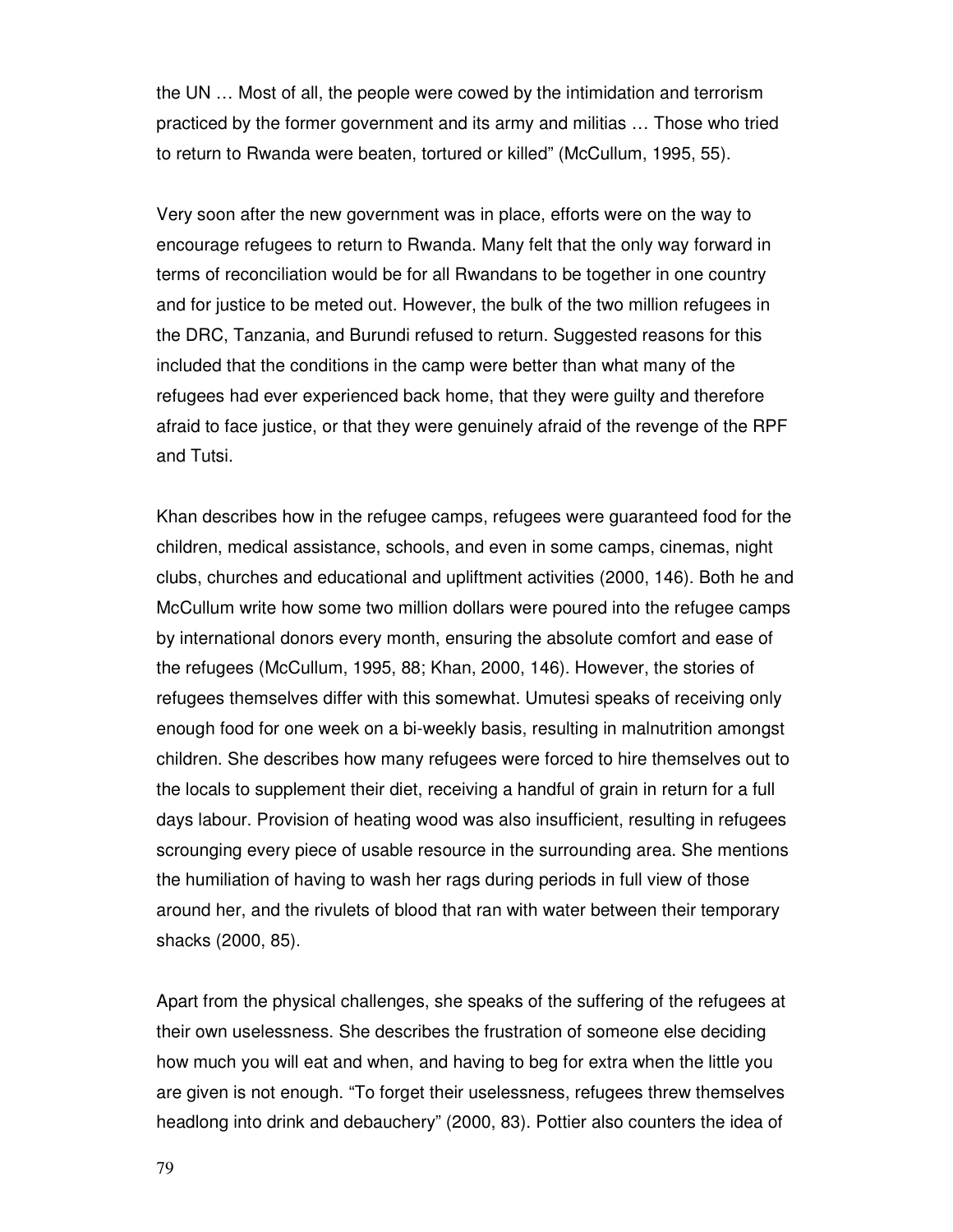the UN … Most of all, the people were cowed by the intimidation and terrorism practiced by the former government and its army and militias … Those who tried to return to Rwanda were beaten, tortured or killed" (McCullum, 1995, 55).

Very soon after the new government was in place, efforts were on the way to encourage refugees to return to Rwanda. Many felt that the only way forward in terms of reconciliation would be for all Rwandans to be together in one country and for justice to be meted out. However, the bulk of the two million refugees in the DRC, Tanzania, and Burundi refused to return. Suggested reasons for this included that the conditions in the camp were better than what many of the refugees had ever experienced back home, that they were guilty and therefore afraid to face justice, or that they were genuinely afraid of the revenge of the RPF and Tutsi.

Khan describes how in the refugee camps, refugees were guaranteed food for the children, medical assistance, schools, and even in some camps, cinemas, night clubs, churches and educational and upliftment activities (2000, 146). Both he and McCullum write how some two million dollars were poured into the refugee camps by international donors every month, ensuring the absolute comfort and ease of the refugees (McCullum, 1995, 88; Khan, 2000, 146). However, the stories of refugees themselves differ with this somewhat. Umutesi speaks of receiving only enough food for one week on a bi-weekly basis, resulting in malnutrition amongst children. She describes how many refugees were forced to hire themselves out to the locals to supplement their diet, receiving a handful of grain in return for a full days labour. Provision of heating wood was also insufficient, resulting in refugees scrounging every piece of usable resource in the surrounding area. She mentions the humiliation of having to wash her rags during periods in full view of those around her, and the rivulets of blood that ran with water between their temporary shacks (2000, 85).

Apart from the physical challenges, she speaks of the suffering of the refugees at their own uselessness. She describes the frustration of someone else deciding how much you will eat and when, and having to beg for extra when the little you are given is not enough. "To forget their uselessness, refugees threw themselves headlong into drink and debauchery" (2000, 83). Pottier also counters the idea of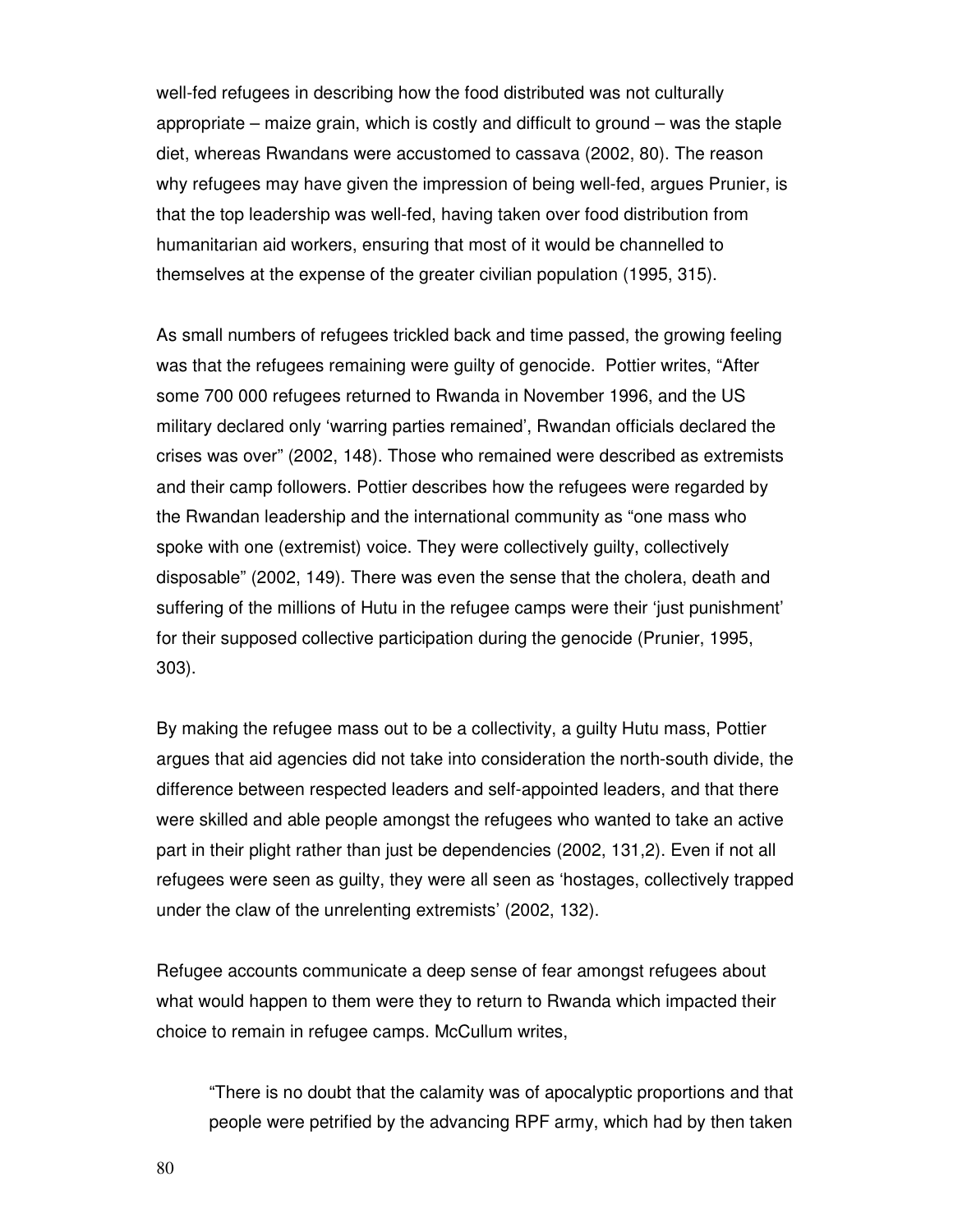well-fed refugees in describing how the food distributed was not culturally appropriate – maize grain, which is costly and difficult to ground – was the staple diet, whereas Rwandans were accustomed to cassava (2002, 80). The reason why refugees may have given the impression of being well-fed, argues Prunier, is that the top leadership was well-fed, having taken over food distribution from humanitarian aid workers, ensuring that most of it would be channelled to themselves at the expense of the greater civilian population (1995, 315).

As small numbers of refugees trickled back and time passed, the growing feeling was that the refugees remaining were guilty of genocide. Pottier writes, "After some 700 000 refugees returned to Rwanda in November 1996, and the US military declared only 'warring parties remained', Rwandan officials declared the crises was over" (2002, 148). Those who remained were described as extremists and their camp followers. Pottier describes how the refugees were regarded by the Rwandan leadership and the international community as "one mass who spoke with one (extremist) voice. They were collectively guilty, collectively disposable" (2002, 149). There was even the sense that the cholera, death and suffering of the millions of Hutu in the refugee camps were their 'just punishment' for their supposed collective participation during the genocide (Prunier, 1995, 303).

By making the refugee mass out to be a collectivity, a guilty Hutu mass, Pottier argues that aid agencies did not take into consideration the north-south divide, the difference between respected leaders and self-appointed leaders, and that there were skilled and able people amongst the refugees who wanted to take an active part in their plight rather than just be dependencies (2002, 131,2). Even if not all refugees were seen as guilty, they were all seen as 'hostages, collectively trapped under the claw of the unrelenting extremists' (2002, 132).

Refugee accounts communicate a deep sense of fear amongst refugees about what would happen to them were they to return to Rwanda which impacted their choice to remain in refugee camps. McCullum writes,

"There is no doubt that the calamity was of apocalyptic proportions and that people were petrified by the advancing RPF army, which had by then taken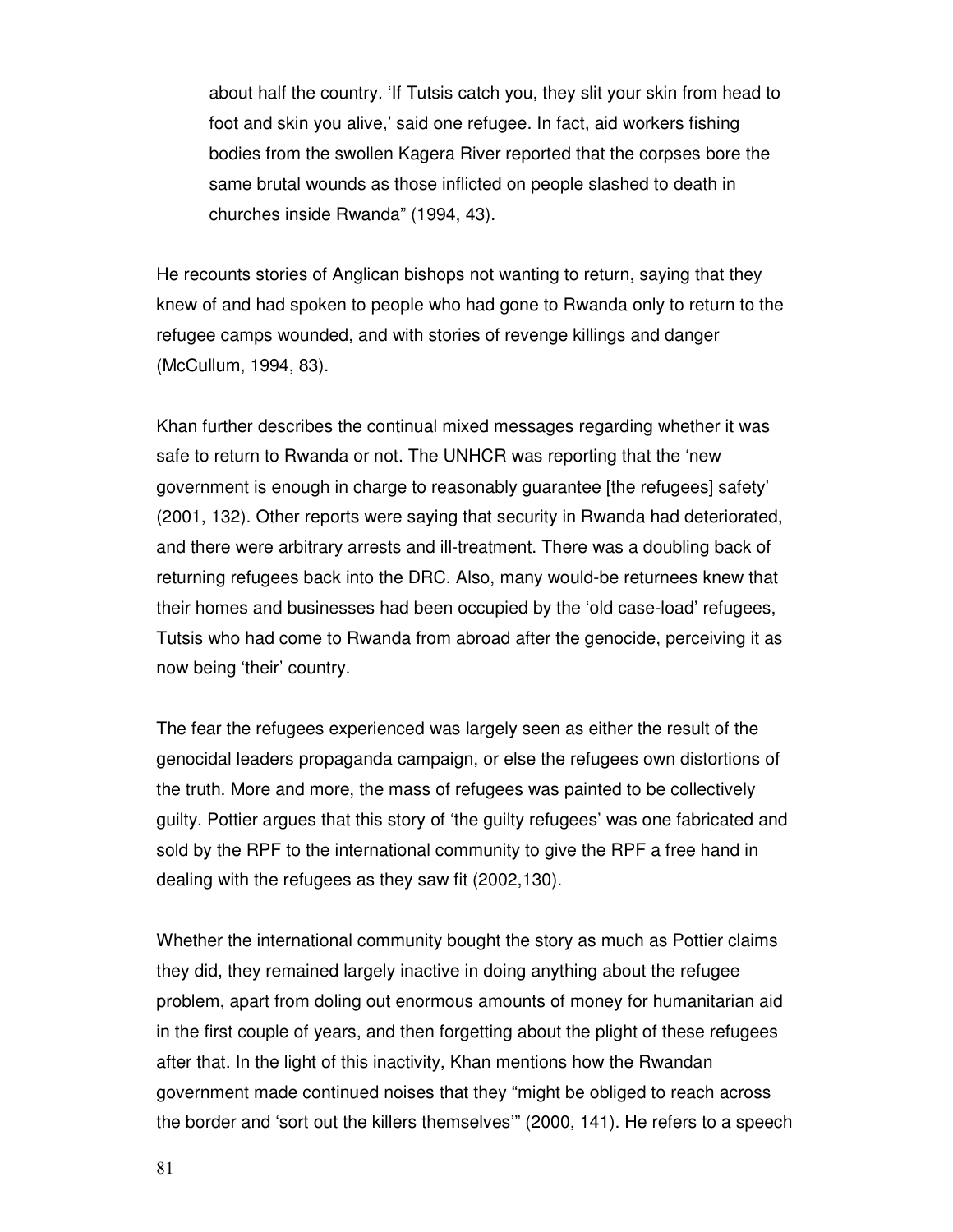about half the country. 'If Tutsis catch you, they slit your skin from head to foot and skin you alive,' said one refugee. In fact, aid workers fishing bodies from the swollen Kagera River reported that the corpses bore the same brutal wounds as those inflicted on people slashed to death in churches inside Rwanda" (1994, 43).

He recounts stories of Anglican bishops not wanting to return, saying that they knew of and had spoken to people who had gone to Rwanda only to return to the refugee camps wounded, and with stories of revenge killings and danger (McCullum, 1994, 83).

Khan further describes the continual mixed messages regarding whether it was safe to return to Rwanda or not. The UNHCR was reporting that the 'new government is enough in charge to reasonably guarantee [the refugees] safety' (2001, 132). Other reports were saying that security in Rwanda had deteriorated, and there were arbitrary arrests and ill-treatment. There was a doubling back of returning refugees back into the DRC. Also, many would-be returnees knew that their homes and businesses had been occupied by the 'old case-load' refugees, Tutsis who had come to Rwanda from abroad after the genocide, perceiving it as now being 'their' country.

The fear the refugees experienced was largely seen as either the result of the genocidal leaders propaganda campaign, or else the refugees own distortions of the truth. More and more, the mass of refugees was painted to be collectively guilty. Pottier argues that this story of 'the guilty refugees' was one fabricated and sold by the RPF to the international community to give the RPF a free hand in dealing with the refugees as they saw fit (2002,130).

Whether the international community bought the story as much as Pottier claims they did, they remained largely inactive in doing anything about the refugee problem, apart from doling out enormous amounts of money for humanitarian aid in the first couple of years, and then forgetting about the plight of these refugees after that. In the light of this inactivity, Khan mentions how the Rwandan government made continued noises that they "might be obliged to reach across the border and 'sort out the killers themselves'" (2000, 141). He refers to a speech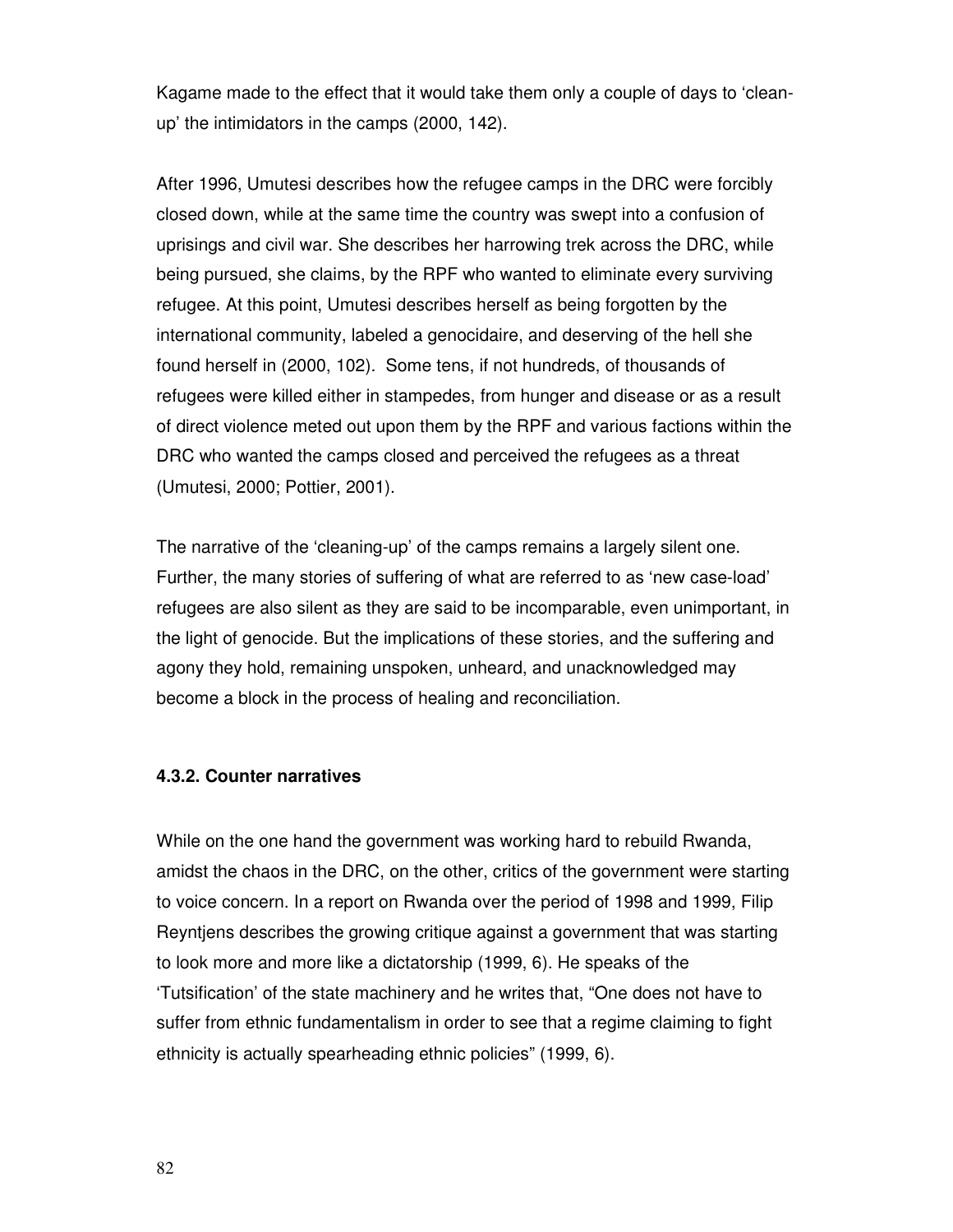Kagame made to the effect that it would take them only a couple of days to 'cleanup' the intimidators in the camps (2000, 142).

After 1996, Umutesi describes how the refugee camps in the DRC were forcibly closed down, while at the same time the country was swept into a confusion of uprisings and civil war. She describes her harrowing trek across the DRC, while being pursued, she claims, by the RPF who wanted to eliminate every surviving refugee. At this point, Umutesi describes herself as being forgotten by the international community, labeled a genocidaire, and deserving of the hell she found herself in (2000, 102). Some tens, if not hundreds, of thousands of refugees were killed either in stampedes, from hunger and disease or as a result of direct violence meted out upon them by the RPF and various factions within the DRC who wanted the camps closed and perceived the refugees as a threat (Umutesi, 2000; Pottier, 2001).

The narrative of the 'cleaning-up' of the camps remains a largely silent one. Further, the many stories of suffering of what are referred to as 'new case-load' refugees are also silent as they are said to be incomparable, even unimportant, in the light of genocide. But the implications of these stories, and the suffering and agony they hold, remaining unspoken, unheard, and unacknowledged may become a block in the process of healing and reconciliation.

#### **4.3.2. Counter narratives**

While on the one hand the government was working hard to rebuild Rwanda, amidst the chaos in the DRC, on the other, critics of the government were starting to voice concern. In a report on Rwanda over the period of 1998 and 1999, Filip Reyntjens describes the growing critique against a government that was starting to look more and more like a dictatorship (1999, 6). He speaks of the 'Tutsification' of the state machinery and he writes that, "One does not have to suffer from ethnic fundamentalism in order to see that a regime claiming to fight ethnicity is actually spearheading ethnic policies" (1999, 6).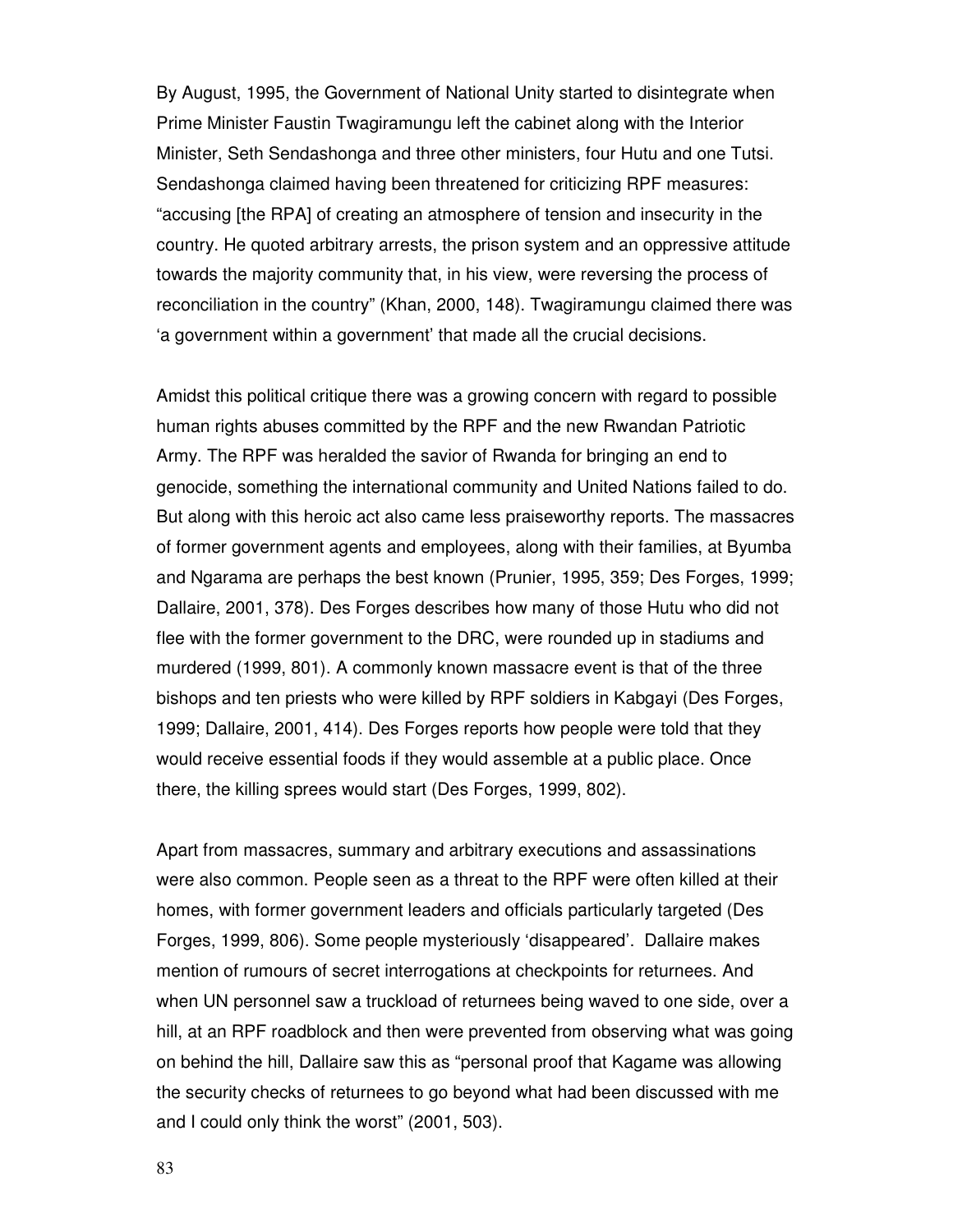By August, 1995, the Government of National Unity started to disintegrate when Prime Minister Faustin Twagiramungu left the cabinet along with the Interior Minister, Seth Sendashonga and three other ministers, four Hutu and one Tutsi. Sendashonga claimed having been threatened for criticizing RPF measures: "accusing [the RPA] of creating an atmosphere of tension and insecurity in the country. He quoted arbitrary arrests, the prison system and an oppressive attitude towards the majority community that, in his view, were reversing the process of reconciliation in the country" (Khan, 2000, 148). Twagiramungu claimed there was 'a government within a government' that made all the crucial decisions.

Amidst this political critique there was a growing concern with regard to possible human rights abuses committed by the RPF and the new Rwandan Patriotic Army. The RPF was heralded the savior of Rwanda for bringing an end to genocide, something the international community and United Nations failed to do. But along with this heroic act also came less praiseworthy reports. The massacres of former government agents and employees, along with their families, at Byumba and Ngarama are perhaps the best known (Prunier, 1995, 359; Des Forges, 1999; Dallaire, 2001, 378). Des Forges describes how many of those Hutu who did not flee with the former government to the DRC, were rounded up in stadiums and murdered (1999, 801). A commonly known massacre event is that of the three bishops and ten priests who were killed by RPF soldiers in Kabgayi (Des Forges, 1999; Dallaire, 2001, 414). Des Forges reports how people were told that they would receive essential foods if they would assemble at a public place. Once there, the killing sprees would start (Des Forges, 1999, 802).

Apart from massacres, summary and arbitrary executions and assassinations were also common. People seen as a threat to the RPF were often killed at their homes, with former government leaders and officials particularly targeted (Des Forges, 1999, 806). Some people mysteriously 'disappeared'. Dallaire makes mention of rumours of secret interrogations at checkpoints for returnees. And when UN personnel saw a truckload of returnees being waved to one side, over a hill, at an RPF roadblock and then were prevented from observing what was going on behind the hill, Dallaire saw this as "personal proof that Kagame was allowing the security checks of returnees to go beyond what had been discussed with me and I could only think the worst" (2001, 503).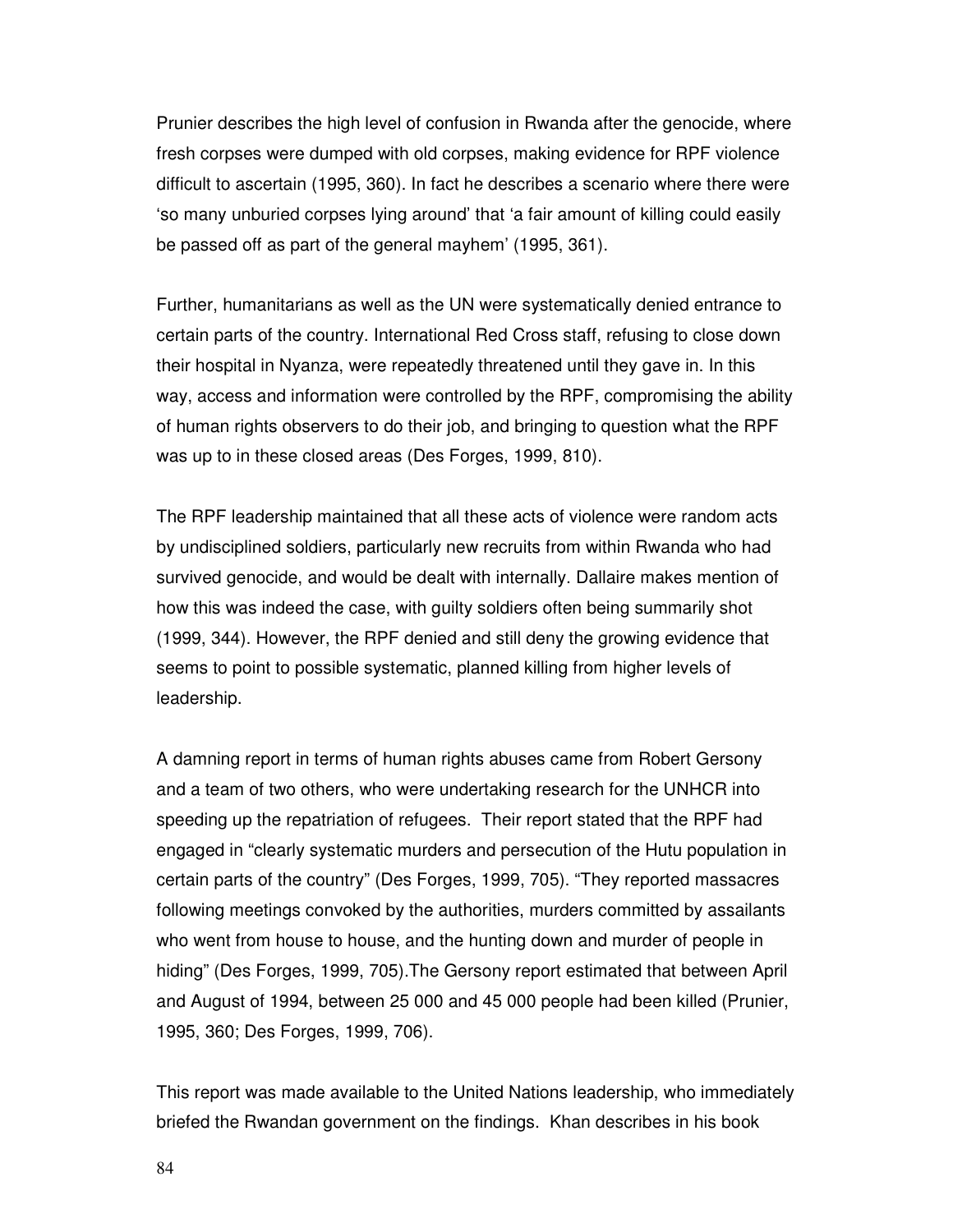Prunier describes the high level of confusion in Rwanda after the genocide, where fresh corpses were dumped with old corpses, making evidence for RPF violence difficult to ascertain (1995, 360). In fact he describes a scenario where there were 'so many unburied corpses lying around' that 'a fair amount of killing could easily be passed off as part of the general mayhem' (1995, 361).

Further, humanitarians as well as the UN were systematically denied entrance to certain parts of the country. International Red Cross staff, refusing to close down their hospital in Nyanza, were repeatedly threatened until they gave in. In this way, access and information were controlled by the RPF, compromising the ability of human rights observers to do their job, and bringing to question what the RPF was up to in these closed areas (Des Forges, 1999, 810).

The RPF leadership maintained that all these acts of violence were random acts by undisciplined soldiers, particularly new recruits from within Rwanda who had survived genocide, and would be dealt with internally. Dallaire makes mention of how this was indeed the case, with guilty soldiers often being summarily shot (1999, 344). However, the RPF denied and still deny the growing evidence that seems to point to possible systematic, planned killing from higher levels of leadership.

A damning report in terms of human rights abuses came from Robert Gersony and a team of two others, who were undertaking research for the UNHCR into speeding up the repatriation of refugees. Their report stated that the RPF had engaged in "clearly systematic murders and persecution of the Hutu population in certain parts of the country" (Des Forges, 1999, 705). "They reported massacres following meetings convoked by the authorities, murders committed by assailants who went from house to house, and the hunting down and murder of people in hiding" (Des Forges, 1999, 705).The Gersony report estimated that between April and August of 1994, between 25 000 and 45 000 people had been killed (Prunier, 1995, 360; Des Forges, 1999, 706).

This report was made available to the United Nations leadership, who immediately briefed the Rwandan government on the findings. Khan describes in his book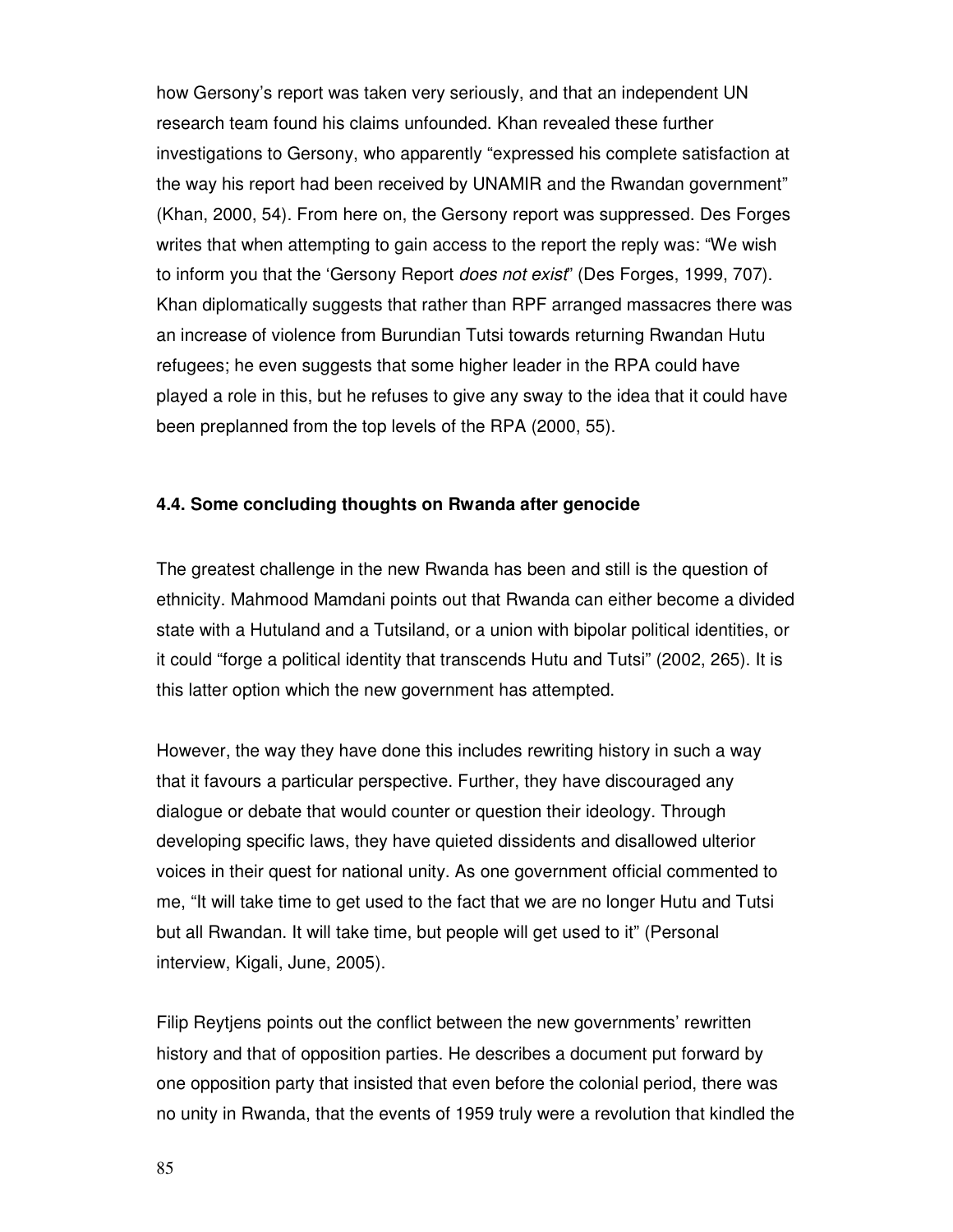how Gersony's report was taken very seriously, and that an independent UN research team found his claims unfounded. Khan revealed these further investigations to Gersony, who apparently "expressed his complete satisfaction at the way his report had been received by UNAMIR and the Rwandan government" (Khan, 2000, 54). From here on, the Gersony report was suppressed. Des Forges writes that when attempting to gain access to the report the reply was: "We wish to inform you that the 'Gersony Report *does not exist*" (Des Forges, 1999, 707). Khan diplomatically suggests that rather than RPF arranged massacres there was an increase of violence from Burundian Tutsi towards returning Rwandan Hutu refugees; he even suggests that some higher leader in the RPA could have played a role in this, but he refuses to give any sway to the idea that it could have been preplanned from the top levels of the RPA (2000, 55).

#### **4.4. Some concluding thoughts on Rwanda after genocide**

The greatest challenge in the new Rwanda has been and still is the question of ethnicity. Mahmood Mamdani points out that Rwanda can either become a divided state with a Hutuland and a Tutsiland, or a union with bipolar political identities, or it could "forge a political identity that transcends Hutu and Tutsi" (2002, 265). It is this latter option which the new government has attempted.

However, the way they have done this includes rewriting history in such a way that it favours a particular perspective. Further, they have discouraged any dialogue or debate that would counter or question their ideology. Through developing specific laws, they have quieted dissidents and disallowed ulterior voices in their quest for national unity. As one government official commented to me, "It will take time to get used to the fact that we are no longer Hutu and Tutsi but all Rwandan. It will take time, but people will get used to it" (Personal interview, Kigali, June, 2005).

Filip Reytjens points out the conflict between the new governments' rewritten history and that of opposition parties. He describes a document put forward by one opposition party that insisted that even before the colonial period, there was no unity in Rwanda, that the events of 1959 truly were a revolution that kindled the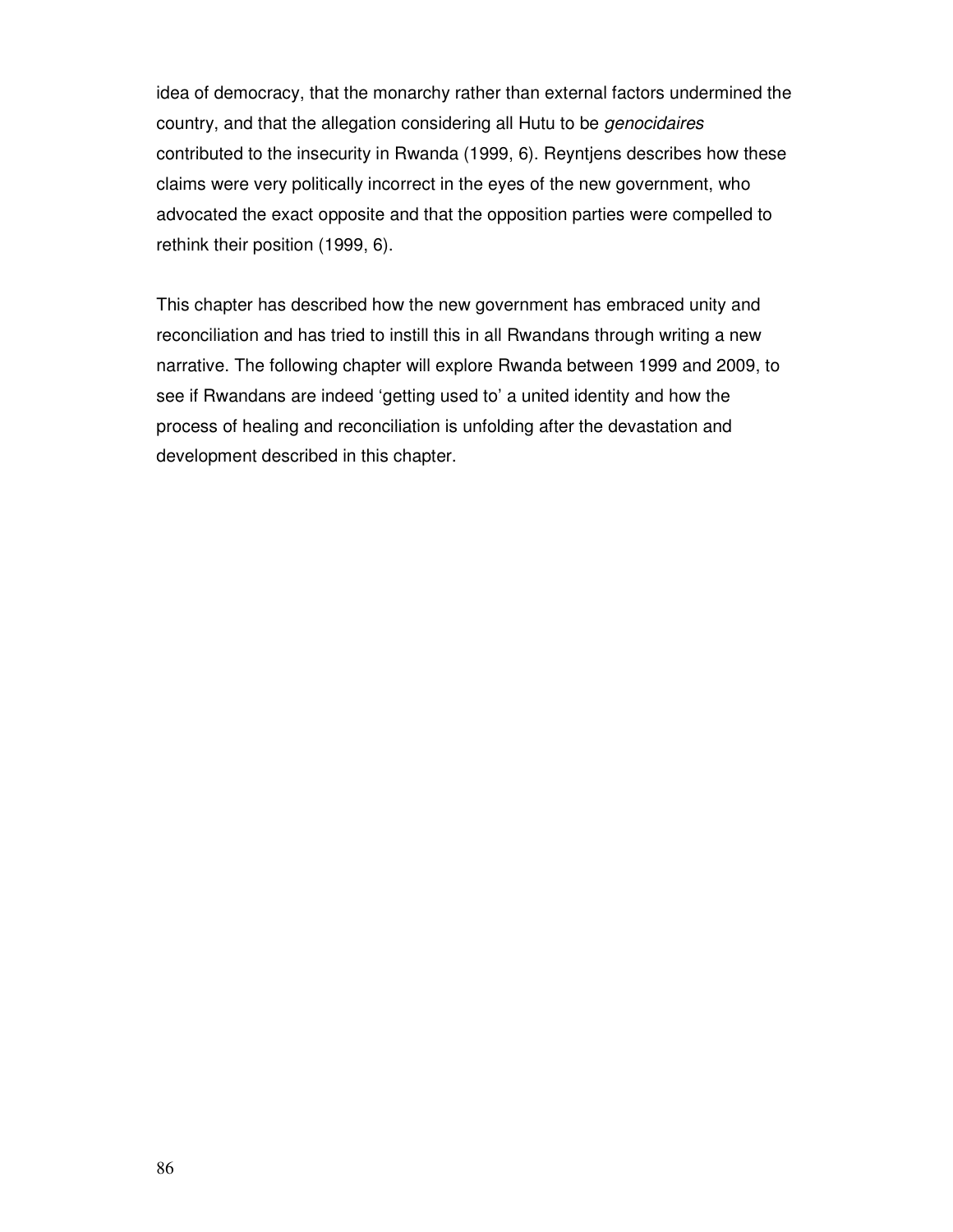idea of democracy, that the monarchy rather than external factors undermined the country, and that the allegation considering all Hutu to be genocidaires contributed to the insecurity in Rwanda (1999, 6). Reyntjens describes how these claims were very politically incorrect in the eyes of the new government, who advocated the exact opposite and that the opposition parties were compelled to rethink their position (1999, 6).

This chapter has described how the new government has embraced unity and reconciliation and has tried to instill this in all Rwandans through writing a new narrative. The following chapter will explore Rwanda between 1999 and 2009, to see if Rwandans are indeed 'getting used to' a united identity and how the process of healing and reconciliation is unfolding after the devastation and development described in this chapter.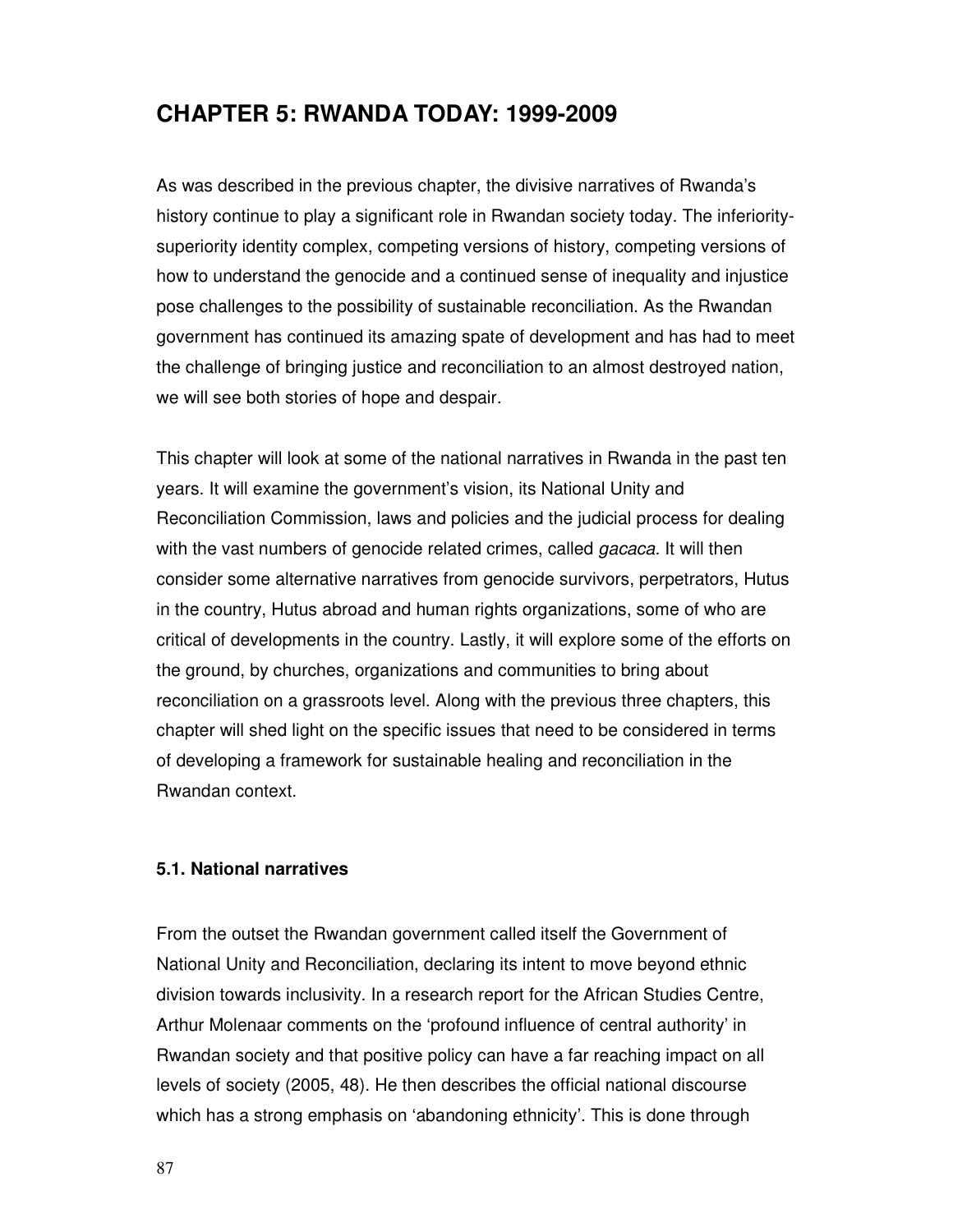# **CHAPTER 5: RWANDA TODAY: 1999-2009**

As was described in the previous chapter, the divisive narratives of Rwanda's history continue to play a significant role in Rwandan society today. The inferioritysuperiority identity complex, competing versions of history, competing versions of how to understand the genocide and a continued sense of inequality and injustice pose challenges to the possibility of sustainable reconciliation. As the Rwandan government has continued its amazing spate of development and has had to meet the challenge of bringing justice and reconciliation to an almost destroyed nation, we will see both stories of hope and despair.

This chapter will look at some of the national narratives in Rwanda in the past ten years. It will examine the government's vision, its National Unity and Reconciliation Commission, laws and policies and the judicial process for dealing with the vast numbers of genocide related crimes, called *gacaca*. It will then consider some alternative narratives from genocide survivors, perpetrators, Hutus in the country, Hutus abroad and human rights organizations, some of who are critical of developments in the country. Lastly, it will explore some of the efforts on the ground, by churches, organizations and communities to bring about reconciliation on a grassroots level. Along with the previous three chapters, this chapter will shed light on the specific issues that need to be considered in terms of developing a framework for sustainable healing and reconciliation in the Rwandan context.

#### **5.1. National narratives**

From the outset the Rwandan government called itself the Government of National Unity and Reconciliation, declaring its intent to move beyond ethnic division towards inclusivity. In a research report for the African Studies Centre, Arthur Molenaar comments on the 'profound influence of central authority' in Rwandan society and that positive policy can have a far reaching impact on all levels of society (2005, 48). He then describes the official national discourse which has a strong emphasis on 'abandoning ethnicity'. This is done through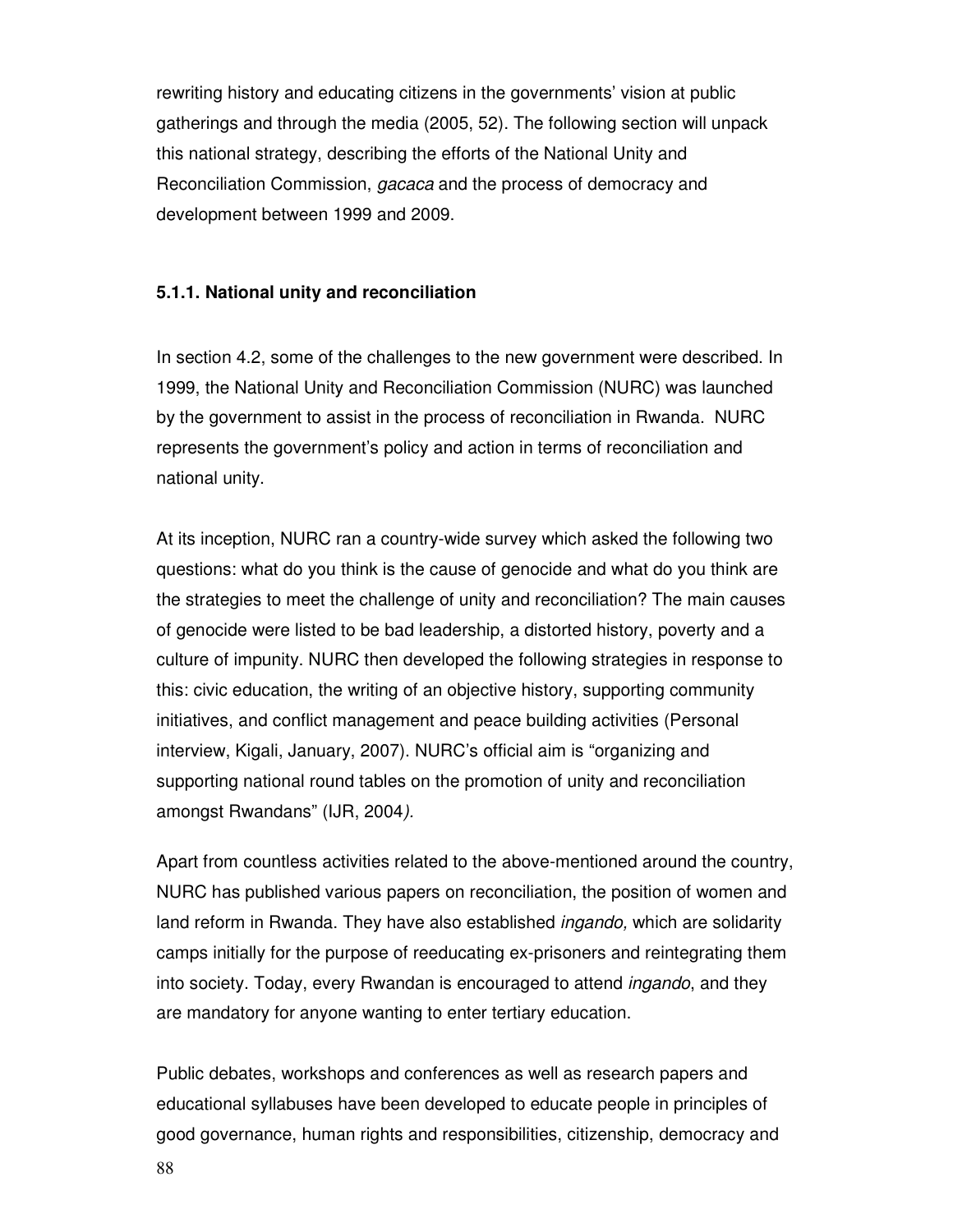rewriting history and educating citizens in the governments' vision at public gatherings and through the media (2005, 52). The following section will unpack this national strategy, describing the efforts of the National Unity and Reconciliation Commission, gacaca and the process of democracy and development between 1999 and 2009.

#### **5.1.1. National unity and reconciliation**

In section 4.2, some of the challenges to the new government were described. In 1999, the National Unity and Reconciliation Commission (NURC) was launched by the government to assist in the process of reconciliation in Rwanda. NURC represents the government's policy and action in terms of reconciliation and national unity.

At its inception, NURC ran a country-wide survey which asked the following two questions: what do you think is the cause of genocide and what do you think are the strategies to meet the challenge of unity and reconciliation? The main causes of genocide were listed to be bad leadership, a distorted history, poverty and a culture of impunity. NURC then developed the following strategies in response to this: civic education, the writing of an objective history, supporting community initiatives, and conflict management and peace building activities (Personal interview, Kigali, January, 2007). NURC's official aim is "organizing and supporting national round tables on the promotion of unity and reconciliation amongst Rwandans" (IJR, 2004).

Apart from countless activities related to the above-mentioned around the country, NURC has published various papers on reconciliation, the position of women and land reform in Rwanda. They have also established *ingando*, which are solidarity camps initially for the purpose of reeducating ex-prisoners and reintegrating them into society. Today, every Rwandan is encouraged to attend ingando, and they are mandatory for anyone wanting to enter tertiary education.

Public debates, workshops and conferences as well as research papers and educational syllabuses have been developed to educate people in principles of good governance, human rights and responsibilities, citizenship, democracy and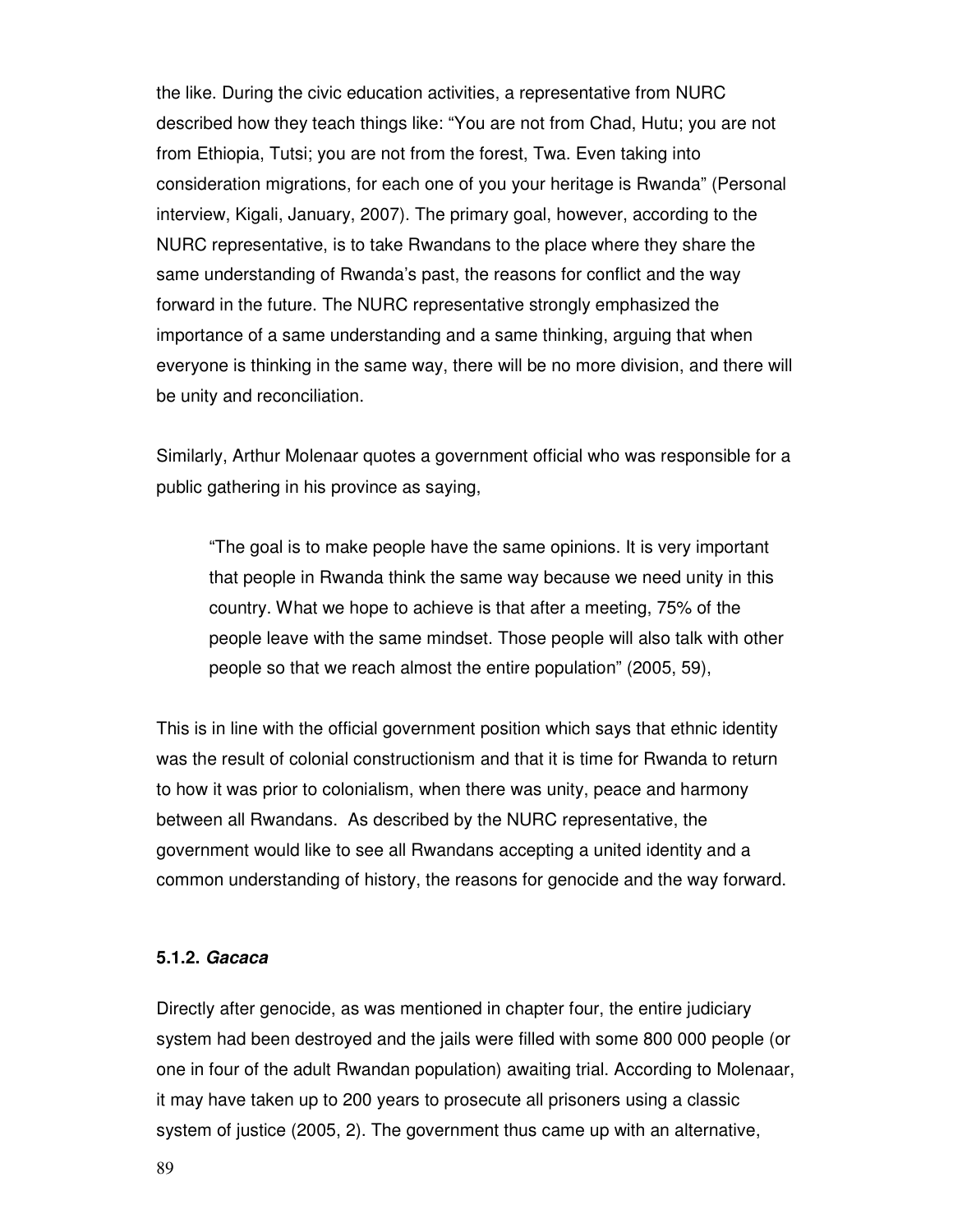the like. During the civic education activities, a representative from NURC described how they teach things like: "You are not from Chad, Hutu; you are not from Ethiopia, Tutsi; you are not from the forest, Twa. Even taking into consideration migrations, for each one of you your heritage is Rwanda" (Personal interview, Kigali, January, 2007). The primary goal, however, according to the NURC representative, is to take Rwandans to the place where they share the same understanding of Rwanda's past, the reasons for conflict and the way forward in the future. The NURC representative strongly emphasized the importance of a same understanding and a same thinking, arguing that when everyone is thinking in the same way, there will be no more division, and there will be unity and reconciliation.

Similarly, Arthur Molenaar quotes a government official who was responsible for a public gathering in his province as saying,

"The goal is to make people have the same opinions. It is very important that people in Rwanda think the same way because we need unity in this country. What we hope to achieve is that after a meeting, 75% of the people leave with the same mindset. Those people will also talk with other people so that we reach almost the entire population" (2005, 59),

This is in line with the official government position which says that ethnic identity was the result of colonial constructionism and that it is time for Rwanda to return to how it was prior to colonialism, when there was unity, peace and harmony between all Rwandans. As described by the NURC representative, the government would like to see all Rwandans accepting a united identity and a common understanding of history, the reasons for genocide and the way forward.

#### **5.1.2. Gacaca**

Directly after genocide, as was mentioned in chapter four, the entire judiciary system had been destroyed and the jails were filled with some 800 000 people (or one in four of the adult Rwandan population) awaiting trial. According to Molenaar, it may have taken up to 200 years to prosecute all prisoners using a classic system of justice (2005, 2). The government thus came up with an alternative,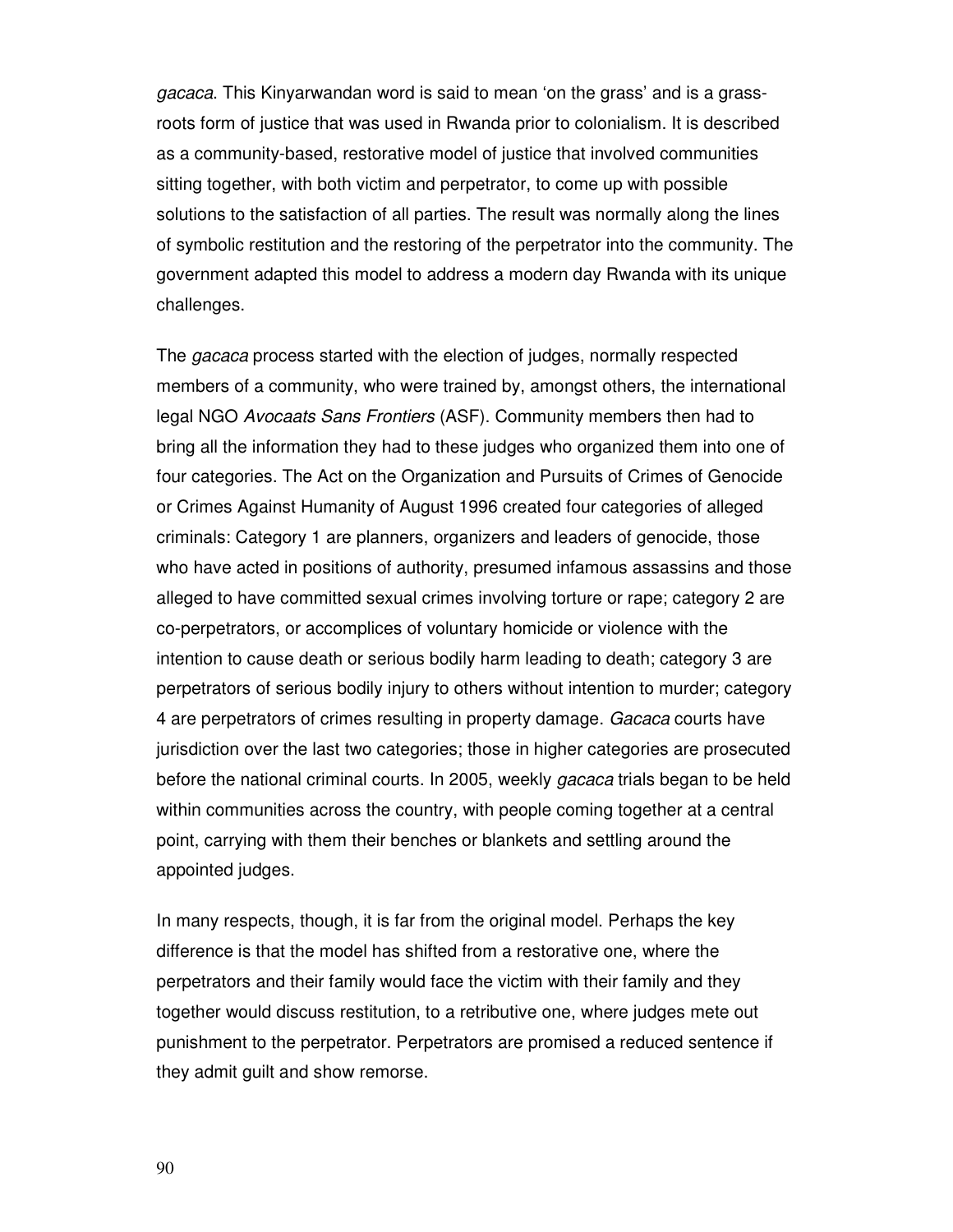gacaca. This Kinyarwandan word is said to mean 'on the grass' and is a grassroots form of justice that was used in Rwanda prior to colonialism. It is described as a community-based, restorative model of justice that involved communities sitting together, with both victim and perpetrator, to come up with possible solutions to the satisfaction of all parties. The result was normally along the lines of symbolic restitution and the restoring of the perpetrator into the community. The government adapted this model to address a modern day Rwanda with its unique challenges.

The gacaca process started with the election of judges, normally respected members of a community, who were trained by, amongst others, the international legal NGO Avocaats Sans Frontiers (ASF). Community members then had to bring all the information they had to these judges who organized them into one of four categories. The Act on the Organization and Pursuits of Crimes of Genocide or Crimes Against Humanity of August 1996 created four categories of alleged criminals: Category 1 are planners, organizers and leaders of genocide, those who have acted in positions of authority, presumed infamous assassins and those alleged to have committed sexual crimes involving torture or rape; category 2 are co-perpetrators, or accomplices of voluntary homicide or violence with the intention to cause death or serious bodily harm leading to death; category 3 are perpetrators of serious bodily injury to others without intention to murder; category 4 are perpetrators of crimes resulting in property damage. Gacaca courts have jurisdiction over the last two categories; those in higher categories are prosecuted before the national criminal courts. In 2005, weekly *gacaca* trials began to be held within communities across the country, with people coming together at a central point, carrying with them their benches or blankets and settling around the appointed judges.

In many respects, though, it is far from the original model. Perhaps the key difference is that the model has shifted from a restorative one, where the perpetrators and their family would face the victim with their family and they together would discuss restitution, to a retributive one, where judges mete out punishment to the perpetrator. Perpetrators are promised a reduced sentence if they admit guilt and show remorse.

90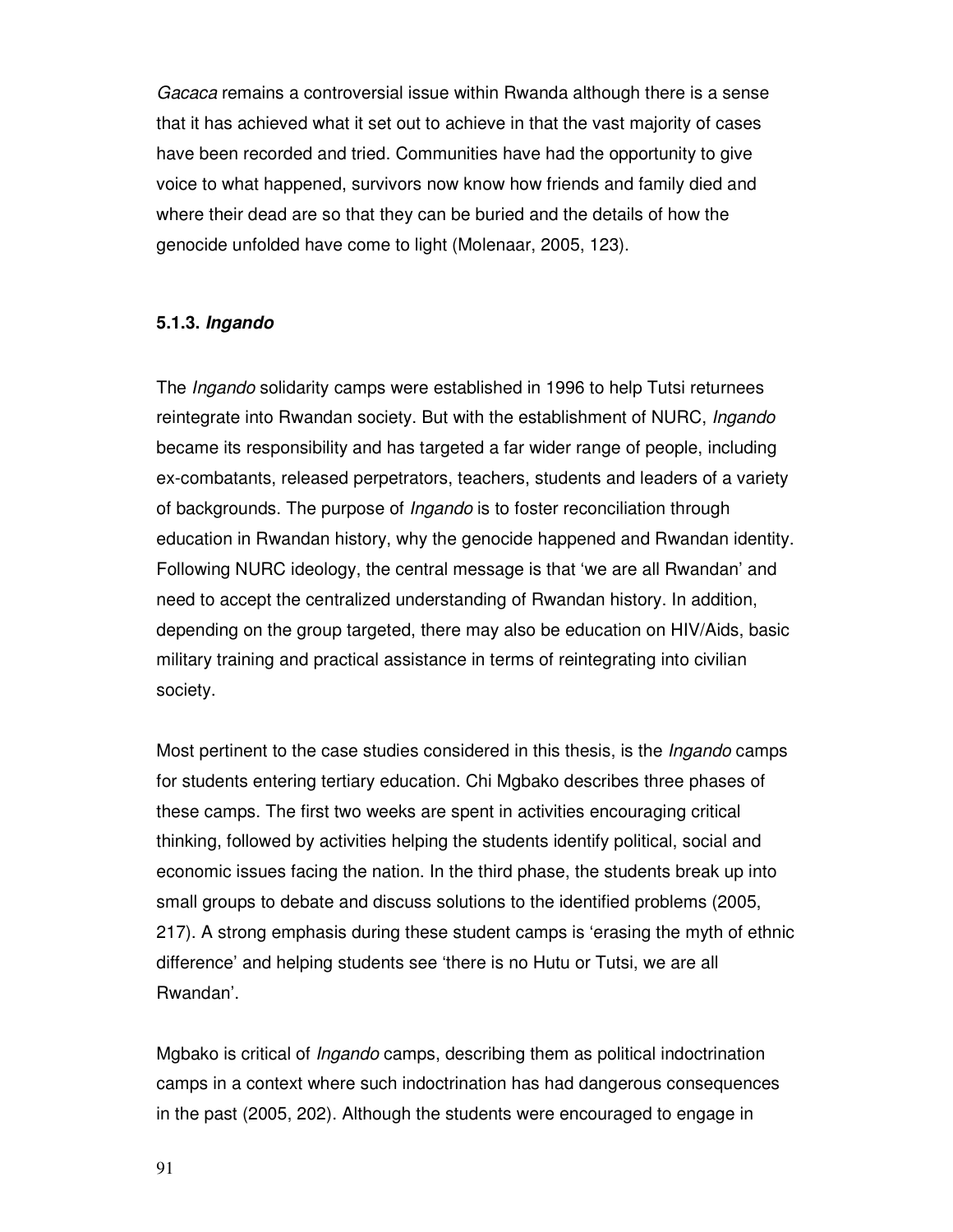Gacaca remains a controversial issue within Rwanda although there is a sense that it has achieved what it set out to achieve in that the vast majority of cases have been recorded and tried. Communities have had the opportunity to give voice to what happened, survivors now know how friends and family died and where their dead are so that they can be buried and the details of how the genocide unfolded have come to light (Molenaar, 2005, 123).

### **5.1.3. Ingando**

The Ingando solidarity camps were established in 1996 to help Tutsi returnees reintegrate into Rwandan society. But with the establishment of NURC, *Ingando* became its responsibility and has targeted a far wider range of people, including ex-combatants, released perpetrators, teachers, students and leaders of a variety of backgrounds. The purpose of Ingando is to foster reconciliation through education in Rwandan history, why the genocide happened and Rwandan identity. Following NURC ideology, the central message is that 'we are all Rwandan' and need to accept the centralized understanding of Rwandan history. In addition, depending on the group targeted, there may also be education on HIV/Aids, basic military training and practical assistance in terms of reintegrating into civilian society.

Most pertinent to the case studies considered in this thesis, is the *Ingando* camps for students entering tertiary education. Chi Mgbako describes three phases of these camps. The first two weeks are spent in activities encouraging critical thinking, followed by activities helping the students identify political, social and economic issues facing the nation. In the third phase, the students break up into small groups to debate and discuss solutions to the identified problems (2005, 217). A strong emphasis during these student camps is 'erasing the myth of ethnic difference' and helping students see 'there is no Hutu or Tutsi, we are all Rwandan'.

Mgbako is critical of Ingando camps, describing them as political indoctrination camps in a context where such indoctrination has had dangerous consequences in the past (2005, 202). Although the students were encouraged to engage in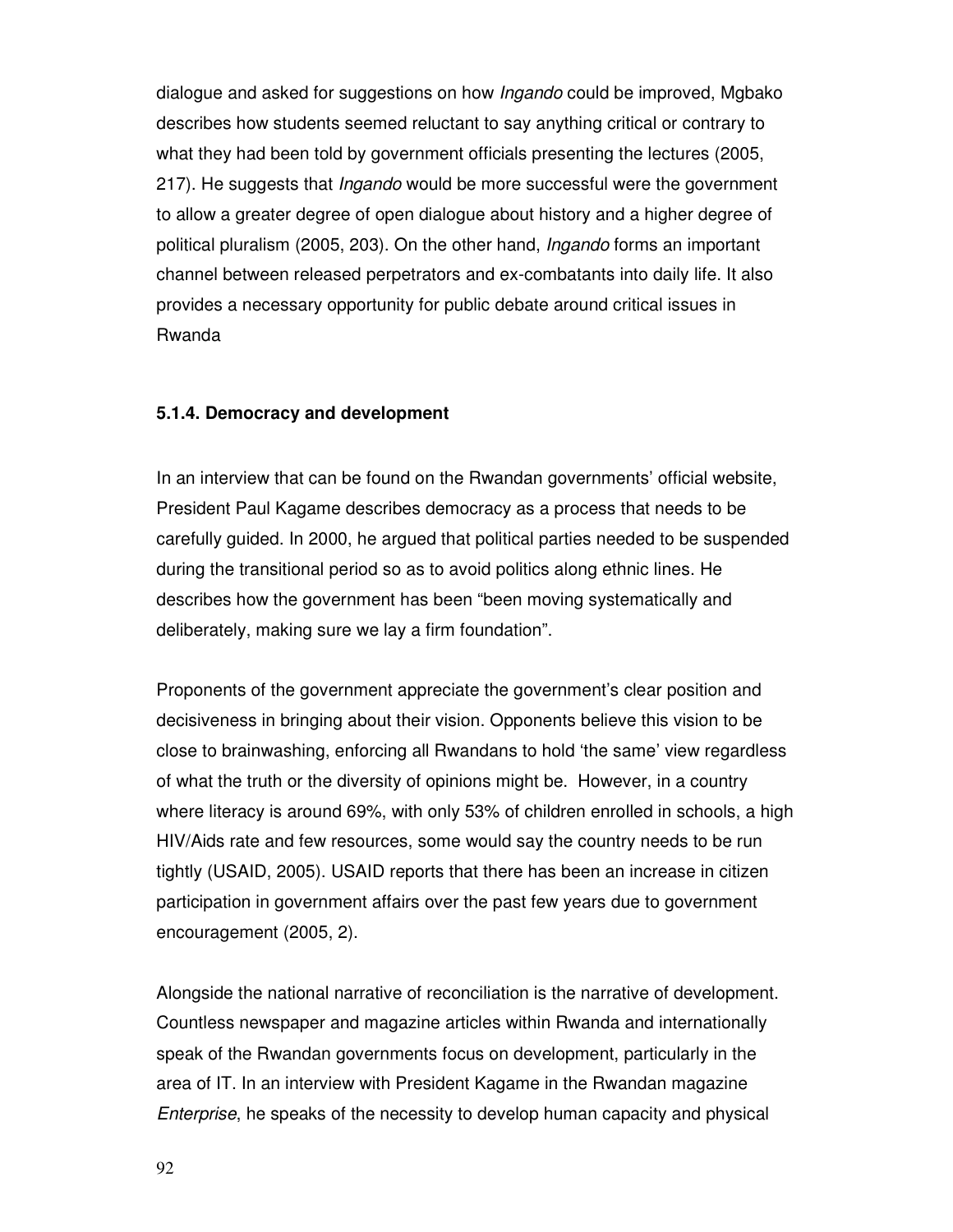dialogue and asked for suggestions on how Ingando could be improved, Mgbako describes how students seemed reluctant to say anything critical or contrary to what they had been told by government officials presenting the lectures (2005, 217). He suggests that *Ingando* would be more successful were the government to allow a greater degree of open dialogue about history and a higher degree of political pluralism (2005, 203). On the other hand, Ingando forms an important channel between released perpetrators and ex-combatants into daily life. It also provides a necessary opportunity for public debate around critical issues in Rwanda

### **5.1.4. Democracy and development**

In an interview that can be found on the Rwandan governments' official website, President Paul Kagame describes democracy as a process that needs to be carefully guided. In 2000, he argued that political parties needed to be suspended during the transitional period so as to avoid politics along ethnic lines. He describes how the government has been "been moving systematically and deliberately, making sure we lay a firm foundation".

Proponents of the government appreciate the government's clear position and decisiveness in bringing about their vision. Opponents believe this vision to be close to brainwashing, enforcing all Rwandans to hold 'the same' view regardless of what the truth or the diversity of opinions might be. However, in a country where literacy is around 69%, with only 53% of children enrolled in schools, a high HIV/Aids rate and few resources, some would say the country needs to be run tightly (USAID, 2005). USAID reports that there has been an increase in citizen participation in government affairs over the past few years due to government encouragement (2005, 2).

Alongside the national narrative of reconciliation is the narrative of development. Countless newspaper and magazine articles within Rwanda and internationally speak of the Rwandan governments focus on development, particularly in the area of IT. In an interview with President Kagame in the Rwandan magazine Enterprise, he speaks of the necessity to develop human capacity and physical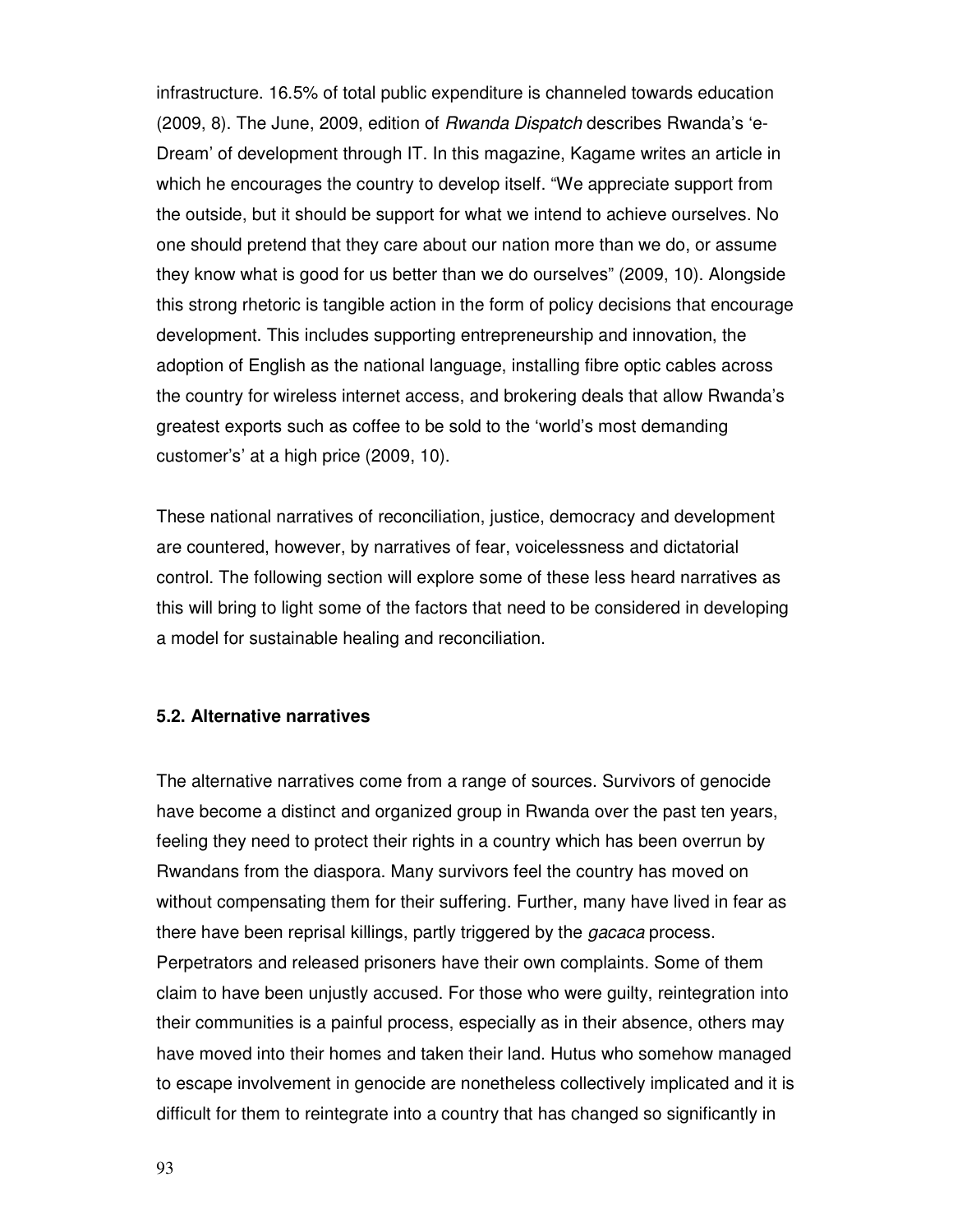infrastructure. 16.5% of total public expenditure is channeled towards education (2009, 8). The June, 2009, edition of Rwanda Dispatch describes Rwanda's 'e-Dream' of development through IT. In this magazine, Kagame writes an article in which he encourages the country to develop itself. "We appreciate support from the outside, but it should be support for what we intend to achieve ourselves. No one should pretend that they care about our nation more than we do, or assume they know what is good for us better than we do ourselves" (2009, 10). Alongside this strong rhetoric is tangible action in the form of policy decisions that encourage development. This includes supporting entrepreneurship and innovation, the adoption of English as the national language, installing fibre optic cables across the country for wireless internet access, and brokering deals that allow Rwanda's greatest exports such as coffee to be sold to the 'world's most demanding customer's' at a high price (2009, 10).

These national narratives of reconciliation, justice, democracy and development are countered, however, by narratives of fear, voicelessness and dictatorial control. The following section will explore some of these less heard narratives as this will bring to light some of the factors that need to be considered in developing a model for sustainable healing and reconciliation.

### **5.2. Alternative narratives**

The alternative narratives come from a range of sources. Survivors of genocide have become a distinct and organized group in Rwanda over the past ten years, feeling they need to protect their rights in a country which has been overrun by Rwandans from the diaspora. Many survivors feel the country has moved on without compensating them for their suffering. Further, many have lived in fear as there have been reprisal killings, partly triggered by the *gacaca* process. Perpetrators and released prisoners have their own complaints. Some of them claim to have been unjustly accused. For those who were guilty, reintegration into their communities is a painful process, especially as in their absence, others may have moved into their homes and taken their land. Hutus who somehow managed to escape involvement in genocide are nonetheless collectively implicated and it is difficult for them to reintegrate into a country that has changed so significantly in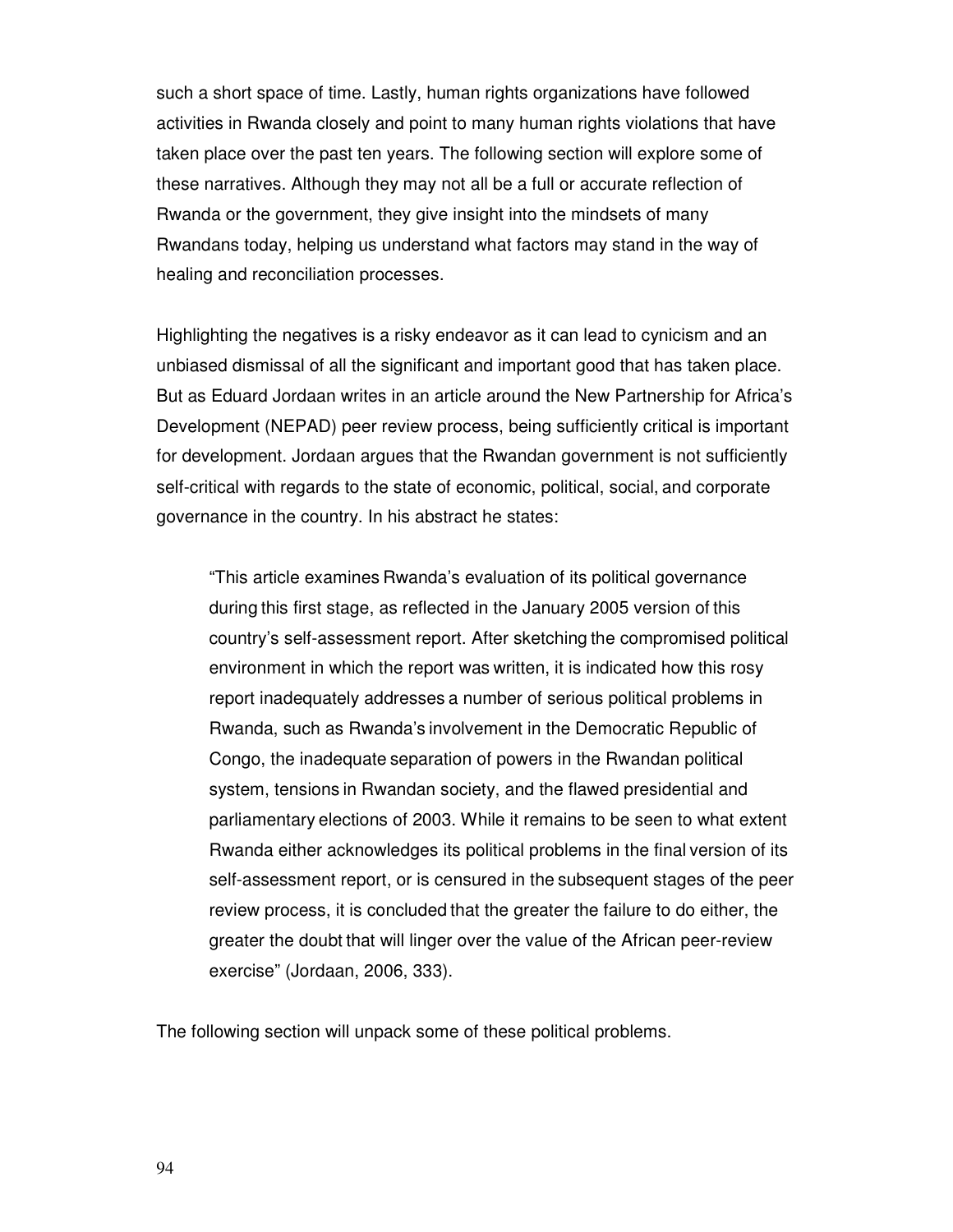such a short space of time. Lastly, human rights organizations have followed activities in Rwanda closely and point to many human rights violations that have taken place over the past ten years. The following section will explore some of these narratives. Although they may not all be a full or accurate reflection of Rwanda or the government, they give insight into the mindsets of many Rwandans today, helping us understand what factors may stand in the way of healing and reconciliation processes.

Highlighting the negatives is a risky endeavor as it can lead to cynicism and an unbiased dismissal of all the significant and important good that has taken place. But as Eduard Jordaan writes in an article around the New Partnership for Africa's Development (NEPAD) peer review process, being sufficiently critical is important for development. Jordaan argues that the Rwandan government is not sufficiently self-critical with regards to the state of economic, political, social, and corporate governance in the country. In his abstract he states:

"This article examines Rwanda's evaluation of its political governance during this first stage, as reflected in the January 2005 version of this country's self-assessment report. After sketching the compromised political environment in which the report was written, it is indicated how this rosy report inadequately addresses a number of serious political problems in Rwanda, such as Rwanda's involvement in the Democratic Republic of Congo, the inadequate separation of powers in the Rwandan political system, tensions in Rwandan society, and the flawed presidential and parliamentary elections of 2003. While it remains to be seen to what extent Rwanda either acknowledges its political problems in the final version of its self-assessment report, or is censured in the subsequent stages of the peer review process, it is concluded that the greater the failure to do either, the greater the doubt that will linger over the value of the African peer-review exercise" (Jordaan, 2006, 333).

The following section will unpack some of these political problems.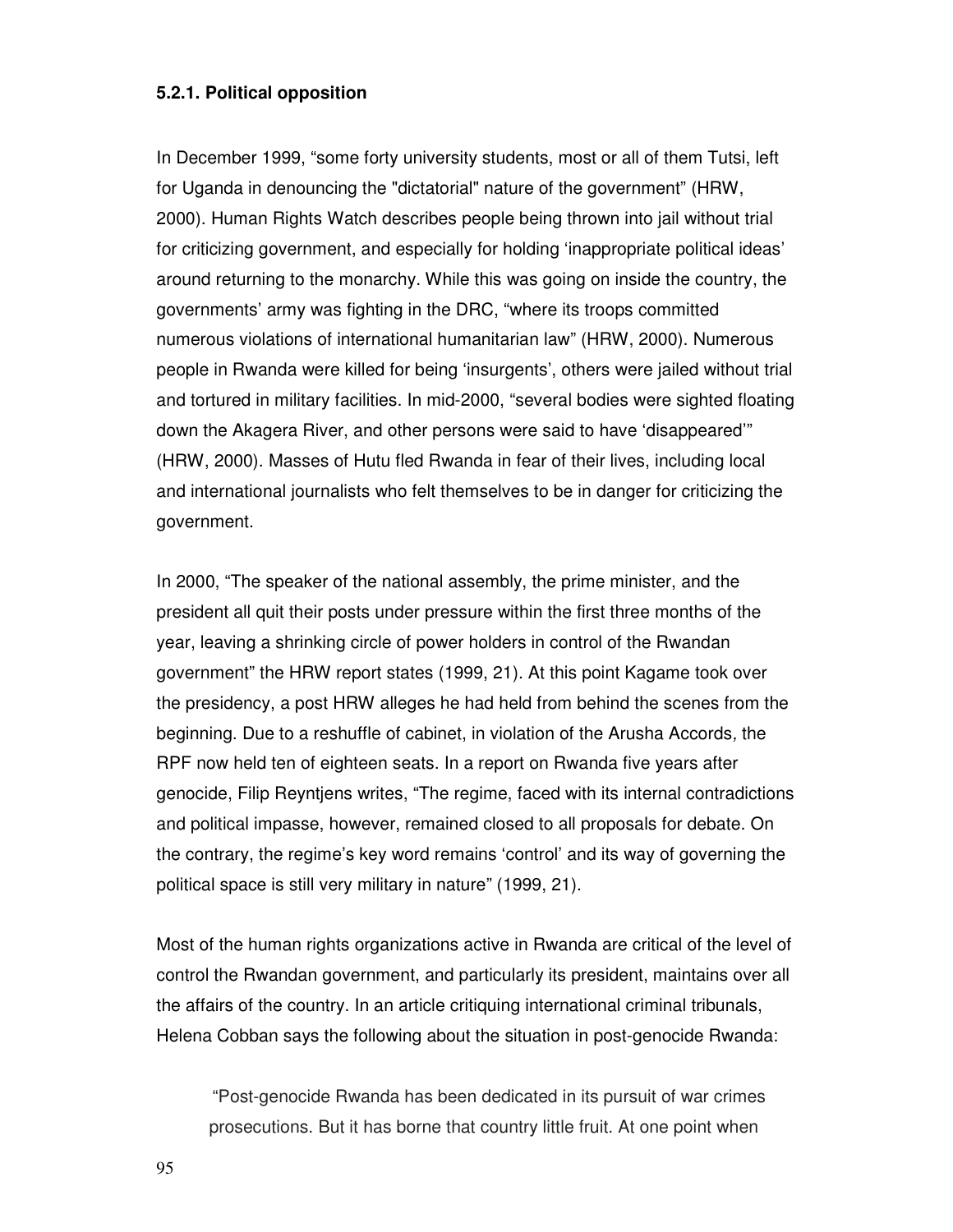#### **5.2.1. Political opposition**

In December 1999, "some forty university students, most or all of them Tutsi, left for Uganda in denouncing the "dictatorial" nature of the government" (HRW, 2000). Human Rights Watch describes people being thrown into jail without trial for criticizing government, and especially for holding 'inappropriate political ideas' around returning to the monarchy. While this was going on inside the country, the governments' army was fighting in the DRC, "where its troops committed numerous violations of international humanitarian law" (HRW, 2000). Numerous people in Rwanda were killed for being 'insurgents', others were jailed without trial and tortured in military facilities. In mid-2000, "several bodies were sighted floating down the Akagera River, and other persons were said to have 'disappeared'" (HRW, 2000). Masses of Hutu fled Rwanda in fear of their lives, including local and international journalists who felt themselves to be in danger for criticizing the government.

In 2000, "The speaker of the national assembly, the prime minister, and the president all quit their posts under pressure within the first three months of the year, leaving a shrinking circle of power holders in control of the Rwandan government" the HRW report states (1999, 21). At this point Kagame took over the presidency, a post HRW alleges he had held from behind the scenes from the beginning. Due to a reshuffle of cabinet, in violation of the Arusha Accords, the RPF now held ten of eighteen seats. In a report on Rwanda five years after genocide, Filip Reyntjens writes, "The regime, faced with its internal contradictions and political impasse, however, remained closed to all proposals for debate. On the contrary, the regime's key word remains 'control' and its way of governing the political space is still very military in nature" (1999, 21).

Most of the human rights organizations active in Rwanda are critical of the level of control the Rwandan government, and particularly its president, maintains over all the affairs of the country. In an article critiquing international criminal tribunals, Helena Cobban says the following about the situation in post-genocide Rwanda:

"Post-genocide Rwanda has been dedicated in its pursuit of war crimes prosecutions. But it has borne that country little fruit. At one point when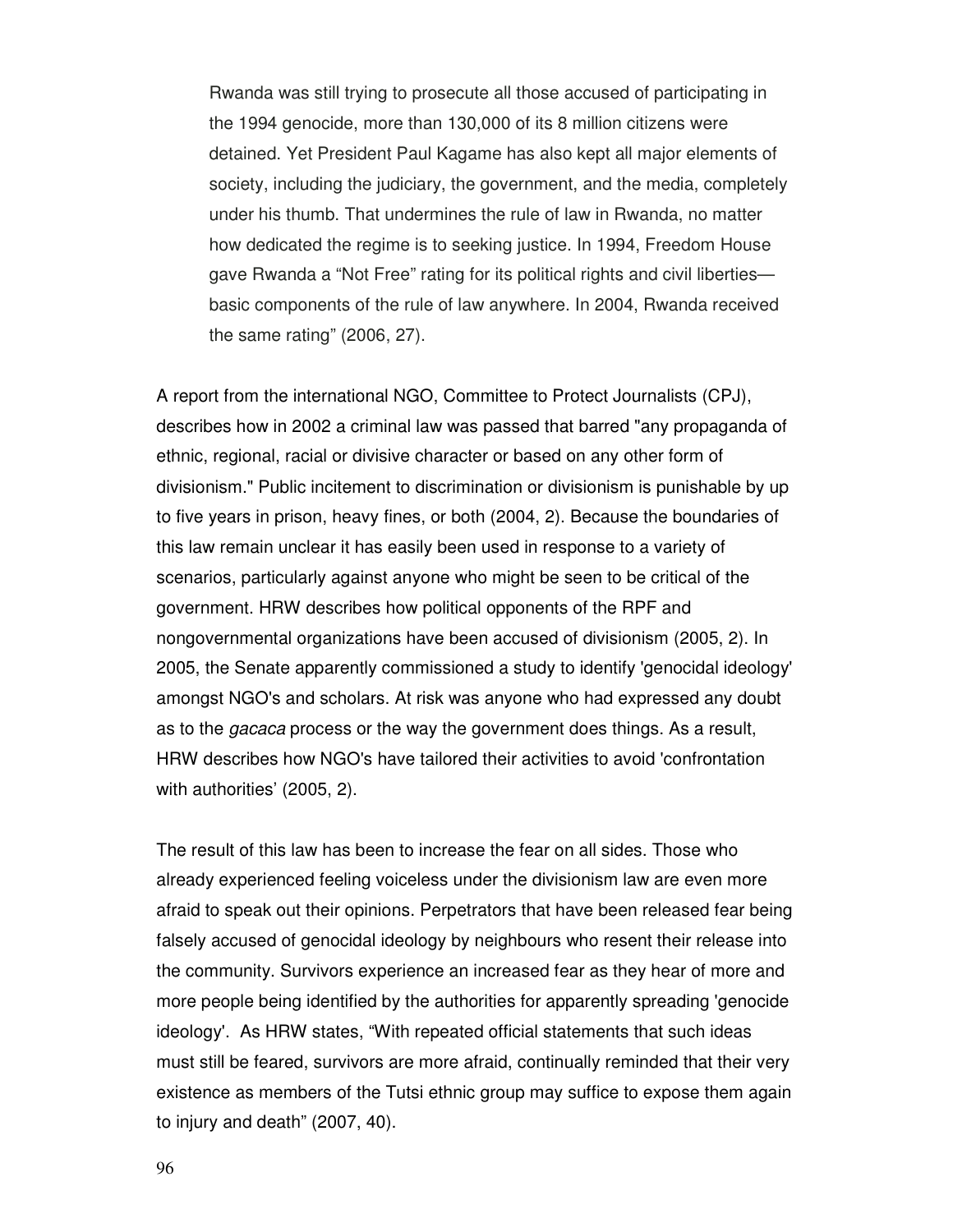Rwanda was still trying to prosecute all those accused of participating in the 1994 genocide, more than 130,000 of its 8 million citizens were detained. Yet President Paul Kagame has also kept all major elements of society, including the judiciary, the government, and the media, completely under his thumb. That undermines the rule of law in Rwanda, no matter how dedicated the regime is to seeking justice. In 1994, Freedom House gave Rwanda a "Not Free" rating for its political rights and civil liberties basic components of the rule of law anywhere. In 2004, Rwanda received the same rating" (2006, 27).

A report from the international NGO, Committee to Protect Journalists (CPJ), describes how in 2002 a criminal law was passed that barred "any propaganda of ethnic, regional, racial or divisive character or based on any other form of divisionism." Public incitement to discrimination or divisionism is punishable by up to five years in prison, heavy fines, or both (2004, 2). Because the boundaries of this law remain unclear it has easily been used in response to a variety of scenarios, particularly against anyone who might be seen to be critical of the government. HRW describes how political opponents of the RPF and nongovernmental organizations have been accused of divisionism (2005, 2). In 2005, the Senate apparently commissioned a study to identify 'genocidal ideology' amongst NGO's and scholars. At risk was anyone who had expressed any doubt as to the gacaca process or the way the government does things. As a result, HRW describes how NGO's have tailored their activities to avoid 'confrontation with authorities' (2005, 2).

The result of this law has been to increase the fear on all sides. Those who already experienced feeling voiceless under the divisionism law are even more afraid to speak out their opinions. Perpetrators that have been released fear being falsely accused of genocidal ideology by neighbours who resent their release into the community. Survivors experience an increased fear as they hear of more and more people being identified by the authorities for apparently spreading 'genocide ideology'. As HRW states, "With repeated official statements that such ideas must still be feared, survivors are more afraid, continually reminded that their very existence as members of the Tutsi ethnic group may suffice to expose them again to injury and death" (2007, 40).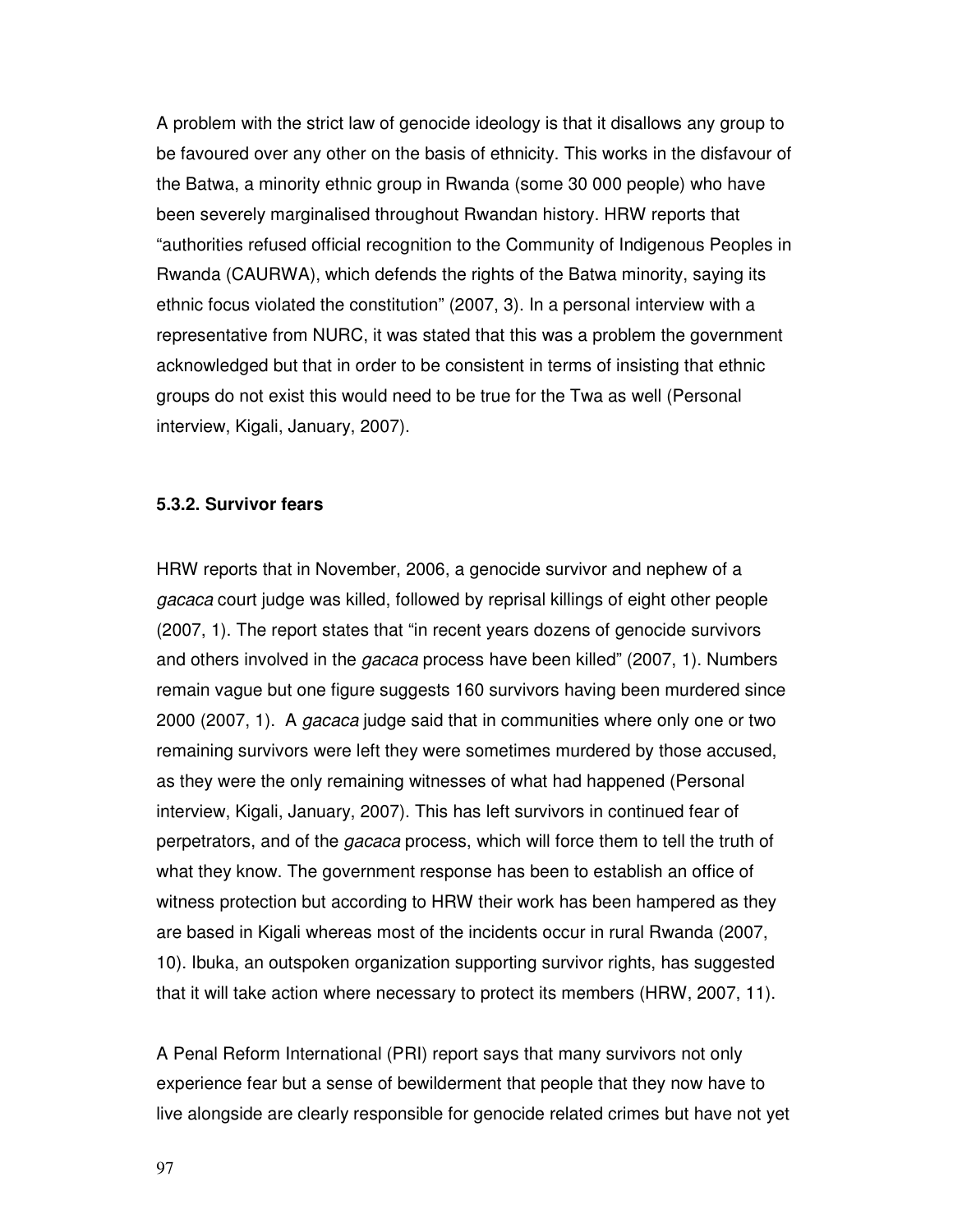A problem with the strict law of genocide ideology is that it disallows any group to be favoured over any other on the basis of ethnicity. This works in the disfavour of the Batwa, a minority ethnic group in Rwanda (some 30 000 people) who have been severely marginalised throughout Rwandan history. HRW reports that "authorities refused official recognition to the Community of Indigenous Peoples in Rwanda (CAURWA), which defends the rights of the Batwa minority, saying its ethnic focus violated the constitution" (2007, 3). In a personal interview with a representative from NURC, it was stated that this was a problem the government acknowledged but that in order to be consistent in terms of insisting that ethnic groups do not exist this would need to be true for the Twa as well (Personal interview, Kigali, January, 2007).

#### **5.3.2. Survivor fears**

HRW reports that in November, 2006, a genocide survivor and nephew of a gacaca court judge was killed, followed by reprisal killings of eight other people (2007, 1). The report states that "in recent years dozens of genocide survivors and others involved in the gacaca process have been killed" (2007, 1). Numbers remain vague but one figure suggests 160 survivors having been murdered since 2000 (2007, 1). A gacaca judge said that in communities where only one or two remaining survivors were left they were sometimes murdered by those accused, as they were the only remaining witnesses of what had happened (Personal interview, Kigali, January, 2007). This has left survivors in continued fear of perpetrators, and of the gacaca process, which will force them to tell the truth of what they know. The government response has been to establish an office of witness protection but according to HRW their work has been hampered as they are based in Kigali whereas most of the incidents occur in rural Rwanda (2007, 10). Ibuka, an outspoken organization supporting survivor rights, has suggested that it will take action where necessary to protect its members (HRW, 2007, 11).

A Penal Reform International (PRI) report says that many survivors not only experience fear but a sense of bewilderment that people that they now have to live alongside are clearly responsible for genocide related crimes but have not yet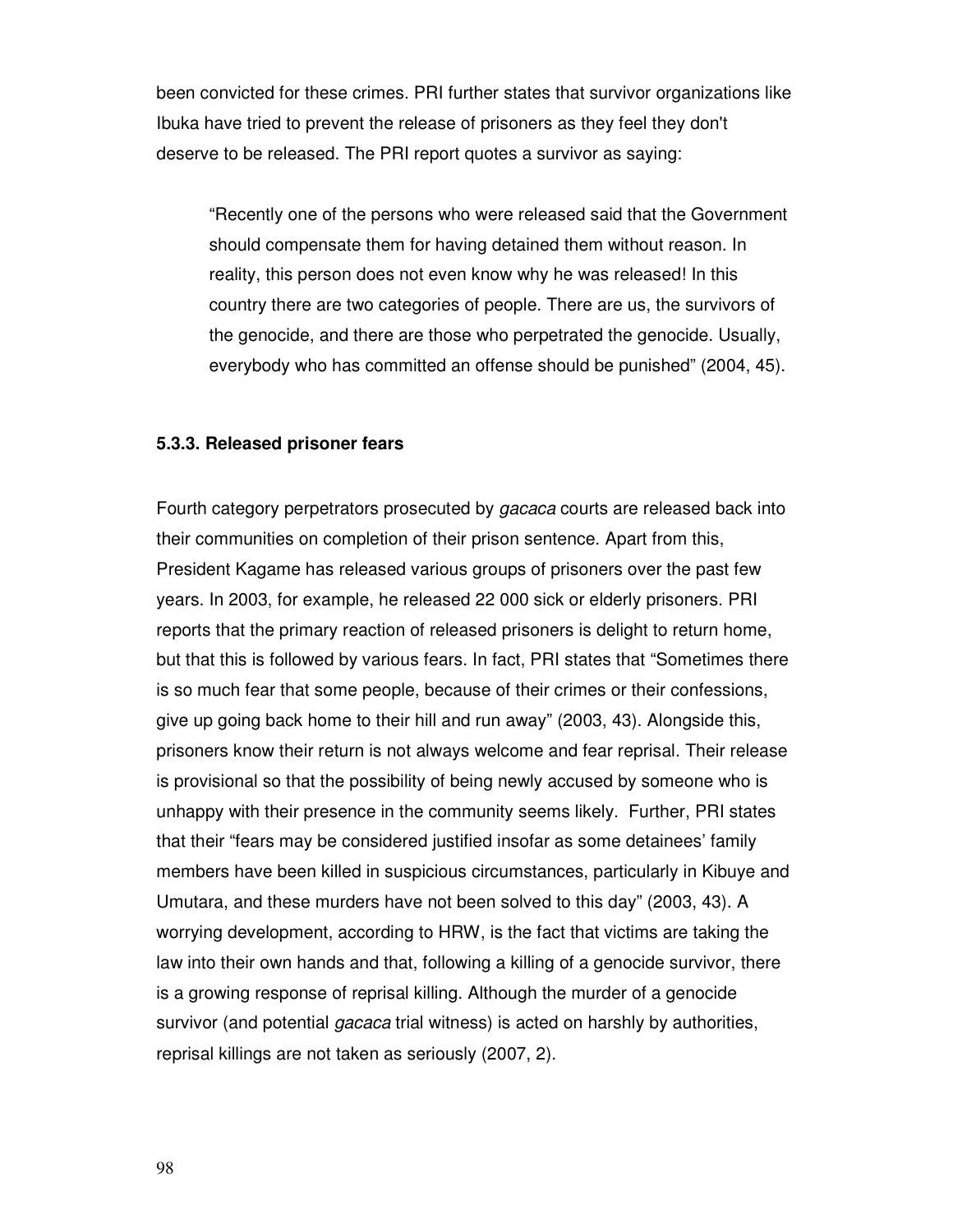been convicted for these crimes. PRI further states that survivor organizations like Ibuka have tried to prevent the release of prisoners as they feel they don't deserve to be released. The PRI report quotes a survivor as saying:

"Recently one of the persons who were released said that the Government should compensate them for having detained them without reason. In reality, this person does not even know why he was released! In this country there are two categories of people. There are us, the survivors of the genocide, and there are those who perpetrated the genocide. Usually, everybody who has committed an offense should be punished" (2004, 45).

#### **5.3.3. Released prisoner fears**

Fourth category perpetrators prosecuted by gacaca courts are released back into their communities on completion of their prison sentence. Apart from this, President Kagame has released various groups of prisoners over the past few years. In 2003, for example, he released 22 000 sick or elderly prisoners. PRI reports that the primary reaction of released prisoners is delight to return home, but that this is followed by various fears. In fact, PRI states that "Sometimes there is so much fear that some people, because of their crimes or their confessions, give up going back home to their hill and run away" (2003, 43). Alongside this, prisoners know their return is not always welcome and fear reprisal. Their release is provisional so that the possibility of being newly accused by someone who is unhappy with their presence in the community seems likely. Further, PRI states that their "fears may be considered justified insofar as some detainees' family members have been killed in suspicious circumstances, particularly in Kibuye and Umutara, and these murders have not been solved to this day" (2003, 43). A worrying development, according to HRW, is the fact that victims are taking the law into their own hands and that, following a killing of a genocide survivor, there is a growing response of reprisal killing. Although the murder of a genocide survivor (and potential *gacaca* trial witness) is acted on harshly by authorities, reprisal killings are not taken as seriously (2007, 2).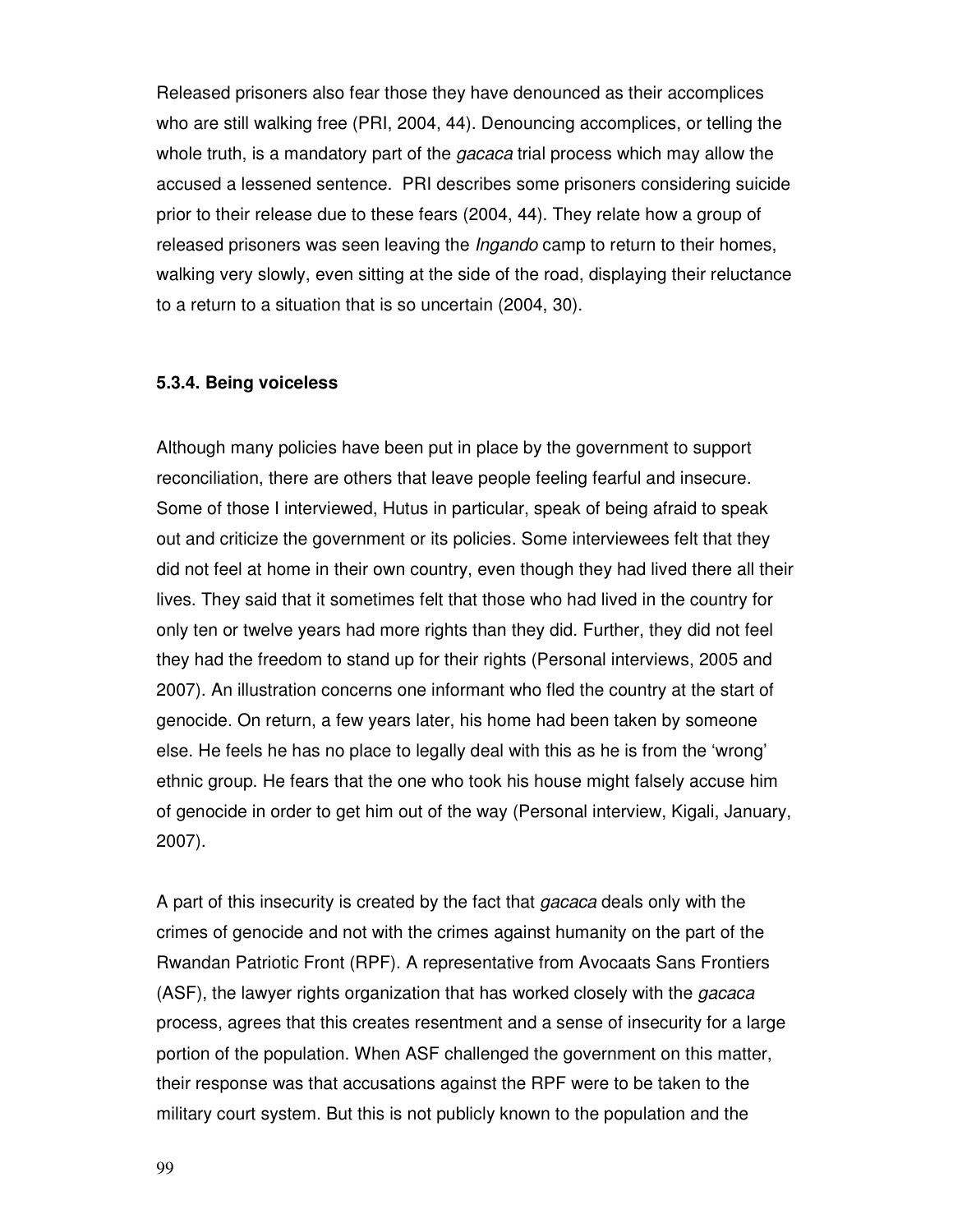Released prisoners also fear those they have denounced as their accomplices who are still walking free (PRI, 2004, 44). Denouncing accomplices, or telling the whole truth, is a mandatory part of the *gacaca* trial process which may allow the accused a lessened sentence. PRI describes some prisoners considering suicide prior to their release due to these fears (2004, 44). They relate how a group of released prisoners was seen leaving the Ingando camp to return to their homes, walking very slowly, even sitting at the side of the road, displaying their reluctance to a return to a situation that is so uncertain (2004, 30).

#### **5.3.4. Being voiceless**

Although many policies have been put in place by the government to support reconciliation, there are others that leave people feeling fearful and insecure. Some of those I interviewed, Hutus in particular, speak of being afraid to speak out and criticize the government or its policies. Some interviewees felt that they did not feel at home in their own country, even though they had lived there all their lives. They said that it sometimes felt that those who had lived in the country for only ten or twelve years had more rights than they did. Further, they did not feel they had the freedom to stand up for their rights (Personal interviews, 2005 and 2007). An illustration concerns one informant who fled the country at the start of genocide. On return, a few years later, his home had been taken by someone else. He feels he has no place to legally deal with this as he is from the 'wrong' ethnic group. He fears that the one who took his house might falsely accuse him of genocide in order to get him out of the way (Personal interview, Kigali, January, 2007).

A part of this insecurity is created by the fact that *gacaca* deals only with the crimes of genocide and not with the crimes against humanity on the part of the Rwandan Patriotic Front (RPF). A representative from Avocaats Sans Frontiers (ASF), the lawyer rights organization that has worked closely with the *gacaca* process, agrees that this creates resentment and a sense of insecurity for a large portion of the population. When ASF challenged the government on this matter, their response was that accusations against the RPF were to be taken to the military court system. But this is not publicly known to the population and the

99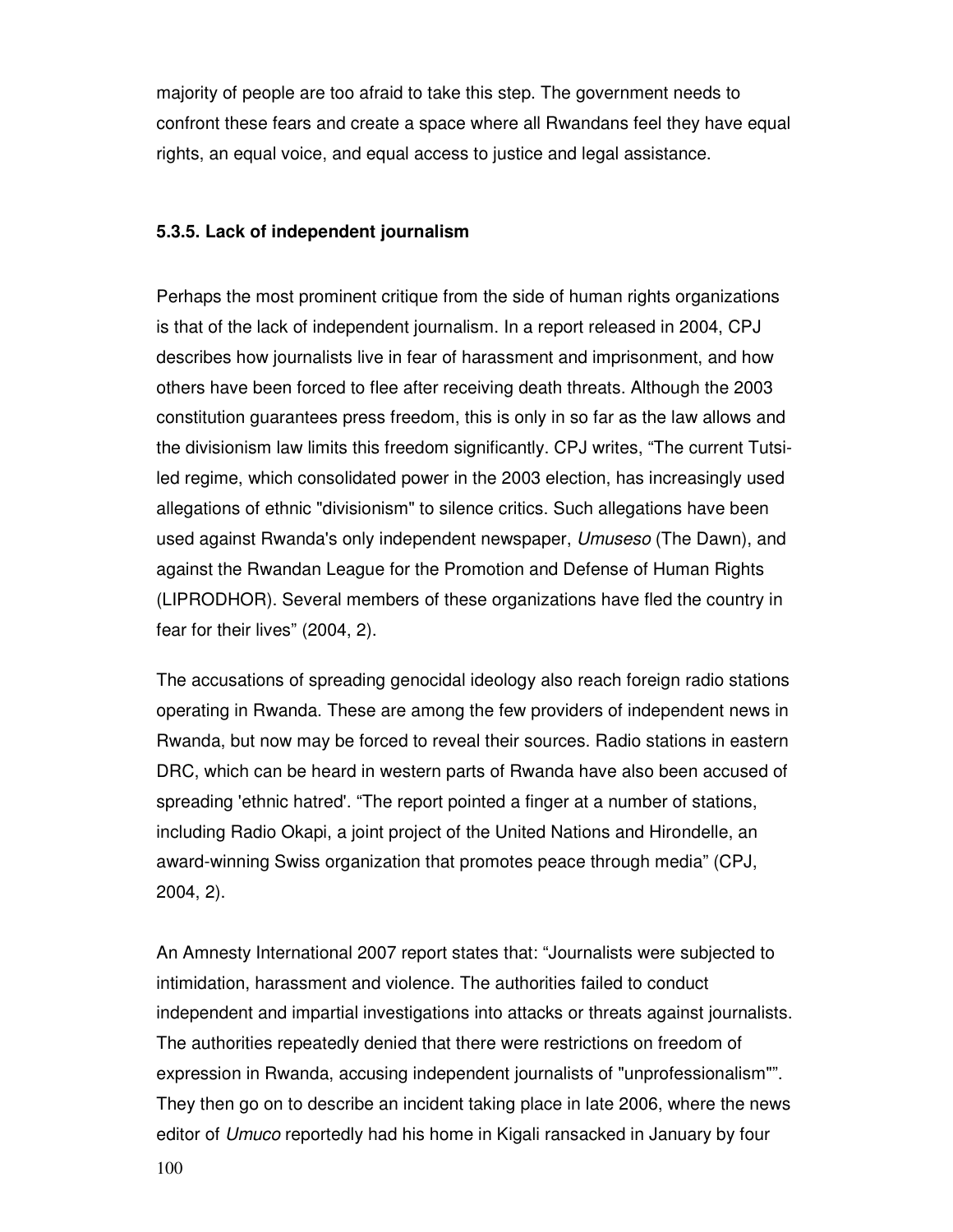majority of people are too afraid to take this step. The government needs to confront these fears and create a space where all Rwandans feel they have equal rights, an equal voice, and equal access to justice and legal assistance.

#### **5.3.5. Lack of independent journalism**

Perhaps the most prominent critique from the side of human rights organizations is that of the lack of independent journalism. In a report released in 2004, CPJ describes how journalists live in fear of harassment and imprisonment, and how others have been forced to flee after receiving death threats. Although the 2003 constitution guarantees press freedom, this is only in so far as the law allows and the divisionism law limits this freedom significantly. CPJ writes, "The current Tutsiled regime, which consolidated power in the 2003 election, has increasingly used allegations of ethnic "divisionism" to silence critics. Such allegations have been used against Rwanda's only independent newspaper, Umuseso (The Dawn), and against the Rwandan League for the Promotion and Defense of Human Rights (LIPRODHOR). Several members of these organizations have fled the country in fear for their lives" (2004, 2).

The accusations of spreading genocidal ideology also reach foreign radio stations operating in Rwanda. These are among the few providers of independent news in Rwanda, but now may be forced to reveal their sources. Radio stations in eastern DRC, which can be heard in western parts of Rwanda have also been accused of spreading 'ethnic hatred'. "The report pointed a finger at a number of stations, including Radio Okapi, a joint project of the United Nations and Hirondelle, an award-winning Swiss organization that promotes peace through media" (CPJ, 2004, 2).

An Amnesty International 2007 report states that: "Journalists were subjected to intimidation, harassment and violence. The authorities failed to conduct independent and impartial investigations into attacks or threats against journalists. The authorities repeatedly denied that there were restrictions on freedom of expression in Rwanda, accusing independent journalists of "unprofessionalism"". They then go on to describe an incident taking place in late 2006, where the news editor of Umuco reportedly had his home in Kigali ransacked in January by four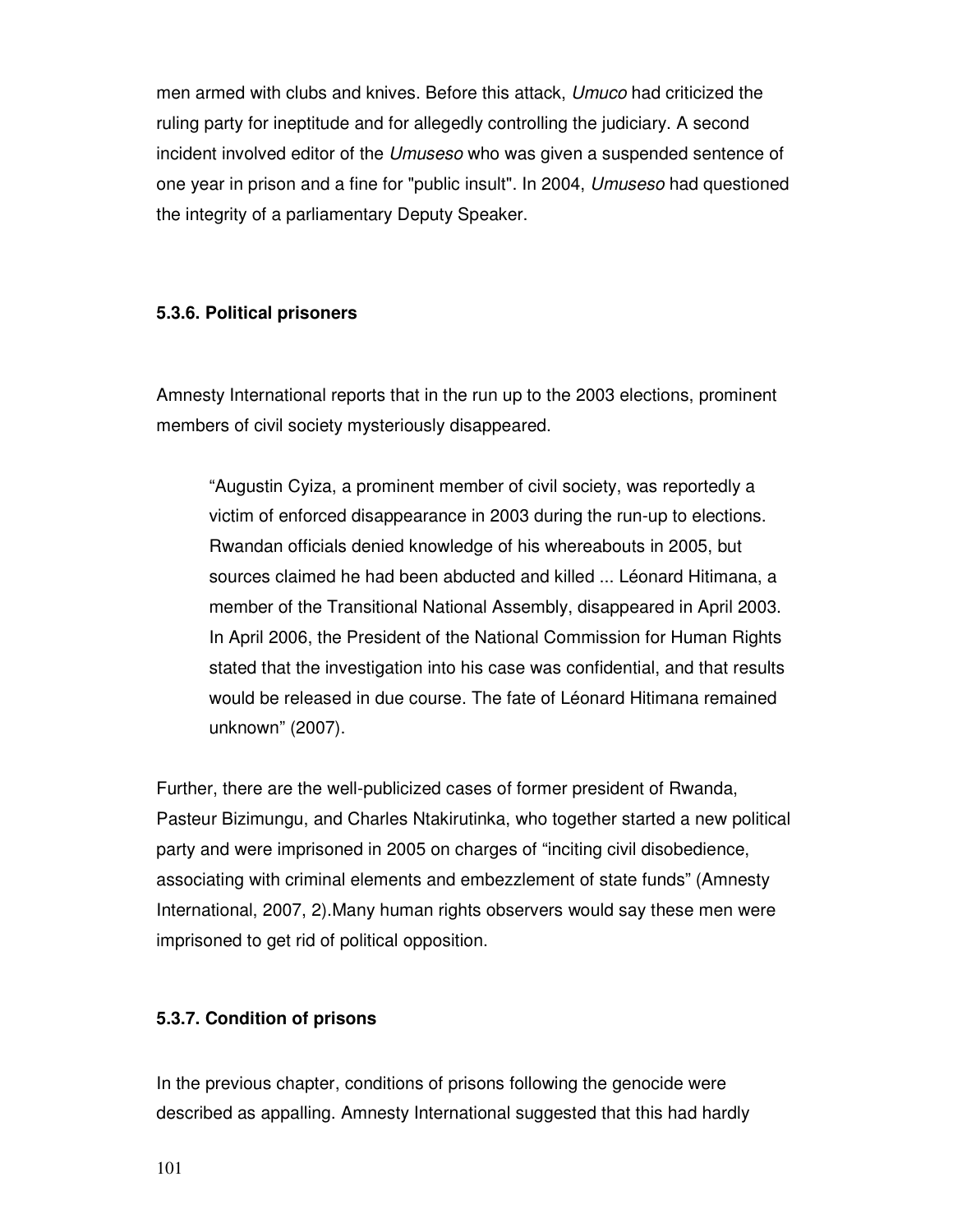men armed with clubs and knives. Before this attack, Umuco had criticized the ruling party for ineptitude and for allegedly controlling the judiciary. A second incident involved editor of the Umuseso who was given a suspended sentence of one year in prison and a fine for "public insult". In 2004, Umuseso had questioned the integrity of a parliamentary Deputy Speaker.

### **5.3.6. Political prisoners**

Amnesty International reports that in the run up to the 2003 elections, prominent members of civil society mysteriously disappeared.

"Augustin Cyiza, a prominent member of civil society, was reportedly a victim of enforced disappearance in 2003 during the run-up to elections. Rwandan officials denied knowledge of his whereabouts in 2005, but sources claimed he had been abducted and killed ... Léonard Hitimana, a member of the Transitional National Assembly, disappeared in April 2003. In April 2006, the President of the National Commission for Human Rights stated that the investigation into his case was confidential, and that results would be released in due course. The fate of Léonard Hitimana remained unknown" (2007).

Further, there are the well-publicized cases of former president of Rwanda, Pasteur Bizimungu, and Charles Ntakirutinka, who together started a new political party and were imprisoned in 2005 on charges of "inciting civil disobedience, associating with criminal elements and embezzlement of state funds" (Amnesty International, 2007, 2).Many human rights observers would say these men were imprisoned to get rid of political opposition.

#### **5.3.7. Condition of prisons**

In the previous chapter, conditions of prisons following the genocide were described as appalling. Amnesty International suggested that this had hardly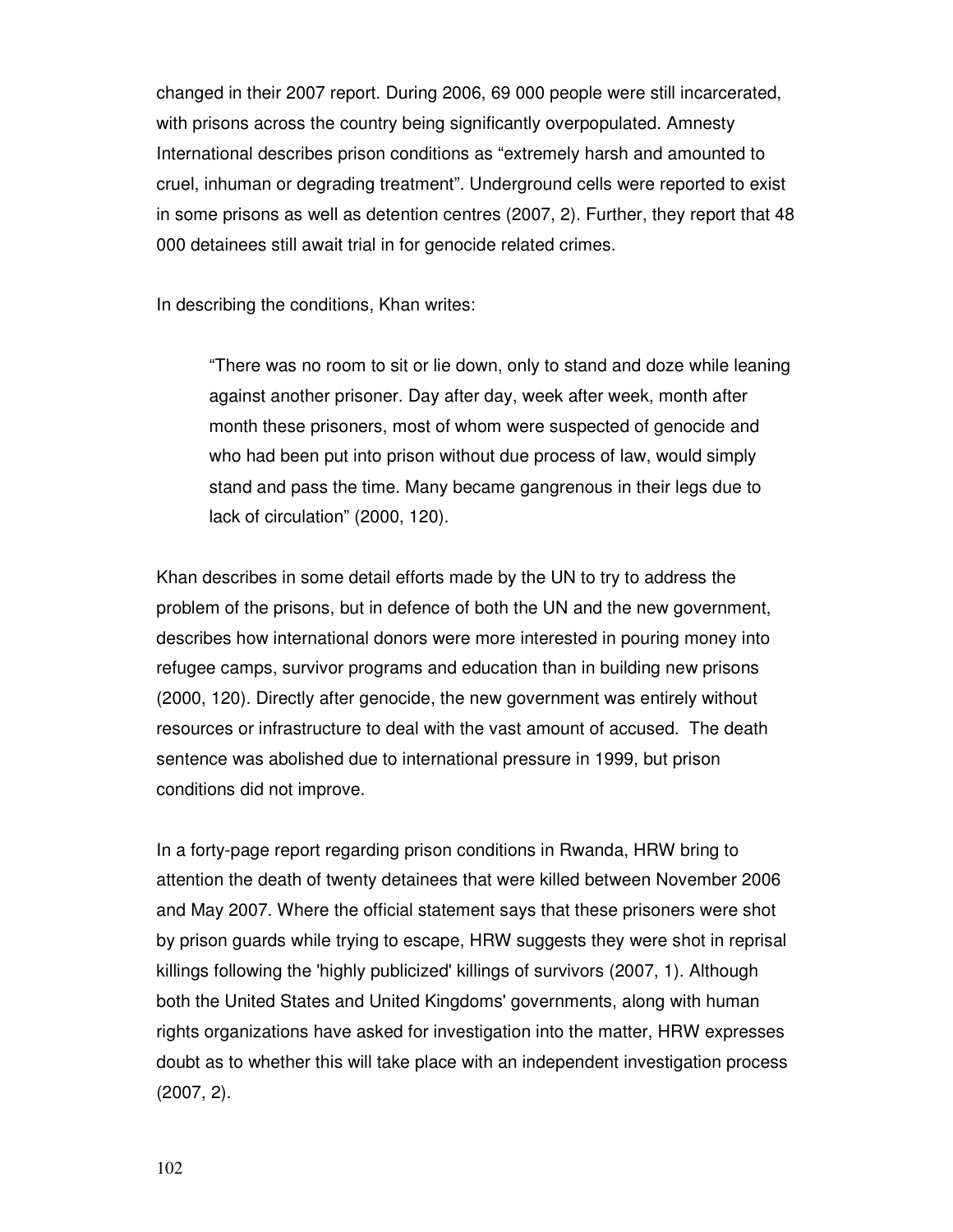changed in their 2007 report. During 2006, 69 000 people were still incarcerated, with prisons across the country being significantly overpopulated. Amnesty International describes prison conditions as "extremely harsh and amounted to cruel, inhuman or degrading treatment". Underground cells were reported to exist in some prisons as well as detention centres (2007, 2). Further, they report that 48 000 detainees still await trial in for genocide related crimes.

In describing the conditions, Khan writes:

"There was no room to sit or lie down, only to stand and doze while leaning against another prisoner. Day after day, week after week, month after month these prisoners, most of whom were suspected of genocide and who had been put into prison without due process of law, would simply stand and pass the time. Many became gangrenous in their legs due to lack of circulation" (2000, 120).

Khan describes in some detail efforts made by the UN to try to address the problem of the prisons, but in defence of both the UN and the new government, describes how international donors were more interested in pouring money into refugee camps, survivor programs and education than in building new prisons (2000, 120). Directly after genocide, the new government was entirely without resources or infrastructure to deal with the vast amount of accused. The death sentence was abolished due to international pressure in 1999, but prison conditions did not improve.

In a forty-page report regarding prison conditions in Rwanda, HRW bring to attention the death of twenty detainees that were killed between November 2006 and May 2007. Where the official statement says that these prisoners were shot by prison guards while trying to escape, HRW suggests they were shot in reprisal killings following the 'highly publicized' killings of survivors (2007, 1). Although both the United States and United Kingdoms' governments, along with human rights organizations have asked for investigation into the matter, HRW expresses doubt as to whether this will take place with an independent investigation process (2007, 2).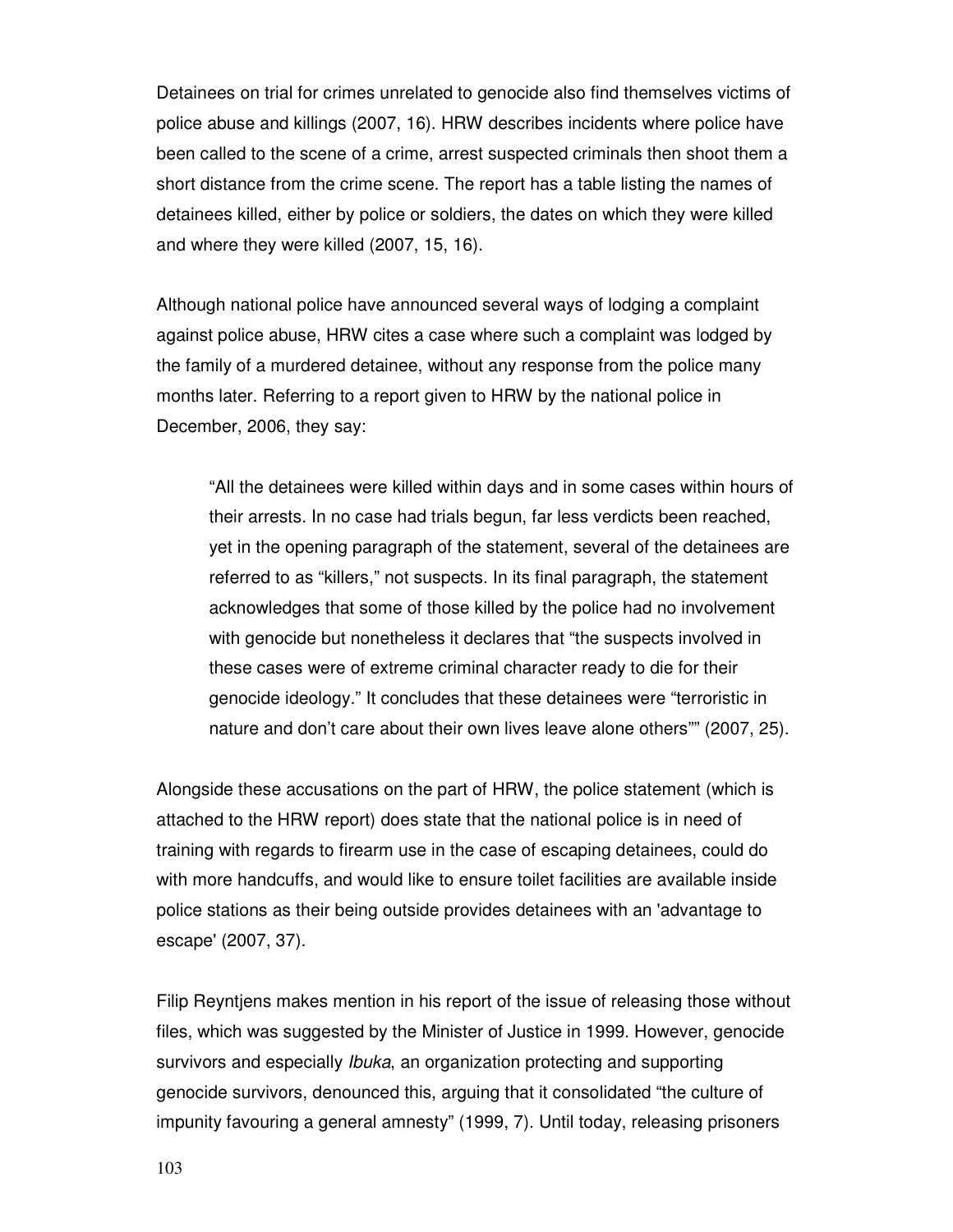Detainees on trial for crimes unrelated to genocide also find themselves victims of police abuse and killings (2007, 16). HRW describes incidents where police have been called to the scene of a crime, arrest suspected criminals then shoot them a short distance from the crime scene. The report has a table listing the names of detainees killed, either by police or soldiers, the dates on which they were killed and where they were killed (2007, 15, 16).

Although national police have announced several ways of lodging a complaint against police abuse, HRW cites a case where such a complaint was lodged by the family of a murdered detainee, without any response from the police many months later. Referring to a report given to HRW by the national police in December, 2006, they say:

"All the detainees were killed within days and in some cases within hours of their arrests. In no case had trials begun, far less verdicts been reached, yet in the opening paragraph of the statement, several of the detainees are referred to as "killers," not suspects. In its final paragraph, the statement acknowledges that some of those killed by the police had no involvement with genocide but nonetheless it declares that "the suspects involved in these cases were of extreme criminal character ready to die for their genocide ideology." It concludes that these detainees were "terroristic in nature and don't care about their own lives leave alone others"" (2007, 25).

Alongside these accusations on the part of HRW, the police statement (which is attached to the HRW report) does state that the national police is in need of training with regards to firearm use in the case of escaping detainees, could do with more handcuffs, and would like to ensure toilet facilities are available inside police stations as their being outside provides detainees with an 'advantage to escape' (2007, 37).

Filip Reyntjens makes mention in his report of the issue of releasing those without files, which was suggested by the Minister of Justice in 1999. However, genocide survivors and especially Ibuka, an organization protecting and supporting genocide survivors, denounced this, arguing that it consolidated "the culture of impunity favouring a general amnesty" (1999, 7). Until today, releasing prisoners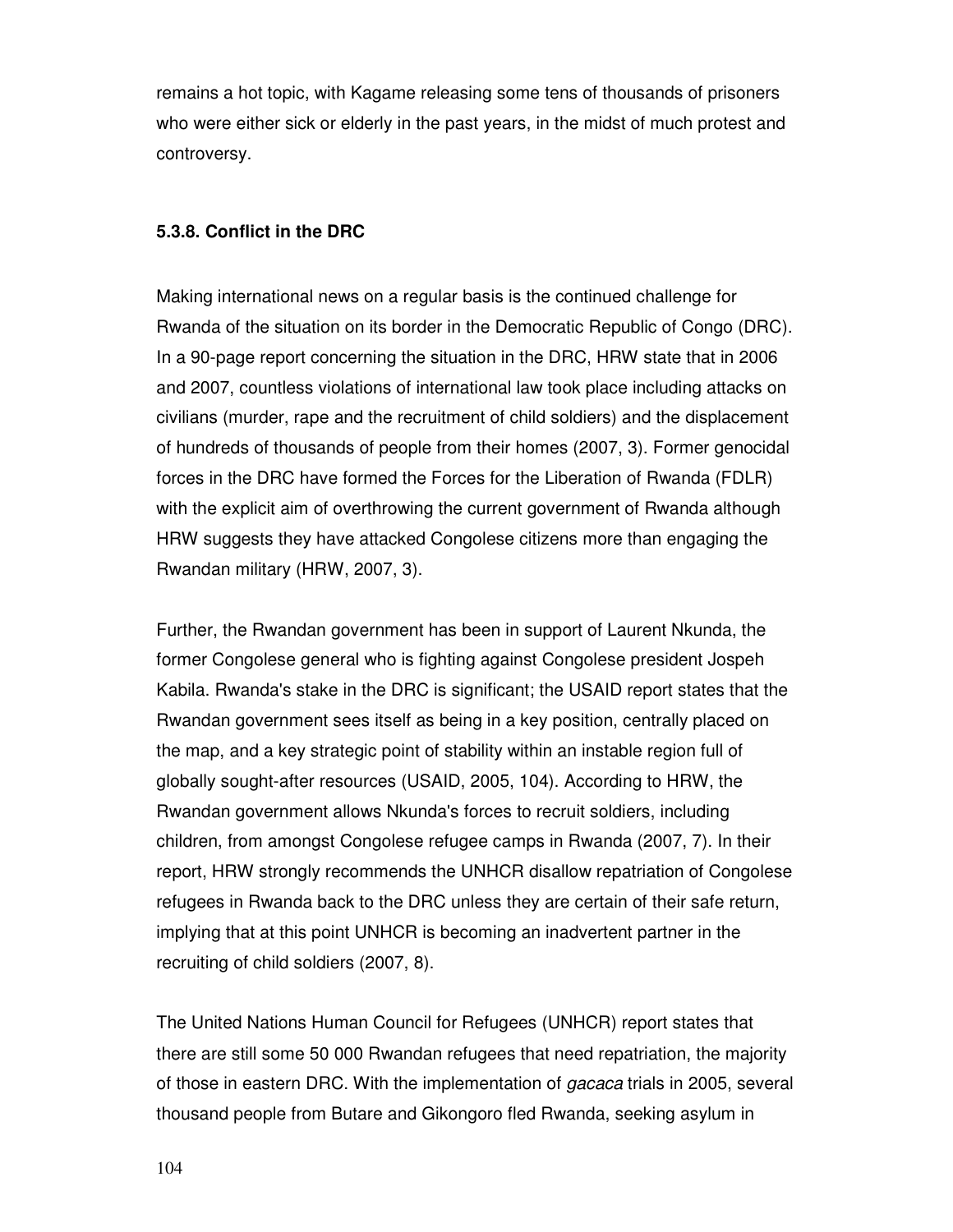remains a hot topic, with Kagame releasing some tens of thousands of prisoners who were either sick or elderly in the past years, in the midst of much protest and controversy.

#### **5.3.8. Conflict in the DRC**

Making international news on a regular basis is the continued challenge for Rwanda of the situation on its border in the Democratic Republic of Congo (DRC). In a 90-page report concerning the situation in the DRC, HRW state that in 2006 and 2007, countless violations of international law took place including attacks on civilians (murder, rape and the recruitment of child soldiers) and the displacement of hundreds of thousands of people from their homes (2007, 3). Former genocidal forces in the DRC have formed the Forces for the Liberation of Rwanda (FDLR) with the explicit aim of overthrowing the current government of Rwanda although HRW suggests they have attacked Congolese citizens more than engaging the Rwandan military (HRW, 2007, 3).

Further, the Rwandan government has been in support of Laurent Nkunda, the former Congolese general who is fighting against Congolese president Jospeh Kabila. Rwanda's stake in the DRC is significant; the USAID report states that the Rwandan government sees itself as being in a key position, centrally placed on the map, and a key strategic point of stability within an instable region full of globally sought-after resources (USAID, 2005, 104). According to HRW, the Rwandan government allows Nkunda's forces to recruit soldiers, including children, from amongst Congolese refugee camps in Rwanda (2007, 7). In their report, HRW strongly recommends the UNHCR disallow repatriation of Congolese refugees in Rwanda back to the DRC unless they are certain of their safe return, implying that at this point UNHCR is becoming an inadvertent partner in the recruiting of child soldiers (2007, 8).

The United Nations Human Council for Refugees (UNHCR) report states that there are still some 50 000 Rwandan refugees that need repatriation, the majority of those in eastern DRC. With the implementation of gacaca trials in 2005, several thousand people from Butare and Gikongoro fled Rwanda, seeking asylum in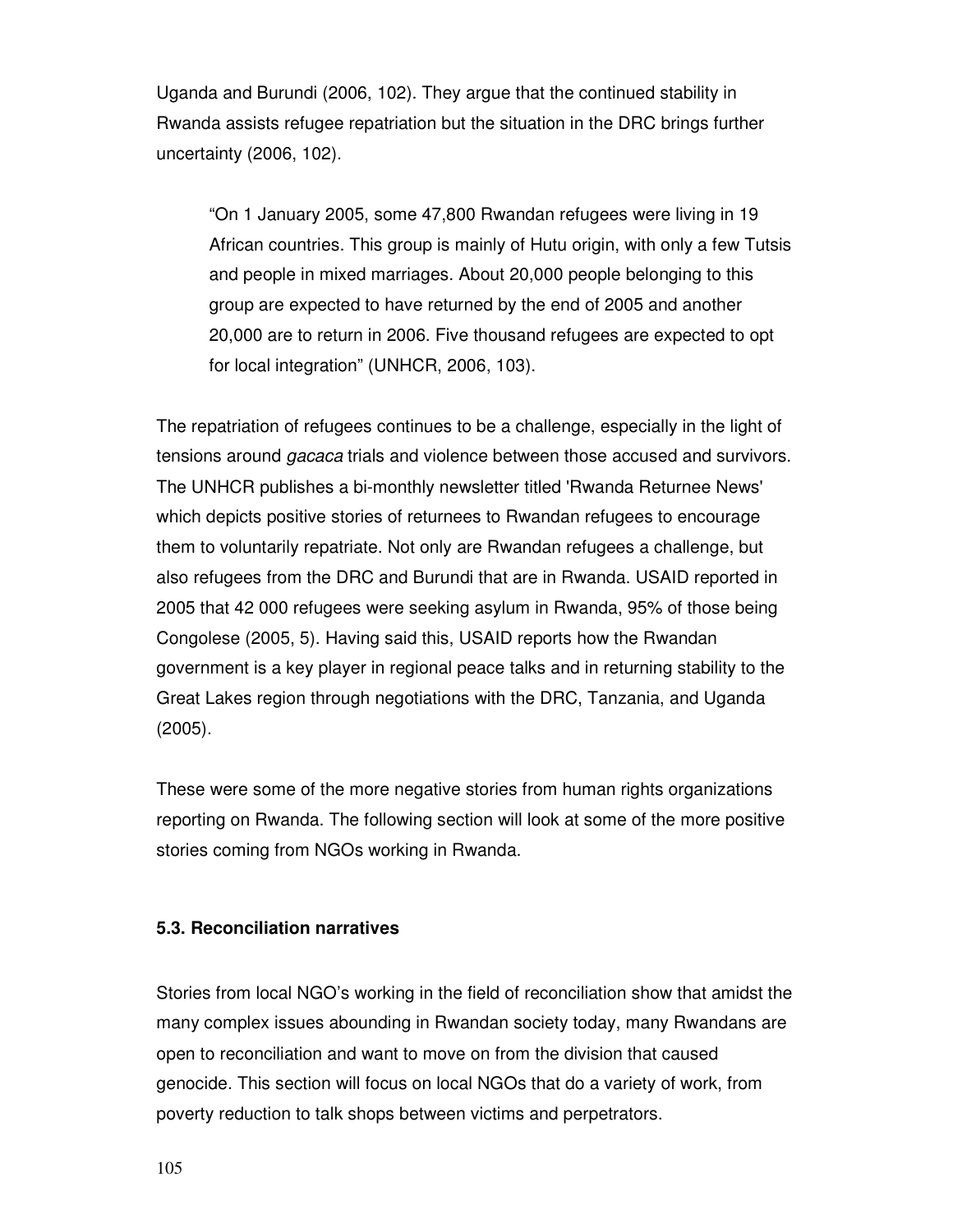Uganda and Burundi (2006, 102). They argue that the continued stability in Rwanda assists refugee repatriation but the situation in the DRC brings further uncertainty (2006, 102).

"On 1 January 2005, some 47,800 Rwandan refugees were living in 19 African countries. This group is mainly of Hutu origin, with only a few Tutsis and people in mixed marriages. About 20,000 people belonging to this group are expected to have returned by the end of 2005 and another 20,000 are to return in 2006. Five thousand refugees are expected to opt for local integration" (UNHCR, 2006, 103).

The repatriation of refugees continues to be a challenge, especially in the light of tensions around gacaca trials and violence between those accused and survivors. The UNHCR publishes a bi-monthly newsletter titled 'Rwanda Returnee News' which depicts positive stories of returnees to Rwandan refugees to encourage them to voluntarily repatriate. Not only are Rwandan refugees a challenge, but also refugees from the DRC and Burundi that are in Rwanda. USAID reported in 2005 that 42 000 refugees were seeking asylum in Rwanda, 95% of those being Congolese (2005, 5). Having said this, USAID reports how the Rwandan government is a key player in regional peace talks and in returning stability to the Great Lakes region through negotiations with the DRC, Tanzania, and Uganda (2005).

These were some of the more negative stories from human rights organizations reporting on Rwanda. The following section will look at some of the more positive stories coming from NGOs working in Rwanda.

# **5.3. Reconciliation narratives**

Stories from local NGO's working in the field of reconciliation show that amidst the many complex issues abounding in Rwandan society today, many Rwandans are open to reconciliation and want to move on from the division that caused genocide. This section will focus on local NGOs that do a variety of work, from poverty reduction to talk shops between victims and perpetrators.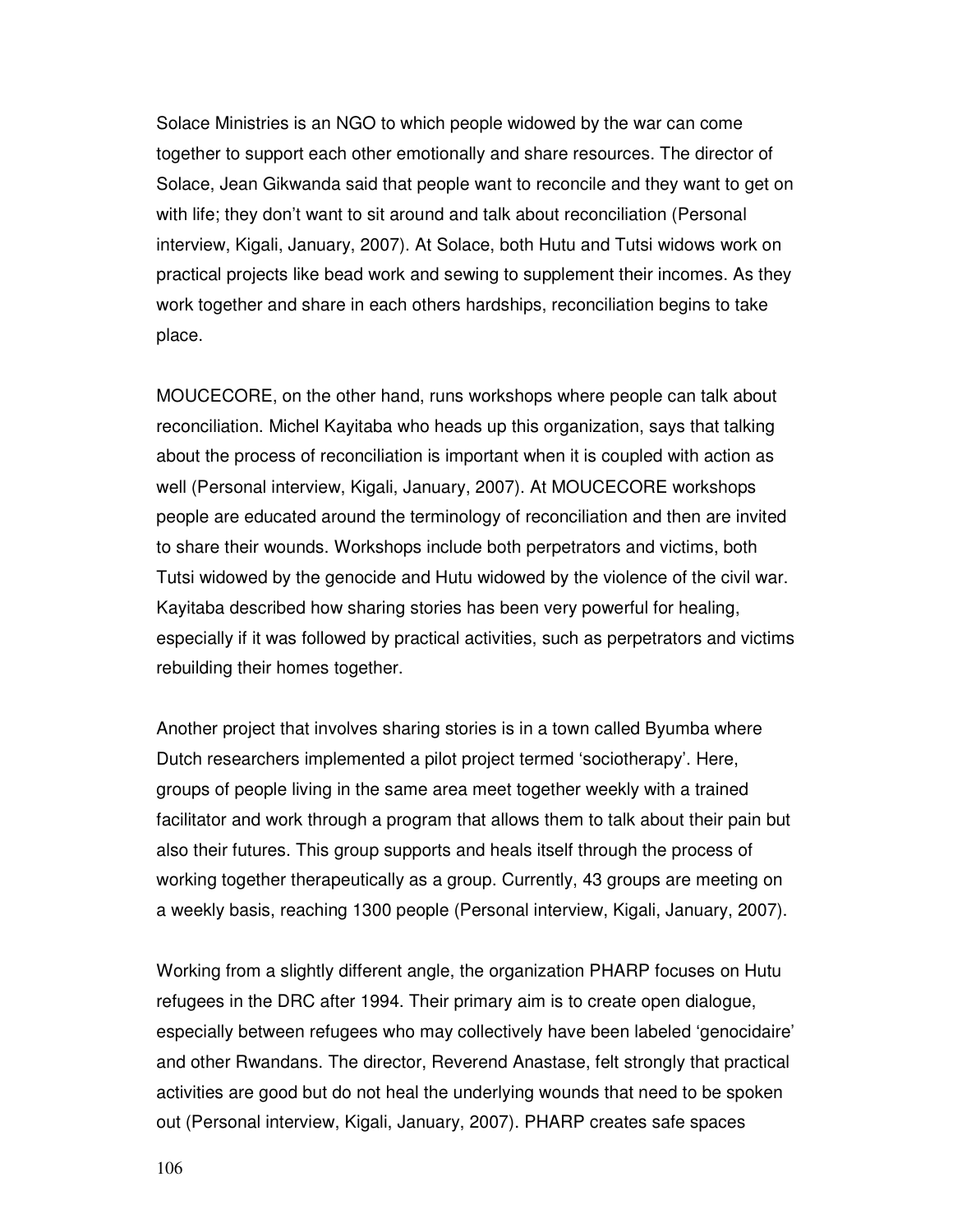Solace Ministries is an NGO to which people widowed by the war can come together to support each other emotionally and share resources. The director of Solace, Jean Gikwanda said that people want to reconcile and they want to get on with life; they don't want to sit around and talk about reconciliation (Personal interview, Kigali, January, 2007). At Solace, both Hutu and Tutsi widows work on practical projects like bead work and sewing to supplement their incomes. As they work together and share in each others hardships, reconciliation begins to take place.

MOUCECORE, on the other hand, runs workshops where people can talk about reconciliation. Michel Kayitaba who heads up this organization, says that talking about the process of reconciliation is important when it is coupled with action as well (Personal interview, Kigali, January, 2007). At MOUCECORE workshops people are educated around the terminology of reconciliation and then are invited to share their wounds. Workshops include both perpetrators and victims, both Tutsi widowed by the genocide and Hutu widowed by the violence of the civil war. Kayitaba described how sharing stories has been very powerful for healing, especially if it was followed by practical activities, such as perpetrators and victims rebuilding their homes together.

Another project that involves sharing stories is in a town called Byumba where Dutch researchers implemented a pilot project termed 'sociotherapy'. Here, groups of people living in the same area meet together weekly with a trained facilitator and work through a program that allows them to talk about their pain but also their futures. This group supports and heals itself through the process of working together therapeutically as a group. Currently, 43 groups are meeting on a weekly basis, reaching 1300 people (Personal interview, Kigali, January, 2007).

Working from a slightly different angle, the organization PHARP focuses on Hutu refugees in the DRC after 1994. Their primary aim is to create open dialogue, especially between refugees who may collectively have been labeled 'genocidaire' and other Rwandans. The director, Reverend Anastase, felt strongly that practical activities are good but do not heal the underlying wounds that need to be spoken out (Personal interview, Kigali, January, 2007). PHARP creates safe spaces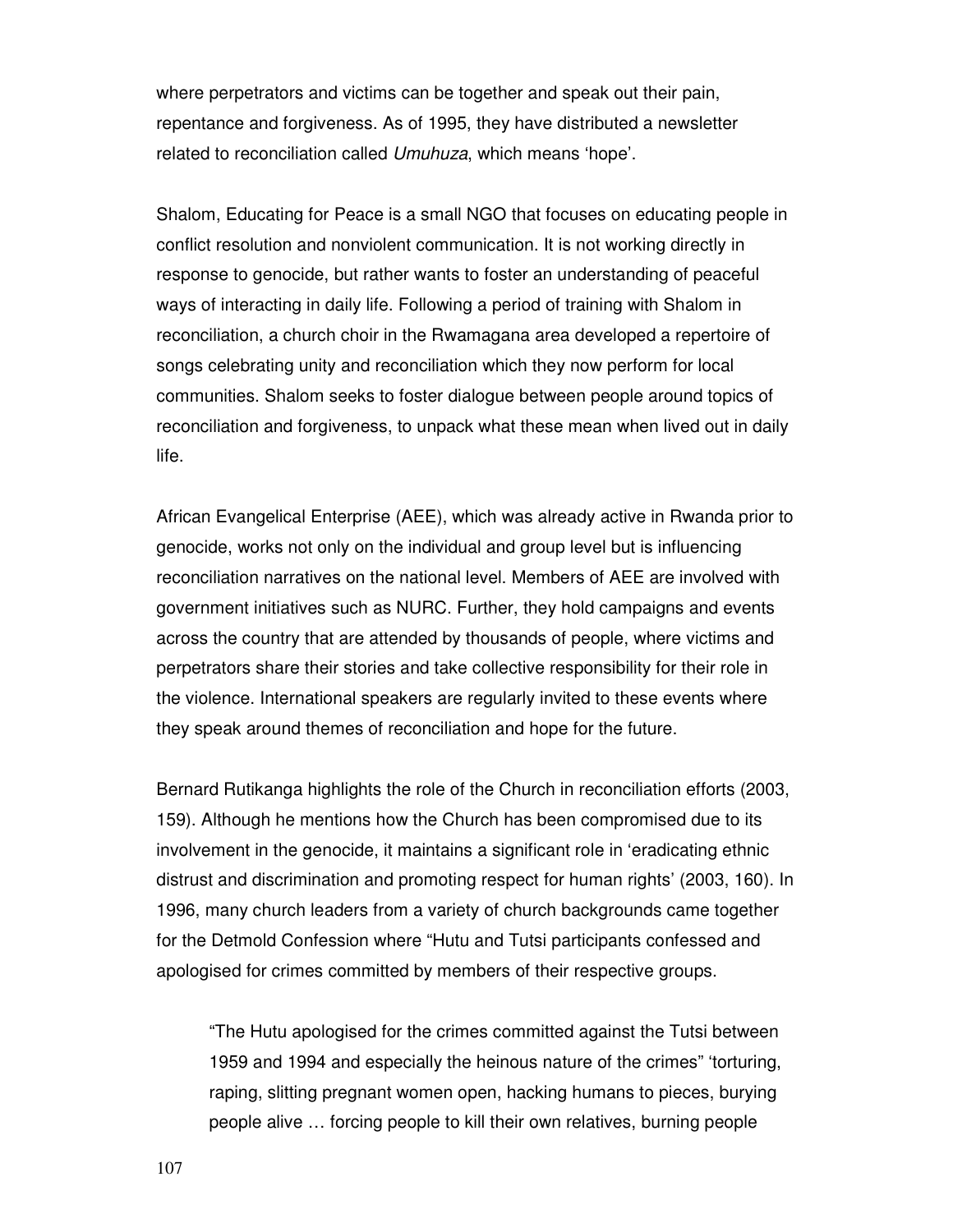where perpetrators and victims can be together and speak out their pain, repentance and forgiveness. As of 1995, they have distributed a newsletter related to reconciliation called Umuhuza, which means 'hope'.

Shalom, Educating for Peace is a small NGO that focuses on educating people in conflict resolution and nonviolent communication. It is not working directly in response to genocide, but rather wants to foster an understanding of peaceful ways of interacting in daily life. Following a period of training with Shalom in reconciliation, a church choir in the Rwamagana area developed a repertoire of songs celebrating unity and reconciliation which they now perform for local communities. Shalom seeks to foster dialogue between people around topics of reconciliation and forgiveness, to unpack what these mean when lived out in daily life.

African Evangelical Enterprise (AEE), which was already active in Rwanda prior to genocide, works not only on the individual and group level but is influencing reconciliation narratives on the national level. Members of AEE are involved with government initiatives such as NURC. Further, they hold campaigns and events across the country that are attended by thousands of people, where victims and perpetrators share their stories and take collective responsibility for their role in the violence. International speakers are regularly invited to these events where they speak around themes of reconciliation and hope for the future.

Bernard Rutikanga highlights the role of the Church in reconciliation efforts (2003, 159). Although he mentions how the Church has been compromised due to its involvement in the genocide, it maintains a significant role in 'eradicating ethnic distrust and discrimination and promoting respect for human rights' (2003, 160). In 1996, many church leaders from a variety of church backgrounds came together for the Detmold Confession where "Hutu and Tutsi participants confessed and apologised for crimes committed by members of their respective groups.

"The Hutu apologised for the crimes committed against the Tutsi between 1959 and 1994 and especially the heinous nature of the crimes" 'torturing, raping, slitting pregnant women open, hacking humans to pieces, burying people alive … forcing people to kill their own relatives, burning people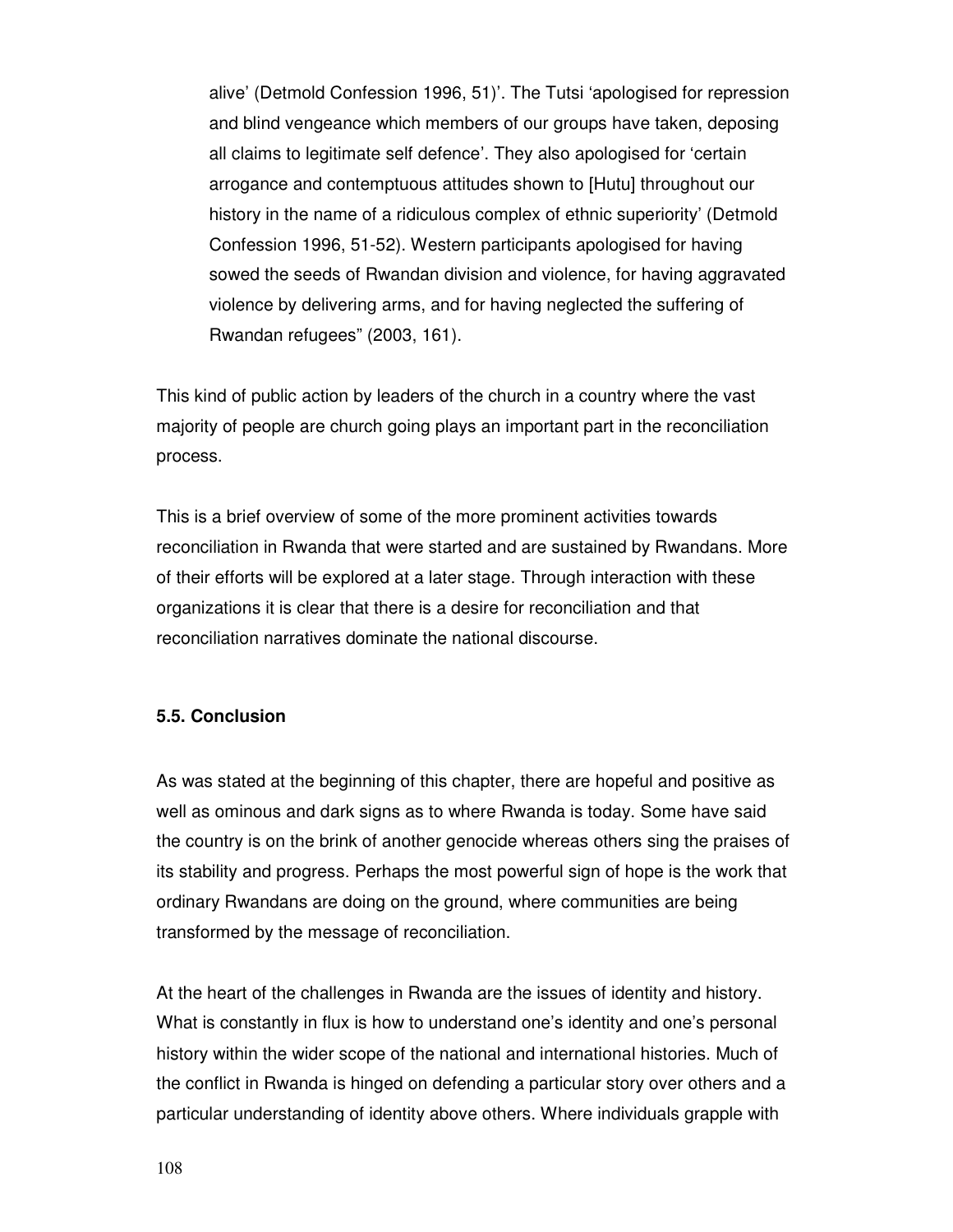alive' (Detmold Confession 1996, 51)'. The Tutsi 'apologised for repression and blind vengeance which members of our groups have taken, deposing all claims to legitimate self defence'. They also apologised for 'certain arrogance and contemptuous attitudes shown to [Hutu] throughout our history in the name of a ridiculous complex of ethnic superiority' (Detmold Confession 1996, 51-52). Western participants apologised for having sowed the seeds of Rwandan division and violence, for having aggravated violence by delivering arms, and for having neglected the suffering of Rwandan refugees" (2003, 161).

This kind of public action by leaders of the church in a country where the vast majority of people are church going plays an important part in the reconciliation process.

This is a brief overview of some of the more prominent activities towards reconciliation in Rwanda that were started and are sustained by Rwandans. More of their efforts will be explored at a later stage. Through interaction with these organizations it is clear that there is a desire for reconciliation and that reconciliation narratives dominate the national discourse.

# **5.5. Conclusion**

As was stated at the beginning of this chapter, there are hopeful and positive as well as ominous and dark signs as to where Rwanda is today. Some have said the country is on the brink of another genocide whereas others sing the praises of its stability and progress. Perhaps the most powerful sign of hope is the work that ordinary Rwandans are doing on the ground, where communities are being transformed by the message of reconciliation.

At the heart of the challenges in Rwanda are the issues of identity and history. What is constantly in flux is how to understand one's identity and one's personal history within the wider scope of the national and international histories. Much of the conflict in Rwanda is hinged on defending a particular story over others and a particular understanding of identity above others. Where individuals grapple with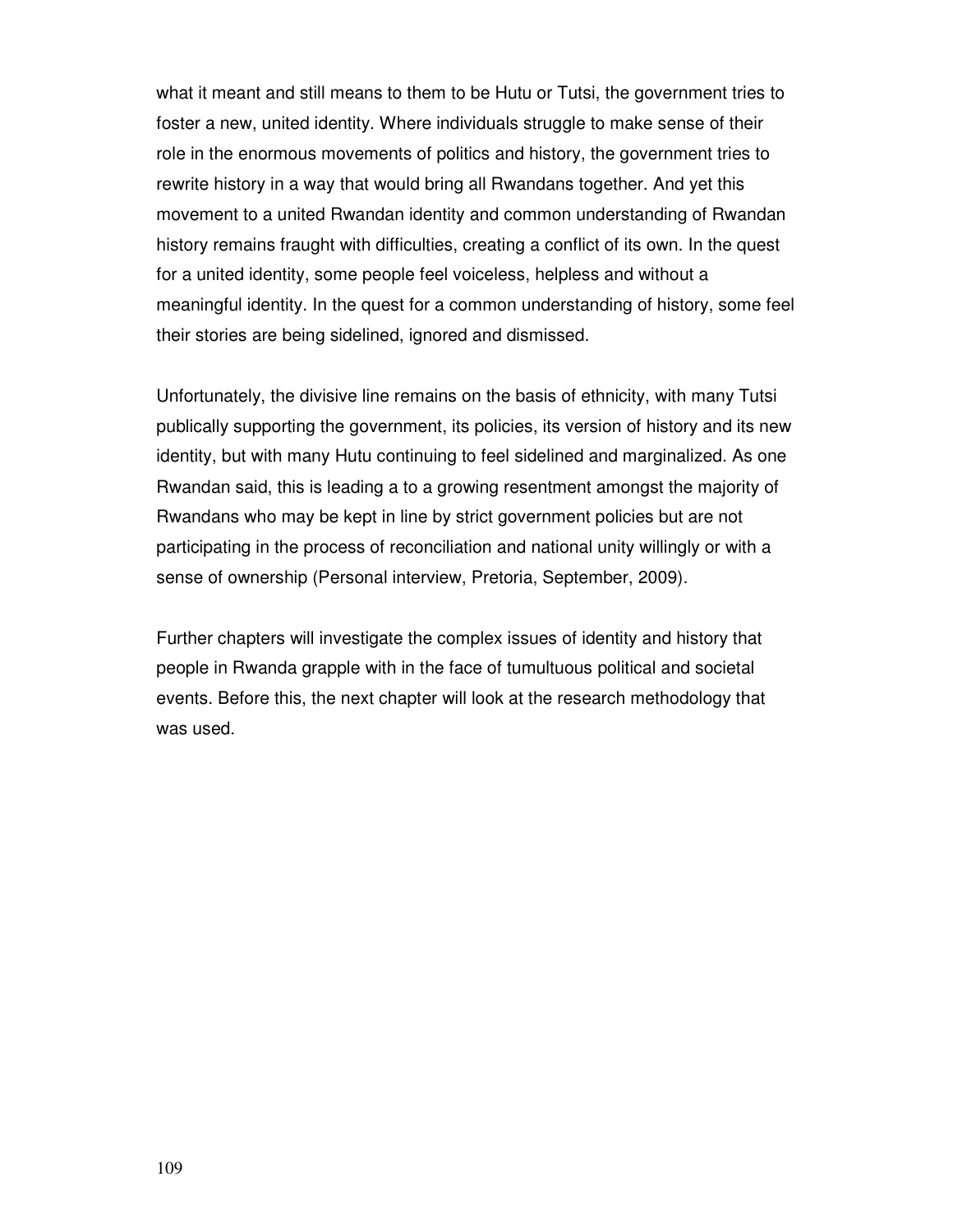what it meant and still means to them to be Hutu or Tutsi, the government tries to foster a new, united identity. Where individuals struggle to make sense of their role in the enormous movements of politics and history, the government tries to rewrite history in a way that would bring all Rwandans together. And yet this movement to a united Rwandan identity and common understanding of Rwandan history remains fraught with difficulties, creating a conflict of its own. In the quest for a united identity, some people feel voiceless, helpless and without a meaningful identity. In the quest for a common understanding of history, some feel their stories are being sidelined, ignored and dismissed.

Unfortunately, the divisive line remains on the basis of ethnicity, with many Tutsi publically supporting the government, its policies, its version of history and its new identity, but with many Hutu continuing to feel sidelined and marginalized. As one Rwandan said, this is leading a to a growing resentment amongst the majority of Rwandans who may be kept in line by strict government policies but are not participating in the process of reconciliation and national unity willingly or with a sense of ownership (Personal interview, Pretoria, September, 2009).

Further chapters will investigate the complex issues of identity and history that people in Rwanda grapple with in the face of tumultuous political and societal events. Before this, the next chapter will look at the research methodology that was used.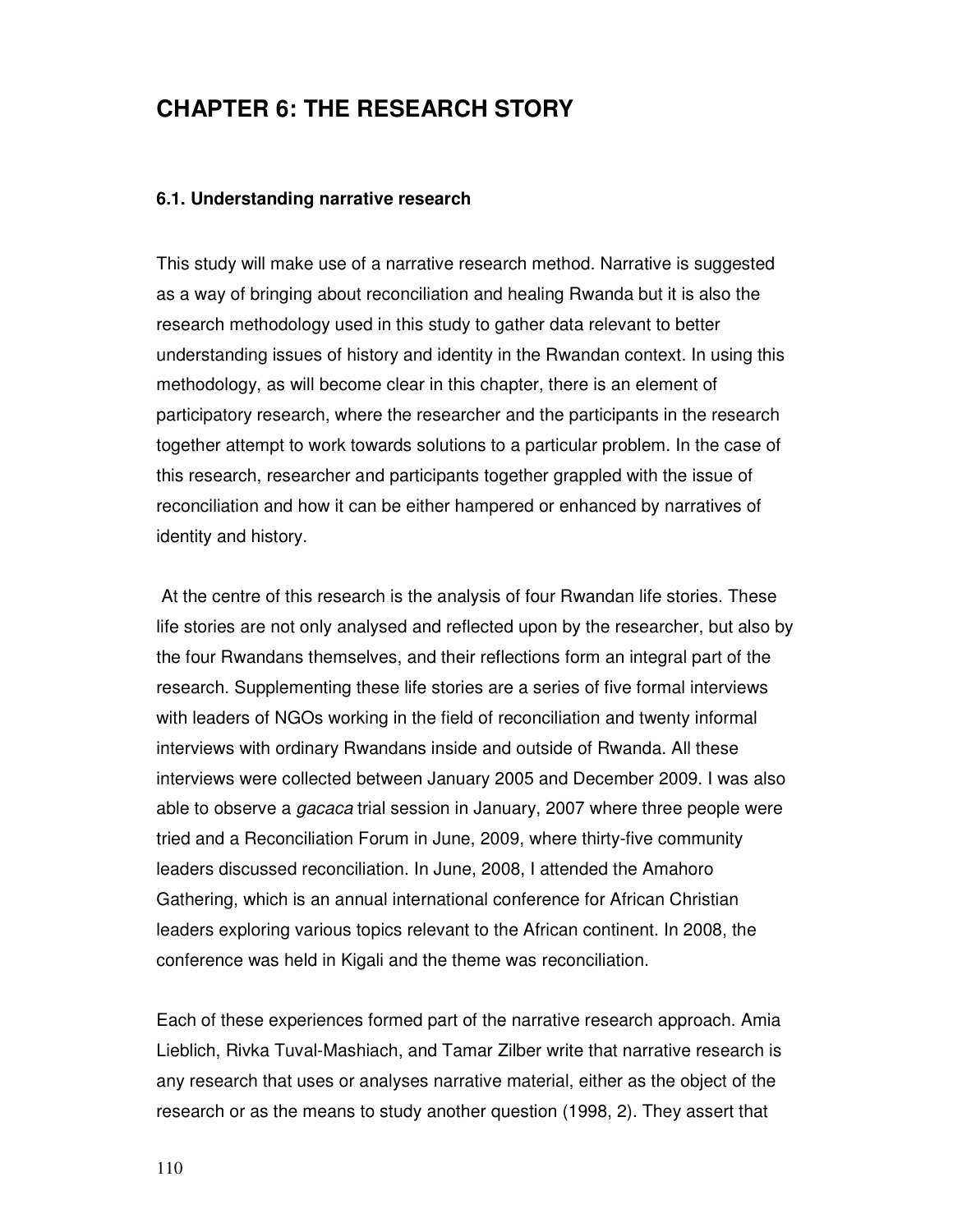# **CHAPTER 6: THE RESEARCH STORY**

#### **6.1. Understanding narrative research**

This study will make use of a narrative research method. Narrative is suggested as a way of bringing about reconciliation and healing Rwanda but it is also the research methodology used in this study to gather data relevant to better understanding issues of history and identity in the Rwandan context. In using this methodology, as will become clear in this chapter, there is an element of participatory research, where the researcher and the participants in the research together attempt to work towards solutions to a particular problem. In the case of this research, researcher and participants together grappled with the issue of reconciliation and how it can be either hampered or enhanced by narratives of identity and history.

 At the centre of this research is the analysis of four Rwandan life stories. These life stories are not only analysed and reflected upon by the researcher, but also by the four Rwandans themselves, and their reflections form an integral part of the research. Supplementing these life stories are a series of five formal interviews with leaders of NGOs working in the field of reconciliation and twenty informal interviews with ordinary Rwandans inside and outside of Rwanda. All these interviews were collected between January 2005 and December 2009. I was also able to observe a *gacaca* trial session in January, 2007 where three people were tried and a Reconciliation Forum in June, 2009, where thirty-five community leaders discussed reconciliation. In June, 2008, I attended the Amahoro Gathering, which is an annual international conference for African Christian leaders exploring various topics relevant to the African continent. In 2008, the conference was held in Kigali and the theme was reconciliation.

Each of these experiences formed part of the narrative research approach. Amia Lieblich, Rivka Tuval-Mashiach, and Tamar Zilber write that narrative research is any research that uses or analyses narrative material, either as the object of the research or as the means to study another question (1998, 2). They assert that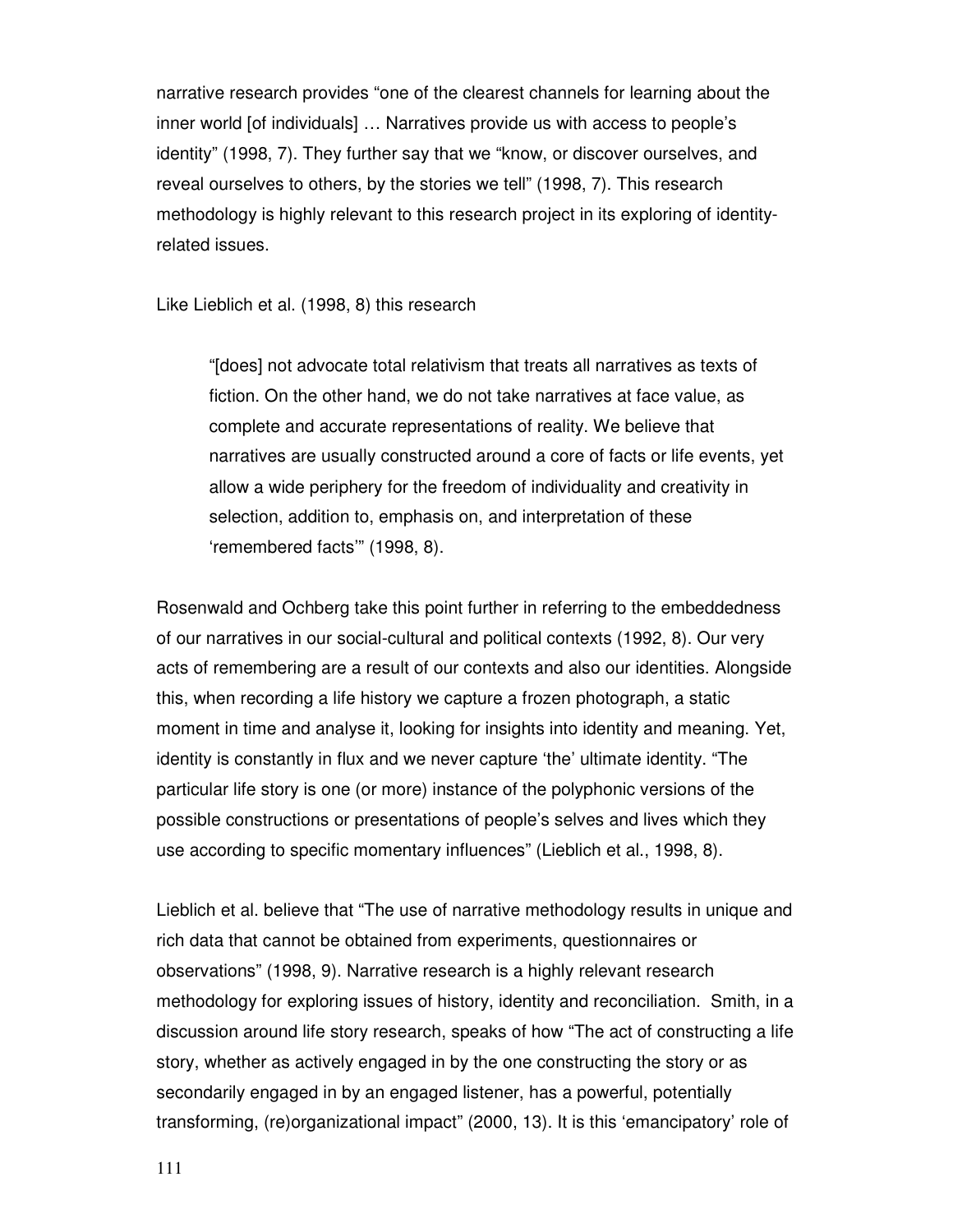narrative research provides "one of the clearest channels for learning about the inner world [of individuals] … Narratives provide us with access to people's identity" (1998, 7). They further say that we "know, or discover ourselves, and reveal ourselves to others, by the stories we tell" (1998, 7). This research methodology is highly relevant to this research project in its exploring of identityrelated issues.

Like Lieblich et al. (1998, 8) this research

"[does] not advocate total relativism that treats all narratives as texts of fiction. On the other hand, we do not take narratives at face value, as complete and accurate representations of reality. We believe that narratives are usually constructed around a core of facts or life events, yet allow a wide periphery for the freedom of individuality and creativity in selection, addition to, emphasis on, and interpretation of these 'remembered facts'" (1998, 8).

Rosenwald and Ochberg take this point further in referring to the embeddedness of our narratives in our social-cultural and political contexts (1992, 8). Our very acts of remembering are a result of our contexts and also our identities. Alongside this, when recording a life history we capture a frozen photograph, a static moment in time and analyse it, looking for insights into identity and meaning. Yet, identity is constantly in flux and we never capture 'the' ultimate identity. "The particular life story is one (or more) instance of the polyphonic versions of the possible constructions or presentations of people's selves and lives which they use according to specific momentary influences" (Lieblich et al., 1998, 8).

Lieblich et al. believe that "The use of narrative methodology results in unique and rich data that cannot be obtained from experiments, questionnaires or observations" (1998, 9). Narrative research is a highly relevant research methodology for exploring issues of history, identity and reconciliation. Smith, in a discussion around life story research, speaks of how "The act of constructing a life story, whether as actively engaged in by the one constructing the story or as secondarily engaged in by an engaged listener, has a powerful, potentially transforming, (re)organizational impact" (2000, 13). It is this 'emancipatory' role of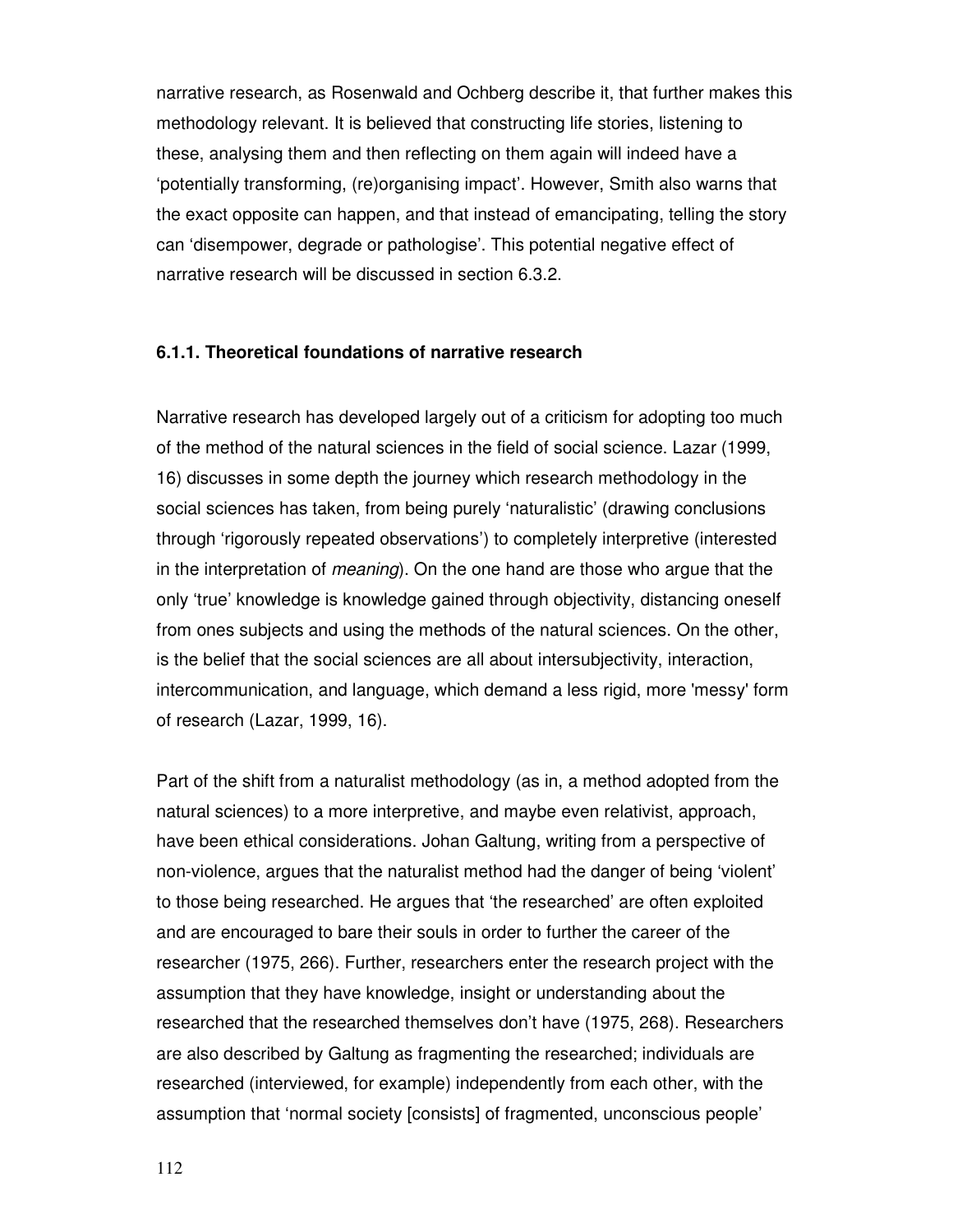narrative research, as Rosenwald and Ochberg describe it, that further makes this methodology relevant. It is believed that constructing life stories, listening to these, analysing them and then reflecting on them again will indeed have a 'potentially transforming, (re)organising impact'. However, Smith also warns that the exact opposite can happen, and that instead of emancipating, telling the story can 'disempower, degrade or pathologise'. This potential negative effect of narrative research will be discussed in section 6.3.2.

#### **6.1.1. Theoretical foundations of narrative research**

Narrative research has developed largely out of a criticism for adopting too much of the method of the natural sciences in the field of social science. Lazar (1999, 16) discusses in some depth the journey which research methodology in the social sciences has taken, from being purely 'naturalistic' (drawing conclusions through 'rigorously repeated observations') to completely interpretive (interested in the interpretation of meaning). On the one hand are those who argue that the only 'true' knowledge is knowledge gained through objectivity, distancing oneself from ones subjects and using the methods of the natural sciences. On the other, is the belief that the social sciences are all about intersubjectivity, interaction, intercommunication, and language, which demand a less rigid, more 'messy' form of research (Lazar, 1999, 16).

Part of the shift from a naturalist methodology (as in, a method adopted from the natural sciences) to a more interpretive, and maybe even relativist, approach, have been ethical considerations. Johan Galtung, writing from a perspective of non-violence, argues that the naturalist method had the danger of being 'violent' to those being researched. He argues that 'the researched' are often exploited and are encouraged to bare their souls in order to further the career of the researcher (1975, 266). Further, researchers enter the research project with the assumption that they have knowledge, insight or understanding about the researched that the researched themselves don't have (1975, 268). Researchers are also described by Galtung as fragmenting the researched; individuals are researched (interviewed, for example) independently from each other, with the assumption that 'normal society [consists] of fragmented, unconscious people'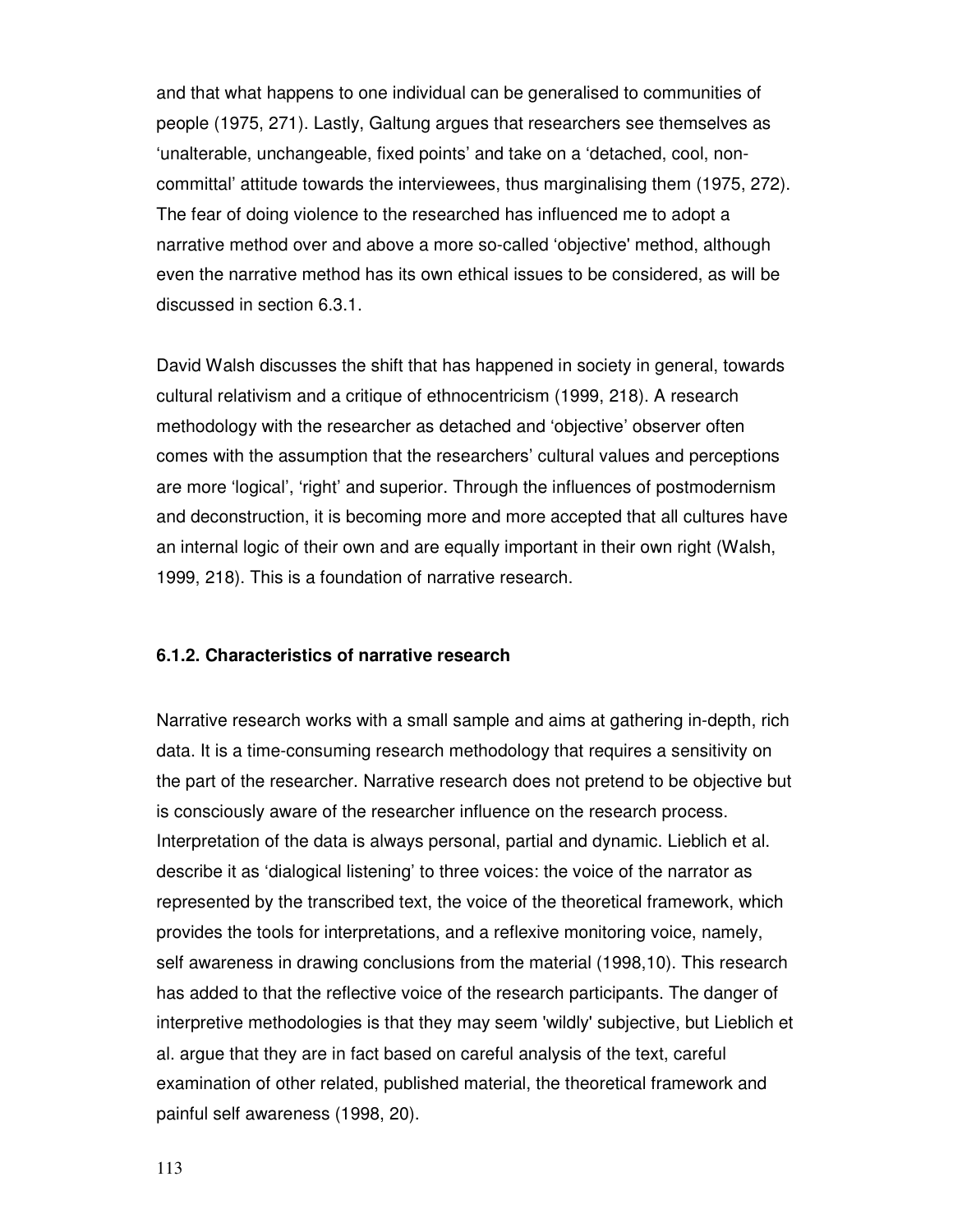and that what happens to one individual can be generalised to communities of people (1975, 271). Lastly, Galtung argues that researchers see themselves as 'unalterable, unchangeable, fixed points' and take on a 'detached, cool, noncommittal' attitude towards the interviewees, thus marginalising them (1975, 272). The fear of doing violence to the researched has influenced me to adopt a narrative method over and above a more so-called 'objective' method, although even the narrative method has its own ethical issues to be considered, as will be discussed in section 6.3.1.

David Walsh discusses the shift that has happened in society in general, towards cultural relativism and a critique of ethnocentricism (1999, 218). A research methodology with the researcher as detached and 'objective' observer often comes with the assumption that the researchers' cultural values and perceptions are more 'logical', 'right' and superior. Through the influences of postmodernism and deconstruction, it is becoming more and more accepted that all cultures have an internal logic of their own and are equally important in their own right (Walsh, 1999, 218). This is a foundation of narrative research.

#### **6.1.2. Characteristics of narrative research**

Narrative research works with a small sample and aims at gathering in-depth, rich data. It is a time-consuming research methodology that requires a sensitivity on the part of the researcher. Narrative research does not pretend to be objective but is consciously aware of the researcher influence on the research process. Interpretation of the data is always personal, partial and dynamic. Lieblich et al. describe it as 'dialogical listening' to three voices: the voice of the narrator as represented by the transcribed text, the voice of the theoretical framework, which provides the tools for interpretations, and a reflexive monitoring voice, namely, self awareness in drawing conclusions from the material (1998,10). This research has added to that the reflective voice of the research participants. The danger of interpretive methodologies is that they may seem 'wildly' subjective, but Lieblich et al. argue that they are in fact based on careful analysis of the text, careful examination of other related, published material, the theoretical framework and painful self awareness (1998, 20).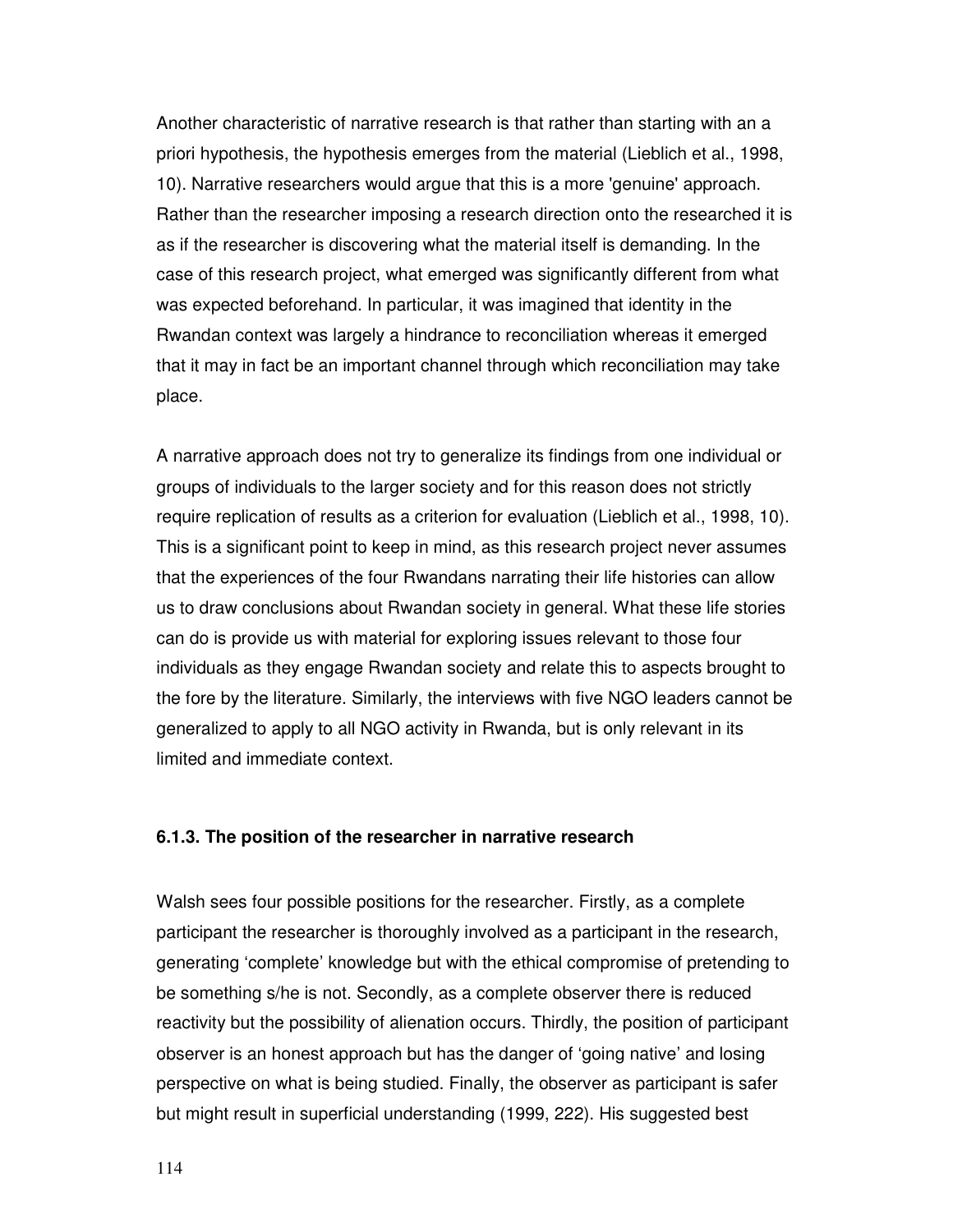Another characteristic of narrative research is that rather than starting with an a priori hypothesis, the hypothesis emerges from the material (Lieblich et al., 1998, 10). Narrative researchers would argue that this is a more 'genuine' approach. Rather than the researcher imposing a research direction onto the researched it is as if the researcher is discovering what the material itself is demanding. In the case of this research project, what emerged was significantly different from what was expected beforehand. In particular, it was imagined that identity in the Rwandan context was largely a hindrance to reconciliation whereas it emerged that it may in fact be an important channel through which reconciliation may take place.

A narrative approach does not try to generalize its findings from one individual or groups of individuals to the larger society and for this reason does not strictly require replication of results as a criterion for evaluation (Lieblich et al., 1998, 10). This is a significant point to keep in mind, as this research project never assumes that the experiences of the four Rwandans narrating their life histories can allow us to draw conclusions about Rwandan society in general. What these life stories can do is provide us with material for exploring issues relevant to those four individuals as they engage Rwandan society and relate this to aspects brought to the fore by the literature. Similarly, the interviews with five NGO leaders cannot be generalized to apply to all NGO activity in Rwanda, but is only relevant in its limited and immediate context.

### **6.1.3. The position of the researcher in narrative research**

Walsh sees four possible positions for the researcher. Firstly, as a complete participant the researcher is thoroughly involved as a participant in the research, generating 'complete' knowledge but with the ethical compromise of pretending to be something s/he is not. Secondly, as a complete observer there is reduced reactivity but the possibility of alienation occurs. Thirdly, the position of participant observer is an honest approach but has the danger of 'going native' and losing perspective on what is being studied. Finally, the observer as participant is safer but might result in superficial understanding (1999, 222). His suggested best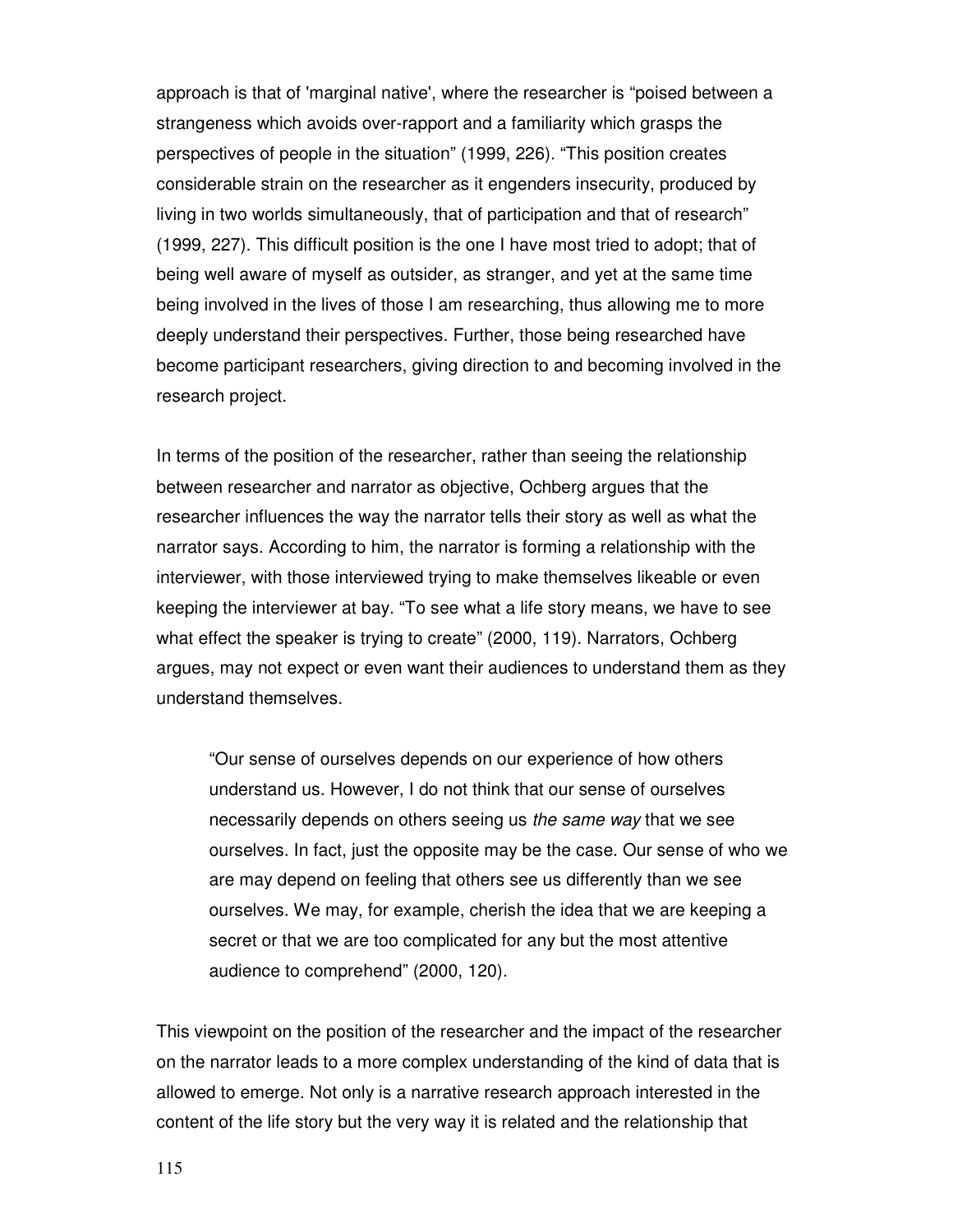approach is that of 'marginal native', where the researcher is "poised between a strangeness which avoids over-rapport and a familiarity which grasps the perspectives of people in the situation" (1999, 226). "This position creates considerable strain on the researcher as it engenders insecurity, produced by living in two worlds simultaneously, that of participation and that of research" (1999, 227). This difficult position is the one I have most tried to adopt; that of being well aware of myself as outsider, as stranger, and yet at the same time being involved in the lives of those I am researching, thus allowing me to more deeply understand their perspectives. Further, those being researched have become participant researchers, giving direction to and becoming involved in the research project.

In terms of the position of the researcher, rather than seeing the relationship between researcher and narrator as objective, Ochberg argues that the researcher influences the way the narrator tells their story as well as what the narrator says. According to him, the narrator is forming a relationship with the interviewer, with those interviewed trying to make themselves likeable or even keeping the interviewer at bay. "To see what a life story means, we have to see what effect the speaker is trying to create" (2000, 119). Narrators, Ochberg argues, may not expect or even want their audiences to understand them as they understand themselves.

"Our sense of ourselves depends on our experience of how others understand us. However, I do not think that our sense of ourselves necessarily depends on others seeing us the same way that we see ourselves. In fact, just the opposite may be the case. Our sense of who we are may depend on feeling that others see us differently than we see ourselves. We may, for example, cherish the idea that we are keeping a secret or that we are too complicated for any but the most attentive audience to comprehend" (2000, 120).

This viewpoint on the position of the researcher and the impact of the researcher on the narrator leads to a more complex understanding of the kind of data that is allowed to emerge. Not only is a narrative research approach interested in the content of the life story but the very way it is related and the relationship that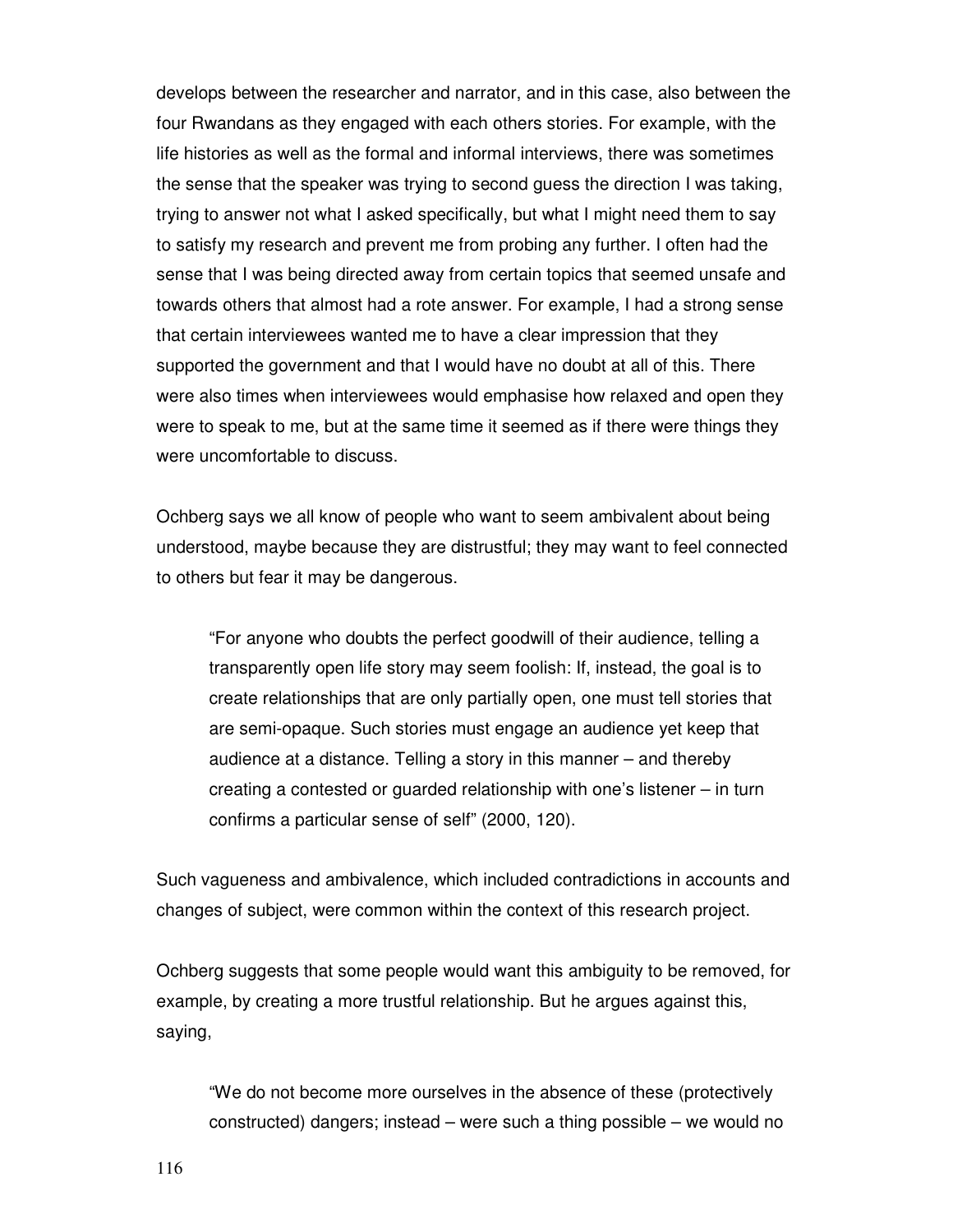develops between the researcher and narrator, and in this case, also between the four Rwandans as they engaged with each others stories. For example, with the life histories as well as the formal and informal interviews, there was sometimes the sense that the speaker was trying to second guess the direction I was taking, trying to answer not what I asked specifically, but what I might need them to say to satisfy my research and prevent me from probing any further. I often had the sense that I was being directed away from certain topics that seemed unsafe and towards others that almost had a rote answer. For example, I had a strong sense that certain interviewees wanted me to have a clear impression that they supported the government and that I would have no doubt at all of this. There were also times when interviewees would emphasise how relaxed and open they were to speak to me, but at the same time it seemed as if there were things they were uncomfortable to discuss.

Ochberg says we all know of people who want to seem ambivalent about being understood, maybe because they are distrustful; they may want to feel connected to others but fear it may be dangerous.

"For anyone who doubts the perfect goodwill of their audience, telling a transparently open life story may seem foolish: If, instead, the goal is to create relationships that are only partially open, one must tell stories that are semi-opaque. Such stories must engage an audience yet keep that audience at a distance. Telling a story in this manner – and thereby creating a contested or guarded relationship with one's listener – in turn confirms a particular sense of self" (2000, 120).

Such vagueness and ambivalence, which included contradictions in accounts and changes of subject, were common within the context of this research project.

Ochberg suggests that some people would want this ambiguity to be removed, for example, by creating a more trustful relationship. But he argues against this, saying,

"We do not become more ourselves in the absence of these (protectively constructed) dangers; instead – were such a thing possible – we would no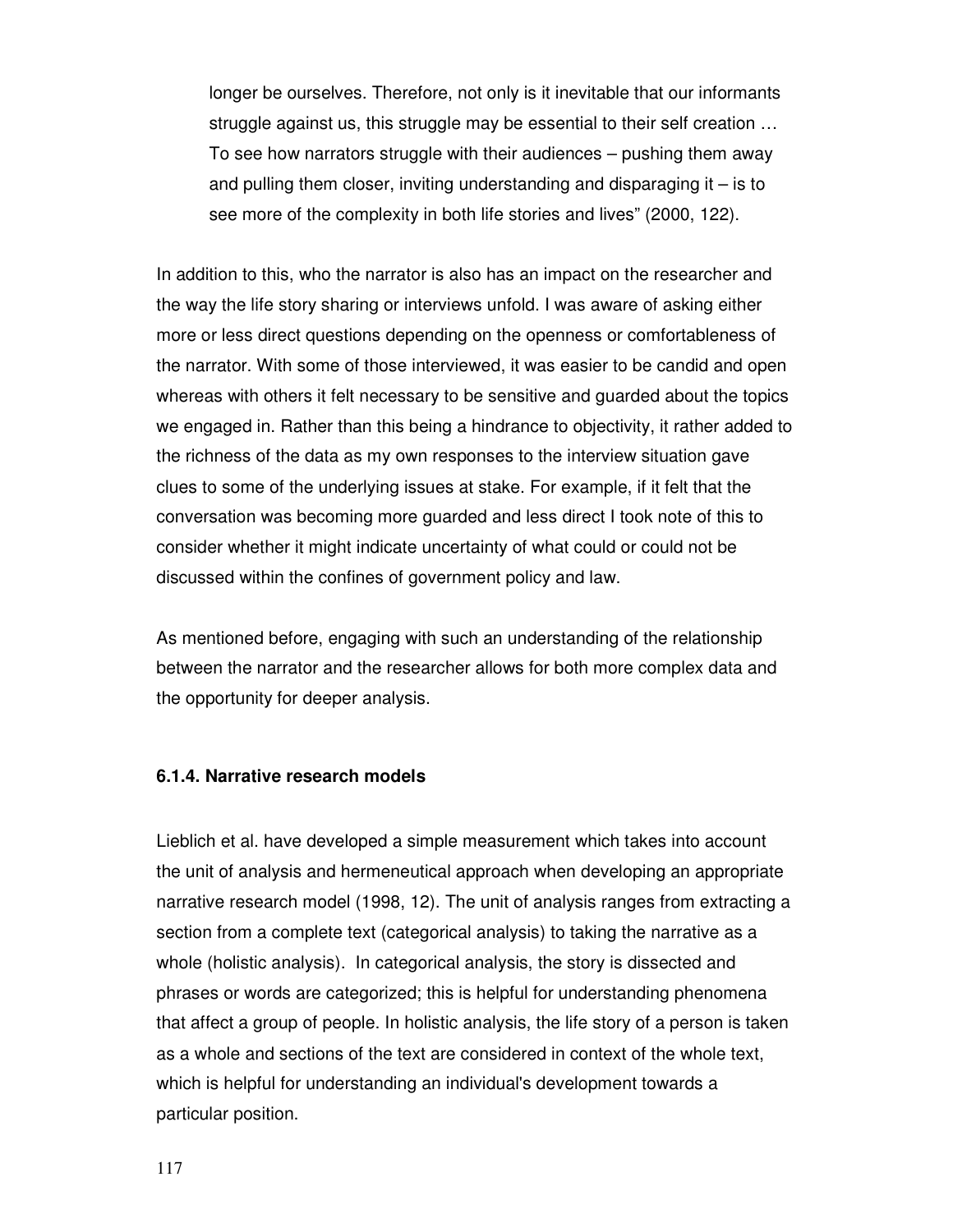longer be ourselves. Therefore, not only is it inevitable that our informants struggle against us, this struggle may be essential to their self creation … To see how narrators struggle with their audiences – pushing them away and pulling them closer, inviting understanding and disparaging it – is to see more of the complexity in both life stories and lives" (2000, 122).

In addition to this, who the narrator is also has an impact on the researcher and the way the life story sharing or interviews unfold. I was aware of asking either more or less direct questions depending on the openness or comfortableness of the narrator. With some of those interviewed, it was easier to be candid and open whereas with others it felt necessary to be sensitive and guarded about the topics we engaged in. Rather than this being a hindrance to objectivity, it rather added to the richness of the data as my own responses to the interview situation gave clues to some of the underlying issues at stake. For example, if it felt that the conversation was becoming more guarded and less direct I took note of this to consider whether it might indicate uncertainty of what could or could not be discussed within the confines of government policy and law.

As mentioned before, engaging with such an understanding of the relationship between the narrator and the researcher allows for both more complex data and the opportunity for deeper analysis.

#### **6.1.4. Narrative research models**

Lieblich et al. have developed a simple measurement which takes into account the unit of analysis and hermeneutical approach when developing an appropriate narrative research model (1998, 12). The unit of analysis ranges from extracting a section from a complete text (categorical analysis) to taking the narrative as a whole (holistic analysis). In categorical analysis, the story is dissected and phrases or words are categorized; this is helpful for understanding phenomena that affect a group of people. In holistic analysis, the life story of a person is taken as a whole and sections of the text are considered in context of the whole text, which is helpful for understanding an individual's development towards a particular position.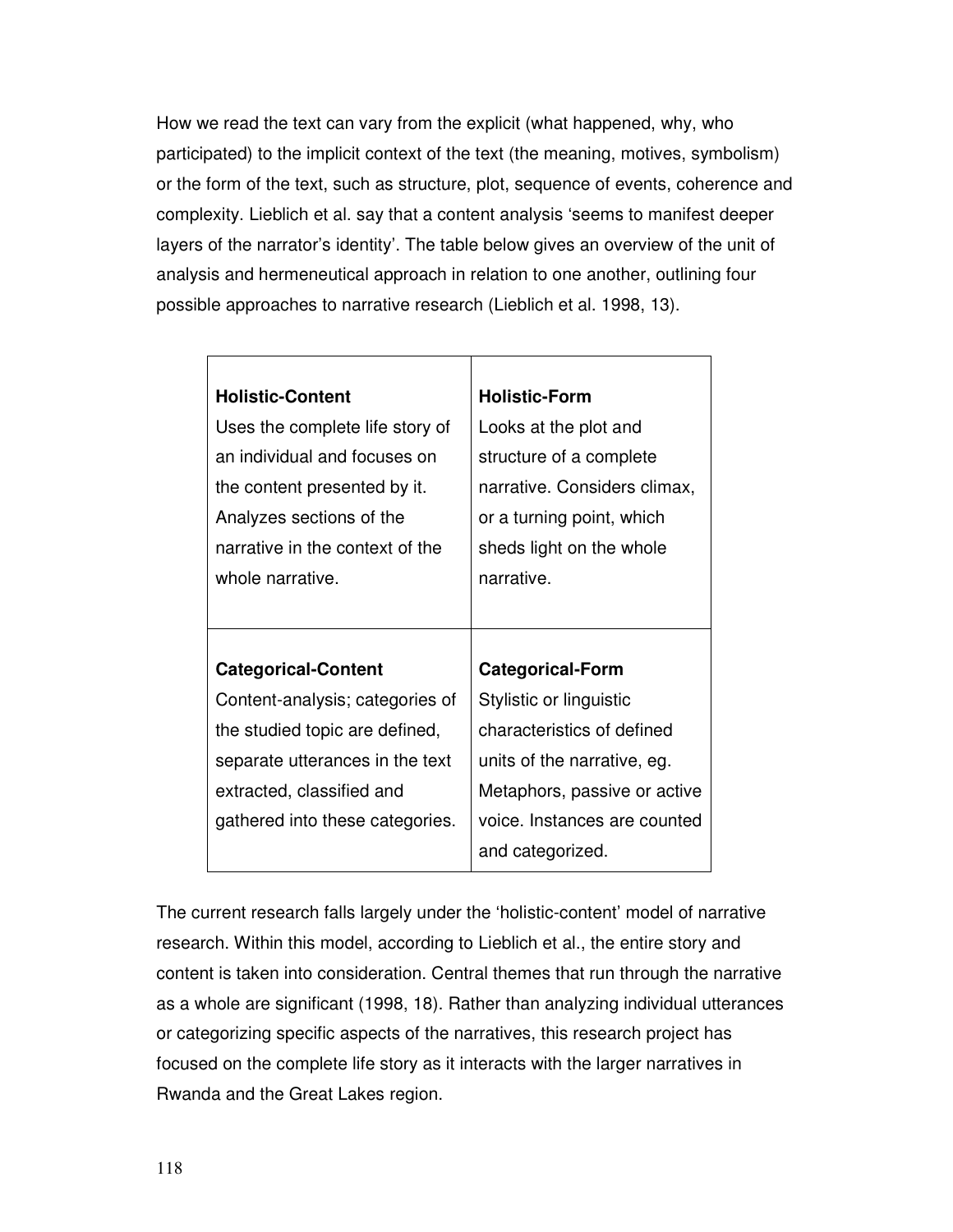How we read the text can vary from the explicit (what happened, why, who participated) to the implicit context of the text (the meaning, motives, symbolism) or the form of the text, such as structure, plot, sequence of events, coherence and complexity. Lieblich et al. say that a content analysis 'seems to manifest deeper layers of the narrator's identity'. The table below gives an overview of the unit of analysis and hermeneutical approach in relation to one another, outlining four possible approaches to narrative research (Lieblich et al. 1998, 13).

 $\top$ 

| <b>Holistic-Content</b>         | <b>Holistic-Form</b>         |
|---------------------------------|------------------------------|
| Uses the complete life story of | Looks at the plot and        |
| an individual and focuses on    | structure of a complete      |
| the content presented by it.    | narrative. Considers climax, |
| Analyzes sections of the        | or a turning point, which    |
| narrative in the context of the | sheds light on the whole     |
| whole narrative.                | narrative.                   |
|                                 |                              |
|                                 |                              |
|                                 |                              |
| <b>Categorical-Content</b>      | <b>Categorical-Form</b>      |
| Content-analysis; categories of | Stylistic or linguistic      |
| the studied topic are defined,  | characteristics of defined   |
| separate utterances in the text | units of the narrative, eg.  |
| extracted, classified and       | Metaphors, passive or active |
| gathered into these categories. | voice. Instances are counted |

The current research falls largely under the 'holistic-content' model of narrative research. Within this model, according to Lieblich et al., the entire story and content is taken into consideration. Central themes that run through the narrative as a whole are significant (1998, 18). Rather than analyzing individual utterances or categorizing specific aspects of the narratives, this research project has focused on the complete life story as it interacts with the larger narratives in Rwanda and the Great Lakes region.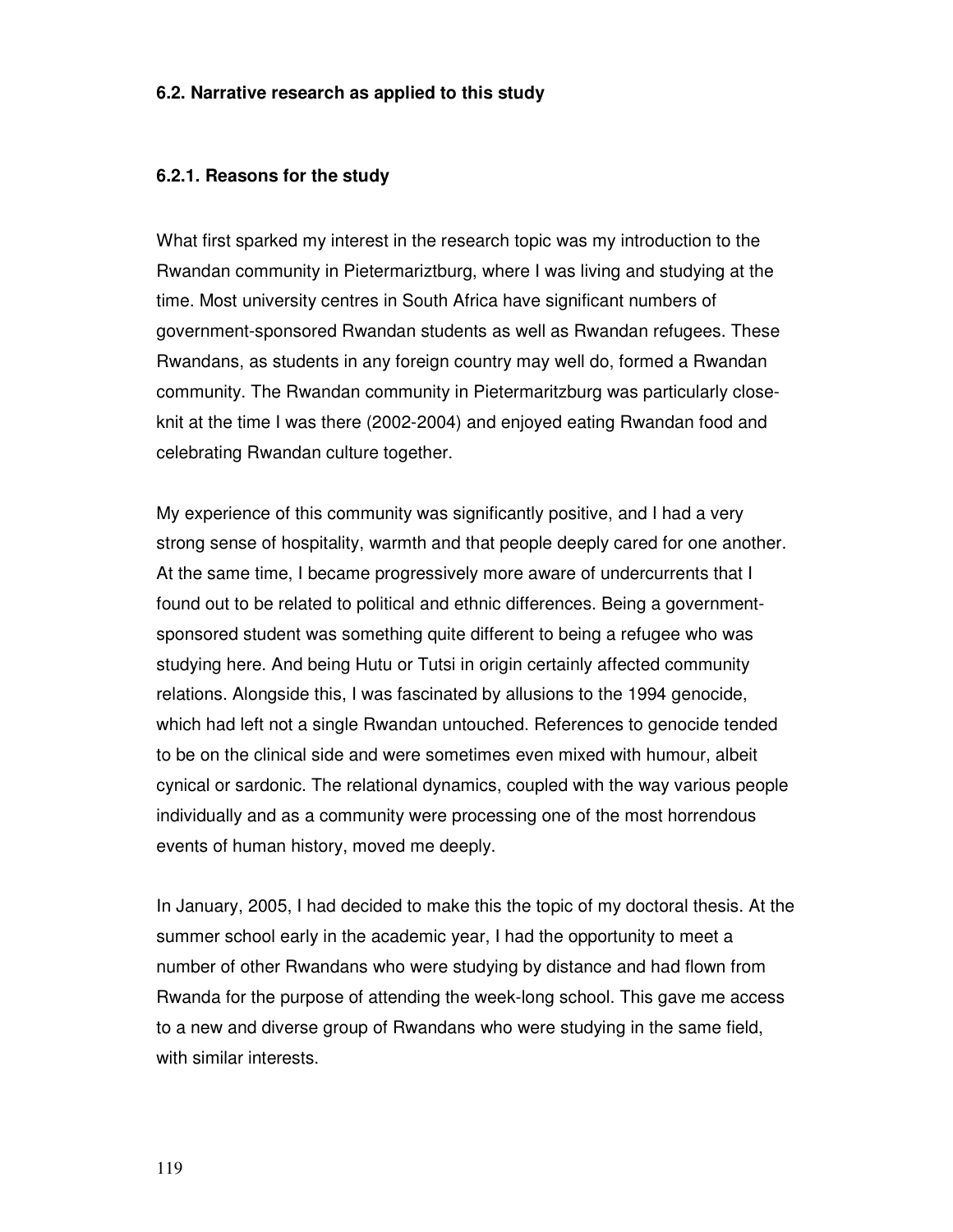#### **6.2. Narrative research as applied to this study**

#### **6.2.1. Reasons for the study**

What first sparked my interest in the research topic was my introduction to the Rwandan community in Pietermariztburg, where I was living and studying at the time. Most university centres in South Africa have significant numbers of government-sponsored Rwandan students as well as Rwandan refugees. These Rwandans, as students in any foreign country may well do, formed a Rwandan community. The Rwandan community in Pietermaritzburg was particularly closeknit at the time I was there (2002-2004) and enjoyed eating Rwandan food and celebrating Rwandan culture together.

My experience of this community was significantly positive, and I had a very strong sense of hospitality, warmth and that people deeply cared for one another. At the same time, I became progressively more aware of undercurrents that I found out to be related to political and ethnic differences. Being a governmentsponsored student was something quite different to being a refugee who was studying here. And being Hutu or Tutsi in origin certainly affected community relations. Alongside this, I was fascinated by allusions to the 1994 genocide, which had left not a single Rwandan untouched. References to genocide tended to be on the clinical side and were sometimes even mixed with humour, albeit cynical or sardonic. The relational dynamics, coupled with the way various people individually and as a community were processing one of the most horrendous events of human history, moved me deeply.

In January, 2005, I had decided to make this the topic of my doctoral thesis. At the summer school early in the academic year, I had the opportunity to meet a number of other Rwandans who were studying by distance and had flown from Rwanda for the purpose of attending the week-long school. This gave me access to a new and diverse group of Rwandans who were studying in the same field, with similar interests.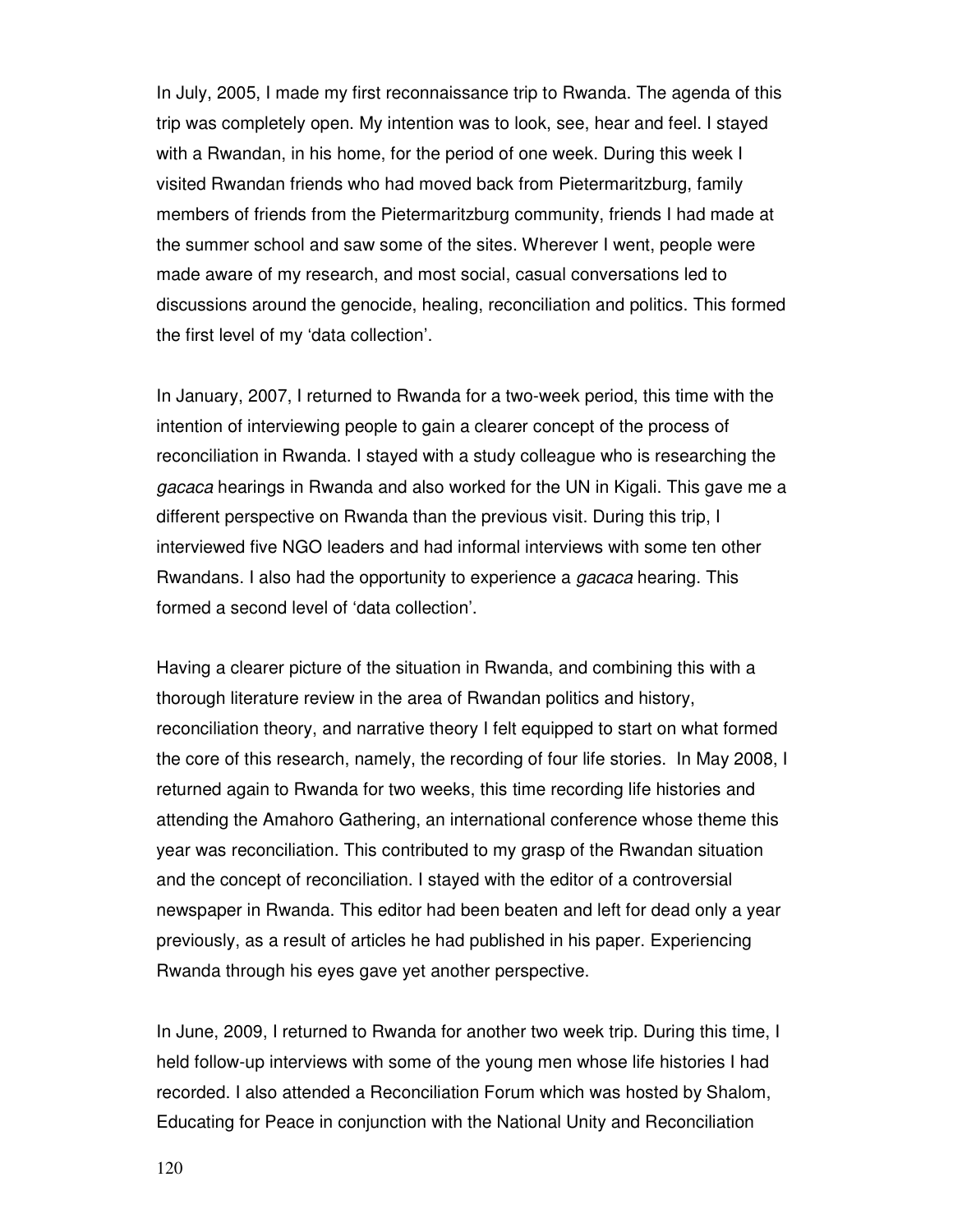In July, 2005, I made my first reconnaissance trip to Rwanda. The agenda of this trip was completely open. My intention was to look, see, hear and feel. I stayed with a Rwandan, in his home, for the period of one week. During this week I visited Rwandan friends who had moved back from Pietermaritzburg, family members of friends from the Pietermaritzburg community, friends I had made at the summer school and saw some of the sites. Wherever I went, people were made aware of my research, and most social, casual conversations led to discussions around the genocide, healing, reconciliation and politics. This formed the first level of my 'data collection'.

In January, 2007, I returned to Rwanda for a two-week period, this time with the intention of interviewing people to gain a clearer concept of the process of reconciliation in Rwanda. I stayed with a study colleague who is researching the gacaca hearings in Rwanda and also worked for the UN in Kigali. This gave me a different perspective on Rwanda than the previous visit. During this trip, I interviewed five NGO leaders and had informal interviews with some ten other Rwandans. I also had the opportunity to experience a gacaca hearing. This formed a second level of 'data collection'.

Having a clearer picture of the situation in Rwanda, and combining this with a thorough literature review in the area of Rwandan politics and history, reconciliation theory, and narrative theory I felt equipped to start on what formed the core of this research, namely, the recording of four life stories. In May 2008, I returned again to Rwanda for two weeks, this time recording life histories and attending the Amahoro Gathering, an international conference whose theme this year was reconciliation. This contributed to my grasp of the Rwandan situation and the concept of reconciliation. I stayed with the editor of a controversial newspaper in Rwanda. This editor had been beaten and left for dead only a year previously, as a result of articles he had published in his paper. Experiencing Rwanda through his eyes gave yet another perspective.

In June, 2009, I returned to Rwanda for another two week trip. During this time, I held follow-up interviews with some of the young men whose life histories I had recorded. I also attended a Reconciliation Forum which was hosted by Shalom, Educating for Peace in conjunction with the National Unity and Reconciliation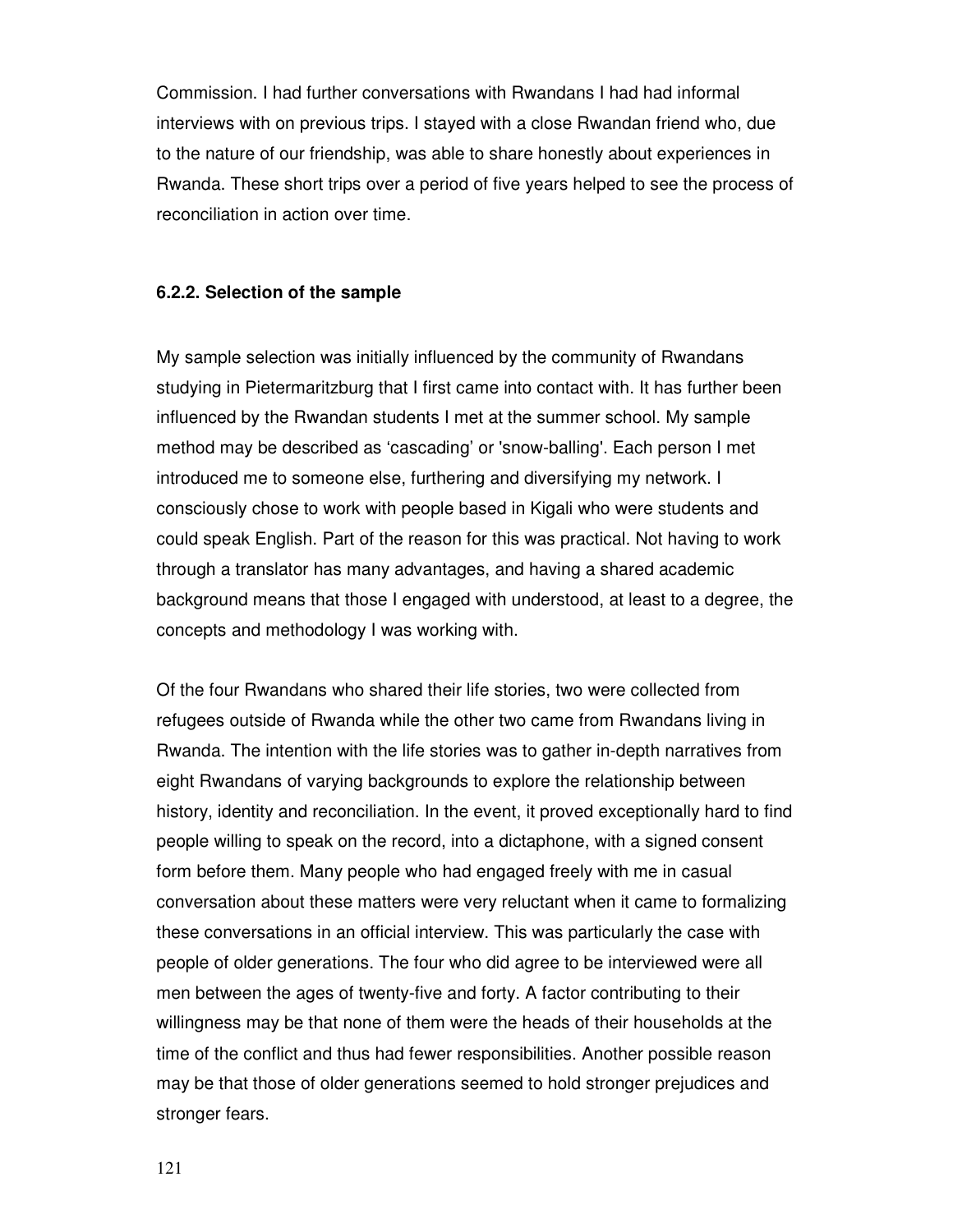Commission. I had further conversations with Rwandans I had had informal interviews with on previous trips. I stayed with a close Rwandan friend who, due to the nature of our friendship, was able to share honestly about experiences in Rwanda. These short trips over a period of five years helped to see the process of reconciliation in action over time.

#### **6.2.2. Selection of the sample**

My sample selection was initially influenced by the community of Rwandans studying in Pietermaritzburg that I first came into contact with. It has further been influenced by the Rwandan students I met at the summer school. My sample method may be described as 'cascading' or 'snow-balling'. Each person I met introduced me to someone else, furthering and diversifying my network. I consciously chose to work with people based in Kigali who were students and could speak English. Part of the reason for this was practical. Not having to work through a translator has many advantages, and having a shared academic background means that those I engaged with understood, at least to a degree, the concepts and methodology I was working with.

Of the four Rwandans who shared their life stories, two were collected from refugees outside of Rwanda while the other two came from Rwandans living in Rwanda. The intention with the life stories was to gather in-depth narratives from eight Rwandans of varying backgrounds to explore the relationship between history, identity and reconciliation. In the event, it proved exceptionally hard to find people willing to speak on the record, into a dictaphone, with a signed consent form before them. Many people who had engaged freely with me in casual conversation about these matters were very reluctant when it came to formalizing these conversations in an official interview. This was particularly the case with people of older generations. The four who did agree to be interviewed were all men between the ages of twenty-five and forty. A factor contributing to their willingness may be that none of them were the heads of their households at the time of the conflict and thus had fewer responsibilities. Another possible reason may be that those of older generations seemed to hold stronger prejudices and stronger fears.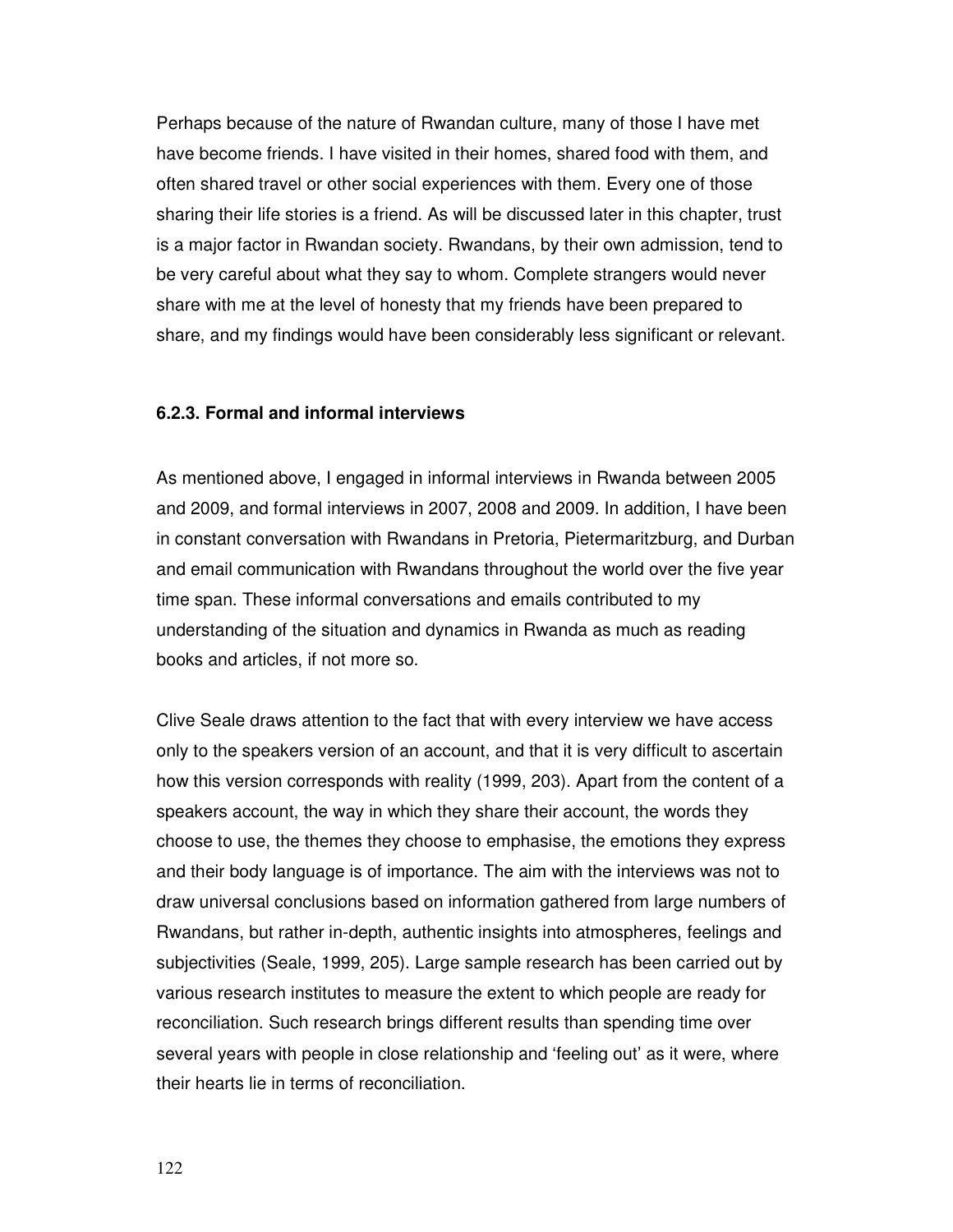Perhaps because of the nature of Rwandan culture, many of those I have met have become friends. I have visited in their homes, shared food with them, and often shared travel or other social experiences with them. Every one of those sharing their life stories is a friend. As will be discussed later in this chapter, trust is a major factor in Rwandan society. Rwandans, by their own admission, tend to be very careful about what they say to whom. Complete strangers would never share with me at the level of honesty that my friends have been prepared to share, and my findings would have been considerably less significant or relevant.

# **6.2.3. Formal and informal interviews**

As mentioned above, I engaged in informal interviews in Rwanda between 2005 and 2009, and formal interviews in 2007, 2008 and 2009. In addition, I have been in constant conversation with Rwandans in Pretoria, Pietermaritzburg, and Durban and email communication with Rwandans throughout the world over the five year time span. These informal conversations and emails contributed to my understanding of the situation and dynamics in Rwanda as much as reading books and articles, if not more so.

Clive Seale draws attention to the fact that with every interview we have access only to the speakers version of an account, and that it is very difficult to ascertain how this version corresponds with reality (1999, 203). Apart from the content of a speakers account, the way in which they share their account, the words they choose to use, the themes they choose to emphasise, the emotions they express and their body language is of importance. The aim with the interviews was not to draw universal conclusions based on information gathered from large numbers of Rwandans, but rather in-depth, authentic insights into atmospheres, feelings and subjectivities (Seale, 1999, 205). Large sample research has been carried out by various research institutes to measure the extent to which people are ready for reconciliation. Such research brings different results than spending time over several years with people in close relationship and 'feeling out' as it were, where their hearts lie in terms of reconciliation.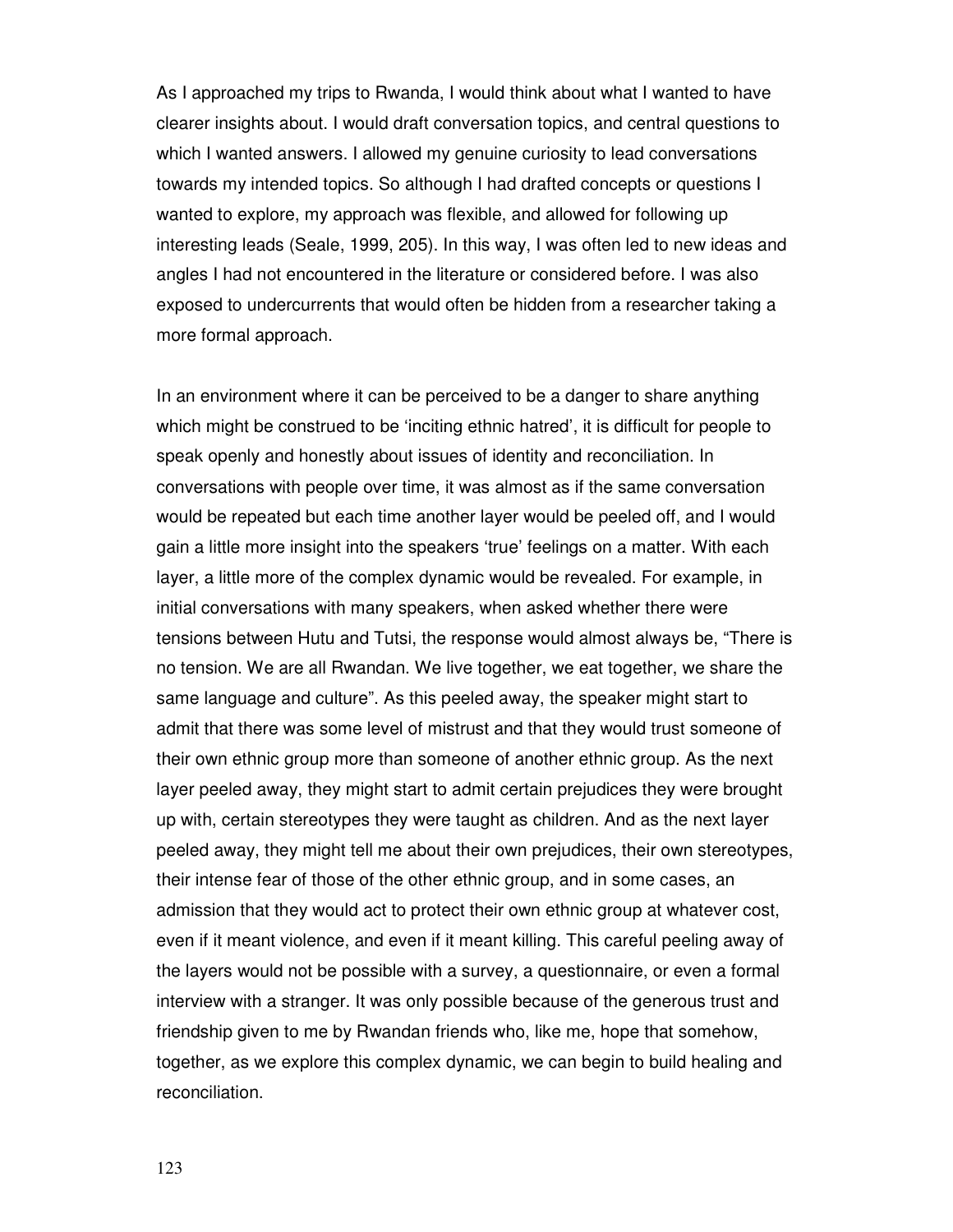As I approached my trips to Rwanda, I would think about what I wanted to have clearer insights about. I would draft conversation topics, and central questions to which I wanted answers. I allowed my genuine curiosity to lead conversations towards my intended topics. So although I had drafted concepts or questions I wanted to explore, my approach was flexible, and allowed for following up interesting leads (Seale, 1999, 205). In this way, I was often led to new ideas and angles I had not encountered in the literature or considered before. I was also exposed to undercurrents that would often be hidden from a researcher taking a more formal approach.

In an environment where it can be perceived to be a danger to share anything which might be construed to be 'inciting ethnic hatred', it is difficult for people to speak openly and honestly about issues of identity and reconciliation. In conversations with people over time, it was almost as if the same conversation would be repeated but each time another layer would be peeled off, and I would gain a little more insight into the speakers 'true' feelings on a matter. With each layer, a little more of the complex dynamic would be revealed. For example, in initial conversations with many speakers, when asked whether there were tensions between Hutu and Tutsi, the response would almost always be, "There is no tension. We are all Rwandan. We live together, we eat together, we share the same language and culture". As this peeled away, the speaker might start to admit that there was some level of mistrust and that they would trust someone of their own ethnic group more than someone of another ethnic group. As the next layer peeled away, they might start to admit certain prejudices they were brought up with, certain stereotypes they were taught as children. And as the next layer peeled away, they might tell me about their own prejudices, their own stereotypes, their intense fear of those of the other ethnic group, and in some cases, an admission that they would act to protect their own ethnic group at whatever cost, even if it meant violence, and even if it meant killing. This careful peeling away of the layers would not be possible with a survey, a questionnaire, or even a formal interview with a stranger. It was only possible because of the generous trust and friendship given to me by Rwandan friends who, like me, hope that somehow, together, as we explore this complex dynamic, we can begin to build healing and reconciliation.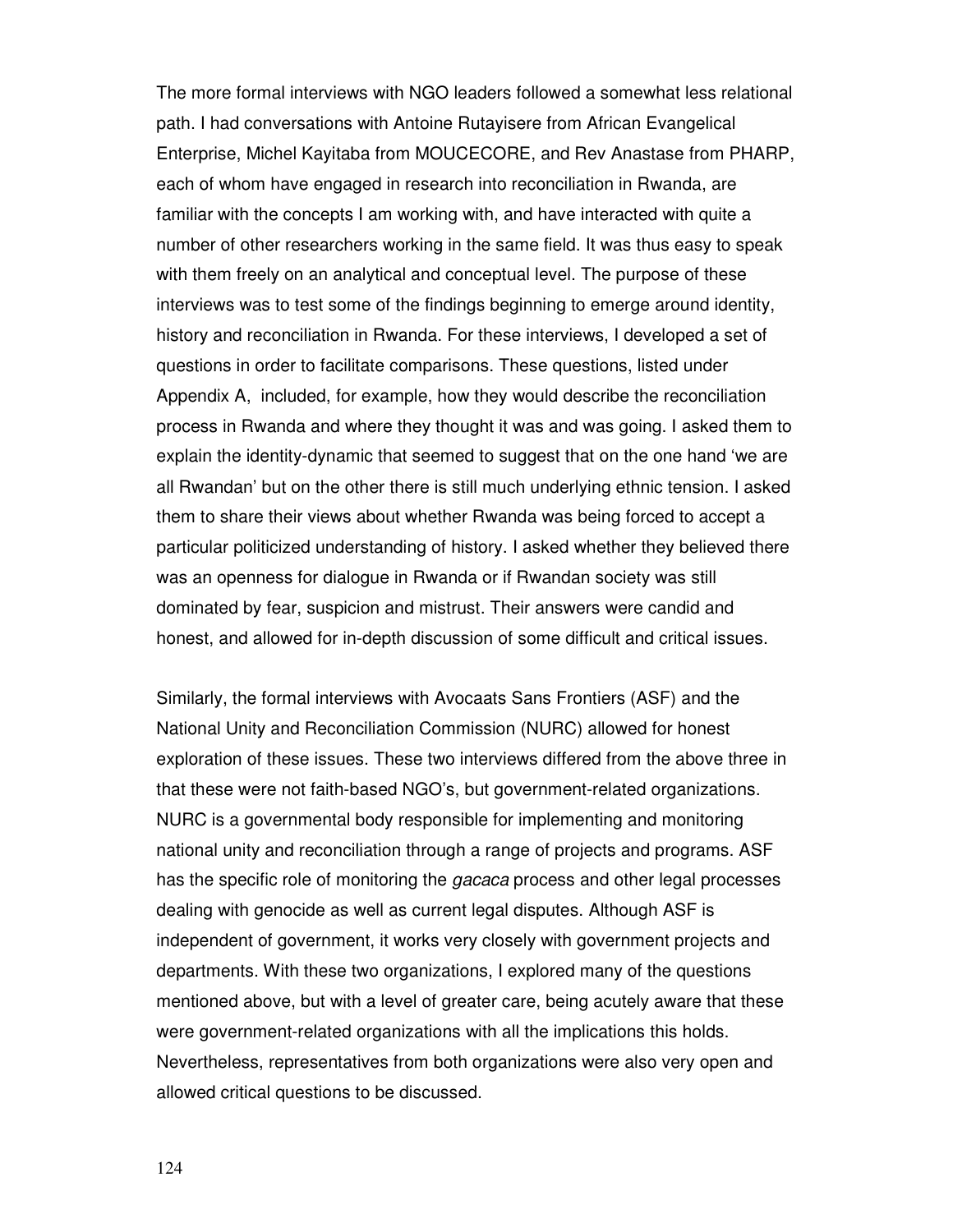The more formal interviews with NGO leaders followed a somewhat less relational path. I had conversations with Antoine Rutayisere from African Evangelical Enterprise, Michel Kayitaba from MOUCECORE, and Rev Anastase from PHARP, each of whom have engaged in research into reconciliation in Rwanda, are familiar with the concepts I am working with, and have interacted with quite a number of other researchers working in the same field. It was thus easy to speak with them freely on an analytical and conceptual level. The purpose of these interviews was to test some of the findings beginning to emerge around identity, history and reconciliation in Rwanda. For these interviews, I developed a set of questions in order to facilitate comparisons. These questions, listed under Appendix A, included, for example, how they would describe the reconciliation process in Rwanda and where they thought it was and was going. I asked them to explain the identity-dynamic that seemed to suggest that on the one hand 'we are all Rwandan' but on the other there is still much underlying ethnic tension. I asked them to share their views about whether Rwanda was being forced to accept a particular politicized understanding of history. I asked whether they believed there was an openness for dialogue in Rwanda or if Rwandan society was still dominated by fear, suspicion and mistrust. Their answers were candid and honest, and allowed for in-depth discussion of some difficult and critical issues.

Similarly, the formal interviews with Avocaats Sans Frontiers (ASF) and the National Unity and Reconciliation Commission (NURC) allowed for honest exploration of these issues. These two interviews differed from the above three in that these were not faith-based NGO's, but government-related organizations. NURC is a governmental body responsible for implementing and monitoring national unity and reconciliation through a range of projects and programs. ASF has the specific role of monitoring the *gacaca* process and other legal processes dealing with genocide as well as current legal disputes. Although ASF is independent of government, it works very closely with government projects and departments. With these two organizations, I explored many of the questions mentioned above, but with a level of greater care, being acutely aware that these were government-related organizations with all the implications this holds. Nevertheless, representatives from both organizations were also very open and allowed critical questions to be discussed.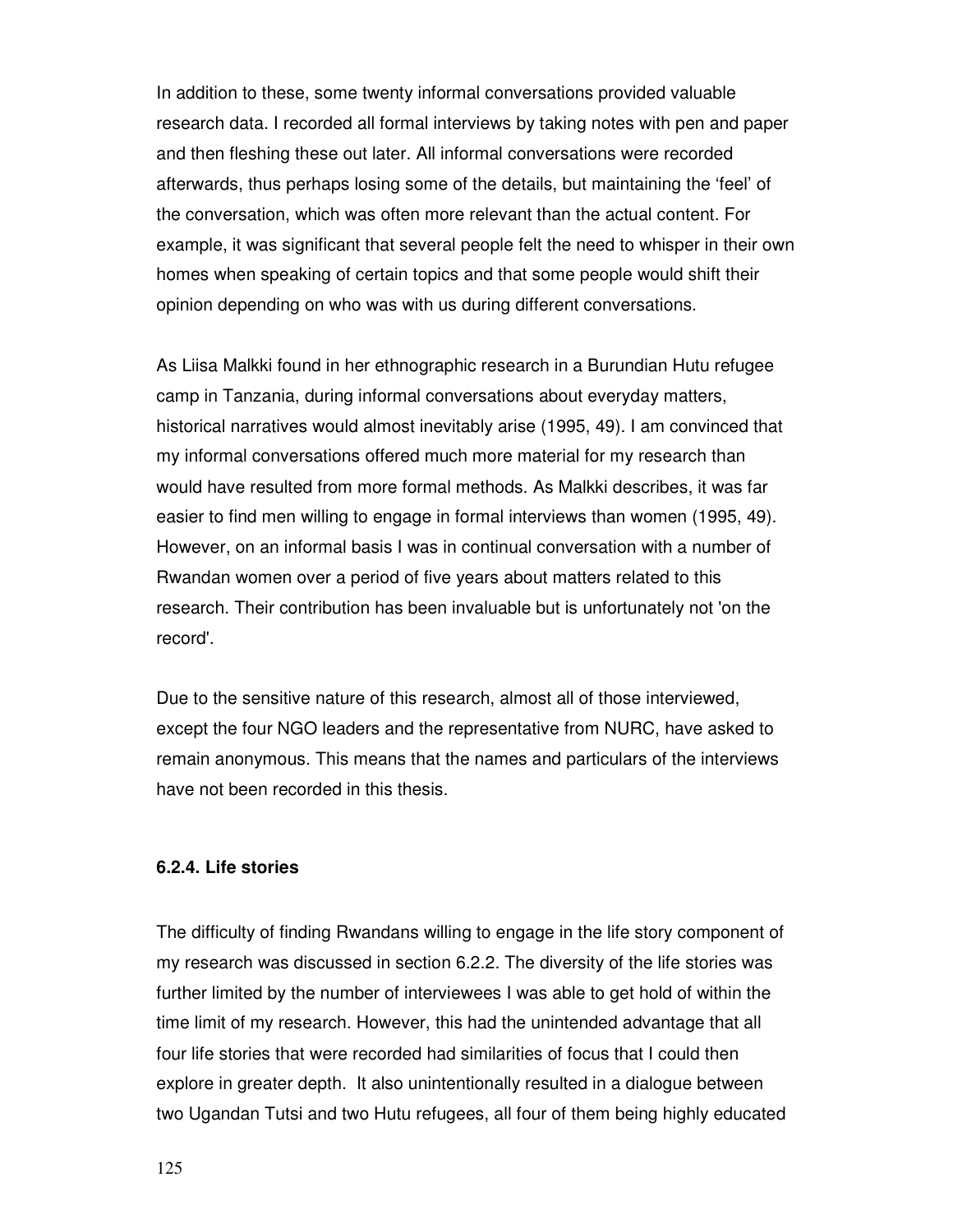In addition to these, some twenty informal conversations provided valuable research data. I recorded all formal interviews by taking notes with pen and paper and then fleshing these out later. All informal conversations were recorded afterwards, thus perhaps losing some of the details, but maintaining the 'feel' of the conversation, which was often more relevant than the actual content. For example, it was significant that several people felt the need to whisper in their own homes when speaking of certain topics and that some people would shift their opinion depending on who was with us during different conversations.

As Liisa Malkki found in her ethnographic research in a Burundian Hutu refugee camp in Tanzania, during informal conversations about everyday matters, historical narratives would almost inevitably arise (1995, 49). I am convinced that my informal conversations offered much more material for my research than would have resulted from more formal methods. As Malkki describes, it was far easier to find men willing to engage in formal interviews than women (1995, 49). However, on an informal basis I was in continual conversation with a number of Rwandan women over a period of five years about matters related to this research. Their contribution has been invaluable but is unfortunately not 'on the record'.

Due to the sensitive nature of this research, almost all of those interviewed, except the four NGO leaders and the representative from NURC, have asked to remain anonymous. This means that the names and particulars of the interviews have not been recorded in this thesis.

# **6.2.4. Life stories**

The difficulty of finding Rwandans willing to engage in the life story component of my research was discussed in section 6.2.2. The diversity of the life stories was further limited by the number of interviewees I was able to get hold of within the time limit of my research. However, this had the unintended advantage that all four life stories that were recorded had similarities of focus that I could then explore in greater depth. It also unintentionally resulted in a dialogue between two Ugandan Tutsi and two Hutu refugees, all four of them being highly educated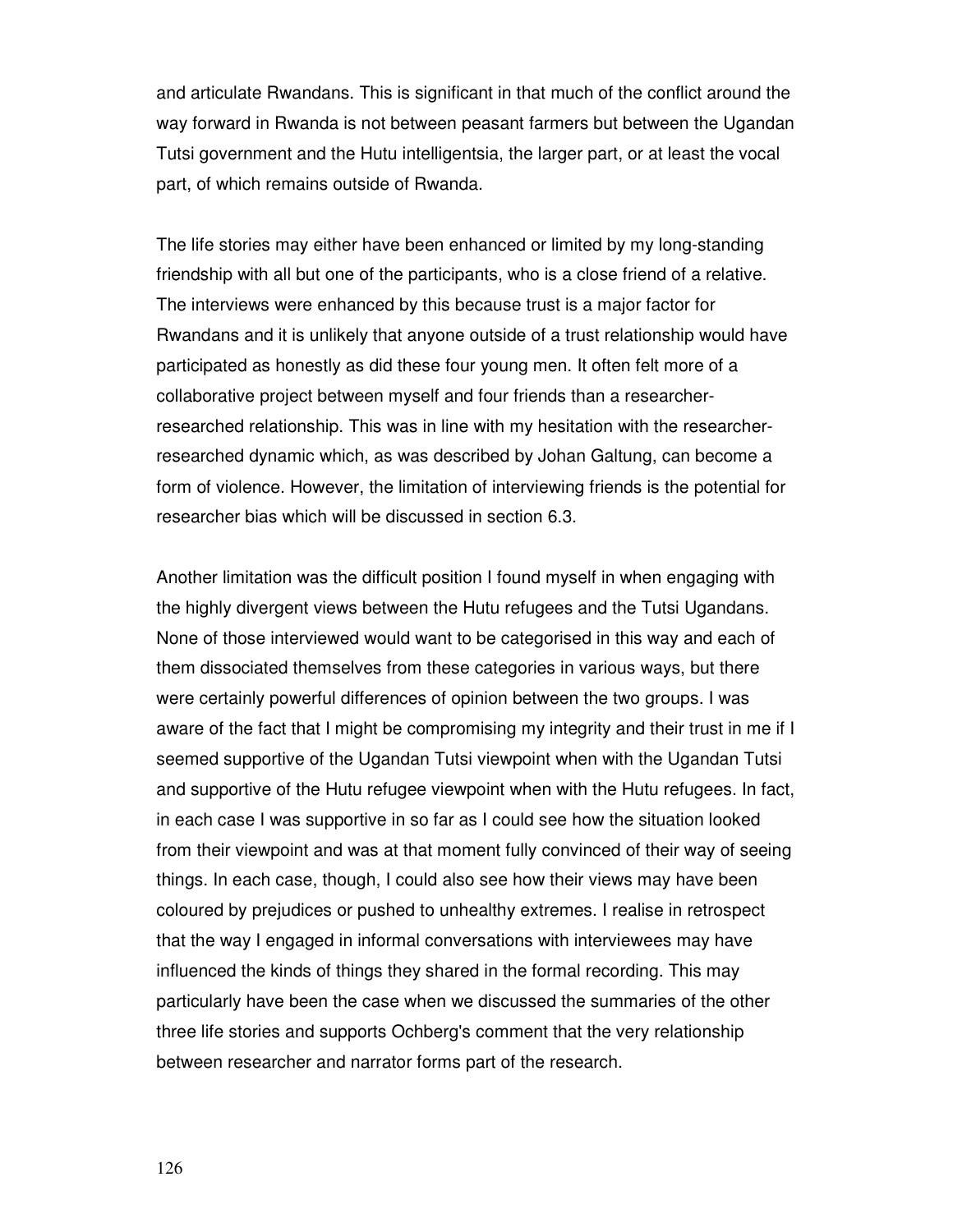and articulate Rwandans. This is significant in that much of the conflict around the way forward in Rwanda is not between peasant farmers but between the Ugandan Tutsi government and the Hutu intelligentsia, the larger part, or at least the vocal part, of which remains outside of Rwanda.

The life stories may either have been enhanced or limited by my long-standing friendship with all but one of the participants, who is a close friend of a relative. The interviews were enhanced by this because trust is a major factor for Rwandans and it is unlikely that anyone outside of a trust relationship would have participated as honestly as did these four young men. It often felt more of a collaborative project between myself and four friends than a researcherresearched relationship. This was in line with my hesitation with the researcherresearched dynamic which, as was described by Johan Galtung, can become a form of violence. However, the limitation of interviewing friends is the potential for researcher bias which will be discussed in section 6.3.

Another limitation was the difficult position I found myself in when engaging with the highly divergent views between the Hutu refugees and the Tutsi Ugandans. None of those interviewed would want to be categorised in this way and each of them dissociated themselves from these categories in various ways, but there were certainly powerful differences of opinion between the two groups. I was aware of the fact that I might be compromising my integrity and their trust in me if I seemed supportive of the Ugandan Tutsi viewpoint when with the Ugandan Tutsi and supportive of the Hutu refugee viewpoint when with the Hutu refugees. In fact, in each case I was supportive in so far as I could see how the situation looked from their viewpoint and was at that moment fully convinced of their way of seeing things. In each case, though, I could also see how their views may have been coloured by prejudices or pushed to unhealthy extremes. I realise in retrospect that the way I engaged in informal conversations with interviewees may have influenced the kinds of things they shared in the formal recording. This may particularly have been the case when we discussed the summaries of the other three life stories and supports Ochberg's comment that the very relationship between researcher and narrator forms part of the research.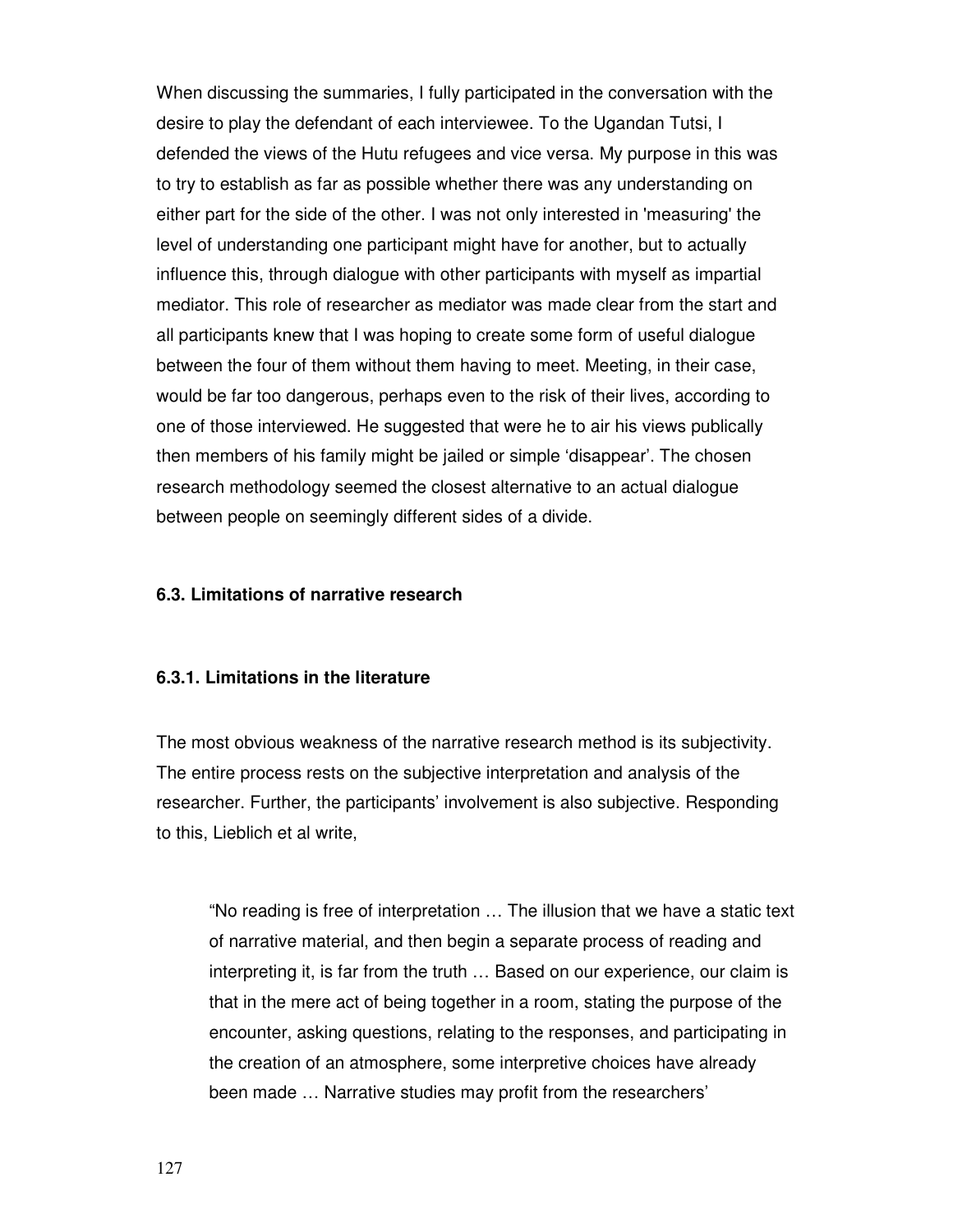When discussing the summaries, I fully participated in the conversation with the desire to play the defendant of each interviewee. To the Ugandan Tutsi, I defended the views of the Hutu refugees and vice versa. My purpose in this was to try to establish as far as possible whether there was any understanding on either part for the side of the other. I was not only interested in 'measuring' the level of understanding one participant might have for another, but to actually influence this, through dialogue with other participants with myself as impartial mediator. This role of researcher as mediator was made clear from the start and all participants knew that I was hoping to create some form of useful dialogue between the four of them without them having to meet. Meeting, in their case, would be far too dangerous, perhaps even to the risk of their lives, according to one of those interviewed. He suggested that were he to air his views publically then members of his family might be jailed or simple 'disappear'. The chosen research methodology seemed the closest alternative to an actual dialogue between people on seemingly different sides of a divide.

#### **6.3. Limitations of narrative research**

#### **6.3.1. Limitations in the literature**

The most obvious weakness of the narrative research method is its subjectivity. The entire process rests on the subjective interpretation and analysis of the researcher. Further, the participants' involvement is also subjective. Responding to this, Lieblich et al write,

"No reading is free of interpretation … The illusion that we have a static text of narrative material, and then begin a separate process of reading and interpreting it, is far from the truth … Based on our experience, our claim is that in the mere act of being together in a room, stating the purpose of the encounter, asking questions, relating to the responses, and participating in the creation of an atmosphere, some interpretive choices have already been made … Narrative studies may profit from the researchers'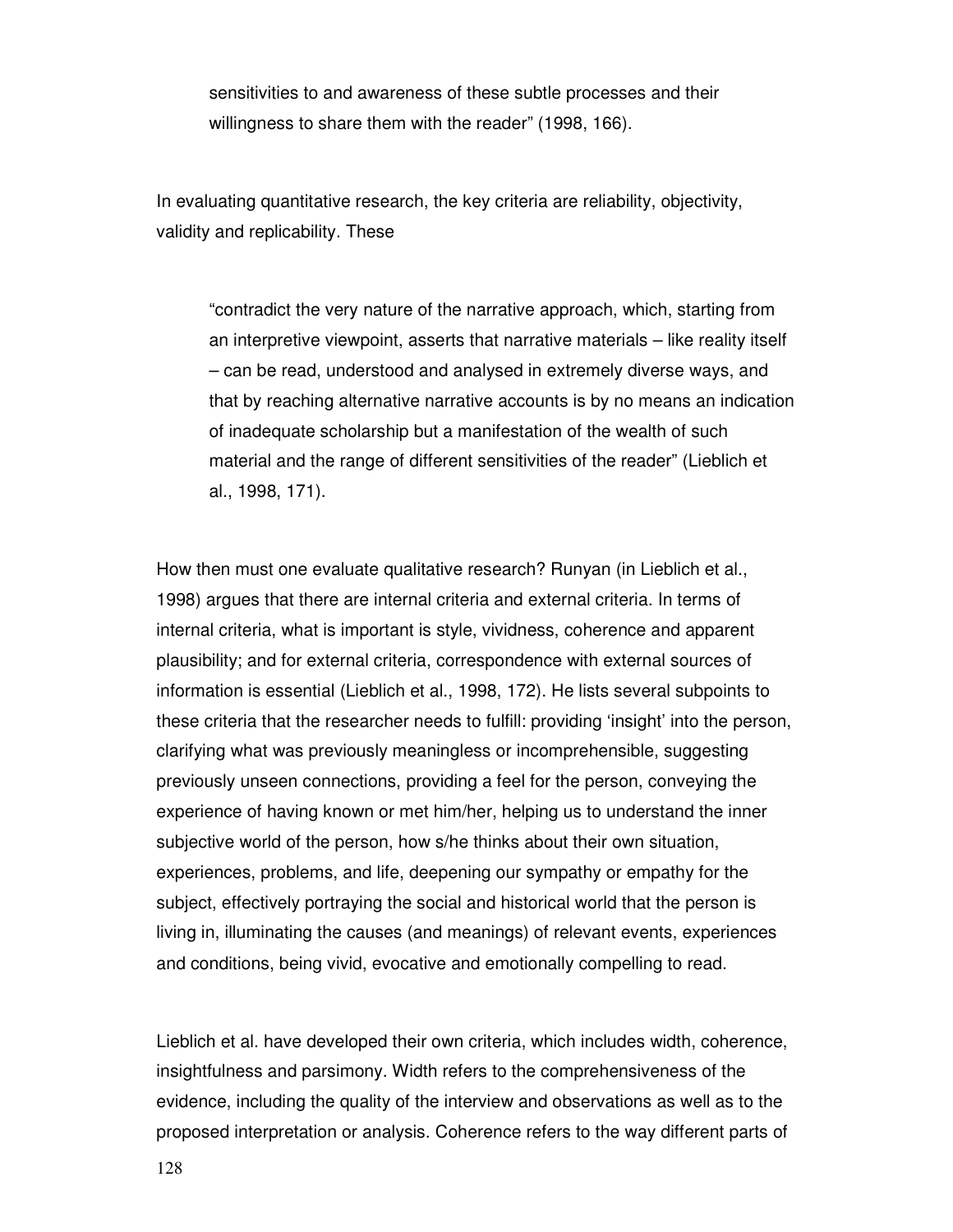sensitivities to and awareness of these subtle processes and their willingness to share them with the reader" (1998, 166).

In evaluating quantitative research, the key criteria are reliability, objectivity, validity and replicability. These

"contradict the very nature of the narrative approach, which, starting from an interpretive viewpoint, asserts that narrative materials – like reality itself – can be read, understood and analysed in extremely diverse ways, and that by reaching alternative narrative accounts is by no means an indication of inadequate scholarship but a manifestation of the wealth of such material and the range of different sensitivities of the reader" (Lieblich et al., 1998, 171).

How then must one evaluate qualitative research? Runyan (in Lieblich et al., 1998) argues that there are internal criteria and external criteria. In terms of internal criteria, what is important is style, vividness, coherence and apparent plausibility; and for external criteria, correspondence with external sources of information is essential (Lieblich et al., 1998, 172). He lists several subpoints to these criteria that the researcher needs to fulfill: providing 'insight' into the person, clarifying what was previously meaningless or incomprehensible, suggesting previously unseen connections, providing a feel for the person, conveying the experience of having known or met him/her, helping us to understand the inner subjective world of the person, how s/he thinks about their own situation, experiences, problems, and life, deepening our sympathy or empathy for the subject, effectively portraying the social and historical world that the person is living in, illuminating the causes (and meanings) of relevant events, experiences and conditions, being vivid, evocative and emotionally compelling to read.

Lieblich et al. have developed their own criteria, which includes width, coherence, insightfulness and parsimony. Width refers to the comprehensiveness of the evidence, including the quality of the interview and observations as well as to the proposed interpretation or analysis. Coherence refers to the way different parts of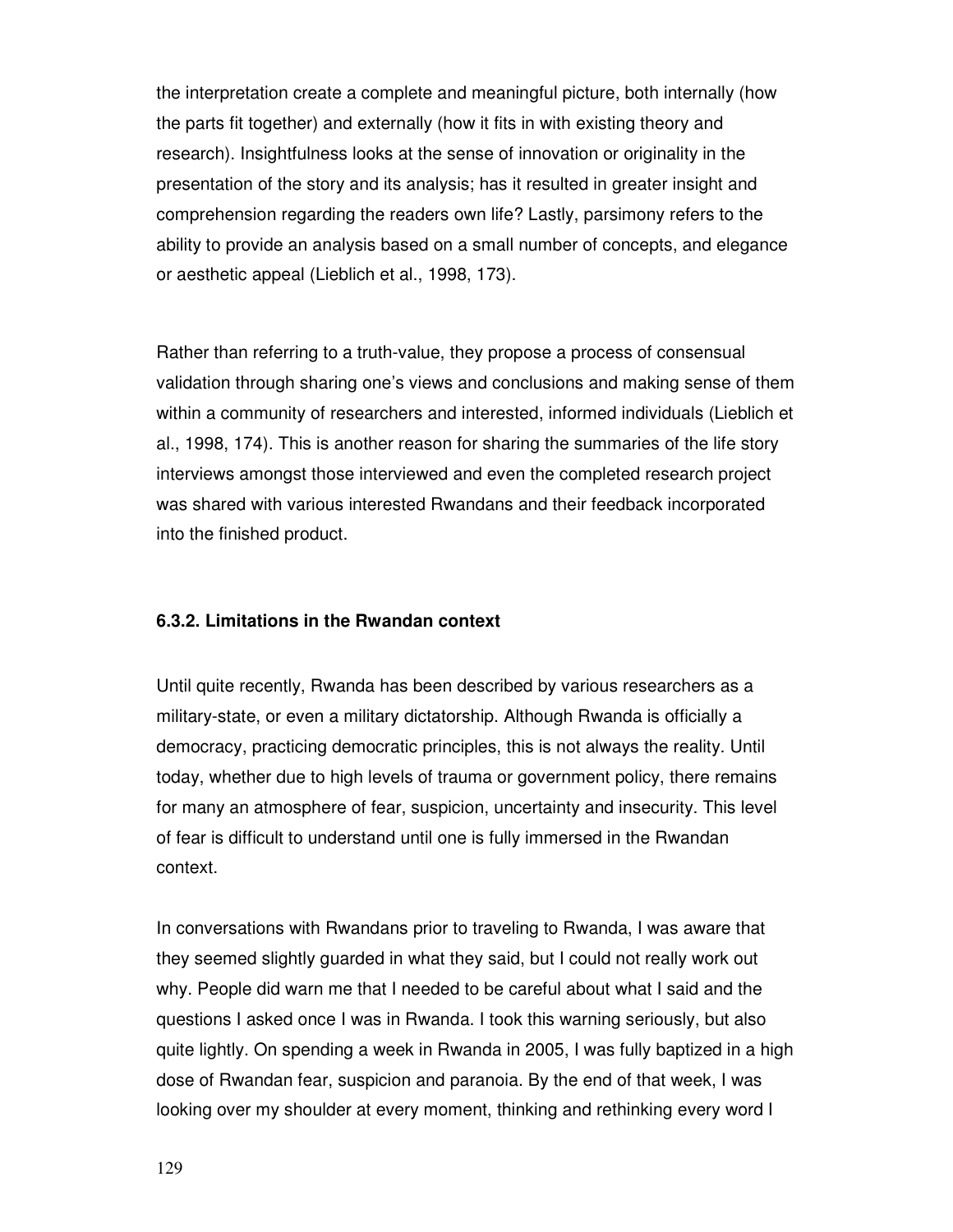the interpretation create a complete and meaningful picture, both internally (how the parts fit together) and externally (how it fits in with existing theory and research). Insightfulness looks at the sense of innovation or originality in the presentation of the story and its analysis; has it resulted in greater insight and comprehension regarding the readers own life? Lastly, parsimony refers to the ability to provide an analysis based on a small number of concepts, and elegance or aesthetic appeal (Lieblich et al., 1998, 173).

Rather than referring to a truth-value, they propose a process of consensual validation through sharing one's views and conclusions and making sense of them within a community of researchers and interested, informed individuals (Lieblich et al., 1998, 174). This is another reason for sharing the summaries of the life story interviews amongst those interviewed and even the completed research project was shared with various interested Rwandans and their feedback incorporated into the finished product.

# **6.3.2. Limitations in the Rwandan context**

Until quite recently, Rwanda has been described by various researchers as a military-state, or even a military dictatorship. Although Rwanda is officially a democracy, practicing democratic principles, this is not always the reality. Until today, whether due to high levels of trauma or government policy, there remains for many an atmosphere of fear, suspicion, uncertainty and insecurity. This level of fear is difficult to understand until one is fully immersed in the Rwandan context.

In conversations with Rwandans prior to traveling to Rwanda, I was aware that they seemed slightly guarded in what they said, but I could not really work out why. People did warn me that I needed to be careful about what I said and the questions I asked once I was in Rwanda. I took this warning seriously, but also quite lightly. On spending a week in Rwanda in 2005, I was fully baptized in a high dose of Rwandan fear, suspicion and paranoia. By the end of that week, I was looking over my shoulder at every moment, thinking and rethinking every word I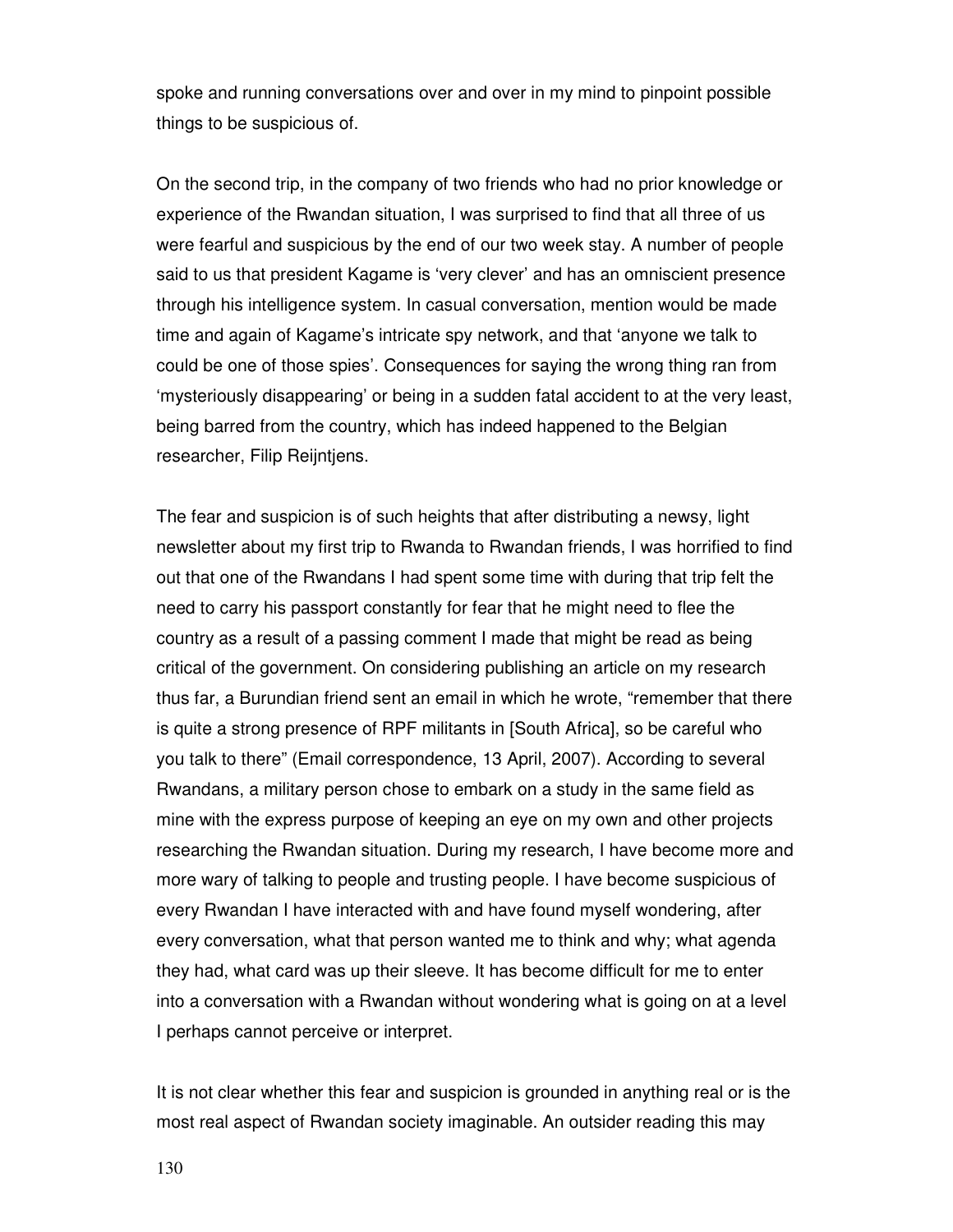spoke and running conversations over and over in my mind to pinpoint possible things to be suspicious of.

On the second trip, in the company of two friends who had no prior knowledge or experience of the Rwandan situation, I was surprised to find that all three of us were fearful and suspicious by the end of our two week stay. A number of people said to us that president Kagame is 'very clever' and has an omniscient presence through his intelligence system. In casual conversation, mention would be made time and again of Kagame's intricate spy network, and that 'anyone we talk to could be one of those spies'. Consequences for saying the wrong thing ran from 'mysteriously disappearing' or being in a sudden fatal accident to at the very least, being barred from the country, which has indeed happened to the Belgian researcher, Filip Reijntjens.

The fear and suspicion is of such heights that after distributing a newsy, light newsletter about my first trip to Rwanda to Rwandan friends, I was horrified to find out that one of the Rwandans I had spent some time with during that trip felt the need to carry his passport constantly for fear that he might need to flee the country as a result of a passing comment I made that might be read as being critical of the government. On considering publishing an article on my research thus far, a Burundian friend sent an email in which he wrote, "remember that there is quite a strong presence of RPF militants in [South Africa], so be careful who you talk to there" (Email correspondence, 13 April, 2007). According to several Rwandans, a military person chose to embark on a study in the same field as mine with the express purpose of keeping an eye on my own and other projects researching the Rwandan situation. During my research, I have become more and more wary of talking to people and trusting people. I have become suspicious of every Rwandan I have interacted with and have found myself wondering, after every conversation, what that person wanted me to think and why; what agenda they had, what card was up their sleeve. It has become difficult for me to enter into a conversation with a Rwandan without wondering what is going on at a level I perhaps cannot perceive or interpret.

It is not clear whether this fear and suspicion is grounded in anything real or is the most real aspect of Rwandan society imaginable. An outsider reading this may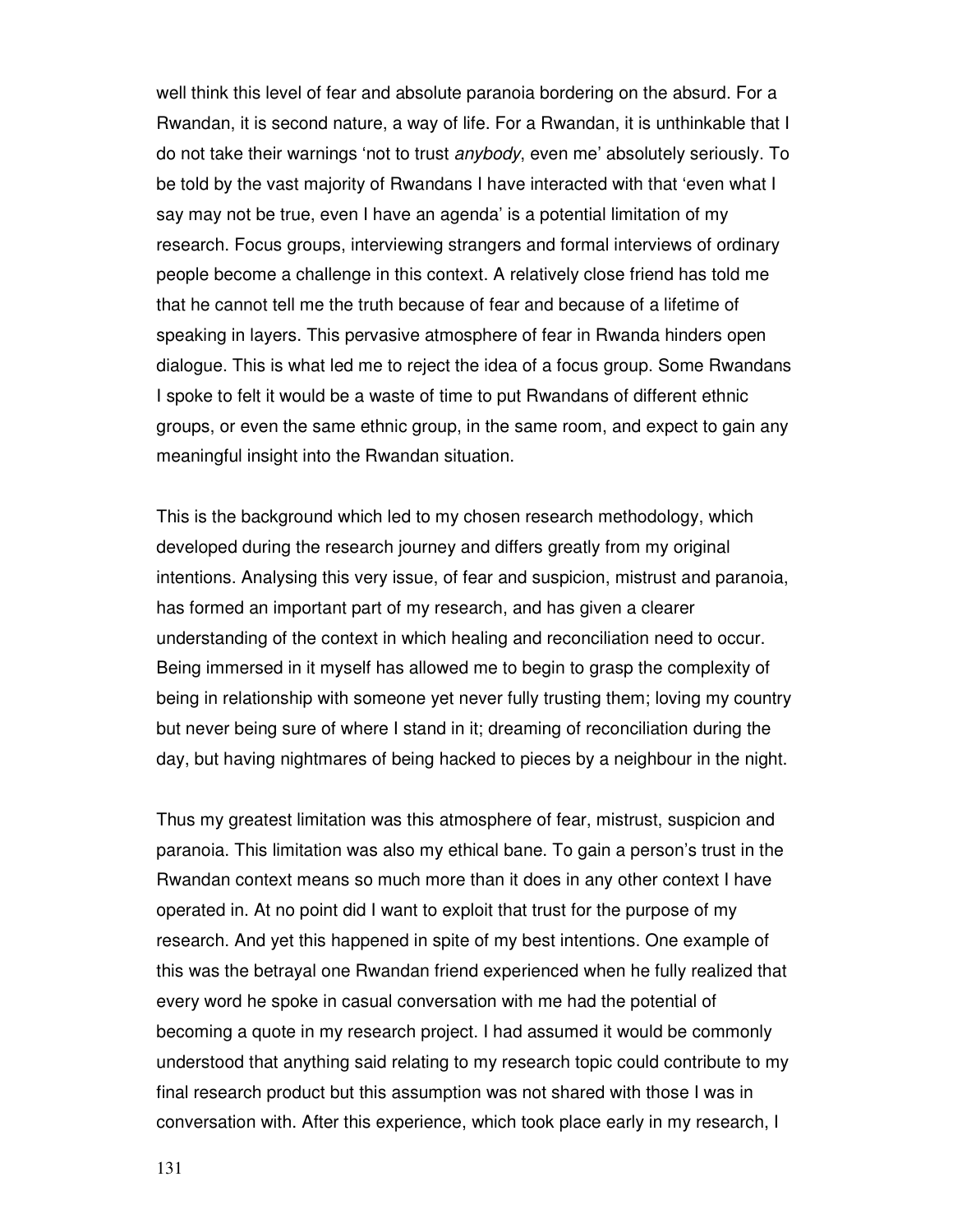well think this level of fear and absolute paranoia bordering on the absurd. For a Rwandan, it is second nature, a way of life. For a Rwandan, it is unthinkable that I do not take their warnings 'not to trust anybody, even me' absolutely seriously. To be told by the vast majority of Rwandans I have interacted with that 'even what I say may not be true, even I have an agenda' is a potential limitation of my research. Focus groups, interviewing strangers and formal interviews of ordinary people become a challenge in this context. A relatively close friend has told me that he cannot tell me the truth because of fear and because of a lifetime of speaking in layers. This pervasive atmosphere of fear in Rwanda hinders open dialogue. This is what led me to reject the idea of a focus group. Some Rwandans I spoke to felt it would be a waste of time to put Rwandans of different ethnic groups, or even the same ethnic group, in the same room, and expect to gain any meaningful insight into the Rwandan situation.

This is the background which led to my chosen research methodology, which developed during the research journey and differs greatly from my original intentions. Analysing this very issue, of fear and suspicion, mistrust and paranoia, has formed an important part of my research, and has given a clearer understanding of the context in which healing and reconciliation need to occur. Being immersed in it myself has allowed me to begin to grasp the complexity of being in relationship with someone yet never fully trusting them; loving my country but never being sure of where I stand in it; dreaming of reconciliation during the day, but having nightmares of being hacked to pieces by a neighbour in the night.

Thus my greatest limitation was this atmosphere of fear, mistrust, suspicion and paranoia. This limitation was also my ethical bane. To gain a person's trust in the Rwandan context means so much more than it does in any other context I have operated in. At no point did I want to exploit that trust for the purpose of my research. And yet this happened in spite of my best intentions. One example of this was the betrayal one Rwandan friend experienced when he fully realized that every word he spoke in casual conversation with me had the potential of becoming a quote in my research project. I had assumed it would be commonly understood that anything said relating to my research topic could contribute to my final research product but this assumption was not shared with those I was in conversation with. After this experience, which took place early in my research, I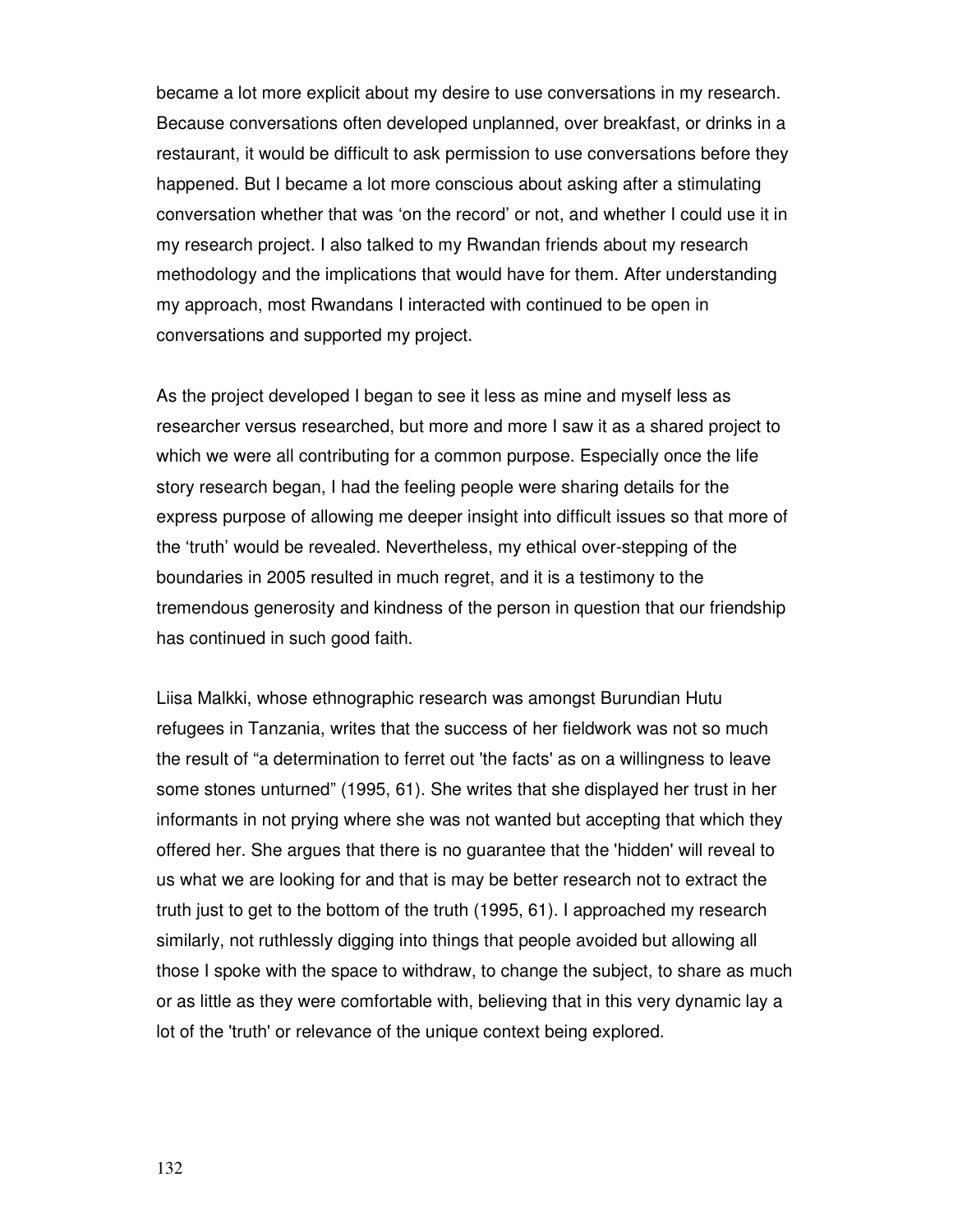became a lot more explicit about my desire to use conversations in my research. Because conversations often developed unplanned, over breakfast, or drinks in a restaurant, it would be difficult to ask permission to use conversations before they happened. But I became a lot more conscious about asking after a stimulating conversation whether that was 'on the record' or not, and whether I could use it in my research project. I also talked to my Rwandan friends about my research methodology and the implications that would have for them. After understanding my approach, most Rwandans I interacted with continued to be open in conversations and supported my project.

As the project developed I began to see it less as mine and myself less as researcher versus researched, but more and more I saw it as a shared project to which we were all contributing for a common purpose. Especially once the life story research began, I had the feeling people were sharing details for the express purpose of allowing me deeper insight into difficult issues so that more of the 'truth' would be revealed. Nevertheless, my ethical over-stepping of the boundaries in 2005 resulted in much regret, and it is a testimony to the tremendous generosity and kindness of the person in question that our friendship has continued in such good faith.

Liisa Malkki, whose ethnographic research was amongst Burundian Hutu refugees in Tanzania, writes that the success of her fieldwork was not so much the result of "a determination to ferret out 'the facts' as on a willingness to leave some stones unturned" (1995, 61). She writes that she displayed her trust in her informants in not prying where she was not wanted but accepting that which they offered her. She argues that there is no guarantee that the 'hidden' will reveal to us what we are looking for and that is may be better research not to extract the truth just to get to the bottom of the truth (1995, 61). I approached my research similarly, not ruthlessly digging into things that people avoided but allowing all those I spoke with the space to withdraw, to change the subject, to share as much or as little as they were comfortable with, believing that in this very dynamic lay a lot of the 'truth' or relevance of the unique context being explored.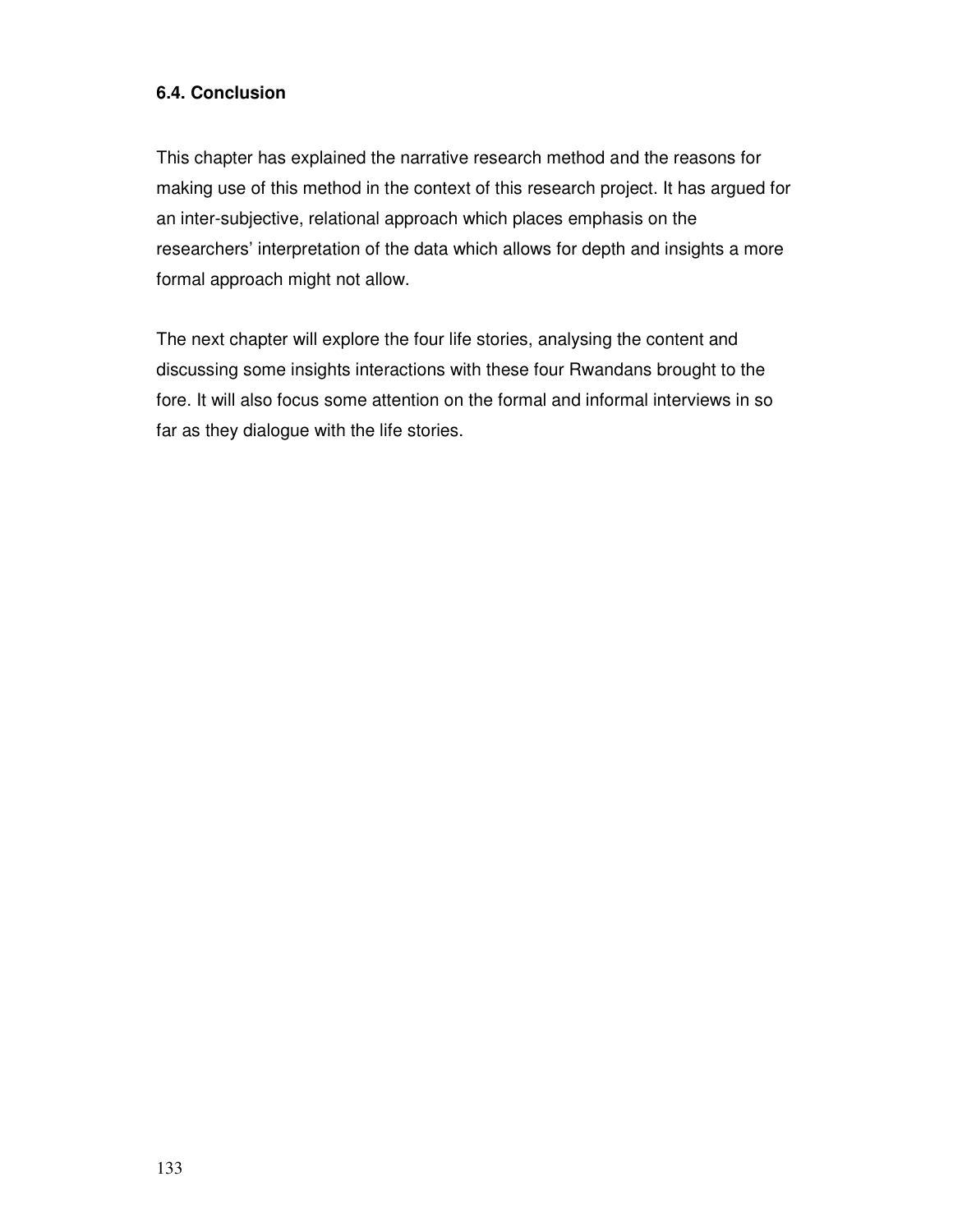# **6.4. Conclusion**

This chapter has explained the narrative research method and the reasons for making use of this method in the context of this research project. It has argued for an inter-subjective, relational approach which places emphasis on the researchers' interpretation of the data which allows for depth and insights a more formal approach might not allow.

The next chapter will explore the four life stories, analysing the content and discussing some insights interactions with these four Rwandans brought to the fore. It will also focus some attention on the formal and informal interviews in so far as they dialogue with the life stories.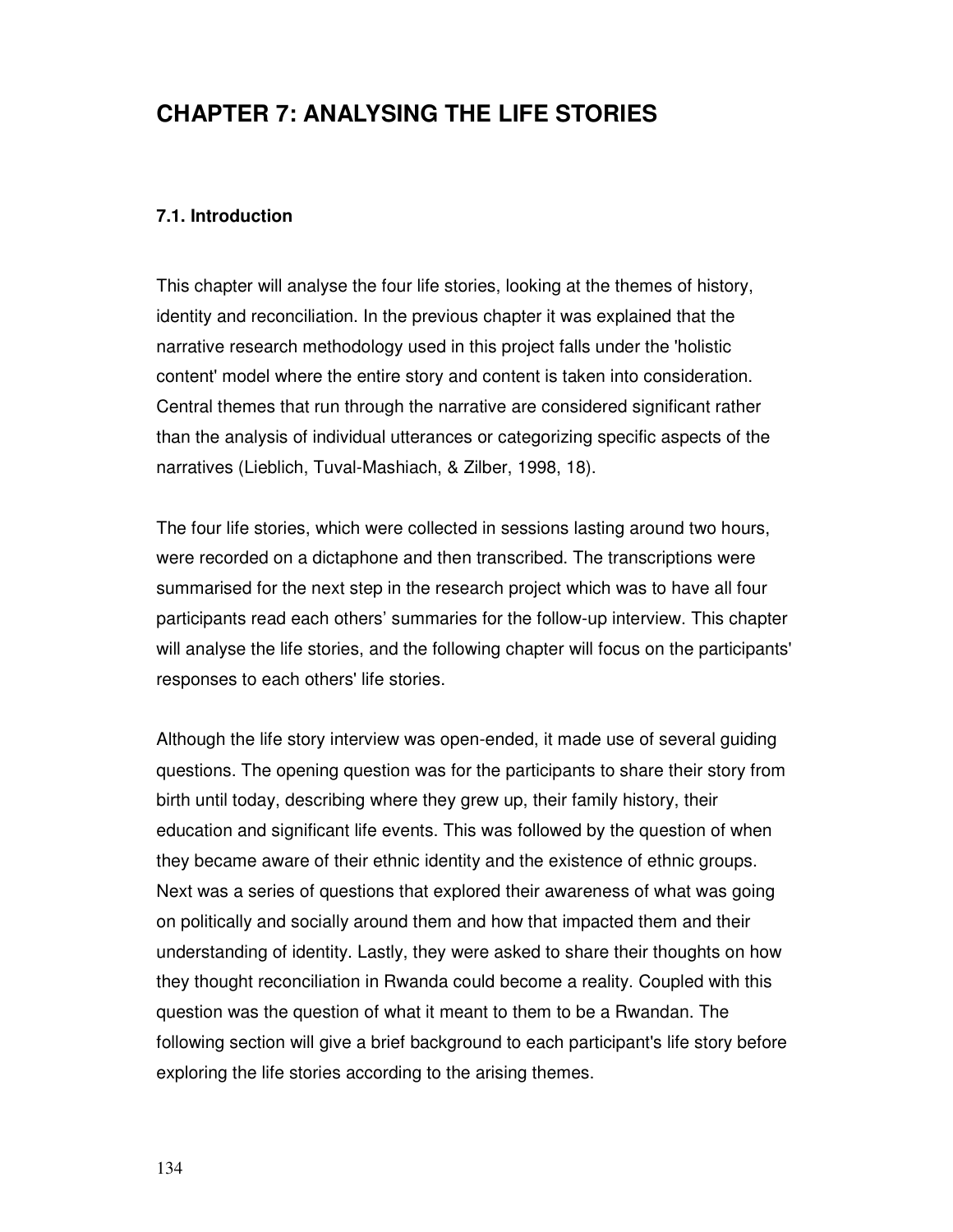# **CHAPTER 7: ANALYSING THE LIFE STORIES**

# **7.1. Introduction**

This chapter will analyse the four life stories, looking at the themes of history, identity and reconciliation. In the previous chapter it was explained that the narrative research methodology used in this project falls under the 'holistic content' model where the entire story and content is taken into consideration. Central themes that run through the narrative are considered significant rather than the analysis of individual utterances or categorizing specific aspects of the narratives (Lieblich, Tuval-Mashiach, & Zilber, 1998, 18).

The four life stories, which were collected in sessions lasting around two hours, were recorded on a dictaphone and then transcribed. The transcriptions were summarised for the next step in the research project which was to have all four participants read each others' summaries for the follow-up interview. This chapter will analyse the life stories, and the following chapter will focus on the participants' responses to each others' life stories.

Although the life story interview was open-ended, it made use of several guiding questions. The opening question was for the participants to share their story from birth until today, describing where they grew up, their family history, their education and significant life events. This was followed by the question of when they became aware of their ethnic identity and the existence of ethnic groups. Next was a series of questions that explored their awareness of what was going on politically and socially around them and how that impacted them and their understanding of identity. Lastly, they were asked to share their thoughts on how they thought reconciliation in Rwanda could become a reality. Coupled with this question was the question of what it meant to them to be a Rwandan. The following section will give a brief background to each participant's life story before exploring the life stories according to the arising themes.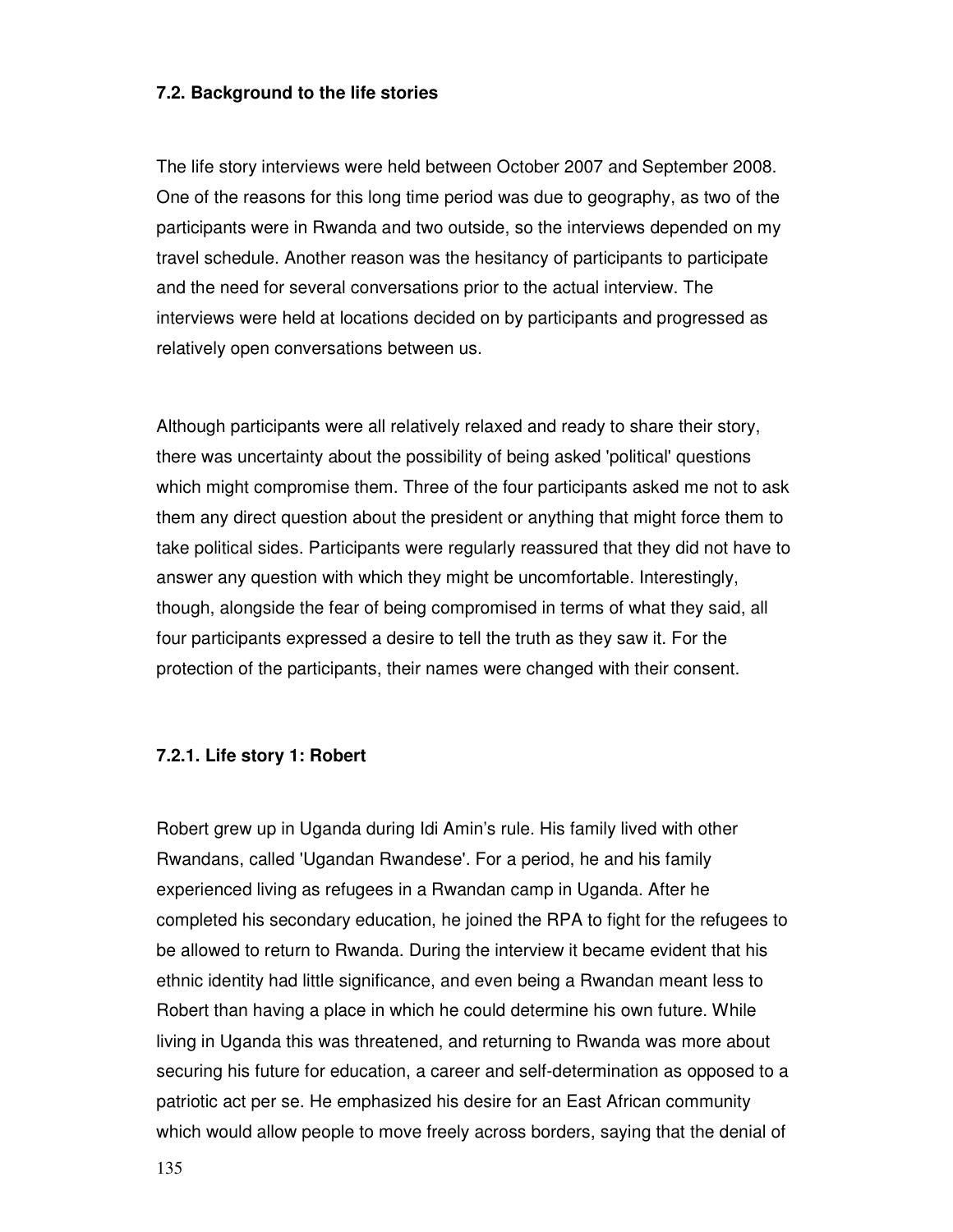### **7.2. Background to the life stories**

The life story interviews were held between October 2007 and September 2008. One of the reasons for this long time period was due to geography, as two of the participants were in Rwanda and two outside, so the interviews depended on my travel schedule. Another reason was the hesitancy of participants to participate and the need for several conversations prior to the actual interview. The interviews were held at locations decided on by participants and progressed as relatively open conversations between us.

Although participants were all relatively relaxed and ready to share their story, there was uncertainty about the possibility of being asked 'political' questions which might compromise them. Three of the four participants asked me not to ask them any direct question about the president or anything that might force them to take political sides. Participants were regularly reassured that they did not have to answer any question with which they might be uncomfortable. Interestingly, though, alongside the fear of being compromised in terms of what they said, all four participants expressed a desire to tell the truth as they saw it. For the protection of the participants, their names were changed with their consent.

## **7.2.1. Life story 1: Robert**

Robert grew up in Uganda during Idi Amin's rule. His family lived with other Rwandans, called 'Ugandan Rwandese'. For a period, he and his family experienced living as refugees in a Rwandan camp in Uganda. After he completed his secondary education, he joined the RPA to fight for the refugees to be allowed to return to Rwanda. During the interview it became evident that his ethnic identity had little significance, and even being a Rwandan meant less to Robert than having a place in which he could determine his own future. While living in Uganda this was threatened, and returning to Rwanda was more about securing his future for education, a career and self-determination as opposed to a patriotic act per se. He emphasized his desire for an East African community which would allow people to move freely across borders, saying that the denial of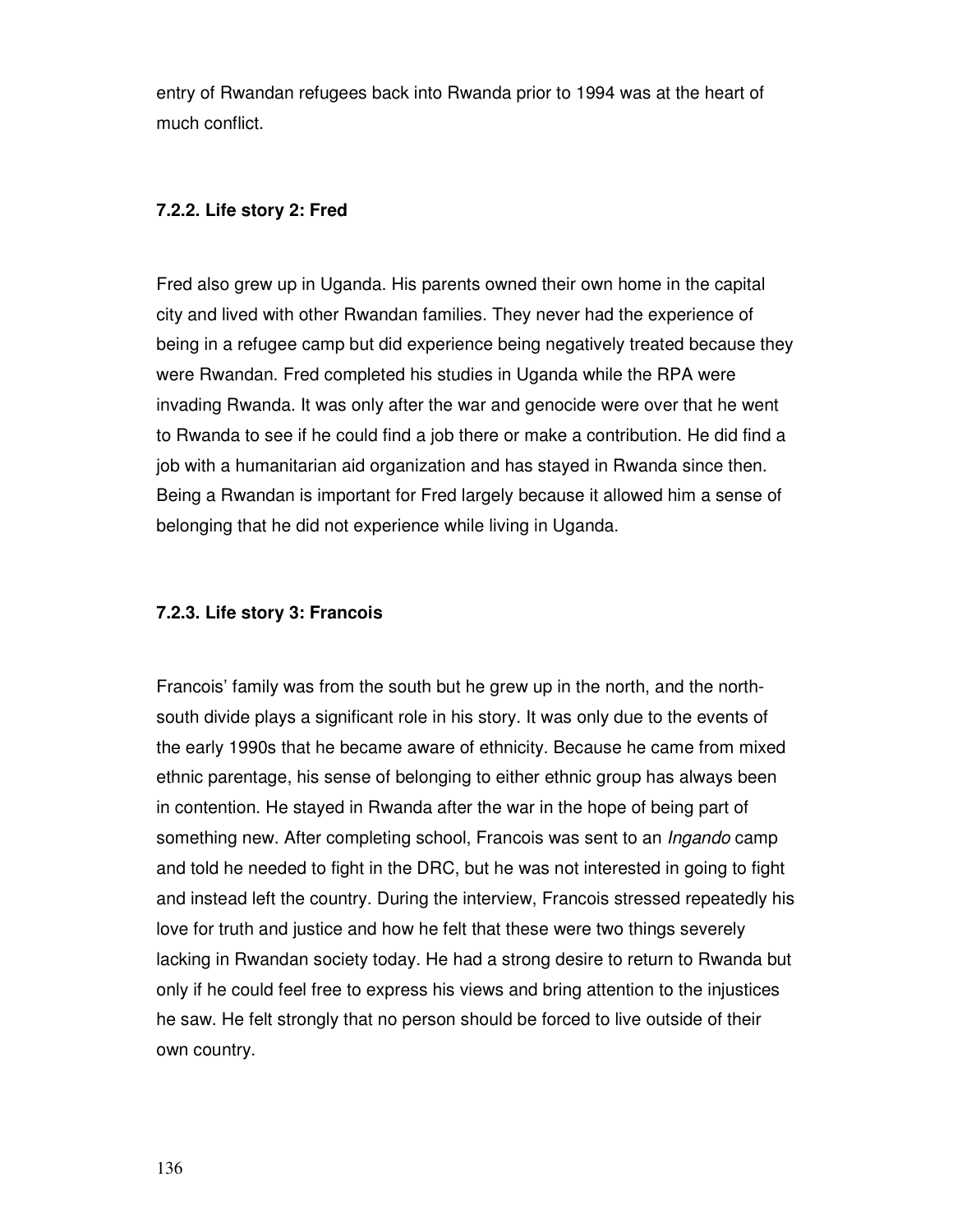entry of Rwandan refugees back into Rwanda prior to 1994 was at the heart of much conflict.

## **7.2.2. Life story 2: Fred**

Fred also grew up in Uganda. His parents owned their own home in the capital city and lived with other Rwandan families. They never had the experience of being in a refugee camp but did experience being negatively treated because they were Rwandan. Fred completed his studies in Uganda while the RPA were invading Rwanda. It was only after the war and genocide were over that he went to Rwanda to see if he could find a job there or make a contribution. He did find a job with a humanitarian aid organization and has stayed in Rwanda since then. Being a Rwandan is important for Fred largely because it allowed him a sense of belonging that he did not experience while living in Uganda.

## **7.2.3. Life story 3: Francois**

Francois' family was from the south but he grew up in the north, and the northsouth divide plays a significant role in his story. It was only due to the events of the early 1990s that he became aware of ethnicity. Because he came from mixed ethnic parentage, his sense of belonging to either ethnic group has always been in contention. He stayed in Rwanda after the war in the hope of being part of something new. After completing school, Francois was sent to an *Ingando* camp and told he needed to fight in the DRC, but he was not interested in going to fight and instead left the country. During the interview, Francois stressed repeatedly his love for truth and justice and how he felt that these were two things severely lacking in Rwandan society today. He had a strong desire to return to Rwanda but only if he could feel free to express his views and bring attention to the injustices he saw. He felt strongly that no person should be forced to live outside of their own country.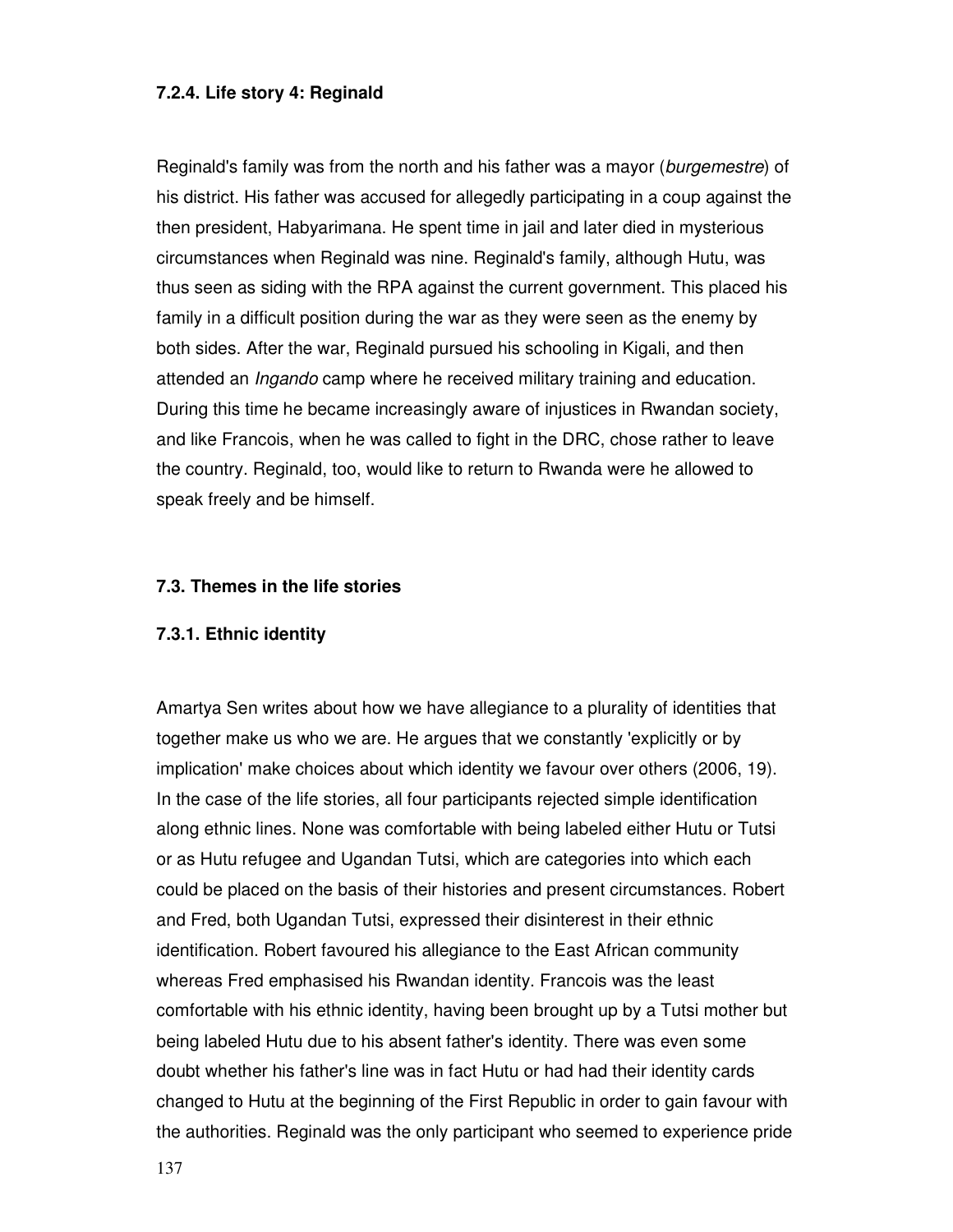## **7.2.4. Life story 4: Reginald**

Reginald's family was from the north and his father was a mayor (burgemestre) of his district. His father was accused for allegedly participating in a coup against the then president, Habyarimana. He spent time in jail and later died in mysterious circumstances when Reginald was nine. Reginald's family, although Hutu, was thus seen as siding with the RPA against the current government. This placed his family in a difficult position during the war as they were seen as the enemy by both sides. After the war, Reginald pursued his schooling in Kigali, and then attended an *Ingando* camp where he received military training and education. During this time he became increasingly aware of injustices in Rwandan society, and like Francois, when he was called to fight in the DRC, chose rather to leave the country. Reginald, too, would like to return to Rwanda were he allowed to speak freely and be himself.

#### **7.3. Themes in the life stories**

#### **7.3.1. Ethnic identity**

Amartya Sen writes about how we have allegiance to a plurality of identities that together make us who we are. He argues that we constantly 'explicitly or by implication' make choices about which identity we favour over others (2006, 19). In the case of the life stories, all four participants rejected simple identification along ethnic lines. None was comfortable with being labeled either Hutu or Tutsi or as Hutu refugee and Ugandan Tutsi, which are categories into which each could be placed on the basis of their histories and present circumstances. Robert and Fred, both Ugandan Tutsi, expressed their disinterest in their ethnic identification. Robert favoured his allegiance to the East African community whereas Fred emphasised his Rwandan identity. Francois was the least comfortable with his ethnic identity, having been brought up by a Tutsi mother but being labeled Hutu due to his absent father's identity. There was even some doubt whether his father's line was in fact Hutu or had had their identity cards changed to Hutu at the beginning of the First Republic in order to gain favour with the authorities. Reginald was the only participant who seemed to experience pride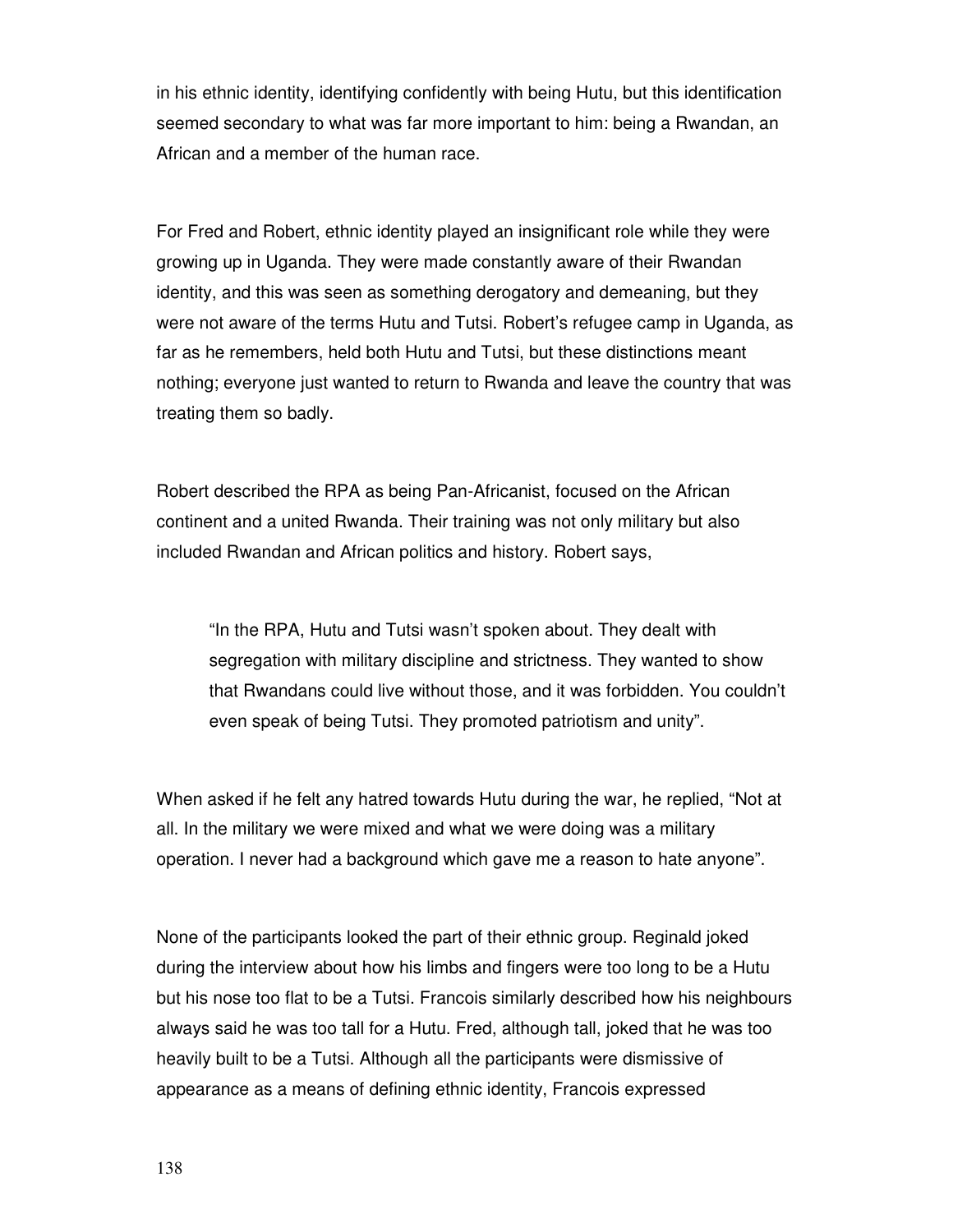in his ethnic identity, identifying confidently with being Hutu, but this identification seemed secondary to what was far more important to him: being a Rwandan, an African and a member of the human race.

For Fred and Robert, ethnic identity played an insignificant role while they were growing up in Uganda. They were made constantly aware of their Rwandan identity, and this was seen as something derogatory and demeaning, but they were not aware of the terms Hutu and Tutsi. Robert's refugee camp in Uganda, as far as he remembers, held both Hutu and Tutsi, but these distinctions meant nothing; everyone just wanted to return to Rwanda and leave the country that was treating them so badly.

Robert described the RPA as being Pan-Africanist, focused on the African continent and a united Rwanda. Their training was not only military but also included Rwandan and African politics and history. Robert says,

"In the RPA, Hutu and Tutsi wasn't spoken about. They dealt with segregation with military discipline and strictness. They wanted to show that Rwandans could live without those, and it was forbidden. You couldn't even speak of being Tutsi. They promoted patriotism and unity".

When asked if he felt any hatred towards Hutu during the war, he replied, "Not at all. In the military we were mixed and what we were doing was a military operation. I never had a background which gave me a reason to hate anyone".

None of the participants looked the part of their ethnic group. Reginald joked during the interview about how his limbs and fingers were too long to be a Hutu but his nose too flat to be a Tutsi. Francois similarly described how his neighbours always said he was too tall for a Hutu. Fred, although tall, joked that he was too heavily built to be a Tutsi. Although all the participants were dismissive of appearance as a means of defining ethnic identity, Francois expressed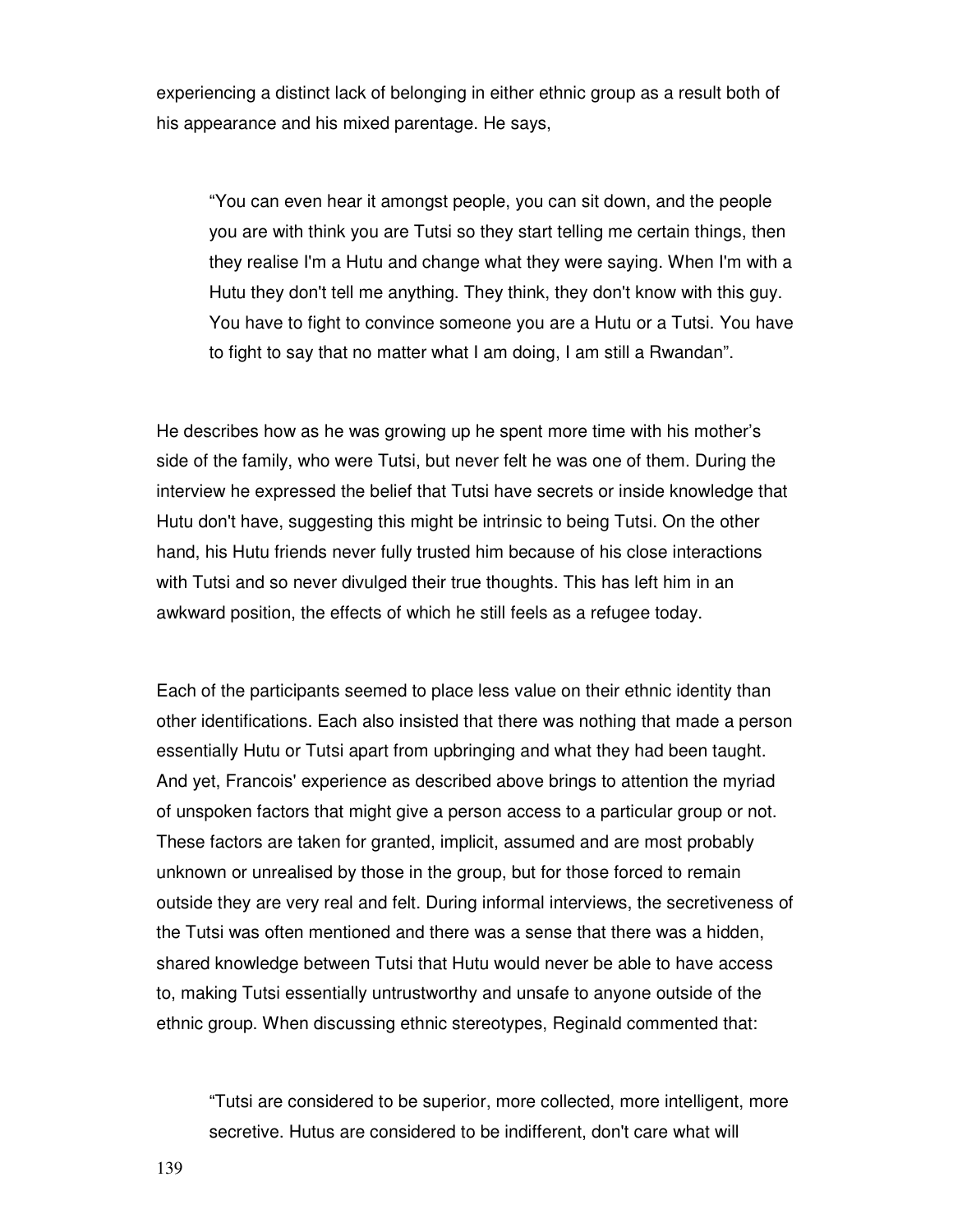experiencing a distinct lack of belonging in either ethnic group as a result both of his appearance and his mixed parentage. He says,

"You can even hear it amongst people, you can sit down, and the people you are with think you are Tutsi so they start telling me certain things, then they realise I'm a Hutu and change what they were saying. When I'm with a Hutu they don't tell me anything. They think, they don't know with this guy. You have to fight to convince someone you are a Hutu or a Tutsi. You have to fight to say that no matter what I am doing, I am still a Rwandan".

He describes how as he was growing up he spent more time with his mother's side of the family, who were Tutsi, but never felt he was one of them. During the interview he expressed the belief that Tutsi have secrets or inside knowledge that Hutu don't have, suggesting this might be intrinsic to being Tutsi. On the other hand, his Hutu friends never fully trusted him because of his close interactions with Tutsi and so never divulged their true thoughts. This has left him in an awkward position, the effects of which he still feels as a refugee today.

Each of the participants seemed to place less value on their ethnic identity than other identifications. Each also insisted that there was nothing that made a person essentially Hutu or Tutsi apart from upbringing and what they had been taught. And yet, Francois' experience as described above brings to attention the myriad of unspoken factors that might give a person access to a particular group or not. These factors are taken for granted, implicit, assumed and are most probably unknown or unrealised by those in the group, but for those forced to remain outside they are very real and felt. During informal interviews, the secretiveness of the Tutsi was often mentioned and there was a sense that there was a hidden, shared knowledge between Tutsi that Hutu would never be able to have access to, making Tutsi essentially untrustworthy and unsafe to anyone outside of the ethnic group. When discussing ethnic stereotypes, Reginald commented that:

"Tutsi are considered to be superior, more collected, more intelligent, more secretive. Hutus are considered to be indifferent, don't care what will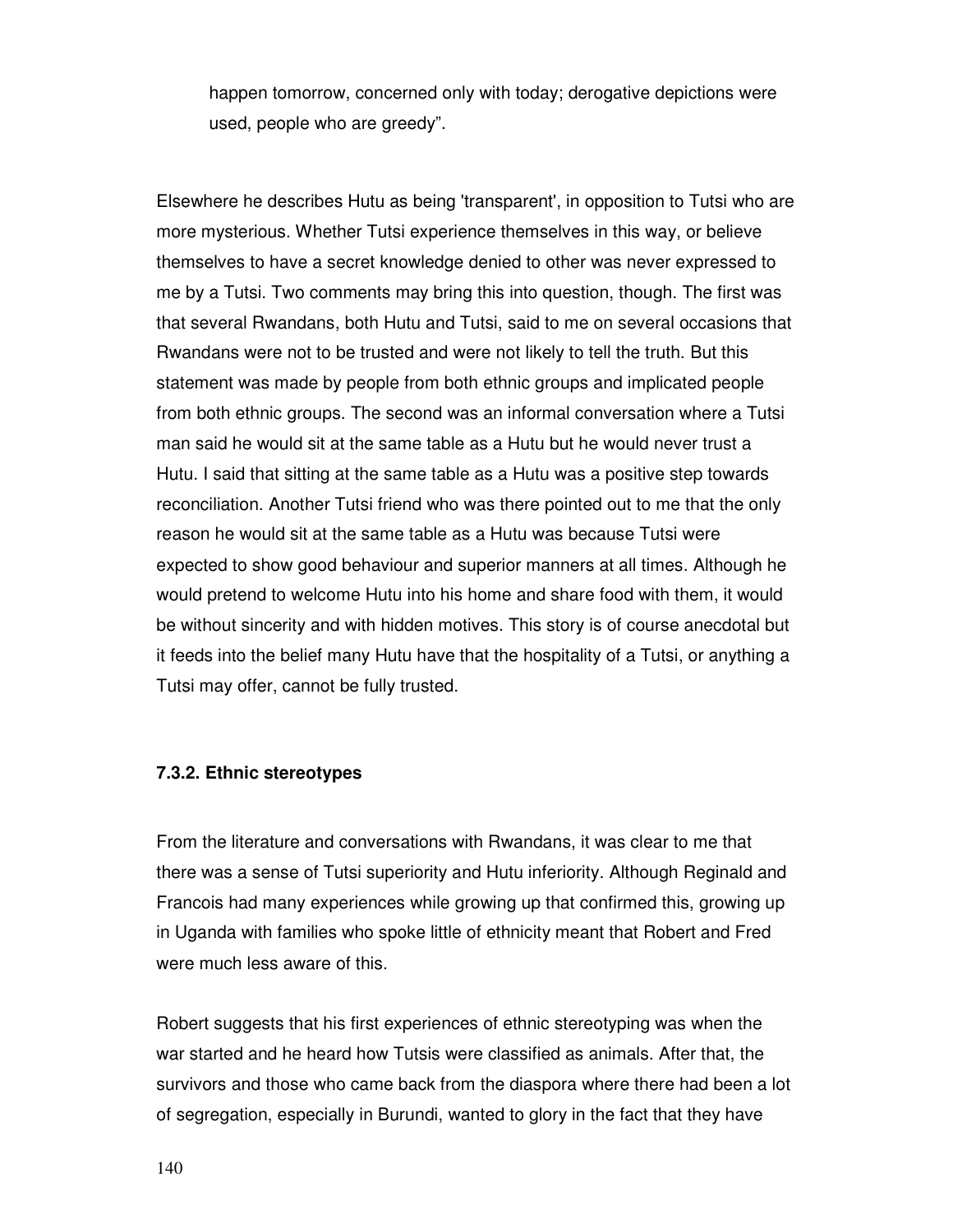happen tomorrow, concerned only with today; derogative depictions were used, people who are greedy".

Elsewhere he describes Hutu as being 'transparent', in opposition to Tutsi who are more mysterious. Whether Tutsi experience themselves in this way, or believe themselves to have a secret knowledge denied to other was never expressed to me by a Tutsi. Two comments may bring this into question, though. The first was that several Rwandans, both Hutu and Tutsi, said to me on several occasions that Rwandans were not to be trusted and were not likely to tell the truth. But this statement was made by people from both ethnic groups and implicated people from both ethnic groups. The second was an informal conversation where a Tutsi man said he would sit at the same table as a Hutu but he would never trust a Hutu. I said that sitting at the same table as a Hutu was a positive step towards reconciliation. Another Tutsi friend who was there pointed out to me that the only reason he would sit at the same table as a Hutu was because Tutsi were expected to show good behaviour and superior manners at all times. Although he would pretend to welcome Hutu into his home and share food with them, it would be without sincerity and with hidden motives. This story is of course anecdotal but it feeds into the belief many Hutu have that the hospitality of a Tutsi, or anything a Tutsi may offer, cannot be fully trusted.

#### **7.3.2. Ethnic stereotypes**

From the literature and conversations with Rwandans, it was clear to me that there was a sense of Tutsi superiority and Hutu inferiority. Although Reginald and Francois had many experiences while growing up that confirmed this, growing up in Uganda with families who spoke little of ethnicity meant that Robert and Fred were much less aware of this.

Robert suggests that his first experiences of ethnic stereotyping was when the war started and he heard how Tutsis were classified as animals. After that, the survivors and those who came back from the diaspora where there had been a lot of segregation, especially in Burundi, wanted to glory in the fact that they have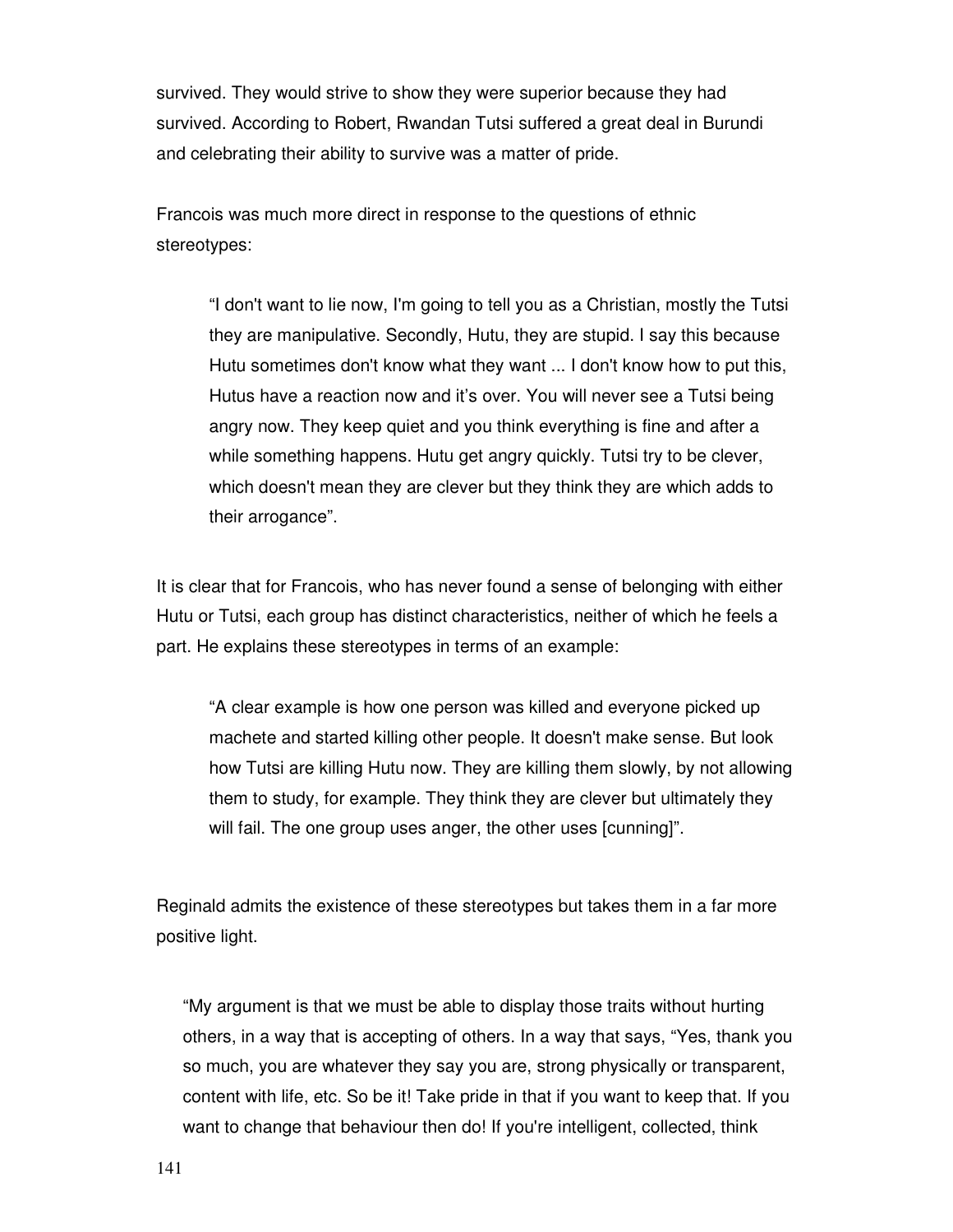survived. They would strive to show they were superior because they had survived. According to Robert, Rwandan Tutsi suffered a great deal in Burundi and celebrating their ability to survive was a matter of pride.

Francois was much more direct in response to the questions of ethnic stereotypes:

"I don't want to lie now, I'm going to tell you as a Christian, mostly the Tutsi they are manipulative. Secondly, Hutu, they are stupid. I say this because Hutu sometimes don't know what they want ... I don't know how to put this, Hutus have a reaction now and it's over. You will never see a Tutsi being angry now. They keep quiet and you think everything is fine and after a while something happens. Hutu get angry quickly. Tutsi try to be clever, which doesn't mean they are clever but they think they are which adds to their arrogance".

It is clear that for Francois, who has never found a sense of belonging with either Hutu or Tutsi, each group has distinct characteristics, neither of which he feels a part. He explains these stereotypes in terms of an example:

"A clear example is how one person was killed and everyone picked up machete and started killing other people. It doesn't make sense. But look how Tutsi are killing Hutu now. They are killing them slowly, by not allowing them to study, for example. They think they are clever but ultimately they will fail. The one group uses anger, the other uses [cunning]".

Reginald admits the existence of these stereotypes but takes them in a far more positive light.

"My argument is that we must be able to display those traits without hurting others, in a way that is accepting of others. In a way that says, "Yes, thank you so much, you are whatever they say you are, strong physically or transparent, content with life, etc. So be it! Take pride in that if you want to keep that. If you want to change that behaviour then do! If you're intelligent, collected, think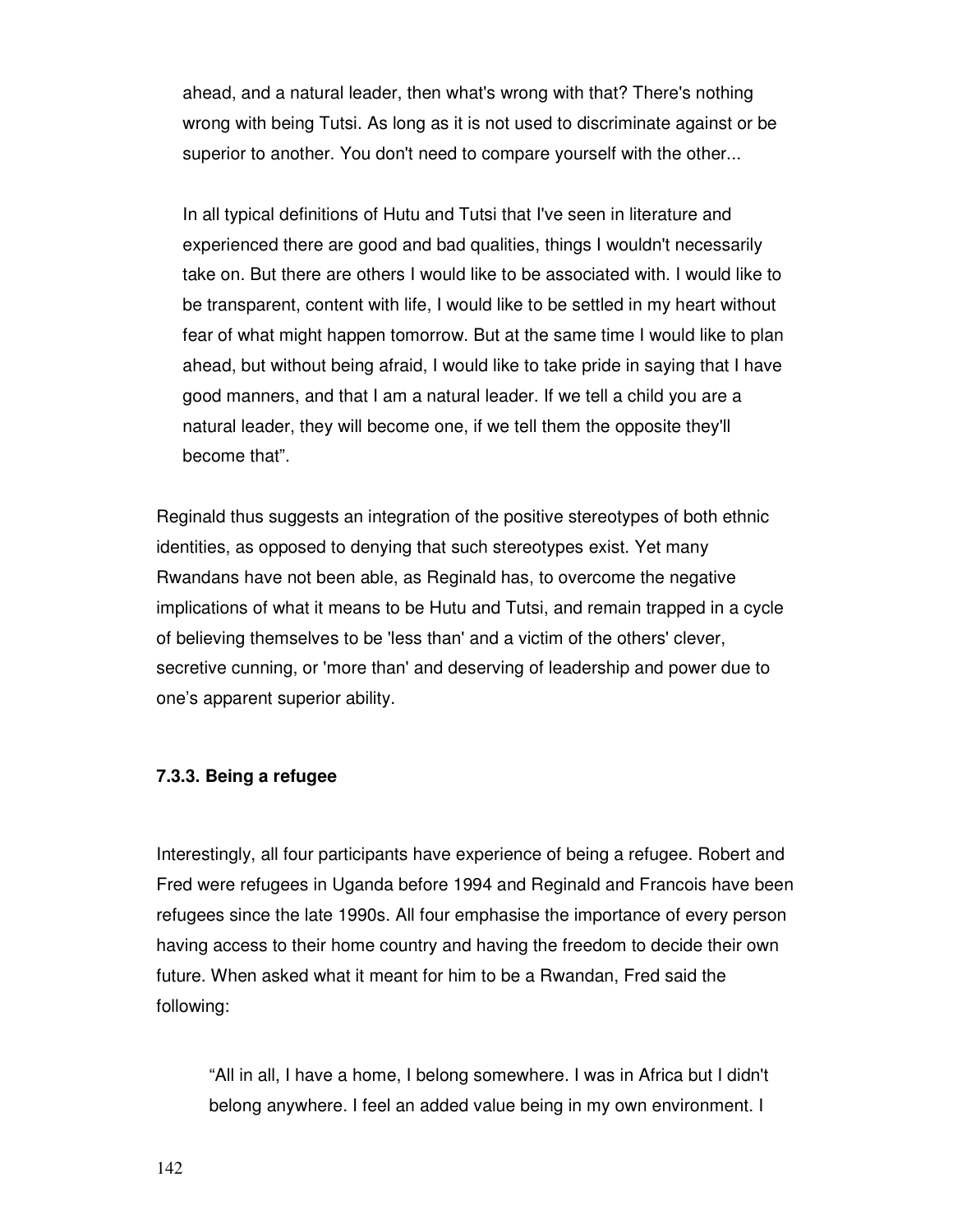ahead, and a natural leader, then what's wrong with that? There's nothing wrong with being Tutsi. As long as it is not used to discriminate against or be superior to another. You don't need to compare yourself with the other...

In all typical definitions of Hutu and Tutsi that I've seen in literature and experienced there are good and bad qualities, things I wouldn't necessarily take on. But there are others I would like to be associated with. I would like to be transparent, content with life, I would like to be settled in my heart without fear of what might happen tomorrow. But at the same time I would like to plan ahead, but without being afraid, I would like to take pride in saying that I have good manners, and that I am a natural leader. If we tell a child you are a natural leader, they will become one, if we tell them the opposite they'll become that".

Reginald thus suggests an integration of the positive stereotypes of both ethnic identities, as opposed to denying that such stereotypes exist. Yet many Rwandans have not been able, as Reginald has, to overcome the negative implications of what it means to be Hutu and Tutsi, and remain trapped in a cycle of believing themselves to be 'less than' and a victim of the others' clever, secretive cunning, or 'more than' and deserving of leadership and power due to one's apparent superior ability.

#### **7.3.3. Being a refugee**

Interestingly, all four participants have experience of being a refugee. Robert and Fred were refugees in Uganda before 1994 and Reginald and Francois have been refugees since the late 1990s. All four emphasise the importance of every person having access to their home country and having the freedom to decide their own future. When asked what it meant for him to be a Rwandan, Fred said the following:

"All in all, I have a home, I belong somewhere. I was in Africa but I didn't belong anywhere. I feel an added value being in my own environment. I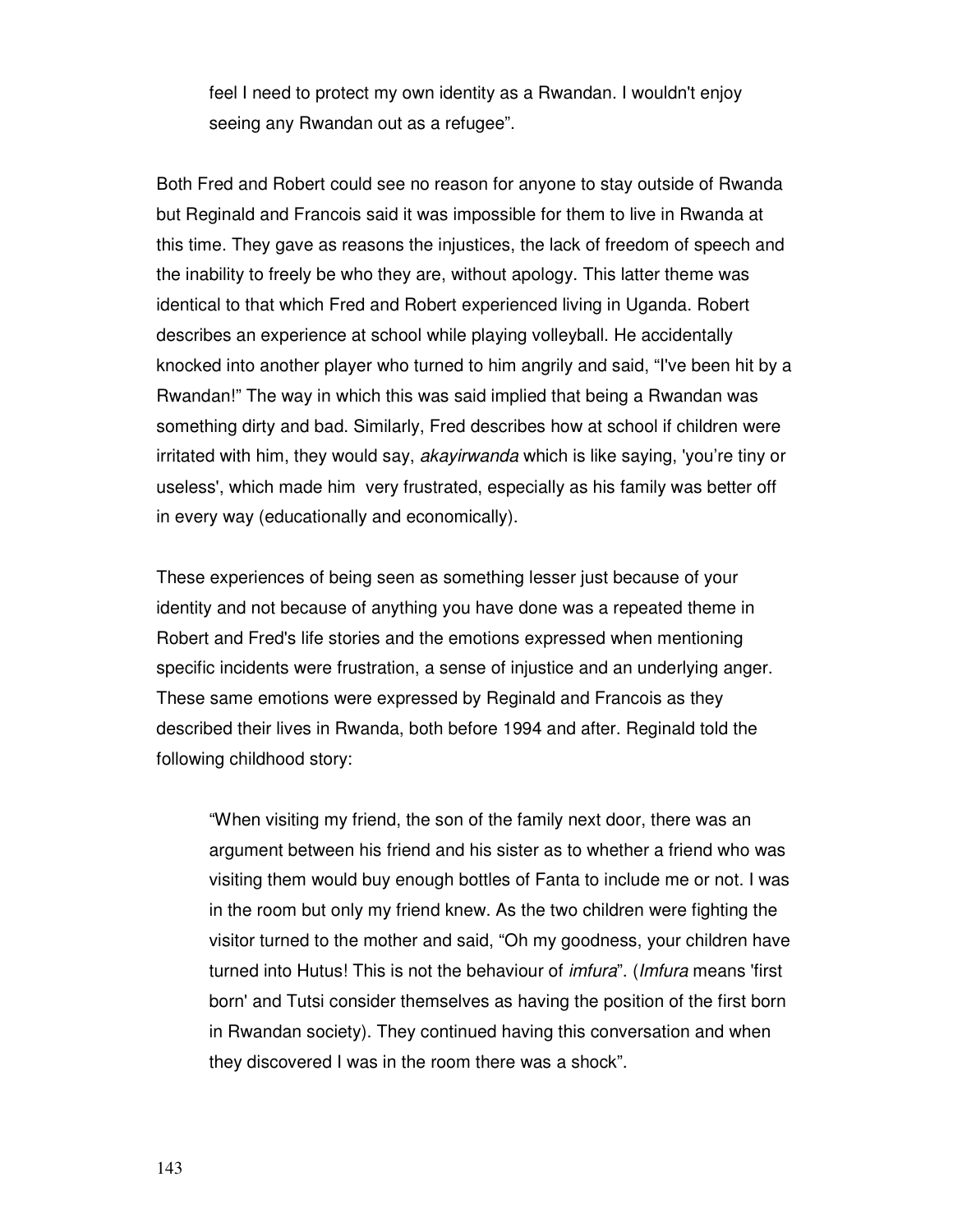feel I need to protect my own identity as a Rwandan. I wouldn't enjoy seeing any Rwandan out as a refugee".

Both Fred and Robert could see no reason for anyone to stay outside of Rwanda but Reginald and Francois said it was impossible for them to live in Rwanda at this time. They gave as reasons the injustices, the lack of freedom of speech and the inability to freely be who they are, without apology. This latter theme was identical to that which Fred and Robert experienced living in Uganda. Robert describes an experience at school while playing volleyball. He accidentally knocked into another player who turned to him angrily and said, "I've been hit by a Rwandan!" The way in which this was said implied that being a Rwandan was something dirty and bad. Similarly, Fred describes how at school if children were irritated with him, they would say, akayirwanda which is like saying, 'you're tiny or useless', which made him very frustrated, especially as his family was better off in every way (educationally and economically).

These experiences of being seen as something lesser just because of your identity and not because of anything you have done was a repeated theme in Robert and Fred's life stories and the emotions expressed when mentioning specific incidents were frustration, a sense of injustice and an underlying anger. These same emotions were expressed by Reginald and Francois as they described their lives in Rwanda, both before 1994 and after. Reginald told the following childhood story:

"When visiting my friend, the son of the family next door, there was an argument between his friend and his sister as to whether a friend who was visiting them would buy enough bottles of Fanta to include me or not. I was in the room but only my friend knew. As the two children were fighting the visitor turned to the mother and said, "Oh my goodness, your children have turned into Hutus! This is not the behaviour of imfura". (Imfura means 'first born' and Tutsi consider themselves as having the position of the first born in Rwandan society). They continued having this conversation and when they discovered I was in the room there was a shock".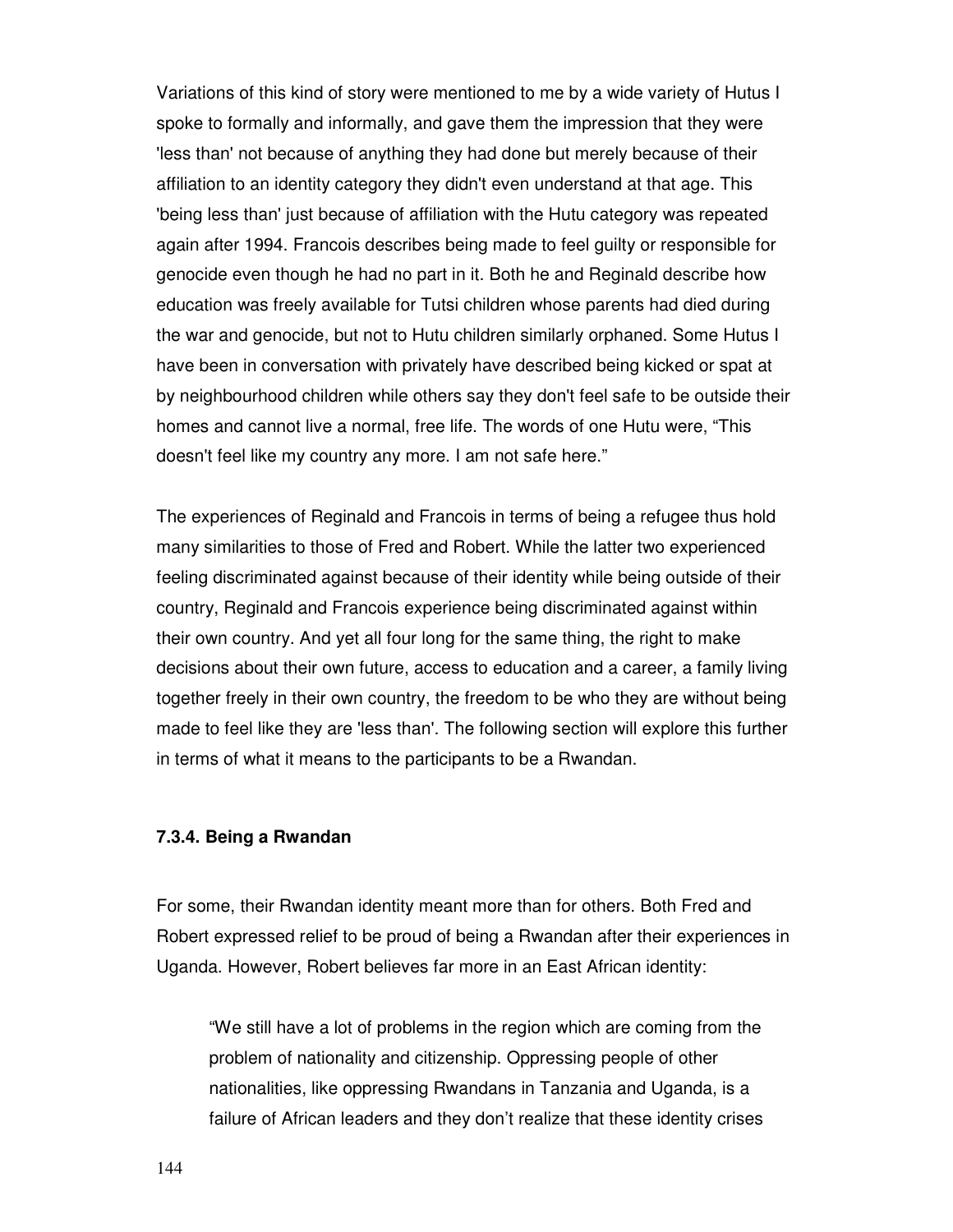Variations of this kind of story were mentioned to me by a wide variety of Hutus I spoke to formally and informally, and gave them the impression that they were 'less than' not because of anything they had done but merely because of their affiliation to an identity category they didn't even understand at that age. This 'being less than' just because of affiliation with the Hutu category was repeated again after 1994. Francois describes being made to feel guilty or responsible for genocide even though he had no part in it. Both he and Reginald describe how education was freely available for Tutsi children whose parents had died during the war and genocide, but not to Hutu children similarly orphaned. Some Hutus I have been in conversation with privately have described being kicked or spat at by neighbourhood children while others say they don't feel safe to be outside their homes and cannot live a normal, free life. The words of one Hutu were, "This doesn't feel like my country any more. I am not safe here."

The experiences of Reginald and Francois in terms of being a refugee thus hold many similarities to those of Fred and Robert. While the latter two experienced feeling discriminated against because of their identity while being outside of their country, Reginald and Francois experience being discriminated against within their own country. And yet all four long for the same thing, the right to make decisions about their own future, access to education and a career, a family living together freely in their own country, the freedom to be who they are without being made to feel like they are 'less than'. The following section will explore this further in terms of what it means to the participants to be a Rwandan.

## **7.3.4. Being a Rwandan**

For some, their Rwandan identity meant more than for others. Both Fred and Robert expressed relief to be proud of being a Rwandan after their experiences in Uganda. However, Robert believes far more in an East African identity:

"We still have a lot of problems in the region which are coming from the problem of nationality and citizenship. Oppressing people of other nationalities, like oppressing Rwandans in Tanzania and Uganda, is a failure of African leaders and they don't realize that these identity crises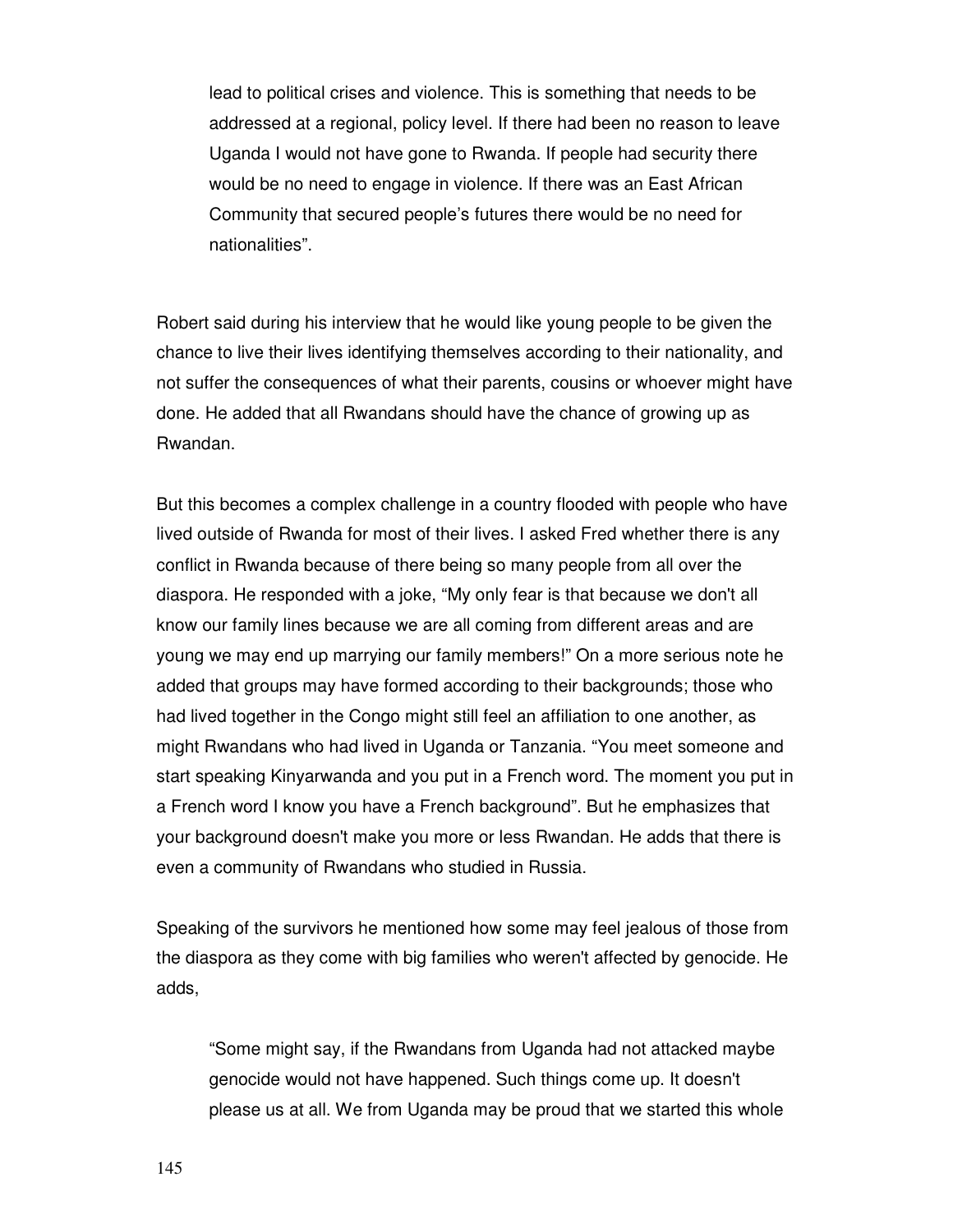lead to political crises and violence. This is something that needs to be addressed at a regional, policy level. If there had been no reason to leave Uganda I would not have gone to Rwanda. If people had security there would be no need to engage in violence. If there was an East African Community that secured people's futures there would be no need for nationalities".

Robert said during his interview that he would like young people to be given the chance to live their lives identifying themselves according to their nationality, and not suffer the consequences of what their parents, cousins or whoever might have done. He added that all Rwandans should have the chance of growing up as Rwandan.

But this becomes a complex challenge in a country flooded with people who have lived outside of Rwanda for most of their lives. I asked Fred whether there is any conflict in Rwanda because of there being so many people from all over the diaspora. He responded with a joke, "My only fear is that because we don't all know our family lines because we are all coming from different areas and are young we may end up marrying our family members!" On a more serious note he added that groups may have formed according to their backgrounds; those who had lived together in the Congo might still feel an affiliation to one another, as might Rwandans who had lived in Uganda or Tanzania. "You meet someone and start speaking Kinyarwanda and you put in a French word. The moment you put in a French word I know you have a French background". But he emphasizes that your background doesn't make you more or less Rwandan. He adds that there is even a community of Rwandans who studied in Russia.

Speaking of the survivors he mentioned how some may feel jealous of those from the diaspora as they come with big families who weren't affected by genocide. He adds,

"Some might say, if the Rwandans from Uganda had not attacked maybe genocide would not have happened. Such things come up. It doesn't please us at all. We from Uganda may be proud that we started this whole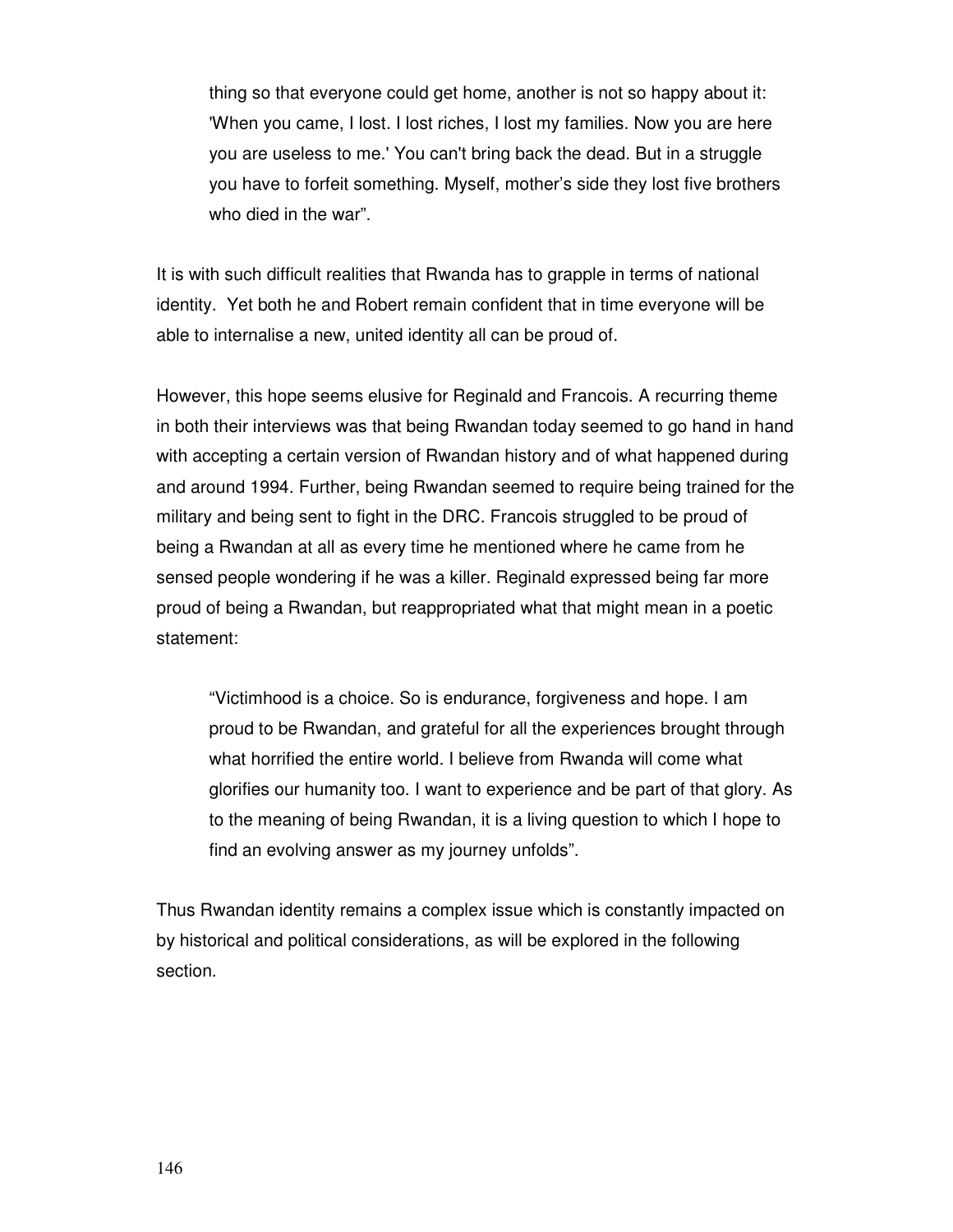thing so that everyone could get home, another is not so happy about it: 'When you came, I lost. I lost riches, I lost my families. Now you are here you are useless to me.' You can't bring back the dead. But in a struggle you have to forfeit something. Myself, mother's side they lost five brothers who died in the war".

It is with such difficult realities that Rwanda has to grapple in terms of national identity. Yet both he and Robert remain confident that in time everyone will be able to internalise a new, united identity all can be proud of.

However, this hope seems elusive for Reginald and Francois. A recurring theme in both their interviews was that being Rwandan today seemed to go hand in hand with accepting a certain version of Rwandan history and of what happened during and around 1994. Further, being Rwandan seemed to require being trained for the military and being sent to fight in the DRC. Francois struggled to be proud of being a Rwandan at all as every time he mentioned where he came from he sensed people wondering if he was a killer. Reginald expressed being far more proud of being a Rwandan, but reappropriated what that might mean in a poetic statement:

"Victimhood is a choice. So is endurance, forgiveness and hope. I am proud to be Rwandan, and grateful for all the experiences brought through what horrified the entire world. I believe from Rwanda will come what glorifies our humanity too. I want to experience and be part of that glory. As to the meaning of being Rwandan, it is a living question to which I hope to find an evolving answer as my journey unfolds".

Thus Rwandan identity remains a complex issue which is constantly impacted on by historical and political considerations, as will be explored in the following section.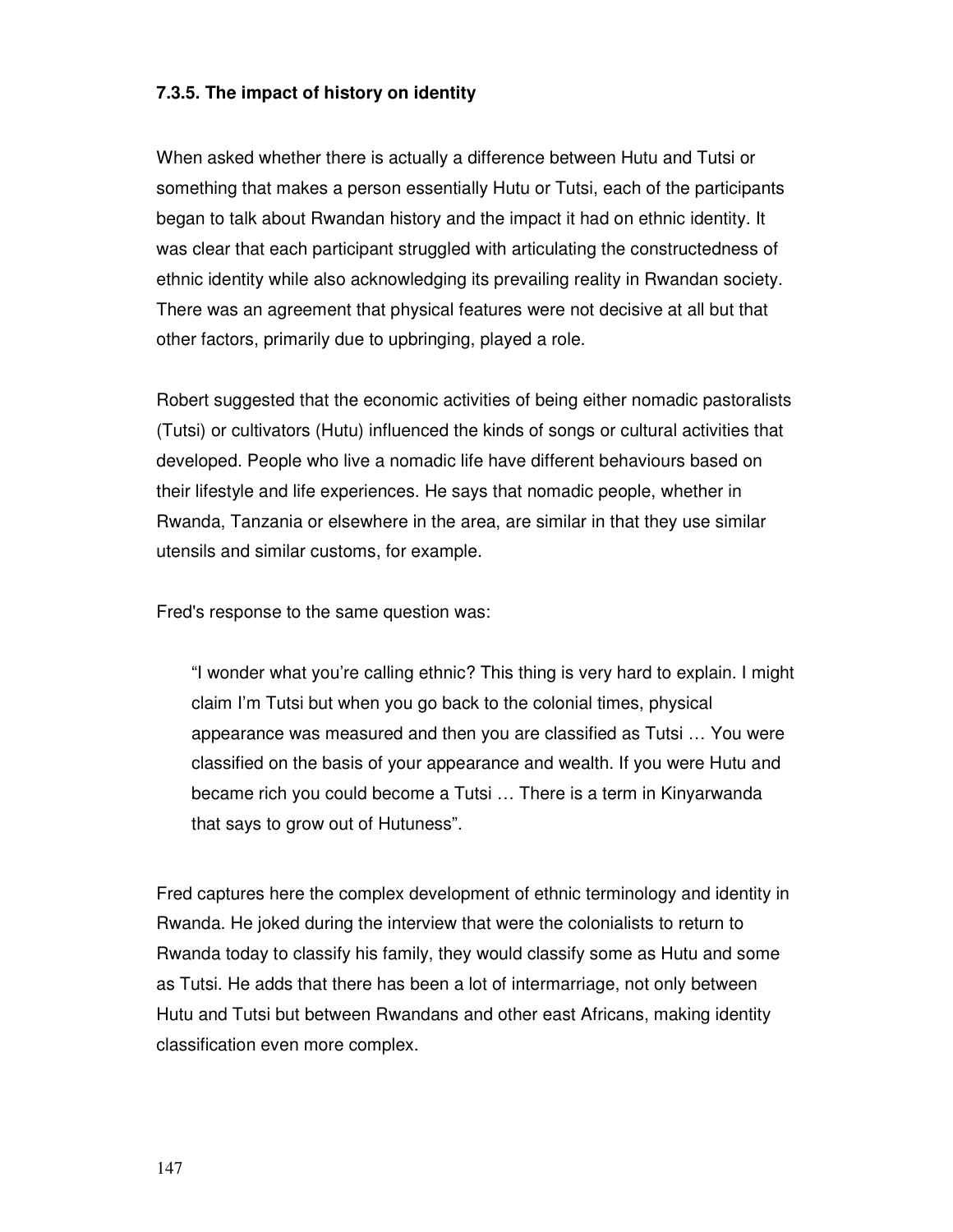## **7.3.5. The impact of history on identity**

When asked whether there is actually a difference between Hutu and Tutsi or something that makes a person essentially Hutu or Tutsi, each of the participants began to talk about Rwandan history and the impact it had on ethnic identity. It was clear that each participant struggled with articulating the constructedness of ethnic identity while also acknowledging its prevailing reality in Rwandan society. There was an agreement that physical features were not decisive at all but that other factors, primarily due to upbringing, played a role.

Robert suggested that the economic activities of being either nomadic pastoralists (Tutsi) or cultivators (Hutu) influenced the kinds of songs or cultural activities that developed. People who live a nomadic life have different behaviours based on their lifestyle and life experiences. He says that nomadic people, whether in Rwanda, Tanzania or elsewhere in the area, are similar in that they use similar utensils and similar customs, for example.

Fred's response to the same question was:

"I wonder what you're calling ethnic? This thing is very hard to explain. I might claim I'm Tutsi but when you go back to the colonial times, physical appearance was measured and then you are classified as Tutsi … You were classified on the basis of your appearance and wealth. If you were Hutu and became rich you could become a Tutsi … There is a term in Kinyarwanda that says to grow out of Hutuness".

Fred captures here the complex development of ethnic terminology and identity in Rwanda. He joked during the interview that were the colonialists to return to Rwanda today to classify his family, they would classify some as Hutu and some as Tutsi. He adds that there has been a lot of intermarriage, not only between Hutu and Tutsi but between Rwandans and other east Africans, making identity classification even more complex.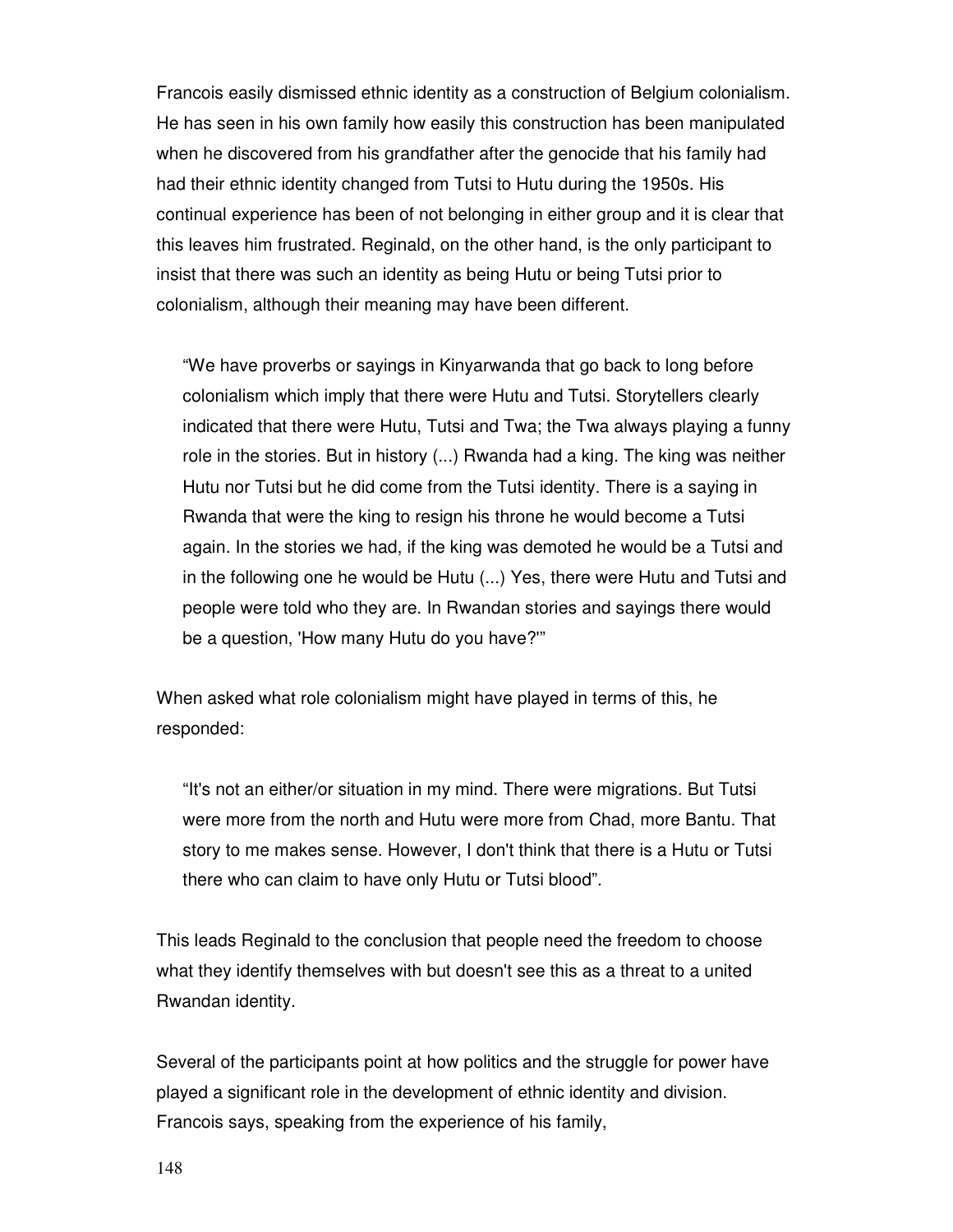Francois easily dismissed ethnic identity as a construction of Belgium colonialism. He has seen in his own family how easily this construction has been manipulated when he discovered from his grandfather after the genocide that his family had had their ethnic identity changed from Tutsi to Hutu during the 1950s. His continual experience has been of not belonging in either group and it is clear that this leaves him frustrated. Reginald, on the other hand, is the only participant to insist that there was such an identity as being Hutu or being Tutsi prior to colonialism, although their meaning may have been different.

"We have proverbs or sayings in Kinyarwanda that go back to long before colonialism which imply that there were Hutu and Tutsi. Storytellers clearly indicated that there were Hutu, Tutsi and Twa; the Twa always playing a funny role in the stories. But in history (...) Rwanda had a king. The king was neither Hutu nor Tutsi but he did come from the Tutsi identity. There is a saying in Rwanda that were the king to resign his throne he would become a Tutsi again. In the stories we had, if the king was demoted he would be a Tutsi and in the following one he would be Hutu (...) Yes, there were Hutu and Tutsi and people were told who they are. In Rwandan stories and sayings there would be a question, 'How many Hutu do you have?'"

When asked what role colonialism might have played in terms of this, he responded:

"It's not an either/or situation in my mind. There were migrations. But Tutsi were more from the north and Hutu were more from Chad, more Bantu. That story to me makes sense. However, I don't think that there is a Hutu or Tutsi there who can claim to have only Hutu or Tutsi blood".

This leads Reginald to the conclusion that people need the freedom to choose what they identify themselves with but doesn't see this as a threat to a united Rwandan identity.

Several of the participants point at how politics and the struggle for power have played a significant role in the development of ethnic identity and division. Francois says, speaking from the experience of his family,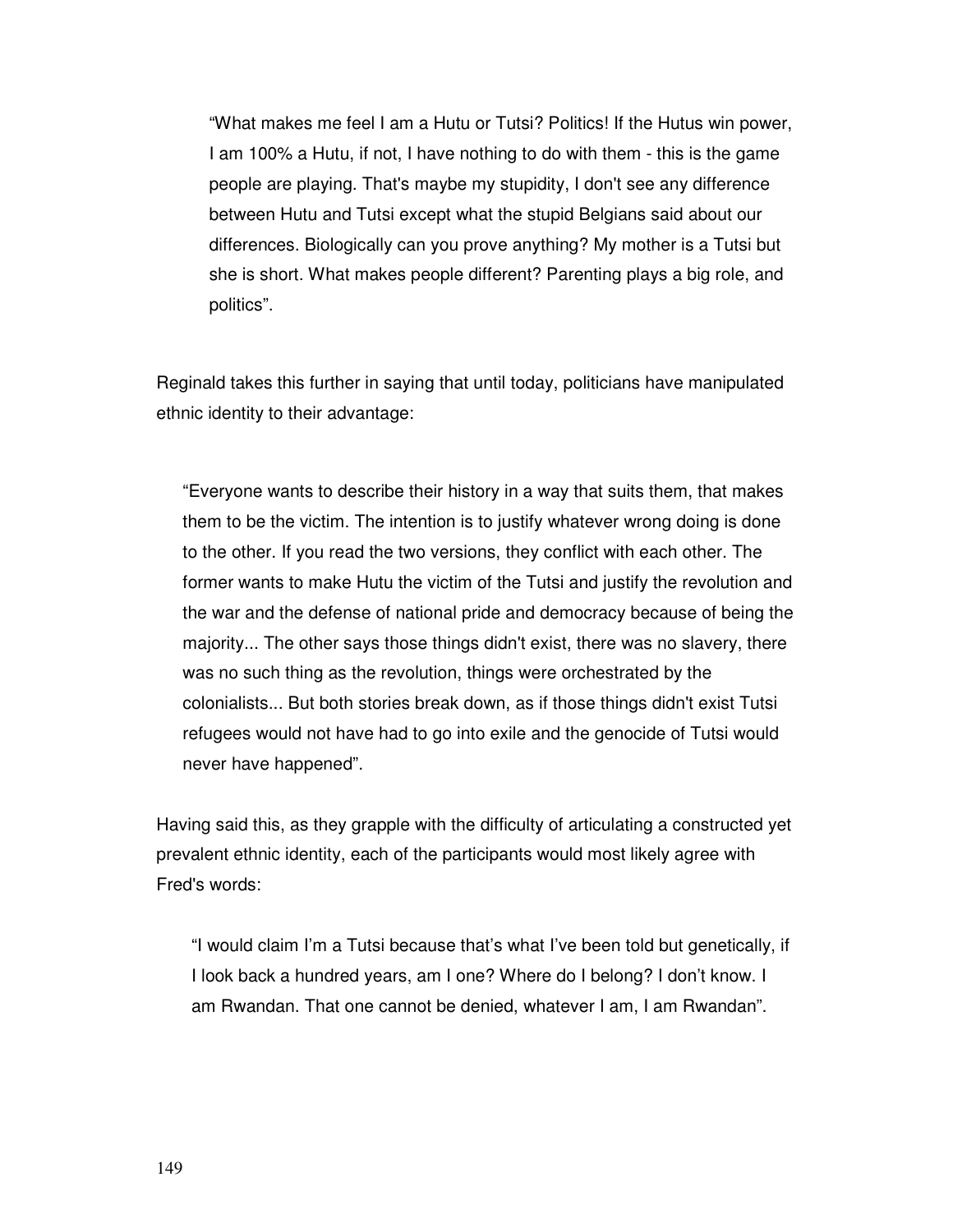"What makes me feel I am a Hutu or Tutsi? Politics! If the Hutus win power, I am 100% a Hutu, if not, I have nothing to do with them - this is the game people are playing. That's maybe my stupidity, I don't see any difference between Hutu and Tutsi except what the stupid Belgians said about our differences. Biologically can you prove anything? My mother is a Tutsi but she is short. What makes people different? Parenting plays a big role, and politics".

Reginald takes this further in saying that until today, politicians have manipulated ethnic identity to their advantage:

"Everyone wants to describe their history in a way that suits them, that makes them to be the victim. The intention is to justify whatever wrong doing is done to the other. If you read the two versions, they conflict with each other. The former wants to make Hutu the victim of the Tutsi and justify the revolution and the war and the defense of national pride and democracy because of being the majority... The other says those things didn't exist, there was no slavery, there was no such thing as the revolution, things were orchestrated by the colonialists... But both stories break down, as if those things didn't exist Tutsi refugees would not have had to go into exile and the genocide of Tutsi would never have happened".

Having said this, as they grapple with the difficulty of articulating a constructed yet prevalent ethnic identity, each of the participants would most likely agree with Fred's words:

"I would claim I'm a Tutsi because that's what I've been told but genetically, if I look back a hundred years, am I one? Where do I belong? I don't know. I am Rwandan. That one cannot be denied, whatever I am, I am Rwandan".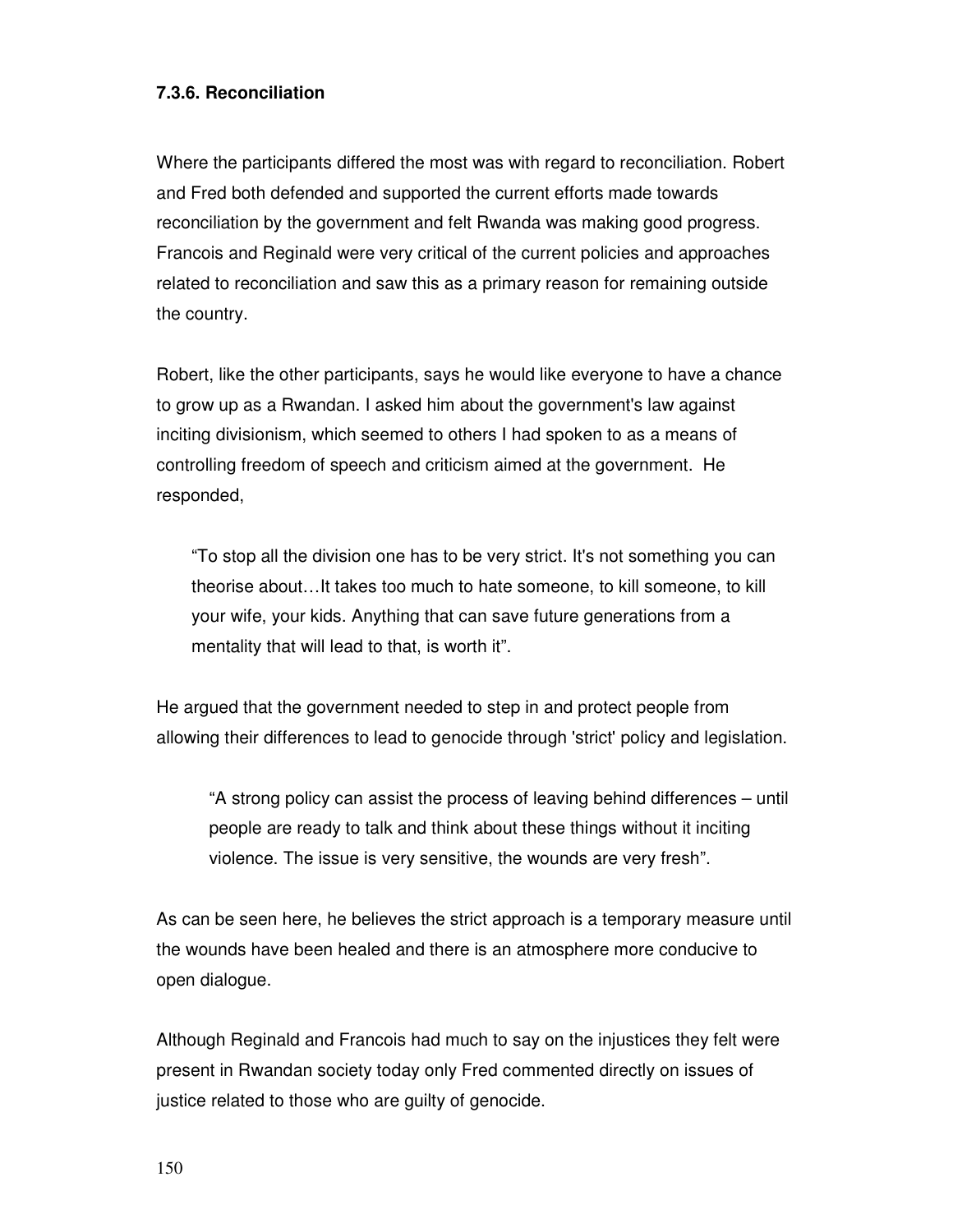## **7.3.6. Reconciliation**

Where the participants differed the most was with regard to reconciliation. Robert and Fred both defended and supported the current efforts made towards reconciliation by the government and felt Rwanda was making good progress. Francois and Reginald were very critical of the current policies and approaches related to reconciliation and saw this as a primary reason for remaining outside the country.

Robert, like the other participants, says he would like everyone to have a chance to grow up as a Rwandan. I asked him about the government's law against inciting divisionism, which seemed to others I had spoken to as a means of controlling freedom of speech and criticism aimed at the government. He responded,

"To stop all the division one has to be very strict. It's not something you can theorise about…It takes too much to hate someone, to kill someone, to kill your wife, your kids. Anything that can save future generations from a mentality that will lead to that, is worth it".

He argued that the government needed to step in and protect people from allowing their differences to lead to genocide through 'strict' policy and legislation.

"A strong policy can assist the process of leaving behind differences – until people are ready to talk and think about these things without it inciting violence. The issue is very sensitive, the wounds are very fresh".

As can be seen here, he believes the strict approach is a temporary measure until the wounds have been healed and there is an atmosphere more conducive to open dialogue.

Although Reginald and Francois had much to say on the injustices they felt were present in Rwandan society today only Fred commented directly on issues of justice related to those who are guilty of genocide.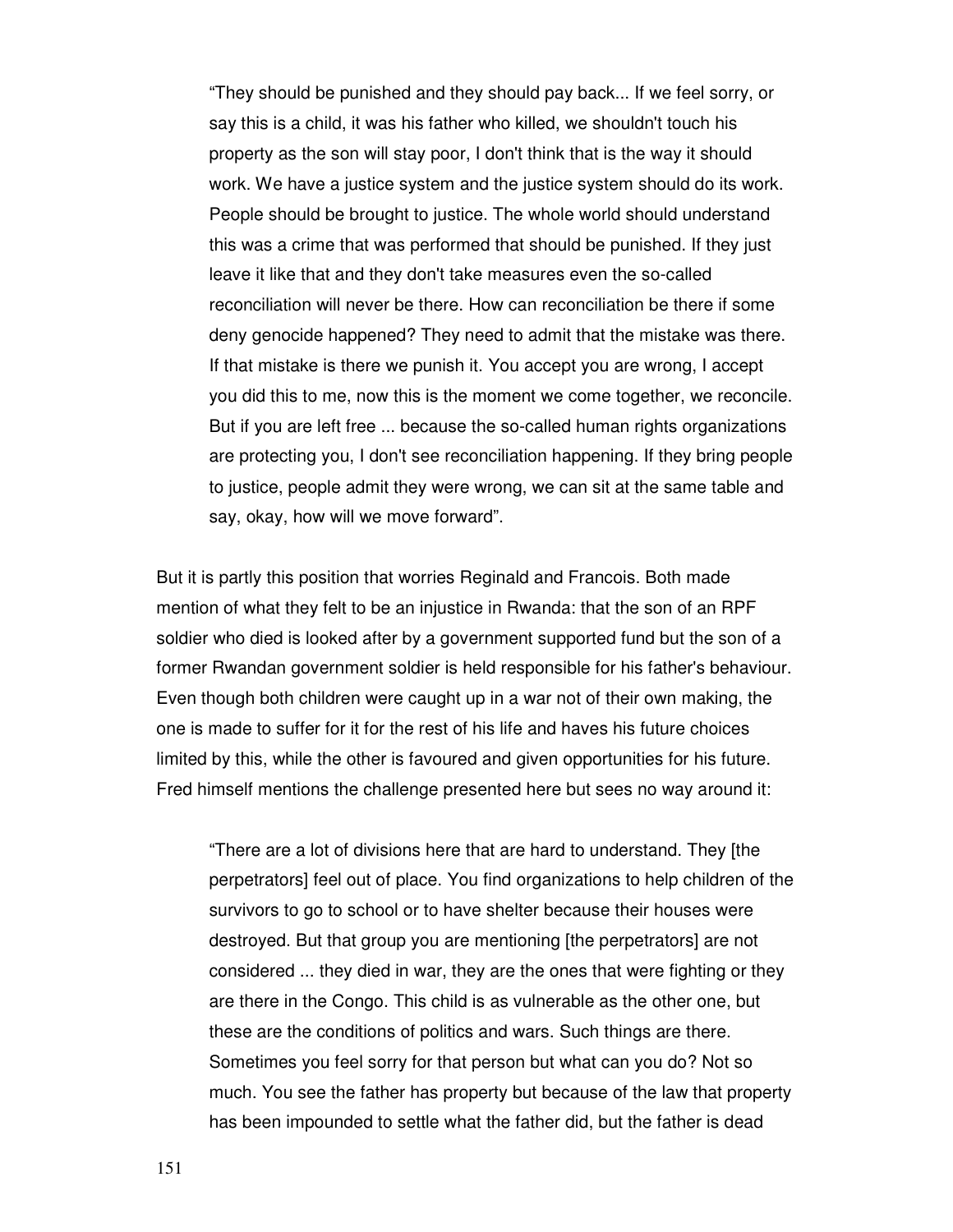"They should be punished and they should pay back... If we feel sorry, or say this is a child, it was his father who killed, we shouldn't touch his property as the son will stay poor, I don't think that is the way it should work. We have a justice system and the justice system should do its work. People should be brought to justice. The whole world should understand this was a crime that was performed that should be punished. If they just leave it like that and they don't take measures even the so-called reconciliation will never be there. How can reconciliation be there if some deny genocide happened? They need to admit that the mistake was there. If that mistake is there we punish it. You accept you are wrong, I accept you did this to me, now this is the moment we come together, we reconcile. But if you are left free ... because the so-called human rights organizations are protecting you, I don't see reconciliation happening. If they bring people to justice, people admit they were wrong, we can sit at the same table and say, okay, how will we move forward".

But it is partly this position that worries Reginald and Francois. Both made mention of what they felt to be an injustice in Rwanda: that the son of an RPF soldier who died is looked after by a government supported fund but the son of a former Rwandan government soldier is held responsible for his father's behaviour. Even though both children were caught up in a war not of their own making, the one is made to suffer for it for the rest of his life and haves his future choices limited by this, while the other is favoured and given opportunities for his future. Fred himself mentions the challenge presented here but sees no way around it:

"There are a lot of divisions here that are hard to understand. They [the perpetrators] feel out of place. You find organizations to help children of the survivors to go to school or to have shelter because their houses were destroyed. But that group you are mentioning [the perpetrators] are not considered ... they died in war, they are the ones that were fighting or they are there in the Congo. This child is as vulnerable as the other one, but these are the conditions of politics and wars. Such things are there. Sometimes you feel sorry for that person but what can you do? Not so much. You see the father has property but because of the law that property has been impounded to settle what the father did, but the father is dead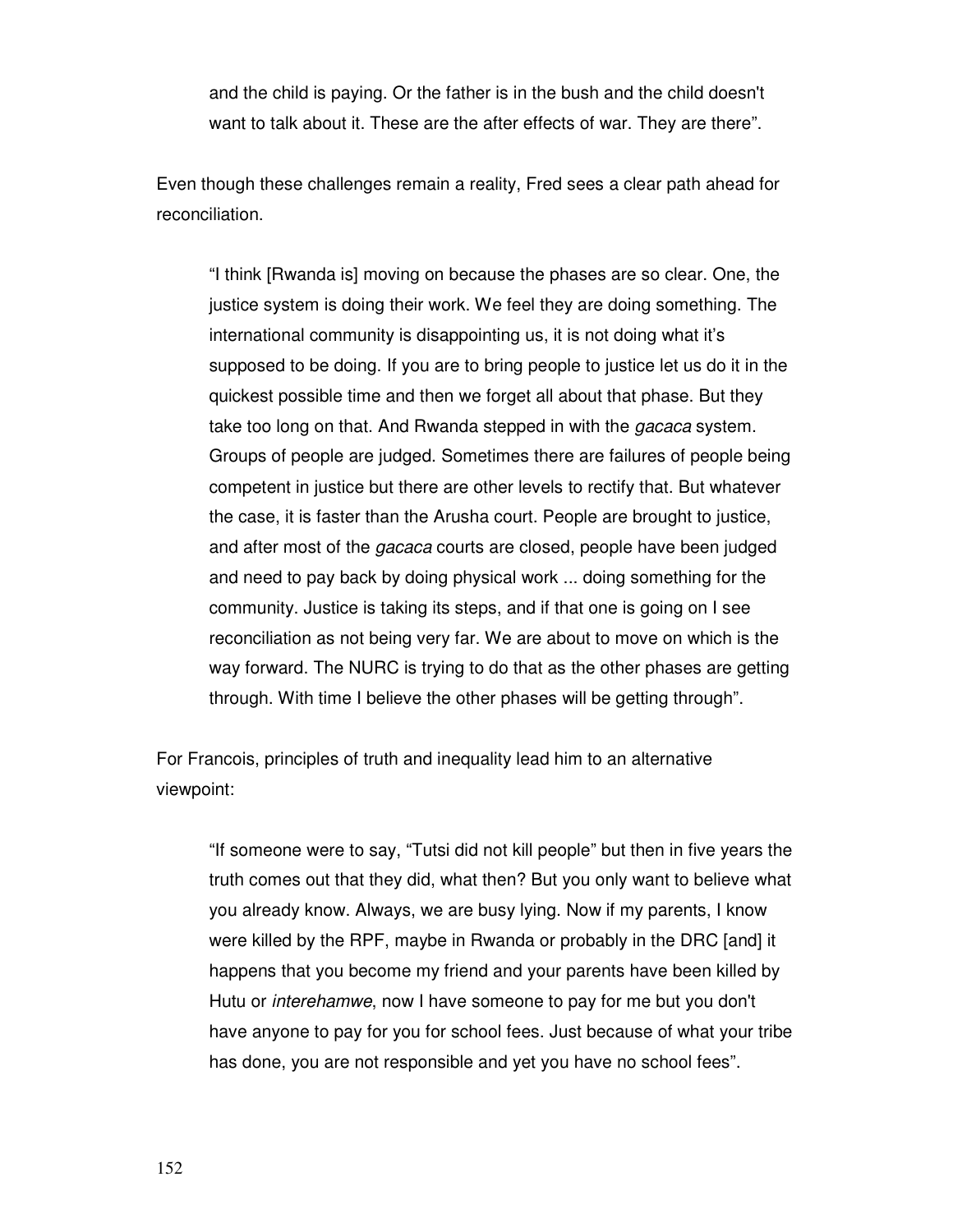and the child is paying. Or the father is in the bush and the child doesn't want to talk about it. These are the after effects of war. They are there".

Even though these challenges remain a reality, Fred sees a clear path ahead for reconciliation.

"I think [Rwanda is] moving on because the phases are so clear. One, the justice system is doing their work. We feel they are doing something. The international community is disappointing us, it is not doing what it's supposed to be doing. If you are to bring people to justice let us do it in the quickest possible time and then we forget all about that phase. But they take too long on that. And Rwanda stepped in with the *gacaca* system. Groups of people are judged. Sometimes there are failures of people being competent in justice but there are other levels to rectify that. But whatever the case, it is faster than the Arusha court. People are brought to justice, and after most of the *gacaca* courts are closed, people have been judged and need to pay back by doing physical work ... doing something for the community. Justice is taking its steps, and if that one is going on I see reconciliation as not being very far. We are about to move on which is the way forward. The NURC is trying to do that as the other phases are getting through. With time I believe the other phases will be getting through".

For Francois, principles of truth and inequality lead him to an alternative viewpoint:

"If someone were to say, "Tutsi did not kill people" but then in five years the truth comes out that they did, what then? But you only want to believe what you already know. Always, we are busy lying. Now if my parents, I know were killed by the RPF, maybe in Rwanda or probably in the DRC [and] it happens that you become my friend and your parents have been killed by Hutu or interehamwe, now I have someone to pay for me but you don't have anyone to pay for you for school fees. Just because of what your tribe has done, you are not responsible and yet you have no school fees".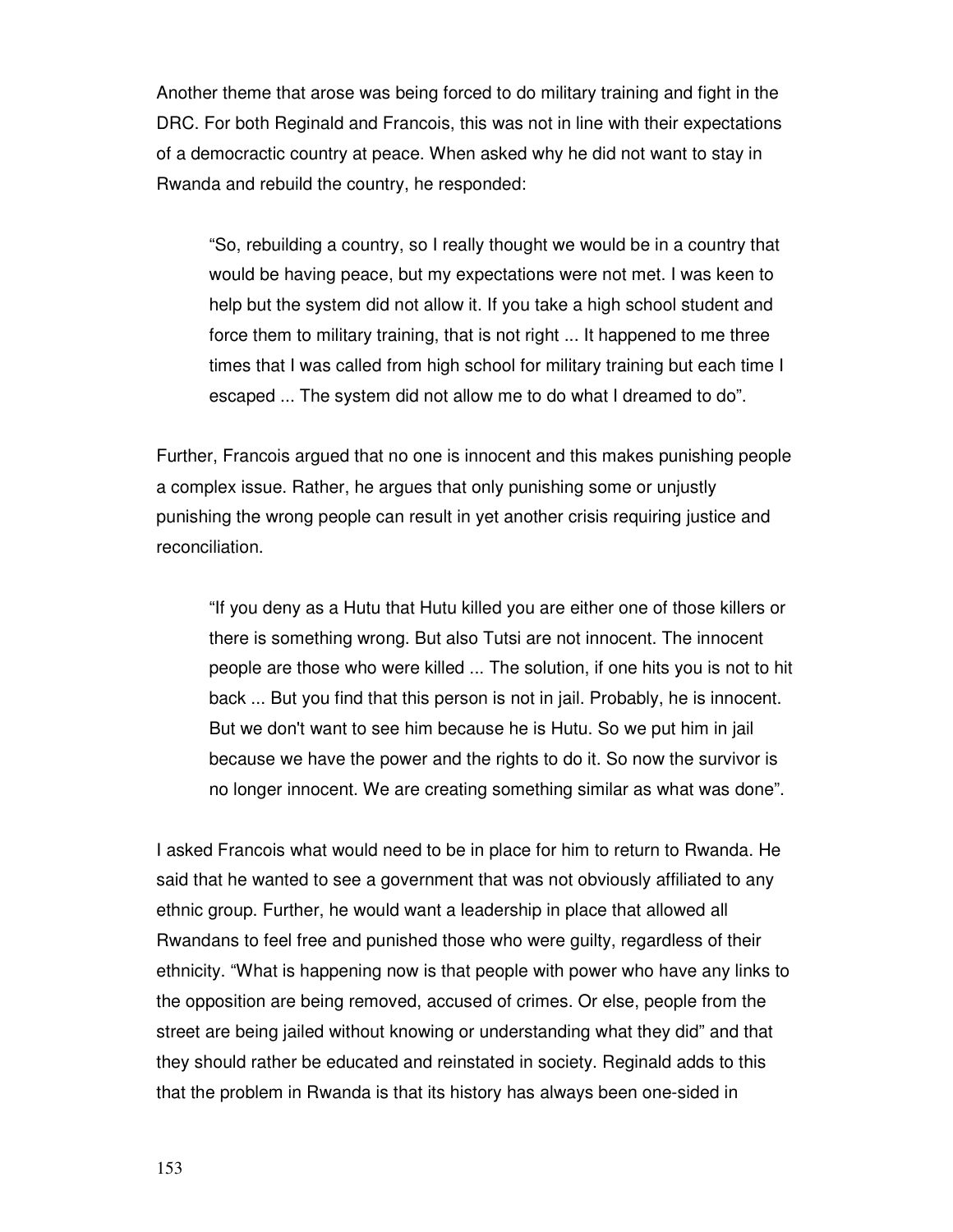Another theme that arose was being forced to do military training and fight in the DRC. For both Reginald and Francois, this was not in line with their expectations of a democractic country at peace. When asked why he did not want to stay in Rwanda and rebuild the country, he responded:

"So, rebuilding a country, so I really thought we would be in a country that would be having peace, but my expectations were not met. I was keen to help but the system did not allow it. If you take a high school student and force them to military training, that is not right ... It happened to me three times that I was called from high school for military training but each time I escaped ... The system did not allow me to do what I dreamed to do".

Further, Francois argued that no one is innocent and this makes punishing people a complex issue. Rather, he argues that only punishing some or unjustly punishing the wrong people can result in yet another crisis requiring justice and reconciliation.

"If you deny as a Hutu that Hutu killed you are either one of those killers or there is something wrong. But also Tutsi are not innocent. The innocent people are those who were killed ... The solution, if one hits you is not to hit back ... But you find that this person is not in jail. Probably, he is innocent. But we don't want to see him because he is Hutu. So we put him in jail because we have the power and the rights to do it. So now the survivor is no longer innocent. We are creating something similar as what was done".

I asked Francois what would need to be in place for him to return to Rwanda. He said that he wanted to see a government that was not obviously affiliated to any ethnic group. Further, he would want a leadership in place that allowed all Rwandans to feel free and punished those who were guilty, regardless of their ethnicity. "What is happening now is that people with power who have any links to the opposition are being removed, accused of crimes. Or else, people from the street are being jailed without knowing or understanding what they did" and that they should rather be educated and reinstated in society. Reginald adds to this that the problem in Rwanda is that its history has always been one-sided in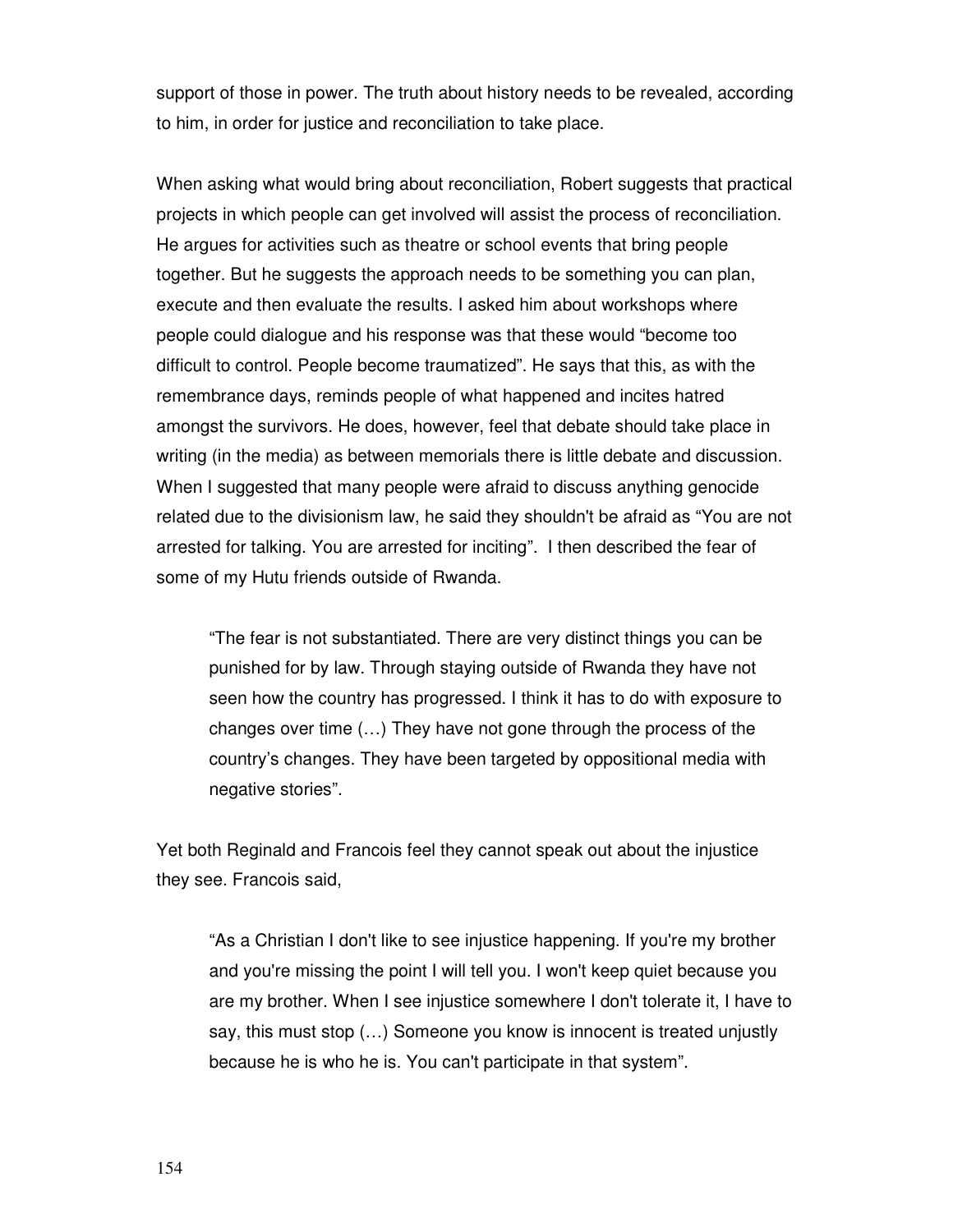support of those in power. The truth about history needs to be revealed, according to him, in order for justice and reconciliation to take place.

When asking what would bring about reconciliation, Robert suggests that practical projects in which people can get involved will assist the process of reconciliation. He argues for activities such as theatre or school events that bring people together. But he suggests the approach needs to be something you can plan, execute and then evaluate the results. I asked him about workshops where people could dialogue and his response was that these would "become too difficult to control. People become traumatized". He says that this, as with the remembrance days, reminds people of what happened and incites hatred amongst the survivors. He does, however, feel that debate should take place in writing (in the media) as between memorials there is little debate and discussion. When I suggested that many people were afraid to discuss anything genocide related due to the divisionism law, he said they shouldn't be afraid as "You are not arrested for talking. You are arrested for inciting". I then described the fear of some of my Hutu friends outside of Rwanda.

"The fear is not substantiated. There are very distinct things you can be punished for by law. Through staying outside of Rwanda they have not seen how the country has progressed. I think it has to do with exposure to changes over time (…) They have not gone through the process of the country's changes. They have been targeted by oppositional media with negative stories".

Yet both Reginald and Francois feel they cannot speak out about the injustice they see. Francois said,

"As a Christian I don't like to see injustice happening. If you're my brother and you're missing the point I will tell you. I won't keep quiet because you are my brother. When I see injustice somewhere I don't tolerate it, I have to say, this must stop (…) Someone you know is innocent is treated unjustly because he is who he is. You can't participate in that system".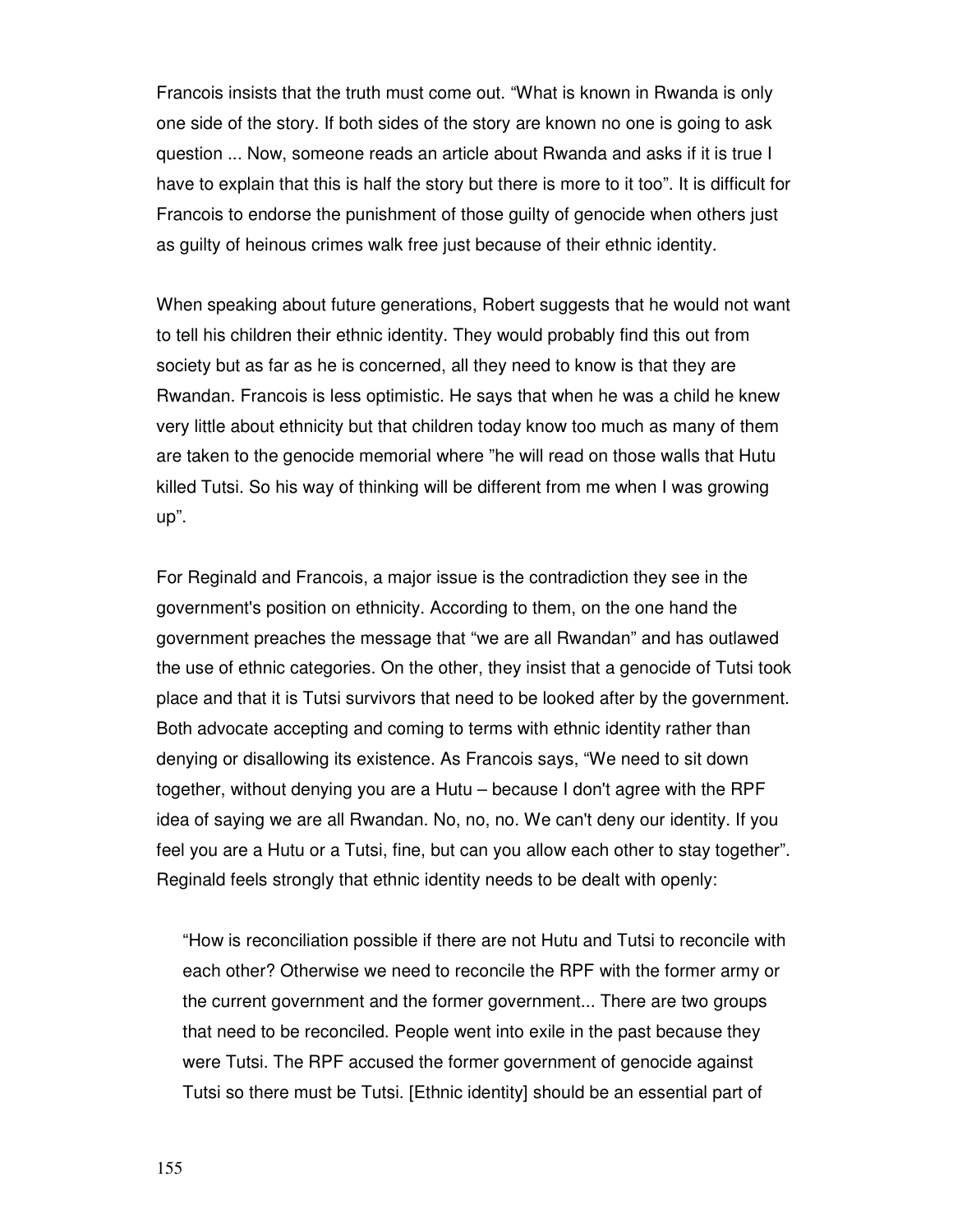Francois insists that the truth must come out. "What is known in Rwanda is only one side of the story. If both sides of the story are known no one is going to ask question ... Now, someone reads an article about Rwanda and asks if it is true I have to explain that this is half the story but there is more to it too". It is difficult for Francois to endorse the punishment of those guilty of genocide when others just as guilty of heinous crimes walk free just because of their ethnic identity.

When speaking about future generations, Robert suggests that he would not want to tell his children their ethnic identity. They would probably find this out from society but as far as he is concerned, all they need to know is that they are Rwandan. Francois is less optimistic. He says that when he was a child he knew very little about ethnicity but that children today know too much as many of them are taken to the genocide memorial where "he will read on those walls that Hutu killed Tutsi. So his way of thinking will be different from me when I was growing up".

For Reginald and Francois, a major issue is the contradiction they see in the government's position on ethnicity. According to them, on the one hand the government preaches the message that "we are all Rwandan" and has outlawed the use of ethnic categories. On the other, they insist that a genocide of Tutsi took place and that it is Tutsi survivors that need to be looked after by the government. Both advocate accepting and coming to terms with ethnic identity rather than denying or disallowing its existence. As Francois says, "We need to sit down together, without denying you are a Hutu – because I don't agree with the RPF idea of saying we are all Rwandan. No, no, no. We can't deny our identity. If you feel you are a Hutu or a Tutsi, fine, but can you allow each other to stay together". Reginald feels strongly that ethnic identity needs to be dealt with openly:

"How is reconciliation possible if there are not Hutu and Tutsi to reconcile with each other? Otherwise we need to reconcile the RPF with the former army or the current government and the former government... There are two groups that need to be reconciled. People went into exile in the past because they were Tutsi. The RPF accused the former government of genocide against Tutsi so there must be Tutsi. [Ethnic identity] should be an essential part of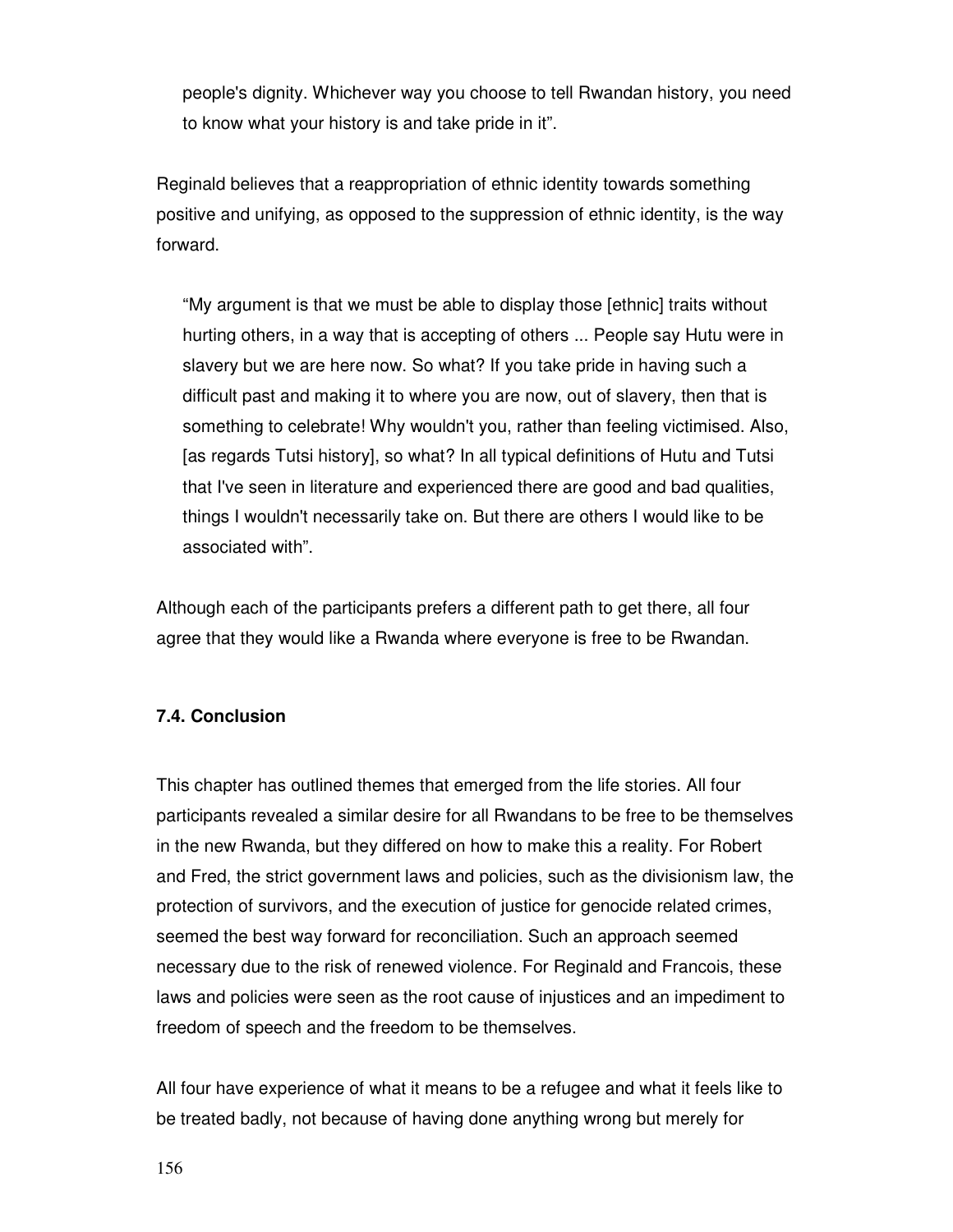people's dignity. Whichever way you choose to tell Rwandan history, you need to know what your history is and take pride in it".

Reginald believes that a reappropriation of ethnic identity towards something positive and unifying, as opposed to the suppression of ethnic identity, is the way forward.

"My argument is that we must be able to display those [ethnic] traits without hurting others, in a way that is accepting of others ... People say Hutu were in slavery but we are here now. So what? If you take pride in having such a difficult past and making it to where you are now, out of slavery, then that is something to celebrate! Why wouldn't you, rather than feeling victimised. Also, [as regards Tutsi history], so what? In all typical definitions of Hutu and Tutsi that I've seen in literature and experienced there are good and bad qualities, things I wouldn't necessarily take on. But there are others I would like to be associated with".

Although each of the participants prefers a different path to get there, all four agree that they would like a Rwanda where everyone is free to be Rwandan.

# **7.4. Conclusion**

This chapter has outlined themes that emerged from the life stories. All four participants revealed a similar desire for all Rwandans to be free to be themselves in the new Rwanda, but they differed on how to make this a reality. For Robert and Fred, the strict government laws and policies, such as the divisionism law, the protection of survivors, and the execution of justice for genocide related crimes, seemed the best way forward for reconciliation. Such an approach seemed necessary due to the risk of renewed violence. For Reginald and Francois, these laws and policies were seen as the root cause of injustices and an impediment to freedom of speech and the freedom to be themselves.

All four have experience of what it means to be a refugee and what it feels like to be treated badly, not because of having done anything wrong but merely for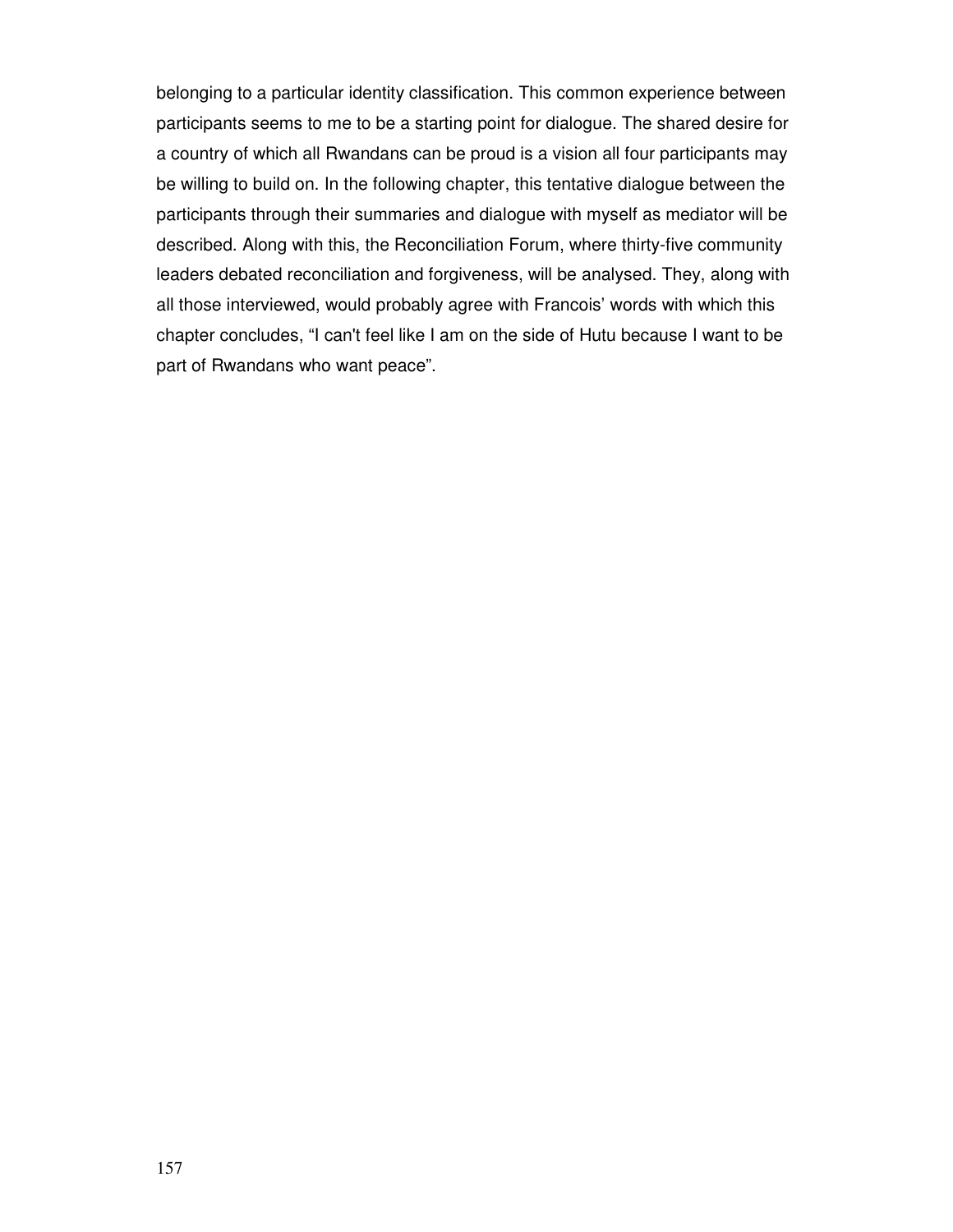belonging to a particular identity classification. This common experience between participants seems to me to be a starting point for dialogue. The shared desire for a country of which all Rwandans can be proud is a vision all four participants may be willing to build on. In the following chapter, this tentative dialogue between the participants through their summaries and dialogue with myself as mediator will be described. Along with this, the Reconciliation Forum, where thirty-five community leaders debated reconciliation and forgiveness, will be analysed. They, along with all those interviewed, would probably agree with Francois' words with which this chapter concludes, "I can't feel like I am on the side of Hutu because I want to be part of Rwandans who want peace".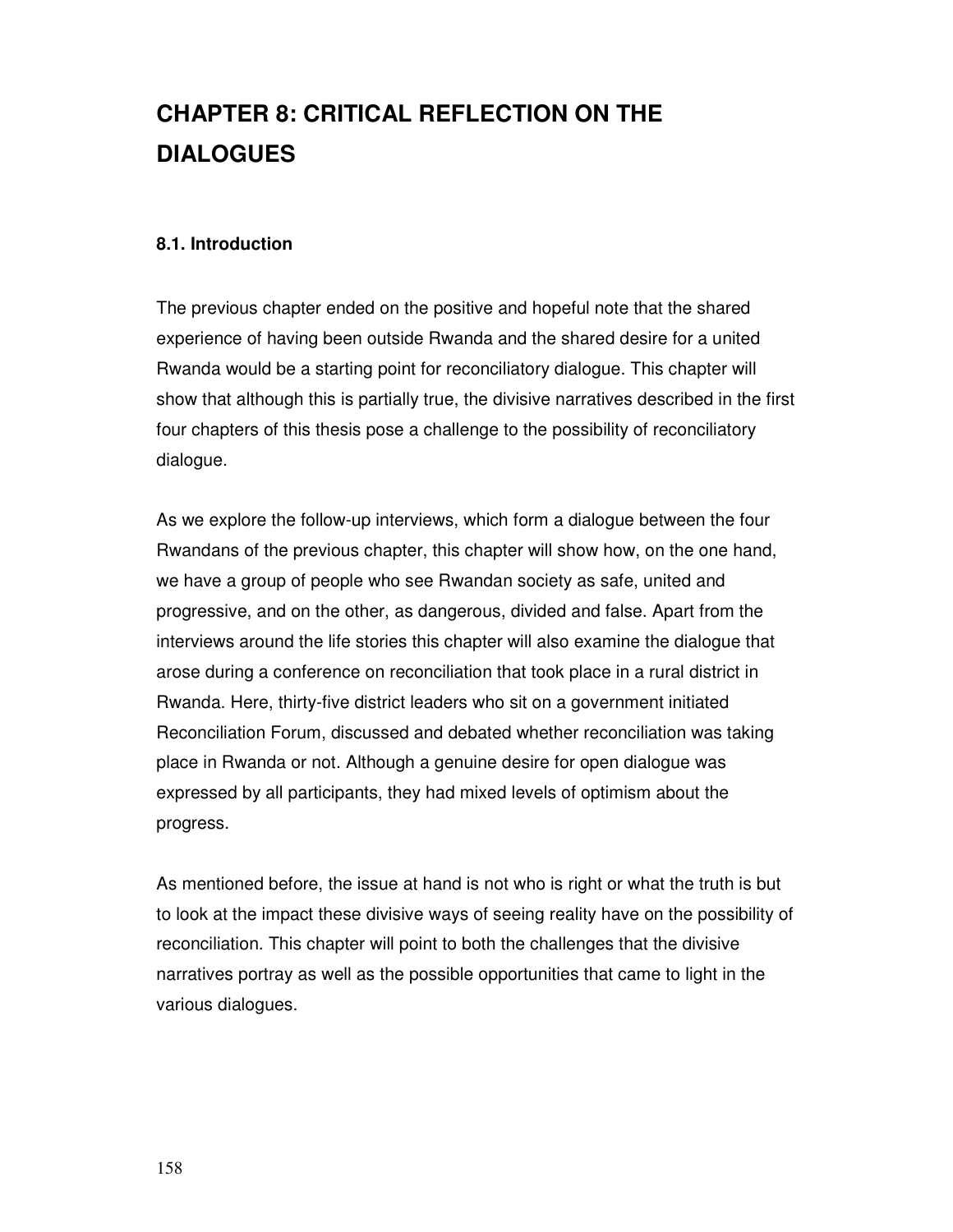# **CHAPTER 8: CRITICAL REFLECTION ON THE DIALOGUES**

## **8.1. Introduction**

The previous chapter ended on the positive and hopeful note that the shared experience of having been outside Rwanda and the shared desire for a united Rwanda would be a starting point for reconciliatory dialogue. This chapter will show that although this is partially true, the divisive narratives described in the first four chapters of this thesis pose a challenge to the possibility of reconciliatory dialogue.

As we explore the follow-up interviews, which form a dialogue between the four Rwandans of the previous chapter, this chapter will show how, on the one hand, we have a group of people who see Rwandan society as safe, united and progressive, and on the other, as dangerous, divided and false. Apart from the interviews around the life stories this chapter will also examine the dialogue that arose during a conference on reconciliation that took place in a rural district in Rwanda. Here, thirty-five district leaders who sit on a government initiated Reconciliation Forum, discussed and debated whether reconciliation was taking place in Rwanda or not. Although a genuine desire for open dialogue was expressed by all participants, they had mixed levels of optimism about the progress.

As mentioned before, the issue at hand is not who is right or what the truth is but to look at the impact these divisive ways of seeing reality have on the possibility of reconciliation. This chapter will point to both the challenges that the divisive narratives portray as well as the possible opportunities that came to light in the various dialogues.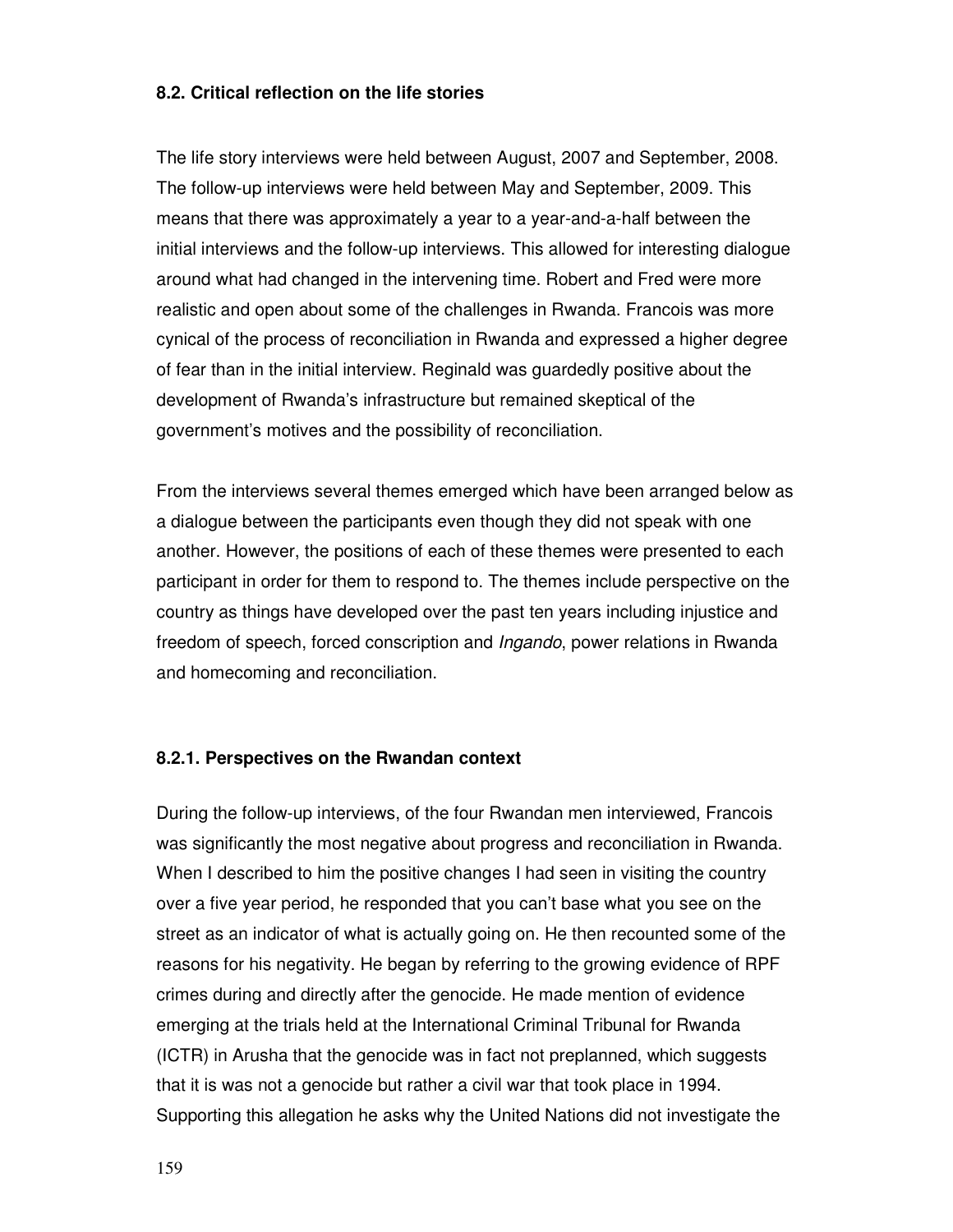### **8.2. Critical reflection on the life stories**

The life story interviews were held between August, 2007 and September, 2008. The follow-up interviews were held between May and September, 2009. This means that there was approximately a year to a year-and-a-half between the initial interviews and the follow-up interviews. This allowed for interesting dialogue around what had changed in the intervening time. Robert and Fred were more realistic and open about some of the challenges in Rwanda. Francois was more cynical of the process of reconciliation in Rwanda and expressed a higher degree of fear than in the initial interview. Reginald was guardedly positive about the development of Rwanda's infrastructure but remained skeptical of the government's motives and the possibility of reconciliation.

From the interviews several themes emerged which have been arranged below as a dialogue between the participants even though they did not speak with one another. However, the positions of each of these themes were presented to each participant in order for them to respond to. The themes include perspective on the country as things have developed over the past ten years including injustice and freedom of speech, forced conscription and Ingando, power relations in Rwanda and homecoming and reconciliation.

#### **8.2.1. Perspectives on the Rwandan context**

During the follow-up interviews, of the four Rwandan men interviewed, Francois was significantly the most negative about progress and reconciliation in Rwanda. When I described to him the positive changes I had seen in visiting the country over a five year period, he responded that you can't base what you see on the street as an indicator of what is actually going on. He then recounted some of the reasons for his negativity. He began by referring to the growing evidence of RPF crimes during and directly after the genocide. He made mention of evidence emerging at the trials held at the International Criminal Tribunal for Rwanda (ICTR) in Arusha that the genocide was in fact not preplanned, which suggests that it is was not a genocide but rather a civil war that took place in 1994. Supporting this allegation he asks why the United Nations did not investigate the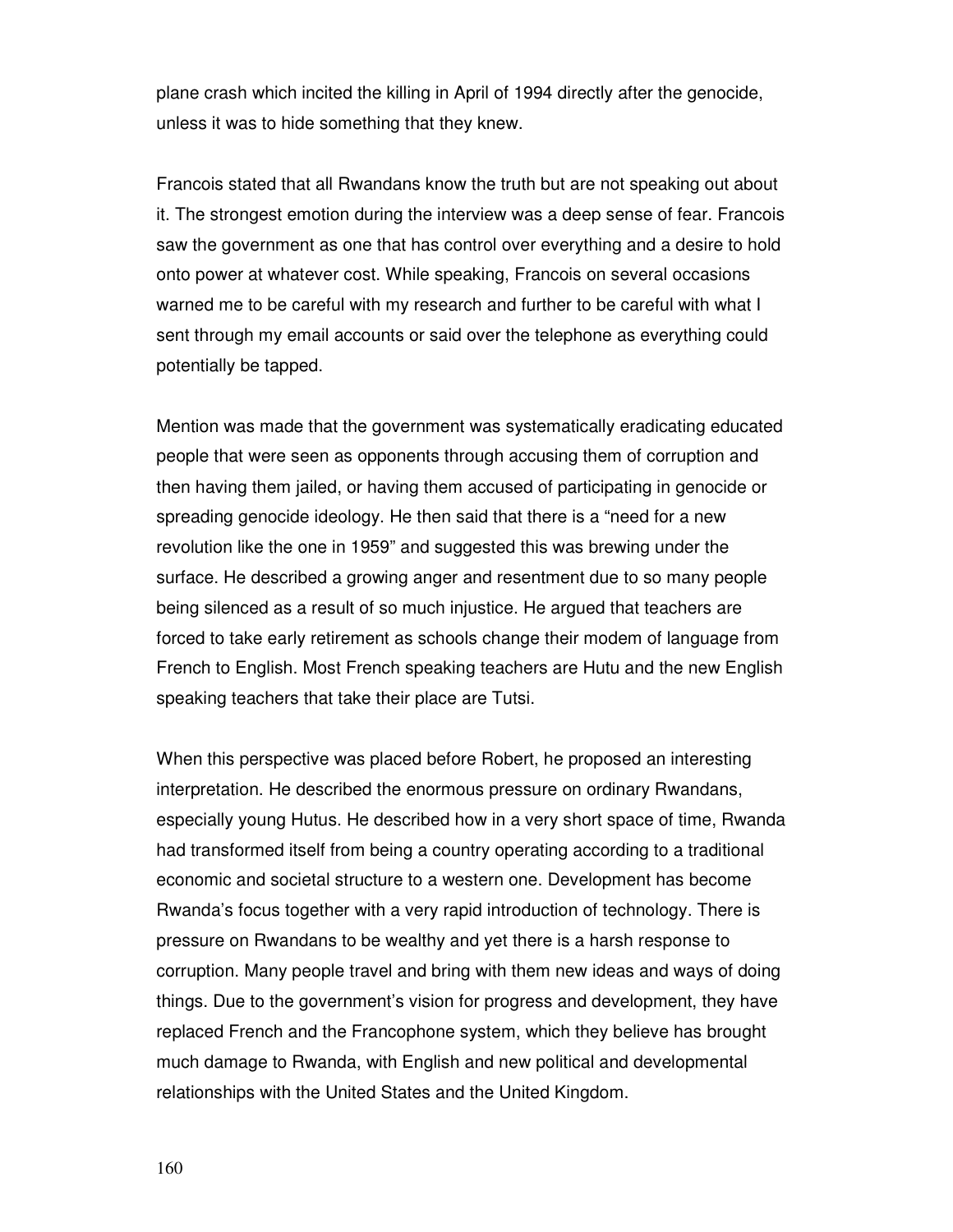plane crash which incited the killing in April of 1994 directly after the genocide, unless it was to hide something that they knew.

Francois stated that all Rwandans know the truth but are not speaking out about it. The strongest emotion during the interview was a deep sense of fear. Francois saw the government as one that has control over everything and a desire to hold onto power at whatever cost. While speaking, Francois on several occasions warned me to be careful with my research and further to be careful with what I sent through my email accounts or said over the telephone as everything could potentially be tapped.

Mention was made that the government was systematically eradicating educated people that were seen as opponents through accusing them of corruption and then having them jailed, or having them accused of participating in genocide or spreading genocide ideology. He then said that there is a "need for a new revolution like the one in 1959" and suggested this was brewing under the surface. He described a growing anger and resentment due to so many people being silenced as a result of so much injustice. He argued that teachers are forced to take early retirement as schools change their modem of language from French to English. Most French speaking teachers are Hutu and the new English speaking teachers that take their place are Tutsi.

When this perspective was placed before Robert, he proposed an interesting interpretation. He described the enormous pressure on ordinary Rwandans, especially young Hutus. He described how in a very short space of time, Rwanda had transformed itself from being a country operating according to a traditional economic and societal structure to a western one. Development has become Rwanda's focus together with a very rapid introduction of technology. There is pressure on Rwandans to be wealthy and yet there is a harsh response to corruption. Many people travel and bring with them new ideas and ways of doing things. Due to the government's vision for progress and development, they have replaced French and the Francophone system, which they believe has brought much damage to Rwanda, with English and new political and developmental relationships with the United States and the United Kingdom.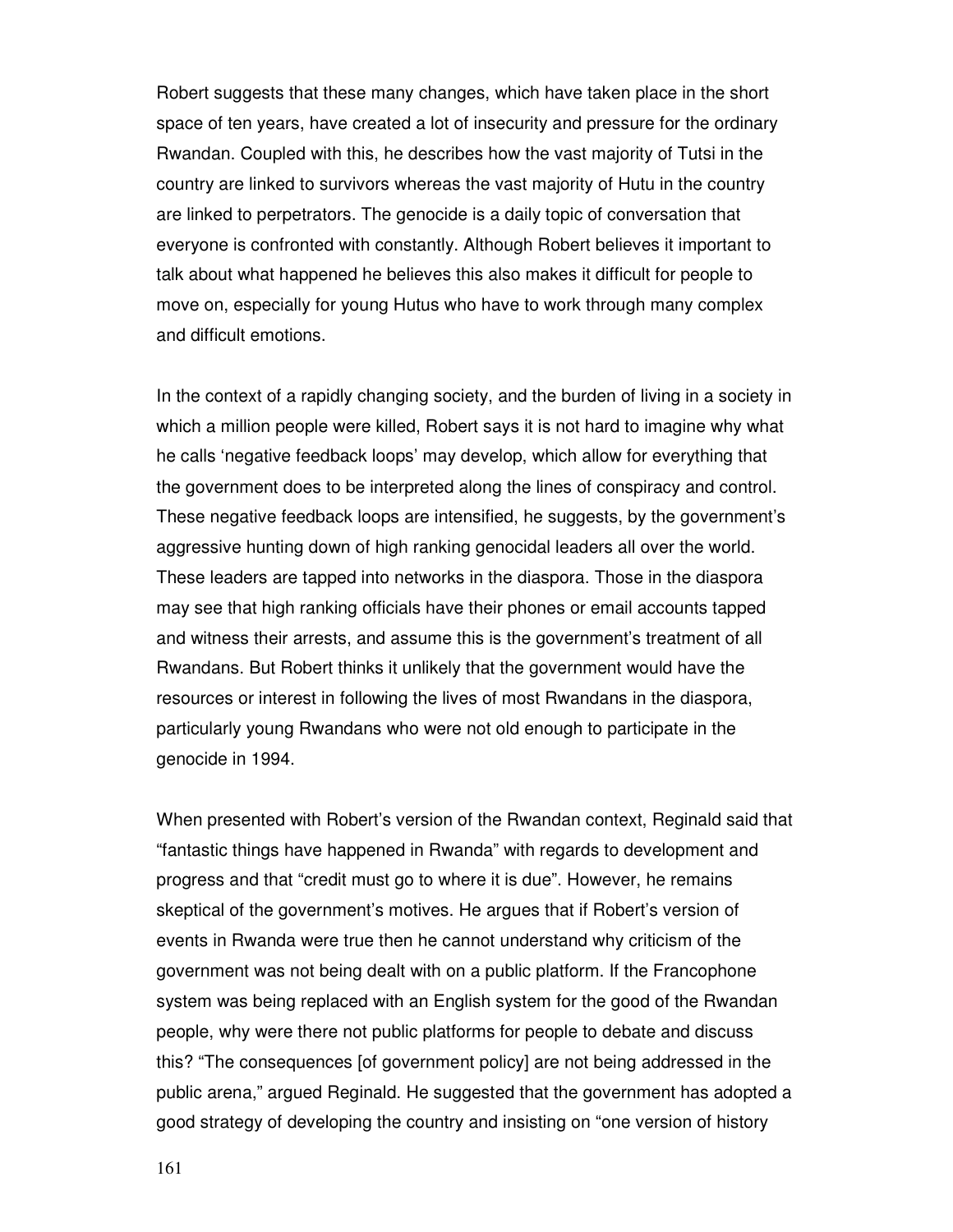Robert suggests that these many changes, which have taken place in the short space of ten years, have created a lot of insecurity and pressure for the ordinary Rwandan. Coupled with this, he describes how the vast majority of Tutsi in the country are linked to survivors whereas the vast majority of Hutu in the country are linked to perpetrators. The genocide is a daily topic of conversation that everyone is confronted with constantly. Although Robert believes it important to talk about what happened he believes this also makes it difficult for people to move on, especially for young Hutus who have to work through many complex and difficult emotions.

In the context of a rapidly changing society, and the burden of living in a society in which a million people were killed, Robert says it is not hard to imagine why what he calls 'negative feedback loops' may develop, which allow for everything that the government does to be interpreted along the lines of conspiracy and control. These negative feedback loops are intensified, he suggests, by the government's aggressive hunting down of high ranking genocidal leaders all over the world. These leaders are tapped into networks in the diaspora. Those in the diaspora may see that high ranking officials have their phones or email accounts tapped and witness their arrests, and assume this is the government's treatment of all Rwandans. But Robert thinks it unlikely that the government would have the resources or interest in following the lives of most Rwandans in the diaspora, particularly young Rwandans who were not old enough to participate in the genocide in 1994.

When presented with Robert's version of the Rwandan context, Reginald said that "fantastic things have happened in Rwanda" with regards to development and progress and that "credit must go to where it is due". However, he remains skeptical of the government's motives. He argues that if Robert's version of events in Rwanda were true then he cannot understand why criticism of the government was not being dealt with on a public platform. If the Francophone system was being replaced with an English system for the good of the Rwandan people, why were there not public platforms for people to debate and discuss this? "The consequences [of government policy] are not being addressed in the public arena," argued Reginald. He suggested that the government has adopted a good strategy of developing the country and insisting on "one version of history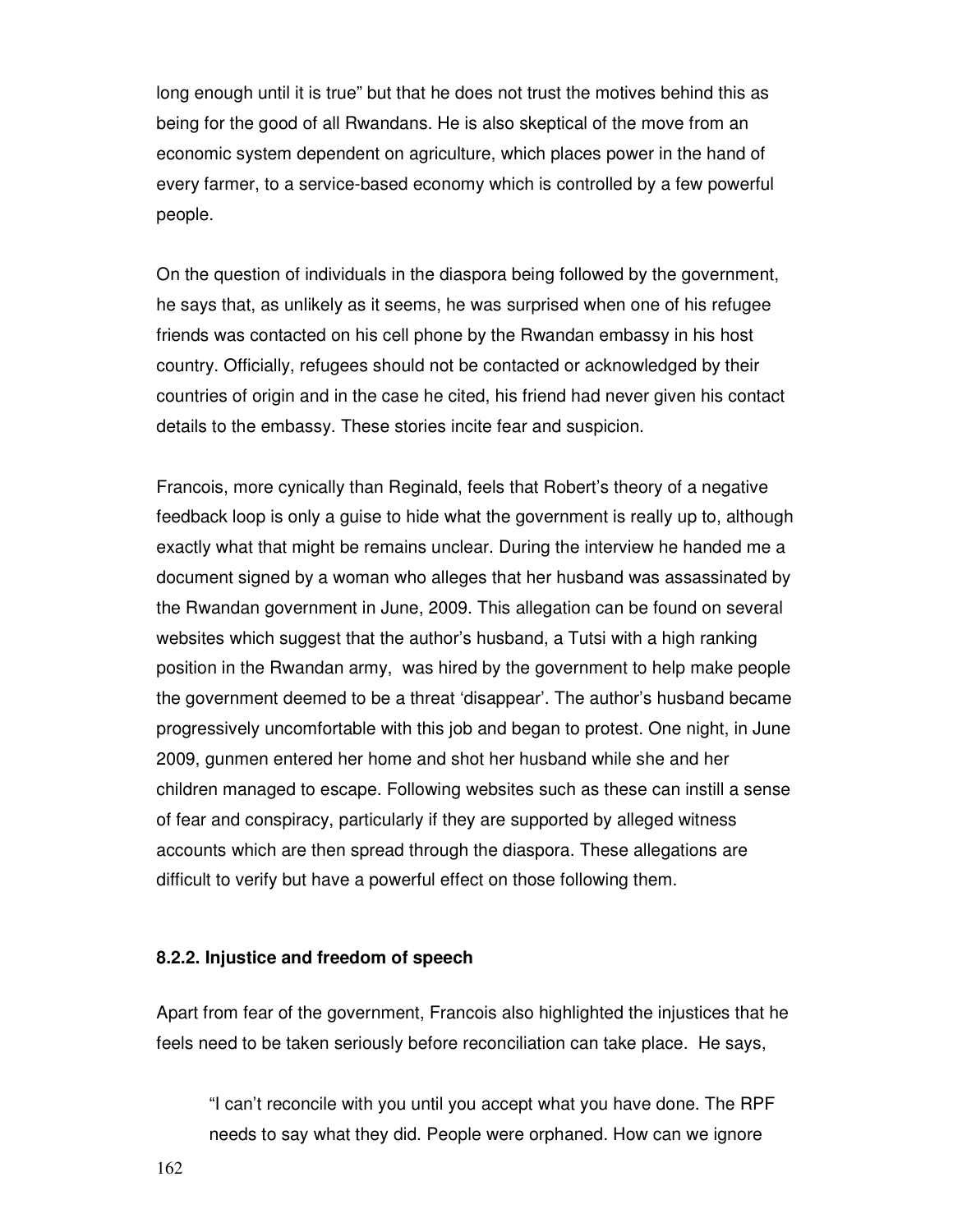long enough until it is true" but that he does not trust the motives behind this as being for the good of all Rwandans. He is also skeptical of the move from an economic system dependent on agriculture, which places power in the hand of every farmer, to a service-based economy which is controlled by a few powerful people.

On the question of individuals in the diaspora being followed by the government, he says that, as unlikely as it seems, he was surprised when one of his refugee friends was contacted on his cell phone by the Rwandan embassy in his host country. Officially, refugees should not be contacted or acknowledged by their countries of origin and in the case he cited, his friend had never given his contact details to the embassy. These stories incite fear and suspicion.

Francois, more cynically than Reginald, feels that Robert's theory of a negative feedback loop is only a guise to hide what the government is really up to, although exactly what that might be remains unclear. During the interview he handed me a document signed by a woman who alleges that her husband was assassinated by the Rwandan government in June, 2009. This allegation can be found on several websites which suggest that the author's husband, a Tutsi with a high ranking position in the Rwandan army, was hired by the government to help make people the government deemed to be a threat 'disappear'. The author's husband became progressively uncomfortable with this job and began to protest. One night, in June 2009, gunmen entered her home and shot her husband while she and her children managed to escape. Following websites such as these can instill a sense of fear and conspiracy, particularly if they are supported by alleged witness accounts which are then spread through the diaspora. These allegations are difficult to verify but have a powerful effect on those following them.

### **8.2.2. Injustice and freedom of speech**

Apart from fear of the government, Francois also highlighted the injustices that he feels need to be taken seriously before reconciliation can take place. He says,

"I can't reconcile with you until you accept what you have done. The RPF needs to say what they did. People were orphaned. How can we ignore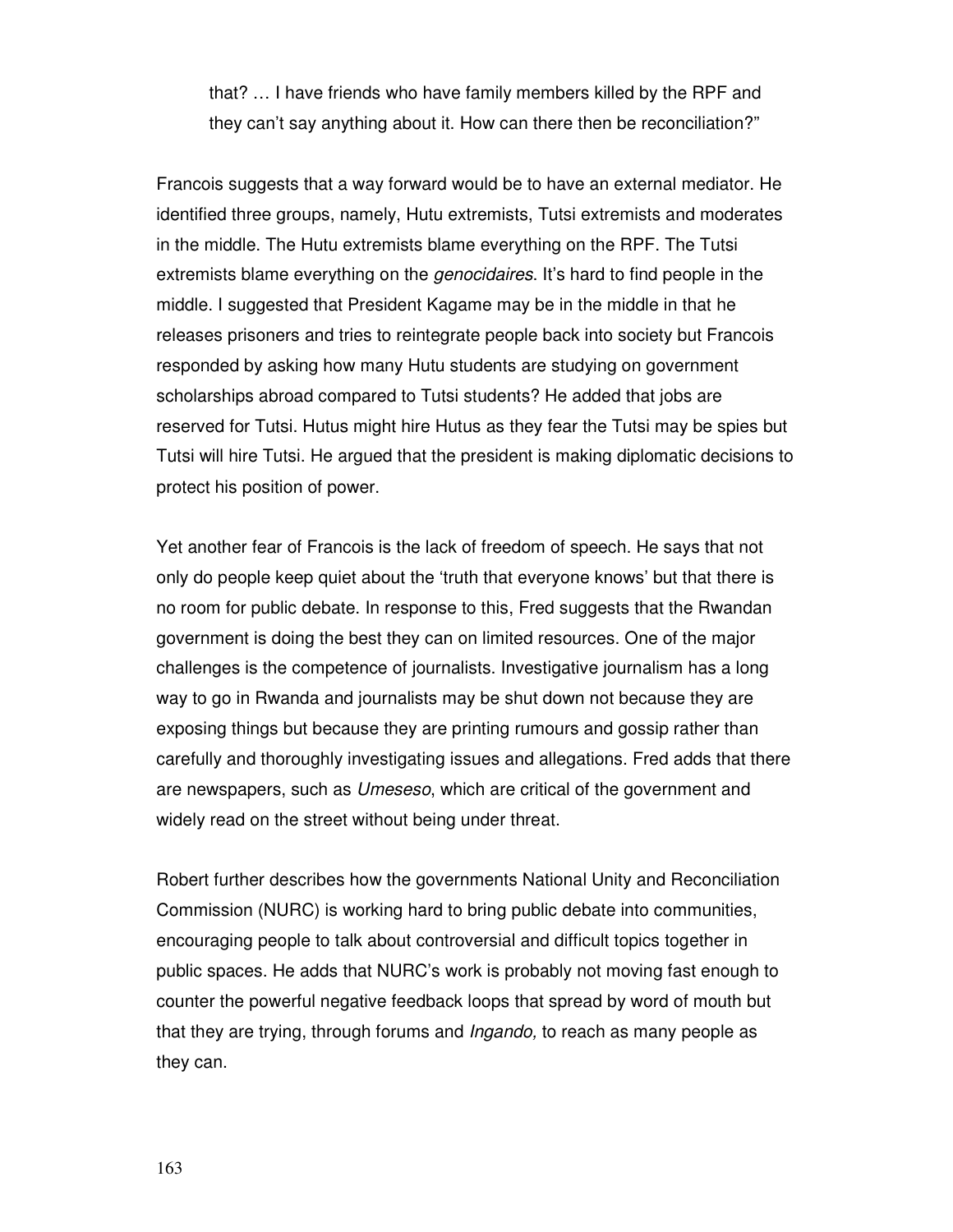that? … I have friends who have family members killed by the RPF and they can't say anything about it. How can there then be reconciliation?"

Francois suggests that a way forward would be to have an external mediator. He identified three groups, namely, Hutu extremists, Tutsi extremists and moderates in the middle. The Hutu extremists blame everything on the RPF. The Tutsi extremists blame everything on the *genocidaires*. It's hard to find people in the middle. I suggested that President Kagame may be in the middle in that he releases prisoners and tries to reintegrate people back into society but Francois responded by asking how many Hutu students are studying on government scholarships abroad compared to Tutsi students? He added that jobs are reserved for Tutsi. Hutus might hire Hutus as they fear the Tutsi may be spies but Tutsi will hire Tutsi. He argued that the president is making diplomatic decisions to protect his position of power.

Yet another fear of Francois is the lack of freedom of speech. He says that not only do people keep quiet about the 'truth that everyone knows' but that there is no room for public debate. In response to this, Fred suggests that the Rwandan government is doing the best they can on limited resources. One of the major challenges is the competence of journalists. Investigative journalism has a long way to go in Rwanda and journalists may be shut down not because they are exposing things but because they are printing rumours and gossip rather than carefully and thoroughly investigating issues and allegations. Fred adds that there are newspapers, such as Umeseso, which are critical of the government and widely read on the street without being under threat.

Robert further describes how the governments National Unity and Reconciliation Commission (NURC) is working hard to bring public debate into communities, encouraging people to talk about controversial and difficult topics together in public spaces. He adds that NURC's work is probably not moving fast enough to counter the powerful negative feedback loops that spread by word of mouth but that they are trying, through forums and Ingando, to reach as many people as they can.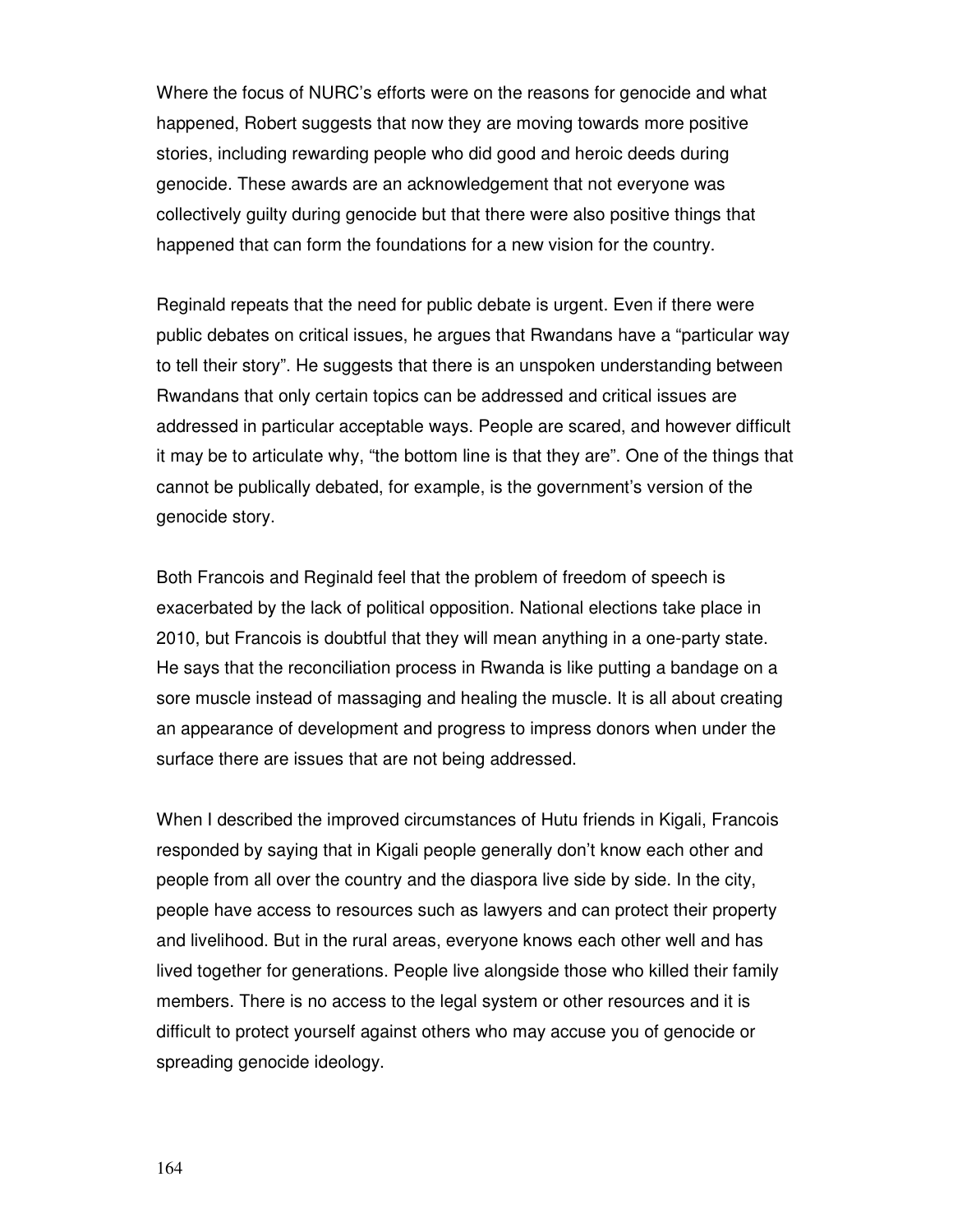Where the focus of NURC's efforts were on the reasons for genocide and what happened, Robert suggests that now they are moving towards more positive stories, including rewarding people who did good and heroic deeds during genocide. These awards are an acknowledgement that not everyone was collectively guilty during genocide but that there were also positive things that happened that can form the foundations for a new vision for the country.

Reginald repeats that the need for public debate is urgent. Even if there were public debates on critical issues, he argues that Rwandans have a "particular way to tell their story". He suggests that there is an unspoken understanding between Rwandans that only certain topics can be addressed and critical issues are addressed in particular acceptable ways. People are scared, and however difficult it may be to articulate why, "the bottom line is that they are". One of the things that cannot be publically debated, for example, is the government's version of the genocide story.

Both Francois and Reginald feel that the problem of freedom of speech is exacerbated by the lack of political opposition. National elections take place in 2010, but Francois is doubtful that they will mean anything in a one-party state. He says that the reconciliation process in Rwanda is like putting a bandage on a sore muscle instead of massaging and healing the muscle. It is all about creating an appearance of development and progress to impress donors when under the surface there are issues that are not being addressed.

When I described the improved circumstances of Hutu friends in Kigali, Francois responded by saying that in Kigali people generally don't know each other and people from all over the country and the diaspora live side by side. In the city, people have access to resources such as lawyers and can protect their property and livelihood. But in the rural areas, everyone knows each other well and has lived together for generations. People live alongside those who killed their family members. There is no access to the legal system or other resources and it is difficult to protect yourself against others who may accuse you of genocide or spreading genocide ideology.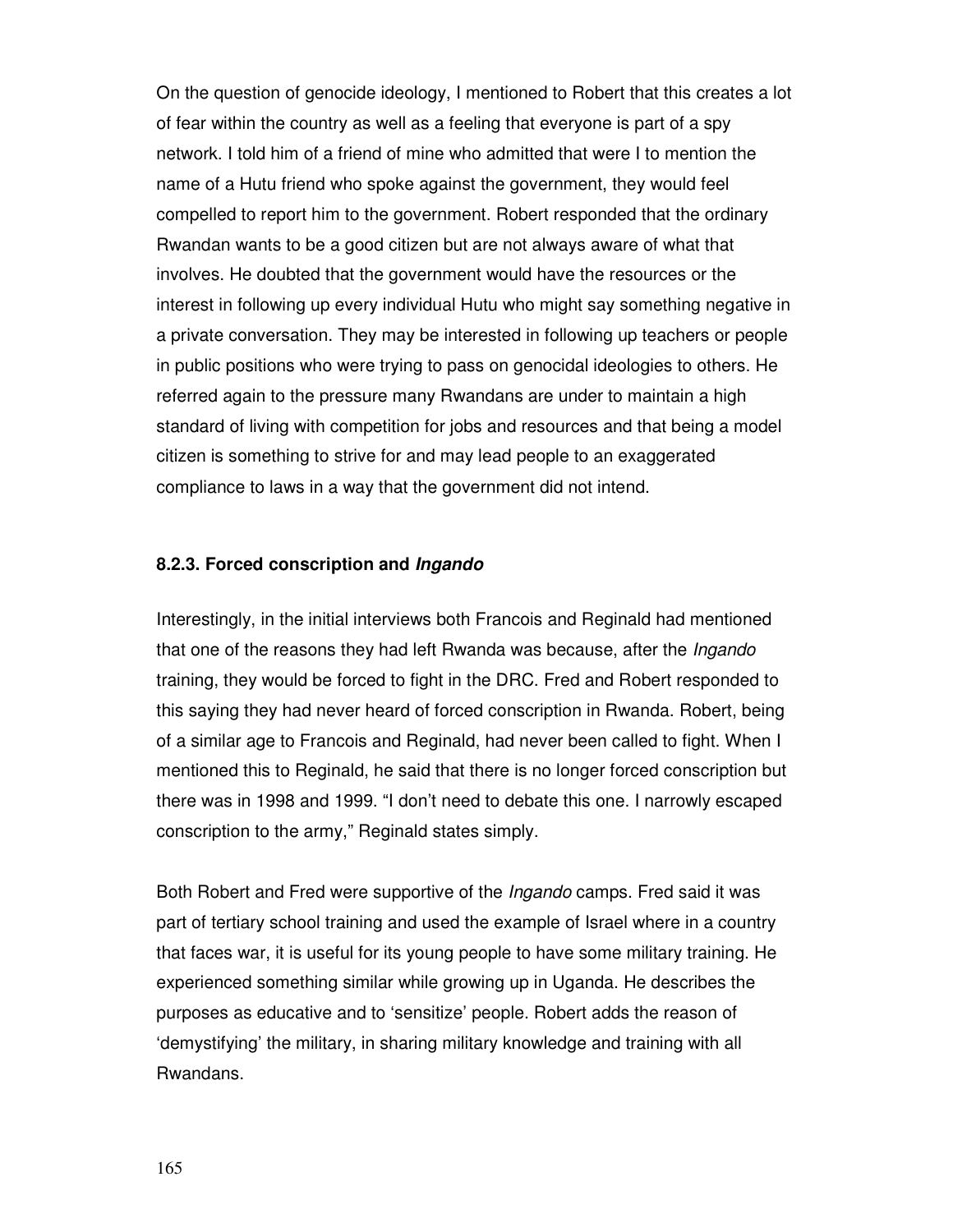On the question of genocide ideology, I mentioned to Robert that this creates a lot of fear within the country as well as a feeling that everyone is part of a spy network. I told him of a friend of mine who admitted that were I to mention the name of a Hutu friend who spoke against the government, they would feel compelled to report him to the government. Robert responded that the ordinary Rwandan wants to be a good citizen but are not always aware of what that involves. He doubted that the government would have the resources or the interest in following up every individual Hutu who might say something negative in a private conversation. They may be interested in following up teachers or people in public positions who were trying to pass on genocidal ideologies to others. He referred again to the pressure many Rwandans are under to maintain a high standard of living with competition for jobs and resources and that being a model citizen is something to strive for and may lead people to an exaggerated compliance to laws in a way that the government did not intend.

### **8.2.3. Forced conscription and Ingando**

Interestingly, in the initial interviews both Francois and Reginald had mentioned that one of the reasons they had left Rwanda was because, after the *Ingando* training, they would be forced to fight in the DRC. Fred and Robert responded to this saying they had never heard of forced conscription in Rwanda. Robert, being of a similar age to Francois and Reginald, had never been called to fight. When I mentioned this to Reginald, he said that there is no longer forced conscription but there was in 1998 and 1999. "I don't need to debate this one. I narrowly escaped conscription to the army," Reginald states simply.

Both Robert and Fred were supportive of the *Ingando* camps. Fred said it was part of tertiary school training and used the example of Israel where in a country that faces war, it is useful for its young people to have some military training. He experienced something similar while growing up in Uganda. He describes the purposes as educative and to 'sensitize' people. Robert adds the reason of 'demystifying' the military, in sharing military knowledge and training with all Rwandans.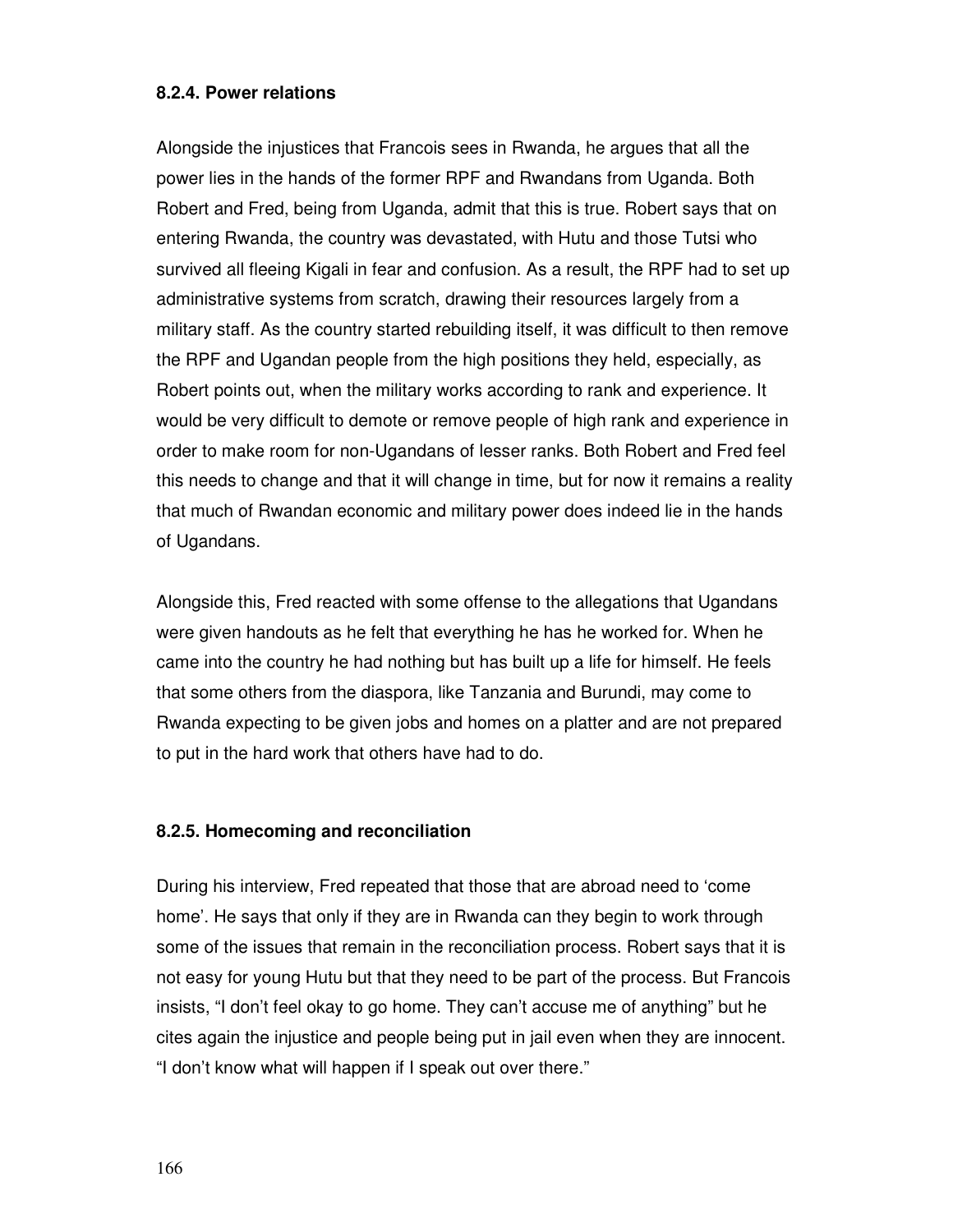## **8.2.4. Power relations**

Alongside the injustices that Francois sees in Rwanda, he argues that all the power lies in the hands of the former RPF and Rwandans from Uganda. Both Robert and Fred, being from Uganda, admit that this is true. Robert says that on entering Rwanda, the country was devastated, with Hutu and those Tutsi who survived all fleeing Kigali in fear and confusion. As a result, the RPF had to set up administrative systems from scratch, drawing their resources largely from a military staff. As the country started rebuilding itself, it was difficult to then remove the RPF and Ugandan people from the high positions they held, especially, as Robert points out, when the military works according to rank and experience. It would be very difficult to demote or remove people of high rank and experience in order to make room for non-Ugandans of lesser ranks. Both Robert and Fred feel this needs to change and that it will change in time, but for now it remains a reality that much of Rwandan economic and military power does indeed lie in the hands of Ugandans.

Alongside this, Fred reacted with some offense to the allegations that Ugandans were given handouts as he felt that everything he has he worked for. When he came into the country he had nothing but has built up a life for himself. He feels that some others from the diaspora, like Tanzania and Burundi, may come to Rwanda expecting to be given jobs and homes on a platter and are not prepared to put in the hard work that others have had to do.

## **8.2.5. Homecoming and reconciliation**

During his interview, Fred repeated that those that are abroad need to 'come home'. He says that only if they are in Rwanda can they begin to work through some of the issues that remain in the reconciliation process. Robert says that it is not easy for young Hutu but that they need to be part of the process. But Francois insists, "I don't feel okay to go home. They can't accuse me of anything" but he cites again the injustice and people being put in jail even when they are innocent. "I don't know what will happen if I speak out over there."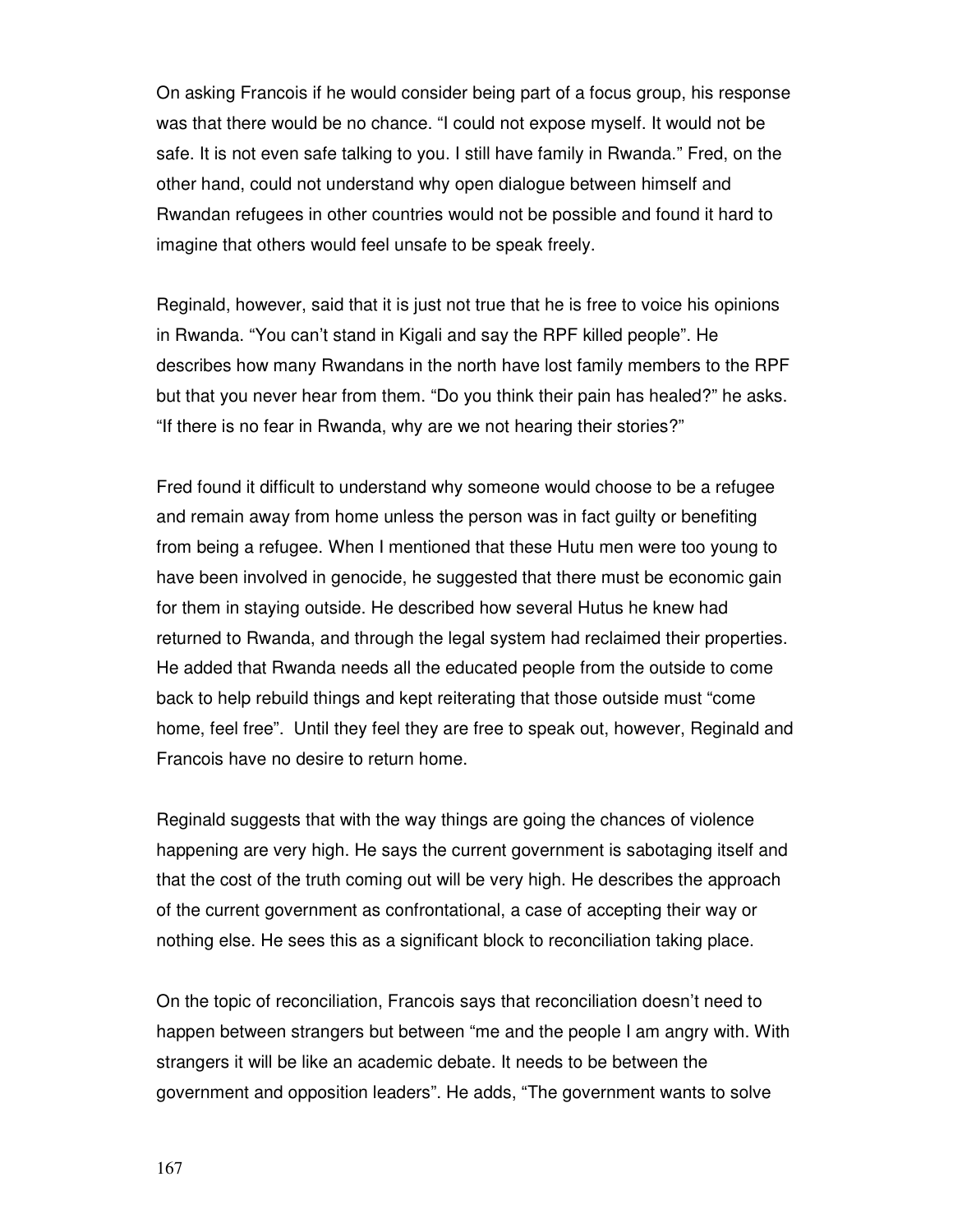On asking Francois if he would consider being part of a focus group, his response was that there would be no chance. "I could not expose myself. It would not be safe. It is not even safe talking to you. I still have family in Rwanda." Fred, on the other hand, could not understand why open dialogue between himself and Rwandan refugees in other countries would not be possible and found it hard to imagine that others would feel unsafe to be speak freely.

Reginald, however, said that it is just not true that he is free to voice his opinions in Rwanda. "You can't stand in Kigali and say the RPF killed people". He describes how many Rwandans in the north have lost family members to the RPF but that you never hear from them. "Do you think their pain has healed?" he asks. "If there is no fear in Rwanda, why are we not hearing their stories?"

Fred found it difficult to understand why someone would choose to be a refugee and remain away from home unless the person was in fact guilty or benefiting from being a refugee. When I mentioned that these Hutu men were too young to have been involved in genocide, he suggested that there must be economic gain for them in staying outside. He described how several Hutus he knew had returned to Rwanda, and through the legal system had reclaimed their properties. He added that Rwanda needs all the educated people from the outside to come back to help rebuild things and kept reiterating that those outside must "come home, feel free". Until they feel they are free to speak out, however, Reginald and Francois have no desire to return home.

Reginald suggests that with the way things are going the chances of violence happening are very high. He says the current government is sabotaging itself and that the cost of the truth coming out will be very high. He describes the approach of the current government as confrontational, a case of accepting their way or nothing else. He sees this as a significant block to reconciliation taking place.

On the topic of reconciliation, Francois says that reconciliation doesn't need to happen between strangers but between "me and the people I am angry with. With strangers it will be like an academic debate. It needs to be between the government and opposition leaders". He adds, "The government wants to solve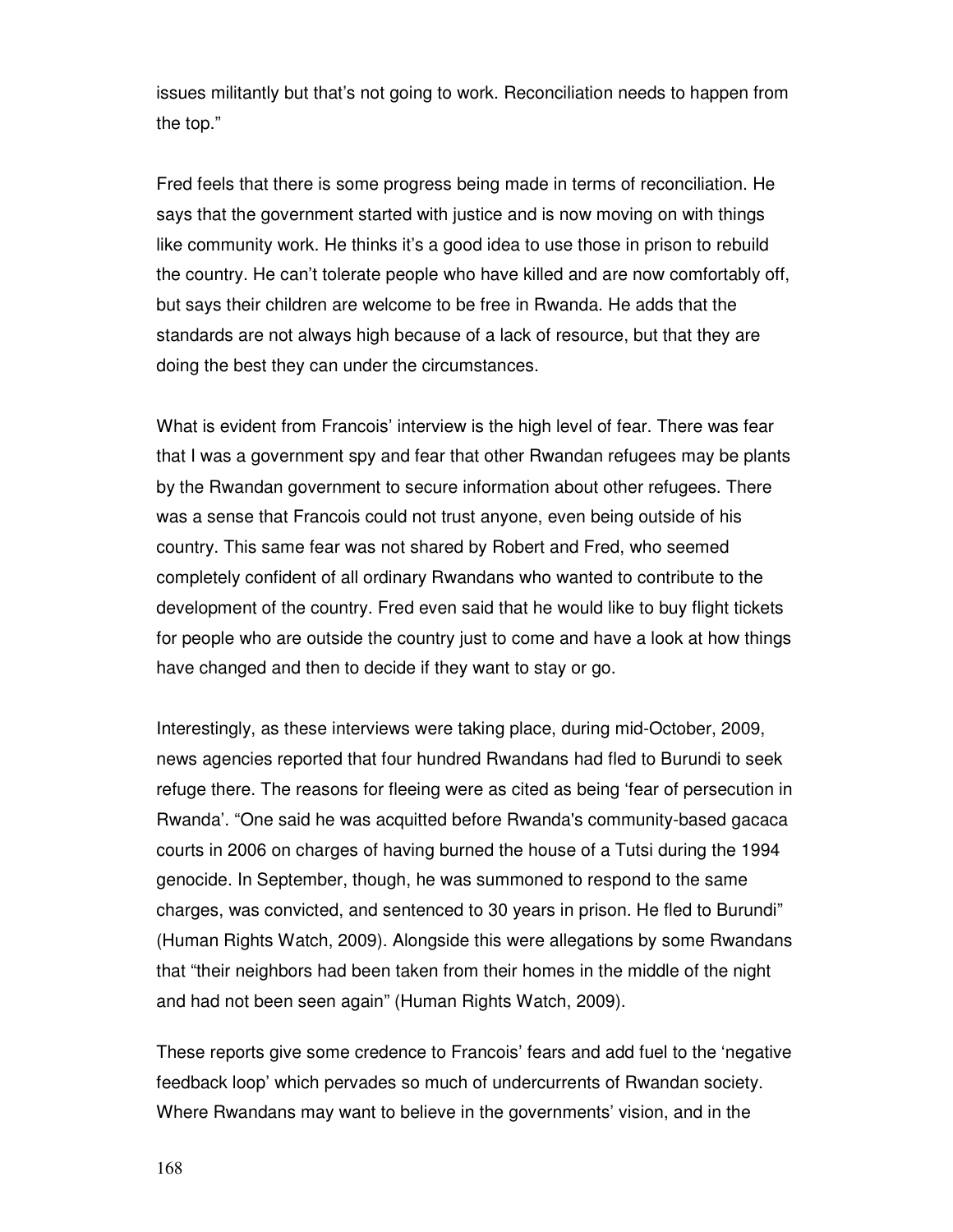issues militantly but that's not going to work. Reconciliation needs to happen from the top."

Fred feels that there is some progress being made in terms of reconciliation. He says that the government started with justice and is now moving on with things like community work. He thinks it's a good idea to use those in prison to rebuild the country. He can't tolerate people who have killed and are now comfortably off, but says their children are welcome to be free in Rwanda. He adds that the standards are not always high because of a lack of resource, but that they are doing the best they can under the circumstances.

What is evident from Francois' interview is the high level of fear. There was fear that I was a government spy and fear that other Rwandan refugees may be plants by the Rwandan government to secure information about other refugees. There was a sense that Francois could not trust anyone, even being outside of his country. This same fear was not shared by Robert and Fred, who seemed completely confident of all ordinary Rwandans who wanted to contribute to the development of the country. Fred even said that he would like to buy flight tickets for people who are outside the country just to come and have a look at how things have changed and then to decide if they want to stay or go.

Interestingly, as these interviews were taking place, during mid-October, 2009, news agencies reported that four hundred Rwandans had fled to Burundi to seek refuge there. The reasons for fleeing were as cited as being 'fear of persecution in Rwanda'. "One said he was acquitted before Rwanda's community-based gacaca courts in 2006 on charges of having burned the house of a Tutsi during the 1994 genocide. In September, though, he was summoned to respond to the same charges, was convicted, and sentenced to 30 years in prison. He fled to Burundi" (Human Rights Watch, 2009). Alongside this were allegations by some Rwandans that "their neighbors had been taken from their homes in the middle of the night and had not been seen again" (Human Rights Watch, 2009).

These reports give some credence to Francois' fears and add fuel to the 'negative feedback loop' which pervades so much of undercurrents of Rwandan society. Where Rwandans may want to believe in the governments' vision, and in the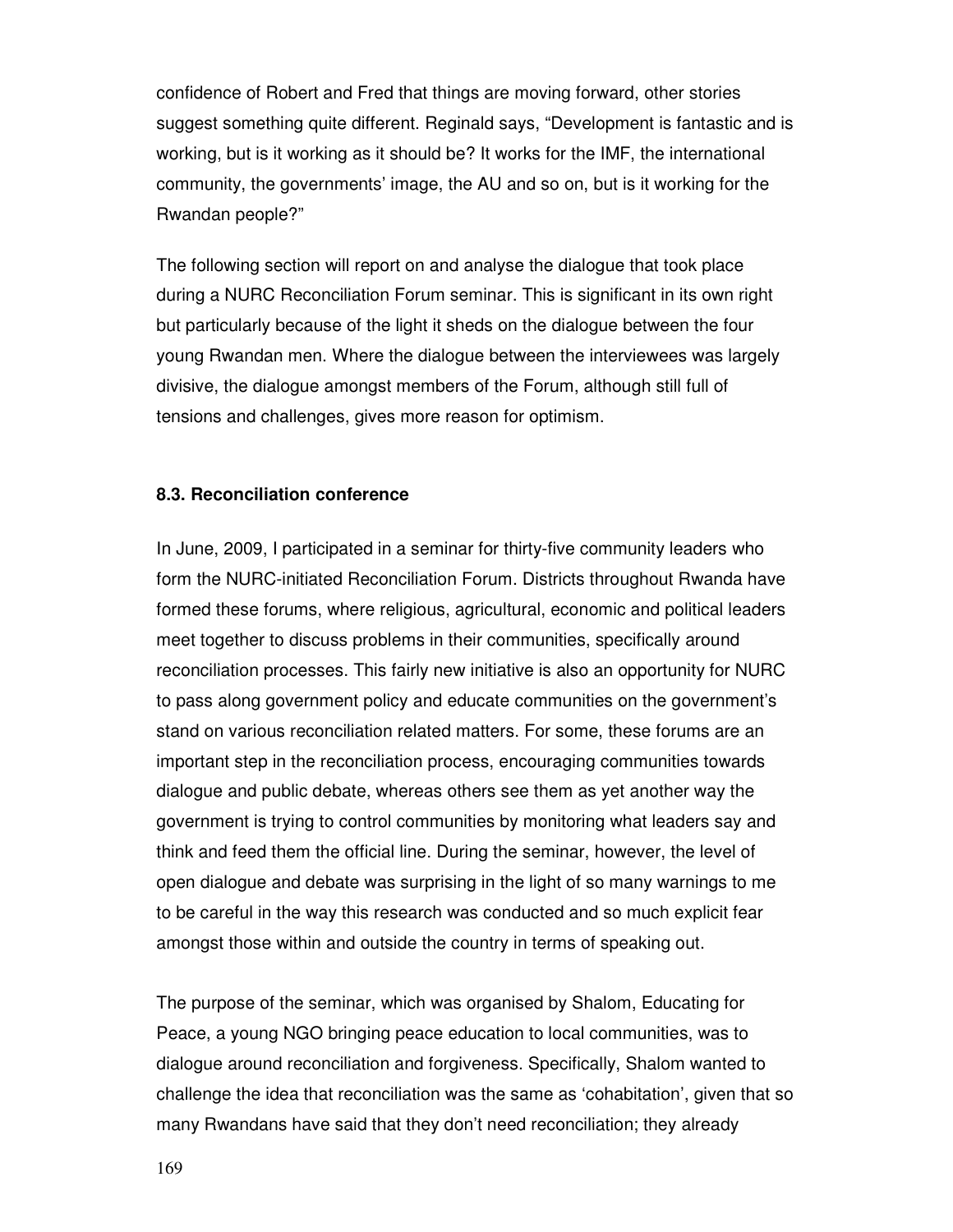confidence of Robert and Fred that things are moving forward, other stories suggest something quite different. Reginald says, "Development is fantastic and is working, but is it working as it should be? It works for the IMF, the international community, the governments' image, the AU and so on, but is it working for the Rwandan people?"

The following section will report on and analyse the dialogue that took place during a NURC Reconciliation Forum seminar. This is significant in its own right but particularly because of the light it sheds on the dialogue between the four young Rwandan men. Where the dialogue between the interviewees was largely divisive, the dialogue amongst members of the Forum, although still full of tensions and challenges, gives more reason for optimism.

#### **8.3. Reconciliation conference**

In June, 2009, I participated in a seminar for thirty-five community leaders who form the NURC-initiated Reconciliation Forum. Districts throughout Rwanda have formed these forums, where religious, agricultural, economic and political leaders meet together to discuss problems in their communities, specifically around reconciliation processes. This fairly new initiative is also an opportunity for NURC to pass along government policy and educate communities on the government's stand on various reconciliation related matters. For some, these forums are an important step in the reconciliation process, encouraging communities towards dialogue and public debate, whereas others see them as yet another way the government is trying to control communities by monitoring what leaders say and think and feed them the official line. During the seminar, however, the level of open dialogue and debate was surprising in the light of so many warnings to me to be careful in the way this research was conducted and so much explicit fear amongst those within and outside the country in terms of speaking out.

The purpose of the seminar, which was organised by Shalom, Educating for Peace, a young NGO bringing peace education to local communities, was to dialogue around reconciliation and forgiveness. Specifically, Shalom wanted to challenge the idea that reconciliation was the same as 'cohabitation', given that so many Rwandans have said that they don't need reconciliation; they already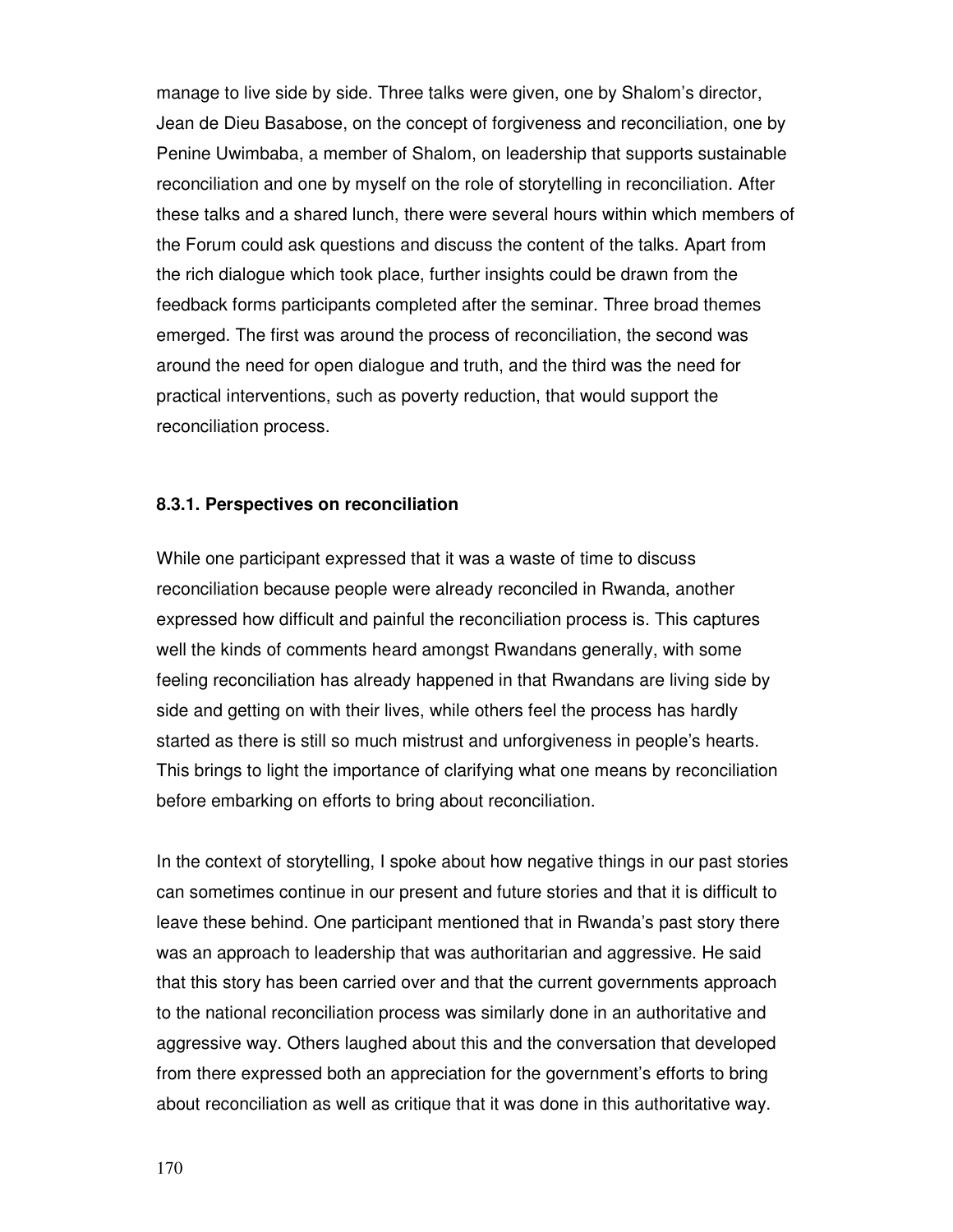manage to live side by side. Three talks were given, one by Shalom's director, Jean de Dieu Basabose, on the concept of forgiveness and reconciliation, one by Penine Uwimbaba, a member of Shalom, on leadership that supports sustainable reconciliation and one by myself on the role of storytelling in reconciliation. After these talks and a shared lunch, there were several hours within which members of the Forum could ask questions and discuss the content of the talks. Apart from the rich dialogue which took place, further insights could be drawn from the feedback forms participants completed after the seminar. Three broad themes emerged. The first was around the process of reconciliation, the second was around the need for open dialogue and truth, and the third was the need for practical interventions, such as poverty reduction, that would support the reconciliation process.

## **8.3.1. Perspectives on reconciliation**

While one participant expressed that it was a waste of time to discuss reconciliation because people were already reconciled in Rwanda, another expressed how difficult and painful the reconciliation process is. This captures well the kinds of comments heard amongst Rwandans generally, with some feeling reconciliation has already happened in that Rwandans are living side by side and getting on with their lives, while others feel the process has hardly started as there is still so much mistrust and unforgiveness in people's hearts. This brings to light the importance of clarifying what one means by reconciliation before embarking on efforts to bring about reconciliation.

In the context of storytelling, I spoke about how negative things in our past stories can sometimes continue in our present and future stories and that it is difficult to leave these behind. One participant mentioned that in Rwanda's past story there was an approach to leadership that was authoritarian and aggressive. He said that this story has been carried over and that the current governments approach to the national reconciliation process was similarly done in an authoritative and aggressive way. Others laughed about this and the conversation that developed from there expressed both an appreciation for the government's efforts to bring about reconciliation as well as critique that it was done in this authoritative way.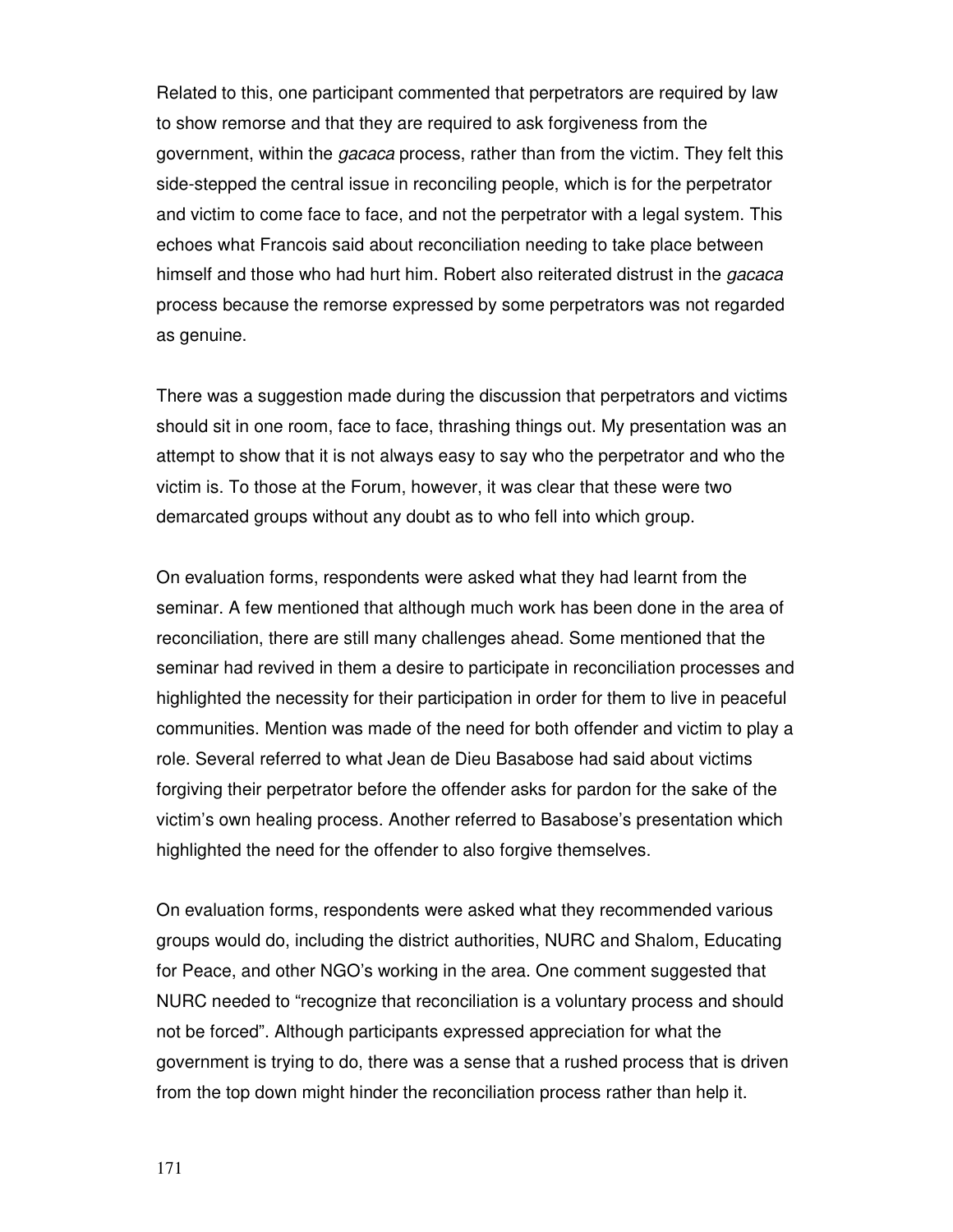Related to this, one participant commented that perpetrators are required by law to show remorse and that they are required to ask forgiveness from the government, within the *gacaca* process, rather than from the victim. They felt this side-stepped the central issue in reconciling people, which is for the perpetrator and victim to come face to face, and not the perpetrator with a legal system. This echoes what Francois said about reconciliation needing to take place between himself and those who had hurt him. Robert also reiterated distrust in the *gacaca* process because the remorse expressed by some perpetrators was not regarded as genuine.

There was a suggestion made during the discussion that perpetrators and victims should sit in one room, face to face, thrashing things out. My presentation was an attempt to show that it is not always easy to say who the perpetrator and who the victim is. To those at the Forum, however, it was clear that these were two demarcated groups without any doubt as to who fell into which group.

On evaluation forms, respondents were asked what they had learnt from the seminar. A few mentioned that although much work has been done in the area of reconciliation, there are still many challenges ahead. Some mentioned that the seminar had revived in them a desire to participate in reconciliation processes and highlighted the necessity for their participation in order for them to live in peaceful communities. Mention was made of the need for both offender and victim to play a role. Several referred to what Jean de Dieu Basabose had said about victims forgiving their perpetrator before the offender asks for pardon for the sake of the victim's own healing process. Another referred to Basabose's presentation which highlighted the need for the offender to also forgive themselves.

On evaluation forms, respondents were asked what they recommended various groups would do, including the district authorities, NURC and Shalom, Educating for Peace, and other NGO's working in the area. One comment suggested that NURC needed to "recognize that reconciliation is a voluntary process and should not be forced". Although participants expressed appreciation for what the government is trying to do, there was a sense that a rushed process that is driven from the top down might hinder the reconciliation process rather than help it.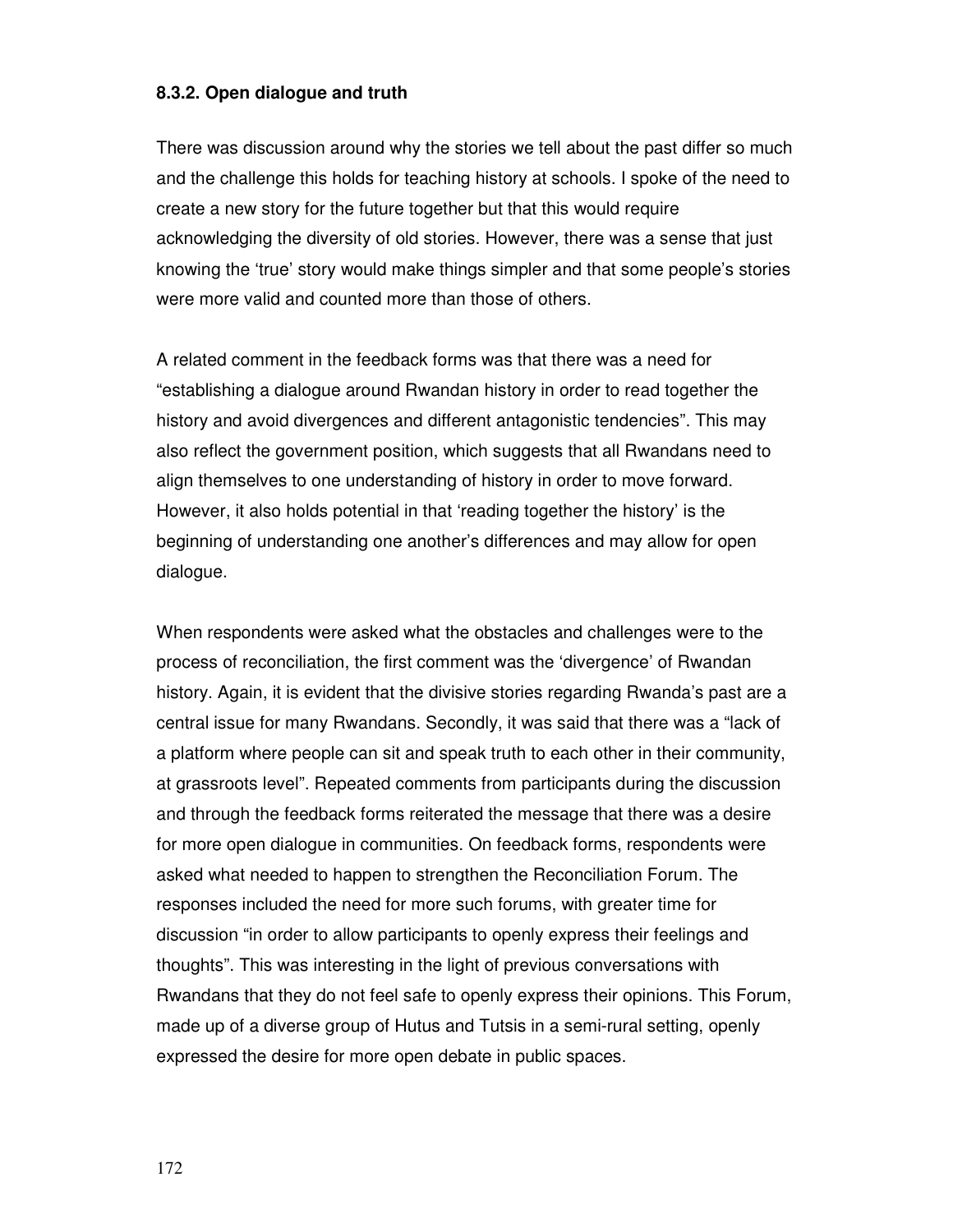# **8.3.2. Open dialogue and truth**

There was discussion around why the stories we tell about the past differ so much and the challenge this holds for teaching history at schools. I spoke of the need to create a new story for the future together but that this would require acknowledging the diversity of old stories. However, there was a sense that just knowing the 'true' story would make things simpler and that some people's stories were more valid and counted more than those of others.

A related comment in the feedback forms was that there was a need for "establishing a dialogue around Rwandan history in order to read together the history and avoid divergences and different antagonistic tendencies". This may also reflect the government position, which suggests that all Rwandans need to align themselves to one understanding of history in order to move forward. However, it also holds potential in that 'reading together the history' is the beginning of understanding one another's differences and may allow for open dialogue.

When respondents were asked what the obstacles and challenges were to the process of reconciliation, the first comment was the 'divergence' of Rwandan history. Again, it is evident that the divisive stories regarding Rwanda's past are a central issue for many Rwandans. Secondly, it was said that there was a "lack of a platform where people can sit and speak truth to each other in their community, at grassroots level". Repeated comments from participants during the discussion and through the feedback forms reiterated the message that there was a desire for more open dialogue in communities. On feedback forms, respondents were asked what needed to happen to strengthen the Reconciliation Forum. The responses included the need for more such forums, with greater time for discussion "in order to allow participants to openly express their feelings and thoughts". This was interesting in the light of previous conversations with Rwandans that they do not feel safe to openly express their opinions. This Forum, made up of a diverse group of Hutus and Tutsis in a semi-rural setting, openly expressed the desire for more open debate in public spaces.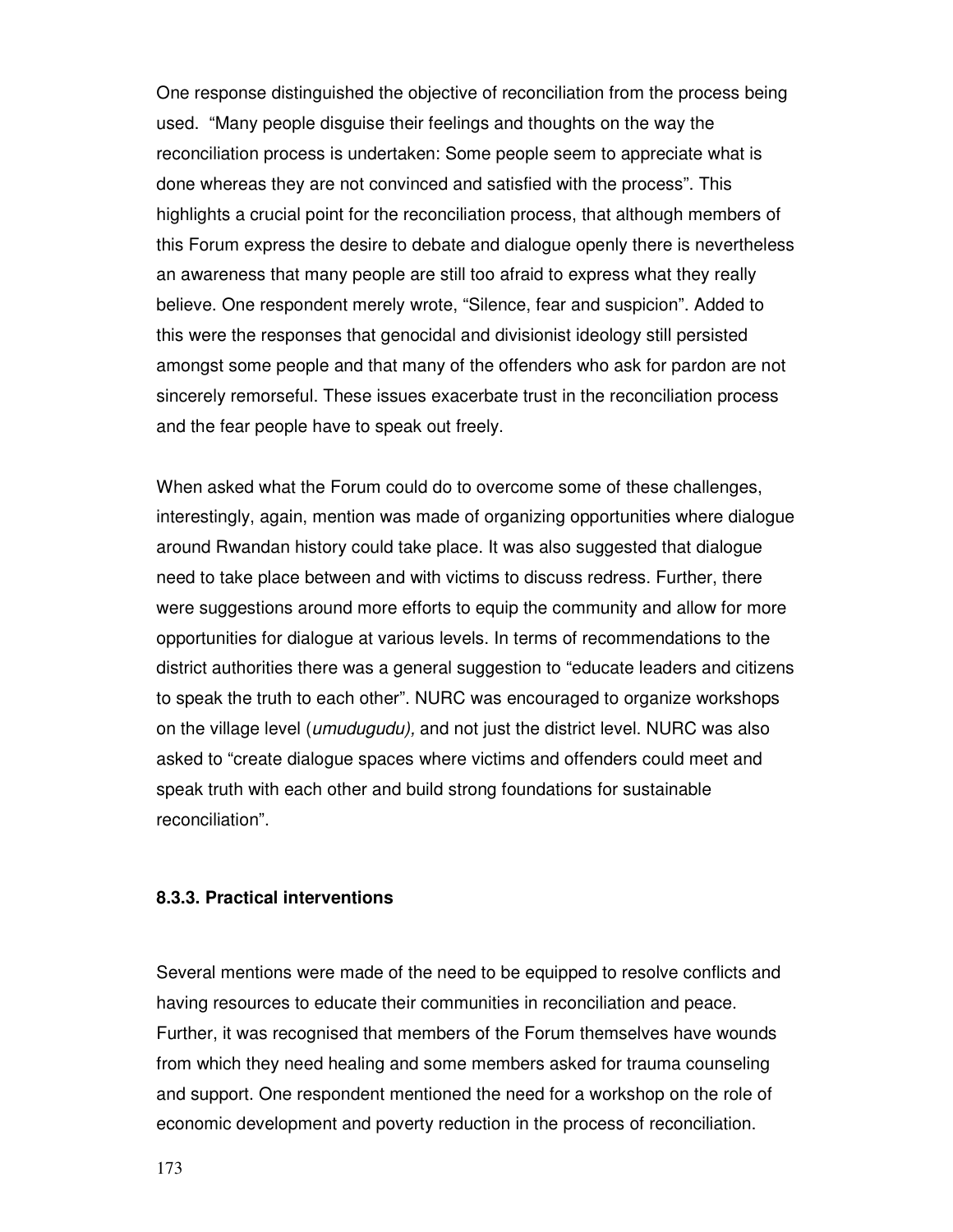One response distinguished the objective of reconciliation from the process being used. "Many people disguise their feelings and thoughts on the way the reconciliation process is undertaken: Some people seem to appreciate what is done whereas they are not convinced and satisfied with the process". This highlights a crucial point for the reconciliation process, that although members of this Forum express the desire to debate and dialogue openly there is nevertheless an awareness that many people are still too afraid to express what they really believe. One respondent merely wrote, "Silence, fear and suspicion". Added to this were the responses that genocidal and divisionist ideology still persisted amongst some people and that many of the offenders who ask for pardon are not sincerely remorseful. These issues exacerbate trust in the reconciliation process and the fear people have to speak out freely.

When asked what the Forum could do to overcome some of these challenges, interestingly, again, mention was made of organizing opportunities where dialogue around Rwandan history could take place. It was also suggested that dialogue need to take place between and with victims to discuss redress. Further, there were suggestions around more efforts to equip the community and allow for more opportunities for dialogue at various levels. In terms of recommendations to the district authorities there was a general suggestion to "educate leaders and citizens to speak the truth to each other". NURC was encouraged to organize workshops on the village level (umudugudu), and not just the district level. NURC was also asked to "create dialogue spaces where victims and offenders could meet and speak truth with each other and build strong foundations for sustainable reconciliation".

# **8.3.3. Practical interventions**

Several mentions were made of the need to be equipped to resolve conflicts and having resources to educate their communities in reconciliation and peace. Further, it was recognised that members of the Forum themselves have wounds from which they need healing and some members asked for trauma counseling and support. One respondent mentioned the need for a workshop on the role of economic development and poverty reduction in the process of reconciliation.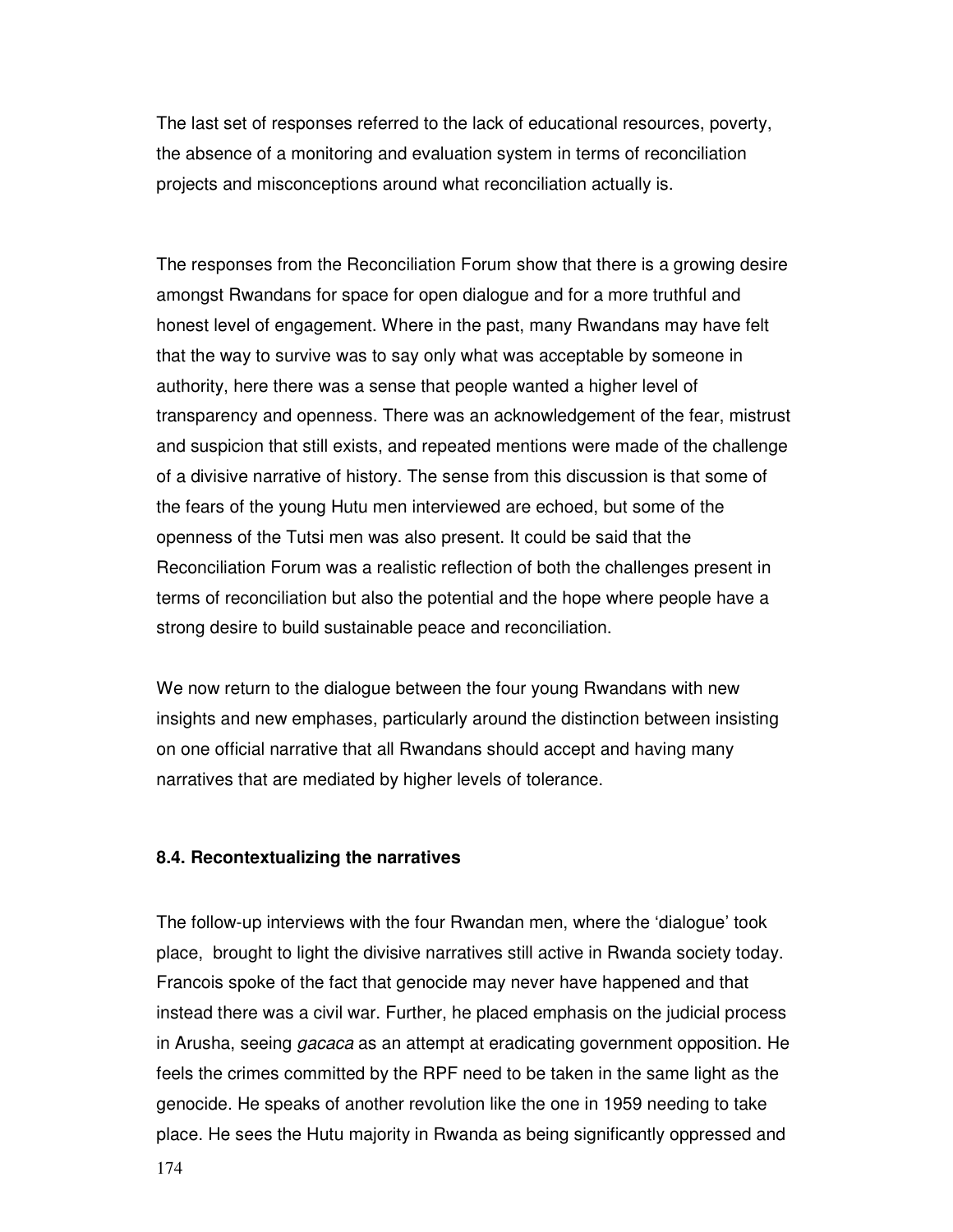The last set of responses referred to the lack of educational resources, poverty, the absence of a monitoring and evaluation system in terms of reconciliation projects and misconceptions around what reconciliation actually is.

The responses from the Reconciliation Forum show that there is a growing desire amongst Rwandans for space for open dialogue and for a more truthful and honest level of engagement. Where in the past, many Rwandans may have felt that the way to survive was to say only what was acceptable by someone in authority, here there was a sense that people wanted a higher level of transparency and openness. There was an acknowledgement of the fear, mistrust and suspicion that still exists, and repeated mentions were made of the challenge of a divisive narrative of history. The sense from this discussion is that some of the fears of the young Hutu men interviewed are echoed, but some of the openness of the Tutsi men was also present. It could be said that the Reconciliation Forum was a realistic reflection of both the challenges present in terms of reconciliation but also the potential and the hope where people have a strong desire to build sustainable peace and reconciliation.

We now return to the dialogue between the four young Rwandans with new insights and new emphases, particularly around the distinction between insisting on one official narrative that all Rwandans should accept and having many narratives that are mediated by higher levels of tolerance.

#### **8.4. Recontextualizing the narratives**

The follow-up interviews with the four Rwandan men, where the 'dialogue' took place, brought to light the divisive narratives still active in Rwanda society today. Francois spoke of the fact that genocide may never have happened and that instead there was a civil war. Further, he placed emphasis on the judicial process in Arusha, seeing *gacaca* as an attempt at eradicating government opposition. He feels the crimes committed by the RPF need to be taken in the same light as the genocide. He speaks of another revolution like the one in 1959 needing to take place. He sees the Hutu majority in Rwanda as being significantly oppressed and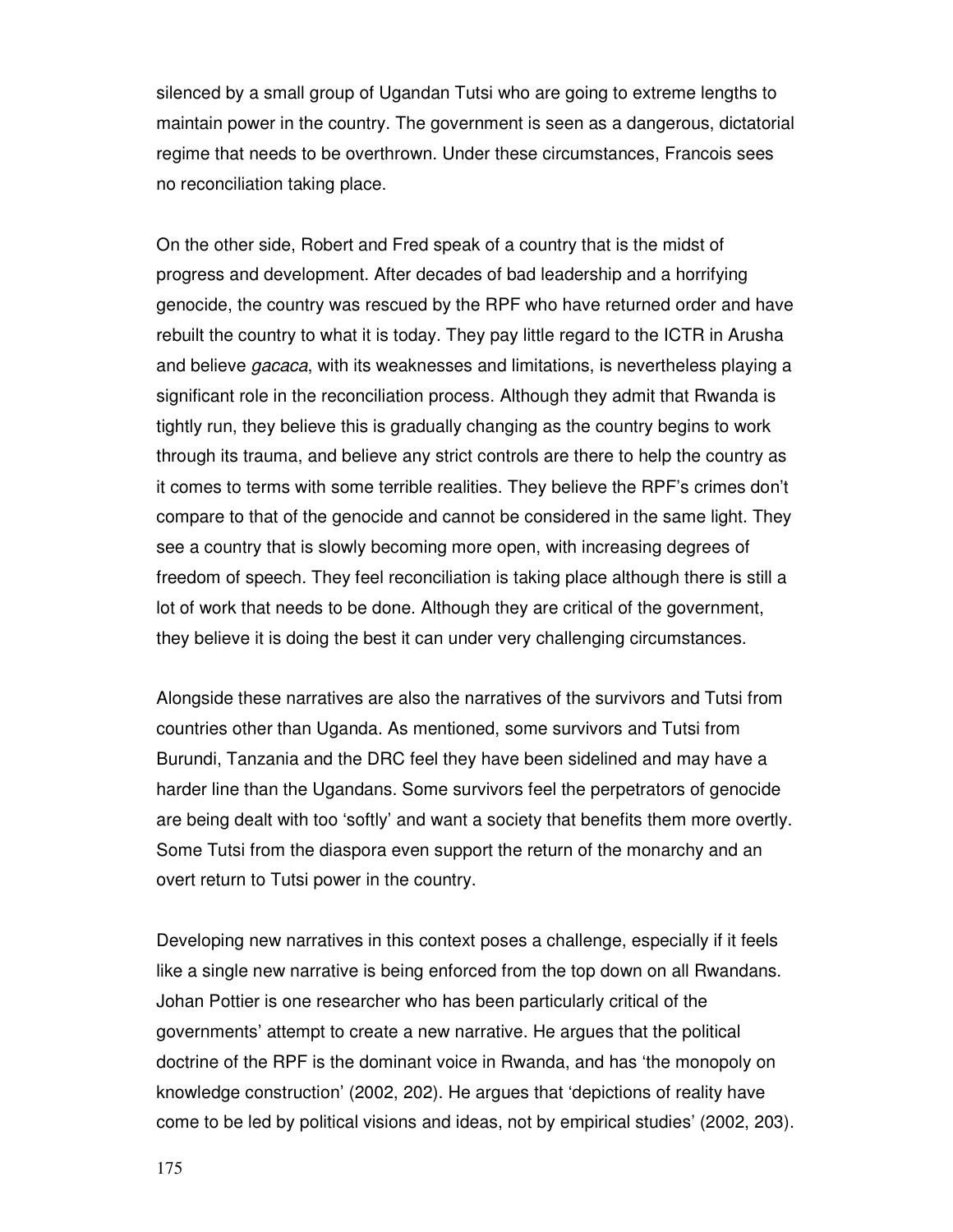silenced by a small group of Ugandan Tutsi who are going to extreme lengths to maintain power in the country. The government is seen as a dangerous, dictatorial regime that needs to be overthrown. Under these circumstances, Francois sees no reconciliation taking place.

On the other side, Robert and Fred speak of a country that is the midst of progress and development. After decades of bad leadership and a horrifying genocide, the country was rescued by the RPF who have returned order and have rebuilt the country to what it is today. They pay little regard to the ICTR in Arusha and believe *gacaca*, with its weaknesses and limitations, is nevertheless playing a significant role in the reconciliation process. Although they admit that Rwanda is tightly run, they believe this is gradually changing as the country begins to work through its trauma, and believe any strict controls are there to help the country as it comes to terms with some terrible realities. They believe the RPF's crimes don't compare to that of the genocide and cannot be considered in the same light. They see a country that is slowly becoming more open, with increasing degrees of freedom of speech. They feel reconciliation is taking place although there is still a lot of work that needs to be done. Although they are critical of the government, they believe it is doing the best it can under very challenging circumstances.

Alongside these narratives are also the narratives of the survivors and Tutsi from countries other than Uganda. As mentioned, some survivors and Tutsi from Burundi, Tanzania and the DRC feel they have been sidelined and may have a harder line than the Ugandans. Some survivors feel the perpetrators of genocide are being dealt with too 'softly' and want a society that benefits them more overtly. Some Tutsi from the diaspora even support the return of the monarchy and an overt return to Tutsi power in the country.

Developing new narratives in this context poses a challenge, especially if it feels like a single new narrative is being enforced from the top down on all Rwandans. Johan Pottier is one researcher who has been particularly critical of the governments' attempt to create a new narrative. He argues that the political doctrine of the RPF is the dominant voice in Rwanda, and has 'the monopoly on knowledge construction' (2002, 202). He argues that 'depictions of reality have come to be led by political visions and ideas, not by empirical studies' (2002, 203).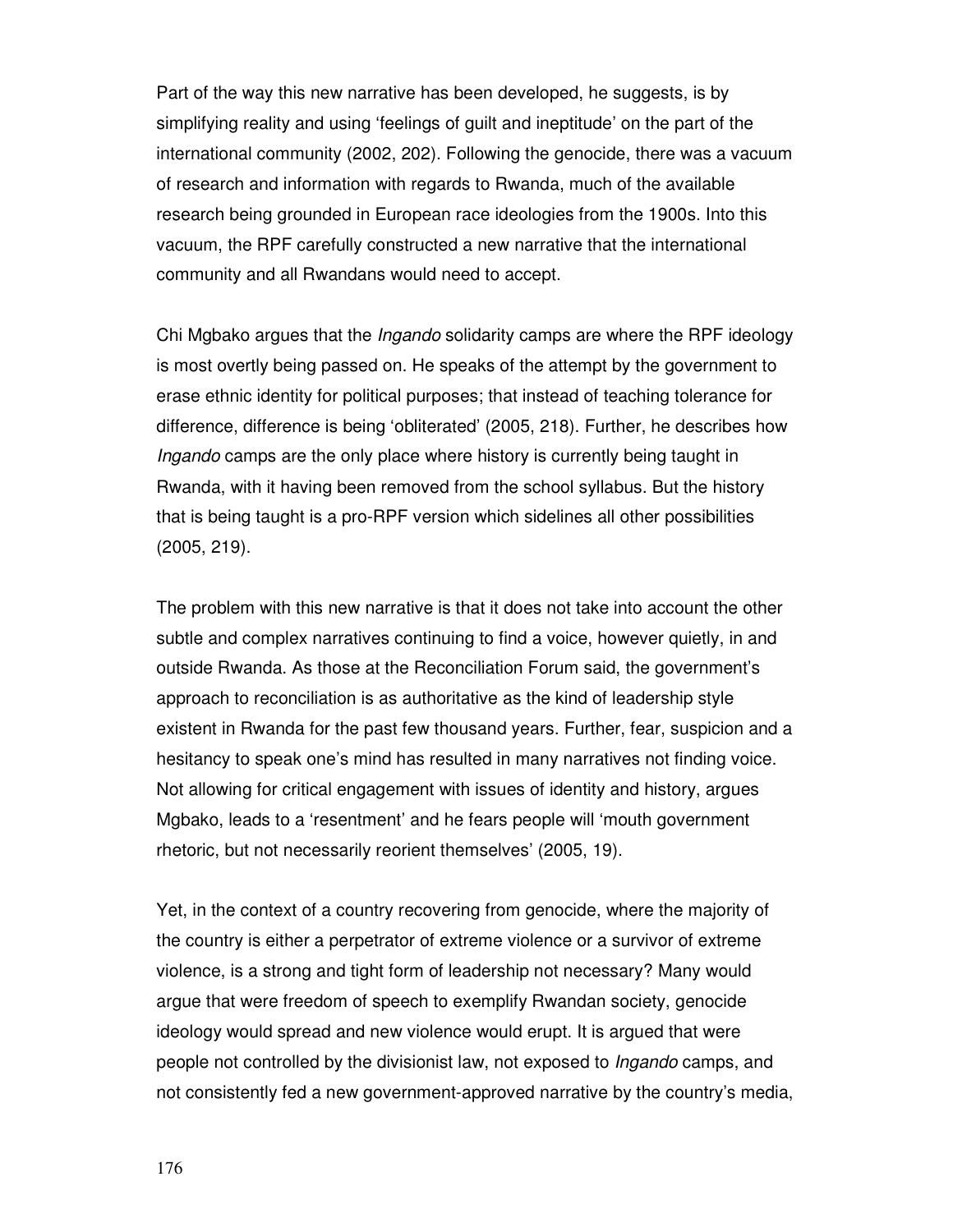Part of the way this new narrative has been developed, he suggests, is by simplifying reality and using 'feelings of guilt and ineptitude' on the part of the international community (2002, 202). Following the genocide, there was a vacuum of research and information with regards to Rwanda, much of the available research being grounded in European race ideologies from the 1900s. Into this vacuum, the RPF carefully constructed a new narrative that the international community and all Rwandans would need to accept.

Chi Mgbako argues that the *Ingando* solidarity camps are where the RPF ideology is most overtly being passed on. He speaks of the attempt by the government to erase ethnic identity for political purposes; that instead of teaching tolerance for difference, difference is being 'obliterated' (2005, 218). Further, he describes how Ingando camps are the only place where history is currently being taught in Rwanda, with it having been removed from the school syllabus. But the history that is being taught is a pro-RPF version which sidelines all other possibilities (2005, 219).

The problem with this new narrative is that it does not take into account the other subtle and complex narratives continuing to find a voice, however quietly, in and outside Rwanda. As those at the Reconciliation Forum said, the government's approach to reconciliation is as authoritative as the kind of leadership style existent in Rwanda for the past few thousand years. Further, fear, suspicion and a hesitancy to speak one's mind has resulted in many narratives not finding voice. Not allowing for critical engagement with issues of identity and history, argues Mgbako, leads to a 'resentment' and he fears people will 'mouth government rhetoric, but not necessarily reorient themselves' (2005, 19).

Yet, in the context of a country recovering from genocide, where the majority of the country is either a perpetrator of extreme violence or a survivor of extreme violence, is a strong and tight form of leadership not necessary? Many would argue that were freedom of speech to exemplify Rwandan society, genocide ideology would spread and new violence would erupt. It is argued that were people not controlled by the divisionist law, not exposed to Ingando camps, and not consistently fed a new government-approved narrative by the country's media,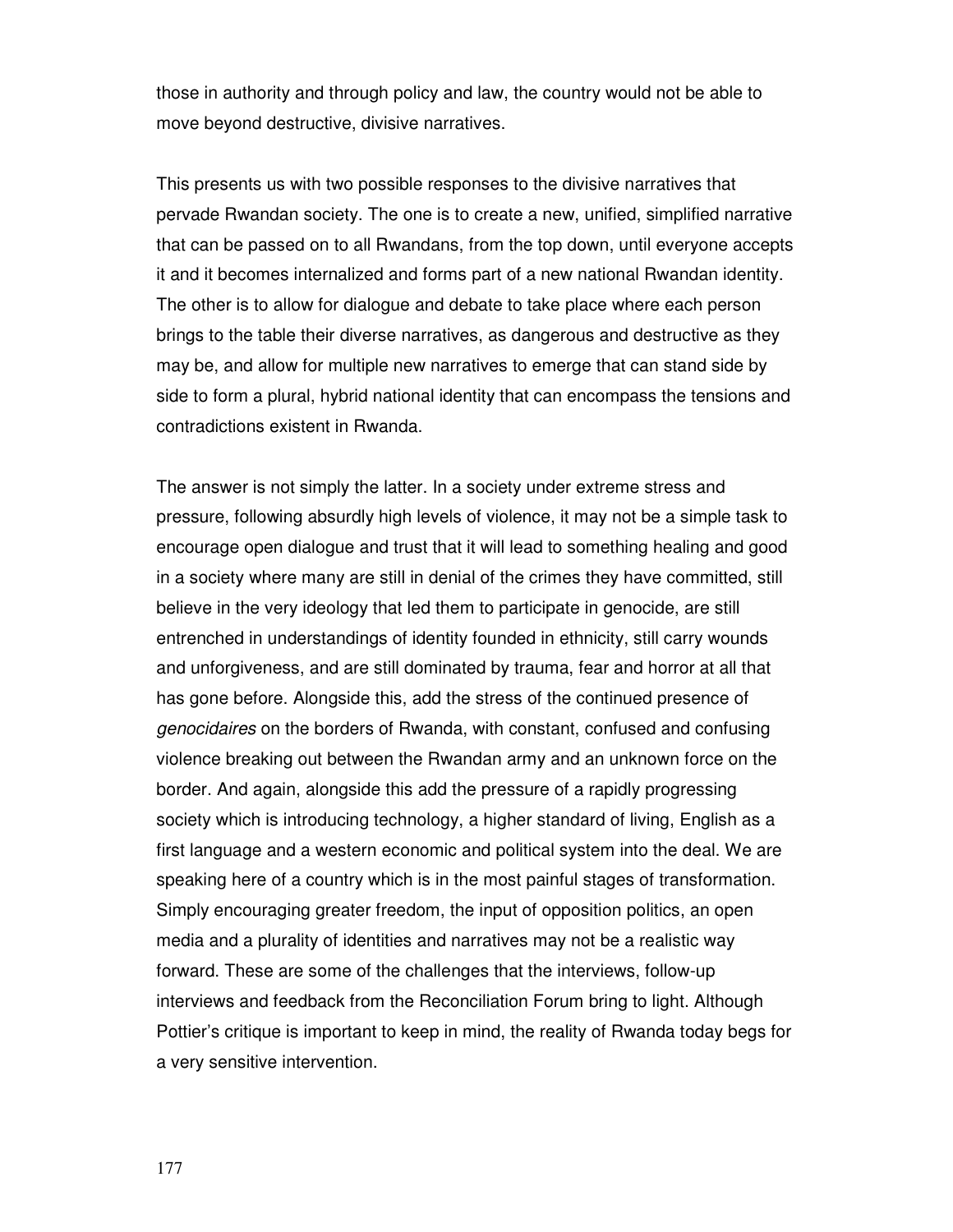those in authority and through policy and law, the country would not be able to move beyond destructive, divisive narratives.

This presents us with two possible responses to the divisive narratives that pervade Rwandan society. The one is to create a new, unified, simplified narrative that can be passed on to all Rwandans, from the top down, until everyone accepts it and it becomes internalized and forms part of a new national Rwandan identity. The other is to allow for dialogue and debate to take place where each person brings to the table their diverse narratives, as dangerous and destructive as they may be, and allow for multiple new narratives to emerge that can stand side by side to form a plural, hybrid national identity that can encompass the tensions and contradictions existent in Rwanda.

The answer is not simply the latter. In a society under extreme stress and pressure, following absurdly high levels of violence, it may not be a simple task to encourage open dialogue and trust that it will lead to something healing and good in a society where many are still in denial of the crimes they have committed, still believe in the very ideology that led them to participate in genocide, are still entrenched in understandings of identity founded in ethnicity, still carry wounds and unforgiveness, and are still dominated by trauma, fear and horror at all that has gone before. Alongside this, add the stress of the continued presence of genocidaires on the borders of Rwanda, with constant, confused and confusing violence breaking out between the Rwandan army and an unknown force on the border. And again, alongside this add the pressure of a rapidly progressing society which is introducing technology, a higher standard of living, English as a first language and a western economic and political system into the deal. We are speaking here of a country which is in the most painful stages of transformation. Simply encouraging greater freedom, the input of opposition politics, an open media and a plurality of identities and narratives may not be a realistic way forward. These are some of the challenges that the interviews, follow-up interviews and feedback from the Reconciliation Forum bring to light. Although Pottier's critique is important to keep in mind, the reality of Rwanda today begs for a very sensitive intervention.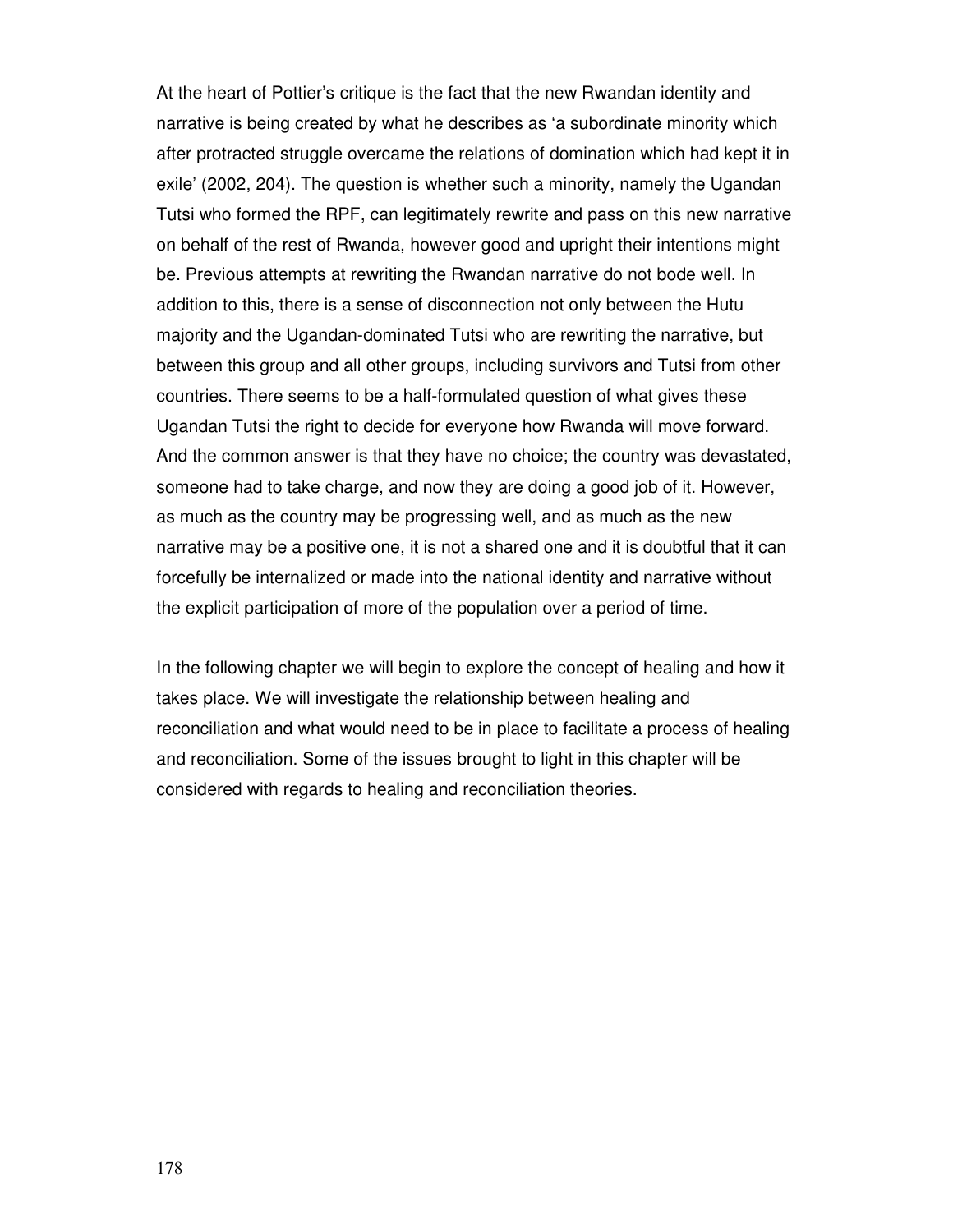At the heart of Pottier's critique is the fact that the new Rwandan identity and narrative is being created by what he describes as 'a subordinate minority which after protracted struggle overcame the relations of domination which had kept it in exile' (2002, 204). The question is whether such a minority, namely the Ugandan Tutsi who formed the RPF, can legitimately rewrite and pass on this new narrative on behalf of the rest of Rwanda, however good and upright their intentions might be. Previous attempts at rewriting the Rwandan narrative do not bode well. In addition to this, there is a sense of disconnection not only between the Hutu majority and the Ugandan-dominated Tutsi who are rewriting the narrative, but between this group and all other groups, including survivors and Tutsi from other countries. There seems to be a half-formulated question of what gives these Ugandan Tutsi the right to decide for everyone how Rwanda will move forward. And the common answer is that they have no choice; the country was devastated, someone had to take charge, and now they are doing a good job of it. However, as much as the country may be progressing well, and as much as the new narrative may be a positive one, it is not a shared one and it is doubtful that it can forcefully be internalized or made into the national identity and narrative without the explicit participation of more of the population over a period of time.

In the following chapter we will begin to explore the concept of healing and how it takes place. We will investigate the relationship between healing and reconciliation and what would need to be in place to facilitate a process of healing and reconciliation. Some of the issues brought to light in this chapter will be considered with regards to healing and reconciliation theories.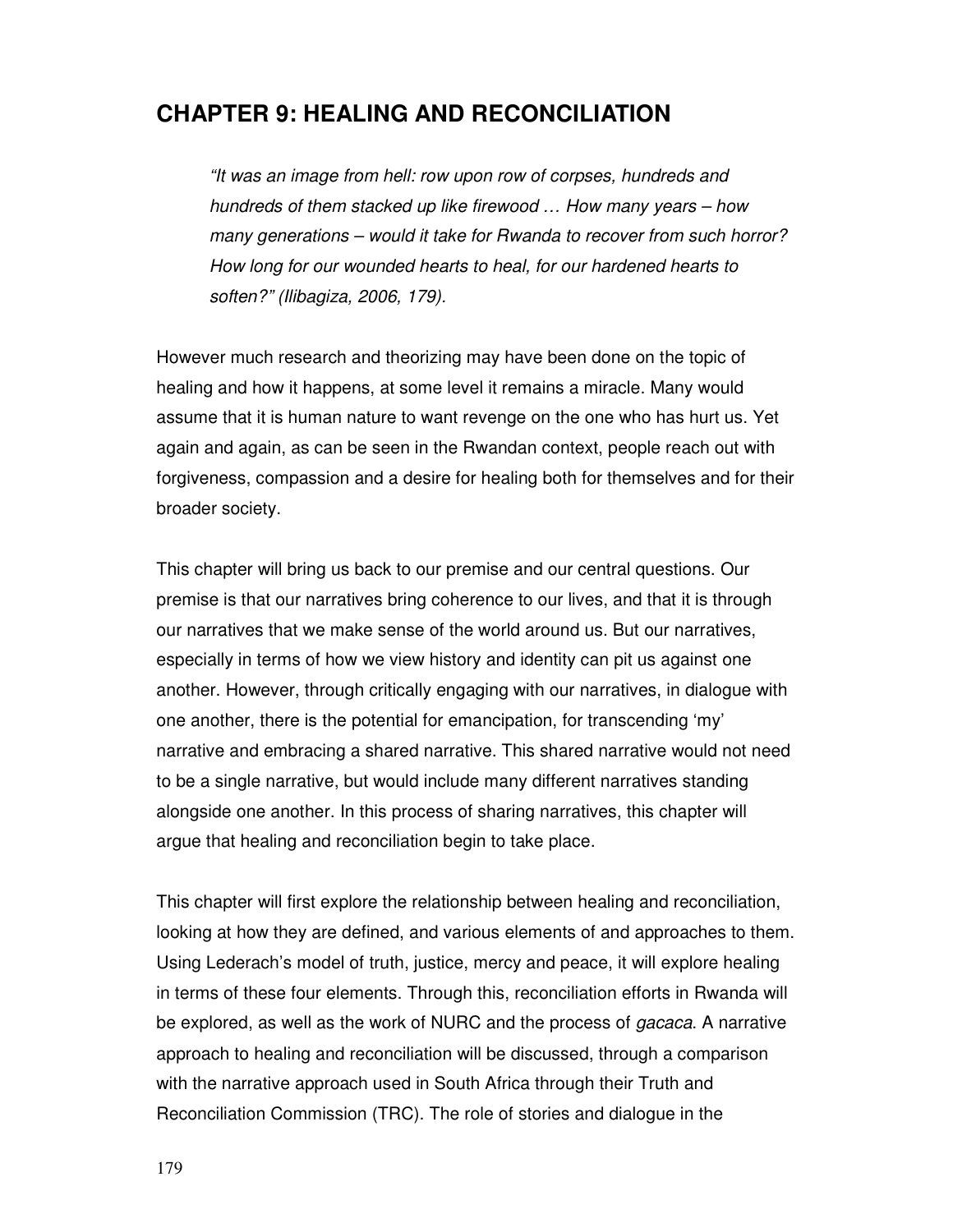# **CHAPTER 9: HEALING AND RECONCILIATION**

"It was an image from hell: row upon row of corpses, hundreds and hundreds of them stacked up like firewood … How many years – how many generations – would it take for Rwanda to recover from such horror? How long for our wounded hearts to heal, for our hardened hearts to soften?" (Ilibagiza, 2006, 179).

However much research and theorizing may have been done on the topic of healing and how it happens, at some level it remains a miracle. Many would assume that it is human nature to want revenge on the one who has hurt us. Yet again and again, as can be seen in the Rwandan context, people reach out with forgiveness, compassion and a desire for healing both for themselves and for their broader society.

This chapter will bring us back to our premise and our central questions. Our premise is that our narratives bring coherence to our lives, and that it is through our narratives that we make sense of the world around us. But our narratives, especially in terms of how we view history and identity can pit us against one another. However, through critically engaging with our narratives, in dialogue with one another, there is the potential for emancipation, for transcending 'my' narrative and embracing a shared narrative. This shared narrative would not need to be a single narrative, but would include many different narratives standing alongside one another. In this process of sharing narratives, this chapter will argue that healing and reconciliation begin to take place.

This chapter will first explore the relationship between healing and reconciliation, looking at how they are defined, and various elements of and approaches to them. Using Lederach's model of truth, justice, mercy and peace, it will explore healing in terms of these four elements. Through this, reconciliation efforts in Rwanda will be explored, as well as the work of NURC and the process of gacaca. A narrative approach to healing and reconciliation will be discussed, through a comparison with the narrative approach used in South Africa through their Truth and Reconciliation Commission (TRC). The role of stories and dialogue in the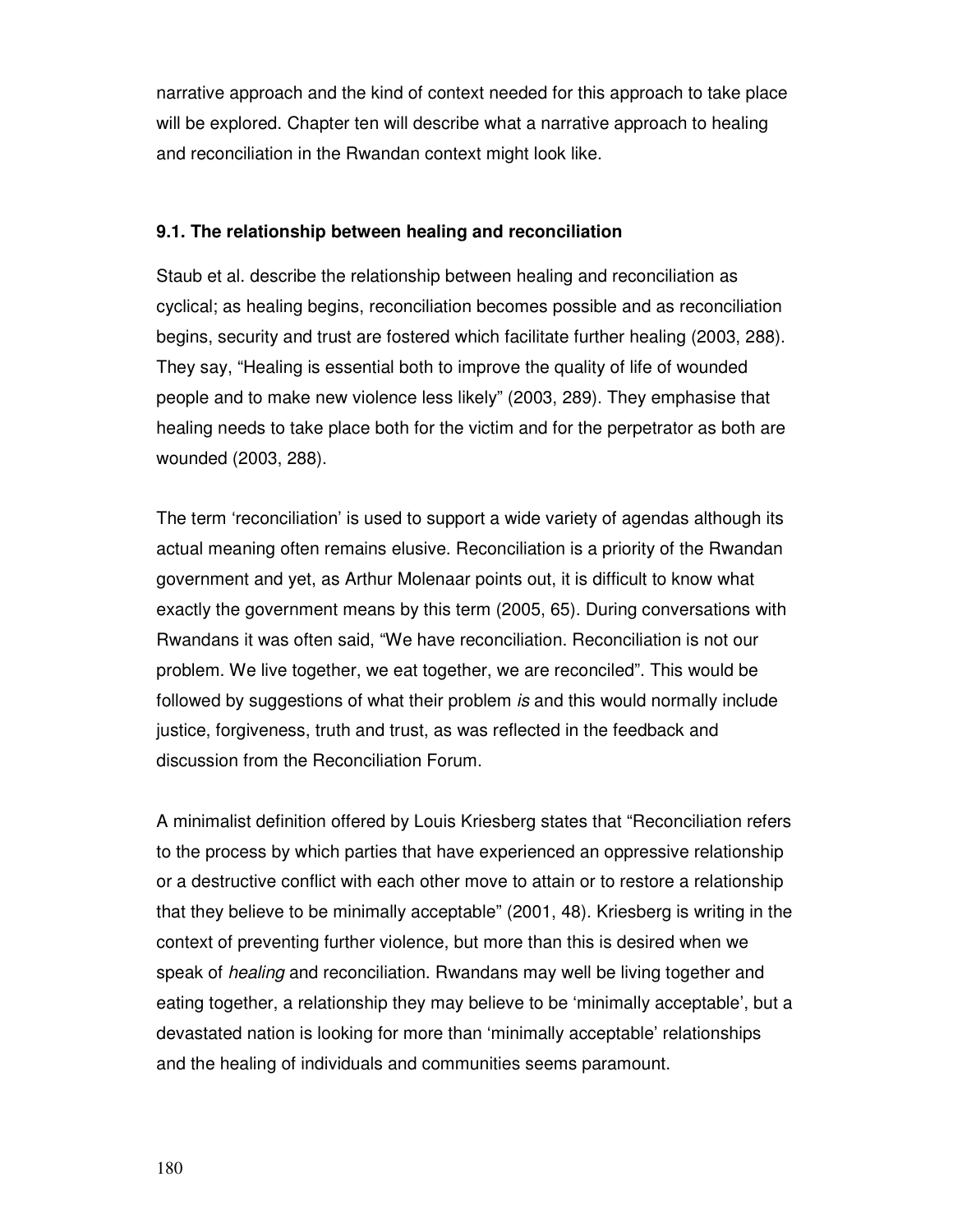narrative approach and the kind of context needed for this approach to take place will be explored. Chapter ten will describe what a narrative approach to healing and reconciliation in the Rwandan context might look like.

# **9.1. The relationship between healing and reconciliation**

Staub et al. describe the relationship between healing and reconciliation as cyclical; as healing begins, reconciliation becomes possible and as reconciliation begins, security and trust are fostered which facilitate further healing (2003, 288). They say, "Healing is essential both to improve the quality of life of wounded people and to make new violence less likely" (2003, 289). They emphasise that healing needs to take place both for the victim and for the perpetrator as both are wounded (2003, 288).

The term 'reconciliation' is used to support a wide variety of agendas although its actual meaning often remains elusive. Reconciliation is a priority of the Rwandan government and yet, as Arthur Molenaar points out, it is difficult to know what exactly the government means by this term (2005, 65). During conversations with Rwandans it was often said, "We have reconciliation. Reconciliation is not our problem. We live together, we eat together, we are reconciled". This would be followed by suggestions of what their problem is and this would normally include justice, forgiveness, truth and trust, as was reflected in the feedback and discussion from the Reconciliation Forum.

A minimalist definition offered by Louis Kriesberg states that "Reconciliation refers to the process by which parties that have experienced an oppressive relationship or a destructive conflict with each other move to attain or to restore a relationship that they believe to be minimally acceptable" (2001, 48). Kriesberg is writing in the context of preventing further violence, but more than this is desired when we speak of healing and reconciliation. Rwandans may well be living together and eating together, a relationship they may believe to be 'minimally acceptable', but a devastated nation is looking for more than 'minimally acceptable' relationships and the healing of individuals and communities seems paramount.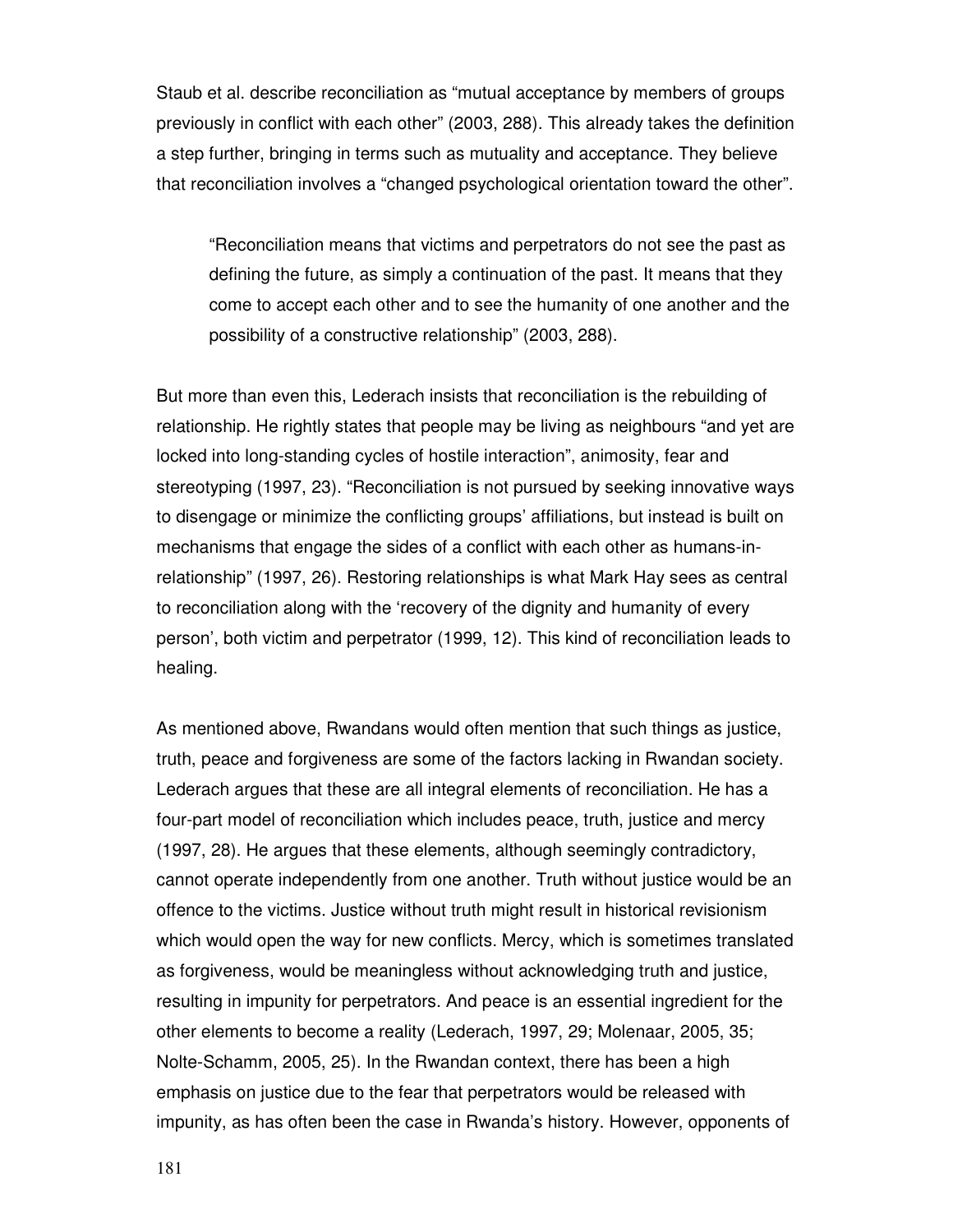Staub et al. describe reconciliation as "mutual acceptance by members of groups previously in conflict with each other" (2003, 288). This already takes the definition a step further, bringing in terms such as mutuality and acceptance. They believe that reconciliation involves a "changed psychological orientation toward the other".

"Reconciliation means that victims and perpetrators do not see the past as defining the future, as simply a continuation of the past. It means that they come to accept each other and to see the humanity of one another and the possibility of a constructive relationship" (2003, 288).

But more than even this, Lederach insists that reconciliation is the rebuilding of relationship. He rightly states that people may be living as neighbours "and yet are locked into long-standing cycles of hostile interaction", animosity, fear and stereotyping (1997, 23). "Reconciliation is not pursued by seeking innovative ways to disengage or minimize the conflicting groups' affiliations, but instead is built on mechanisms that engage the sides of a conflict with each other as humans-inrelationship" (1997, 26). Restoring relationships is what Mark Hay sees as central to reconciliation along with the 'recovery of the dignity and humanity of every person', both victim and perpetrator (1999, 12). This kind of reconciliation leads to healing.

As mentioned above, Rwandans would often mention that such things as justice, truth, peace and forgiveness are some of the factors lacking in Rwandan society. Lederach argues that these are all integral elements of reconciliation. He has a four-part model of reconciliation which includes peace, truth, justice and mercy (1997, 28). He argues that these elements, although seemingly contradictory, cannot operate independently from one another. Truth without justice would be an offence to the victims. Justice without truth might result in historical revisionism which would open the way for new conflicts. Mercy, which is sometimes translated as forgiveness, would be meaningless without acknowledging truth and justice, resulting in impunity for perpetrators. And peace is an essential ingredient for the other elements to become a reality (Lederach, 1997, 29; Molenaar, 2005, 35; Nolte-Schamm, 2005, 25). In the Rwandan context, there has been a high emphasis on justice due to the fear that perpetrators would be released with impunity, as has often been the case in Rwanda's history. However, opponents of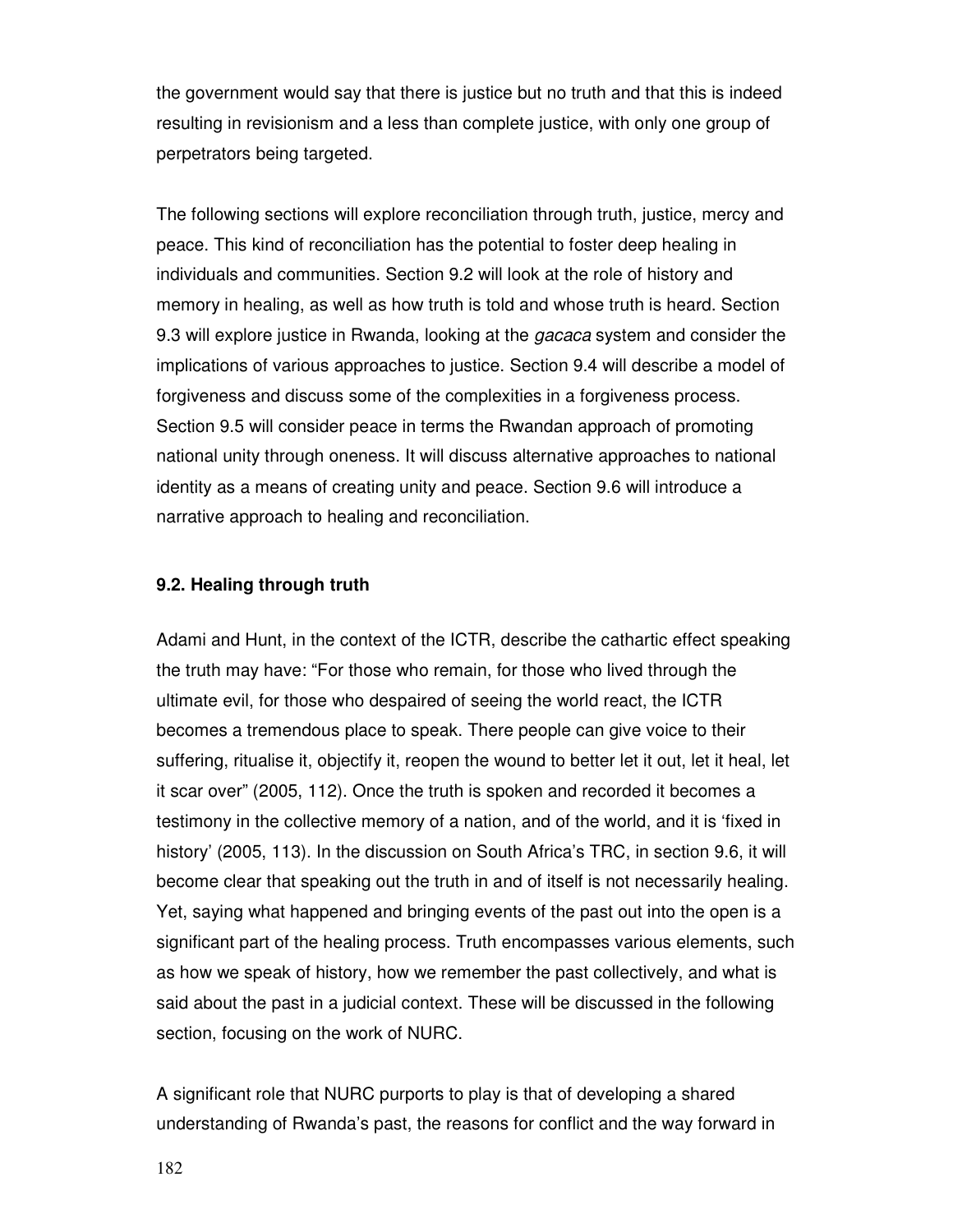the government would say that there is justice but no truth and that this is indeed resulting in revisionism and a less than complete justice, with only one group of perpetrators being targeted.

The following sections will explore reconciliation through truth, justice, mercy and peace. This kind of reconciliation has the potential to foster deep healing in individuals and communities. Section 9.2 will look at the role of history and memory in healing, as well as how truth is told and whose truth is heard. Section 9.3 will explore justice in Rwanda, looking at the *gacaca* system and consider the implications of various approaches to justice. Section 9.4 will describe a model of forgiveness and discuss some of the complexities in a forgiveness process. Section 9.5 will consider peace in terms the Rwandan approach of promoting national unity through oneness. It will discuss alternative approaches to national identity as a means of creating unity and peace. Section 9.6 will introduce a narrative approach to healing and reconciliation.

#### **9.2. Healing through truth**

Adami and Hunt, in the context of the ICTR, describe the cathartic effect speaking the truth may have: "For those who remain, for those who lived through the ultimate evil, for those who despaired of seeing the world react, the ICTR becomes a tremendous place to speak. There people can give voice to their suffering, ritualise it, objectify it, reopen the wound to better let it out, let it heal, let it scar over" (2005, 112). Once the truth is spoken and recorded it becomes a testimony in the collective memory of a nation, and of the world, and it is 'fixed in history' (2005, 113). In the discussion on South Africa's TRC, in section 9.6, it will become clear that speaking out the truth in and of itself is not necessarily healing. Yet, saying what happened and bringing events of the past out into the open is a significant part of the healing process. Truth encompasses various elements, such as how we speak of history, how we remember the past collectively, and what is said about the past in a judicial context. These will be discussed in the following section, focusing on the work of NURC.

A significant role that NURC purports to play is that of developing a shared understanding of Rwanda's past, the reasons for conflict and the way forward in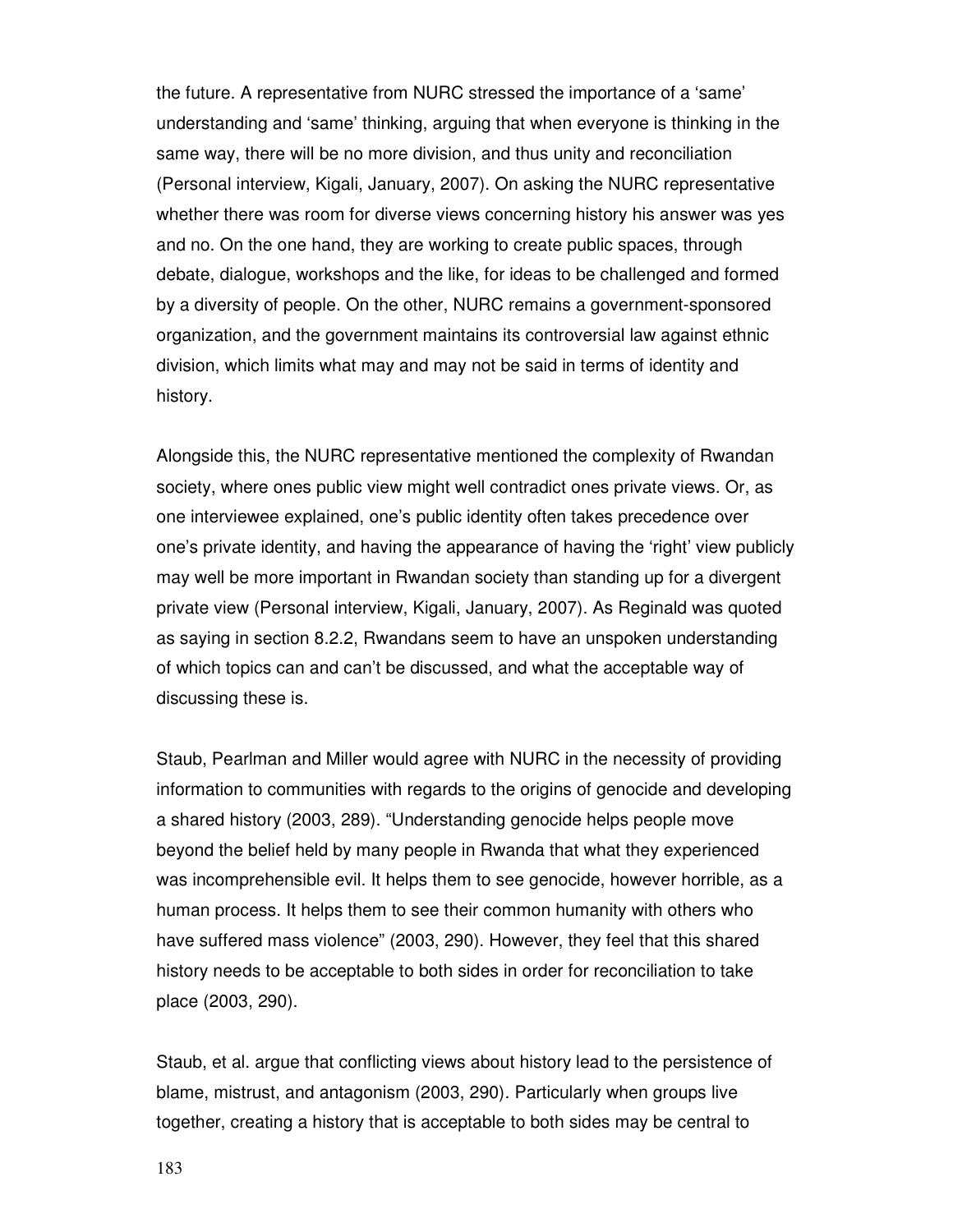the future. A representative from NURC stressed the importance of a 'same' understanding and 'same' thinking, arguing that when everyone is thinking in the same way, there will be no more division, and thus unity and reconciliation (Personal interview, Kigali, January, 2007). On asking the NURC representative whether there was room for diverse views concerning history his answer was yes and no. On the one hand, they are working to create public spaces, through debate, dialogue, workshops and the like, for ideas to be challenged and formed by a diversity of people. On the other, NURC remains a government-sponsored organization, and the government maintains its controversial law against ethnic division, which limits what may and may not be said in terms of identity and history.

Alongside this, the NURC representative mentioned the complexity of Rwandan society, where ones public view might well contradict ones private views. Or, as one interviewee explained, one's public identity often takes precedence over one's private identity, and having the appearance of having the 'right' view publicly may well be more important in Rwandan society than standing up for a divergent private view (Personal interview, Kigali, January, 2007). As Reginald was quoted as saying in section 8.2.2, Rwandans seem to have an unspoken understanding of which topics can and can't be discussed, and what the acceptable way of discussing these is.

Staub, Pearlman and Miller would agree with NURC in the necessity of providing information to communities with regards to the origins of genocide and developing a shared history (2003, 289). "Understanding genocide helps people move beyond the belief held by many people in Rwanda that what they experienced was incomprehensible evil. It helps them to see genocide, however horrible, as a human process. It helps them to see their common humanity with others who have suffered mass violence" (2003, 290). However, they feel that this shared history needs to be acceptable to both sides in order for reconciliation to take place (2003, 290).

Staub, et al. argue that conflicting views about history lead to the persistence of blame, mistrust, and antagonism (2003, 290). Particularly when groups live together, creating a history that is acceptable to both sides may be central to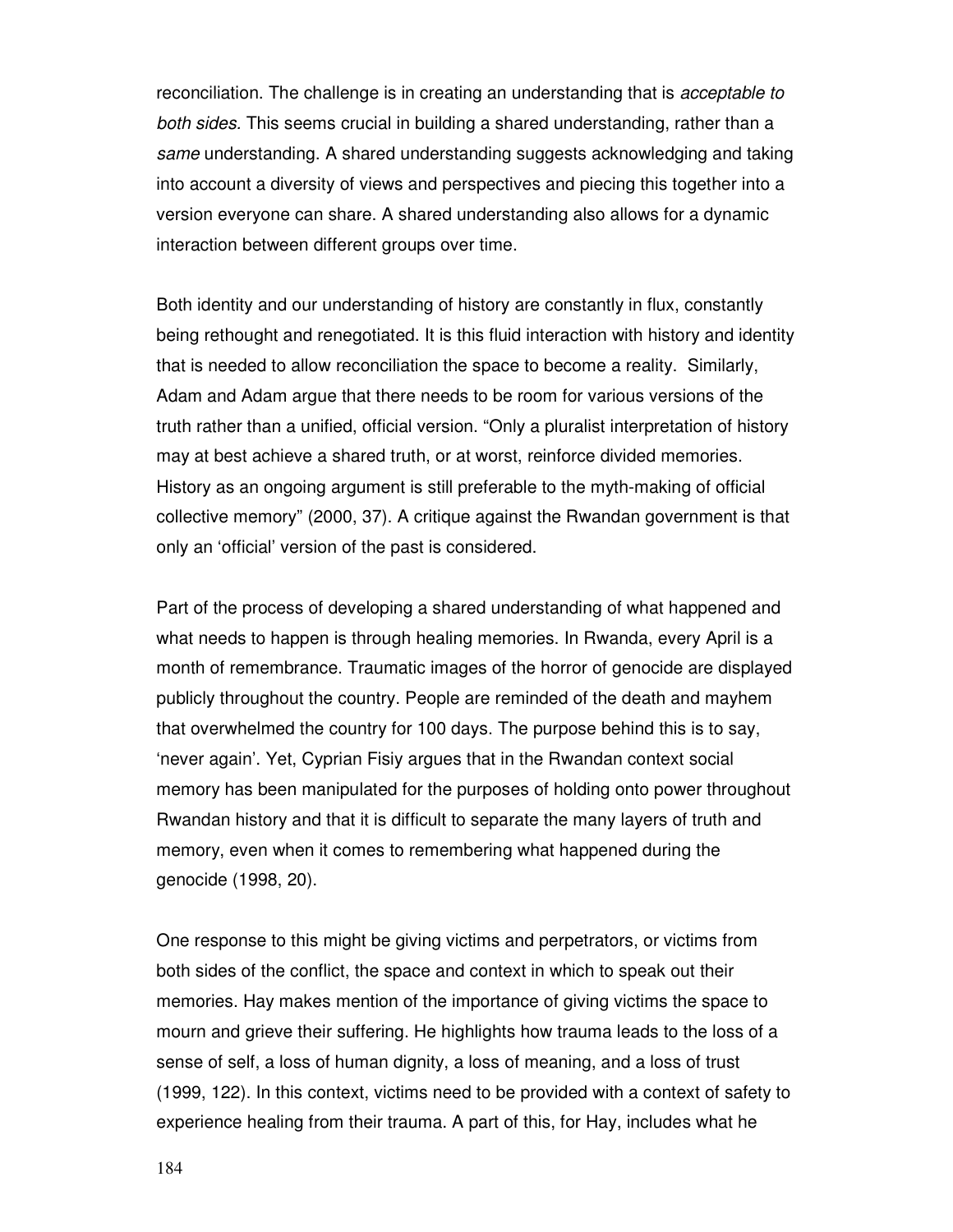reconciliation. The challenge is in creating an understanding that is acceptable to both sides. This seems crucial in building a shared understanding, rather than a same understanding. A shared understanding suggests acknowledging and taking into account a diversity of views and perspectives and piecing this together into a version everyone can share. A shared understanding also allows for a dynamic interaction between different groups over time.

Both identity and our understanding of history are constantly in flux, constantly being rethought and renegotiated. It is this fluid interaction with history and identity that is needed to allow reconciliation the space to become a reality. Similarly, Adam and Adam argue that there needs to be room for various versions of the truth rather than a unified, official version. "Only a pluralist interpretation of history may at best achieve a shared truth, or at worst, reinforce divided memories. History as an ongoing argument is still preferable to the myth-making of official collective memory" (2000, 37). A critique against the Rwandan government is that only an 'official' version of the past is considered.

Part of the process of developing a shared understanding of what happened and what needs to happen is through healing memories. In Rwanda, every April is a month of remembrance. Traumatic images of the horror of genocide are displayed publicly throughout the country. People are reminded of the death and mayhem that overwhelmed the country for 100 days. The purpose behind this is to say, 'never again'. Yet, Cyprian Fisiy argues that in the Rwandan context social memory has been manipulated for the purposes of holding onto power throughout Rwandan history and that it is difficult to separate the many layers of truth and memory, even when it comes to remembering what happened during the genocide (1998, 20).

One response to this might be giving victims and perpetrators, or victims from both sides of the conflict, the space and context in which to speak out their memories. Hay makes mention of the importance of giving victims the space to mourn and grieve their suffering. He highlights how trauma leads to the loss of a sense of self, a loss of human dignity, a loss of meaning, and a loss of trust (1999, 122). In this context, victims need to be provided with a context of safety to experience healing from their trauma. A part of this, for Hay, includes what he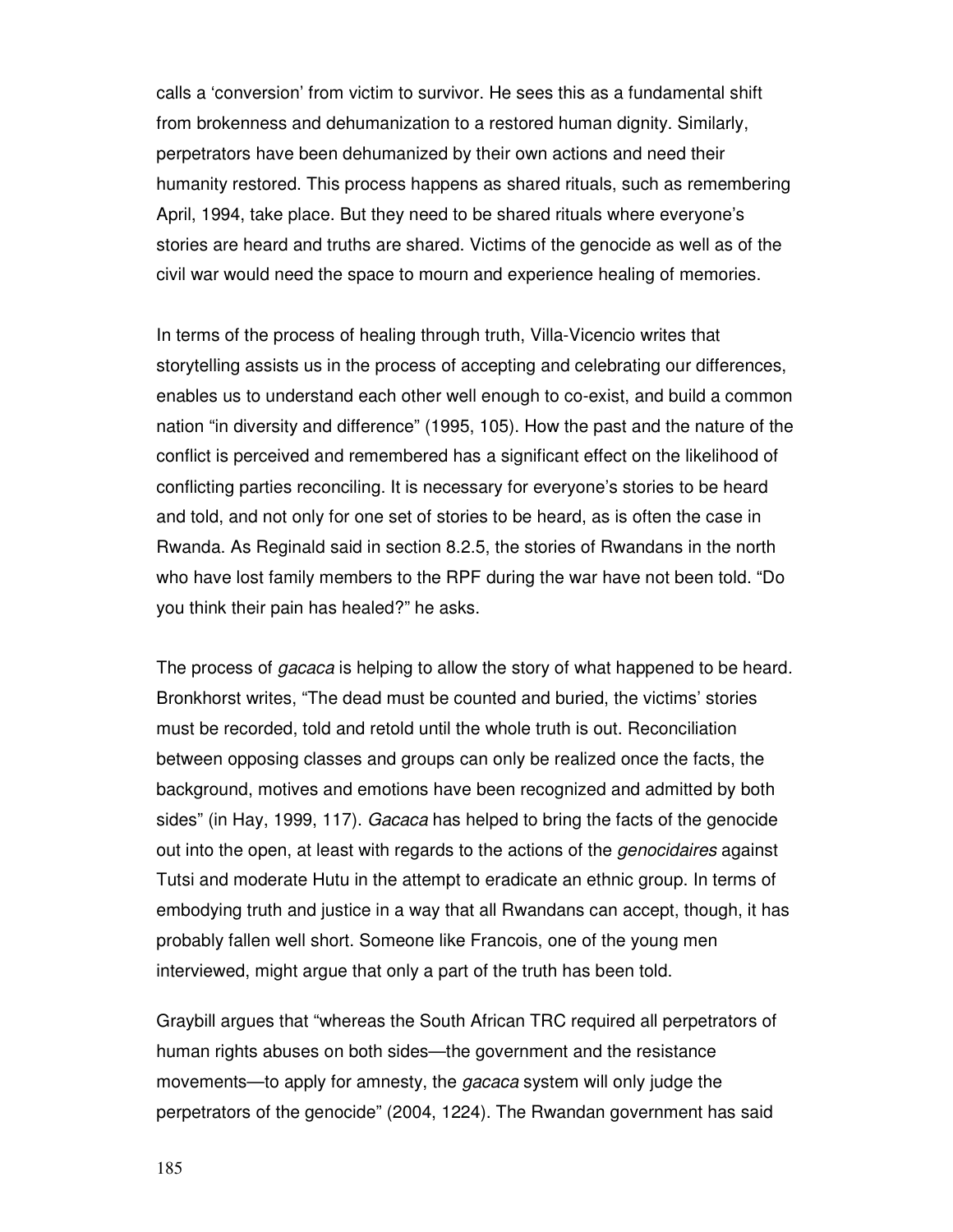calls a 'conversion' from victim to survivor. He sees this as a fundamental shift from brokenness and dehumanization to a restored human dignity. Similarly, perpetrators have been dehumanized by their own actions and need their humanity restored. This process happens as shared rituals, such as remembering April, 1994, take place. But they need to be shared rituals where everyone's stories are heard and truths are shared. Victims of the genocide as well as of the civil war would need the space to mourn and experience healing of memories.

In terms of the process of healing through truth, Villa-Vicencio writes that storytelling assists us in the process of accepting and celebrating our differences, enables us to understand each other well enough to co-exist, and build a common nation "in diversity and difference" (1995, 105). How the past and the nature of the conflict is perceived and remembered has a significant effect on the likelihood of conflicting parties reconciling. It is necessary for everyone's stories to be heard and told, and not only for one set of stories to be heard, as is often the case in Rwanda. As Reginald said in section 8.2.5, the stories of Rwandans in the north who have lost family members to the RPF during the war have not been told. "Do you think their pain has healed?" he asks.

The process of *gacaca* is helping to allow the story of what happened to be heard. Bronkhorst writes, "The dead must be counted and buried, the victims' stories must be recorded, told and retold until the whole truth is out. Reconciliation between opposing classes and groups can only be realized once the facts, the background, motives and emotions have been recognized and admitted by both sides" (in Hay, 1999, 117). Gacaca has helped to bring the facts of the genocide out into the open, at least with regards to the actions of the genocidaires against Tutsi and moderate Hutu in the attempt to eradicate an ethnic group. In terms of embodying truth and justice in a way that all Rwandans can accept, though, it has probably fallen well short. Someone like Francois, one of the young men interviewed, might argue that only a part of the truth has been told.

Graybill argues that "whereas the South African TRC required all perpetrators of human rights abuses on both sides—the government and the resistance movements—to apply for amnesty, the *gacaca* system will only judge the perpetrators of the genocide" (2004, 1224). The Rwandan government has said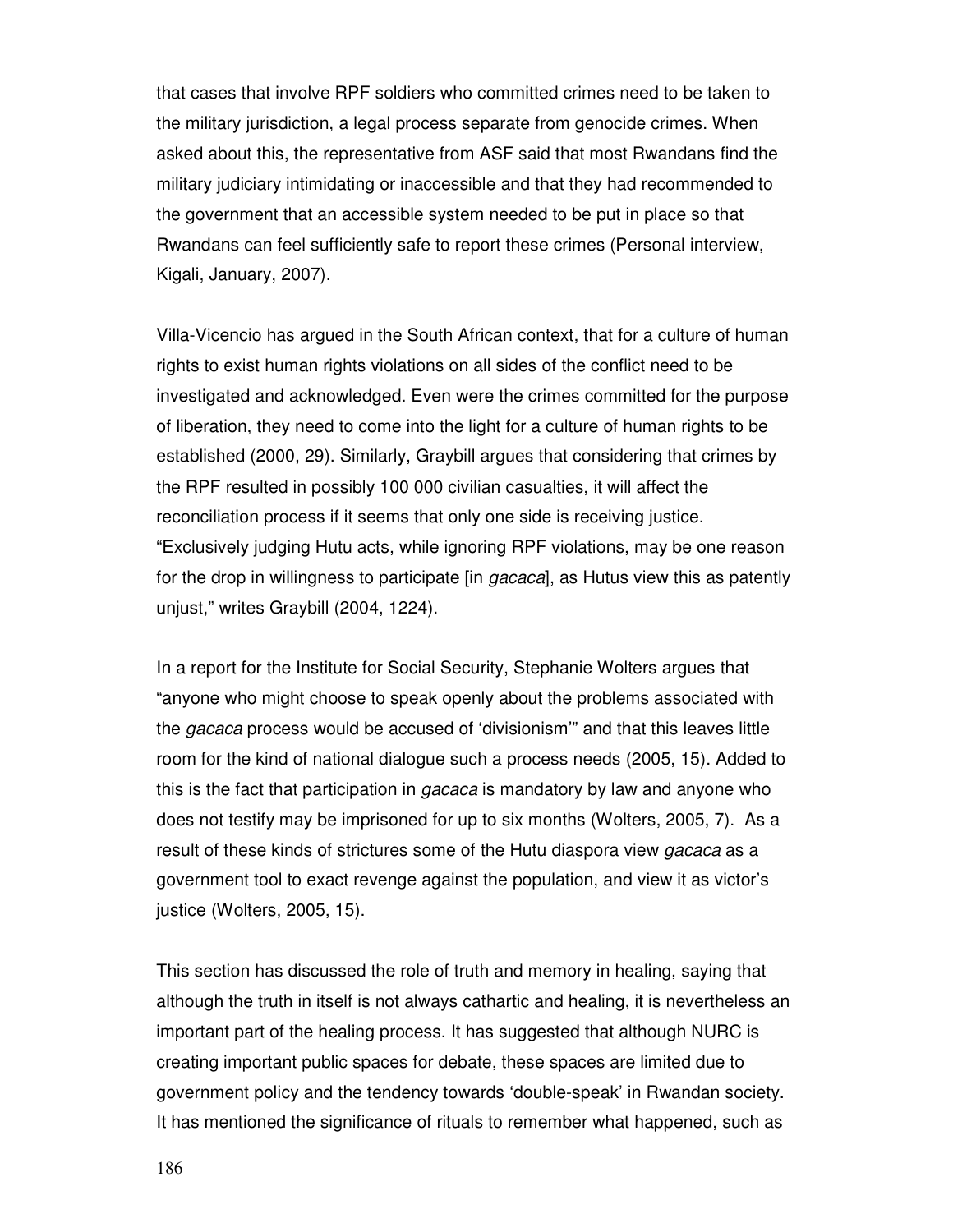that cases that involve RPF soldiers who committed crimes need to be taken to the military jurisdiction, a legal process separate from genocide crimes. When asked about this, the representative from ASF said that most Rwandans find the military judiciary intimidating or inaccessible and that they had recommended to the government that an accessible system needed to be put in place so that Rwandans can feel sufficiently safe to report these crimes (Personal interview, Kigali, January, 2007).

Villa-Vicencio has argued in the South African context, that for a culture of human rights to exist human rights violations on all sides of the conflict need to be investigated and acknowledged. Even were the crimes committed for the purpose of liberation, they need to come into the light for a culture of human rights to be established (2000, 29). Similarly, Graybill argues that considering that crimes by the RPF resulted in possibly 100 000 civilian casualties, it will affect the reconciliation process if it seems that only one side is receiving justice. "Exclusively judging Hutu acts, while ignoring RPF violations, may be one reason for the drop in willingness to participate [in *gacaca*], as Hutus view this as patently unjust," writes Graybill (2004, 1224).

In a report for the Institute for Social Security, Stephanie Wolters argues that "anyone who might choose to speak openly about the problems associated with the gacaca process would be accused of 'divisionism'" and that this leaves little room for the kind of national dialogue such a process needs (2005, 15). Added to this is the fact that participation in *gacaca* is mandatory by law and anyone who does not testify may be imprisoned for up to six months (Wolters, 2005, 7). As a result of these kinds of strictures some of the Hutu diaspora view *gacaca* as a government tool to exact revenge against the population, and view it as victor's justice (Wolters, 2005, 15).

This section has discussed the role of truth and memory in healing, saying that although the truth in itself is not always cathartic and healing, it is nevertheless an important part of the healing process. It has suggested that although NURC is creating important public spaces for debate, these spaces are limited due to government policy and the tendency towards 'double-speak' in Rwandan society. It has mentioned the significance of rituals to remember what happened, such as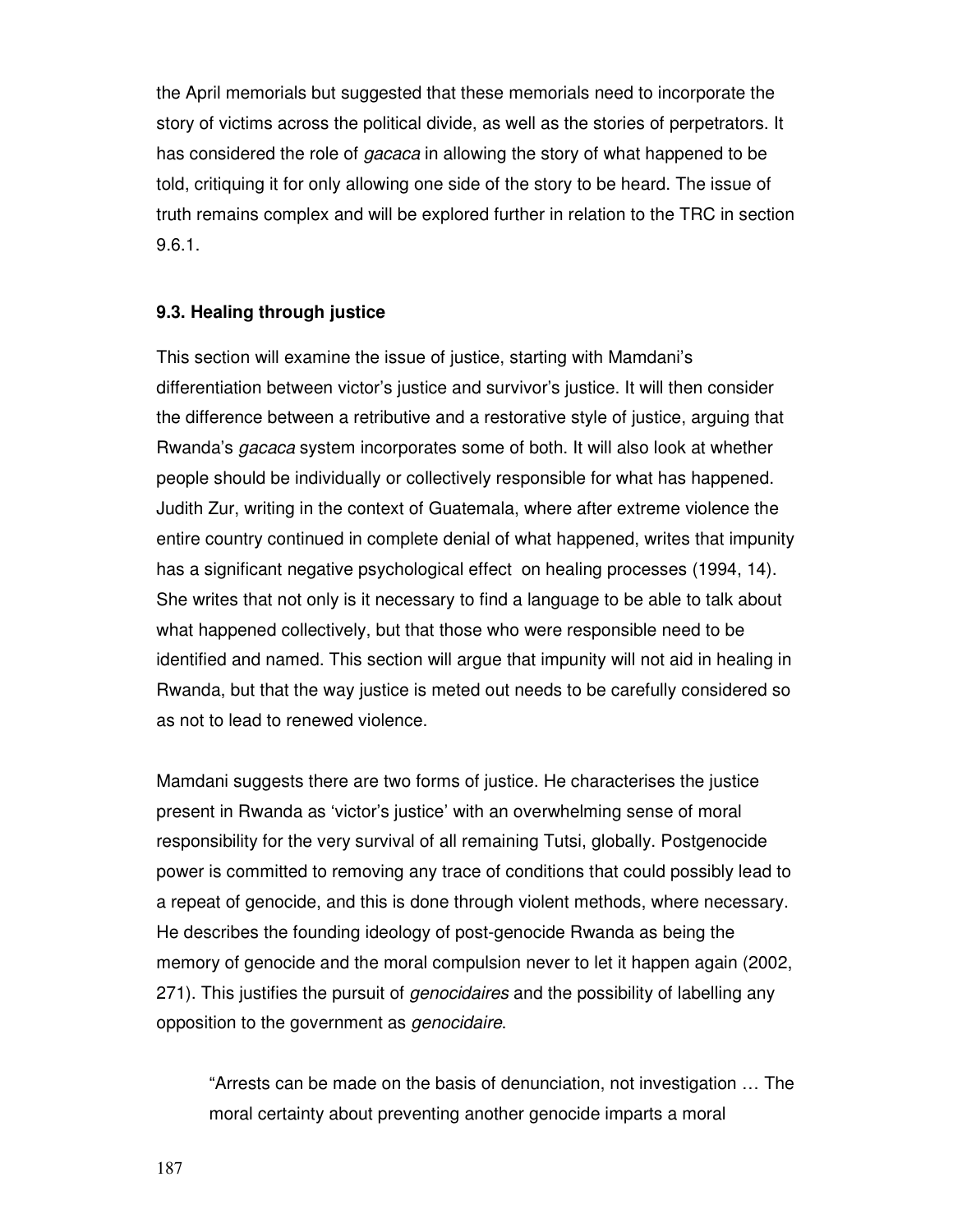the April memorials but suggested that these memorials need to incorporate the story of victims across the political divide, as well as the stories of perpetrators. It has considered the role of *gacaca* in allowing the story of what happened to be told, critiquing it for only allowing one side of the story to be heard. The issue of truth remains complex and will be explored further in relation to the TRC in section 9.6.1.

# **9.3. Healing through justice**

This section will examine the issue of justice, starting with Mamdani's differentiation between victor's justice and survivor's justice. It will then consider the difference between a retributive and a restorative style of justice, arguing that Rwanda's gacaca system incorporates some of both. It will also look at whether people should be individually or collectively responsible for what has happened. Judith Zur, writing in the context of Guatemala, where after extreme violence the entire country continued in complete denial of what happened, writes that impunity has a significant negative psychological effect on healing processes (1994, 14). She writes that not only is it necessary to find a language to be able to talk about what happened collectively, but that those who were responsible need to be identified and named. This section will argue that impunity will not aid in healing in Rwanda, but that the way justice is meted out needs to be carefully considered so as not to lead to renewed violence.

Mamdani suggests there are two forms of justice. He characterises the justice present in Rwanda as 'victor's justice' with an overwhelming sense of moral responsibility for the very survival of all remaining Tutsi, globally. Postgenocide power is committed to removing any trace of conditions that could possibly lead to a repeat of genocide, and this is done through violent methods, where necessary. He describes the founding ideology of post-genocide Rwanda as being the memory of genocide and the moral compulsion never to let it happen again (2002, 271). This justifies the pursuit of *genocidaires* and the possibility of labelling any opposition to the government as genocidaire.

"Arrests can be made on the basis of denunciation, not investigation … The moral certainty about preventing another genocide imparts a moral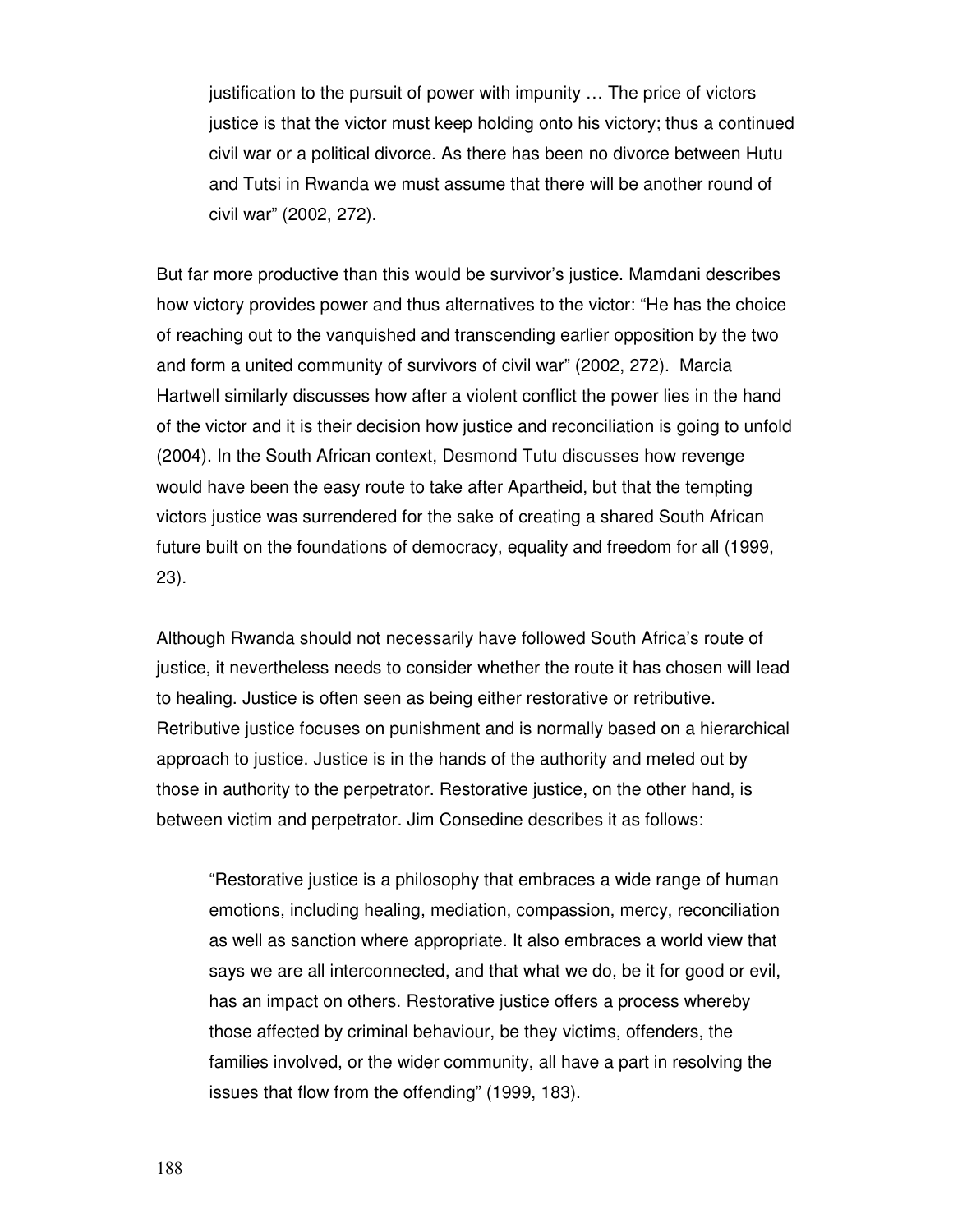justification to the pursuit of power with impunity … The price of victors justice is that the victor must keep holding onto his victory; thus a continued civil war or a political divorce. As there has been no divorce between Hutu and Tutsi in Rwanda we must assume that there will be another round of civil war" (2002, 272).

But far more productive than this would be survivor's justice. Mamdani describes how victory provides power and thus alternatives to the victor: "He has the choice of reaching out to the vanquished and transcending earlier opposition by the two and form a united community of survivors of civil war" (2002, 272). Marcia Hartwell similarly discusses how after a violent conflict the power lies in the hand of the victor and it is their decision how justice and reconciliation is going to unfold (2004). In the South African context, Desmond Tutu discusses how revenge would have been the easy route to take after Apartheid, but that the tempting victors justice was surrendered for the sake of creating a shared South African future built on the foundations of democracy, equality and freedom for all (1999, 23).

Although Rwanda should not necessarily have followed South Africa's route of justice, it nevertheless needs to consider whether the route it has chosen will lead to healing. Justice is often seen as being either restorative or retributive. Retributive justice focuses on punishment and is normally based on a hierarchical approach to justice. Justice is in the hands of the authority and meted out by those in authority to the perpetrator. Restorative justice, on the other hand, is between victim and perpetrator. Jim Consedine describes it as follows:

"Restorative justice is a philosophy that embraces a wide range of human emotions, including healing, mediation, compassion, mercy, reconciliation as well as sanction where appropriate. It also embraces a world view that says we are all interconnected, and that what we do, be it for good or evil, has an impact on others. Restorative justice offers a process whereby those affected by criminal behaviour, be they victims, offenders, the families involved, or the wider community, all have a part in resolving the issues that flow from the offending" (1999, 183).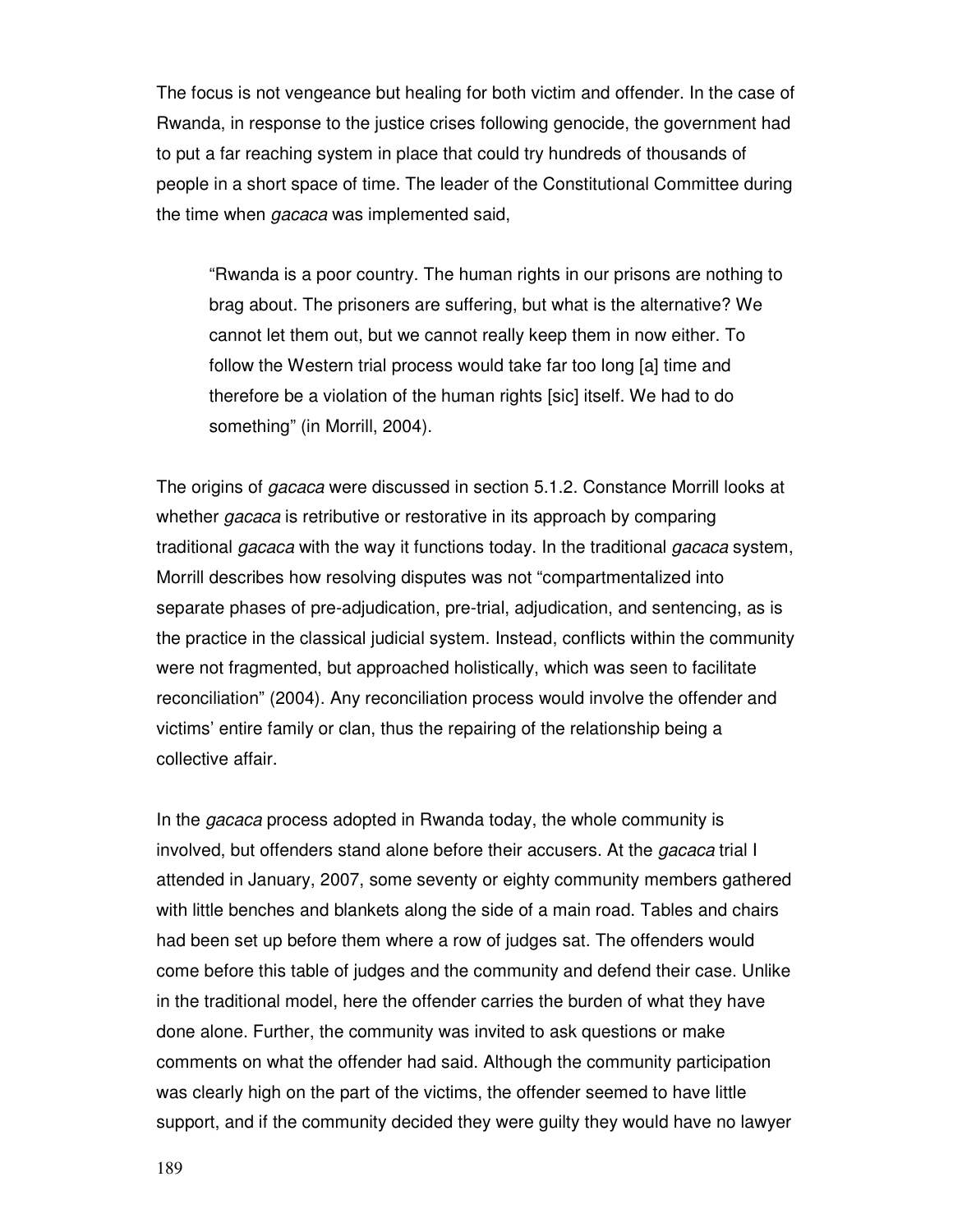The focus is not vengeance but healing for both victim and offender. In the case of Rwanda, in response to the justice crises following genocide, the government had to put a far reaching system in place that could try hundreds of thousands of people in a short space of time. The leader of the Constitutional Committee during the time when *gacaca* was implemented said,

"Rwanda is a poor country. The human rights in our prisons are nothing to brag about. The prisoners are suffering, but what is the alternative? We cannot let them out, but we cannot really keep them in now either. To follow the Western trial process would take far too long [a] time and therefore be a violation of the human rights [sic] itself. We had to do something" (in Morrill, 2004).

The origins of *gacaca* were discussed in section 5.1.2. Constance Morrill looks at whether *gacaca* is retributive or restorative in its approach by comparing traditional *gacaca* with the way it functions today. In the traditional *gacaca* system, Morrill describes how resolving disputes was not "compartmentalized into separate phases of pre-adjudication, pre-trial, adjudication, and sentencing, as is the practice in the classical judicial system. Instead, conflicts within the community were not fragmented, but approached holistically, which was seen to facilitate reconciliation" (2004). Any reconciliation process would involve the offender and victims' entire family or clan, thus the repairing of the relationship being a collective affair.

In the *gacaca* process adopted in Rwanda today, the whole community is involved, but offenders stand alone before their accusers. At the gacaca trial I attended in January, 2007, some seventy or eighty community members gathered with little benches and blankets along the side of a main road. Tables and chairs had been set up before them where a row of judges sat. The offenders would come before this table of judges and the community and defend their case. Unlike in the traditional model, here the offender carries the burden of what they have done alone. Further, the community was invited to ask questions or make comments on what the offender had said. Although the community participation was clearly high on the part of the victims, the offender seemed to have little support, and if the community decided they were guilty they would have no lawyer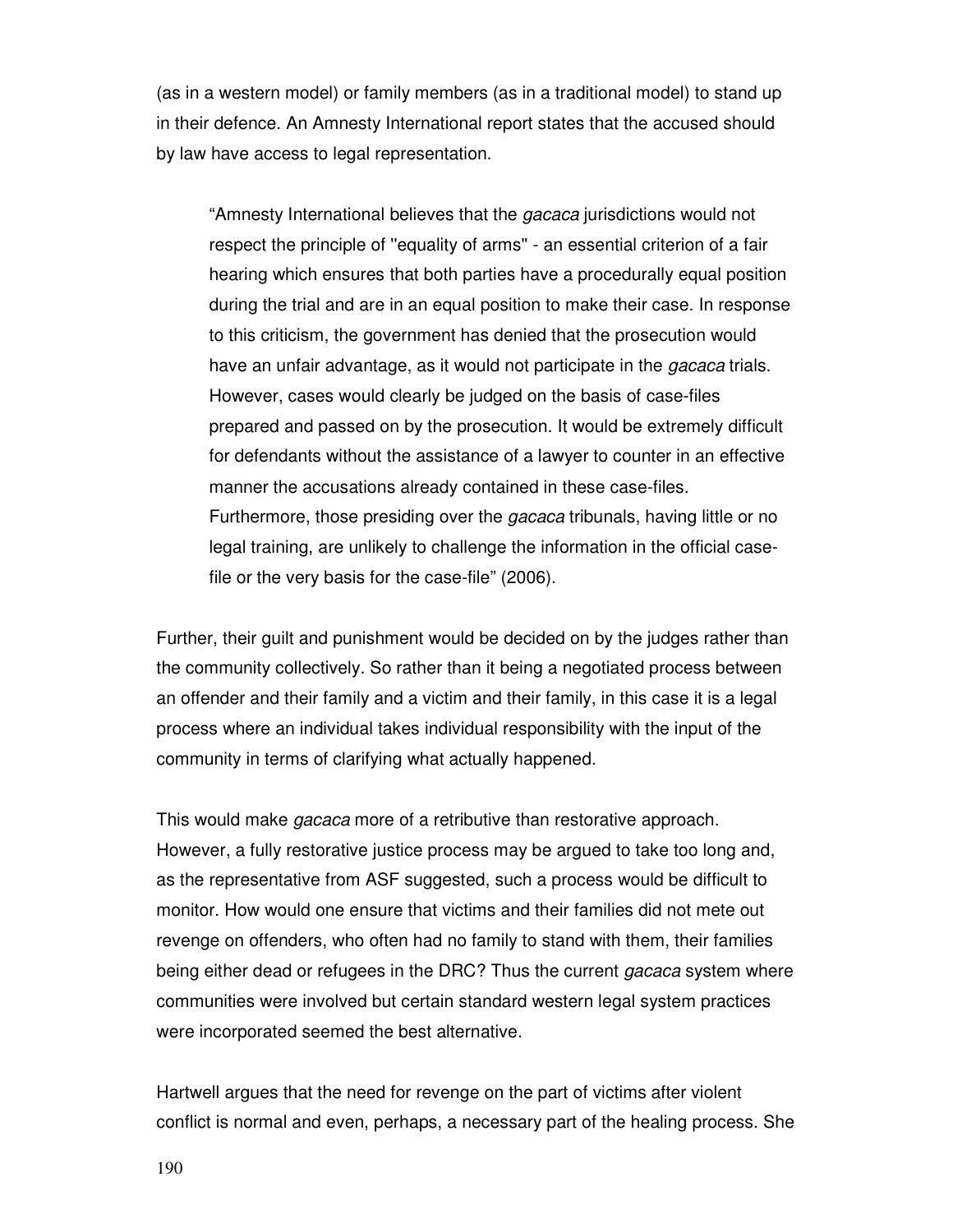(as in a western model) or family members (as in a traditional model) to stand up in their defence. An Amnesty International report states that the accused should by law have access to legal representation.

"Amnesty International believes that the gacaca jurisdictions would not respect the principle of ''equality of arms'' - an essential criterion of a fair hearing which ensures that both parties have a procedurally equal position during the trial and are in an equal position to make their case. In response to this criticism, the government has denied that the prosecution would have an unfair advantage, as it would not participate in the *gacaca* trials. However, cases would clearly be judged on the basis of case-files prepared and passed on by the prosecution. It would be extremely difficult for defendants without the assistance of a lawyer to counter in an effective manner the accusations already contained in these case-files. Furthermore, those presiding over the *gacaca* tribunals, having little or no legal training, are unlikely to challenge the information in the official casefile or the very basis for the case-file" (2006).

Further, their guilt and punishment would be decided on by the judges rather than the community collectively. So rather than it being a negotiated process between an offender and their family and a victim and their family, in this case it is a legal process where an individual takes individual responsibility with the input of the community in terms of clarifying what actually happened.

This would make *gacaca* more of a retributive than restorative approach. However, a fully restorative justice process may be argued to take too long and, as the representative from ASF suggested, such a process would be difficult to monitor. How would one ensure that victims and their families did not mete out revenge on offenders, who often had no family to stand with them, their families being either dead or refugees in the DRC? Thus the current *gacaca* system where communities were involved but certain standard western legal system practices were incorporated seemed the best alternative.

Hartwell argues that the need for revenge on the part of victims after violent conflict is normal and even, perhaps, a necessary part of the healing process. She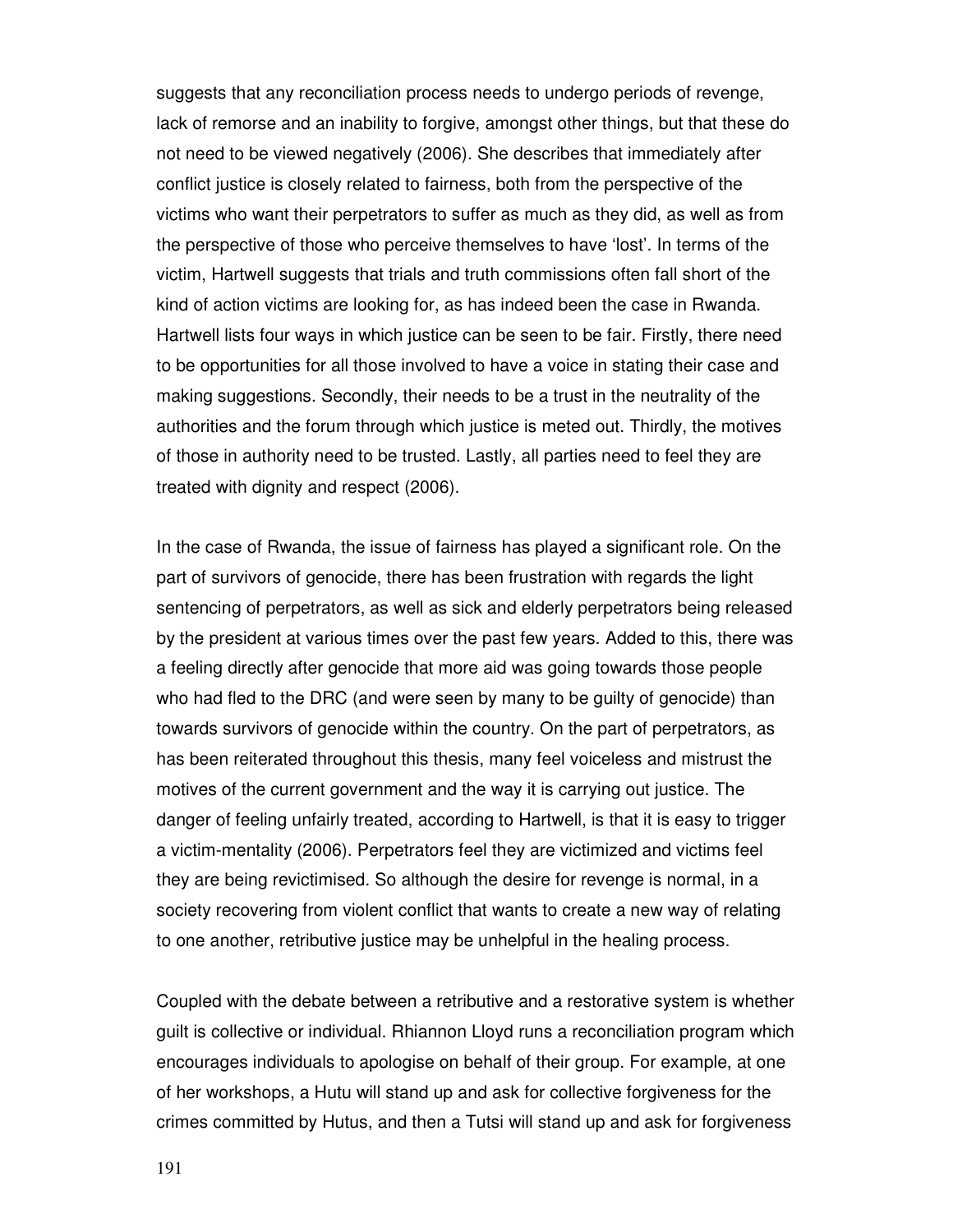suggests that any reconciliation process needs to undergo periods of revenge, lack of remorse and an inability to forgive, amongst other things, but that these do not need to be viewed negatively (2006). She describes that immediately after conflict justice is closely related to fairness, both from the perspective of the victims who want their perpetrators to suffer as much as they did, as well as from the perspective of those who perceive themselves to have 'lost'. In terms of the victim, Hartwell suggests that trials and truth commissions often fall short of the kind of action victims are looking for, as has indeed been the case in Rwanda. Hartwell lists four ways in which justice can be seen to be fair. Firstly, there need to be opportunities for all those involved to have a voice in stating their case and making suggestions. Secondly, their needs to be a trust in the neutrality of the authorities and the forum through which justice is meted out. Thirdly, the motives of those in authority need to be trusted. Lastly, all parties need to feel they are treated with dignity and respect (2006).

In the case of Rwanda, the issue of fairness has played a significant role. On the part of survivors of genocide, there has been frustration with regards the light sentencing of perpetrators, as well as sick and elderly perpetrators being released by the president at various times over the past few years. Added to this, there was a feeling directly after genocide that more aid was going towards those people who had fled to the DRC (and were seen by many to be guilty of genocide) than towards survivors of genocide within the country. On the part of perpetrators, as has been reiterated throughout this thesis, many feel voiceless and mistrust the motives of the current government and the way it is carrying out justice. The danger of feeling unfairly treated, according to Hartwell, is that it is easy to trigger a victim-mentality (2006). Perpetrators feel they are victimized and victims feel they are being revictimised. So although the desire for revenge is normal, in a society recovering from violent conflict that wants to create a new way of relating to one another, retributive justice may be unhelpful in the healing process.

Coupled with the debate between a retributive and a restorative system is whether guilt is collective or individual. Rhiannon Lloyd runs a reconciliation program which encourages individuals to apologise on behalf of their group. For example, at one of her workshops, a Hutu will stand up and ask for collective forgiveness for the crimes committed by Hutus, and then a Tutsi will stand up and ask for forgiveness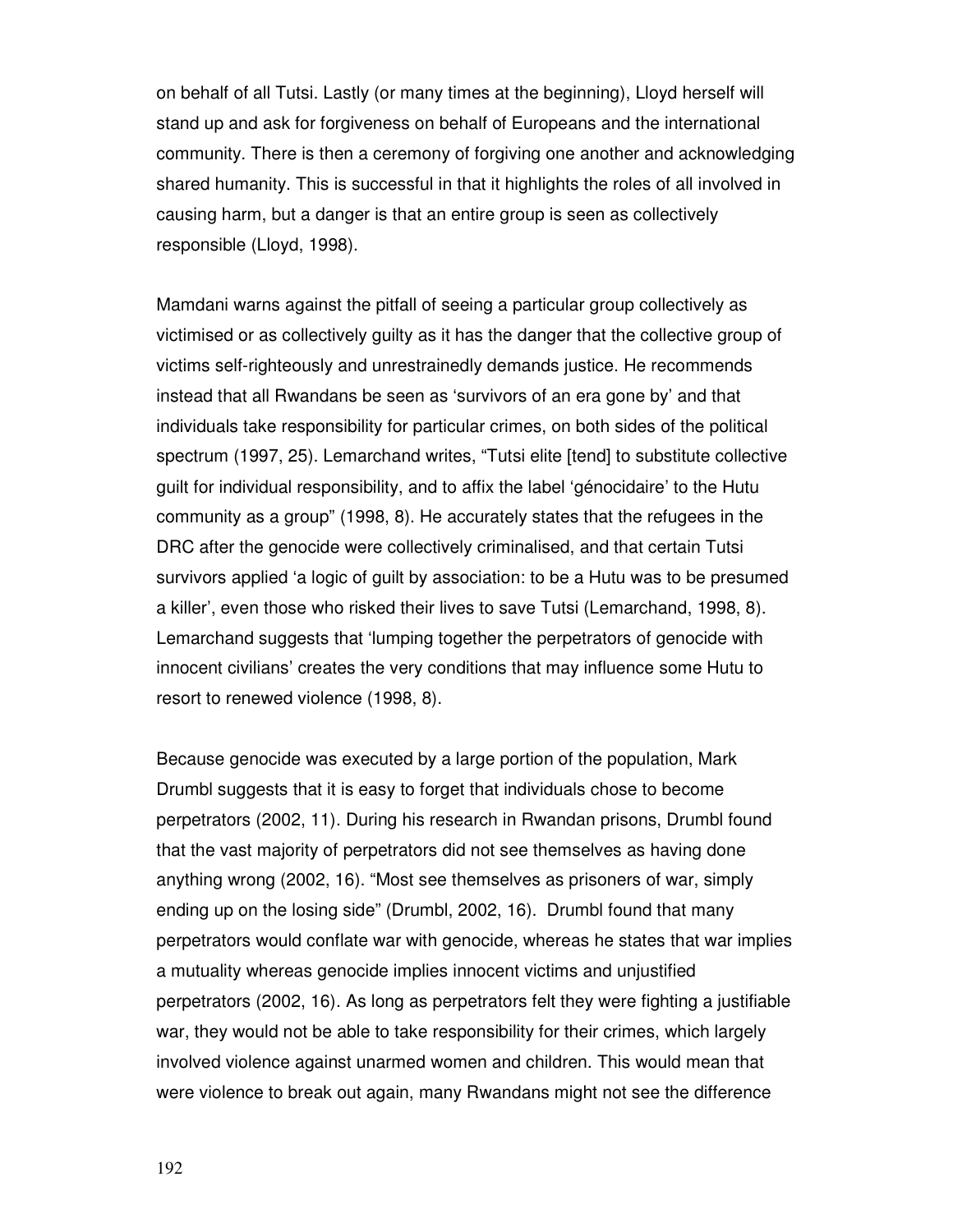on behalf of all Tutsi. Lastly (or many times at the beginning), Lloyd herself will stand up and ask for forgiveness on behalf of Europeans and the international community. There is then a ceremony of forgiving one another and acknowledging shared humanity. This is successful in that it highlights the roles of all involved in causing harm, but a danger is that an entire group is seen as collectively responsible (Lloyd, 1998).

Mamdani warns against the pitfall of seeing a particular group collectively as victimised or as collectively guilty as it has the danger that the collective group of victims self-righteously and unrestrainedly demands justice. He recommends instead that all Rwandans be seen as 'survivors of an era gone by' and that individuals take responsibility for particular crimes, on both sides of the political spectrum (1997, 25). Lemarchand writes, "Tutsi elite [tend] to substitute collective guilt for individual responsibility, and to affix the label 'génocidaire' to the Hutu community as a group" (1998, 8). He accurately states that the refugees in the DRC after the genocide were collectively criminalised, and that certain Tutsi survivors applied 'a logic of guilt by association: to be a Hutu was to be presumed a killer', even those who risked their lives to save Tutsi (Lemarchand, 1998, 8). Lemarchand suggests that 'lumping together the perpetrators of genocide with innocent civilians' creates the very conditions that may influence some Hutu to resort to renewed violence (1998, 8).

Because genocide was executed by a large portion of the population, Mark Drumbl suggests that it is easy to forget that individuals chose to become perpetrators (2002, 11). During his research in Rwandan prisons, Drumbl found that the vast majority of perpetrators did not see themselves as having done anything wrong (2002, 16). "Most see themselves as prisoners of war, simply ending up on the losing side" (Drumbl, 2002, 16). Drumbl found that many perpetrators would conflate war with genocide, whereas he states that war implies a mutuality whereas genocide implies innocent victims and unjustified perpetrators (2002, 16). As long as perpetrators felt they were fighting a justifiable war, they would not be able to take responsibility for their crimes, which largely involved violence against unarmed women and children. This would mean that were violence to break out again, many Rwandans might not see the difference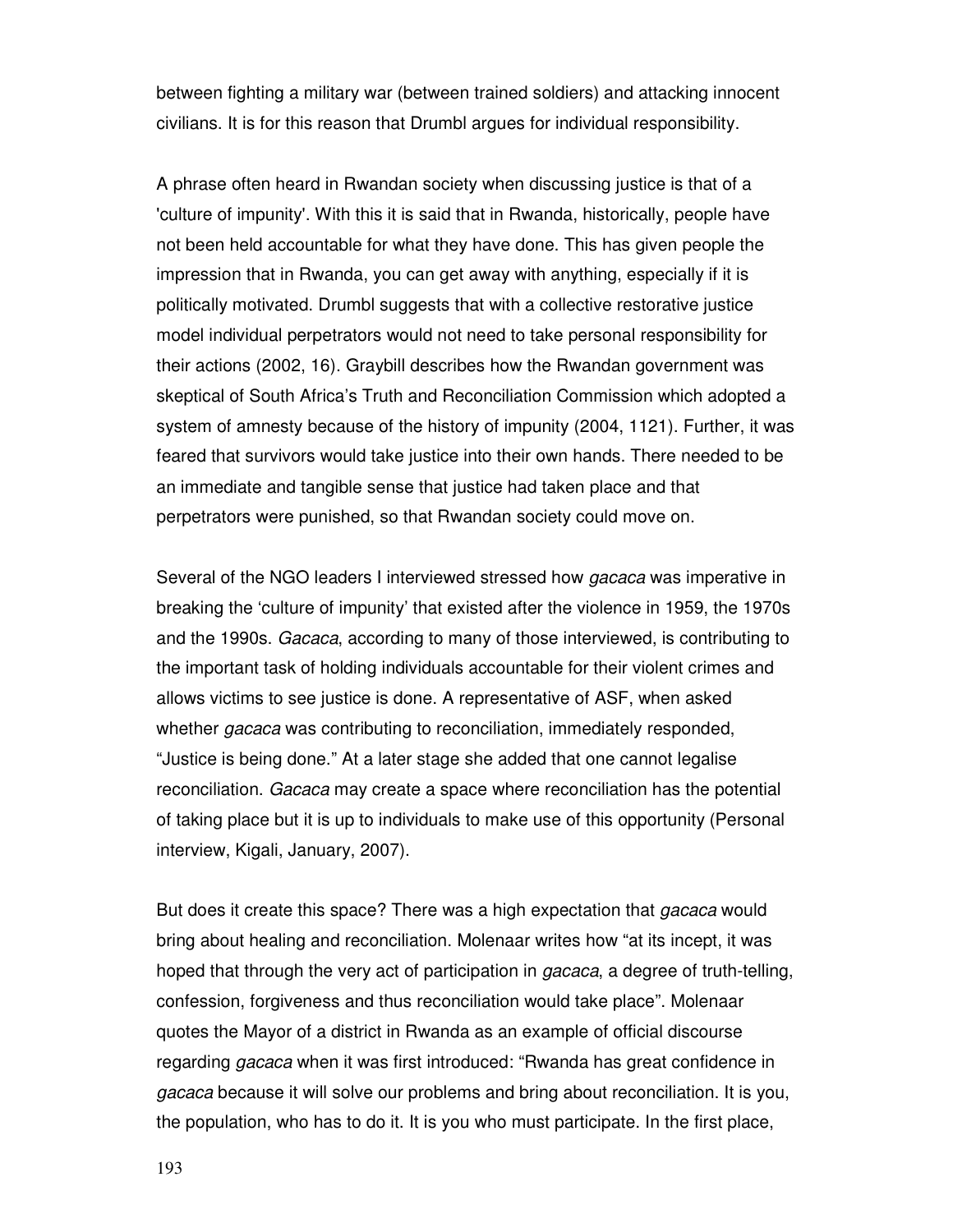between fighting a military war (between trained soldiers) and attacking innocent civilians. It is for this reason that Drumbl argues for individual responsibility.

A phrase often heard in Rwandan society when discussing justice is that of a 'culture of impunity'. With this it is said that in Rwanda, historically, people have not been held accountable for what they have done. This has given people the impression that in Rwanda, you can get away with anything, especially if it is politically motivated. Drumbl suggests that with a collective restorative justice model individual perpetrators would not need to take personal responsibility for their actions (2002, 16). Graybill describes how the Rwandan government was skeptical of South Africa's Truth and Reconciliation Commission which adopted a system of amnesty because of the history of impunity (2004, 1121). Further, it was feared that survivors would take justice into their own hands. There needed to be an immediate and tangible sense that justice had taken place and that perpetrators were punished, so that Rwandan society could move on.

Several of the NGO leaders I interviewed stressed how gacaca was imperative in breaking the 'culture of impunity' that existed after the violence in 1959, the 1970s and the 1990s. Gacaca, according to many of those interviewed, is contributing to the important task of holding individuals accountable for their violent crimes and allows victims to see justice is done. A representative of ASF, when asked whether *gacaca* was contributing to reconciliation, immediately responded, "Justice is being done." At a later stage she added that one cannot legalise reconciliation. Gacaca may create a space where reconciliation has the potential of taking place but it is up to individuals to make use of this opportunity (Personal interview, Kigali, January, 2007).

But does it create this space? There was a high expectation that gacaca would bring about healing and reconciliation. Molenaar writes how "at its incept, it was hoped that through the very act of participation in *gacaca*, a degree of truth-telling, confession, forgiveness and thus reconciliation would take place". Molenaar quotes the Mayor of a district in Rwanda as an example of official discourse regarding *gacaca* when it was first introduced: "Rwanda has great confidence in gacaca because it will solve our problems and bring about reconciliation. It is you, the population, who has to do it. It is you who must participate. In the first place,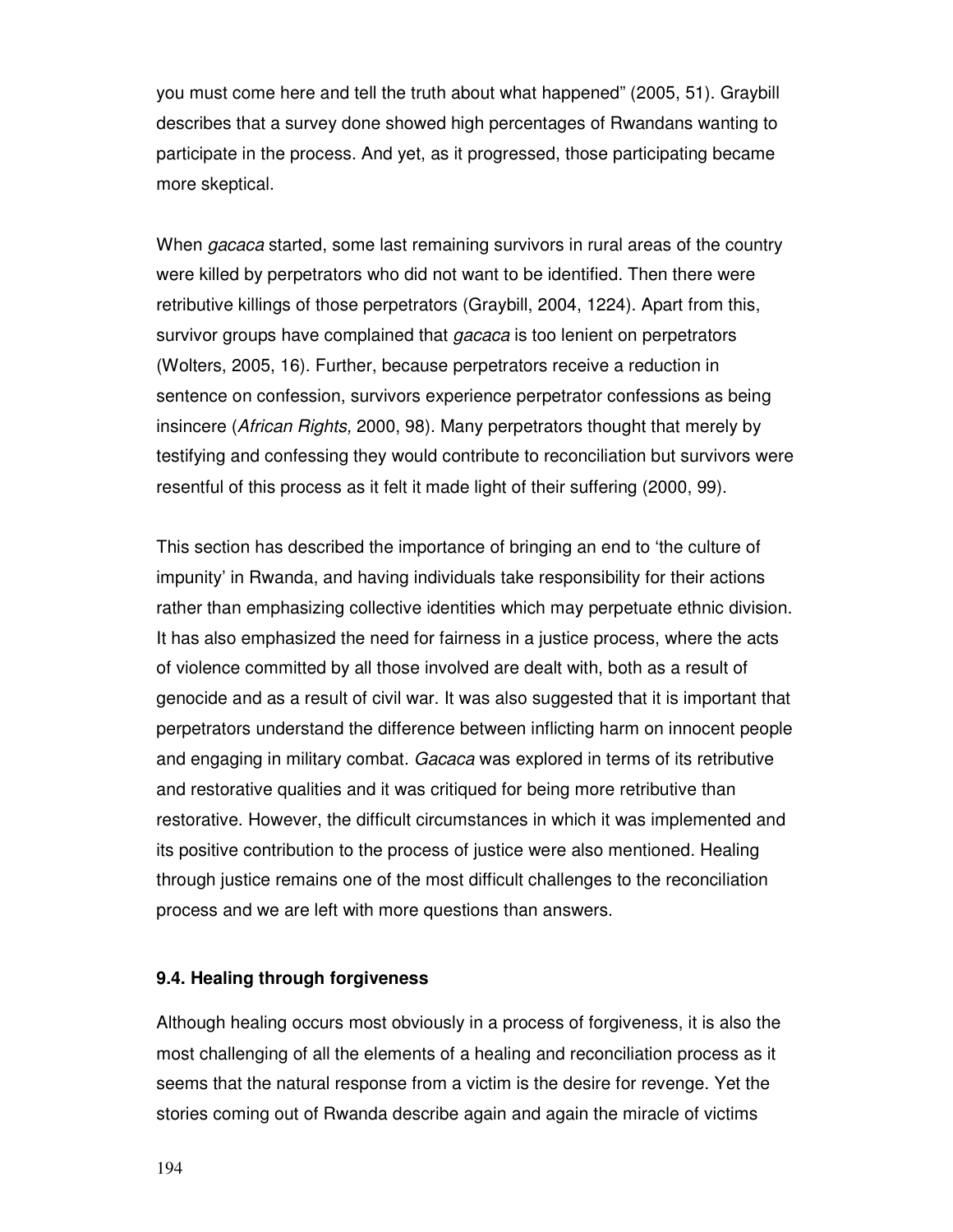you must come here and tell the truth about what happened" (2005, 51). Graybill describes that a survey done showed high percentages of Rwandans wanting to participate in the process. And yet, as it progressed, those participating became more skeptical.

When *gacaca* started, some last remaining survivors in rural areas of the country were killed by perpetrators who did not want to be identified. Then there were retributive killings of those perpetrators (Graybill, 2004, 1224). Apart from this, survivor groups have complained that gacaca is too lenient on perpetrators (Wolters, 2005, 16). Further, because perpetrators receive a reduction in sentence on confession, survivors experience perpetrator confessions as being insincere (African Rights, 2000, 98). Many perpetrators thought that merely by testifying and confessing they would contribute to reconciliation but survivors were resentful of this process as it felt it made light of their suffering (2000, 99).

This section has described the importance of bringing an end to 'the culture of impunity' in Rwanda, and having individuals take responsibility for their actions rather than emphasizing collective identities which may perpetuate ethnic division. It has also emphasized the need for fairness in a justice process, where the acts of violence committed by all those involved are dealt with, both as a result of genocide and as a result of civil war. It was also suggested that it is important that perpetrators understand the difference between inflicting harm on innocent people and engaging in military combat. Gacaca was explored in terms of its retributive and restorative qualities and it was critiqued for being more retributive than restorative. However, the difficult circumstances in which it was implemented and its positive contribution to the process of justice were also mentioned. Healing through justice remains one of the most difficult challenges to the reconciliation process and we are left with more questions than answers.

# **9.4. Healing through forgiveness**

Although healing occurs most obviously in a process of forgiveness, it is also the most challenging of all the elements of a healing and reconciliation process as it seems that the natural response from a victim is the desire for revenge. Yet the stories coming out of Rwanda describe again and again the miracle of victims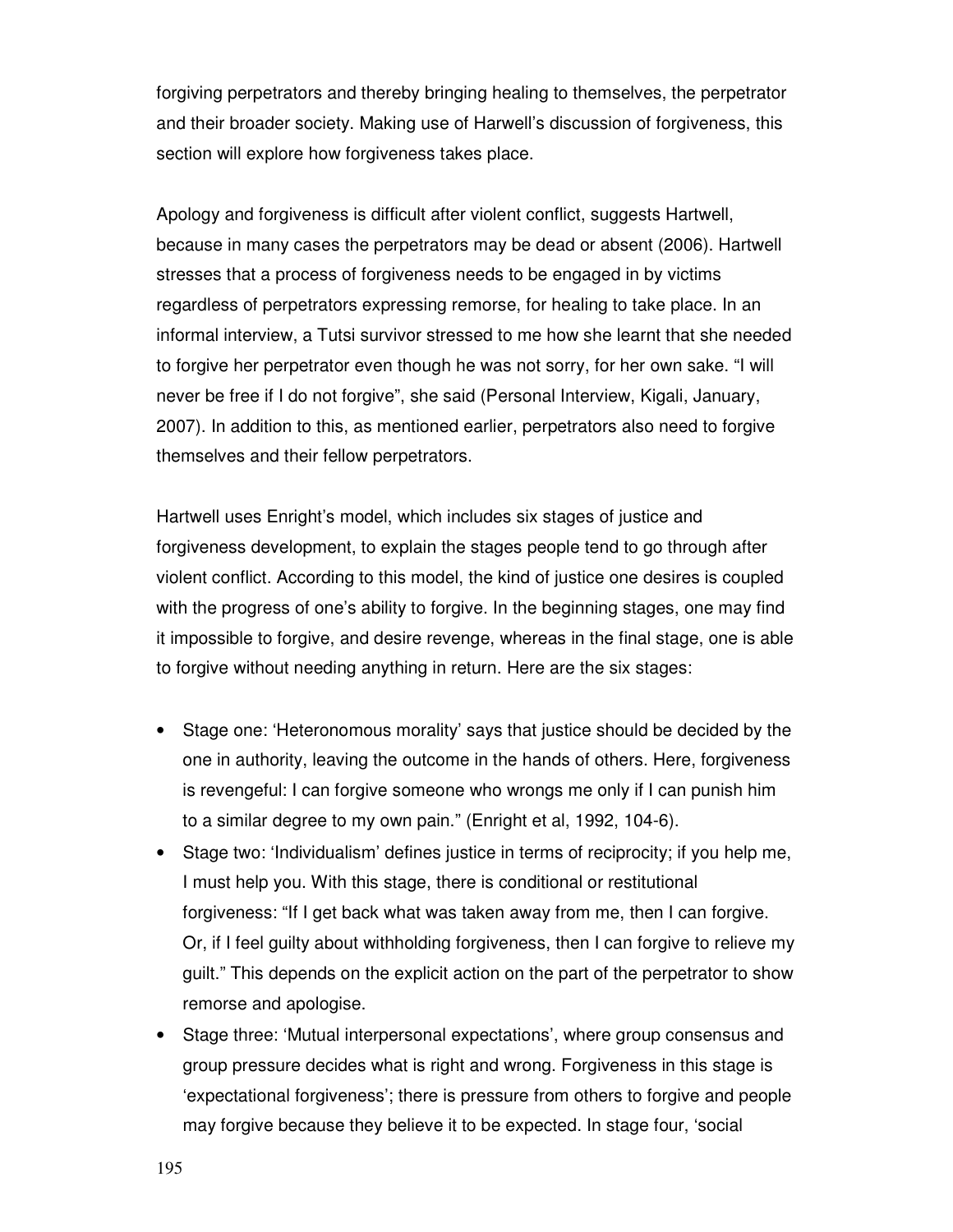forgiving perpetrators and thereby bringing healing to themselves, the perpetrator and their broader society. Making use of Harwell's discussion of forgiveness, this section will explore how forgiveness takes place.

Apology and forgiveness is difficult after violent conflict, suggests Hartwell, because in many cases the perpetrators may be dead or absent (2006). Hartwell stresses that a process of forgiveness needs to be engaged in by victims regardless of perpetrators expressing remorse, for healing to take place. In an informal interview, a Tutsi survivor stressed to me how she learnt that she needed to forgive her perpetrator even though he was not sorry, for her own sake. "I will never be free if I do not forgive", she said (Personal Interview, Kigali, January, 2007). In addition to this, as mentioned earlier, perpetrators also need to forgive themselves and their fellow perpetrators.

Hartwell uses Enright's model, which includes six stages of justice and forgiveness development, to explain the stages people tend to go through after violent conflict. According to this model, the kind of justice one desires is coupled with the progress of one's ability to forgive. In the beginning stages, one may find it impossible to forgive, and desire revenge, whereas in the final stage, one is able to forgive without needing anything in return. Here are the six stages:

- Stage one: 'Heteronomous morality' says that justice should be decided by the one in authority, leaving the outcome in the hands of others. Here, forgiveness is revengeful: I can forgive someone who wrongs me only if I can punish him to a similar degree to my own pain." (Enright et al, 1992, 104-6).
- Stage two: 'Individualism' defines justice in terms of reciprocity; if you help me, I must help you. With this stage, there is conditional or restitutional forgiveness: "If I get back what was taken away from me, then I can forgive. Or, if I feel guilty about withholding forgiveness, then I can forgive to relieve my guilt." This depends on the explicit action on the part of the perpetrator to show remorse and apologise.
- Stage three: 'Mutual interpersonal expectations', where group consensus and group pressure decides what is right and wrong. Forgiveness in this stage is 'expectational forgiveness'; there is pressure from others to forgive and people may forgive because they believe it to be expected. In stage four, 'social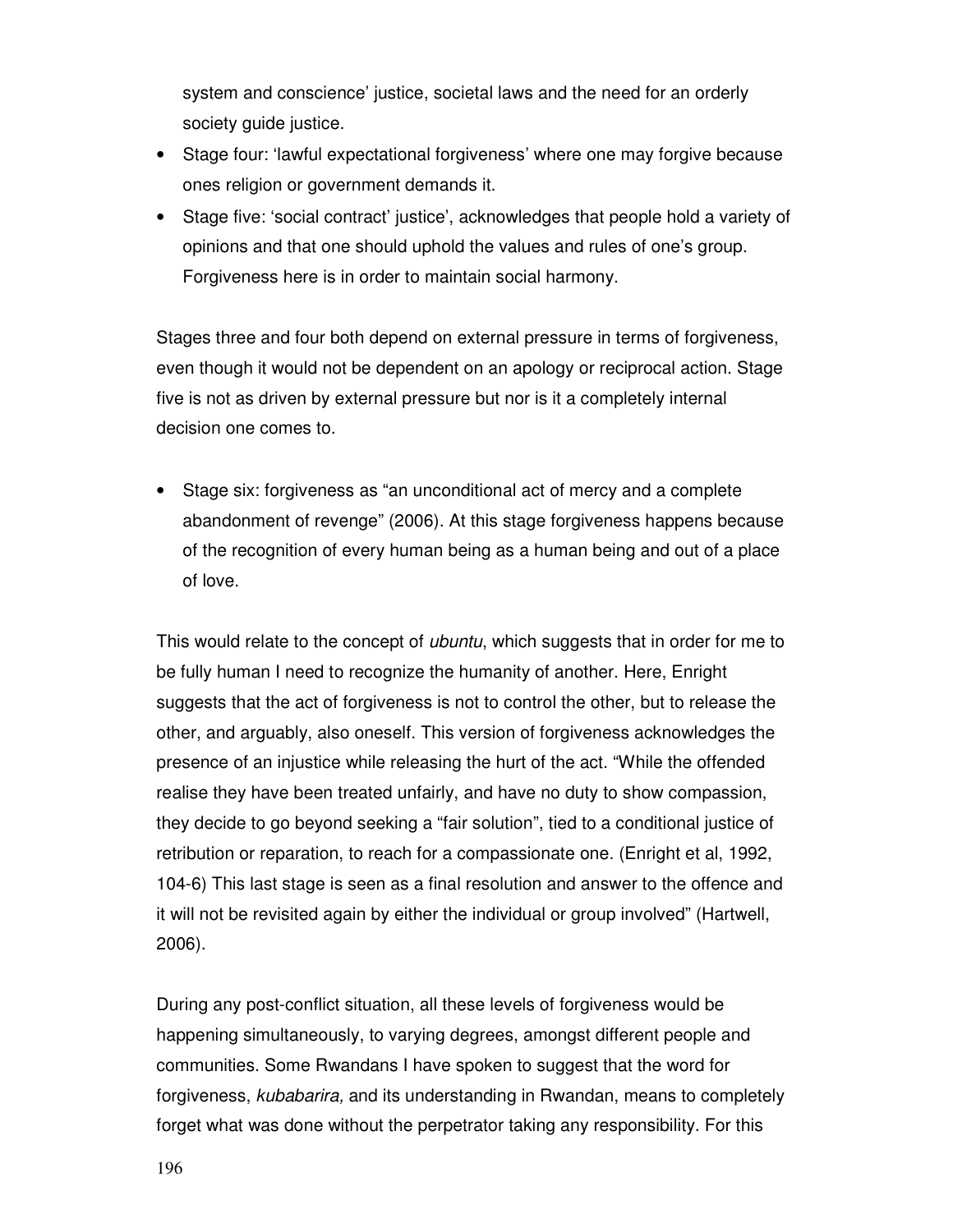system and conscience' justice, societal laws and the need for an orderly society guide justice.

- Stage four: 'lawful expectational forgiveness' where one may forgive because ones religion or government demands it.
- Stage five: 'social contract' justice', acknowledges that people hold a variety of opinions and that one should uphold the values and rules of one's group. Forgiveness here is in order to maintain social harmony.

Stages three and four both depend on external pressure in terms of forgiveness, even though it would not be dependent on an apology or reciprocal action. Stage five is not as driven by external pressure but nor is it a completely internal decision one comes to.

• Stage six: forgiveness as "an unconditional act of mercy and a complete abandonment of revenge" (2006). At this stage forgiveness happens because of the recognition of every human being as a human being and out of a place of love.

This would relate to the concept of *ubuntu*, which suggests that in order for me to be fully human I need to recognize the humanity of another. Here, Enright suggests that the act of forgiveness is not to control the other, but to release the other, and arguably, also oneself. This version of forgiveness acknowledges the presence of an injustice while releasing the hurt of the act. "While the offended realise they have been treated unfairly, and have no duty to show compassion, they decide to go beyond seeking a "fair solution", tied to a conditional justice of retribution or reparation, to reach for a compassionate one. (Enright et al, 1992, 104-6) This last stage is seen as a final resolution and answer to the offence and it will not be revisited again by either the individual or group involved" (Hartwell, 2006).

During any post-conflict situation, all these levels of forgiveness would be happening simultaneously, to varying degrees, amongst different people and communities. Some Rwandans I have spoken to suggest that the word for forgiveness, kubabarira, and its understanding in Rwandan, means to completely forget what was done without the perpetrator taking any responsibility. For this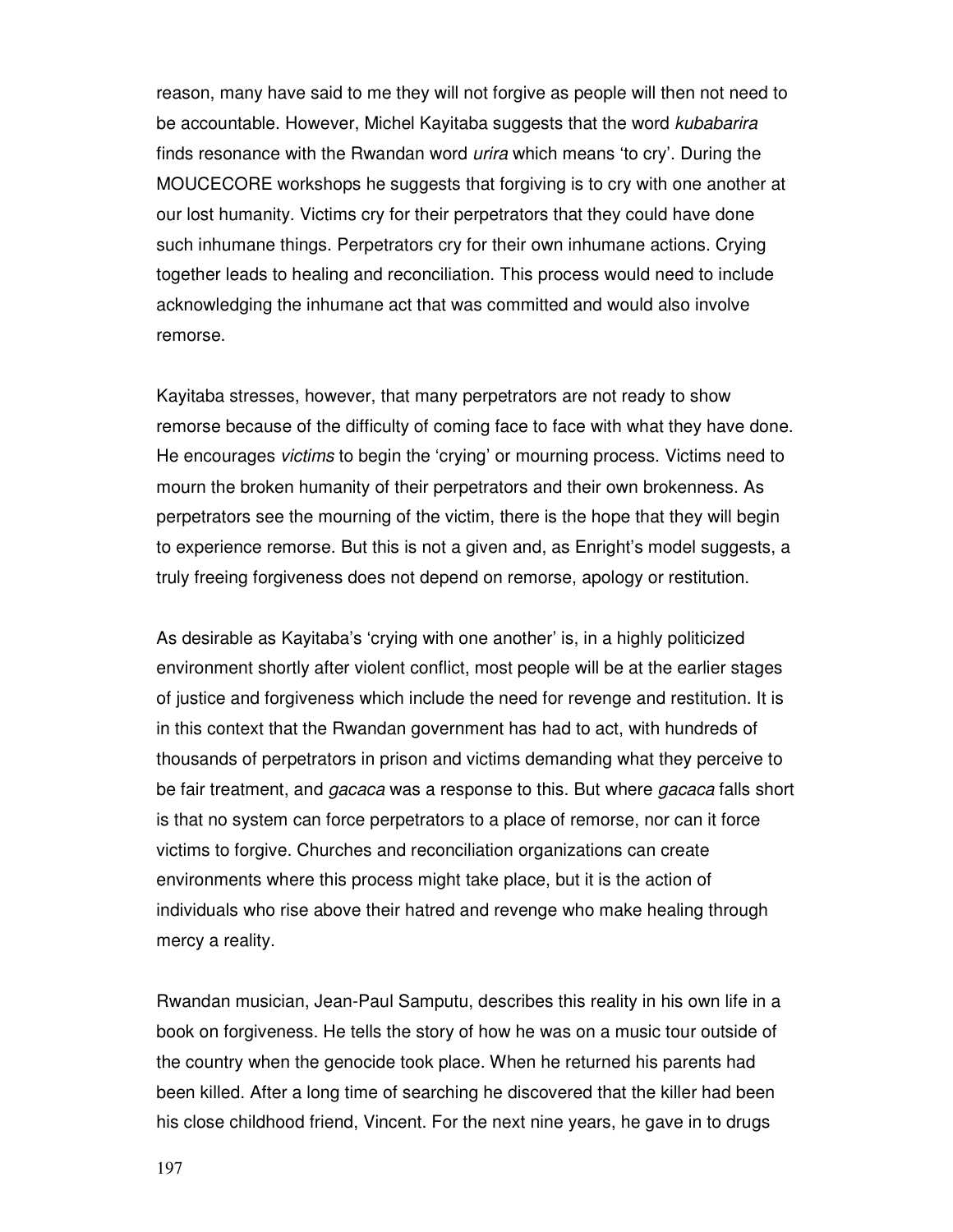reason, many have said to me they will not forgive as people will then not need to be accountable. However, Michel Kayitaba suggests that the word kubabarira finds resonance with the Rwandan word *urira* which means 'to cry'. During the MOUCECORE workshops he suggests that forgiving is to cry with one another at our lost humanity. Victims cry for their perpetrators that they could have done such inhumane things. Perpetrators cry for their own inhumane actions. Crying together leads to healing and reconciliation. This process would need to include acknowledging the inhumane act that was committed and would also involve remorse.

Kayitaba stresses, however, that many perpetrators are not ready to show remorse because of the difficulty of coming face to face with what they have done. He encourages victims to begin the 'crying' or mourning process. Victims need to mourn the broken humanity of their perpetrators and their own brokenness. As perpetrators see the mourning of the victim, there is the hope that they will begin to experience remorse. But this is not a given and, as Enright's model suggests, a truly freeing forgiveness does not depend on remorse, apology or restitution.

As desirable as Kayitaba's 'crying with one another' is, in a highly politicized environment shortly after violent conflict, most people will be at the earlier stages of justice and forgiveness which include the need for revenge and restitution. It is in this context that the Rwandan government has had to act, with hundreds of thousands of perpetrators in prison and victims demanding what they perceive to be fair treatment, and *gacaca* was a response to this. But where *gacaca* falls short is that no system can force perpetrators to a place of remorse, nor can it force victims to forgive. Churches and reconciliation organizations can create environments where this process might take place, but it is the action of individuals who rise above their hatred and revenge who make healing through mercy a reality.

Rwandan musician, Jean-Paul Samputu, describes this reality in his own life in a book on forgiveness. He tells the story of how he was on a music tour outside of the country when the genocide took place. When he returned his parents had been killed. After a long time of searching he discovered that the killer had been his close childhood friend, Vincent. For the next nine years, he gave in to drugs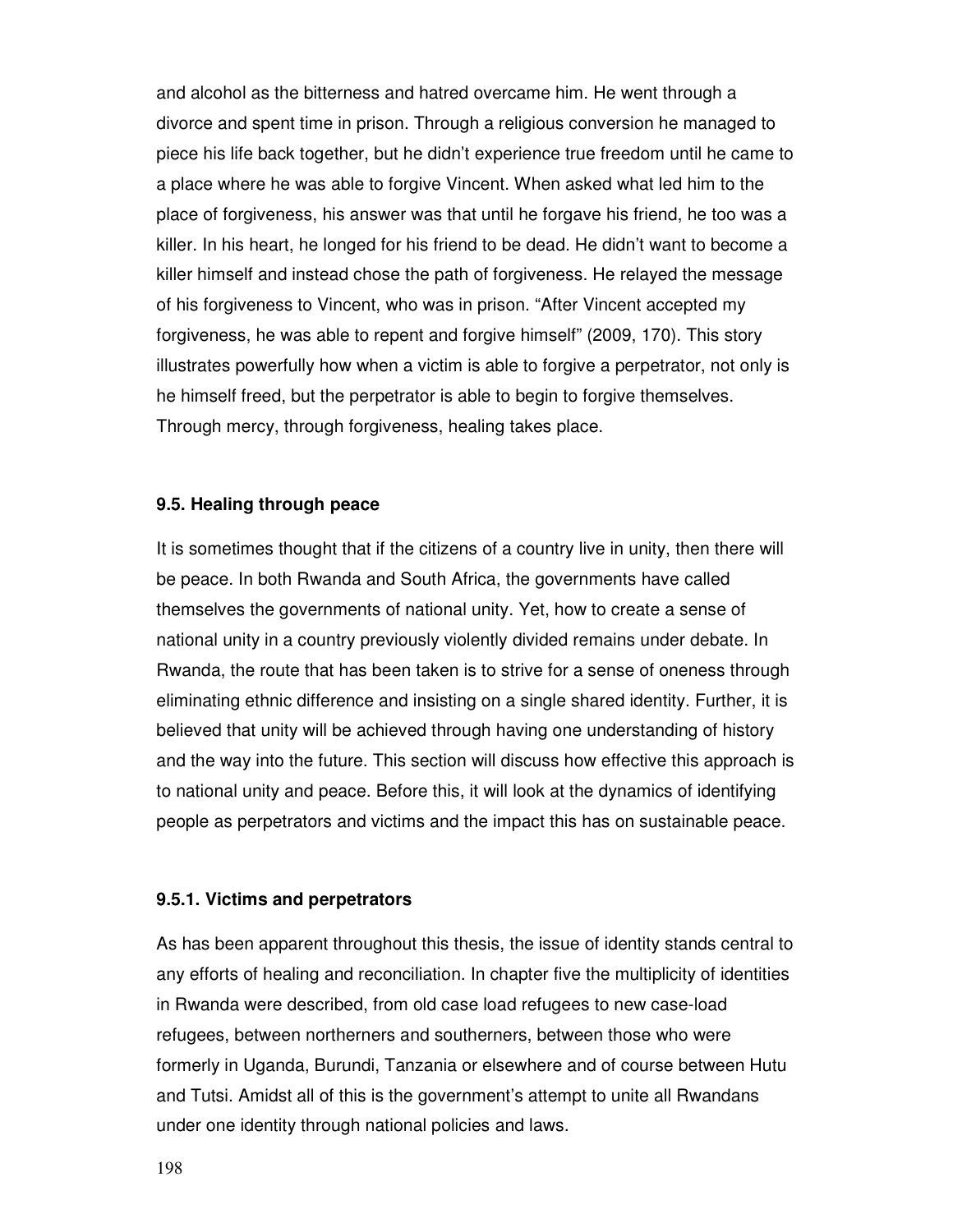and alcohol as the bitterness and hatred overcame him. He went through a divorce and spent time in prison. Through a religious conversion he managed to piece his life back together, but he didn't experience true freedom until he came to a place where he was able to forgive Vincent. When asked what led him to the place of forgiveness, his answer was that until he forgave his friend, he too was a killer. In his heart, he longed for his friend to be dead. He didn't want to become a killer himself and instead chose the path of forgiveness. He relayed the message of his forgiveness to Vincent, who was in prison. "After Vincent accepted my forgiveness, he was able to repent and forgive himself" (2009, 170). This story illustrates powerfully how when a victim is able to forgive a perpetrator, not only is he himself freed, but the perpetrator is able to begin to forgive themselves. Through mercy, through forgiveness, healing takes place.

# **9.5. Healing through peace**

It is sometimes thought that if the citizens of a country live in unity, then there will be peace. In both Rwanda and South Africa, the governments have called themselves the governments of national unity. Yet, how to create a sense of national unity in a country previously violently divided remains under debate. In Rwanda, the route that has been taken is to strive for a sense of oneness through eliminating ethnic difference and insisting on a single shared identity. Further, it is believed that unity will be achieved through having one understanding of history and the way into the future. This section will discuss how effective this approach is to national unity and peace. Before this, it will look at the dynamics of identifying people as perpetrators and victims and the impact this has on sustainable peace.

## **9.5.1. Victims and perpetrators**

As has been apparent throughout this thesis, the issue of identity stands central to any efforts of healing and reconciliation. In chapter five the multiplicity of identities in Rwanda were described, from old case load refugees to new case-load refugees, between northerners and southerners, between those who were formerly in Uganda, Burundi, Tanzania or elsewhere and of course between Hutu and Tutsi. Amidst all of this is the government's attempt to unite all Rwandans under one identity through national policies and laws.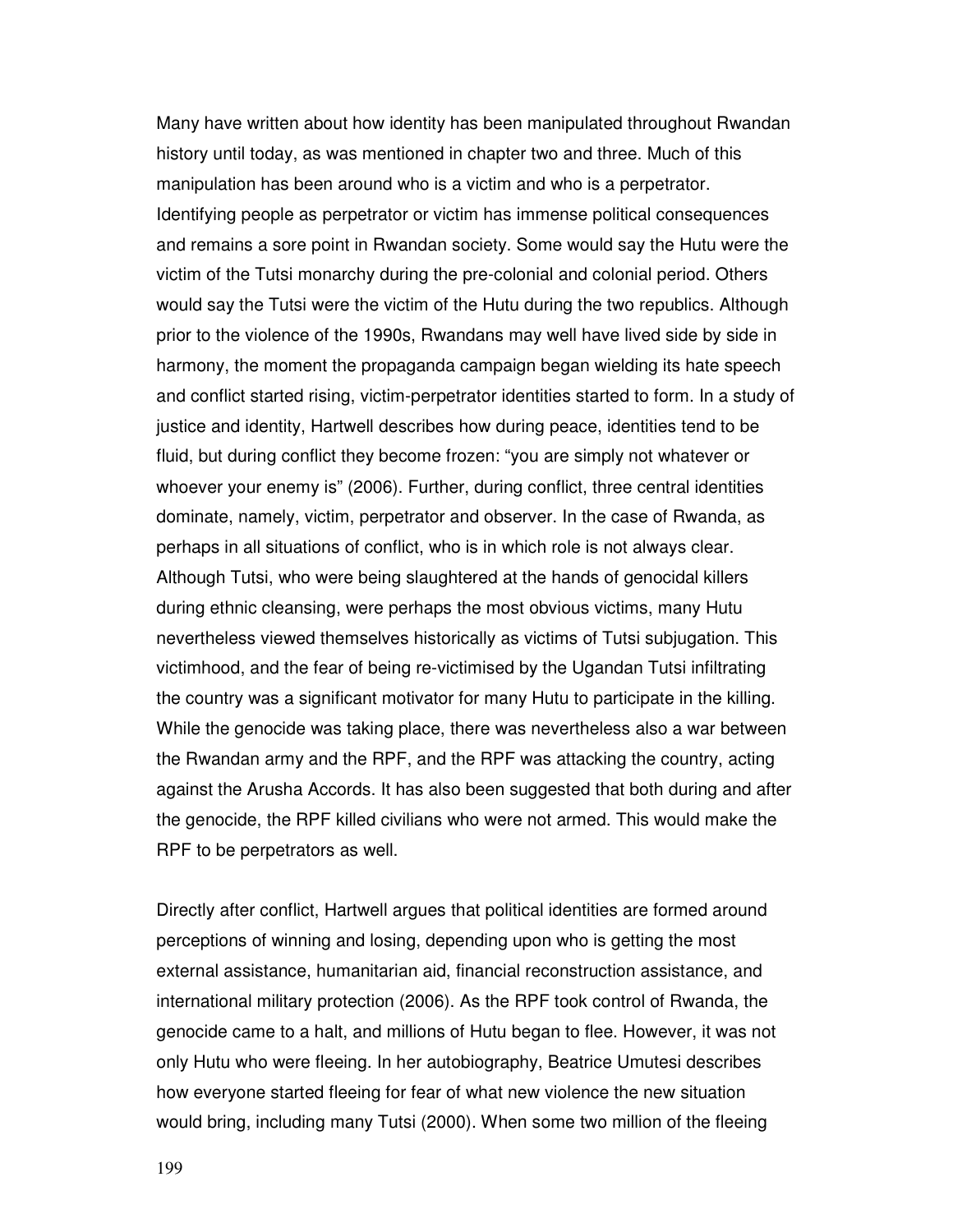Many have written about how identity has been manipulated throughout Rwandan history until today, as was mentioned in chapter two and three. Much of this manipulation has been around who is a victim and who is a perpetrator. Identifying people as perpetrator or victim has immense political consequences and remains a sore point in Rwandan society. Some would say the Hutu were the victim of the Tutsi monarchy during the pre-colonial and colonial period. Others would say the Tutsi were the victim of the Hutu during the two republics. Although prior to the violence of the 1990s, Rwandans may well have lived side by side in harmony, the moment the propaganda campaign began wielding its hate speech and conflict started rising, victim-perpetrator identities started to form. In a study of justice and identity, Hartwell describes how during peace, identities tend to be fluid, but during conflict they become frozen: "you are simply not whatever or whoever your enemy is" (2006). Further, during conflict, three central identities dominate, namely, victim, perpetrator and observer. In the case of Rwanda, as perhaps in all situations of conflict, who is in which role is not always clear. Although Tutsi, who were being slaughtered at the hands of genocidal killers during ethnic cleansing, were perhaps the most obvious victims, many Hutu nevertheless viewed themselves historically as victims of Tutsi subjugation. This victimhood, and the fear of being re-victimised by the Ugandan Tutsi infiltrating the country was a significant motivator for many Hutu to participate in the killing. While the genocide was taking place, there was nevertheless also a war between the Rwandan army and the RPF, and the RPF was attacking the country, acting against the Arusha Accords. It has also been suggested that both during and after the genocide, the RPF killed civilians who were not armed. This would make the RPF to be perpetrators as well.

Directly after conflict, Hartwell argues that political identities are formed around perceptions of winning and losing, depending upon who is getting the most external assistance, humanitarian aid, financial reconstruction assistance, and international military protection (2006). As the RPF took control of Rwanda, the genocide came to a halt, and millions of Hutu began to flee. However, it was not only Hutu who were fleeing. In her autobiography, Beatrice Umutesi describes how everyone started fleeing for fear of what new violence the new situation would bring, including many Tutsi (2000). When some two million of the fleeing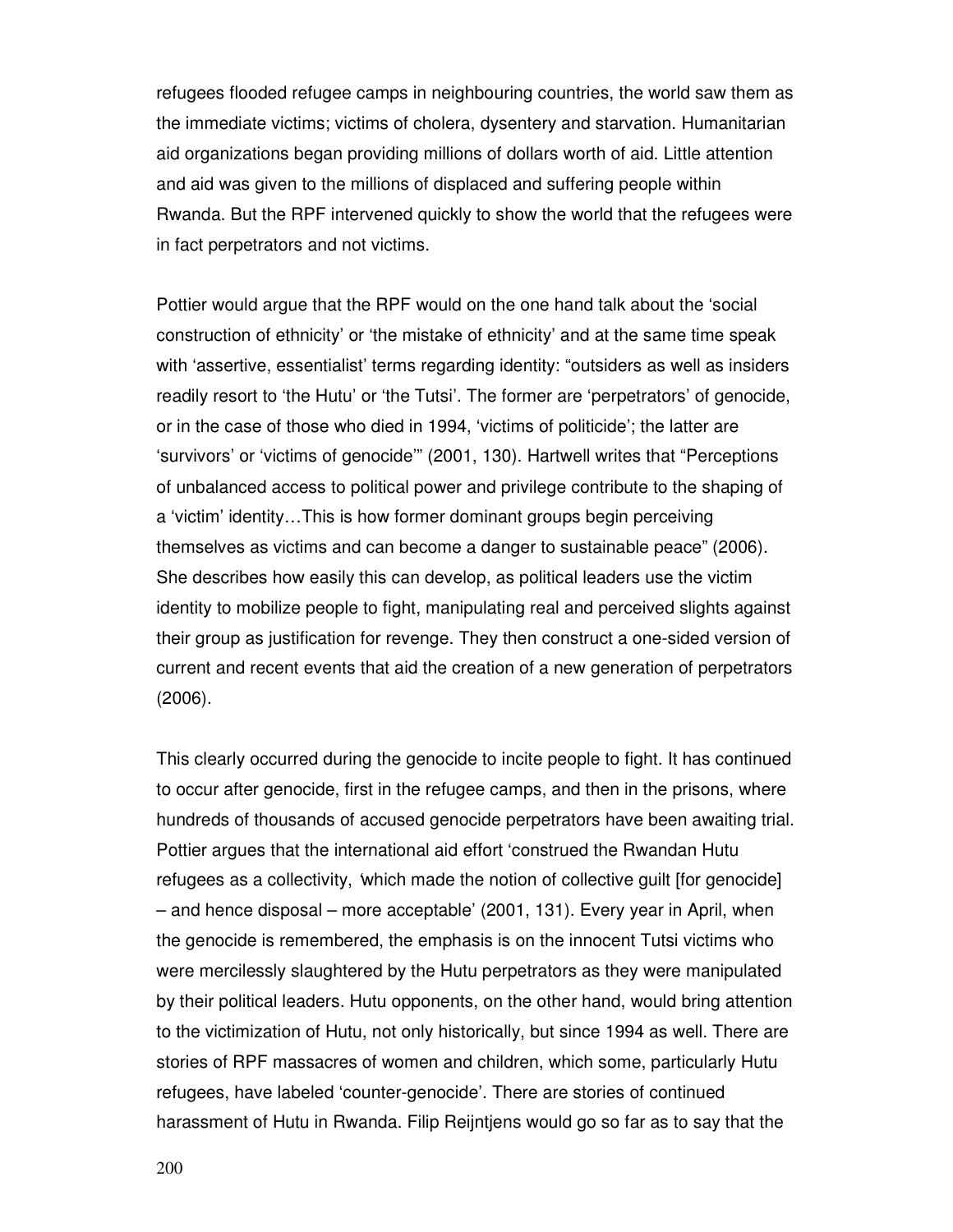refugees flooded refugee camps in neighbouring countries, the world saw them as the immediate victims; victims of cholera, dysentery and starvation. Humanitarian aid organizations began providing millions of dollars worth of aid. Little attention and aid was given to the millions of displaced and suffering people within Rwanda. But the RPF intervened quickly to show the world that the refugees were in fact perpetrators and not victims.

Pottier would argue that the RPF would on the one hand talk about the 'social construction of ethnicity' or 'the mistake of ethnicity' and at the same time speak with 'assertive, essentialist' terms regarding identity: "outsiders as well as insiders readily resort to 'the Hutu' or 'the Tutsi'. The former are 'perpetrators' of genocide, or in the case of those who died in 1994, 'victims of politicide'; the latter are 'survivors' or 'victims of genocide'" (2001, 130). Hartwell writes that "Perceptions of unbalanced access to political power and privilege contribute to the shaping of a 'victim' identity…This is how former dominant groups begin perceiving themselves as victims and can become a danger to sustainable peace" (2006). She describes how easily this can develop, as political leaders use the victim identity to mobilize people to fight, manipulating real and perceived slights against their group as justification for revenge. They then construct a one-sided version of current and recent events that aid the creation of a new generation of perpetrators (2006).

This clearly occurred during the genocide to incite people to fight. It has continued to occur after genocide, first in the refugee camps, and then in the prisons, where hundreds of thousands of accused genocide perpetrators have been awaiting trial. Pottier argues that the international aid effort 'construed the Rwandan Hutu refugees as a collectivity, 'which made the notion of collective guilt [for genocide] – and hence disposal – more acceptable' (2001, 131). Every year in April, when the genocide is remembered, the emphasis is on the innocent Tutsi victims who were mercilessly slaughtered by the Hutu perpetrators as they were manipulated by their political leaders. Hutu opponents, on the other hand, would bring attention to the victimization of Hutu, not only historically, but since 1994 as well. There are stories of RPF massacres of women and children, which some, particularly Hutu refugees, have labeled 'counter-genocide'. There are stories of continued harassment of Hutu in Rwanda. Filip Reijntjens would go so far as to say that the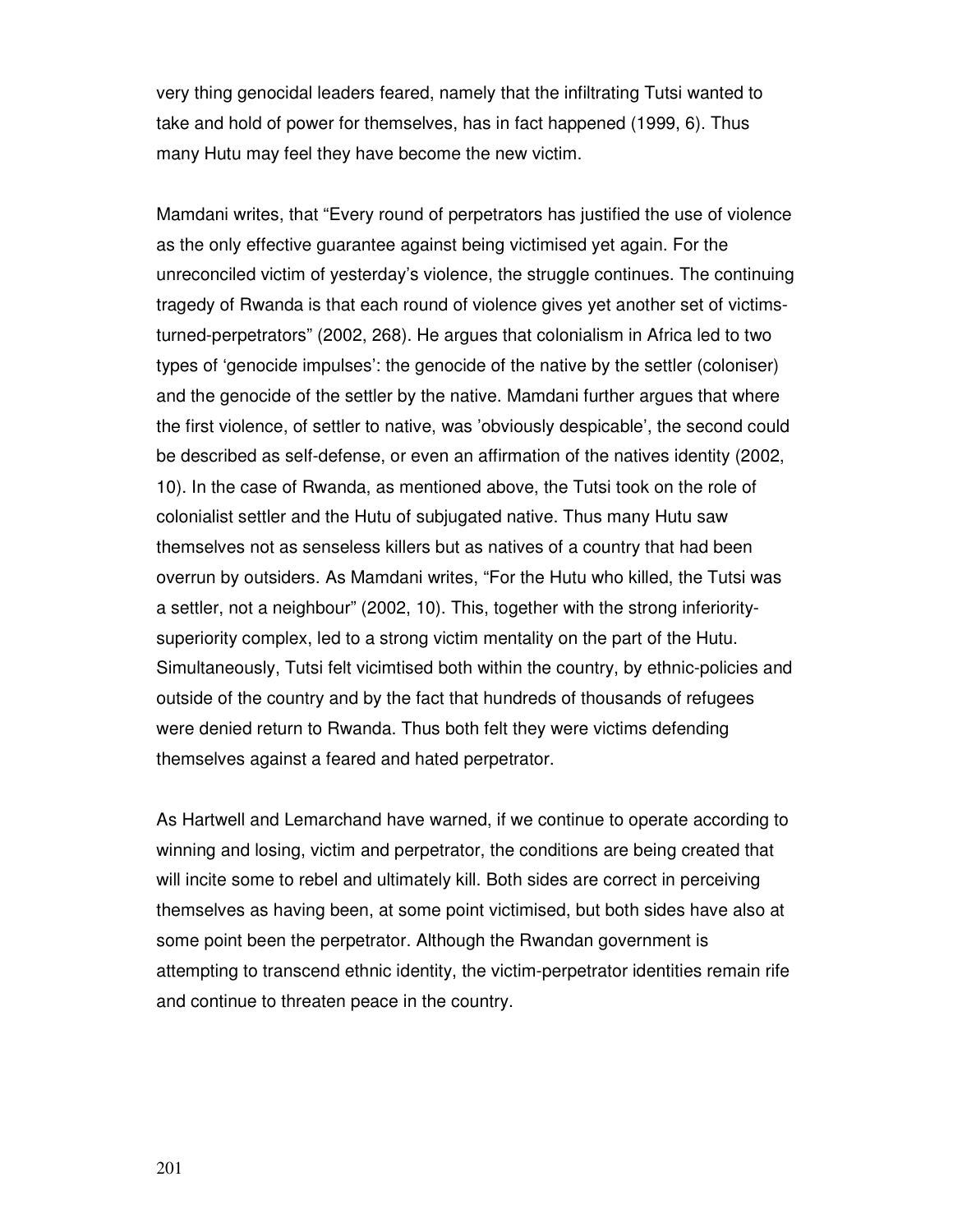very thing genocidal leaders feared, namely that the infiltrating Tutsi wanted to take and hold of power for themselves, has in fact happened (1999, 6). Thus many Hutu may feel they have become the new victim.

Mamdani writes, that "Every round of perpetrators has justified the use of violence as the only effective guarantee against being victimised yet again. For the unreconciled victim of yesterday's violence, the struggle continues. The continuing tragedy of Rwanda is that each round of violence gives yet another set of victimsturned-perpetrators" (2002, 268). He argues that colonialism in Africa led to two types of 'genocide impulses': the genocide of the native by the settler (coloniser) and the genocide of the settler by the native. Mamdani further argues that where the first violence, of settler to native, was 'obviously despicable', the second could be described as self-defense, or even an affirmation of the natives identity (2002, 10). In the case of Rwanda, as mentioned above, the Tutsi took on the role of colonialist settler and the Hutu of subjugated native. Thus many Hutu saw themselves not as senseless killers but as natives of a country that had been overrun by outsiders. As Mamdani writes, "For the Hutu who killed, the Tutsi was a settler, not a neighbour" (2002, 10). This, together with the strong inferioritysuperiority complex, led to a strong victim mentality on the part of the Hutu. Simultaneously, Tutsi felt vicimtised both within the country, by ethnic-policies and outside of the country and by the fact that hundreds of thousands of refugees were denied return to Rwanda. Thus both felt they were victims defending themselves against a feared and hated perpetrator.

As Hartwell and Lemarchand have warned, if we continue to operate according to winning and losing, victim and perpetrator, the conditions are being created that will incite some to rebel and ultimately kill. Both sides are correct in perceiving themselves as having been, at some point victimised, but both sides have also at some point been the perpetrator. Although the Rwandan government is attempting to transcend ethnic identity, the victim-perpetrator identities remain rife and continue to threaten peace in the country.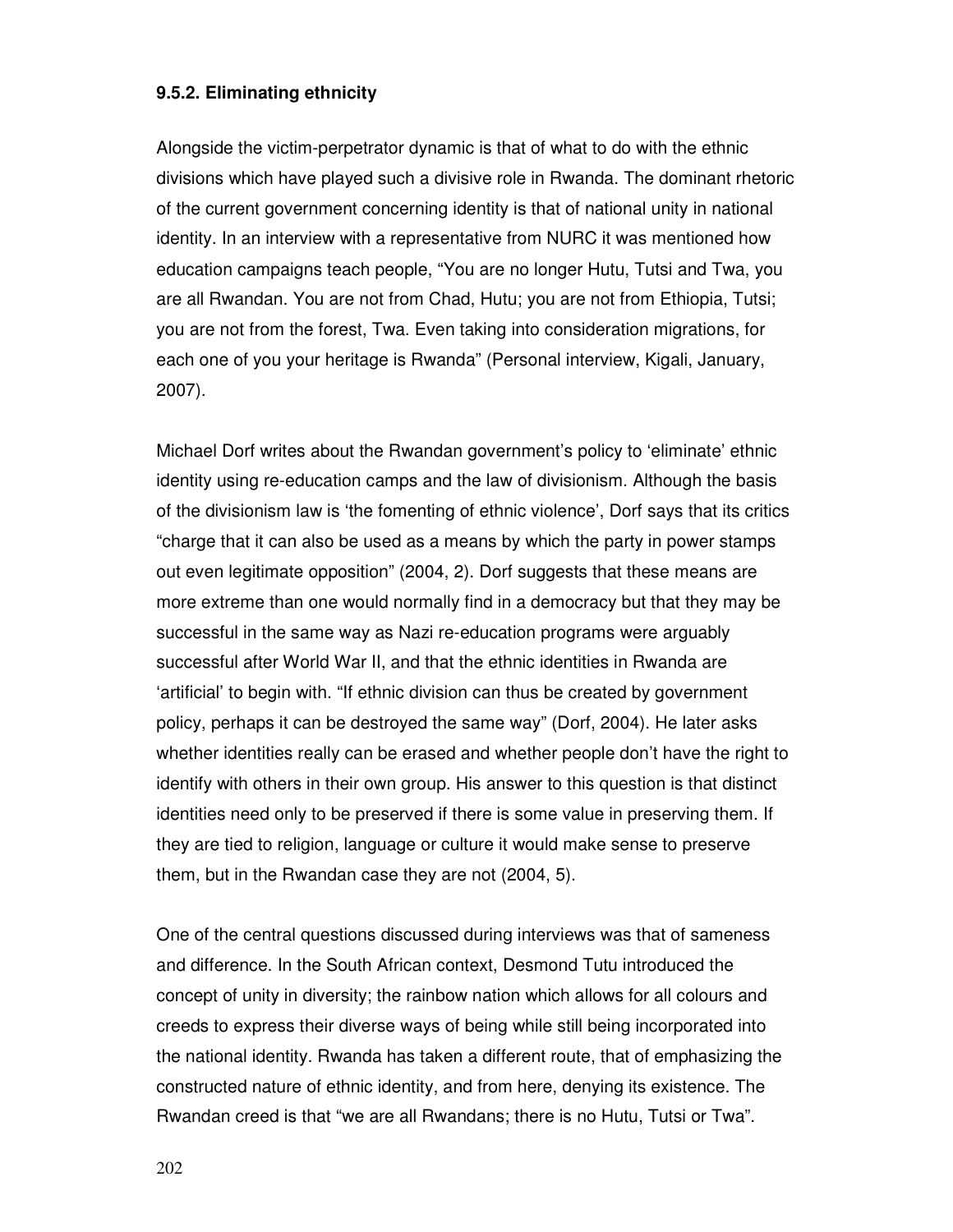## **9.5.2. Eliminating ethnicity**

Alongside the victim-perpetrator dynamic is that of what to do with the ethnic divisions which have played such a divisive role in Rwanda. The dominant rhetoric of the current government concerning identity is that of national unity in national identity. In an interview with a representative from NURC it was mentioned how education campaigns teach people, "You are no longer Hutu, Tutsi and Twa, you are all Rwandan. You are not from Chad, Hutu; you are not from Ethiopia, Tutsi; you are not from the forest, Twa. Even taking into consideration migrations, for each one of you your heritage is Rwanda" (Personal interview, Kigali, January, 2007).

Michael Dorf writes about the Rwandan government's policy to 'eliminate' ethnic identity using re-education camps and the law of divisionism. Although the basis of the divisionism law is 'the fomenting of ethnic violence', Dorf says that its critics "charge that it can also be used as a means by which the party in power stamps out even legitimate opposition" (2004, 2). Dorf suggests that these means are more extreme than one would normally find in a democracy but that they may be successful in the same way as Nazi re-education programs were arguably successful after World War II, and that the ethnic identities in Rwanda are 'artificial' to begin with. "If ethnic division can thus be created by government policy, perhaps it can be destroyed the same way" (Dorf, 2004). He later asks whether identities really can be erased and whether people don't have the right to identify with others in their own group. His answer to this question is that distinct identities need only to be preserved if there is some value in preserving them. If they are tied to religion, language or culture it would make sense to preserve them, but in the Rwandan case they are not (2004, 5).

One of the central questions discussed during interviews was that of sameness and difference. In the South African context, Desmond Tutu introduced the concept of unity in diversity; the rainbow nation which allows for all colours and creeds to express their diverse ways of being while still being incorporated into the national identity. Rwanda has taken a different route, that of emphasizing the constructed nature of ethnic identity, and from here, denying its existence. The Rwandan creed is that "we are all Rwandans; there is no Hutu, Tutsi or Twa".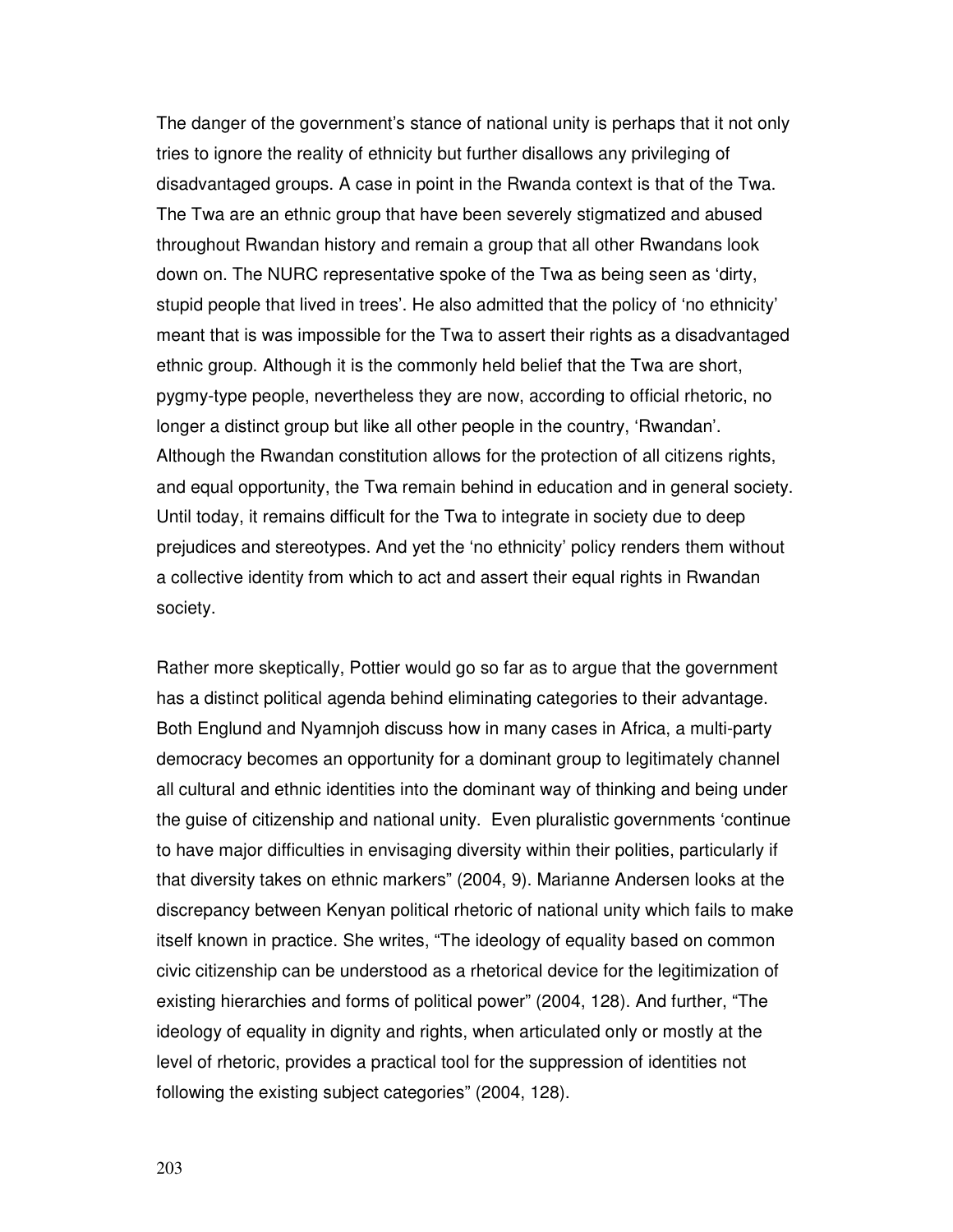The danger of the government's stance of national unity is perhaps that it not only tries to ignore the reality of ethnicity but further disallows any privileging of disadvantaged groups. A case in point in the Rwanda context is that of the Twa. The Twa are an ethnic group that have been severely stigmatized and abused throughout Rwandan history and remain a group that all other Rwandans look down on. The NURC representative spoke of the Twa as being seen as 'dirty, stupid people that lived in trees'. He also admitted that the policy of 'no ethnicity' meant that is was impossible for the Twa to assert their rights as a disadvantaged ethnic group. Although it is the commonly held belief that the Twa are short, pygmy-type people, nevertheless they are now, according to official rhetoric, no longer a distinct group but like all other people in the country, 'Rwandan'. Although the Rwandan constitution allows for the protection of all citizens rights, and equal opportunity, the Twa remain behind in education and in general society. Until today, it remains difficult for the Twa to integrate in society due to deep prejudices and stereotypes. And yet the 'no ethnicity' policy renders them without a collective identity from which to act and assert their equal rights in Rwandan society.

Rather more skeptically, Pottier would go so far as to argue that the government has a distinct political agenda behind eliminating categories to their advantage. Both Englund and Nyamnjoh discuss how in many cases in Africa, a multi-party democracy becomes an opportunity for a dominant group to legitimately channel all cultural and ethnic identities into the dominant way of thinking and being under the guise of citizenship and national unity. Even pluralistic governments 'continue to have major difficulties in envisaging diversity within their polities, particularly if that diversity takes on ethnic markers" (2004, 9). Marianne Andersen looks at the discrepancy between Kenyan political rhetoric of national unity which fails to make itself known in practice. She writes, "The ideology of equality based on common civic citizenship can be understood as a rhetorical device for the legitimization of existing hierarchies and forms of political power" (2004, 128). And further, "The ideology of equality in dignity and rights, when articulated only or mostly at the level of rhetoric, provides a practical tool for the suppression of identities not following the existing subject categories" (2004, 128).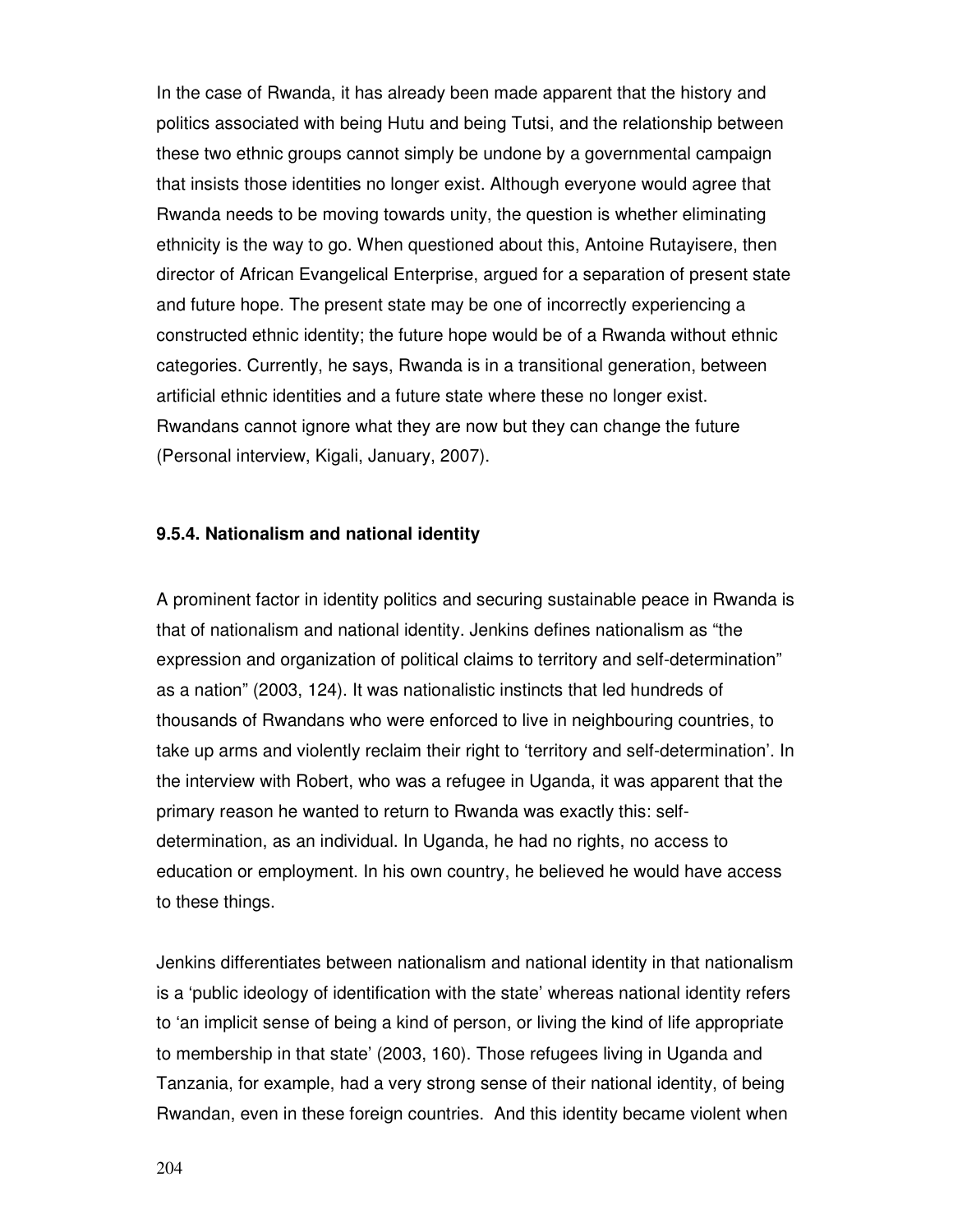In the case of Rwanda, it has already been made apparent that the history and politics associated with being Hutu and being Tutsi, and the relationship between these two ethnic groups cannot simply be undone by a governmental campaign that insists those identities no longer exist. Although everyone would agree that Rwanda needs to be moving towards unity, the question is whether eliminating ethnicity is the way to go. When questioned about this, Antoine Rutayisere, then director of African Evangelical Enterprise, argued for a separation of present state and future hope. The present state may be one of incorrectly experiencing a constructed ethnic identity; the future hope would be of a Rwanda without ethnic categories. Currently, he says, Rwanda is in a transitional generation, between artificial ethnic identities and a future state where these no longer exist. Rwandans cannot ignore what they are now but they can change the future (Personal interview, Kigali, January, 2007).

## **9.5.4. Nationalism and national identity**

A prominent factor in identity politics and securing sustainable peace in Rwanda is that of nationalism and national identity. Jenkins defines nationalism as "the expression and organization of political claims to territory and self-determination" as a nation" (2003, 124). It was nationalistic instincts that led hundreds of thousands of Rwandans who were enforced to live in neighbouring countries, to take up arms and violently reclaim their right to 'territory and self-determination'. In the interview with Robert, who was a refugee in Uganda, it was apparent that the primary reason he wanted to return to Rwanda was exactly this: selfdetermination, as an individual. In Uganda, he had no rights, no access to education or employment. In his own country, he believed he would have access to these things.

Jenkins differentiates between nationalism and national identity in that nationalism is a 'public ideology of identification with the state' whereas national identity refers to 'an implicit sense of being a kind of person, or living the kind of life appropriate to membership in that state' (2003, 160). Those refugees living in Uganda and Tanzania, for example, had a very strong sense of their national identity, of being Rwandan, even in these foreign countries. And this identity became violent when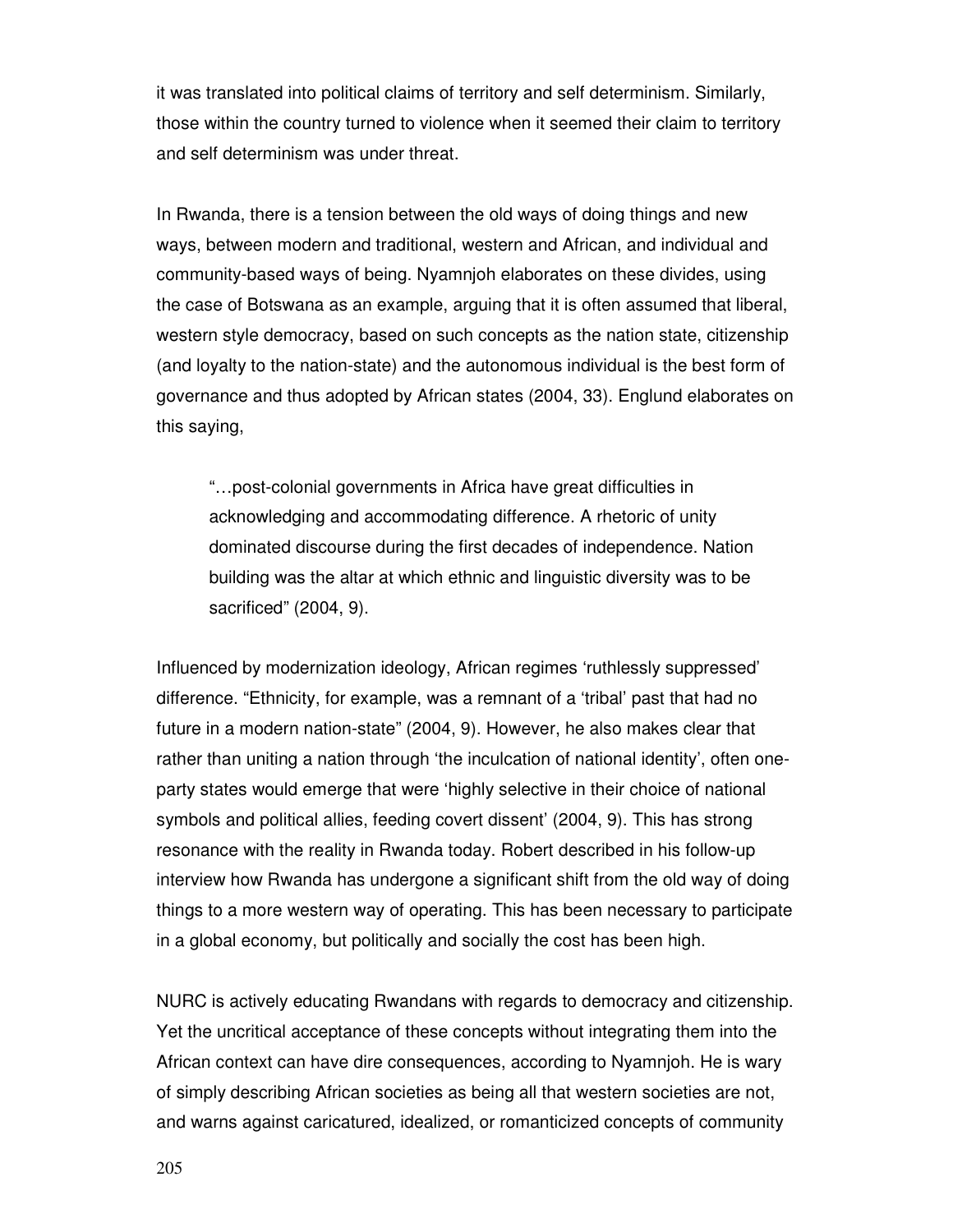it was translated into political claims of territory and self determinism. Similarly, those within the country turned to violence when it seemed their claim to territory and self determinism was under threat.

In Rwanda, there is a tension between the old ways of doing things and new ways, between modern and traditional, western and African, and individual and community-based ways of being. Nyamnjoh elaborates on these divides, using the case of Botswana as an example, arguing that it is often assumed that liberal, western style democracy, based on such concepts as the nation state, citizenship (and loyalty to the nation-state) and the autonomous individual is the best form of governance and thus adopted by African states (2004, 33). Englund elaborates on this saying,

"…post-colonial governments in Africa have great difficulties in acknowledging and accommodating difference. A rhetoric of unity dominated discourse during the first decades of independence. Nation building was the altar at which ethnic and linguistic diversity was to be sacrificed" (2004, 9).

Influenced by modernization ideology, African regimes 'ruthlessly suppressed' difference. "Ethnicity, for example, was a remnant of a 'tribal' past that had no future in a modern nation-state" (2004, 9). However, he also makes clear that rather than uniting a nation through 'the inculcation of national identity', often oneparty states would emerge that were 'highly selective in their choice of national symbols and political allies, feeding covert dissent' (2004, 9). This has strong resonance with the reality in Rwanda today. Robert described in his follow-up interview how Rwanda has undergone a significant shift from the old way of doing things to a more western way of operating. This has been necessary to participate in a global economy, but politically and socially the cost has been high.

NURC is actively educating Rwandans with regards to democracy and citizenship. Yet the uncritical acceptance of these concepts without integrating them into the African context can have dire consequences, according to Nyamnjoh. He is wary of simply describing African societies as being all that western societies are not, and warns against caricatured, idealized, or romanticized concepts of community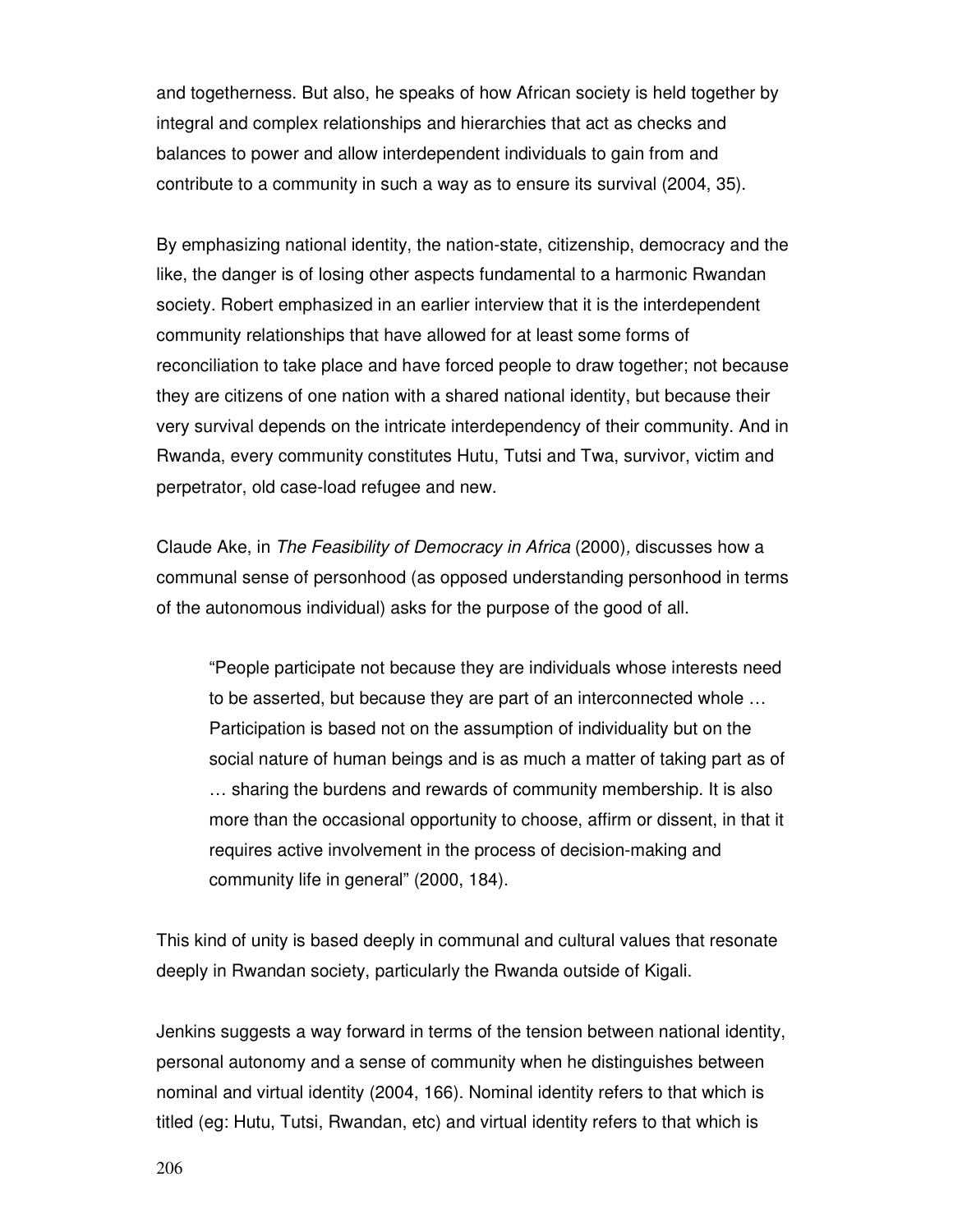and togetherness. But also, he speaks of how African society is held together by integral and complex relationships and hierarchies that act as checks and balances to power and allow interdependent individuals to gain from and contribute to a community in such a way as to ensure its survival (2004, 35).

By emphasizing national identity, the nation-state, citizenship, democracy and the like, the danger is of losing other aspects fundamental to a harmonic Rwandan society. Robert emphasized in an earlier interview that it is the interdependent community relationships that have allowed for at least some forms of reconciliation to take place and have forced people to draw together; not because they are citizens of one nation with a shared national identity, but because their very survival depends on the intricate interdependency of their community. And in Rwanda, every community constitutes Hutu, Tutsi and Twa, survivor, victim and perpetrator, old case-load refugee and new.

Claude Ake, in The Feasibility of Democracy in Africa (2000), discusses how a communal sense of personhood (as opposed understanding personhood in terms of the autonomous individual) asks for the purpose of the good of all.

"People participate not because they are individuals whose interests need to be asserted, but because they are part of an interconnected whole … Participation is based not on the assumption of individuality but on the social nature of human beings and is as much a matter of taking part as of … sharing the burdens and rewards of community membership. It is also more than the occasional opportunity to choose, affirm or dissent, in that it requires active involvement in the process of decision-making and community life in general" (2000, 184).

This kind of unity is based deeply in communal and cultural values that resonate deeply in Rwandan society, particularly the Rwanda outside of Kigali.

Jenkins suggests a way forward in terms of the tension between national identity, personal autonomy and a sense of community when he distinguishes between nominal and virtual identity (2004, 166). Nominal identity refers to that which is titled (eg: Hutu, Tutsi, Rwandan, etc) and virtual identity refers to that which is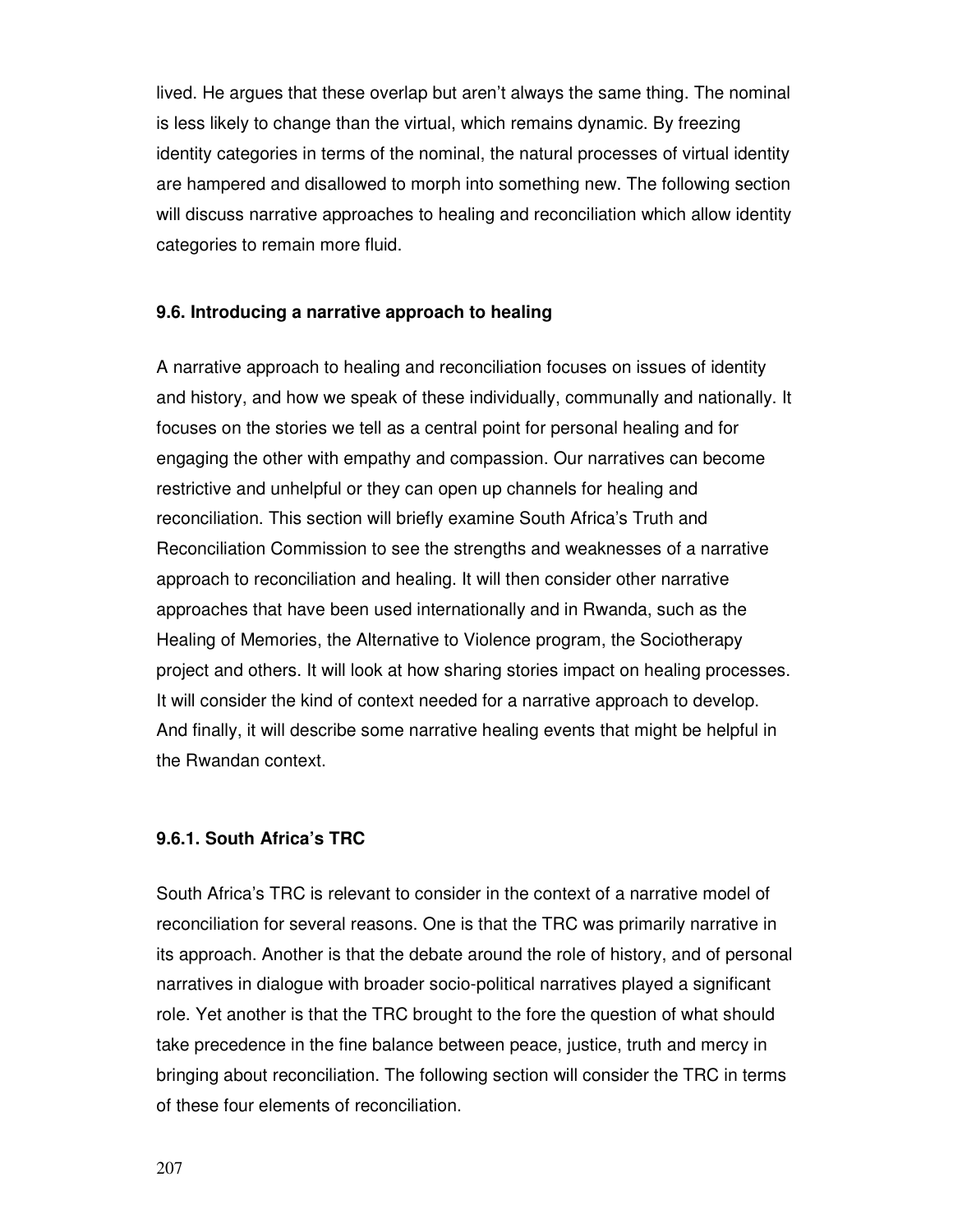lived. He argues that these overlap but aren't always the same thing. The nominal is less likely to change than the virtual, which remains dynamic. By freezing identity categories in terms of the nominal, the natural processes of virtual identity are hampered and disallowed to morph into something new. The following section will discuss narrative approaches to healing and reconciliation which allow identity categories to remain more fluid.

### **9.6. Introducing a narrative approach to healing**

A narrative approach to healing and reconciliation focuses on issues of identity and history, and how we speak of these individually, communally and nationally. It focuses on the stories we tell as a central point for personal healing and for engaging the other with empathy and compassion. Our narratives can become restrictive and unhelpful or they can open up channels for healing and reconciliation. This section will briefly examine South Africa's Truth and Reconciliation Commission to see the strengths and weaknesses of a narrative approach to reconciliation and healing. It will then consider other narrative approaches that have been used internationally and in Rwanda, such as the Healing of Memories, the Alternative to Violence program, the Sociotherapy project and others. It will look at how sharing stories impact on healing processes. It will consider the kind of context needed for a narrative approach to develop. And finally, it will describe some narrative healing events that might be helpful in the Rwandan context.

#### **9.6.1. South Africa's TRC**

South Africa's TRC is relevant to consider in the context of a narrative model of reconciliation for several reasons. One is that the TRC was primarily narrative in its approach. Another is that the debate around the role of history, and of personal narratives in dialogue with broader socio-political narratives played a significant role. Yet another is that the TRC brought to the fore the question of what should take precedence in the fine balance between peace, justice, truth and mercy in bringing about reconciliation. The following section will consider the TRC in terms of these four elements of reconciliation.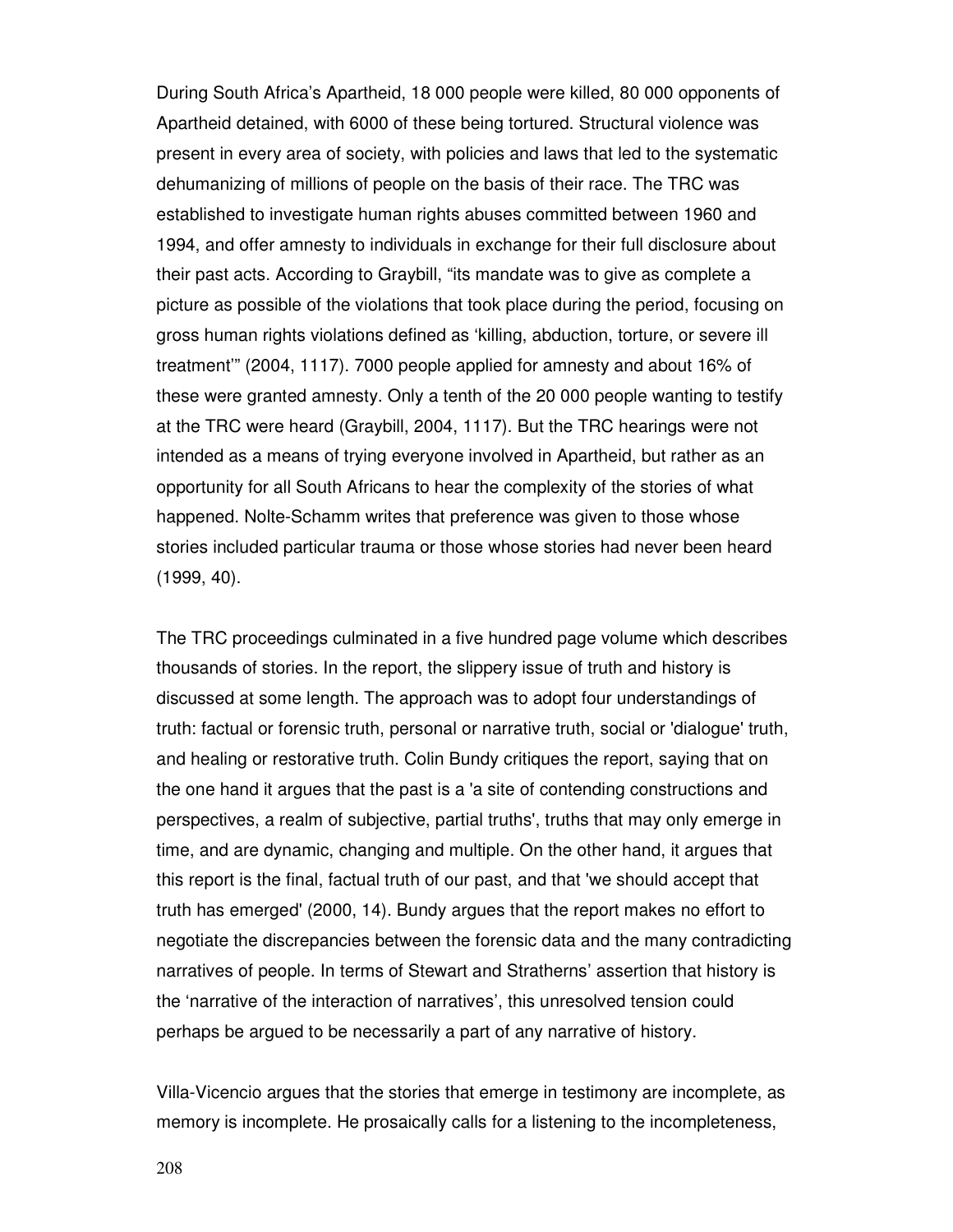During South Africa's Apartheid, 18 000 people were killed, 80 000 opponents of Apartheid detained, with 6000 of these being tortured. Structural violence was present in every area of society, with policies and laws that led to the systematic dehumanizing of millions of people on the basis of their race. The TRC was established to investigate human rights abuses committed between 1960 and 1994, and offer amnesty to individuals in exchange for their full disclosure about their past acts. According to Graybill, "its mandate was to give as complete a picture as possible of the violations that took place during the period, focusing on gross human rights violations defined as 'killing, abduction, torture, or severe ill treatment'" (2004, 1117). 7000 people applied for amnesty and about 16% of these were granted amnesty. Only a tenth of the 20 000 people wanting to testify at the TRC were heard (Graybill, 2004, 1117). But the TRC hearings were not intended as a means of trying everyone involved in Apartheid, but rather as an opportunity for all South Africans to hear the complexity of the stories of what happened. Nolte-Schamm writes that preference was given to those whose stories included particular trauma or those whose stories had never been heard (1999, 40).

The TRC proceedings culminated in a five hundred page volume which describes thousands of stories. In the report, the slippery issue of truth and history is discussed at some length. The approach was to adopt four understandings of truth: factual or forensic truth, personal or narrative truth, social or 'dialogue' truth, and healing or restorative truth. Colin Bundy critiques the report, saying that on the one hand it argues that the past is a 'a site of contending constructions and perspectives, a realm of subjective, partial truths', truths that may only emerge in time, and are dynamic, changing and multiple. On the other hand, it argues that this report is the final, factual truth of our past, and that 'we should accept that truth has emerged' (2000, 14). Bundy argues that the report makes no effort to negotiate the discrepancies between the forensic data and the many contradicting narratives of people. In terms of Stewart and Stratherns' assertion that history is the 'narrative of the interaction of narratives', this unresolved tension could perhaps be argued to be necessarily a part of any narrative of history.

Villa-Vicencio argues that the stories that emerge in testimony are incomplete, as memory is incomplete. He prosaically calls for a listening to the incompleteness,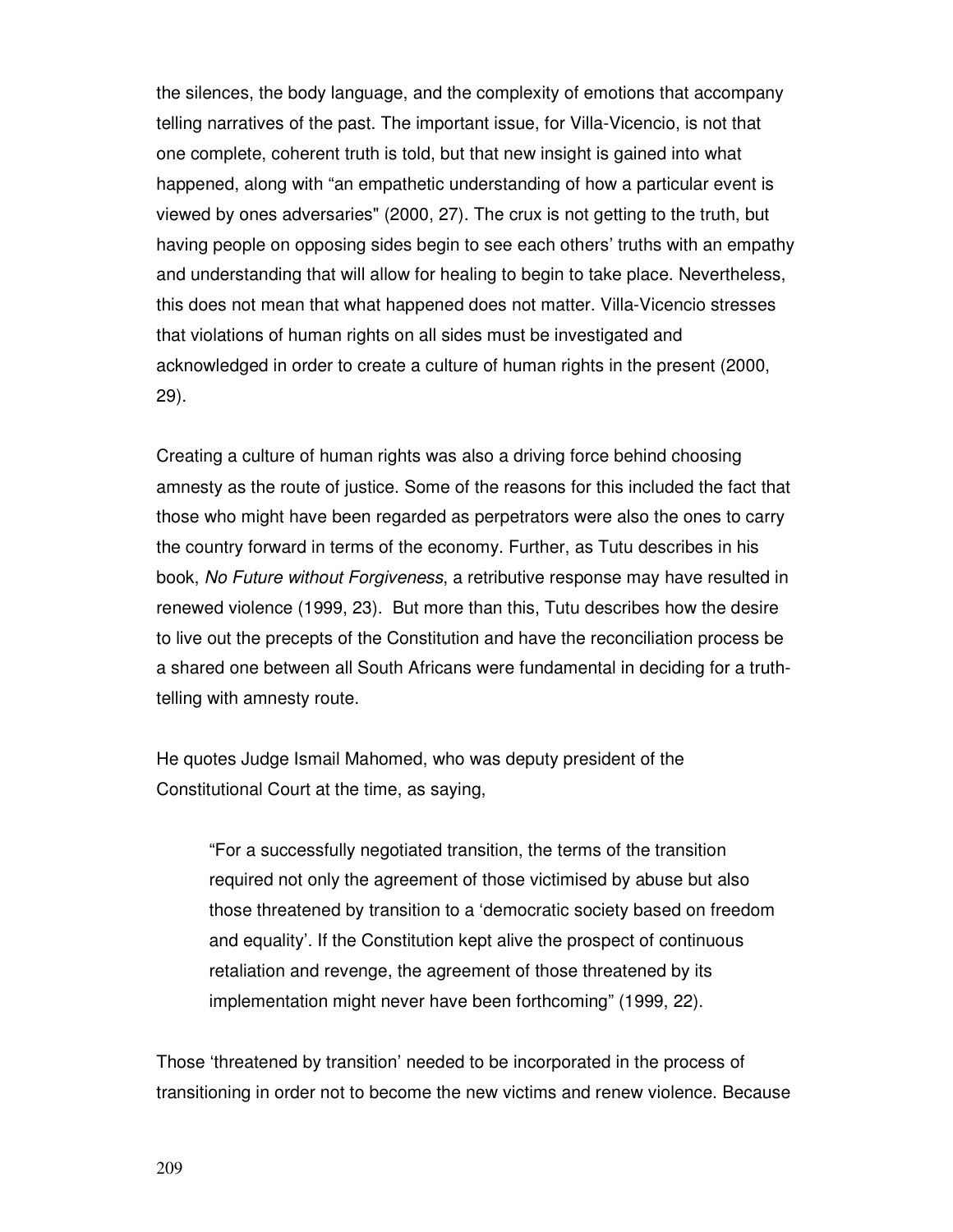the silences, the body language, and the complexity of emotions that accompany telling narratives of the past. The important issue, for Villa-Vicencio, is not that one complete, coherent truth is told, but that new insight is gained into what happened, along with "an empathetic understanding of how a particular event is viewed by ones adversaries" (2000, 27). The crux is not getting to the truth, but having people on opposing sides begin to see each others' truths with an empathy and understanding that will allow for healing to begin to take place. Nevertheless, this does not mean that what happened does not matter. Villa-Vicencio stresses that violations of human rights on all sides must be investigated and acknowledged in order to create a culture of human rights in the present (2000, 29).

Creating a culture of human rights was also a driving force behind choosing amnesty as the route of justice. Some of the reasons for this included the fact that those who might have been regarded as perpetrators were also the ones to carry the country forward in terms of the economy. Further, as Tutu describes in his book, No Future without Forgiveness, a retributive response may have resulted in renewed violence (1999, 23). But more than this, Tutu describes how the desire to live out the precepts of the Constitution and have the reconciliation process be a shared one between all South Africans were fundamental in deciding for a truthtelling with amnesty route.

He quotes Judge Ismail Mahomed, who was deputy president of the Constitutional Court at the time, as saying,

"For a successfully negotiated transition, the terms of the transition required not only the agreement of those victimised by abuse but also those threatened by transition to a 'democratic society based on freedom and equality'. If the Constitution kept alive the prospect of continuous retaliation and revenge, the agreement of those threatened by its implementation might never have been forthcoming" (1999, 22).

Those 'threatened by transition' needed to be incorporated in the process of transitioning in order not to become the new victims and renew violence. Because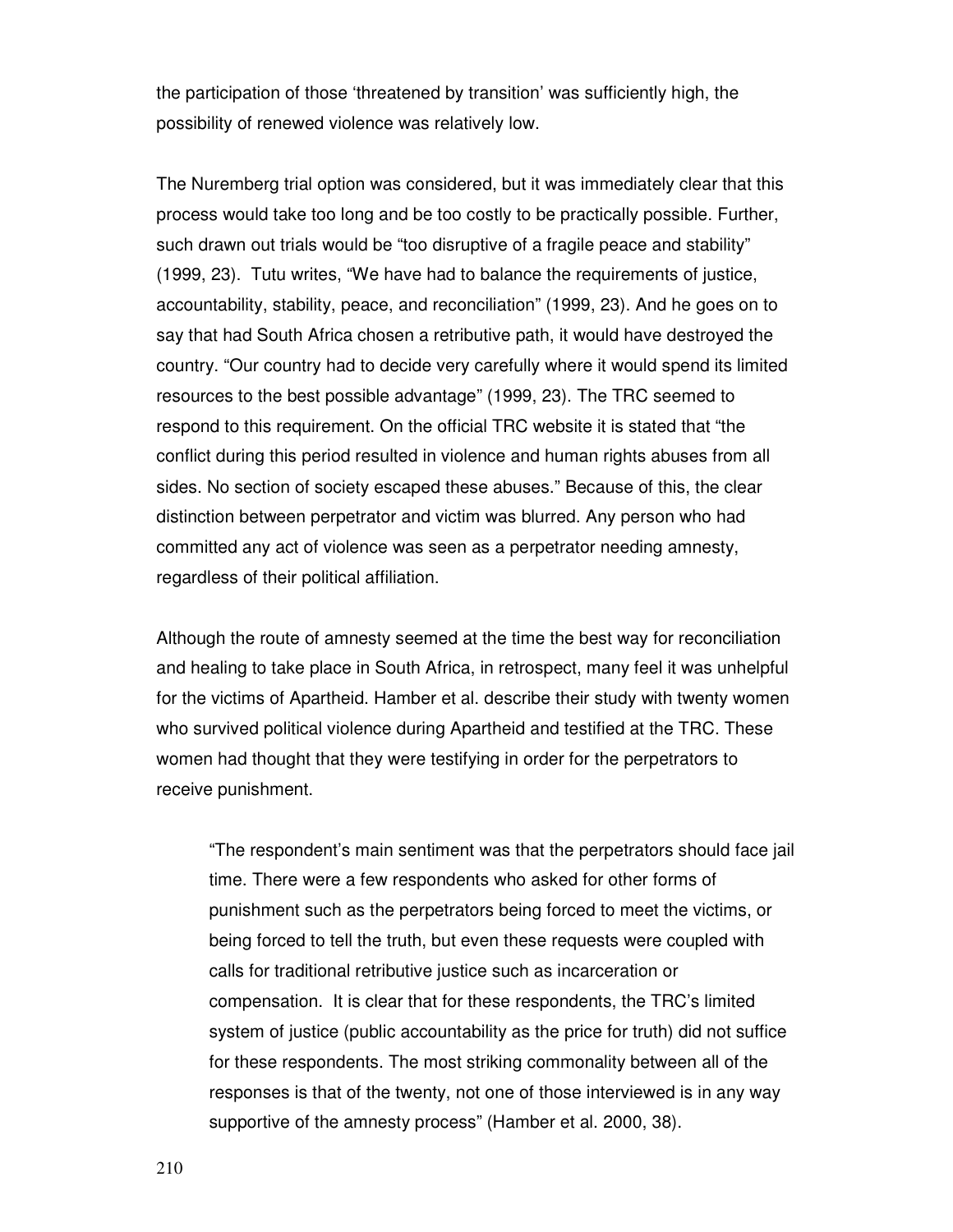the participation of those 'threatened by transition' was sufficiently high, the possibility of renewed violence was relatively low.

The Nuremberg trial option was considered, but it was immediately clear that this process would take too long and be too costly to be practically possible. Further, such drawn out trials would be "too disruptive of a fragile peace and stability" (1999, 23). Tutu writes, "We have had to balance the requirements of justice, accountability, stability, peace, and reconciliation" (1999, 23). And he goes on to say that had South Africa chosen a retributive path, it would have destroyed the country. "Our country had to decide very carefully where it would spend its limited resources to the best possible advantage" (1999, 23). The TRC seemed to respond to this requirement. On the official TRC website it is stated that "the conflict during this period resulted in violence and human rights abuses from all sides. No section of society escaped these abuses." Because of this, the clear distinction between perpetrator and victim was blurred. Any person who had committed any act of violence was seen as a perpetrator needing amnesty, regardless of their political affiliation.

Although the route of amnesty seemed at the time the best way for reconciliation and healing to take place in South Africa, in retrospect, many feel it was unhelpful for the victims of Apartheid. Hamber et al. describe their study with twenty women who survived political violence during Apartheid and testified at the TRC. These women had thought that they were testifying in order for the perpetrators to receive punishment.

"The respondent's main sentiment was that the perpetrators should face jail time. There were a few respondents who asked for other forms of punishment such as the perpetrators being forced to meet the victims, or being forced to tell the truth, but even these requests were coupled with calls for traditional retributive justice such as incarceration or compensation. It is clear that for these respondents, the TRC's limited system of justice (public accountability as the price for truth) did not suffice for these respondents. The most striking commonality between all of the responses is that of the twenty, not one of those interviewed is in any way supportive of the amnesty process" (Hamber et al. 2000, 38).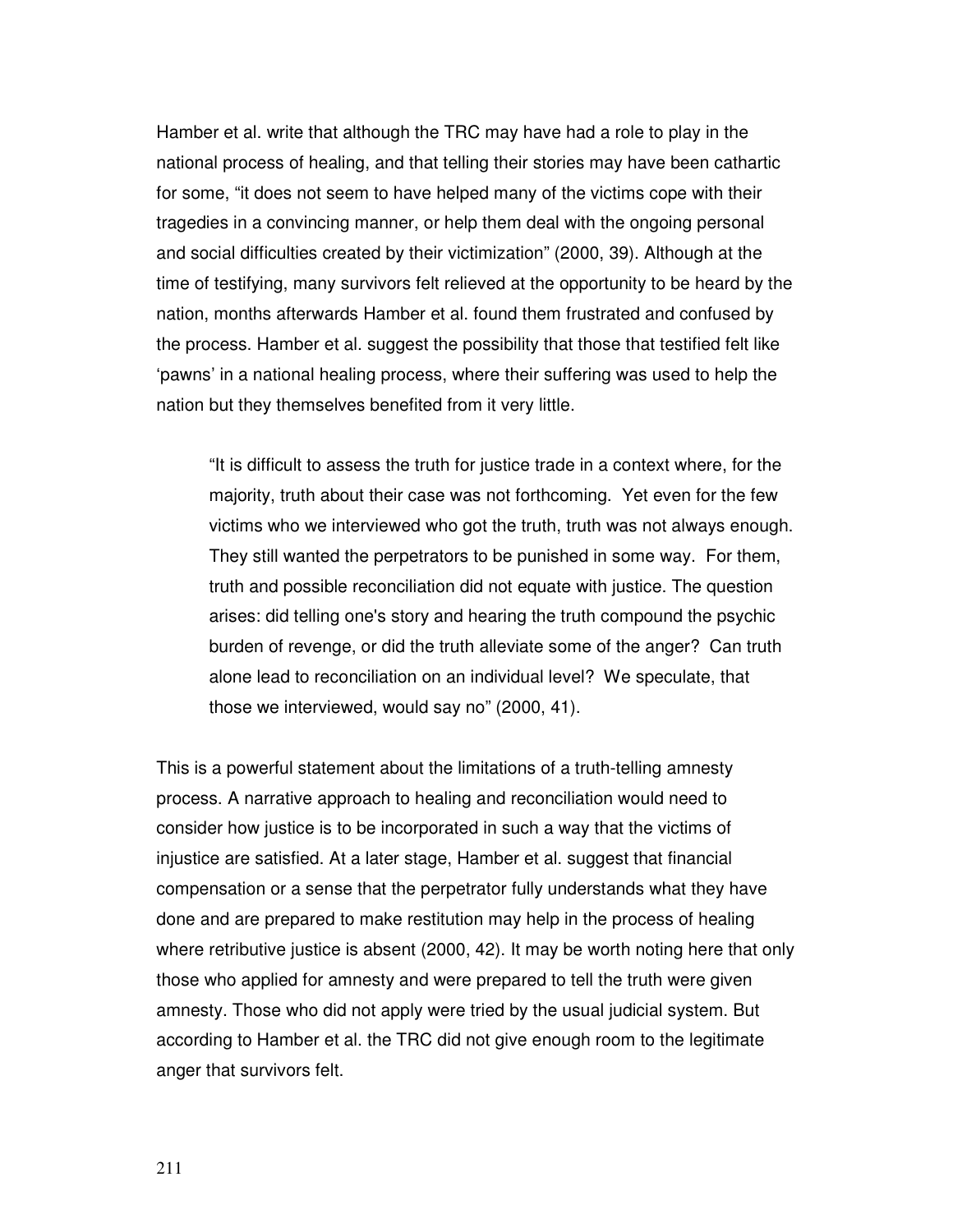Hamber et al. write that although the TRC may have had a role to play in the national process of healing, and that telling their stories may have been cathartic for some, "it does not seem to have helped many of the victims cope with their tragedies in a convincing manner, or help them deal with the ongoing personal and social difficulties created by their victimization" (2000, 39). Although at the time of testifying, many survivors felt relieved at the opportunity to be heard by the nation, months afterwards Hamber et al. found them frustrated and confused by the process. Hamber et al. suggest the possibility that those that testified felt like 'pawns' in a national healing process, where their suffering was used to help the nation but they themselves benefited from it very little.

"It is difficult to assess the truth for justice trade in a context where, for the majority, truth about their case was not forthcoming. Yet even for the few victims who we interviewed who got the truth, truth was not always enough. They still wanted the perpetrators to be punished in some way. For them, truth and possible reconciliation did not equate with justice. The question arises: did telling one's story and hearing the truth compound the psychic burden of revenge, or did the truth alleviate some of the anger? Can truth alone lead to reconciliation on an individual level? We speculate, that those we interviewed, would say no" (2000, 41).

This is a powerful statement about the limitations of a truth-telling amnesty process. A narrative approach to healing and reconciliation would need to consider how justice is to be incorporated in such a way that the victims of injustice are satisfied. At a later stage, Hamber et al. suggest that financial compensation or a sense that the perpetrator fully understands what they have done and are prepared to make restitution may help in the process of healing where retributive justice is absent (2000, 42). It may be worth noting here that only those who applied for amnesty and were prepared to tell the truth were given amnesty. Those who did not apply were tried by the usual judicial system. But according to Hamber et al. the TRC did not give enough room to the legitimate anger that survivors felt.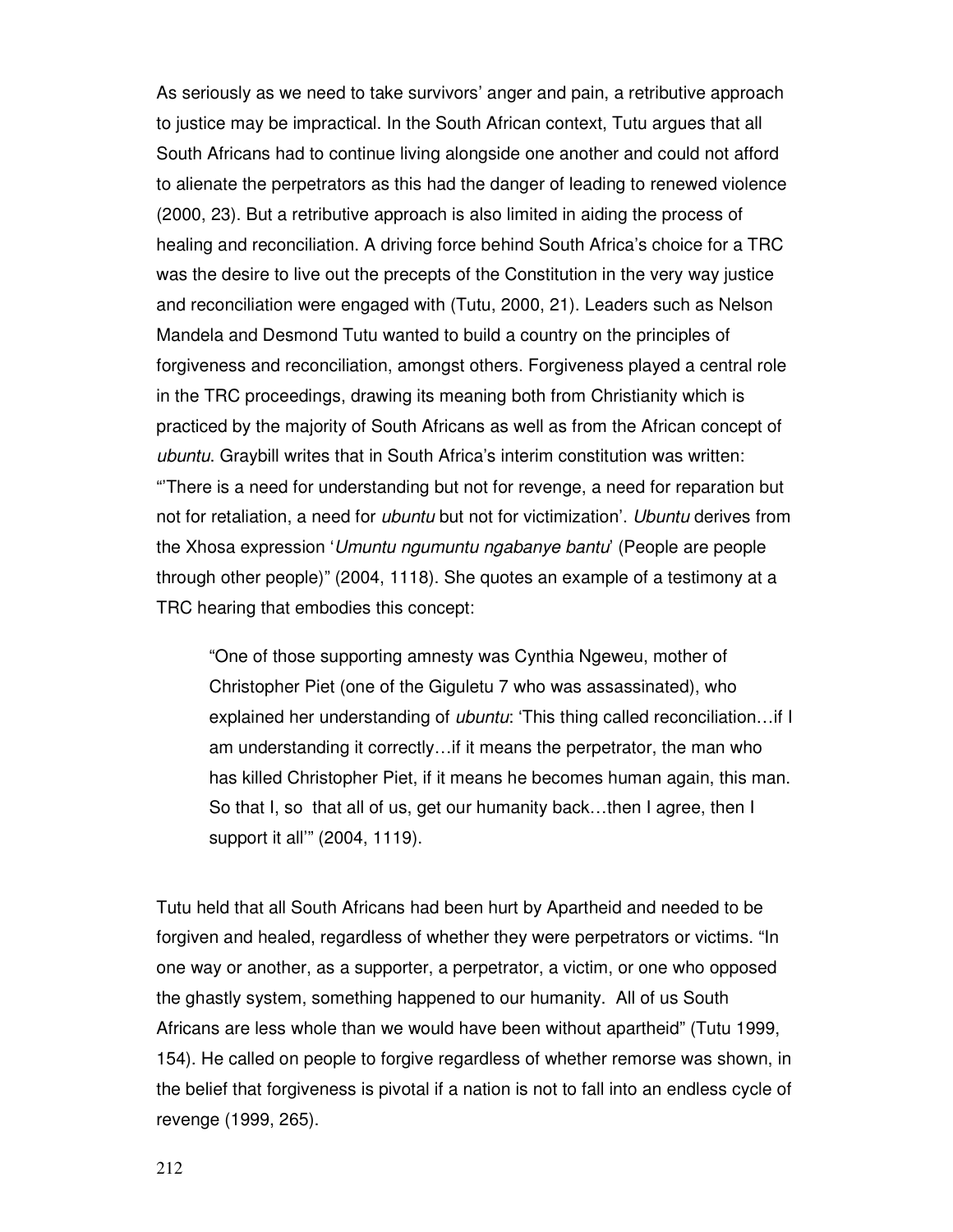As seriously as we need to take survivors' anger and pain, a retributive approach to justice may be impractical. In the South African context, Tutu argues that all South Africans had to continue living alongside one another and could not afford to alienate the perpetrators as this had the danger of leading to renewed violence (2000, 23). But a retributive approach is also limited in aiding the process of healing and reconciliation. A driving force behind South Africa's choice for a TRC was the desire to live out the precepts of the Constitution in the very way justice and reconciliation were engaged with (Tutu, 2000, 21). Leaders such as Nelson Mandela and Desmond Tutu wanted to build a country on the principles of forgiveness and reconciliation, amongst others. Forgiveness played a central role in the TRC proceedings, drawing its meaning both from Christianity which is practiced by the majority of South Africans as well as from the African concept of ubuntu. Graybill writes that in South Africa's interim constitution was written: "'There is a need for understanding but not for revenge, a need for reparation but not for retaliation, a need for *ubuntu* but not for victimization'. Ubuntu derives from the Xhosa expression 'Umuntu ngumuntu ngabanye bantu' (People are people through other people)" (2004, 1118). She quotes an example of a testimony at a TRC hearing that embodies this concept:

"One of those supporting amnesty was Cynthia Ngeweu, mother of Christopher Piet (one of the Giguletu 7 who was assassinated), who explained her understanding of ubuntu: 'This thing called reconciliation...if I am understanding it correctly…if it means the perpetrator, the man who has killed Christopher Piet, if it means he becomes human again, this man. So that I, so that all of us, get our humanity back…then I agree, then I support it all'" (2004, 1119).

Tutu held that all South Africans had been hurt by Apartheid and needed to be forgiven and healed, regardless of whether they were perpetrators or victims. "In one way or another, as a supporter, a perpetrator, a victim, or one who opposed the ghastly system, something happened to our humanity. All of us South Africans are less whole than we would have been without apartheid" (Tutu 1999, 154). He called on people to forgive regardless of whether remorse was shown, in the belief that forgiveness is pivotal if a nation is not to fall into an endless cycle of revenge (1999, 265).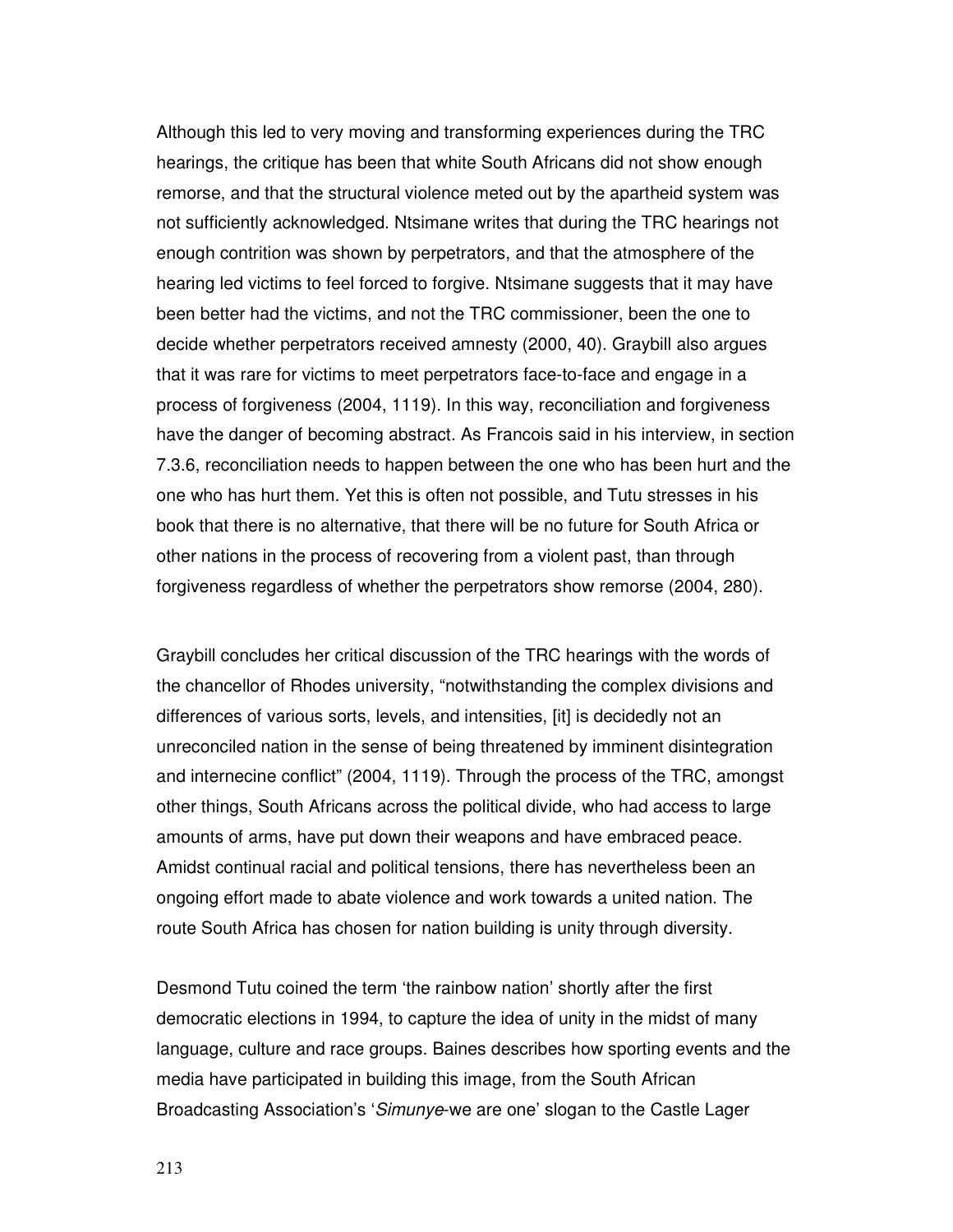Although this led to very moving and transforming experiences during the TRC hearings, the critique has been that white South Africans did not show enough remorse, and that the structural violence meted out by the apartheid system was not sufficiently acknowledged. Ntsimane writes that during the TRC hearings not enough contrition was shown by perpetrators, and that the atmosphere of the hearing led victims to feel forced to forgive. Ntsimane suggests that it may have been better had the victims, and not the TRC commissioner, been the one to decide whether perpetrators received amnesty (2000, 40). Graybill also argues that it was rare for victims to meet perpetrators face-to-face and engage in a process of forgiveness (2004, 1119). In this way, reconciliation and forgiveness have the danger of becoming abstract. As Francois said in his interview, in section 7.3.6, reconciliation needs to happen between the one who has been hurt and the one who has hurt them. Yet this is often not possible, and Tutu stresses in his book that there is no alternative, that there will be no future for South Africa or other nations in the process of recovering from a violent past, than through forgiveness regardless of whether the perpetrators show remorse (2004, 280).

Graybill concludes her critical discussion of the TRC hearings with the words of the chancellor of Rhodes university, "notwithstanding the complex divisions and differences of various sorts, levels, and intensities, [it] is decidedly not an unreconciled nation in the sense of being threatened by imminent disintegration and internecine conflict" (2004, 1119). Through the process of the TRC, amongst other things, South Africans across the political divide, who had access to large amounts of arms, have put down their weapons and have embraced peace. Amidst continual racial and political tensions, there has nevertheless been an ongoing effort made to abate violence and work towards a united nation. The route South Africa has chosen for nation building is unity through diversity.

Desmond Tutu coined the term 'the rainbow nation' shortly after the first democratic elections in 1994, to capture the idea of unity in the midst of many language, culture and race groups. Baines describes how sporting events and the media have participated in building this image, from the South African Broadcasting Association's 'Simunye-we are one' slogan to the Castle Lager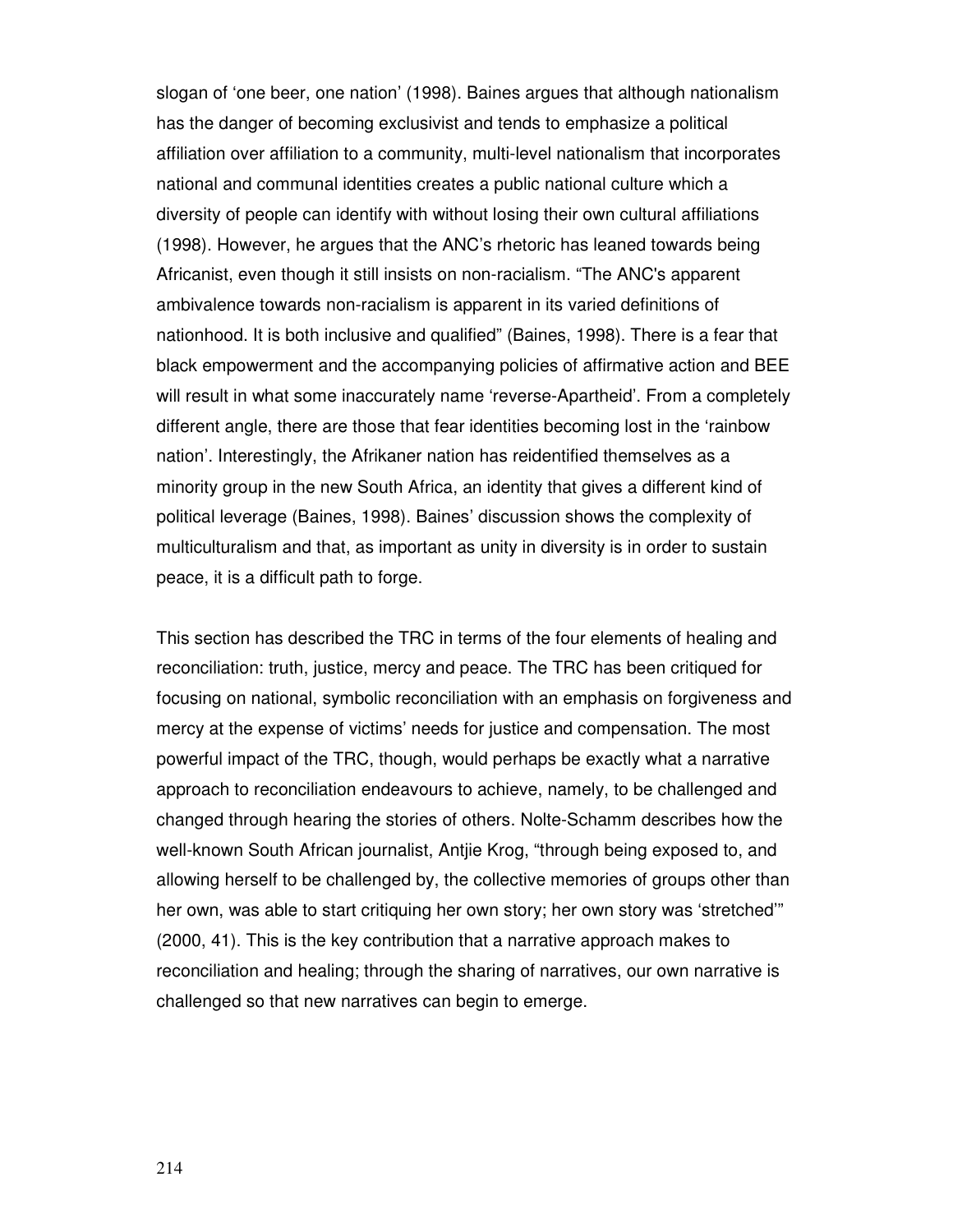slogan of 'one beer, one nation' (1998). Baines argues that although nationalism has the danger of becoming exclusivist and tends to emphasize a political affiliation over affiliation to a community, multi-level nationalism that incorporates national and communal identities creates a public national culture which a diversity of people can identify with without losing their own cultural affiliations (1998). However, he argues that the ANC's rhetoric has leaned towards being Africanist, even though it still insists on non-racialism. "The ANC's apparent ambivalence towards non-racialism is apparent in its varied definitions of nationhood. It is both inclusive and qualified" (Baines, 1998). There is a fear that black empowerment and the accompanying policies of affirmative action and BEE will result in what some inaccurately name 'reverse-Apartheid'. From a completely different angle, there are those that fear identities becoming lost in the 'rainbow nation'. Interestingly, the Afrikaner nation has reidentified themselves as a minority group in the new South Africa, an identity that gives a different kind of political leverage (Baines, 1998). Baines' discussion shows the complexity of multiculturalism and that, as important as unity in diversity is in order to sustain peace, it is a difficult path to forge.

This section has described the TRC in terms of the four elements of healing and reconciliation: truth, justice, mercy and peace. The TRC has been critiqued for focusing on national, symbolic reconciliation with an emphasis on forgiveness and mercy at the expense of victims' needs for justice and compensation. The most powerful impact of the TRC, though, would perhaps be exactly what a narrative approach to reconciliation endeavours to achieve, namely, to be challenged and changed through hearing the stories of others. Nolte-Schamm describes how the well-known South African journalist, Antjie Krog, "through being exposed to, and allowing herself to be challenged by, the collective memories of groups other than her own, was able to start critiquing her own story; her own story was 'stretched'" (2000, 41). This is the key contribution that a narrative approach makes to reconciliation and healing; through the sharing of narratives, our own narrative is challenged so that new narratives can begin to emerge.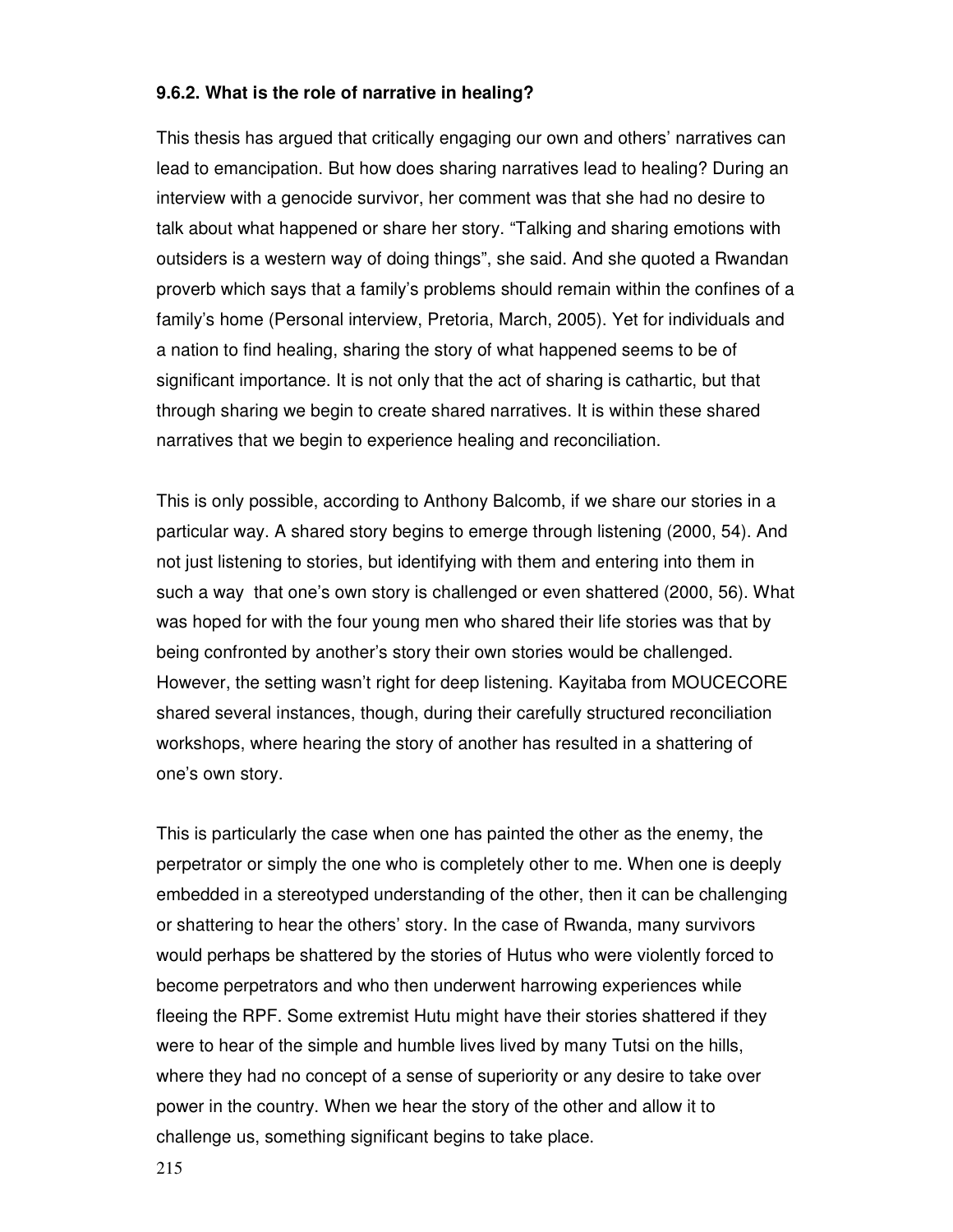#### **9.6.2. What is the role of narrative in healing?**

This thesis has argued that critically engaging our own and others' narratives can lead to emancipation. But how does sharing narratives lead to healing? During an interview with a genocide survivor, her comment was that she had no desire to talk about what happened or share her story. "Talking and sharing emotions with outsiders is a western way of doing things", she said. And she quoted a Rwandan proverb which says that a family's problems should remain within the confines of a family's home (Personal interview, Pretoria, March, 2005). Yet for individuals and a nation to find healing, sharing the story of what happened seems to be of significant importance. It is not only that the act of sharing is cathartic, but that through sharing we begin to create shared narratives. It is within these shared narratives that we begin to experience healing and reconciliation.

This is only possible, according to Anthony Balcomb, if we share our stories in a particular way. A shared story begins to emerge through listening (2000, 54). And not just listening to stories, but identifying with them and entering into them in such a way that one's own story is challenged or even shattered (2000, 56). What was hoped for with the four young men who shared their life stories was that by being confronted by another's story their own stories would be challenged. However, the setting wasn't right for deep listening. Kayitaba from MOUCECORE shared several instances, though, during their carefully structured reconciliation workshops, where hearing the story of another has resulted in a shattering of one's own story.

This is particularly the case when one has painted the other as the enemy, the perpetrator or simply the one who is completely other to me. When one is deeply embedded in a stereotyped understanding of the other, then it can be challenging or shattering to hear the others' story. In the case of Rwanda, many survivors would perhaps be shattered by the stories of Hutus who were violently forced to become perpetrators and who then underwent harrowing experiences while fleeing the RPF. Some extremist Hutu might have their stories shattered if they were to hear of the simple and humble lives lived by many Tutsi on the hills, where they had no concept of a sense of superiority or any desire to take over power in the country. When we hear the story of the other and allow it to challenge us, something significant begins to take place.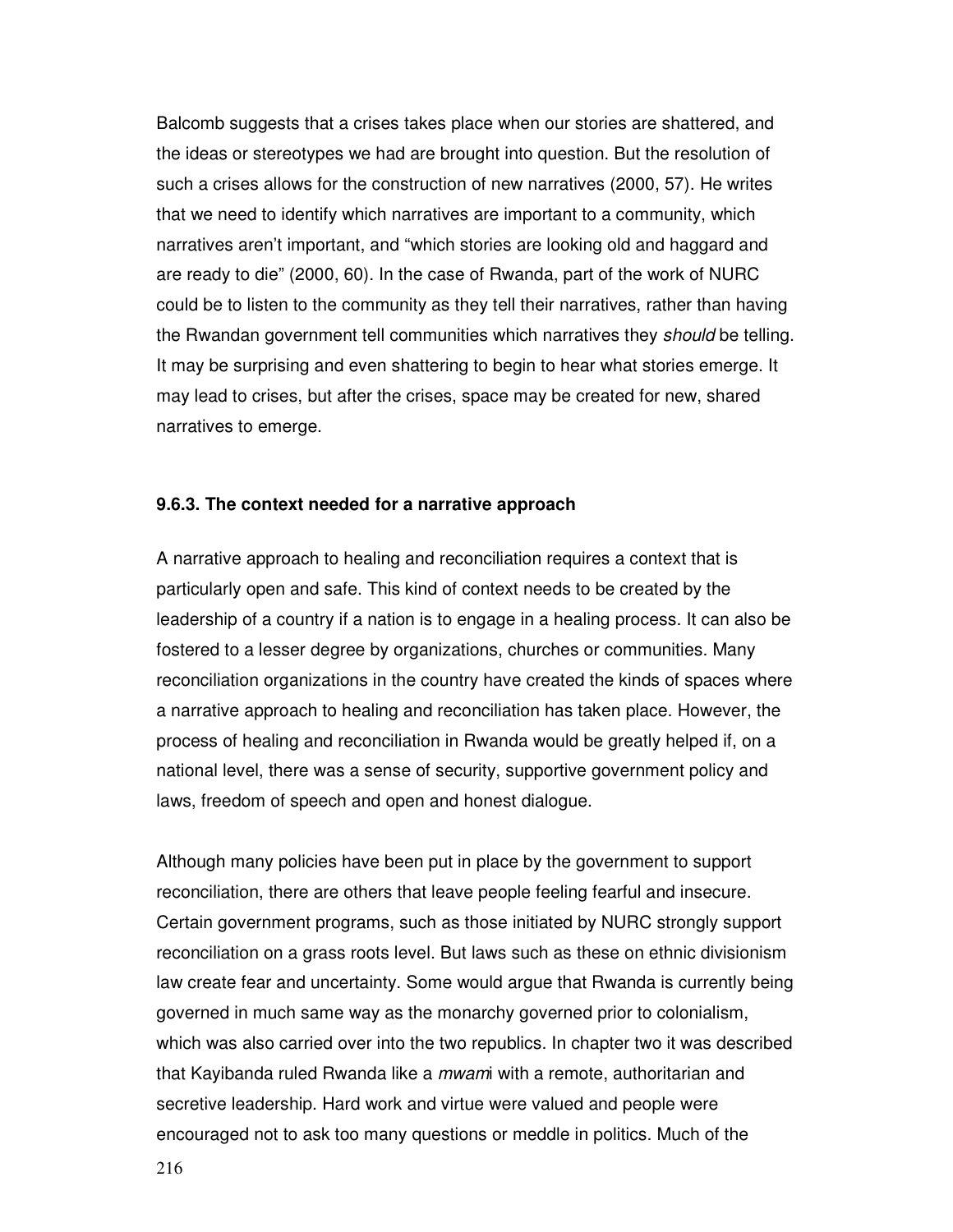Balcomb suggests that a crises takes place when our stories are shattered, and the ideas or stereotypes we had are brought into question. But the resolution of such a crises allows for the construction of new narratives (2000, 57). He writes that we need to identify which narratives are important to a community, which narratives aren't important, and "which stories are looking old and haggard and are ready to die" (2000, 60). In the case of Rwanda, part of the work of NURC could be to listen to the community as they tell their narratives, rather than having the Rwandan government tell communities which narratives they should be telling. It may be surprising and even shattering to begin to hear what stories emerge. It may lead to crises, but after the crises, space may be created for new, shared narratives to emerge.

#### **9.6.3. The context needed for a narrative approach**

A narrative approach to healing and reconciliation requires a context that is particularly open and safe. This kind of context needs to be created by the leadership of a country if a nation is to engage in a healing process. It can also be fostered to a lesser degree by organizations, churches or communities. Many reconciliation organizations in the country have created the kinds of spaces where a narrative approach to healing and reconciliation has taken place. However, the process of healing and reconciliation in Rwanda would be greatly helped if, on a national level, there was a sense of security, supportive government policy and laws, freedom of speech and open and honest dialogue.

Although many policies have been put in place by the government to support reconciliation, there are others that leave people feeling fearful and insecure. Certain government programs, such as those initiated by NURC strongly support reconciliation on a grass roots level. But laws such as these on ethnic divisionism law create fear and uncertainty. Some would argue that Rwanda is currently being governed in much same way as the monarchy governed prior to colonialism, which was also carried over into the two republics. In chapter two it was described that Kayibanda ruled Rwanda like a *mwam*i with a remote, authoritarian and secretive leadership. Hard work and virtue were valued and people were encouraged not to ask too many questions or meddle in politics. Much of the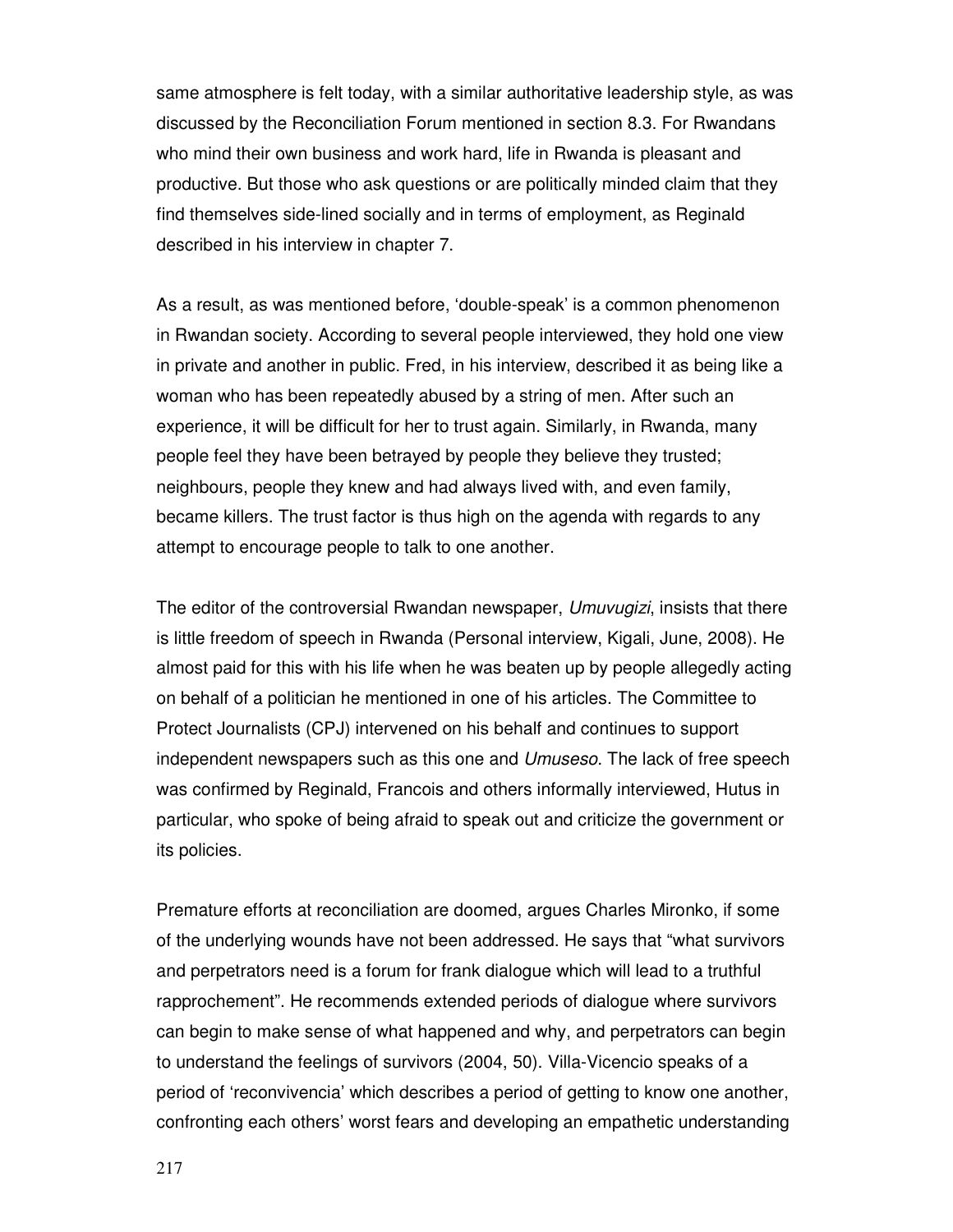same atmosphere is felt today, with a similar authoritative leadership style, as was discussed by the Reconciliation Forum mentioned in section 8.3. For Rwandans who mind their own business and work hard, life in Rwanda is pleasant and productive. But those who ask questions or are politically minded claim that they find themselves side-lined socially and in terms of employment, as Reginald described in his interview in chapter 7.

As a result, as was mentioned before, 'double-speak' is a common phenomenon in Rwandan society. According to several people interviewed, they hold one view in private and another in public. Fred, in his interview, described it as being like a woman who has been repeatedly abused by a string of men. After such an experience, it will be difficult for her to trust again. Similarly, in Rwanda, many people feel they have been betrayed by people they believe they trusted; neighbours, people they knew and had always lived with, and even family, became killers. The trust factor is thus high on the agenda with regards to any attempt to encourage people to talk to one another.

The editor of the controversial Rwandan newspaper, Umuvugizi, insists that there is little freedom of speech in Rwanda (Personal interview, Kigali, June, 2008). He almost paid for this with his life when he was beaten up by people allegedly acting on behalf of a politician he mentioned in one of his articles. The Committee to Protect Journalists (CPJ) intervened on his behalf and continues to support independent newspapers such as this one and Umuseso. The lack of free speech was confirmed by Reginald, Francois and others informally interviewed, Hutus in particular, who spoke of being afraid to speak out and criticize the government or its policies.

Premature efforts at reconciliation are doomed, argues Charles Mironko, if some of the underlying wounds have not been addressed. He says that "what survivors and perpetrators need is a forum for frank dialogue which will lead to a truthful rapprochement". He recommends extended periods of dialogue where survivors can begin to make sense of what happened and why, and perpetrators can begin to understand the feelings of survivors (2004, 50). Villa-Vicencio speaks of a period of 'reconvivencia' which describes a period of getting to know one another, confronting each others' worst fears and developing an empathetic understanding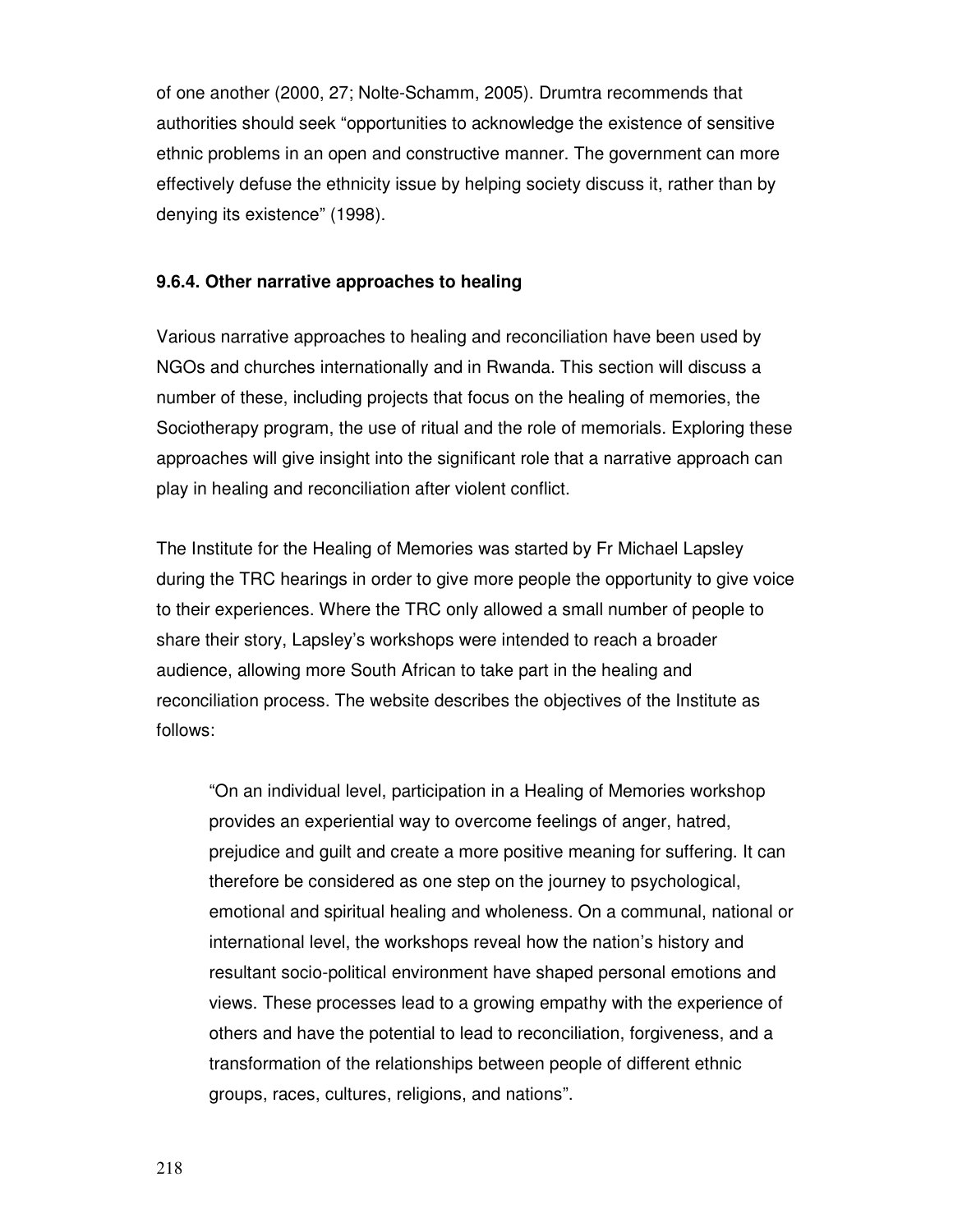of one another (2000, 27; Nolte-Schamm, 2005). Drumtra recommends that authorities should seek "opportunities to acknowledge the existence of sensitive ethnic problems in an open and constructive manner. The government can more effectively defuse the ethnicity issue by helping society discuss it, rather than by denying its existence" (1998).

#### **9.6.4. Other narrative approaches to healing**

Various narrative approaches to healing and reconciliation have been used by NGOs and churches internationally and in Rwanda. This section will discuss a number of these, including projects that focus on the healing of memories, the Sociotherapy program, the use of ritual and the role of memorials. Exploring these approaches will give insight into the significant role that a narrative approach can play in healing and reconciliation after violent conflict.

The Institute for the Healing of Memories was started by Fr Michael Lapsley during the TRC hearings in order to give more people the opportunity to give voice to their experiences. Where the TRC only allowed a small number of people to share their story, Lapsley's workshops were intended to reach a broader audience, allowing more South African to take part in the healing and reconciliation process. The website describes the objectives of the Institute as follows:

"On an individual level, participation in a Healing of Memories workshop provides an experiential way to overcome feelings of anger, hatred, prejudice and guilt and create a more positive meaning for suffering. It can therefore be considered as one step on the journey to psychological, emotional and spiritual healing and wholeness. On a communal, national or international level, the workshops reveal how the nation's history and resultant socio-political environment have shaped personal emotions and views. These processes lead to a growing empathy with the experience of others and have the potential to lead to reconciliation, forgiveness, and a transformation of the relationships between people of different ethnic groups, races, cultures, religions, and nations".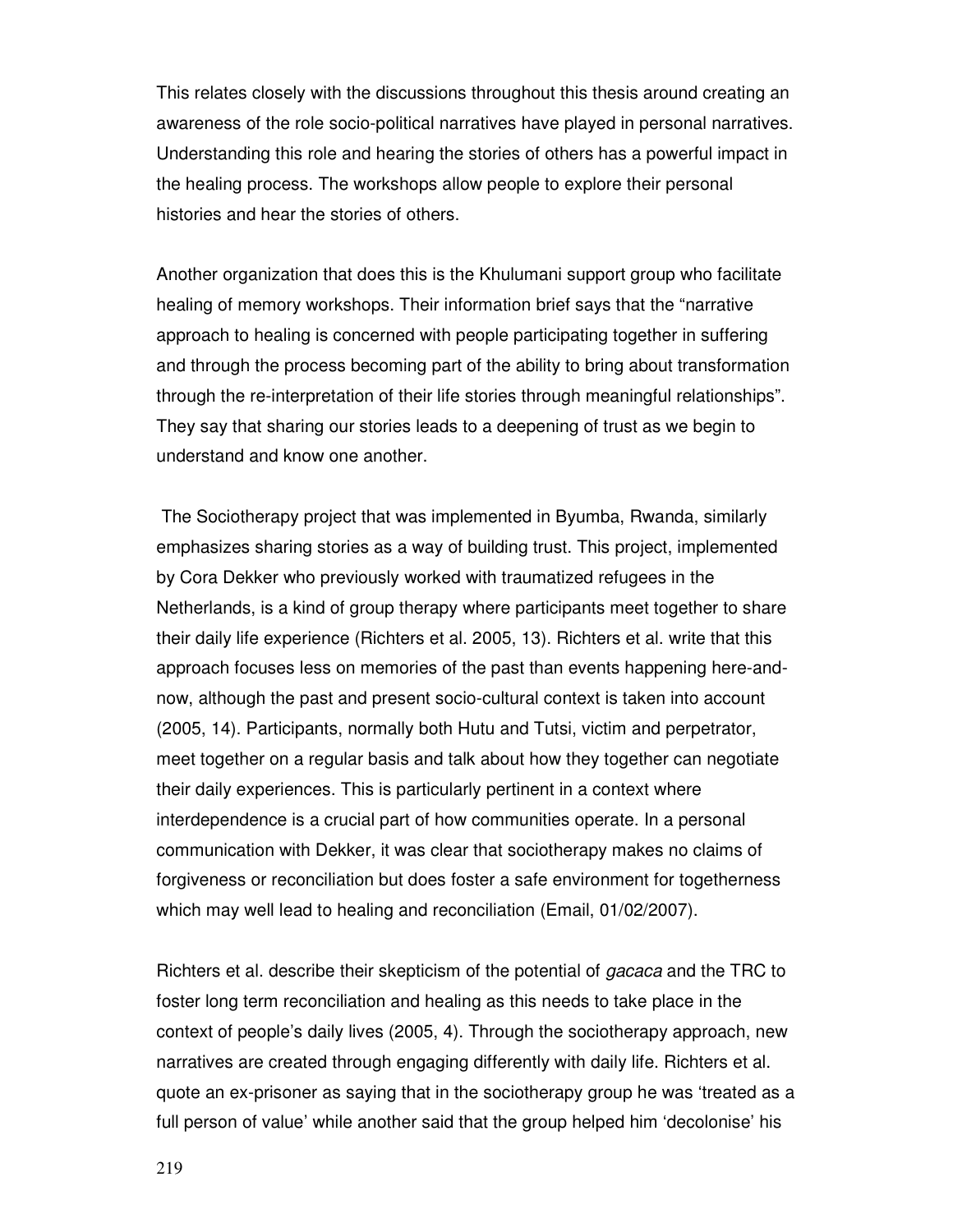This relates closely with the discussions throughout this thesis around creating an awareness of the role socio-political narratives have played in personal narratives. Understanding this role and hearing the stories of others has a powerful impact in the healing process. The workshops allow people to explore their personal histories and hear the stories of others.

Another organization that does this is the Khulumani support group who facilitate healing of memory workshops. Their information brief says that the "narrative approach to healing is concerned with people participating together in suffering and through the process becoming part of the ability to bring about transformation through the re-interpretation of their life stories through meaningful relationships". They say that sharing our stories leads to a deepening of trust as we begin to understand and know one another.

 The Sociotherapy project that was implemented in Byumba, Rwanda, similarly emphasizes sharing stories as a way of building trust. This project, implemented by Cora Dekker who previously worked with traumatized refugees in the Netherlands, is a kind of group therapy where participants meet together to share their daily life experience (Richters et al. 2005, 13). Richters et al. write that this approach focuses less on memories of the past than events happening here-andnow, although the past and present socio-cultural context is taken into account (2005, 14). Participants, normally both Hutu and Tutsi, victim and perpetrator, meet together on a regular basis and talk about how they together can negotiate their daily experiences. This is particularly pertinent in a context where interdependence is a crucial part of how communities operate. In a personal communication with Dekker, it was clear that sociotherapy makes no claims of forgiveness or reconciliation but does foster a safe environment for togetherness which may well lead to healing and reconciliation (Email, 01/02/2007).

Richters et al. describe their skepticism of the potential of gacaca and the TRC to foster long term reconciliation and healing as this needs to take place in the context of people's daily lives (2005, 4). Through the sociotherapy approach, new narratives are created through engaging differently with daily life. Richters et al. quote an ex-prisoner as saying that in the sociotherapy group he was 'treated as a full person of value' while another said that the group helped him 'decolonise' his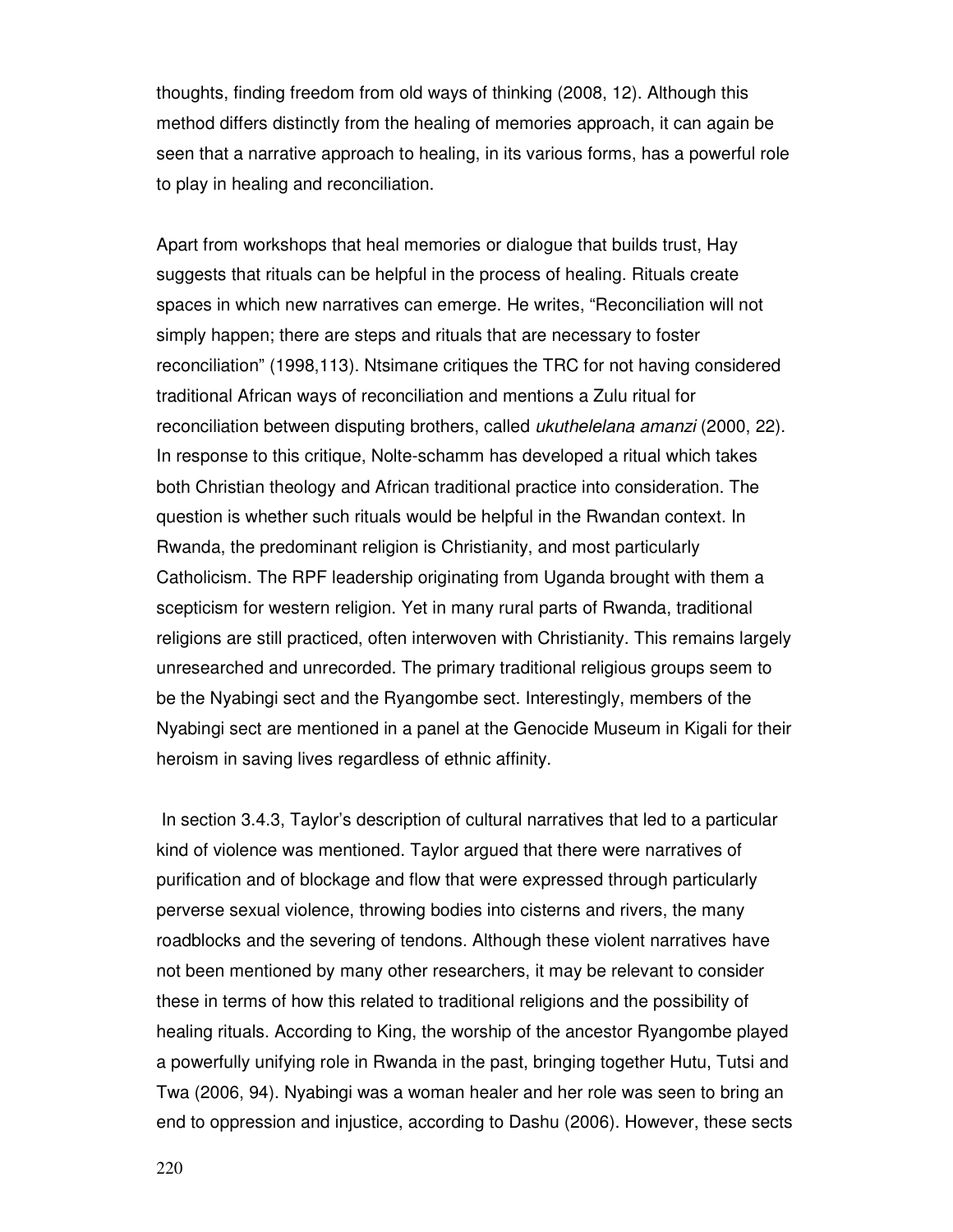thoughts, finding freedom from old ways of thinking (2008, 12). Although this method differs distinctly from the healing of memories approach, it can again be seen that a narrative approach to healing, in its various forms, has a powerful role to play in healing and reconciliation.

Apart from workshops that heal memories or dialogue that builds trust, Hay suggests that rituals can be helpful in the process of healing. Rituals create spaces in which new narratives can emerge. He writes, "Reconciliation will not simply happen; there are steps and rituals that are necessary to foster reconciliation" (1998,113). Ntsimane critiques the TRC for not having considered traditional African ways of reconciliation and mentions a Zulu ritual for reconciliation between disputing brothers, called *ukuthelelana amanzi* (2000, 22). In response to this critique, Nolte-schamm has developed a ritual which takes both Christian theology and African traditional practice into consideration. The question is whether such rituals would be helpful in the Rwandan context. In Rwanda, the predominant religion is Christianity, and most particularly Catholicism. The RPF leadership originating from Uganda brought with them a scepticism for western religion. Yet in many rural parts of Rwanda, traditional religions are still practiced, often interwoven with Christianity. This remains largely unresearched and unrecorded. The primary traditional religious groups seem to be the Nyabingi sect and the Ryangombe sect. Interestingly, members of the Nyabingi sect are mentioned in a panel at the Genocide Museum in Kigali for their heroism in saving lives regardless of ethnic affinity.

 In section 3.4.3, Taylor's description of cultural narratives that led to a particular kind of violence was mentioned. Taylor argued that there were narratives of purification and of blockage and flow that were expressed through particularly perverse sexual violence, throwing bodies into cisterns and rivers, the many roadblocks and the severing of tendons. Although these violent narratives have not been mentioned by many other researchers, it may be relevant to consider these in terms of how this related to traditional religions and the possibility of healing rituals. According to King, the worship of the ancestor Ryangombe played a powerfully unifying role in Rwanda in the past, bringing together Hutu, Tutsi and Twa (2006, 94). Nyabingi was a woman healer and her role was seen to bring an end to oppression and injustice, according to Dashu (2006). However, these sects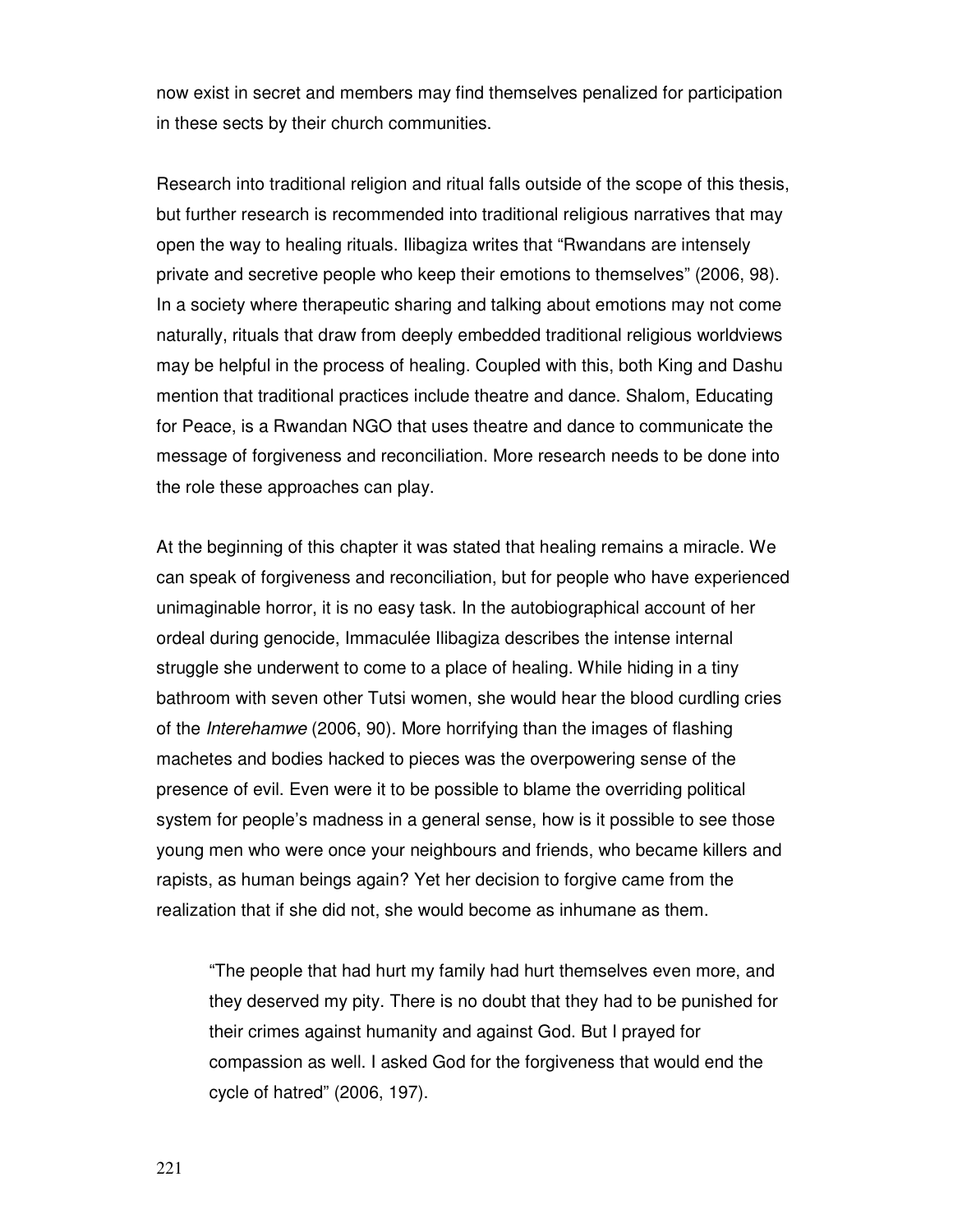now exist in secret and members may find themselves penalized for participation in these sects by their church communities.

Research into traditional religion and ritual falls outside of the scope of this thesis, but further research is recommended into traditional religious narratives that may open the way to healing rituals. Ilibagiza writes that "Rwandans are intensely private and secretive people who keep their emotions to themselves" (2006, 98). In a society where therapeutic sharing and talking about emotions may not come naturally, rituals that draw from deeply embedded traditional religious worldviews may be helpful in the process of healing. Coupled with this, both King and Dashu mention that traditional practices include theatre and dance. Shalom, Educating for Peace, is a Rwandan NGO that uses theatre and dance to communicate the message of forgiveness and reconciliation. More research needs to be done into the role these approaches can play.

At the beginning of this chapter it was stated that healing remains a miracle. We can speak of forgiveness and reconciliation, but for people who have experienced unimaginable horror, it is no easy task. In the autobiographical account of her ordeal during genocide, Immaculée Ilibagiza describes the intense internal struggle she underwent to come to a place of healing. While hiding in a tiny bathroom with seven other Tutsi women, she would hear the blood curdling cries of the Interehamwe (2006, 90). More horrifying than the images of flashing machetes and bodies hacked to pieces was the overpowering sense of the presence of evil. Even were it to be possible to blame the overriding political system for people's madness in a general sense, how is it possible to see those young men who were once your neighbours and friends, who became killers and rapists, as human beings again? Yet her decision to forgive came from the realization that if she did not, she would become as inhumane as them.

"The people that had hurt my family had hurt themselves even more, and they deserved my pity. There is no doubt that they had to be punished for their crimes against humanity and against God. But I prayed for compassion as well. I asked God for the forgiveness that would end the cycle of hatred" (2006, 197).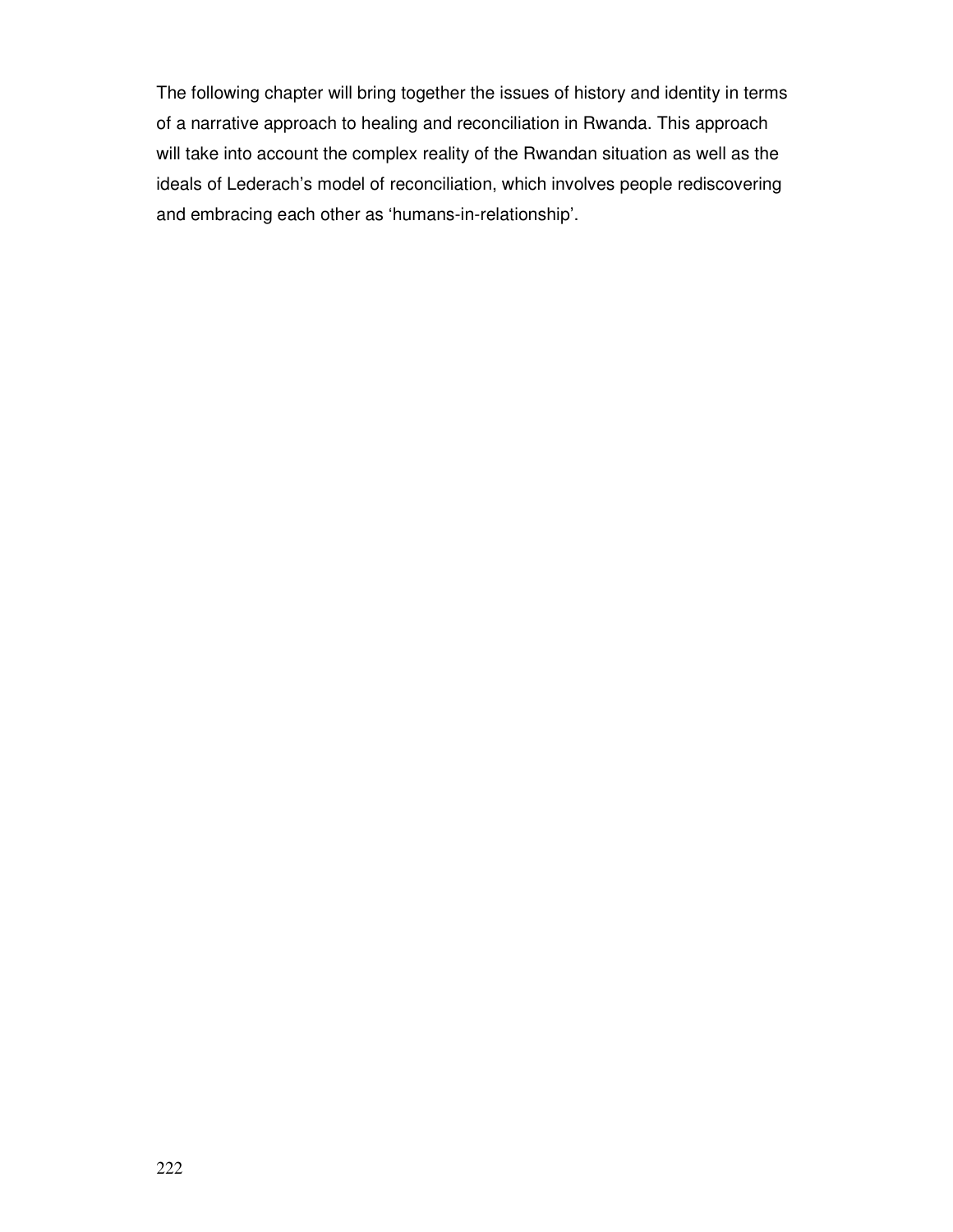The following chapter will bring together the issues of history and identity in terms of a narrative approach to healing and reconciliation in Rwanda. This approach will take into account the complex reality of the Rwandan situation as well as the ideals of Lederach's model of reconciliation, which involves people rediscovering and embracing each other as 'humans-in-relationship'.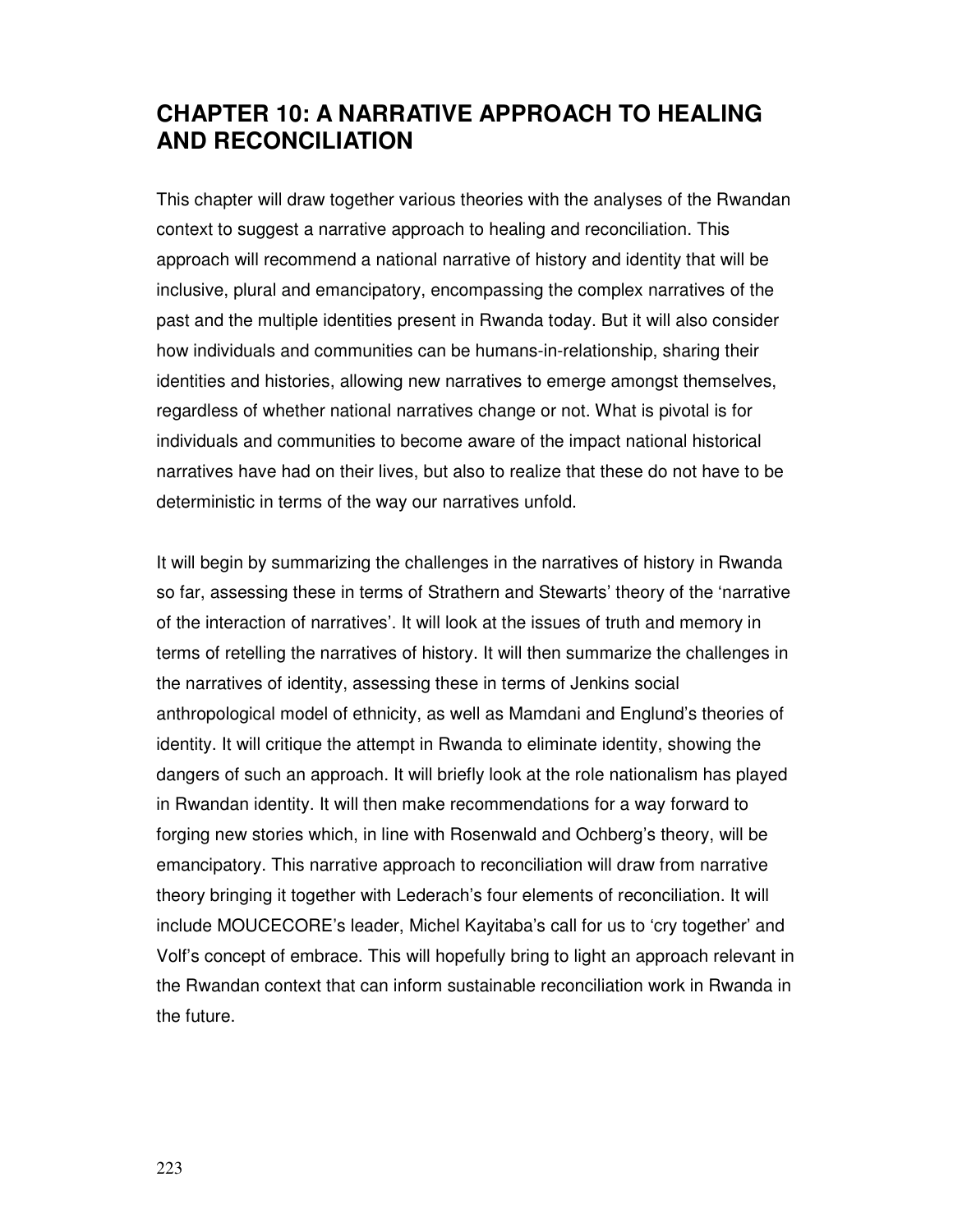# **CHAPTER 10: A NARRATIVE APPROACH TO HEALING AND RECONCILIATION**

This chapter will draw together various theories with the analyses of the Rwandan context to suggest a narrative approach to healing and reconciliation. This approach will recommend a national narrative of history and identity that will be inclusive, plural and emancipatory, encompassing the complex narratives of the past and the multiple identities present in Rwanda today. But it will also consider how individuals and communities can be humans-in-relationship, sharing their identities and histories, allowing new narratives to emerge amongst themselves, regardless of whether national narratives change or not. What is pivotal is for individuals and communities to become aware of the impact national historical narratives have had on their lives, but also to realize that these do not have to be deterministic in terms of the way our narratives unfold.

It will begin by summarizing the challenges in the narratives of history in Rwanda so far, assessing these in terms of Strathern and Stewarts' theory of the 'narrative of the interaction of narratives'. It will look at the issues of truth and memory in terms of retelling the narratives of history. It will then summarize the challenges in the narratives of identity, assessing these in terms of Jenkins social anthropological model of ethnicity, as well as Mamdani and Englund's theories of identity. It will critique the attempt in Rwanda to eliminate identity, showing the dangers of such an approach. It will briefly look at the role nationalism has played in Rwandan identity. It will then make recommendations for a way forward to forging new stories which, in line with Rosenwald and Ochberg's theory, will be emancipatory. This narrative approach to reconciliation will draw from narrative theory bringing it together with Lederach's four elements of reconciliation. It will include MOUCECORE's leader, Michel Kayitaba's call for us to 'cry together' and Volf's concept of embrace. This will hopefully bring to light an approach relevant in the Rwandan context that can inform sustainable reconciliation work in Rwanda in the future.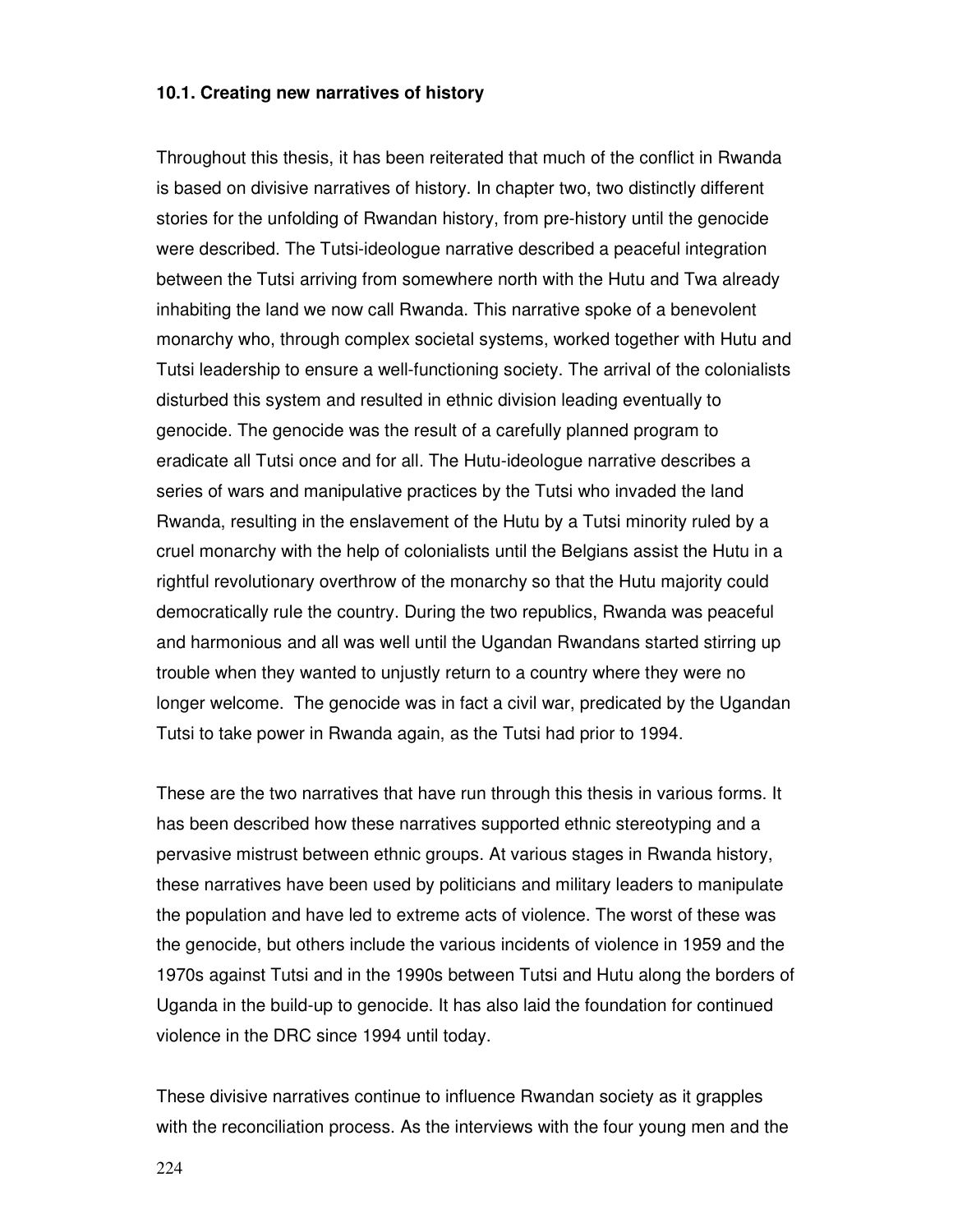#### **10.1. Creating new narratives of history**

Throughout this thesis, it has been reiterated that much of the conflict in Rwanda is based on divisive narratives of history. In chapter two, two distinctly different stories for the unfolding of Rwandan history, from pre-history until the genocide were described. The Tutsi-ideologue narrative described a peaceful integration between the Tutsi arriving from somewhere north with the Hutu and Twa already inhabiting the land we now call Rwanda. This narrative spoke of a benevolent monarchy who, through complex societal systems, worked together with Hutu and Tutsi leadership to ensure a well-functioning society. The arrival of the colonialists disturbed this system and resulted in ethnic division leading eventually to genocide. The genocide was the result of a carefully planned program to eradicate all Tutsi once and for all. The Hutu-ideologue narrative describes a series of wars and manipulative practices by the Tutsi who invaded the land Rwanda, resulting in the enslavement of the Hutu by a Tutsi minority ruled by a cruel monarchy with the help of colonialists until the Belgians assist the Hutu in a rightful revolutionary overthrow of the monarchy so that the Hutu majority could democratically rule the country. During the two republics, Rwanda was peaceful and harmonious and all was well until the Ugandan Rwandans started stirring up trouble when they wanted to unjustly return to a country where they were no longer welcome. The genocide was in fact a civil war, predicated by the Ugandan Tutsi to take power in Rwanda again, as the Tutsi had prior to 1994.

These are the two narratives that have run through this thesis in various forms. It has been described how these narratives supported ethnic stereotyping and a pervasive mistrust between ethnic groups. At various stages in Rwanda history, these narratives have been used by politicians and military leaders to manipulate the population and have led to extreme acts of violence. The worst of these was the genocide, but others include the various incidents of violence in 1959 and the 1970s against Tutsi and in the 1990s between Tutsi and Hutu along the borders of Uganda in the build-up to genocide. It has also laid the foundation for continued violence in the DRC since 1994 until today.

These divisive narratives continue to influence Rwandan society as it grapples with the reconciliation process. As the interviews with the four young men and the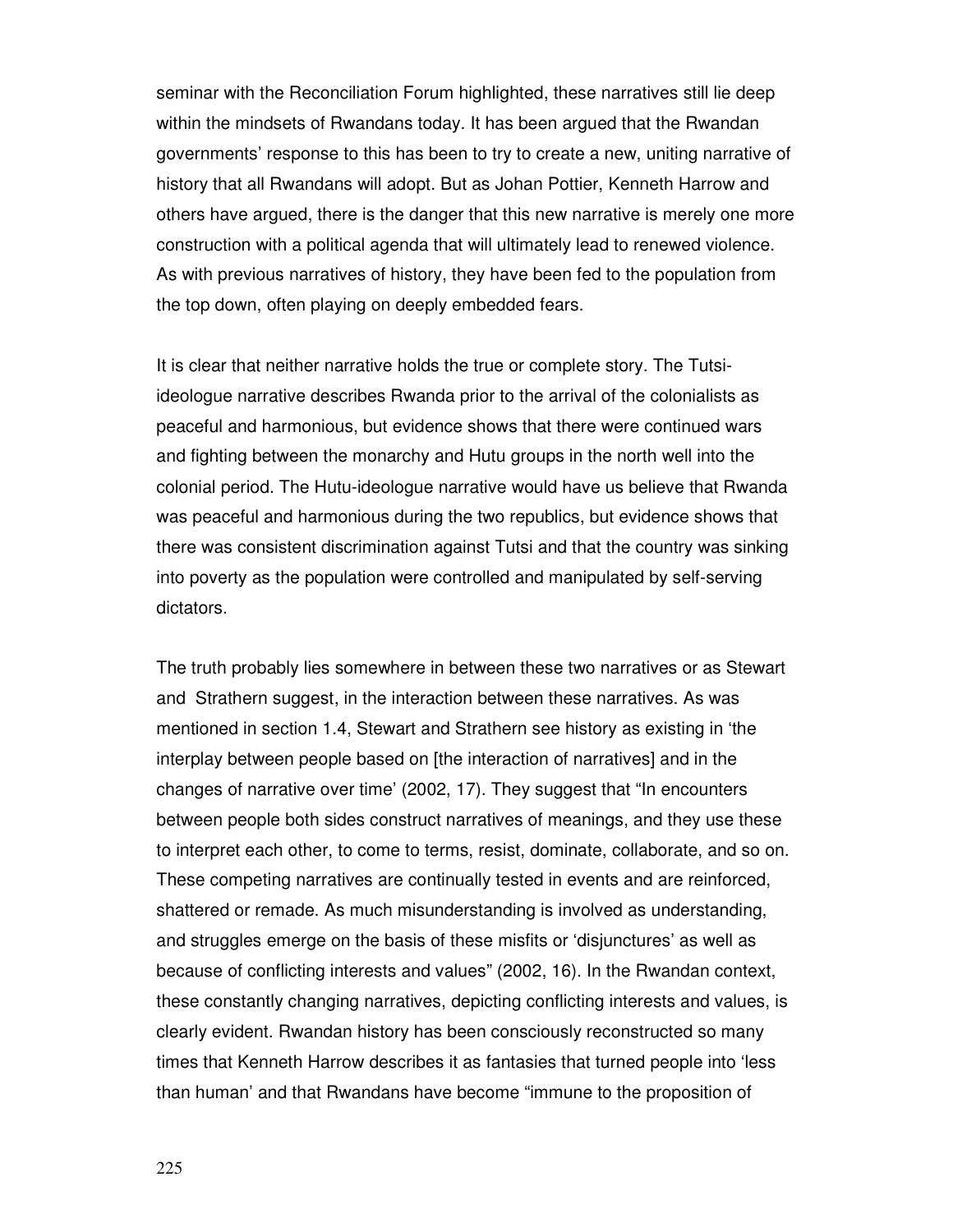seminar with the Reconciliation Forum highlighted, these narratives still lie deep within the mindsets of Rwandans today. It has been argued that the Rwandan governments' response to this has been to try to create a new, uniting narrative of history that all Rwandans will adopt. But as Johan Pottier, Kenneth Harrow and others have argued, there is the danger that this new narrative is merely one more construction with a political agenda that will ultimately lead to renewed violence. As with previous narratives of history, they have been fed to the population from the top down, often playing on deeply embedded fears.

It is clear that neither narrative holds the true or complete story. The Tutsiideologue narrative describes Rwanda prior to the arrival of the colonialists as peaceful and harmonious, but evidence shows that there were continued wars and fighting between the monarchy and Hutu groups in the north well into the colonial period. The Hutu-ideologue narrative would have us believe that Rwanda was peaceful and harmonious during the two republics, but evidence shows that there was consistent discrimination against Tutsi and that the country was sinking into poverty as the population were controlled and manipulated by self-serving dictators.

The truth probably lies somewhere in between these two narratives or as Stewart and Strathern suggest, in the interaction between these narratives. As was mentioned in section 1.4, Stewart and Strathern see history as existing in 'the interplay between people based on [the interaction of narratives] and in the changes of narrative over time' (2002, 17). They suggest that "In encounters between people both sides construct narratives of meanings, and they use these to interpret each other, to come to terms, resist, dominate, collaborate, and so on. These competing narratives are continually tested in events and are reinforced, shattered or remade. As much misunderstanding is involved as understanding, and struggles emerge on the basis of these misfits or 'disjunctures' as well as because of conflicting interests and values" (2002, 16). In the Rwandan context, these constantly changing narratives, depicting conflicting interests and values, is clearly evident. Rwandan history has been consciously reconstructed so many times that Kenneth Harrow describes it as fantasies that turned people into 'less than human' and that Rwandans have become "immune to the proposition of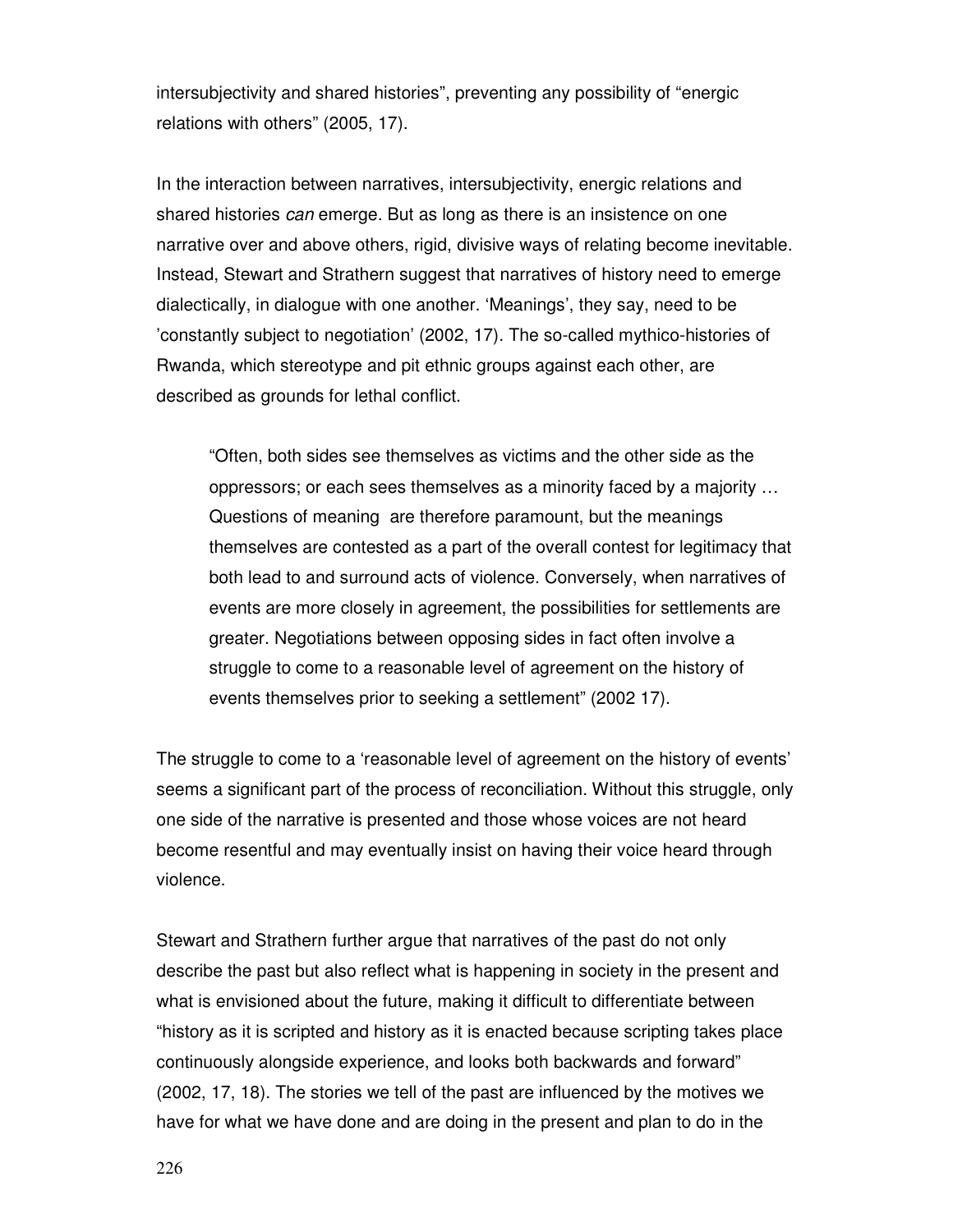intersubjectivity and shared histories", preventing any possibility of "energic relations with others" (2005, 17).

In the interaction between narratives, intersubjectivity, energic relations and shared histories can emerge. But as long as there is an insistence on one narrative over and above others, rigid, divisive ways of relating become inevitable. Instead, Stewart and Strathern suggest that narratives of history need to emerge dialectically, in dialogue with one another. 'Meanings', they say, need to be 'constantly subject to negotiation' (2002, 17). The so-called mythico-histories of Rwanda, which stereotype and pit ethnic groups against each other, are described as grounds for lethal conflict.

"Often, both sides see themselves as victims and the other side as the oppressors; or each sees themselves as a minority faced by a majority … Questions of meaning are therefore paramount, but the meanings themselves are contested as a part of the overall contest for legitimacy that both lead to and surround acts of violence. Conversely, when narratives of events are more closely in agreement, the possibilities for settlements are greater. Negotiations between opposing sides in fact often involve a struggle to come to a reasonable level of agreement on the history of events themselves prior to seeking a settlement" (2002 17).

The struggle to come to a 'reasonable level of agreement on the history of events' seems a significant part of the process of reconciliation. Without this struggle, only one side of the narrative is presented and those whose voices are not heard become resentful and may eventually insist on having their voice heard through violence.

Stewart and Strathern further argue that narratives of the past do not only describe the past but also reflect what is happening in society in the present and what is envisioned about the future, making it difficult to differentiate between "history as it is scripted and history as it is enacted because scripting takes place continuously alongside experience, and looks both backwards and forward" (2002, 17, 18). The stories we tell of the past are influenced by the motives we have for what we have done and are doing in the present and plan to do in the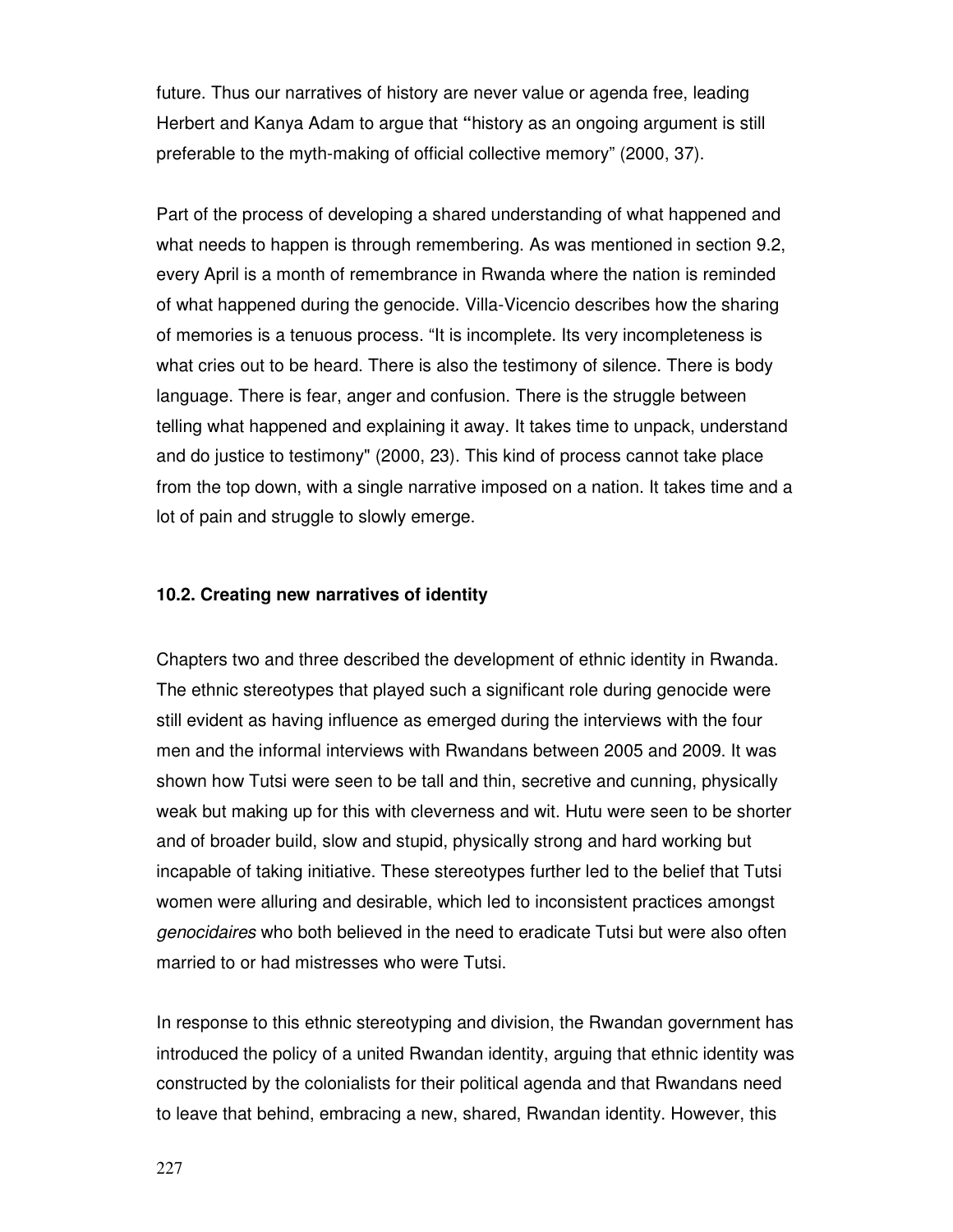future. Thus our narratives of history are never value or agenda free, leading Herbert and Kanya Adam to argue that **"**history as an ongoing argument is still preferable to the myth-making of official collective memory" (2000, 37).

Part of the process of developing a shared understanding of what happened and what needs to happen is through remembering. As was mentioned in section 9.2, every April is a month of remembrance in Rwanda where the nation is reminded of what happened during the genocide. Villa-Vicencio describes how the sharing of memories is a tenuous process. "It is incomplete. Its very incompleteness is what cries out to be heard. There is also the testimony of silence. There is body language. There is fear, anger and confusion. There is the struggle between telling what happened and explaining it away. It takes time to unpack, understand and do justice to testimony" (2000, 23). This kind of process cannot take place from the top down, with a single narrative imposed on a nation. It takes time and a lot of pain and struggle to slowly emerge.

#### **10.2. Creating new narratives of identity**

Chapters two and three described the development of ethnic identity in Rwanda. The ethnic stereotypes that played such a significant role during genocide were still evident as having influence as emerged during the interviews with the four men and the informal interviews with Rwandans between 2005 and 2009. It was shown how Tutsi were seen to be tall and thin, secretive and cunning, physically weak but making up for this with cleverness and wit. Hutu were seen to be shorter and of broader build, slow and stupid, physically strong and hard working but incapable of taking initiative. These stereotypes further led to the belief that Tutsi women were alluring and desirable, which led to inconsistent practices amongst genocidaires who both believed in the need to eradicate Tutsi but were also often married to or had mistresses who were Tutsi.

In response to this ethnic stereotyping and division, the Rwandan government has introduced the policy of a united Rwandan identity, arguing that ethnic identity was constructed by the colonialists for their political agenda and that Rwandans need to leave that behind, embracing a new, shared, Rwandan identity. However, this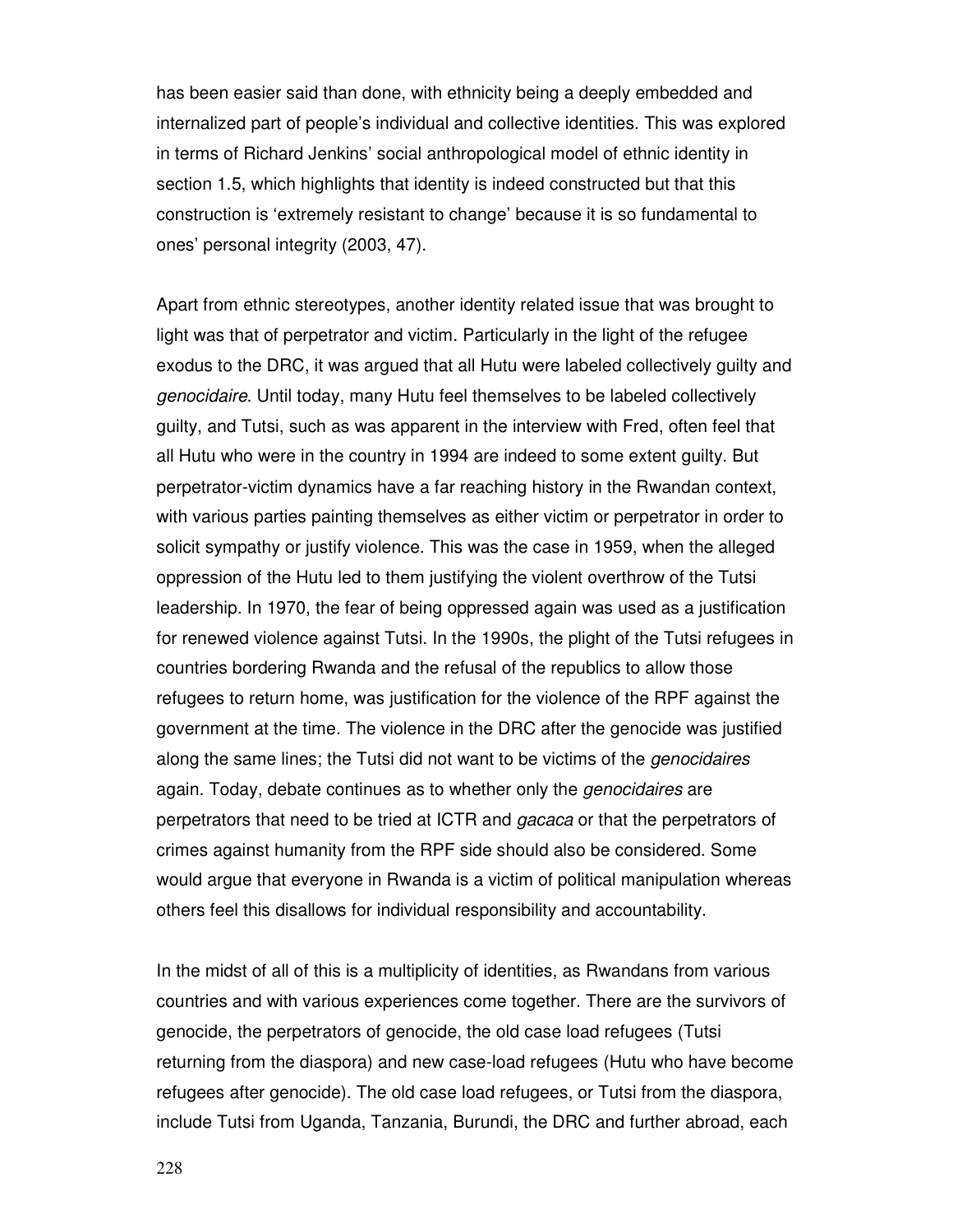has been easier said than done, with ethnicity being a deeply embedded and internalized part of people's individual and collective identities. This was explored in terms of Richard Jenkins' social anthropological model of ethnic identity in section 1.5, which highlights that identity is indeed constructed but that this construction is 'extremely resistant to change' because it is so fundamental to ones' personal integrity (2003, 47).

Apart from ethnic stereotypes, another identity related issue that was brought to light was that of perpetrator and victim. Particularly in the light of the refugee exodus to the DRC, it was argued that all Hutu were labeled collectively guilty and genocidaire. Until today, many Hutu feel themselves to be labeled collectively guilty, and Tutsi, such as was apparent in the interview with Fred, often feel that all Hutu who were in the country in 1994 are indeed to some extent guilty. But perpetrator-victim dynamics have a far reaching history in the Rwandan context, with various parties painting themselves as either victim or perpetrator in order to solicit sympathy or justify violence. This was the case in 1959, when the alleged oppression of the Hutu led to them justifying the violent overthrow of the Tutsi leadership. In 1970, the fear of being oppressed again was used as a justification for renewed violence against Tutsi. In the 1990s, the plight of the Tutsi refugees in countries bordering Rwanda and the refusal of the republics to allow those refugees to return home, was justification for the violence of the RPF against the government at the time. The violence in the DRC after the genocide was justified along the same lines; the Tutsi did not want to be victims of the genocidaires again. Today, debate continues as to whether only the *genocidaires* are perpetrators that need to be tried at ICTR and gacaca or that the perpetrators of crimes against humanity from the RPF side should also be considered. Some would argue that everyone in Rwanda is a victim of political manipulation whereas others feel this disallows for individual responsibility and accountability.

In the midst of all of this is a multiplicity of identities, as Rwandans from various countries and with various experiences come together. There are the survivors of genocide, the perpetrators of genocide, the old case load refugees (Tutsi returning from the diaspora) and new case-load refugees (Hutu who have become refugees after genocide). The old case load refugees, or Tutsi from the diaspora, include Tutsi from Uganda, Tanzania, Burundi, the DRC and further abroad, each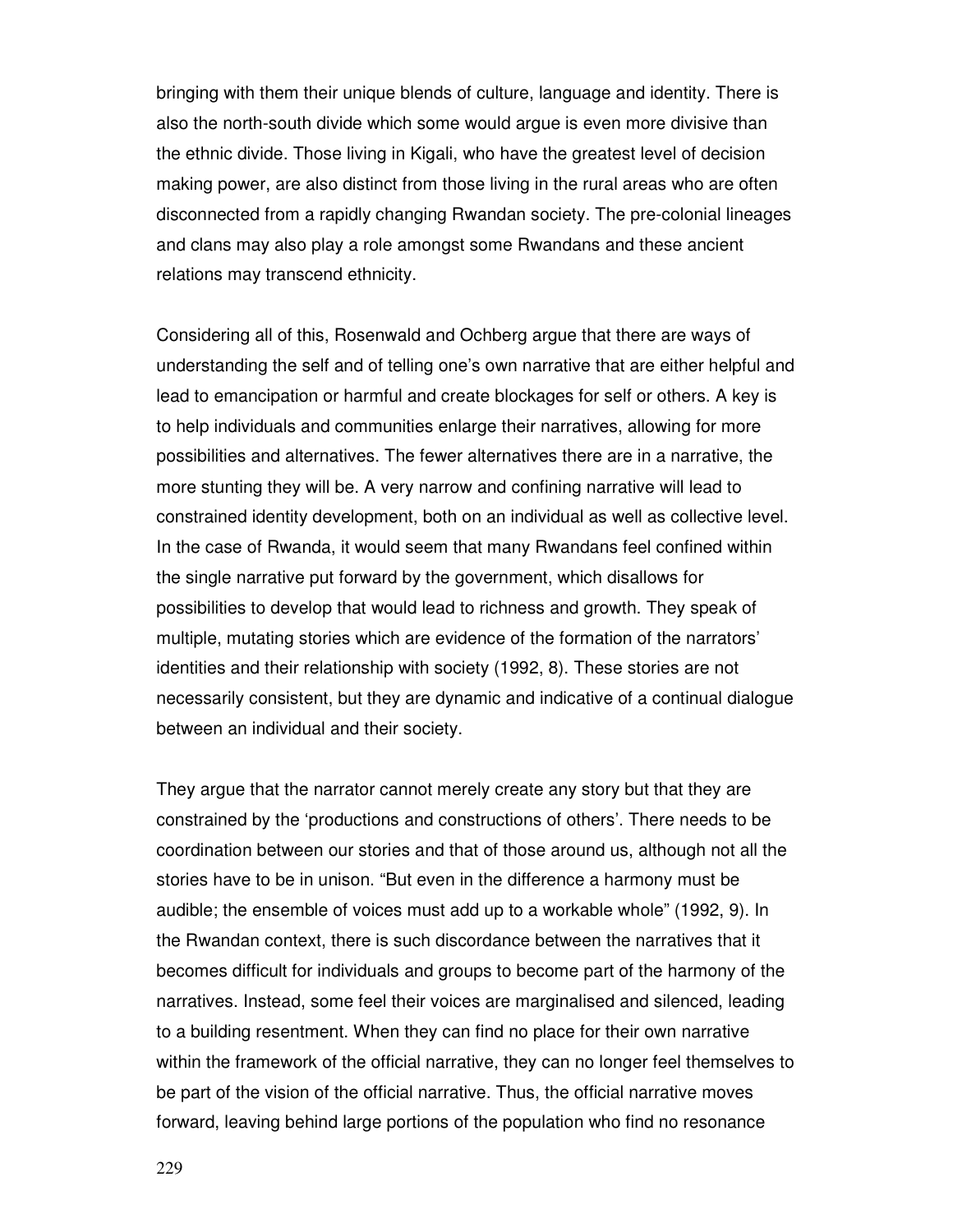bringing with them their unique blends of culture, language and identity. There is also the north-south divide which some would argue is even more divisive than the ethnic divide. Those living in Kigali, who have the greatest level of decision making power, are also distinct from those living in the rural areas who are often disconnected from a rapidly changing Rwandan society. The pre-colonial lineages and clans may also play a role amongst some Rwandans and these ancient relations may transcend ethnicity.

Considering all of this, Rosenwald and Ochberg argue that there are ways of understanding the self and of telling one's own narrative that are either helpful and lead to emancipation or harmful and create blockages for self or others. A key is to help individuals and communities enlarge their narratives, allowing for more possibilities and alternatives. The fewer alternatives there are in a narrative, the more stunting they will be. A very narrow and confining narrative will lead to constrained identity development, both on an individual as well as collective level. In the case of Rwanda, it would seem that many Rwandans feel confined within the single narrative put forward by the government, which disallows for possibilities to develop that would lead to richness and growth. They speak of multiple, mutating stories which are evidence of the formation of the narrators' identities and their relationship with society (1992, 8). These stories are not necessarily consistent, but they are dynamic and indicative of a continual dialogue between an individual and their society.

They argue that the narrator cannot merely create any story but that they are constrained by the 'productions and constructions of others'. There needs to be coordination between our stories and that of those around us, although not all the stories have to be in unison. "But even in the difference a harmony must be audible; the ensemble of voices must add up to a workable whole" (1992, 9). In the Rwandan context, there is such discordance between the narratives that it becomes difficult for individuals and groups to become part of the harmony of the narratives. Instead, some feel their voices are marginalised and silenced, leading to a building resentment. When they can find no place for their own narrative within the framework of the official narrative, they can no longer feel themselves to be part of the vision of the official narrative. Thus, the official narrative moves forward, leaving behind large portions of the population who find no resonance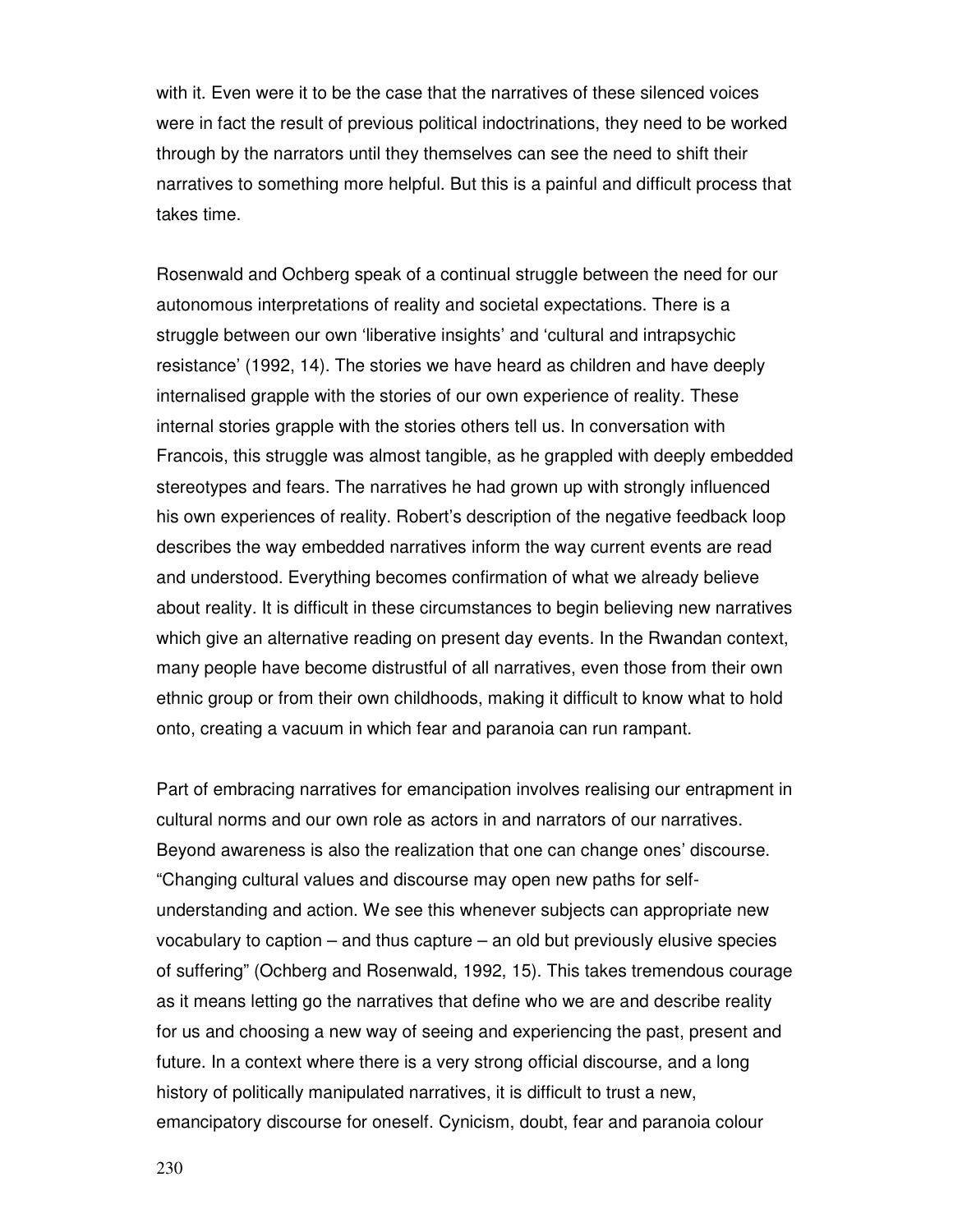with it. Even were it to be the case that the narratives of these silenced voices were in fact the result of previous political indoctrinations, they need to be worked through by the narrators until they themselves can see the need to shift their narratives to something more helpful. But this is a painful and difficult process that takes time.

Rosenwald and Ochberg speak of a continual struggle between the need for our autonomous interpretations of reality and societal expectations. There is a struggle between our own 'liberative insights' and 'cultural and intrapsychic resistance' (1992, 14). The stories we have heard as children and have deeply internalised grapple with the stories of our own experience of reality. These internal stories grapple with the stories others tell us. In conversation with Francois, this struggle was almost tangible, as he grappled with deeply embedded stereotypes and fears. The narratives he had grown up with strongly influenced his own experiences of reality. Robert's description of the negative feedback loop describes the way embedded narratives inform the way current events are read and understood. Everything becomes confirmation of what we already believe about reality. It is difficult in these circumstances to begin believing new narratives which give an alternative reading on present day events. In the Rwandan context, many people have become distrustful of all narratives, even those from their own ethnic group or from their own childhoods, making it difficult to know what to hold onto, creating a vacuum in which fear and paranoia can run rampant.

Part of embracing narratives for emancipation involves realising our entrapment in cultural norms and our own role as actors in and narrators of our narratives. Beyond awareness is also the realization that one can change ones' discourse. "Changing cultural values and discourse may open new paths for selfunderstanding and action. We see this whenever subjects can appropriate new vocabulary to caption – and thus capture – an old but previously elusive species of suffering" (Ochberg and Rosenwald, 1992, 15). This takes tremendous courage as it means letting go the narratives that define who we are and describe reality for us and choosing a new way of seeing and experiencing the past, present and future. In a context where there is a very strong official discourse, and a long history of politically manipulated narratives, it is difficult to trust a new, emancipatory discourse for oneself. Cynicism, doubt, fear and paranoia colour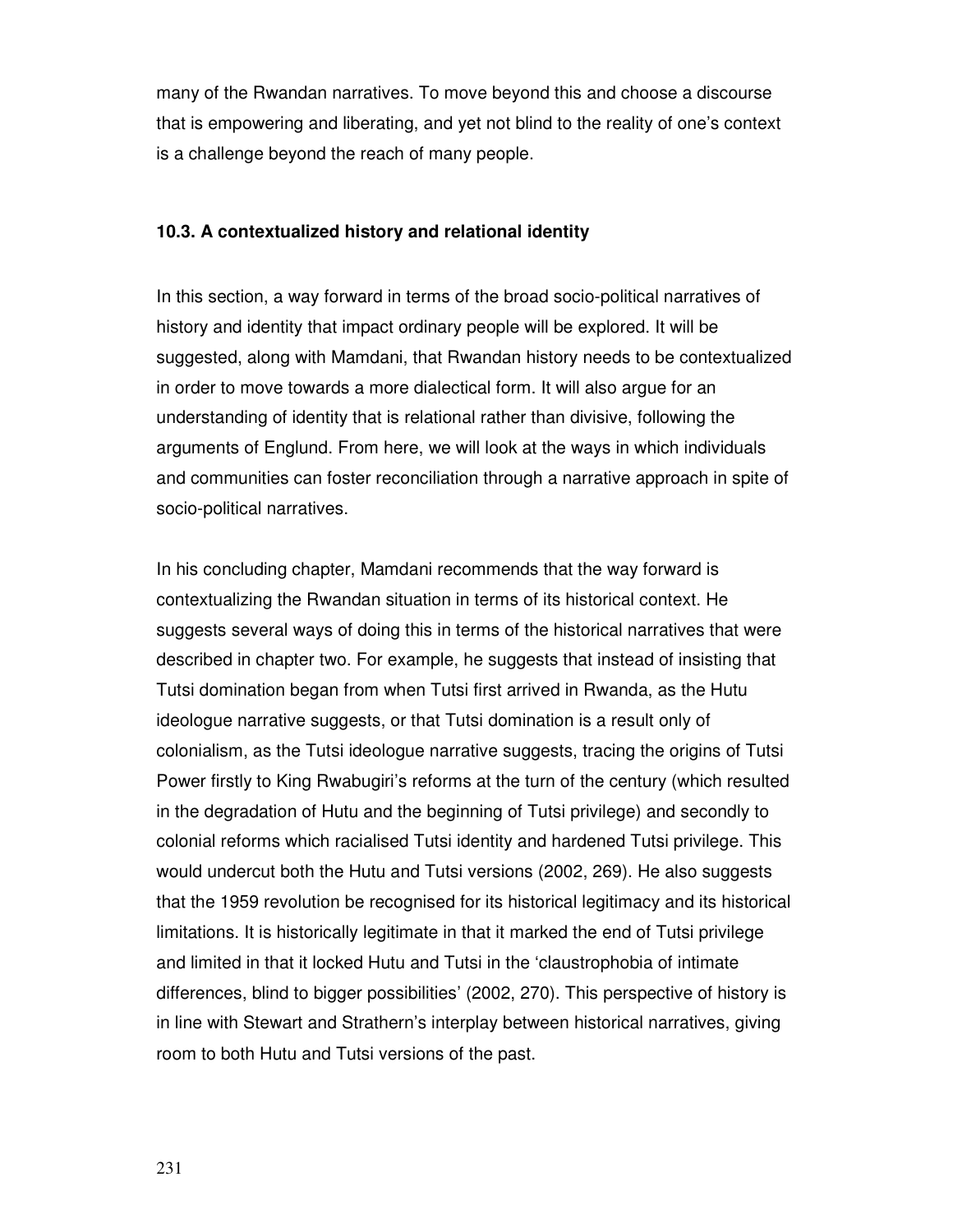many of the Rwandan narratives. To move beyond this and choose a discourse that is empowering and liberating, and yet not blind to the reality of one's context is a challenge beyond the reach of many people.

#### **10.3. A contextualized history and relational identity**

In this section, a way forward in terms of the broad socio-political narratives of history and identity that impact ordinary people will be explored. It will be suggested, along with Mamdani, that Rwandan history needs to be contextualized in order to move towards a more dialectical form. It will also argue for an understanding of identity that is relational rather than divisive, following the arguments of Englund. From here, we will look at the ways in which individuals and communities can foster reconciliation through a narrative approach in spite of socio-political narratives.

In his concluding chapter, Mamdani recommends that the way forward is contextualizing the Rwandan situation in terms of its historical context. He suggests several ways of doing this in terms of the historical narratives that were described in chapter two. For example, he suggests that instead of insisting that Tutsi domination began from when Tutsi first arrived in Rwanda, as the Hutu ideologue narrative suggests, or that Tutsi domination is a result only of colonialism, as the Tutsi ideologue narrative suggests, tracing the origins of Tutsi Power firstly to King Rwabugiri's reforms at the turn of the century (which resulted in the degradation of Hutu and the beginning of Tutsi privilege) and secondly to colonial reforms which racialised Tutsi identity and hardened Tutsi privilege. This would undercut both the Hutu and Tutsi versions (2002, 269). He also suggests that the 1959 revolution be recognised for its historical legitimacy and its historical limitations. It is historically legitimate in that it marked the end of Tutsi privilege and limited in that it locked Hutu and Tutsi in the 'claustrophobia of intimate differences, blind to bigger possibilities' (2002, 270). This perspective of history is in line with Stewart and Strathern's interplay between historical narratives, giving room to both Hutu and Tutsi versions of the past.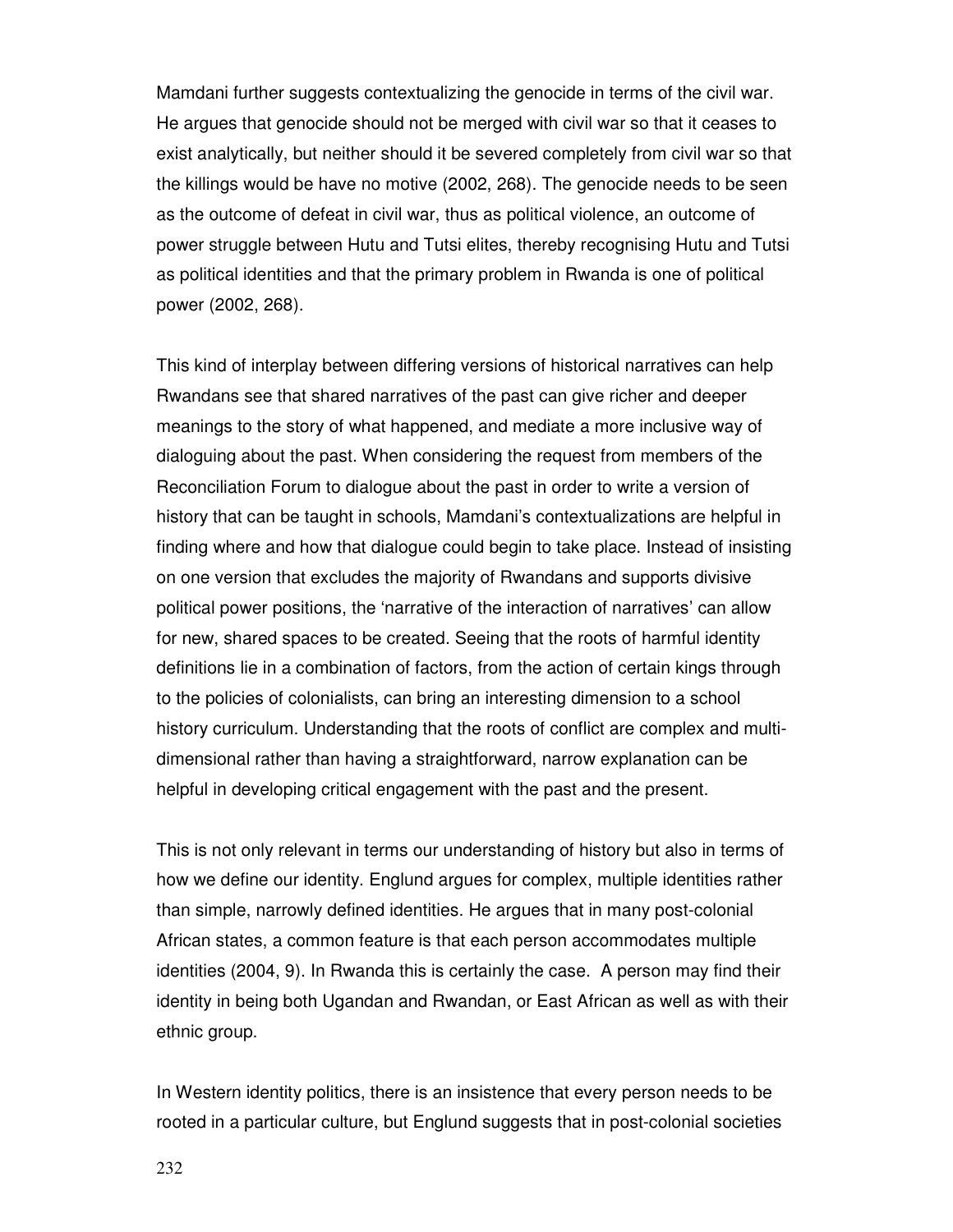Mamdani further suggests contextualizing the genocide in terms of the civil war. He argues that genocide should not be merged with civil war so that it ceases to exist analytically, but neither should it be severed completely from civil war so that the killings would be have no motive (2002, 268). The genocide needs to be seen as the outcome of defeat in civil war, thus as political violence, an outcome of power struggle between Hutu and Tutsi elites, thereby recognising Hutu and Tutsi as political identities and that the primary problem in Rwanda is one of political power (2002, 268).

This kind of interplay between differing versions of historical narratives can help Rwandans see that shared narratives of the past can give richer and deeper meanings to the story of what happened, and mediate a more inclusive way of dialoguing about the past. When considering the request from members of the Reconciliation Forum to dialogue about the past in order to write a version of history that can be taught in schools, Mamdani's contextualizations are helpful in finding where and how that dialogue could begin to take place. Instead of insisting on one version that excludes the majority of Rwandans and supports divisive political power positions, the 'narrative of the interaction of narratives' can allow for new, shared spaces to be created. Seeing that the roots of harmful identity definitions lie in a combination of factors, from the action of certain kings through to the policies of colonialists, can bring an interesting dimension to a school history curriculum. Understanding that the roots of conflict are complex and multidimensional rather than having a straightforward, narrow explanation can be helpful in developing critical engagement with the past and the present.

This is not only relevant in terms our understanding of history but also in terms of how we define our identity. Englund argues for complex, multiple identities rather than simple, narrowly defined identities. He argues that in many post-colonial African states, a common feature is that each person accommodates multiple identities (2004, 9). In Rwanda this is certainly the case. A person may find their identity in being both Ugandan and Rwandan, or East African as well as with their ethnic group.

In Western identity politics, there is an insistence that every person needs to be rooted in a particular culture, but Englund suggests that in post-colonial societies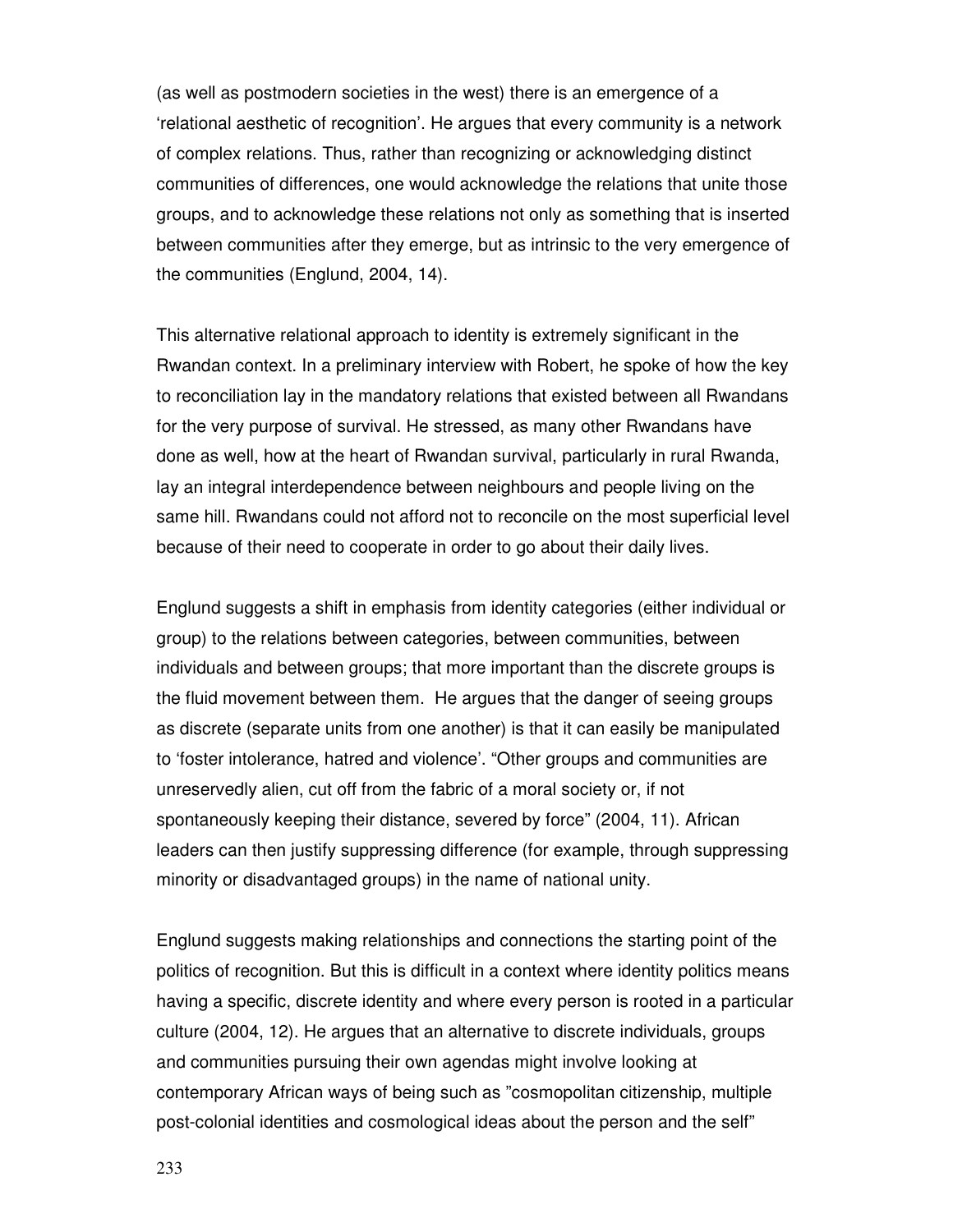(as well as postmodern societies in the west) there is an emergence of a 'relational aesthetic of recognition'. He argues that every community is a network of complex relations. Thus, rather than recognizing or acknowledging distinct communities of differences, one would acknowledge the relations that unite those groups, and to acknowledge these relations not only as something that is inserted between communities after they emerge, but as intrinsic to the very emergence of the communities (Englund, 2004, 14).

This alternative relational approach to identity is extremely significant in the Rwandan context. In a preliminary interview with Robert, he spoke of how the key to reconciliation lay in the mandatory relations that existed between all Rwandans for the very purpose of survival. He stressed, as many other Rwandans have done as well, how at the heart of Rwandan survival, particularly in rural Rwanda, lay an integral interdependence between neighbours and people living on the same hill. Rwandans could not afford not to reconcile on the most superficial level because of their need to cooperate in order to go about their daily lives.

Englund suggests a shift in emphasis from identity categories (either individual or group) to the relations between categories, between communities, between individuals and between groups; that more important than the discrete groups is the fluid movement between them. He argues that the danger of seeing groups as discrete (separate units from one another) is that it can easily be manipulated to 'foster intolerance, hatred and violence'. "Other groups and communities are unreservedly alien, cut off from the fabric of a moral society or, if not spontaneously keeping their distance, severed by force" (2004, 11). African leaders can then justify suppressing difference (for example, through suppressing minority or disadvantaged groups) in the name of national unity.

Englund suggests making relationships and connections the starting point of the politics of recognition. But this is difficult in a context where identity politics means having a specific, discrete identity and where every person is rooted in a particular culture (2004, 12). He argues that an alternative to discrete individuals, groups and communities pursuing their own agendas might involve looking at contemporary African ways of being such as "cosmopolitan citizenship, multiple post-colonial identities and cosmological ideas about the person and the self"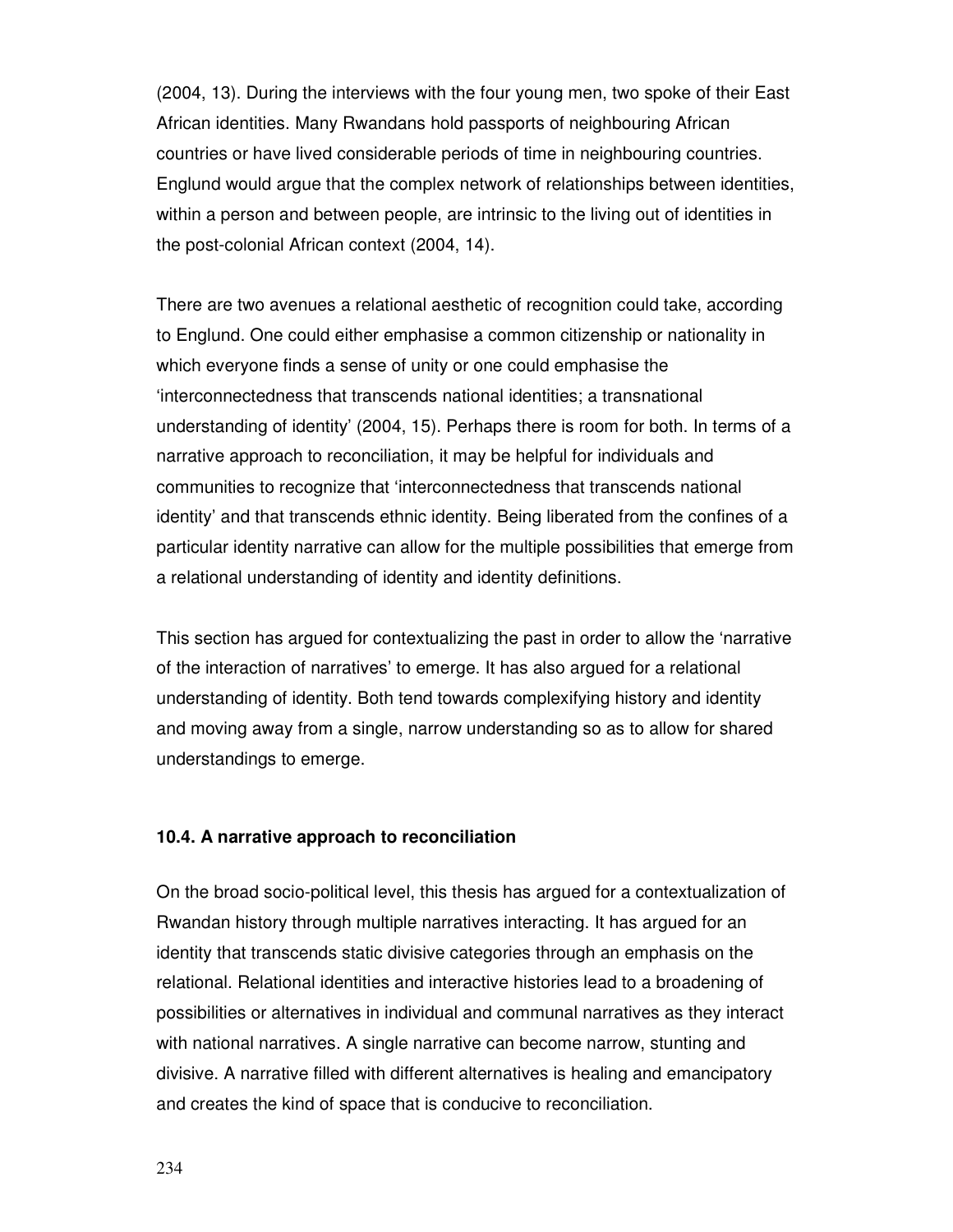(2004, 13). During the interviews with the four young men, two spoke of their East African identities. Many Rwandans hold passports of neighbouring African countries or have lived considerable periods of time in neighbouring countries. Englund would argue that the complex network of relationships between identities, within a person and between people, are intrinsic to the living out of identities in the post-colonial African context (2004, 14).

There are two avenues a relational aesthetic of recognition could take, according to Englund. One could either emphasise a common citizenship or nationality in which everyone finds a sense of unity or one could emphasise the 'interconnectedness that transcends national identities; a transnational understanding of identity' (2004, 15). Perhaps there is room for both. In terms of a narrative approach to reconciliation, it may be helpful for individuals and communities to recognize that 'interconnectedness that transcends national identity' and that transcends ethnic identity. Being liberated from the confines of a particular identity narrative can allow for the multiple possibilities that emerge from a relational understanding of identity and identity definitions.

This section has argued for contextualizing the past in order to allow the 'narrative of the interaction of narratives' to emerge. It has also argued for a relational understanding of identity. Both tend towards complexifying history and identity and moving away from a single, narrow understanding so as to allow for shared understandings to emerge.

#### **10.4. A narrative approach to reconciliation**

On the broad socio-political level, this thesis has argued for a contextualization of Rwandan history through multiple narratives interacting. It has argued for an identity that transcends static divisive categories through an emphasis on the relational. Relational identities and interactive histories lead to a broadening of possibilities or alternatives in individual and communal narratives as they interact with national narratives. A single narrative can become narrow, stunting and divisive. A narrative filled with different alternatives is healing and emancipatory and creates the kind of space that is conducive to reconciliation.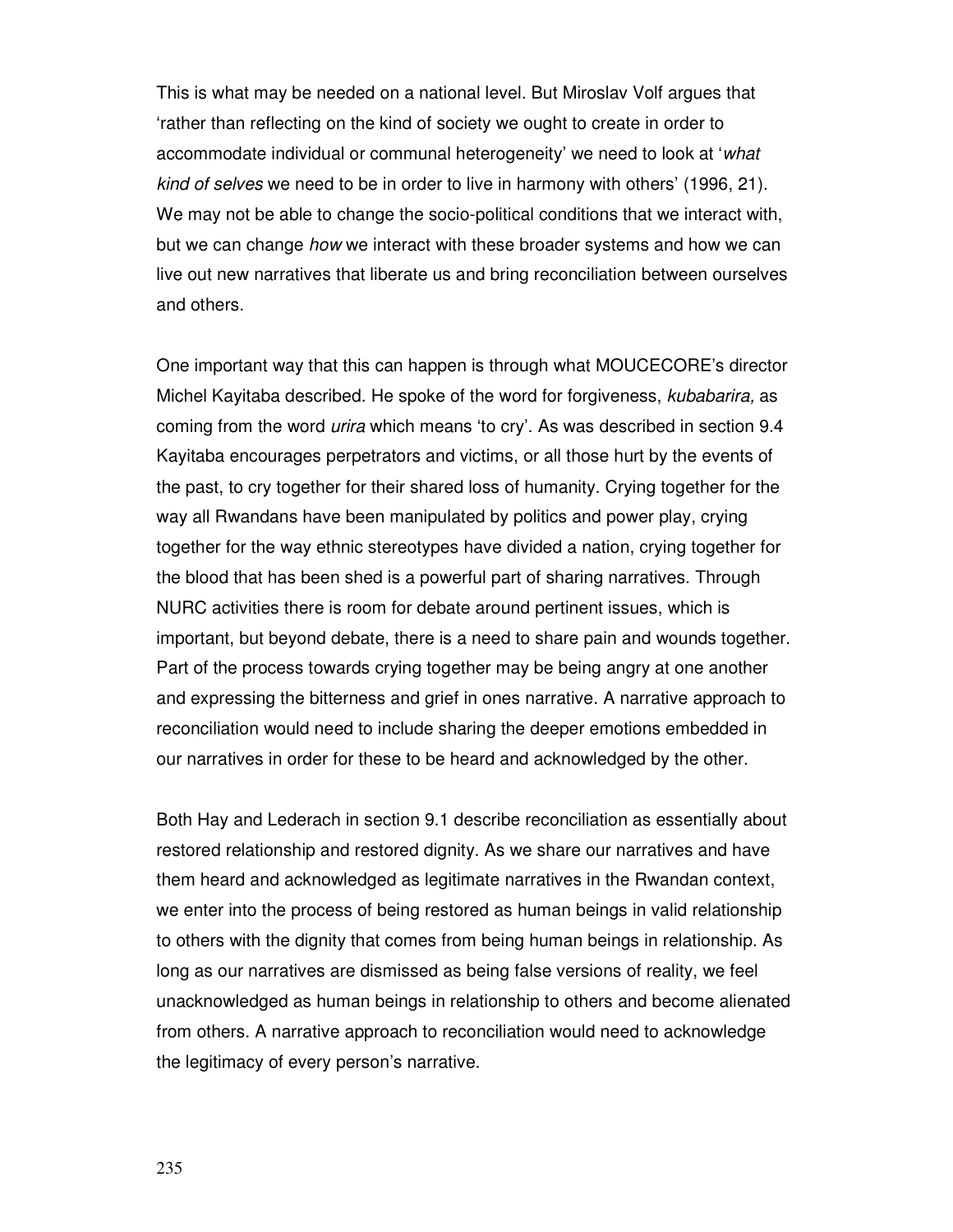This is what may be needed on a national level. But Miroslav Volf argues that 'rather than reflecting on the kind of society we ought to create in order to accommodate individual or communal heterogeneity' we need to look at 'what kind of selves we need to be in order to live in harmony with others' (1996, 21). We may not be able to change the socio-political conditions that we interact with, but we can change how we interact with these broader systems and how we can live out new narratives that liberate us and bring reconciliation between ourselves and others.

One important way that this can happen is through what MOUCECORE's director Michel Kayitaba described. He spoke of the word for forgiveness, *kubabarira*, as coming from the word urira which means 'to cry'. As was described in section 9.4 Kayitaba encourages perpetrators and victims, or all those hurt by the events of the past, to cry together for their shared loss of humanity. Crying together for the way all Rwandans have been manipulated by politics and power play, crying together for the way ethnic stereotypes have divided a nation, crying together for the blood that has been shed is a powerful part of sharing narratives. Through NURC activities there is room for debate around pertinent issues, which is important, but beyond debate, there is a need to share pain and wounds together. Part of the process towards crying together may be being angry at one another and expressing the bitterness and grief in ones narrative. A narrative approach to reconciliation would need to include sharing the deeper emotions embedded in our narratives in order for these to be heard and acknowledged by the other.

Both Hay and Lederach in section 9.1 describe reconciliation as essentially about restored relationship and restored dignity. As we share our narratives and have them heard and acknowledged as legitimate narratives in the Rwandan context, we enter into the process of being restored as human beings in valid relationship to others with the dignity that comes from being human beings in relationship. As long as our narratives are dismissed as being false versions of reality, we feel unacknowledged as human beings in relationship to others and become alienated from others. A narrative approach to reconciliation would need to acknowledge the legitimacy of every person's narrative.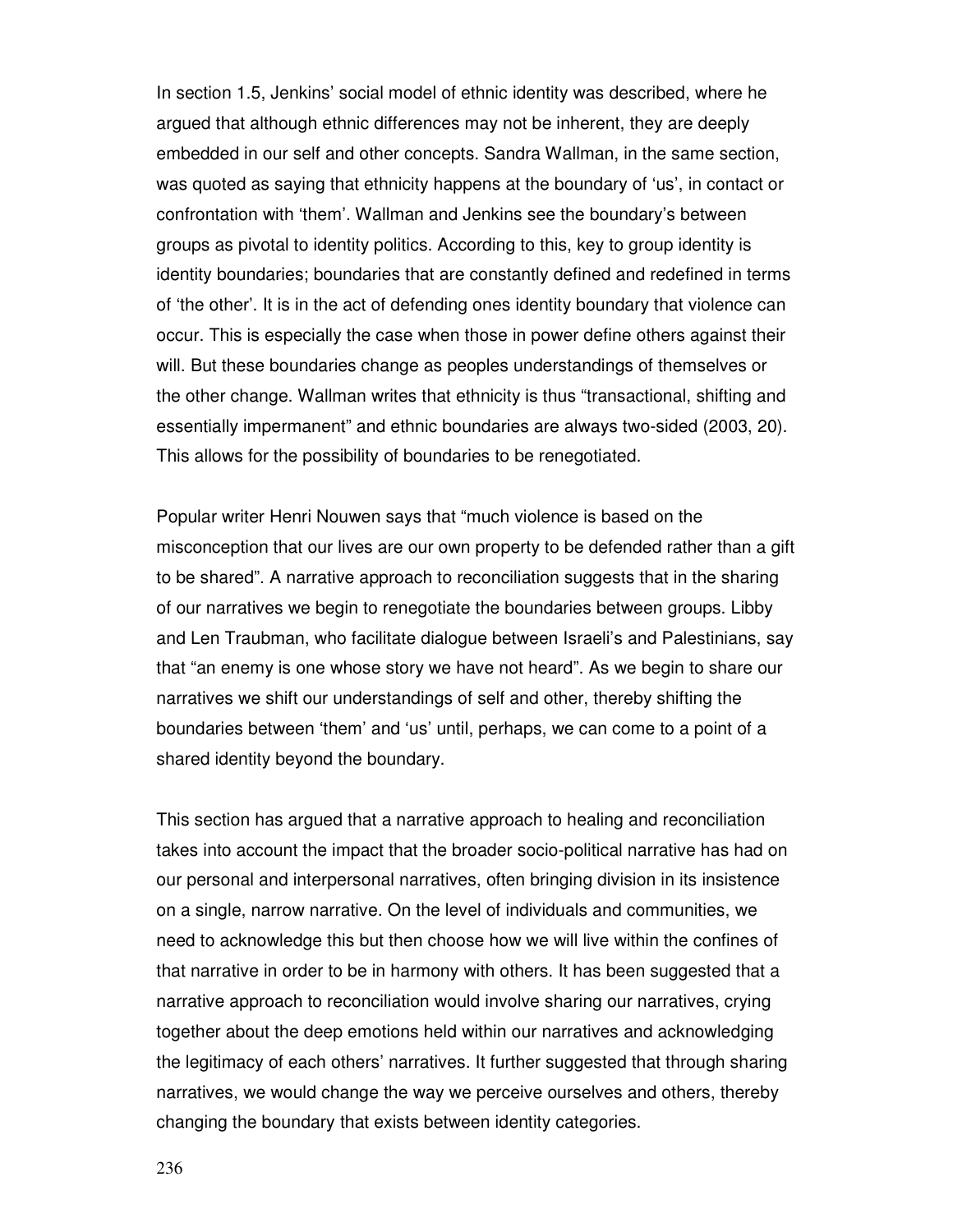In section 1.5, Jenkins' social model of ethnic identity was described, where he argued that although ethnic differences may not be inherent, they are deeply embedded in our self and other concepts. Sandra Wallman, in the same section, was quoted as saying that ethnicity happens at the boundary of 'us', in contact or confrontation with 'them'. Wallman and Jenkins see the boundary's between groups as pivotal to identity politics. According to this, key to group identity is identity boundaries; boundaries that are constantly defined and redefined in terms of 'the other'. It is in the act of defending ones identity boundary that violence can occur. This is especially the case when those in power define others against their will. But these boundaries change as peoples understandings of themselves or the other change. Wallman writes that ethnicity is thus "transactional, shifting and essentially impermanent" and ethnic boundaries are always two-sided (2003, 20). This allows for the possibility of boundaries to be renegotiated.

Popular writer Henri Nouwen says that "much violence is based on the misconception that our lives are our own property to be defended rather than a gift to be shared". A narrative approach to reconciliation suggests that in the sharing of our narratives we begin to renegotiate the boundaries between groups. Libby and Len Traubman, who facilitate dialogue between Israeli's and Palestinians, say that "an enemy is one whose story we have not heard". As we begin to share our narratives we shift our understandings of self and other, thereby shifting the boundaries between 'them' and 'us' until, perhaps, we can come to a point of a shared identity beyond the boundary.

This section has argued that a narrative approach to healing and reconciliation takes into account the impact that the broader socio-political narrative has had on our personal and interpersonal narratives, often bringing division in its insistence on a single, narrow narrative. On the level of individuals and communities, we need to acknowledge this but then choose how we will live within the confines of that narrative in order to be in harmony with others. It has been suggested that a narrative approach to reconciliation would involve sharing our narratives, crying together about the deep emotions held within our narratives and acknowledging the legitimacy of each others' narratives. It further suggested that through sharing narratives, we would change the way we perceive ourselves and others, thereby changing the boundary that exists between identity categories.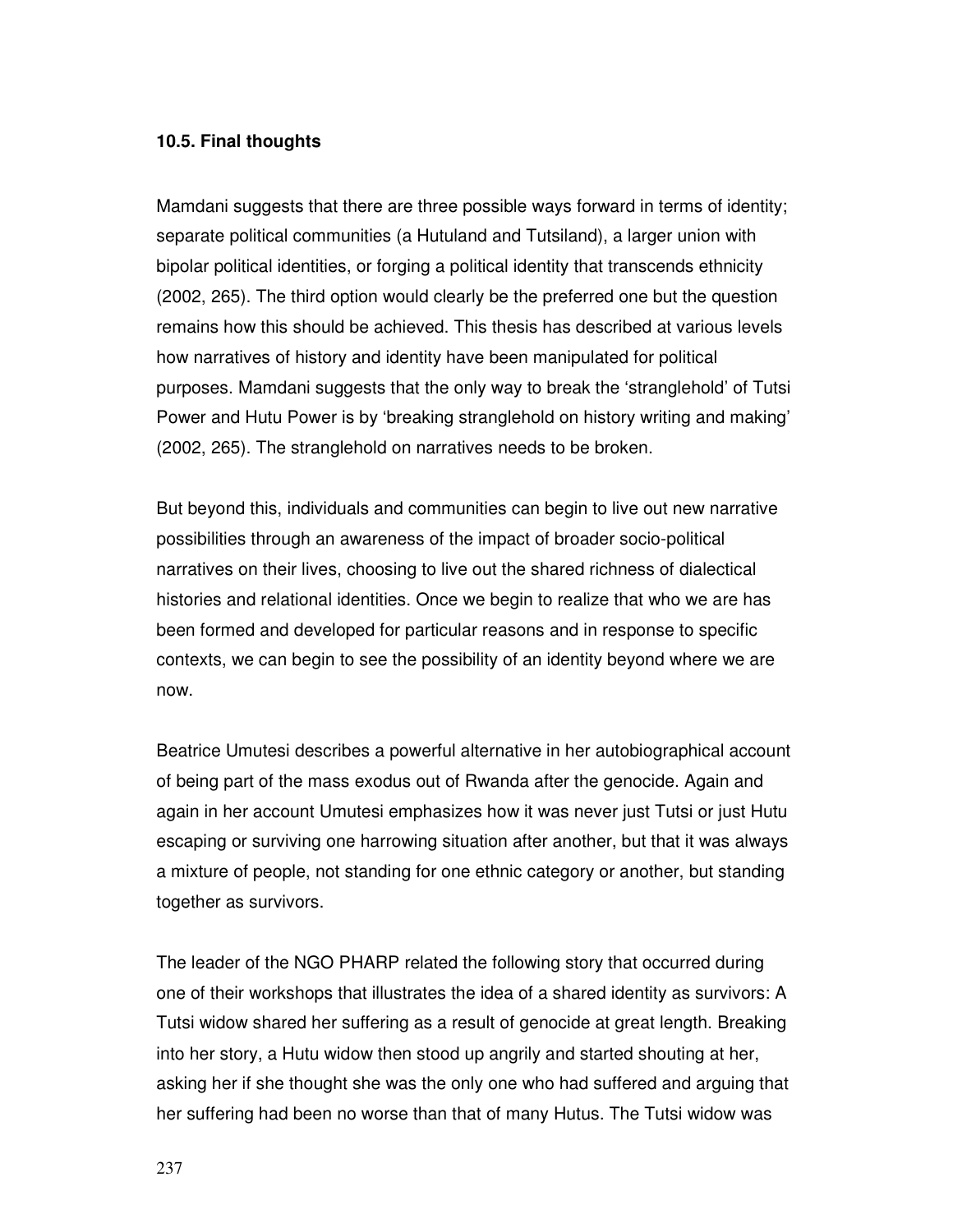#### **10.5. Final thoughts**

Mamdani suggests that there are three possible ways forward in terms of identity; separate political communities (a Hutuland and Tutsiland), a larger union with bipolar political identities, or forging a political identity that transcends ethnicity (2002, 265). The third option would clearly be the preferred one but the question remains how this should be achieved. This thesis has described at various levels how narratives of history and identity have been manipulated for political purposes. Mamdani suggests that the only way to break the 'stranglehold' of Tutsi Power and Hutu Power is by 'breaking stranglehold on history writing and making' (2002, 265). The stranglehold on narratives needs to be broken.

But beyond this, individuals and communities can begin to live out new narrative possibilities through an awareness of the impact of broader socio-political narratives on their lives, choosing to live out the shared richness of dialectical histories and relational identities. Once we begin to realize that who we are has been formed and developed for particular reasons and in response to specific contexts, we can begin to see the possibility of an identity beyond where we are now.

Beatrice Umutesi describes a powerful alternative in her autobiographical account of being part of the mass exodus out of Rwanda after the genocide. Again and again in her account Umutesi emphasizes how it was never just Tutsi or just Hutu escaping or surviving one harrowing situation after another, but that it was always a mixture of people, not standing for one ethnic category or another, but standing together as survivors.

The leader of the NGO PHARP related the following story that occurred during one of their workshops that illustrates the idea of a shared identity as survivors: A Tutsi widow shared her suffering as a result of genocide at great length. Breaking into her story, a Hutu widow then stood up angrily and started shouting at her, asking her if she thought she was the only one who had suffered and arguing that her suffering had been no worse than that of many Hutus. The Tutsi widow was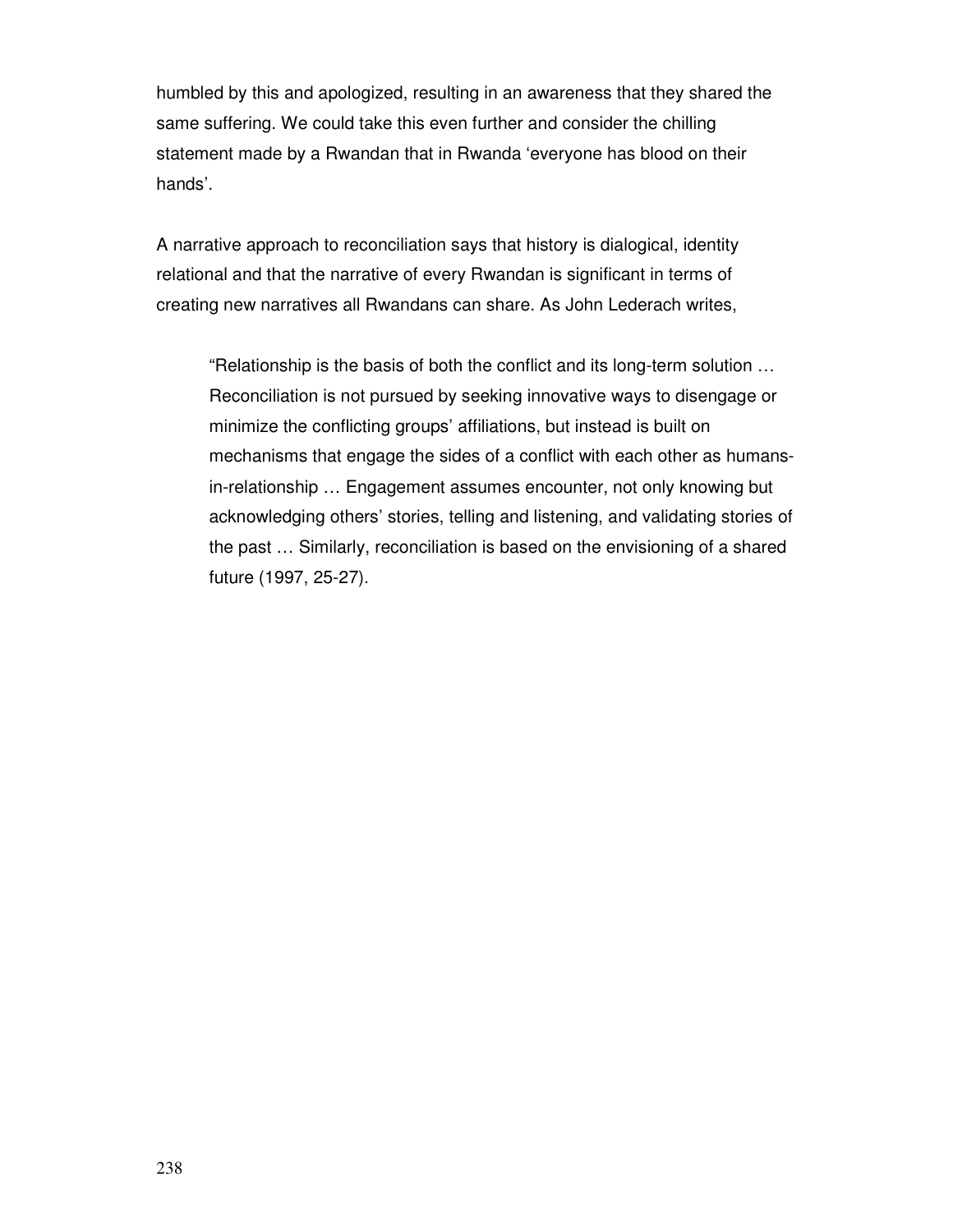humbled by this and apologized, resulting in an awareness that they shared the same suffering. We could take this even further and consider the chilling statement made by a Rwandan that in Rwanda 'everyone has blood on their hands'.

A narrative approach to reconciliation says that history is dialogical, identity relational and that the narrative of every Rwandan is significant in terms of creating new narratives all Rwandans can share. As John Lederach writes,

"Relationship is the basis of both the conflict and its long-term solution … Reconciliation is not pursued by seeking innovative ways to disengage or minimize the conflicting groups' affiliations, but instead is built on mechanisms that engage the sides of a conflict with each other as humansin-relationship … Engagement assumes encounter, not only knowing but acknowledging others' stories, telling and listening, and validating stories of the past … Similarly, reconciliation is based on the envisioning of a shared future (1997, 25-27).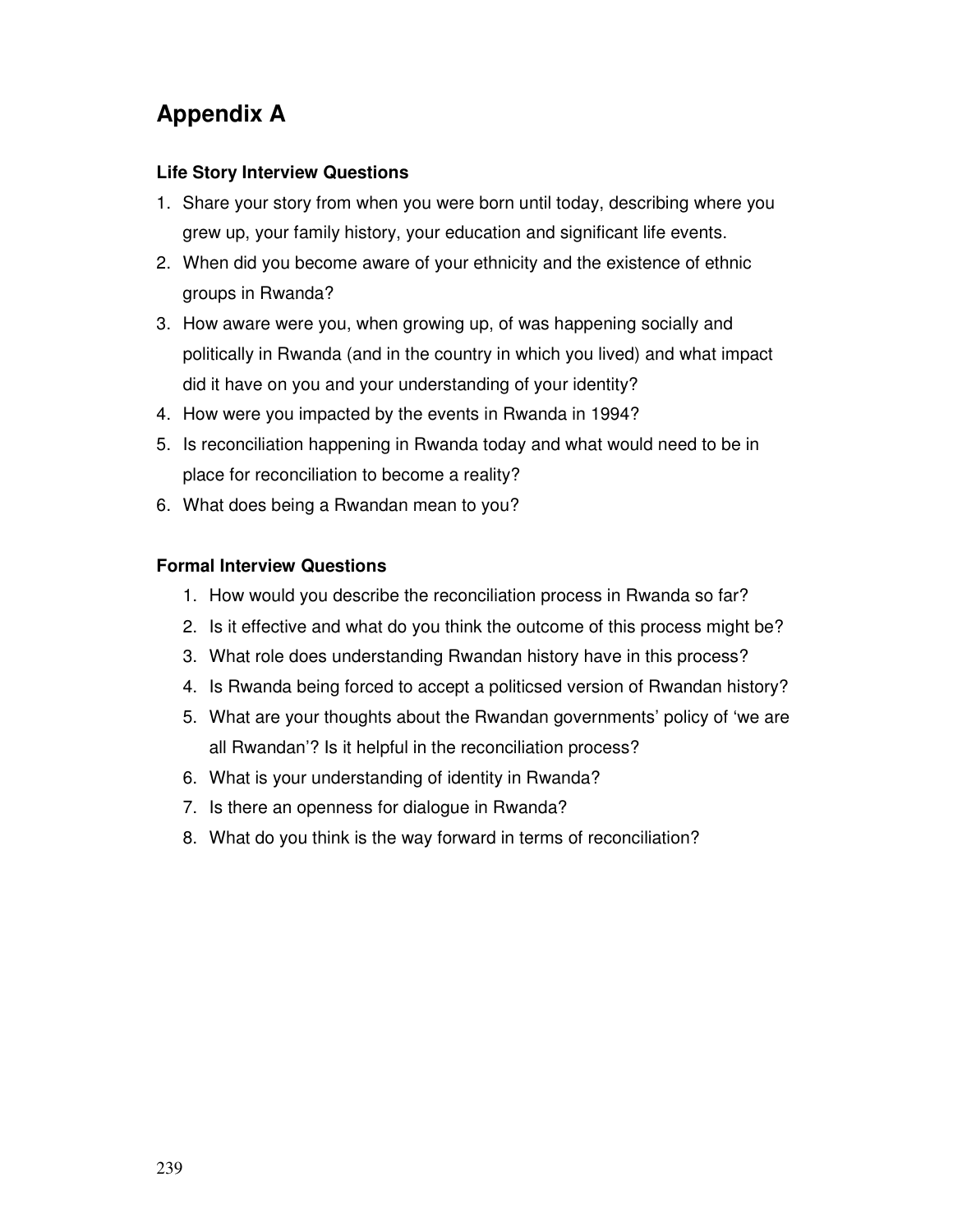# **Appendix A**

# **Life Story Interview Questions**

- 1. Share your story from when you were born until today, describing where you grew up, your family history, your education and significant life events.
- 2. When did you become aware of your ethnicity and the existence of ethnic groups in Rwanda?
- 3. How aware were you, when growing up, of was happening socially and politically in Rwanda (and in the country in which you lived) and what impact did it have on you and your understanding of your identity?
- 4. How were you impacted by the events in Rwanda in 1994?
- 5. Is reconciliation happening in Rwanda today and what would need to be in place for reconciliation to become a reality?
- 6. What does being a Rwandan mean to you?

## **Formal Interview Questions**

- 1. How would you describe the reconciliation process in Rwanda so far?
- 2. Is it effective and what do you think the outcome of this process might be?
- 3. What role does understanding Rwandan history have in this process?
- 4. Is Rwanda being forced to accept a politicsed version of Rwandan history?
- 5. What are your thoughts about the Rwandan governments' policy of 'we are all Rwandan'? Is it helpful in the reconciliation process?
- 6. What is your understanding of identity in Rwanda?
- 7. Is there an openness for dialogue in Rwanda?
- 8. What do you think is the way forward in terms of reconciliation?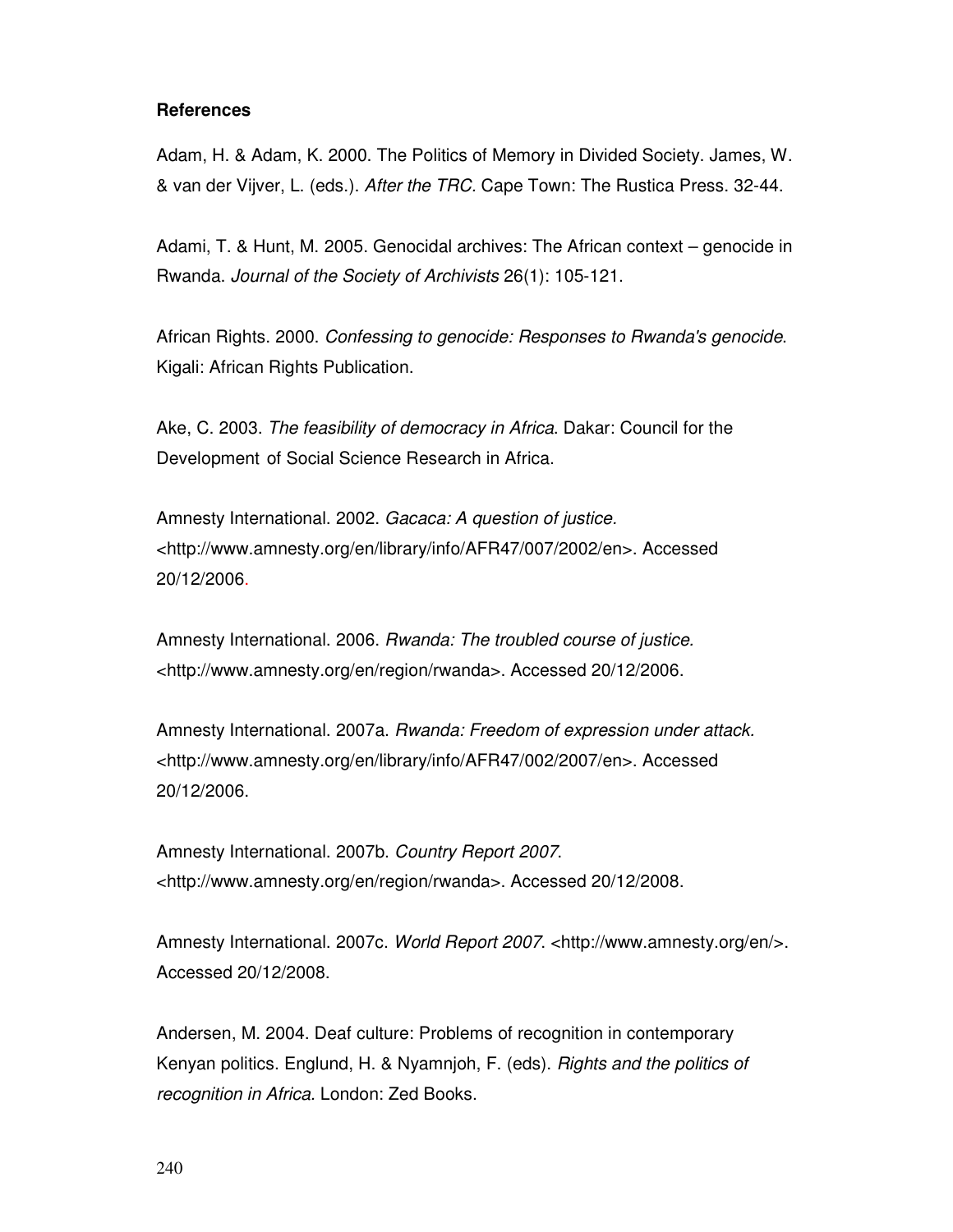#### **References**

Adam, H. & Adam, K. 2000. The Politics of Memory in Divided Society. James, W. & van der Vijver, L. (eds.). After the TRC. Cape Town: The Rustica Press. 32-44.

Adami, T. & Hunt, M. 2005. Genocidal archives: The African context – genocide in Rwanda. Journal of the Society of Archivists 26(1): 105-121.

African Rights. 2000. Confessing to genocide: Responses to Rwanda's genocide. Kigali: African Rights Publication.

Ake, C. 2003. The feasibility of democracy in Africa. Dakar: Council for the Development of Social Science Research in Africa.

Amnesty International. 2002. Gacaca: A question of justice. <http://www.amnesty.org/en/library/info/AFR47/007/2002/en>. Accessed 20/12/2006.

Amnesty International. 2006. Rwanda: The troubled course of justice. <http://www.amnesty.org/en/region/rwanda>. Accessed 20/12/2006.

Amnesty International. 2007a. Rwanda: Freedom of expression under attack. <http://www.amnesty.org/en/library/info/AFR47/002/2007/en>. Accessed 20/12/2006.

Amnesty International. 2007b. Country Report 2007. <http://www.amnesty.org/en/region/rwanda>. Accessed 20/12/2008.

Amnesty International. 2007c. World Report 2007. <http://www.amnesty.org/en/>. Accessed 20/12/2008.

Andersen, M. 2004. Deaf culture: Problems of recognition in contemporary Kenyan politics. Englund, H. & Nyamnjoh, F. (eds). Rights and the politics of recognition in Africa. London: Zed Books.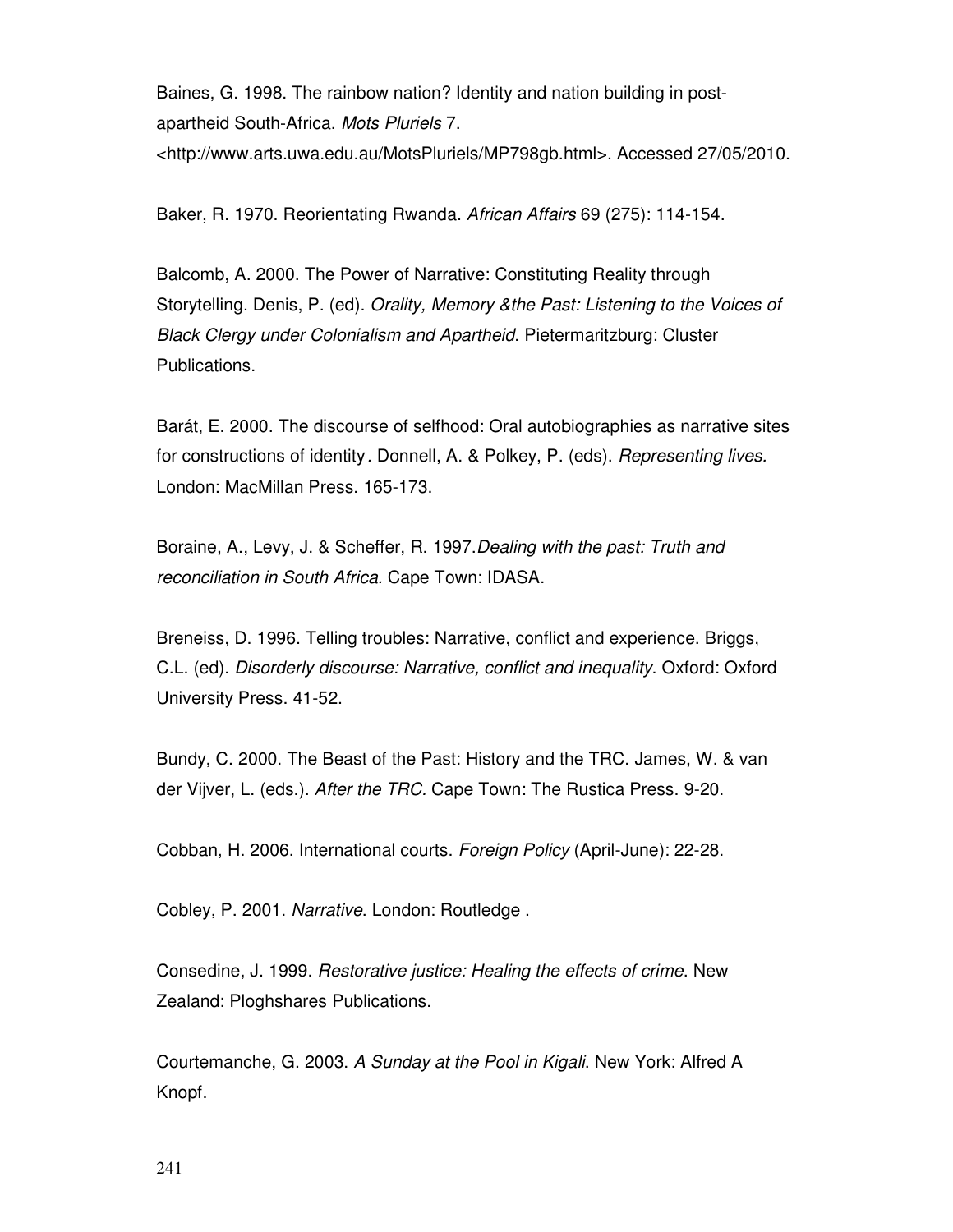Baines, G. 1998. The rainbow nation? Identity and nation building in postapartheid South-Africa. Mots Pluriels 7. <http://www.arts.uwa.edu.au/MotsPluriels/MP798gb.html>. Accessed 27/05/2010.

Baker, R. 1970. Reorientating Rwanda. African Affairs 69 (275): 114-154.

Balcomb, A. 2000. The Power of Narrative: Constituting Reality through Storytelling. Denis, P. (ed). Orality, Memory &the Past: Listening to the Voices of Black Clergy under Colonialism and Apartheid. Pietermaritzburg: Cluster Publications.

Barát, E. 2000. The discourse of selfhood: Oral autobiographies as narrative sites for constructions of identity . Donnell, A. & Polkey, P. (eds). Representing lives. London: MacMillan Press. 165-173.

Boraine, A., Levy, J. & Scheffer, R. 1997.Dealing with the past: Truth and reconciliation in South Africa. Cape Town: IDASA.

Breneiss, D. 1996. Telling troubles: Narrative, conflict and experience. Briggs, C.L. (ed). Disorderly discourse: Narrative, conflict and inequality. Oxford: Oxford University Press. 41-52.

Bundy, C. 2000. The Beast of the Past: History and the TRC. James, W. & van der Vijver, L. (eds.). After the TRC. Cape Town: The Rustica Press. 9-20.

Cobban, H. 2006. International courts. Foreign Policy (April-June): 22-28.

Cobley, P. 2001. Narrative. London: Routledge .

Consedine, J. 1999. Restorative justice: Healing the effects of crime. New Zealand: Ploghshares Publications.

Courtemanche, G. 2003. A Sunday at the Pool in Kigali. New York: Alfred A Knopf.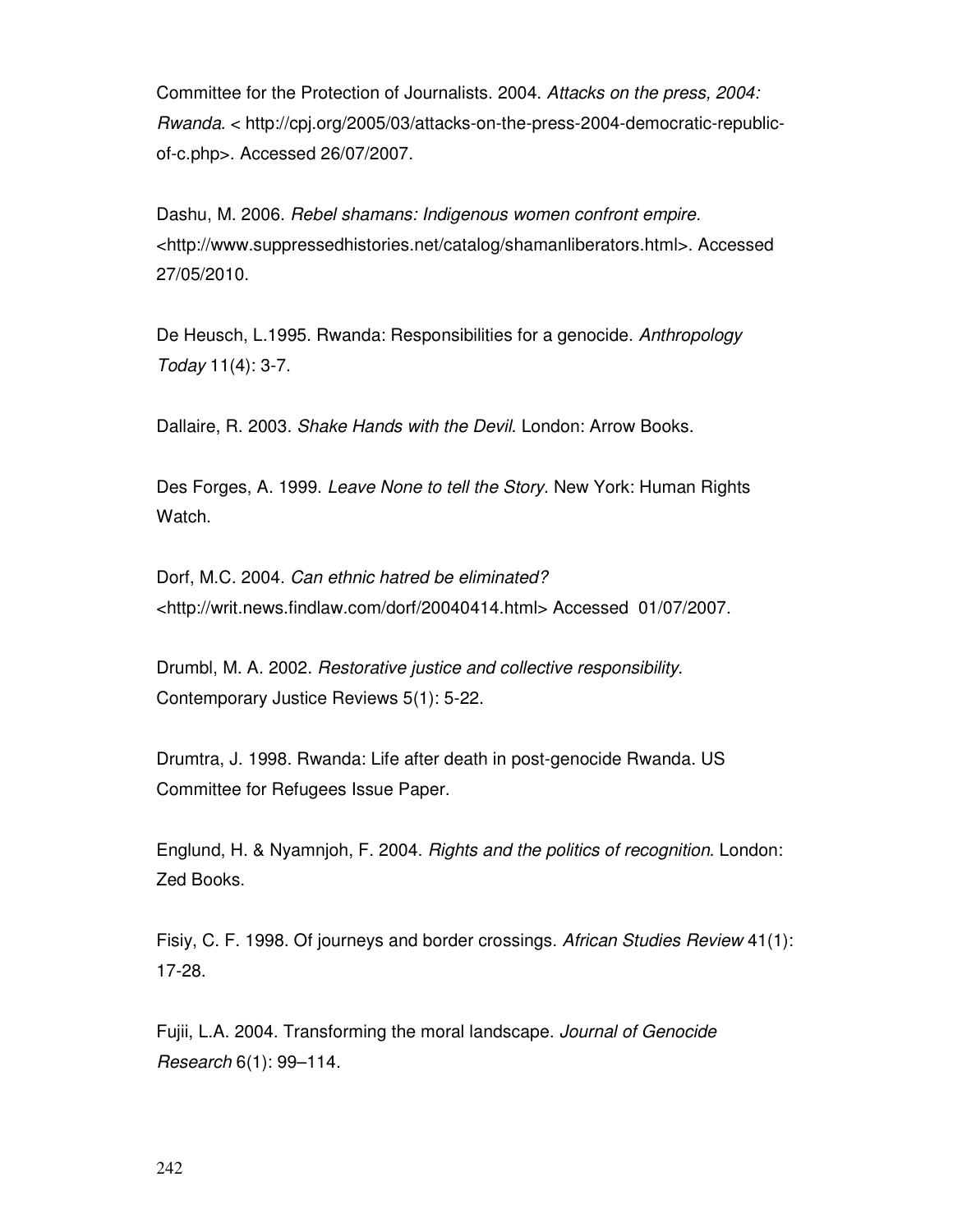Committee for the Protection of Journalists. 2004. Attacks on the press, 2004: Rwanda. < http://cpj.org/2005/03/attacks-on-the-press-2004-democratic-republicof-c.php>. Accessed 26/07/2007.

Dashu, M. 2006. Rebel shamans: Indigenous women confront empire. <http://www.suppressedhistories.net/catalog/shamanliberators.html>. Accessed 27/05/2010.

De Heusch, L.1995. Rwanda: Responsibilities for a genocide. Anthropology Today 11(4): 3-7.

Dallaire, R. 2003. Shake Hands with the Devil. London: Arrow Books.

Des Forges, A. 1999. Leave None to tell the Story. New York: Human Rights Watch.

Dorf, M.C. 2004. Can ethnic hatred be eliminated? <http://writ.news.findlaw.com/dorf/20040414.html> Accessed 01/07/2007.

Drumbl, M. A. 2002. Restorative justice and collective responsibility. Contemporary Justice Reviews 5(1): 5-22.

Drumtra, J. 1998. Rwanda: Life after death in post-genocide Rwanda. US Committee for Refugees Issue Paper.

Englund, H. & Nyamnjoh, F. 2004. Rights and the politics of recognition. London: Zed Books.

Fisiy, C. F. 1998. Of journeys and border crossings. African Studies Review 41(1): 17-28.

Fujii, L.A. 2004. Transforming the moral landscape. Journal of Genocide Research 6(1): 99–114.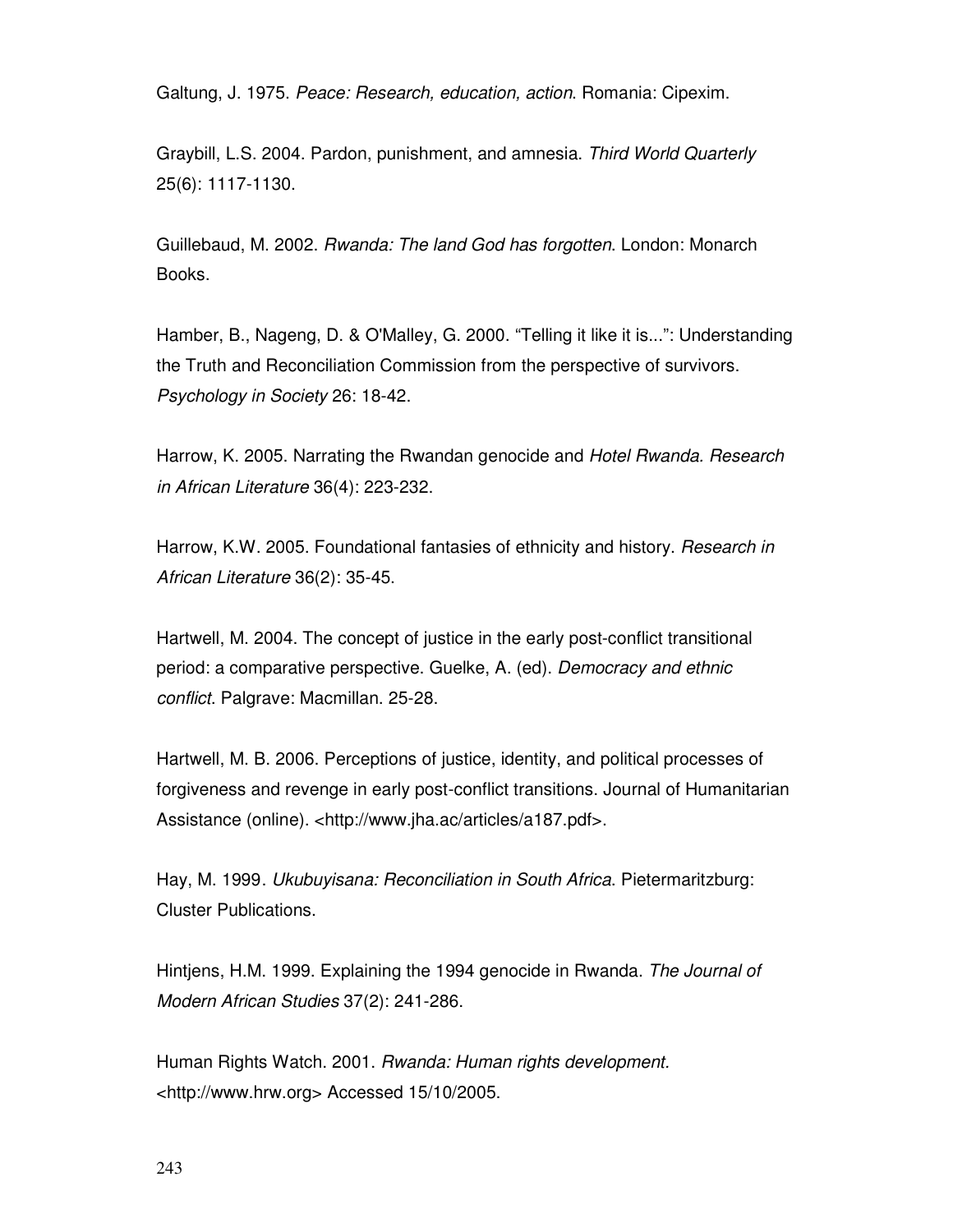Galtung, J. 1975. Peace: Research, education, action. Romania: Cipexim.

Graybill, L.S. 2004. Pardon, punishment, and amnesia. Third World Quarterly 25(6): 1117-1130.

Guillebaud, M. 2002. Rwanda: The land God has forgotten. London: Monarch Books.

Hamber, B., Nageng, D. & O'Malley, G. 2000. "Telling it like it is...": Understanding the Truth and Reconciliation Commission from the perspective of survivors. Psychology in Society 26: 18-42.

Harrow, K. 2005. Narrating the Rwandan genocide and Hotel Rwanda. Research in African Literature 36(4): 223-232.

Harrow, K.W. 2005. Foundational fantasies of ethnicity and history. Research in African Literature 36(2): 35-45.

Hartwell, M. 2004. The concept of justice in the early post-conflict transitional period: a comparative perspective. Guelke, A. (ed). Democracy and ethnic conflict. Palgrave: Macmillan. 25-28.

Hartwell, M. B. 2006. Perceptions of justice, identity, and political processes of forgiveness and revenge in early post-conflict transitions. Journal of Humanitarian Assistance (online). <http://www.jha.ac/articles/a187.pdf>.

Hay, M. 1999 . Ukubuyisana: Reconciliation in South Africa. Pietermaritzburg: Cluster Publications.

Hintjens, H.M. 1999. Explaining the 1994 genocide in Rwanda. The Journal of Modern African Studies 37(2): 241-286.

Human Rights Watch. 2001. Rwanda: Human rights development. <http://www.hrw.org> Accessed 15/10/2005.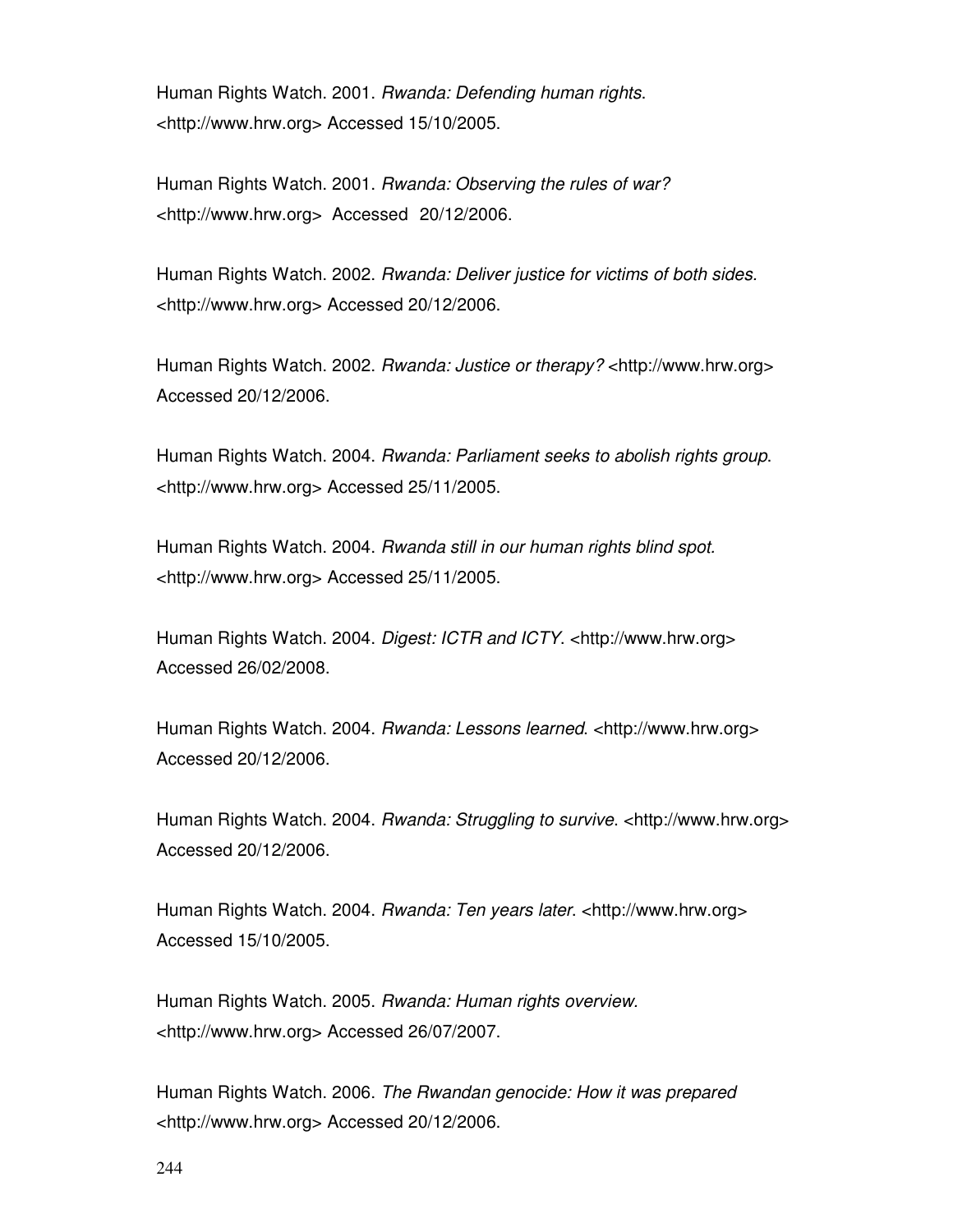Human Rights Watch. 2001. Rwanda: Defending human rights. <http://www.hrw.org> Accessed 15/10/2005.

Human Rights Watch. 2001. Rwanda: Observing the rules of war? <http://www.hrw.org> Accessed 20/12/2006.

Human Rights Watch. 2002. Rwanda: Deliver justice for victims of both sides. <http://www.hrw.org> Accessed 20/12/2006.

Human Rights Watch. 2002. Rwanda: Justice or therapy? <http://www.hrw.org> Accessed 20/12/2006.

Human Rights Watch. 2004. Rwanda: Parliament seeks to abolish rights group. <http://www.hrw.org> Accessed 25/11/2005.

Human Rights Watch. 2004. Rwanda still in our human rights blind spot. <http://www.hrw.org> Accessed 25/11/2005.

Human Rights Watch. 2004. Digest: ICTR and ICTY. <http://www.hrw.org> Accessed 26/02/2008.

Human Rights Watch. 2004. Rwanda: Lessons learned. <http://www.hrw.org> Accessed 20/12/2006.

Human Rights Watch. 2004. Rwanda: Struggling to survive. <http://www.hrw.org> Accessed 20/12/2006.

Human Rights Watch. 2004. Rwanda: Ten years later. <http://www.hrw.org> Accessed 15/10/2005.

Human Rights Watch. 2005. Rwanda: Human rights overview. <http://www.hrw.org> Accessed 26/07/2007.

Human Rights Watch. 2006. The Rwandan genocide: How it was prepared <http://www.hrw.org> Accessed 20/12/2006.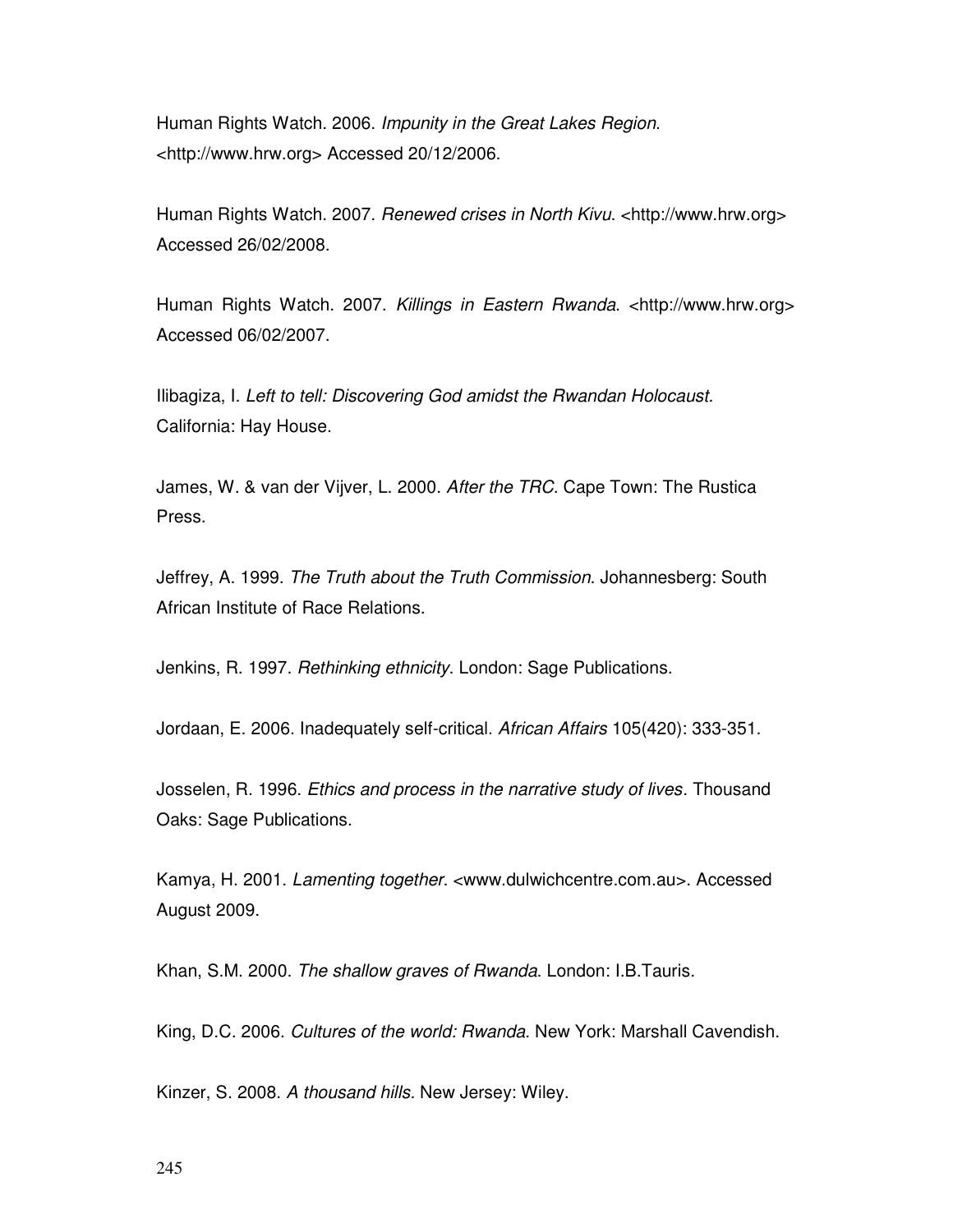Human Rights Watch. 2006. Impunity in the Great Lakes Region. <http://www.hrw.org> Accessed 20/12/2006.

Human Rights Watch. 2007. Renewed crises in North Kivu. <http://www.hrw.org> Accessed 26/02/2008.

Human Rights Watch. 2007. Killings in Eastern Rwanda. <http://www.hrw.org> Accessed 06/02/2007.

Ilibagiza, I. Left to tell: Discovering God amidst the Rwandan Holocaust. California: Hay House.

James, W. & van der Vijver, L. 2000. After the TRC. Cape Town: The Rustica Press.

Jeffrey, A. 1999. The Truth about the Truth Commission. Johannesberg: South African Institute of Race Relations.

Jenkins, R. 1997. Rethinking ethnicity. London: Sage Publications.

Jordaan, E. 2006. Inadequately self-critical. African Affairs 105(420): 333-351.

Josselen, R. 1996. *Ethics and process in the narrative study of lives*. Thousand Oaks: Sage Publications.

Kamya, H. 2001. Lamenting together. <www.dulwichcentre.com.au>. Accessed August 2009.

Khan, S.M. 2000. The shallow graves of Rwanda. London: I.B.Tauris.

King, D.C. 2006. Cultures of the world: Rwanda. New York: Marshall Cavendish.

Kinzer, S. 2008. A thousand hills. New Jersey: Wiley.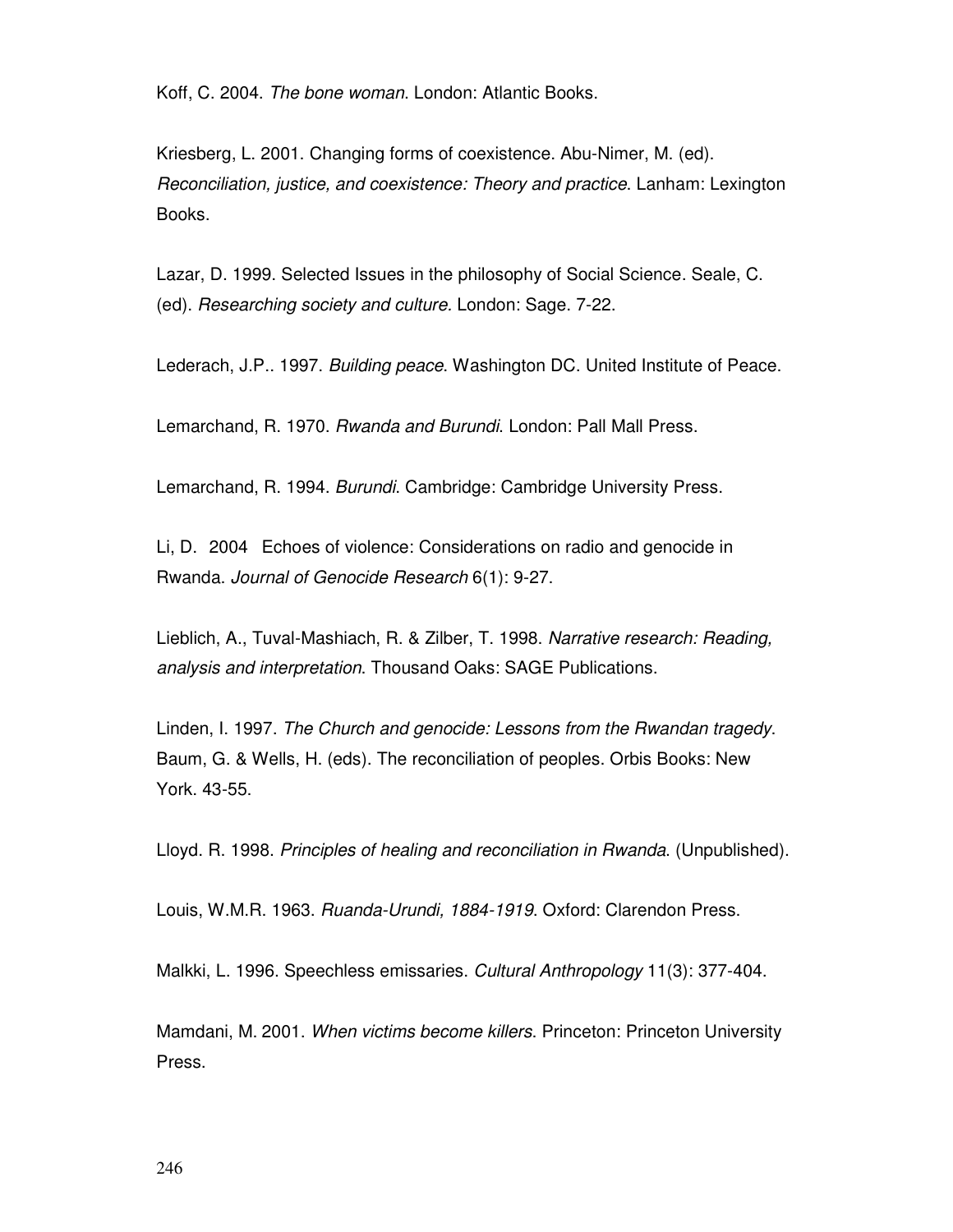Koff, C. 2004. The bone woman. London: Atlantic Books.

Kriesberg, L. 2001. Changing forms of coexistence. Abu-Nimer, M. (ed). Reconciliation, justice, and coexistence: Theory and practice. Lanham: Lexington Books.

Lazar, D. 1999. Selected Issues in the philosophy of Social Science. Seale, C. (ed). Researching society and culture. London: Sage. 7-22.

Lederach, J.P.. 1997. Building peace. Washington DC. United Institute of Peace.

Lemarchand, R. 1970. Rwanda and Burundi. London: Pall Mall Press.

Lemarchand, R. 1994. Burundi. Cambridge: Cambridge University Press.

Li, D. 2004 Echoes of violence: Considerations on radio and genocide in Rwanda. Journal of Genocide Research 6(1): 9-27.

Lieblich, A., Tuval-Mashiach, R. & Zilber, T. 1998. Narrative research: Reading, analysis and interpretation. Thousand Oaks: SAGE Publications.

Linden, I. 1997. The Church and genocide: Lessons from the Rwandan tragedy. Baum, G. & Wells, H. (eds). The reconciliation of peoples. Orbis Books: New York. 43-55.

Lloyd. R. 1998. Principles of healing and reconciliation in Rwanda. (Unpublished).

Louis, W.M.R. 1963. Ruanda-Urundi, 1884-1919. Oxford: Clarendon Press.

Malkki, L. 1996. Speechless emissaries. Cultural Anthropology 11(3): 377-404.

Mamdani, M. 2001. When victims become killers. Princeton: Princeton University Press.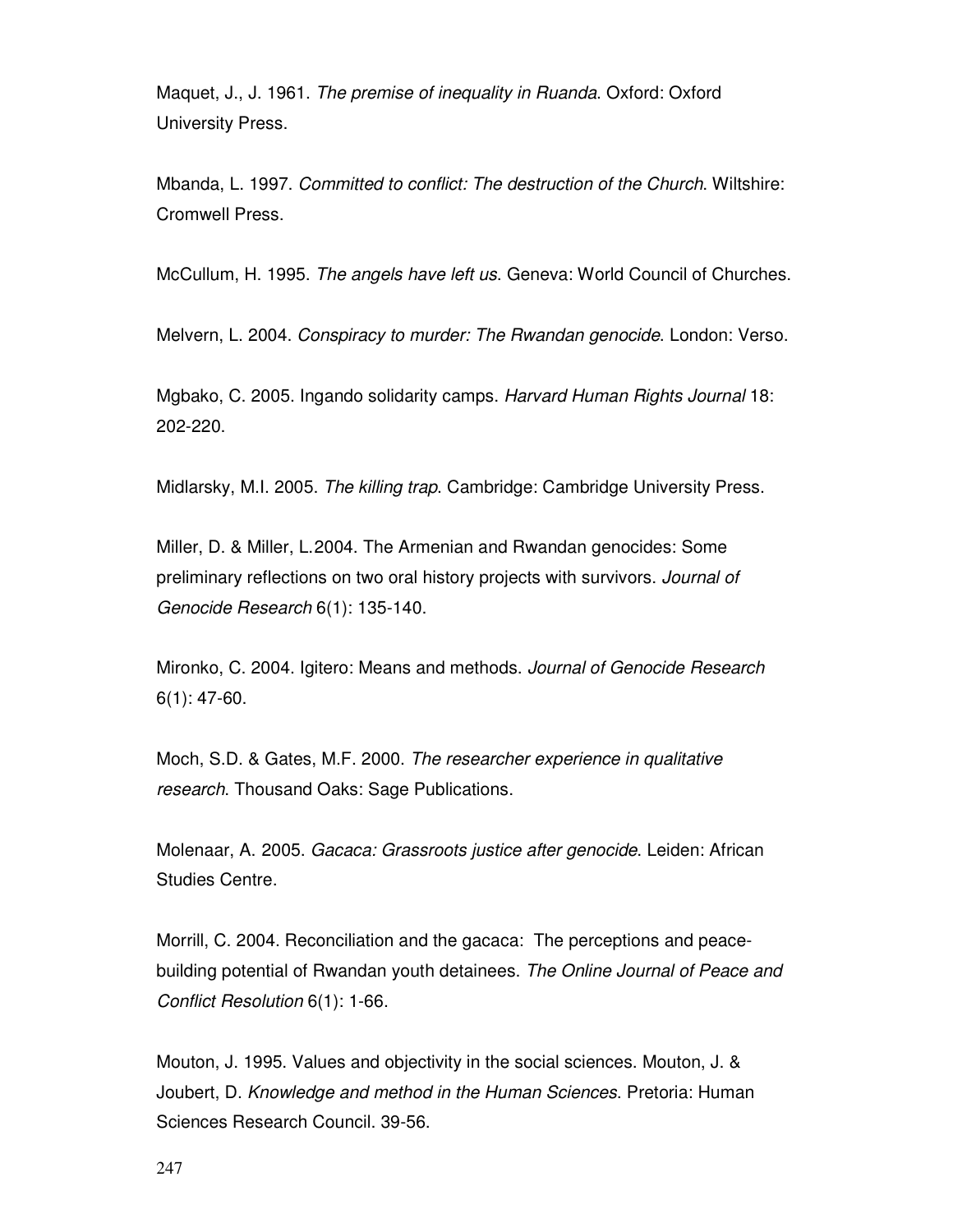Maquet, J., J. 1961. The premise of inequality in Ruanda. Oxford: Oxford University Press.

Mbanda, L. 1997. Committed to conflict: The destruction of the Church. Wiltshire: Cromwell Press.

McCullum, H. 1995. The angels have left us. Geneva: World Council of Churches.

Melvern, L. 2004. Conspiracy to murder: The Rwandan genocide. London: Verso.

Mgbako, C. 2005. Ingando solidarity camps. Harvard Human Rights Journal 18: 202-220.

Midlarsky, M.I. 2005. The killing trap. Cambridge: Cambridge University Press.

Miller, D. & Miller, L. 2004. The Armenian and Rwandan genocides: Some preliminary reflections on two oral history projects with survivors. Journal of Genocide Research 6(1): 135-140.

Mironko, C. 2004. Igitero: Means and methods. Journal of Genocide Research 6(1): 47-60.

Moch, S.D. & Gates, M.F. 2000. The researcher experience in qualitative research. Thousand Oaks: Sage Publications.

Molenaar, A. 2005. Gacaca: Grassroots justice after genocide. Leiden: African Studies Centre.

Morrill, C. 2004. Reconciliation and the gacaca: The perceptions and peacebuilding potential of Rwandan youth detainees. The Online Journal of Peace and Conflict Resolution 6(1): 1-66.

Mouton, J. 1995. Values and objectivity in the social sciences. Mouton, J. & Joubert, D. Knowledge and method in the Human Sciences. Pretoria: Human Sciences Research Council. 39-56.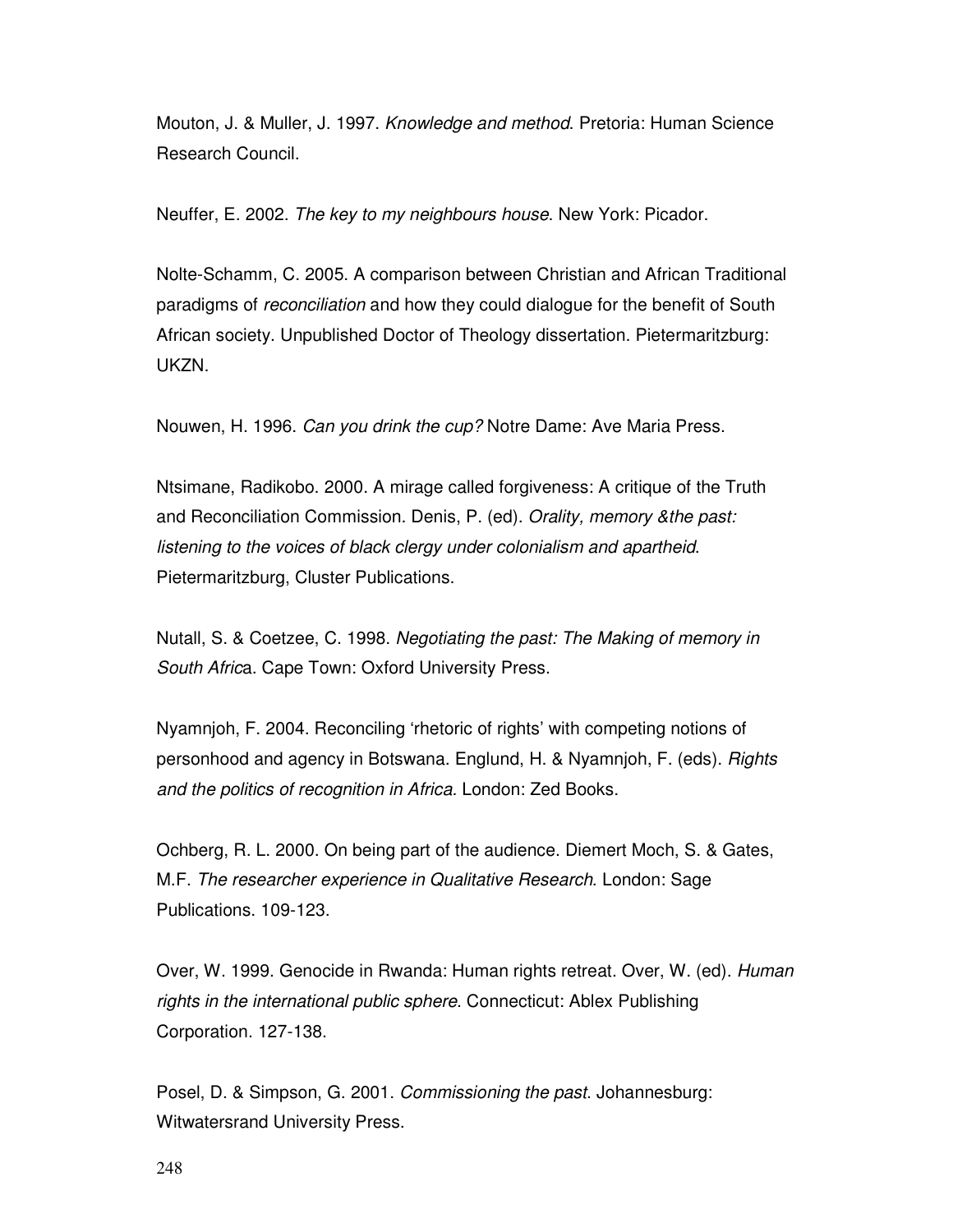Mouton, J. & Muller, J. 1997. Knowledge and method. Pretoria: Human Science Research Council.

Neuffer, E. 2002. The key to my neighbours house. New York: Picador.

Nolte-Schamm, C. 2005. A comparison between Christian and African Traditional paradigms of *reconciliation* and how they could dialogue for the benefit of South African society. Unpublished Doctor of Theology dissertation. Pietermaritzburg: UKZN.

Nouwen, H. 1996. Can you drink the cup? Notre Dame: Ave Maria Press.

Ntsimane, Radikobo. 2000. A mirage called forgiveness: A critique of the Truth and Reconciliation Commission. Denis, P. (ed). Orality, memory &the past: listening to the voices of black clergy under colonialism and apartheid. Pietermaritzburg, Cluster Publications.

Nutall, S. & Coetzee, C. 1998. Negotiating the past: The Making of memory in South Africa. Cape Town: Oxford University Press.

Nyamnjoh, F. 2004. Reconciling 'rhetoric of rights' with competing notions of personhood and agency in Botswana. Englund, H. & Nyamnjoh, F. (eds). Rights and the politics of recognition in Africa. London: Zed Books.

Ochberg, R. L. 2000. On being part of the audience. Diemert Moch, S. & Gates, M.F. The researcher experience in Qualitative Research. London: Sage Publications. 109-123.

Over, W. 1999. Genocide in Rwanda: Human rights retreat. Over, W. (ed). Human rights in the international public sphere. Connecticut: Ablex Publishing Corporation. 127-138.

Posel, D. & Simpson, G. 2001. Commissioning the past. Johannesburg: Witwatersrand University Press.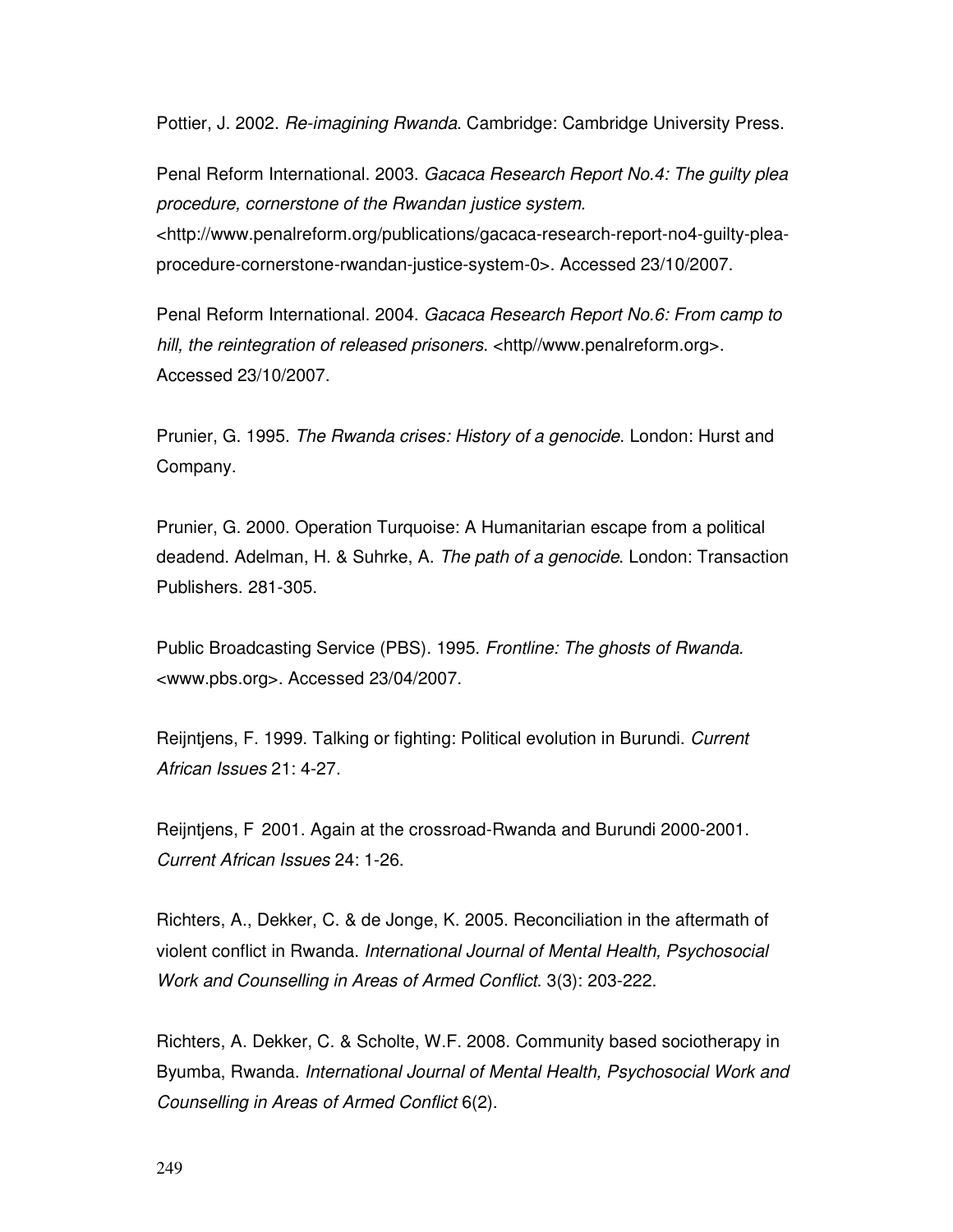Pottier, J. 2002. Re-imagining Rwanda. Cambridge: Cambridge University Press.

Penal Reform International. 2003. Gacaca Research Report No.4: The guilty plea procedure, cornerstone of the Rwandan justice system. <http://www.penalreform.org/publications/gacaca-research-report-no4-guilty-pleaprocedure-cornerstone-rwandan-justice-system-0>. Accessed 23/10/2007.

Penal Reform International. 2004. Gacaca Research Report No.6: From camp to hill, the reintegration of released prisoners. <http//www.penalreform.org>. Accessed 23/10/2007.

Prunier, G. 1995. The Rwanda crises: History of a genocide. London: Hurst and Company.

Prunier, G. 2000. Operation Turquoise: A Humanitarian escape from a political deadend. Adelman, H. & Suhrke, A. The path of a genocide. London: Transaction Publishers. 281-305.

Public Broadcasting Service (PBS). 1995. Frontline: The ghosts of Rwanda. <www.pbs.org>. Accessed 23/04/2007.

Reijntjens, F. 1999. Talking or fighting: Political evolution in Burundi. Current African Issues 21: 4-27.

Reijntjens, F 2001. Again at the crossroad-Rwanda and Burundi 2000-2001. Current African Issues 24: 1-26.

Richters, A., Dekker, C. & de Jonge, K. 2005. Reconciliation in the aftermath of violent conflict in Rwanda. International Journal of Mental Health, Psychosocial Work and Counselling in Areas of Armed Conflict. 3(3): 203-222.

Richters, A. Dekker, C. & Scholte, W.F. 2008. Community based sociotherapy in Byumba, Rwanda. International Journal of Mental Health, Psychosocial Work and Counselling in Areas of Armed Conflict 6(2).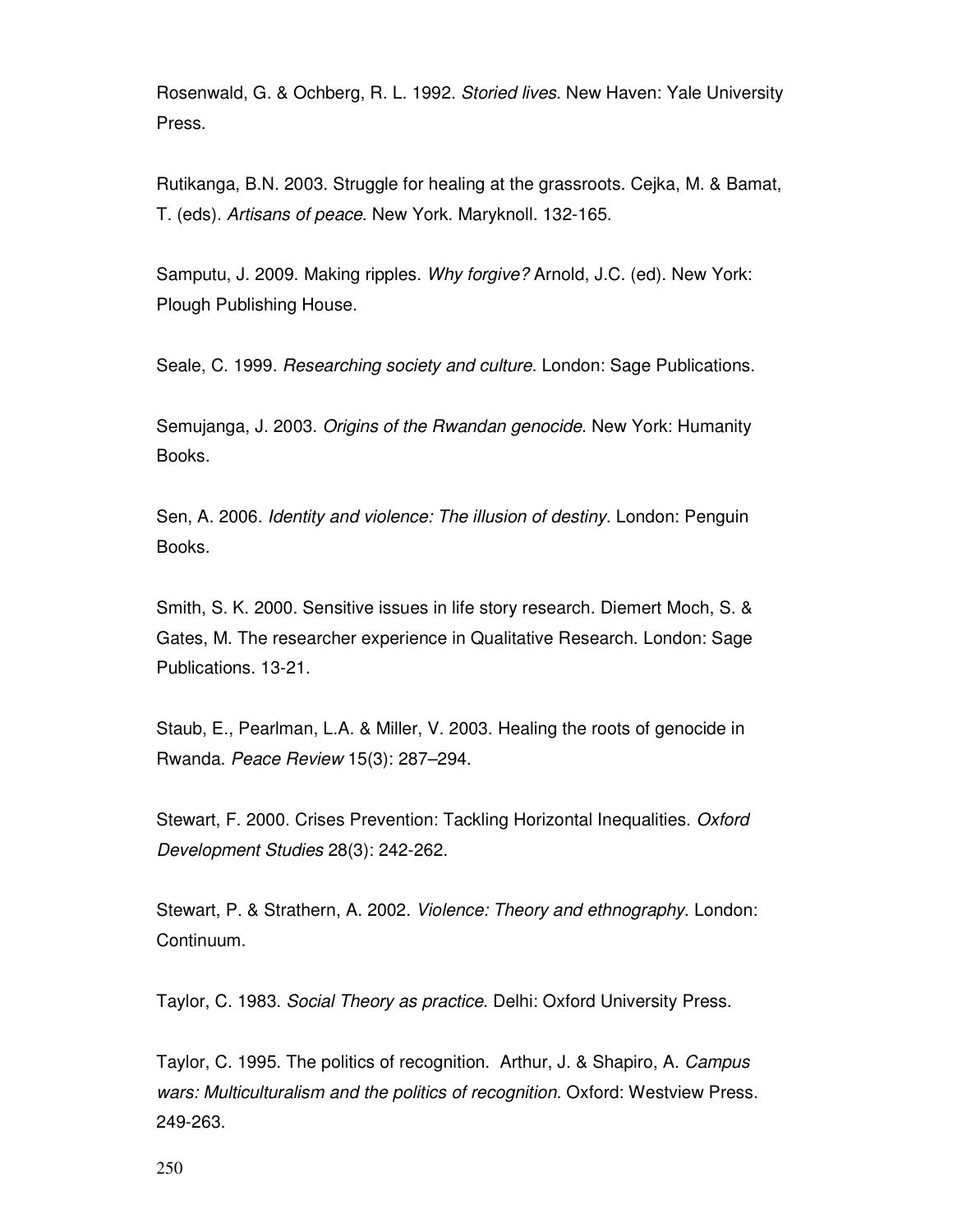Rosenwald, G. & Ochberg, R. L. 1992. Storied lives. New Haven: Yale University Press.

Rutikanga, B.N. 2003. Struggle for healing at the grassroots. Cejka, M. & Bamat, T. (eds). Artisans of peace. New York. Maryknoll. 132-165.

Samputu, J. 2009. Making ripples. Why forgive? Arnold, J.C. (ed). New York: Plough Publishing House.

Seale, C. 1999. Researching society and culture. London: Sage Publications.

Semujanga, J. 2003. Origins of the Rwandan genocide. New York: Humanity Books.

Sen, A. 2006. Identity and violence: The illusion of destiny. London: Penguin Books.

Smith, S. K. 2000. Sensitive issues in life story research. Diemert Moch, S. & Gates, M. The researcher experience in Qualitative Research. London: Sage Publications. 13-21.

Staub, E., Pearlman, L.A. & Miller, V. 2003. Healing the roots of genocide in Rwanda. Peace Review 15(3): 287–294.

Stewart, F. 2000. Crises Prevention: Tackling Horizontal Inequalities. Oxford Development Studies 28(3): 242-262.

Stewart, P. & Strathern, A. 2002. Violence: Theory and ethnography. London: Continuum.

Taylor, C. 1983. Social Theory as practice. Delhi: Oxford University Press.

Taylor, C. 1995. The politics of recognition. Arthur, J. & Shapiro, A. Campus wars: Multiculturalism and the politics of recognition. Oxford: Westview Press. 249-263.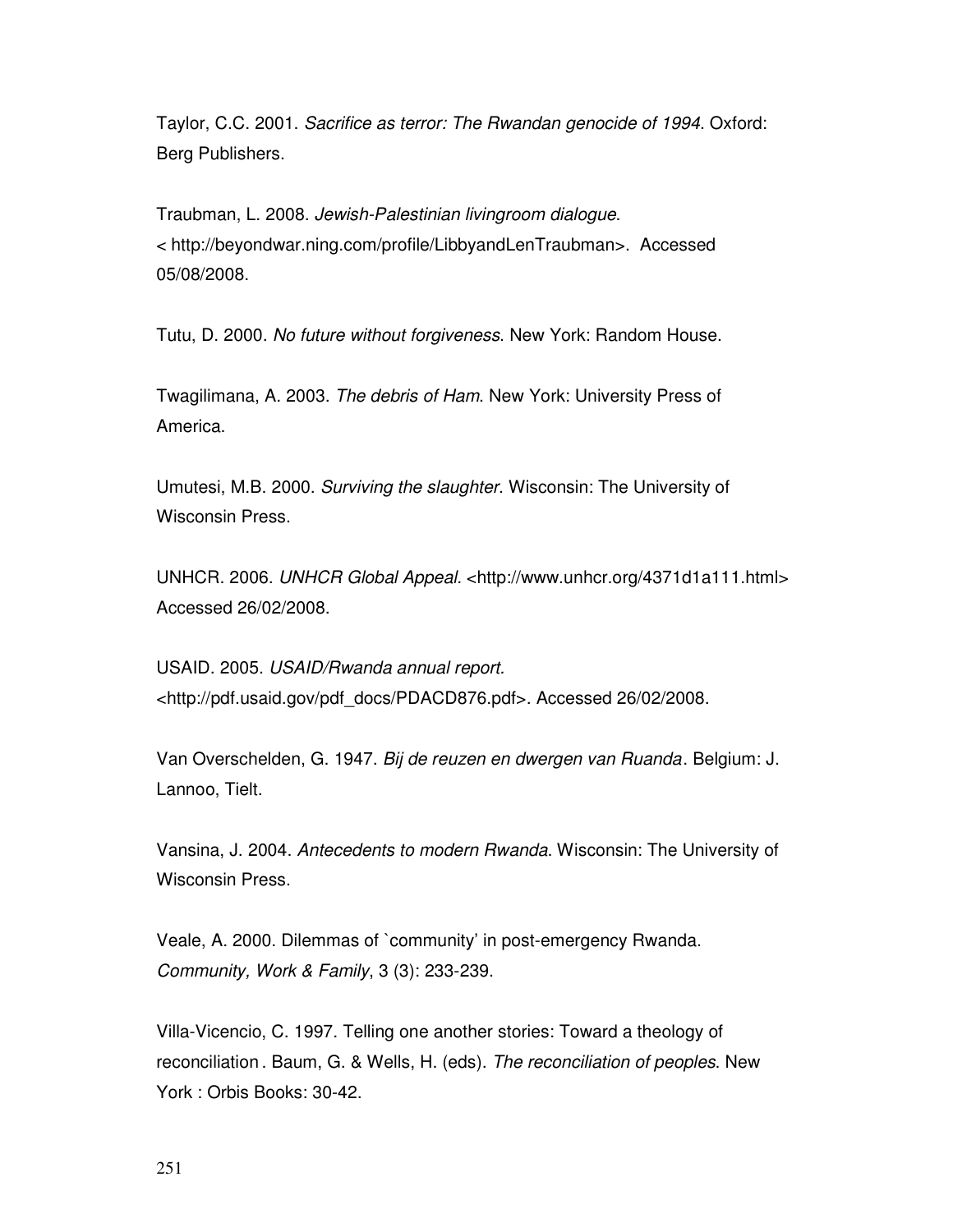Taylor, C.C. 2001. Sacrifice as terror: The Rwandan genocide of 1994. Oxford: Berg Publishers.

Traubman, L. 2008. Jewish-Palestinian livingroom dialogue. < http://beyondwar.ning.com/profile/LibbyandLenTraubman>. Accessed 05/08/2008.

Tutu, D. 2000. No future without forgiveness. New York: Random House.

Twagilimana, A. 2003. The debris of Ham. New York: University Press of America.

Umutesi, M.B. 2000. Surviving the slaughter. Wisconsin: The University of Wisconsin Press.

UNHCR. 2006. UNHCR Global Appeal. <http://www.unhcr.org/4371d1a111.html> Accessed 26/02/2008.

USAID. 2005. USAID/Rwanda annual report. <http://pdf.usaid.gov/pdf\_docs/PDACD876.pdf>. Accessed 26/02/2008.

Van Overschelden, G. 1947. Bij de reuzen en dwergen van Ruanda . Belgium: J. Lannoo, Tielt.

Vansina, J. 2004. Antecedents to modern Rwanda. Wisconsin: The University of Wisconsin Press.

Veale, A. 2000. Dilemmas of `community' in post-emergency Rwanda. Community, Work & Family, 3 (3): 233-239.

Villa-Vicencio, C. 1997. Telling one another stories: Toward a theology of reconciliation . Baum, G. & Wells, H. (eds). The reconciliation of peoples. New York : Orbis Books: 30-42.